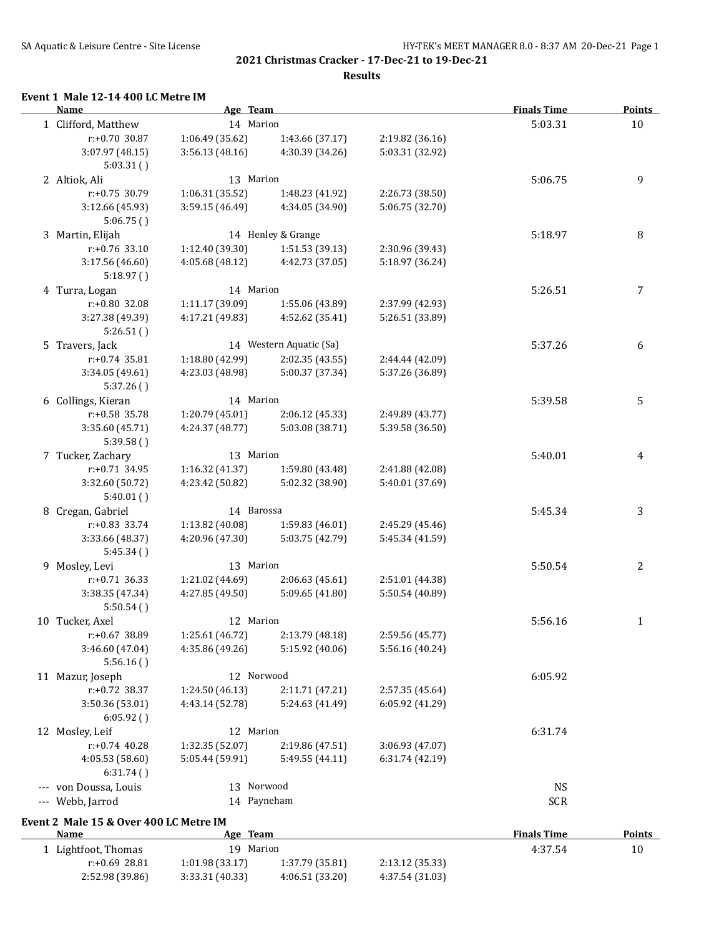**Results**

## **Event 1 Male 12-14 400 LC Metre IM**

| <b>Name</b>                            | Age Team        |                         |                 | <b>Finals Time</b> | <b>Points</b> |
|----------------------------------------|-----------------|-------------------------|-----------------|--------------------|---------------|
| 1 Clifford, Matthew                    | 14 Marion       |                         |                 | 5:03.31            | 10            |
| r:+0.70 30.87                          | 1:06.49 (35.62) | 1:43.66 (37.17)         | 2:19.82 (36.16) |                    |               |
| 3:07.97 (48.15)                        | 3:56.13(48.16)  | 4:30.39 (34.26)         | 5:03.31 (32.92) |                    |               |
| 5:03.31()                              |                 |                         |                 |                    |               |
| 2 Altiok, Ali                          | 13 Marion       |                         |                 | 5:06.75            | 9             |
| r:+0.75 30.79                          | 1:06.31 (35.52) | 1:48.23 (41.92)         | 2:26.73 (38.50) |                    |               |
| 3:12.66 (45.93)                        | 3:59.15 (46.49) | 4:34.05 (34.90)         | 5:06.75 (32.70) |                    |               |
| 5:06.75()                              |                 |                         |                 |                    |               |
| 3 Martin, Elijah                       |                 | 14 Henley & Grange      |                 | 5:18.97            | 8             |
| r:+0.76 33.10                          | 1:12.40 (39.30) | 1:51.53 (39.13)         | 2:30.96 (39.43) |                    |               |
| 3:17.56 (46.60)                        | 4:05.68 (48.12) | 4:42.73 (37.05)         | 5:18.97 (36.24) |                    |               |
| 5:18.97(                               |                 |                         |                 |                    |               |
| 4 Turra, Logan                         | 14 Marion       |                         |                 | 5:26.51            | 7             |
| r:+0.80 32.08                          | 1:11.17 (39.09) | 1:55.06 (43.89)         | 2:37.99 (42.93) |                    |               |
| 3:27.38 (49.39)                        | 4:17.21 (49.83) | 4:52.62 (35.41)         | 5:26.51 (33.89) |                    |               |
| 5:26.51()                              |                 |                         |                 |                    |               |
| 5 Travers, Jack                        |                 | 14 Western Aquatic (Sa) |                 | 5:37.26            | 6             |
| r:+0.74 35.81                          | 1:18.80 (42.99) | 2:02.35 (43.55)         | 2:44.44 (42.09) |                    |               |
| 3:34.05 (49.61)                        | 4:23.03 (48.98) | 5:00.37 (37.34)         | 5:37.26 (36.89) |                    |               |
| 5:37.26()                              |                 |                         |                 |                    |               |
| 6 Collings, Kieran                     | 14 Marion       |                         |                 | 5:39.58            | 5             |
| r:+0.58 35.78                          | 1:20.79(45.01)  | 2:06.12 (45.33)         | 2:49.89 (43.77) |                    |               |
| 3:35.60 (45.71)                        | 4:24.37 (48.77) | 5:03.08 (38.71)         | 5:39.58 (36.50) |                    |               |
| 5:39.58()                              |                 |                         |                 |                    |               |
| 7 Tucker, Zachary                      | 13 Marion       |                         |                 | 5:40.01            | 4             |
| $r: +0.71$ 34.95                       | 1:16.32 (41.37) | 1:59.80 (43.48)         | 2:41.88 (42.08) |                    |               |
| 3:32.60 (50.72)                        | 4:23.42 (50.82) | 5:02.32 (38.90)         | 5:40.01 (37.69) |                    |               |
| 5:40.01()                              |                 |                         |                 |                    |               |
| 8 Cregan, Gabriel                      | 14 Barossa      |                         |                 | 5:45.34            | 3             |
| $r: +0.83$ 33.74                       | 1:13.82 (40.08) | 1:59.83 (46.01)         | 2:45.29 (45.46) |                    |               |
| 3:33.66 (48.37)                        | 4:20.96 (47.30) | 5:03.75 (42.79)         | 5:45.34 (41.59) |                    |               |
| 5:45.34()                              |                 |                         |                 |                    |               |
| 9 Mosley, Levi                         | 13 Marion       |                         |                 | 5:50.54            | 2             |
| $r: +0.71$ 36.33                       | 1:21.02 (44.69) | 2:06.63(45.61)          | 2:51.01 (44.38) |                    |               |
| 3:38.35 (47.34)                        | 4:27.85 (49.50) | 5:09.65 (41.80)         | 5:50.54 (40.89) |                    |               |
| 5:50.54(                               |                 |                         |                 |                    |               |
| 10 Tucker, Axel                        | 12 Marion       |                         |                 | 5:56.16            | $\mathbf{1}$  |
| r:+0.67 38.89                          | 1:25.61 (46.72) | 2:13.79 (48.18)         | 2:59.56 (45.77) |                    |               |
| 3:46.60 (47.04)                        | 4:35.86 (49.26) | 5:15.92 (40.06)         | 5:56.16 (40.24) |                    |               |
| 5:56.16()                              |                 |                         |                 |                    |               |
| 11 Mazur, Joseph                       | 12 Norwood      |                         |                 | 6:05.92            |               |
| r:+0.72 38.37                          | 1:24.50 (46.13) | 2:11.71 (47.21)         | 2:57.35 (45.64) |                    |               |
| 3:50.36 (53.01)                        | 4:43.14 (52.78) | 5:24.63 (41.49)         | 6:05.92 (41.29) |                    |               |
| 6:05.92()                              |                 |                         |                 |                    |               |
| 12 Mosley, Leif                        | 12 Marion       |                         |                 | 6:31.74            |               |
| $r: +0.74$ 40.28                       | 1:32.35 (52.07) | 2:19.86 (47.51)         | 3:06.93 (47.07) |                    |               |
| 4:05.53 (58.60)                        | 5:05.44 (59.91) | 5:49.55 (44.11)         | 6:31.74 (42.19) |                    |               |
| 6:31.74()                              |                 |                         |                 |                    |               |
| --- von Doussa, Louis                  | 13 Norwood      |                         |                 | <b>NS</b>          |               |
| --- Webb, Jarrod                       | 14 Payneham     |                         |                 | <b>SCR</b>         |               |
|                                        |                 |                         |                 |                    |               |
| Event 2 Male 15 & Over 400 LC Metre IM |                 |                         |                 |                    |               |
| Name                                   | Age Team        |                         |                 | <b>Finals Time</b> | <b>Points</b> |
| 1 Lightfoot, Thomas                    | 19 Marion       |                         |                 | 4:37.54            | 10            |
| r:+0.69 28.81                          | 1:01.98 (33.17) | 1:37.79 (35.81)         | 2:13.12 (35.33) |                    |               |
| 2:52.98 (39.86)                        | 3:33.31 (40.33) | 4:06.51 (33.20)         | 4:37.54 (31.03) |                    |               |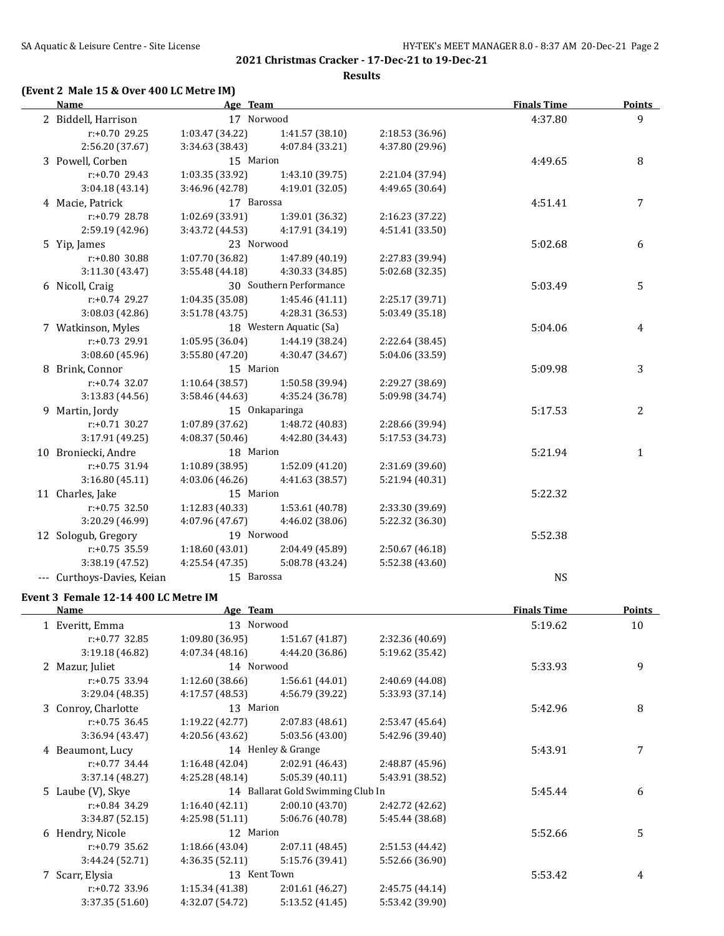#### **Results**

## **(Event 2 Male 15 & Over 400 LC Metre IM)**

| <b>Name</b>                | Age Team        |                         |                 | <b>Finals Time</b> | <b>Points</b>  |
|----------------------------|-----------------|-------------------------|-----------------|--------------------|----------------|
| 2 Biddell, Harrison        | 17 Norwood      |                         |                 | 4:37.80            | 9              |
| $r: +0.70$ 29.25           | 1:03.47 (34.22) | 1:41.57 (38.10)         | 2:18.53 (36.96) |                    |                |
| 2:56.20 (37.67)            | 3:34.63 (38.43) | 4:07.84 (33.21)         | 4:37.80 (29.96) |                    |                |
| 3 Powell, Corben           | 15 Marion       |                         |                 | 4:49.65            | 8              |
| r:+0.70 29.43              | 1:03.35(33.92)  | 1:43.10 (39.75)         | 2:21.04 (37.94) |                    |                |
| 3:04.18 (43.14)            | 3:46.96 (42.78) | 4:19.01 (32.05)         | 4:49.65 (30.64) |                    |                |
| 4 Macie, Patrick           | 17 Barossa      |                         |                 | 4:51.41            | 7              |
| $r: +0.79$ 28.78           | 1:02.69(33.91)  | 1:39.01 (36.32)         | 2:16.23 (37.22) |                    |                |
| 2:59.19 (42.96)            | 3:43.72 (44.53) | 4:17.91 (34.19)         | 4:51.41 (33.50) |                    |                |
| 5 Yip, James               | 23 Norwood      |                         |                 | 5:02.68            | 6              |
| r:+0.80 30.88              | 1:07.70 (36.82) | 1:47.89 (40.19)         | 2:27.83 (39.94) |                    |                |
| 3:11.30(43.47)             | 3:55.48(44.18)  | 4:30.33 (34.85)         | 5:02.68 (32.35) |                    |                |
| 6 Nicoll, Craig            |                 | 30 Southern Performance |                 | 5:03.49            | 5              |
| r:+0.74 29.27              | 1:04.35 (35.08) | 1:45.46 (41.11)         | 2:25.17 (39.71) |                    |                |
| 3:08.03 (42.86)            | 3:51.78(43.75)  | 4:28.31 (36.53)         | 5:03.49 (35.18) |                    |                |
| 7 Watkinson, Myles         |                 | 18 Western Aquatic (Sa) |                 | 5:04.06            | 4              |
| r:+0.73 29.91              | 1:05.95(36.04)  | 1:44.19 (38.24)         | 2:22.64 (38.45) |                    |                |
| 3:08.60 (45.96)            | 3:55.80 (47.20) | 4:30.47 (34.67)         | 5:04.06 (33.59) |                    |                |
| 8 Brink, Connor            | 15 Marion       |                         |                 | 5:09.98            | 3              |
| $r: +0.74$ 32.07           | 1:10.64(38.57)  | 1:50.58 (39.94)         | 2:29.27 (38.69) |                    |                |
| 3:13.83 (44.56)            | 3:58.46 (44.63) | 4:35.24 (36.78)         | 5:09.98 (34.74) |                    |                |
| 9 Martin, Jordy            |                 | 15 Onkaparinga          |                 | 5:17.53            | $\overline{c}$ |
| $r: +0.71$ 30.27           | 1:07.89 (37.62) | 1:48.72 (40.83)         | 2:28.66 (39.94) |                    |                |
| 3:17.91 (49.25)            | 4:08.37(50.46)  | 4:42.80 (34.43)         | 5:17.53 (34.73) |                    |                |
| 10 Broniecki, Andre        | 18 Marion       |                         |                 | 5:21.94            | 1              |
| $r: +0.75$ 31.94           | 1:10.89(38.95)  | 1:52.09 (41.20)         | 2:31.69 (39.60) |                    |                |
| 3:16.80(45.11)             | 4:03.06(46.26)  | 4:41.63 (38.57)         | 5:21.94 (40.31) |                    |                |
| 11 Charles, Jake           | 15 Marion       |                         |                 | 5:22.32            |                |
| r:+0.75 32.50              | 1:12.83 (40.33) | 1:53.61 (40.78)         | 2:33.30 (39.69) |                    |                |
| 3:20.29 (46.99)            | 4:07.96 (47.67) | 4:46.02 (38.06)         | 5:22.32 (36.30) |                    |                |
| 12 Sologub, Gregory        | 19 Norwood      |                         |                 | 5:52.38            |                |
| $r: +0.75$ 35.59           | 1:18.60(43.01)  | 2:04.49 (45.89)         | 2:50.67 (46.18) |                    |                |
| 3:38.19 (47.52)            | 4:25.54 (47.35) | 5:08.78 (43.24)         | 5:52.38 (43.60) |                    |                |
| --- Curthoys-Davies, Keian | 15 Barossa      |                         |                 | <b>NS</b>          |                |

## **Event 3 Female 12-14 400 LC Metre IM**

| Name                | Age Team        |                                   |                 | <b>Finals Time</b> | Points |
|---------------------|-----------------|-----------------------------------|-----------------|--------------------|--------|
| 1 Everitt, Emma     |                 | 13 Norwood                        |                 | 5:19.62            | 10     |
| $r: +0.77$ 32.85    | 1:09.80 (36.95) | 1:51.67 (41.87)                   | 2:32.36 (40.69) |                    |        |
| 3:19.18(46.82)      | 4:07.34(48.16)  | 4:44.20 (36.86)                   | 5:19.62 (35.42) |                    |        |
| 2 Mazur, Juliet     | 14 Norwood      |                                   |                 | 5:33.93            | 9      |
| $r: +0.75$ 33.94    | 1:12.60(38.66)  | 1:56.61(44.01)                    | 2:40.69 (44.08) |                    |        |
| 3:29.04(48.35)      | 4:17.57(48.53)  | 4:56.79 (39.22)                   | 5:33.93 (37.14) |                    |        |
| 3 Conroy, Charlotte |                 | 13 Marion                         |                 |                    | 8      |
| $r: +0.75$ 36.45    | 1:19.22(42.77)  | 2:07.83(48.61)                    | 2:53.47 (45.64) |                    |        |
| 3:36.94 (43.47)     | 4:20.56 (43.62) | 5:03.56 (43.00)                   | 5:42.96 (39.40) |                    |        |
| 4 Beaumont, Lucy    |                 | 14 Henley & Grange                |                 | 5:43.91            | 7      |
| $r: +0.77$ 34.44    | 1:16.48(42.04)  | 2:02.91 (46.43)                   | 2:48.87 (45.96) |                    |        |
| 3:37.14(48.27)      | 4:25.28(48.14)  | 5:05.39 (40.11)                   | 5:43.91 (38.52) |                    |        |
| 5 Laube (V), Skye   |                 | 14 Ballarat Gold Swimming Club In |                 |                    | 6      |
| $r: +0.84$ 34.29    | 1:16.40(42.11)  | 2:00.10(43.70)                    | 2:42.72 (42.62) |                    |        |
| 3:34.87 (52.15)     | 4:25.98(51.11)  | 5:06.76 (40.78)                   | 5:45.44 (38.68) |                    |        |
| 6 Hendry, Nicole    | 12 Marion       |                                   |                 | 5:52.66            | 5      |
| $r: +0.79$ 35.62    | 1:18.66(43.04)  | 2:07.11 (48.45)                   | 2:51.53 (44.42) |                    |        |
| 3:44.24(52.71)      | 4:36.35(52.11)  | 5:15.76 (39.41)                   | 5:52.66 (36.90) |                    |        |
| 7 Scarr, Elysia     | 13 Kent Town    |                                   |                 | 5:53.42            | 4      |
| r:+0.72 33.96       | 1:15.34(41.38)  | 2:01.61 (46.27)                   | 2:45.75 (44.14) |                    |        |
| 3:37.35 (51.60)     | 4:32.07 (54.72) | 5:13.52 (41.45)                   | 5:53.42 (39.90) |                    |        |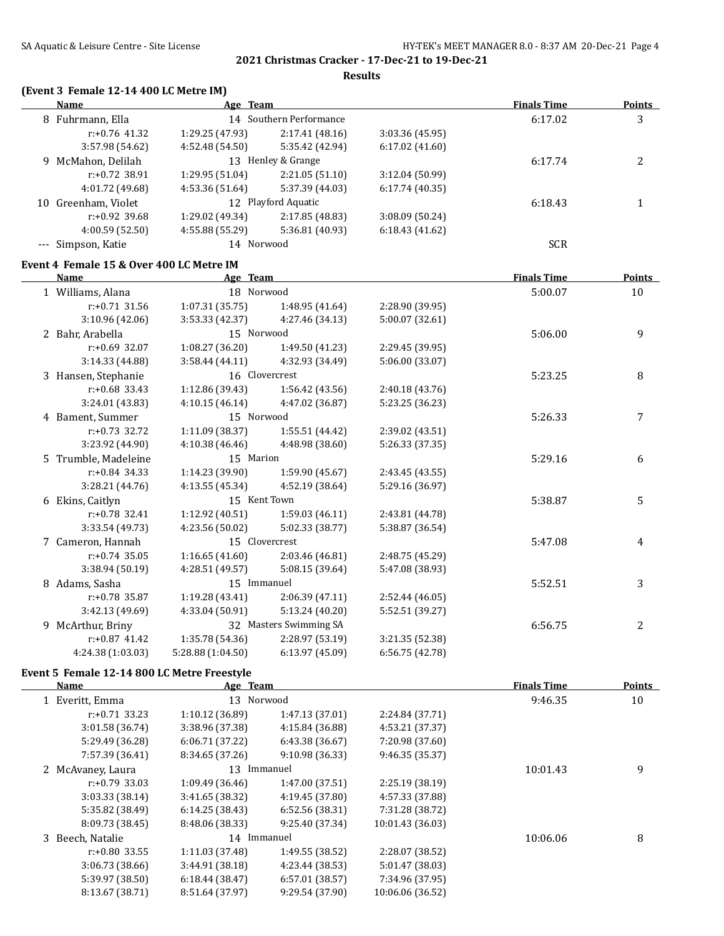**Results**

## **(Event 3 Female 12-14 400 LC Metre IM)**

| Name                | Age Team                |                     |                 | <b>Finals Time</b> | <b>Points</b> |
|---------------------|-------------------------|---------------------|-----------------|--------------------|---------------|
| 8 Fuhrmann, Ella    | 14 Southern Performance |                     |                 | 6:17.02            | 3             |
| $r: +0.76$ 41.32    | 1:29.25 (47.93)         | 2:17.41(48.16)      | 3:03.36 (45.95) |                    |               |
| 3:57.98 (54.62)     | 4:52.48 (54.50)         | 5:35.42 (42.94)     | 6:17.02(41.60)  |                    |               |
| 9 McMahon, Delilah  |                         | 13 Henley & Grange  |                 | 6:17.74            |               |
| $r: +0.72$ 38.91    | 1:29.95 (51.04)         | 2:21.05(51.10)      | 3:12.04 (50.99) |                    |               |
| 4:01.72 (49.68)     | 4:53.36 (51.64)         | 5:37.39 (44.03)     | 6:17.74(40.35)  |                    |               |
| 10 Greenham, Violet |                         | 12 Playford Aquatic |                 | 6:18.43            |               |
| $r: +0.92$ 39.68    | 1:29.02 (49.34)         | 2:17.85 (48.83)     | 3:08.09(50.24)  |                    |               |
| 4:00.59 (52.50)     | 4:55.88 (55.29)         | 5:36.81 (40.93)     | 6:18.43(41.62)  |                    |               |
| --- Simpson, Katie  | 14 Norwood              |                     |                 | <b>SCR</b>         |               |

## **Event 4 Female 15 & Over 400 LC Metre IM**

| Name                 | Age Team          |                        |                 | <b>Finals Time</b> | <b>Points</b> |
|----------------------|-------------------|------------------------|-----------------|--------------------|---------------|
| 1 Williams, Alana    | 18 Norwood        |                        |                 | 5:00.07            | 10            |
| $r: +0.71$ 31.56     | 1:07.31(35.75)    | 1:48.95(41.64)         | 2:28.90 (39.95) |                    |               |
| 3:10.96 (42.06)      | 3:53.33(42.37)    | 4:27.46 (34.13)        | 5:00.07 (32.61) |                    |               |
| 2 Bahr, Arabella     | 15 Norwood        |                        |                 | 5:06.00            | 9             |
| $r: +0.69$ 32.07     | 1:08.27 (36.20)   | 1:49.50 (41.23)        | 2:29.45 (39.95) |                    |               |
| 3:14.33 (44.88)      | 3:58.44(44.11)    | 4:32.93 (34.49)        | 5:06.00 (33.07) |                    |               |
| 3 Hansen, Stephanie  | 16 Clovercrest    |                        |                 | 5:23.25            | 8             |
| $r: +0.68$ 33.43     | 1:12.86(39.43)    | 1:56.42(43.56)         | 2:40.18 (43.76) |                    |               |
| 3:24.01 (43.83)      | 4:10.15(46.14)    | 4:47.02 (36.87)        | 5:23.25 (36.23) |                    |               |
| 4 Bament, Summer     | 15 Norwood        |                        |                 | 5:26.33            | 7             |
| $r: +0.73$ 32.72     | 1:11.09(38.37)    | 1:55.51(44.42)         | 2:39.02 (43.51) |                    |               |
| 3:23.92 (44.90)      | 4:10.38(46.46)    | 4:48.98 (38.60)        | 5:26.33 (37.35) |                    |               |
| 5 Trumble, Madeleine | 15 Marion         |                        |                 | 5:29.16            | 6             |
| $r: +0.84$ 34.33     | 1:14.23 (39.90)   | 1:59.90(45.67)         | 2:43.45 (43.55) |                    |               |
| 3:28.21 (44.76)      | 4:13.55(45.34)    | 4:52.19 (38.64)        | 5:29.16 (36.97) |                    |               |
| 6 Ekins, Caitlyn     | 15 Kent Town      |                        |                 | 5:38.87            | 5             |
| $r: +0.78$ 32.41     | 1:12.92(40.51)    | 1:59.03(46.11)         | 2:43.81 (44.78) |                    |               |
| 3:33.54 (49.73)      | 4:23.56 (50.02)   | 5:02.33 (38.77)        | 5:38.87 (36.54) |                    |               |
| 7 Cameron, Hannah    | 15 Clovercrest    |                        |                 | 5:47.08            | 4             |
| $r: +0.74$ 35.05     | 1:16.65(41.60)    | 2:03.46 (46.81)        | 2:48.75 (45.29) |                    |               |
| 3:38.94 (50.19)      | 4:28.51(49.57)    | 5:08.15 (39.64)        | 5:47.08 (38.93) |                    |               |
| 8 Adams, Sasha       | 15 Immanuel       |                        |                 | 5:52.51            | 3             |
| $r: +0.78$ 35.87     | 1:19.28(43.41)    | 2:06.39(47.11)         | 2:52.44 (46.05) |                    |               |
| 3:42.13 (49.69)      | 4:33.04(50.91)    | 5:13.24 (40.20)        | 5:52.51 (39.27) |                    |               |
| 9 McArthur, Briny    |                   | 32 Masters Swimming SA |                 | 6:56.75            | 2             |
| $r: +0.87$ 41.42     | 1:35.78 (54.36)   | 2:28.97 (53.19)        | 3:21.35 (52.38) |                    |               |
| 4:24.38 (1:03.03)    | 5:28.88 (1:04.50) | 6:13.97 (45.09)        | 6:56.75 (42.78) |                    |               |

## **Event 5 Female 12-14 800 LC Metre Freestyle**

| Name              |                  | Age Team        |                 |                  | <b>Finals Time</b> | <b>Points</b> |
|-------------------|------------------|-----------------|-----------------|------------------|--------------------|---------------|
| 1 Everitt, Emma   |                  |                 | 13 Norwood      |                  | 9:46.35            | 10            |
|                   | $r: +0.71$ 33.23 | 1:10.12(36.89)  | 1:47.13 (37.01) | 2:24.84 (37.71)  |                    |               |
|                   | 3:01.58 (36.74)  | 3:38.96 (37.38) | 4:15.84 (36.88) | 4:53.21 (37.37)  |                    |               |
|                   | 5:29.49 (36.28)  | 6:06.71(37.22)  | 6:43.38 (36.67) | 7:20.98 (37.60)  |                    |               |
|                   | 7:57.39 (36.41)  | 8:34.65 (37.26) | 9:10.98 (36.33) | 9:46.35 (35.37)  |                    |               |
| 2 McAvaney, Laura |                  |                 | 13 Immanuel     |                  | 10:01.43           | 9             |
|                   | $r: +0.79$ 33.03 | 1:09.49(36.46)  | 1:47.00 (37.51) | 2:25.19 (38.19)  |                    |               |
|                   | 3:03.33(38.14)   | 3:41.65(38.32)  | 4:19.45 (37.80) | 4:57.33 (37.88)  |                    |               |
|                   | 5:35.82 (38.49)  | 6:14.25(38.43)  | 6:52.56 (38.31) | 7:31.28 (38.72)  |                    |               |
|                   | 8:09.73 (38.45)  | 8:48.06 (38.33) | 9:25.40 (37.34) | 10:01.43 (36.03) |                    |               |
| 3 Beech, Natalie  |                  |                 | 14 Immanuel     |                  | 10:06.06           | 8             |
|                   | $r: +0.80$ 33.55 | 1:11.03 (37.48) | 1:49.55 (38.52) | 2:28.07 (38.52)  |                    |               |
|                   | 3:06.73(38.66)   | 3:44.91(38.18)  | 4:23.44 (38.53) | 5:01.47 (38.03)  |                    |               |
|                   | 5:39.97 (38.50)  | 6:18.44(38.47)  | 6:57.01(38.57)  | 7:34.96 (37.95)  |                    |               |
|                   | 8:13.67 (38.71)  | 8:51.64 (37.97) | 9:29.54 (37.90) | 10:06.06 (36.52) |                    |               |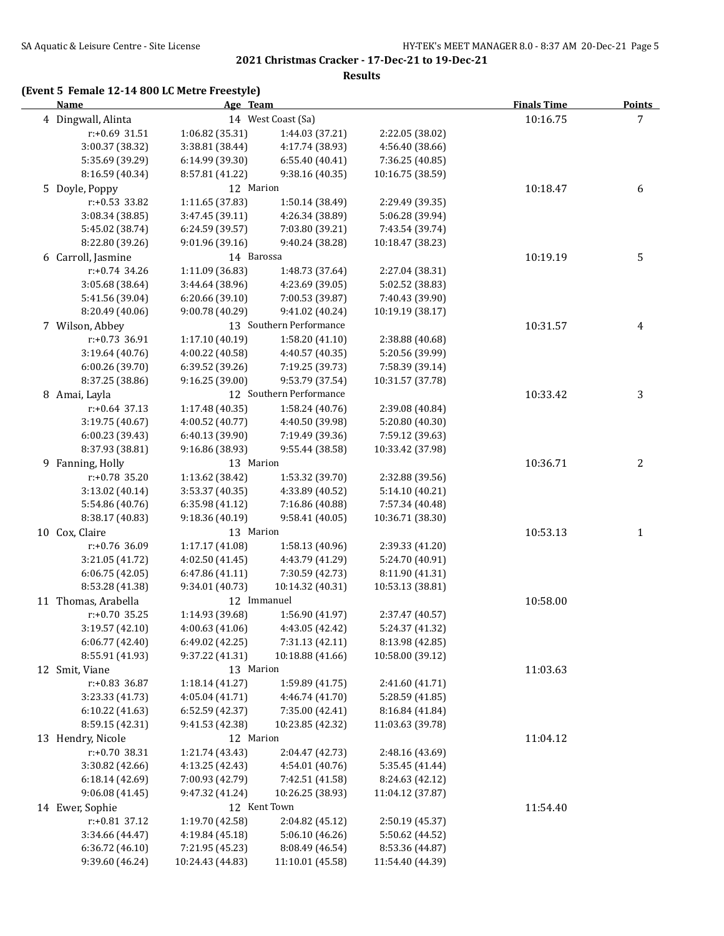**Results**

# **(Event 5 Female 12-14 800 LC Metre Freestyle)**

| <b>Name</b>         | Age Team         |                         |                  | <b>Finals Time</b> | <b>Points</b> |
|---------------------|------------------|-------------------------|------------------|--------------------|---------------|
| 4 Dingwall, Alinta  |                  | 14 West Coast (Sa)      |                  | 10:16.75           | 7             |
| $r: +0.69$ 31.51    | 1:06.82 (35.31)  | 1:44.03 (37.21)         | 2:22.05 (38.02)  |                    |               |
| 3:00.37 (38.32)     | 3:38.81 (38.44)  | 4:17.74 (38.93)         | 4:56.40 (38.66)  |                    |               |
| 5:35.69 (39.29)     | 6:14.99 (39.30)  | 6:55.40(40.41)          | 7:36.25 (40.85)  |                    |               |
| 8:16.59 (40.34)     | 8:57.81 (41.22)  | 9:38.16 (40.35)         | 10:16.75 (38.59) |                    |               |
| 5 Doyle, Poppy      | 12 Marion        |                         |                  | 10:18.47           | 6             |
| r:+0.53 33.82       | 1:11.65 (37.83)  | 1:50.14 (38.49)         | 2:29.49 (39.35)  |                    |               |
| 3:08.34 (38.85)     | 3:47.45 (39.11)  | 4:26.34 (38.89)         | 5:06.28 (39.94)  |                    |               |
| 5:45.02 (38.74)     | 6:24.59 (39.57)  | 7:03.80 (39.21)         | 7:43.54 (39.74)  |                    |               |
| 8:22.80 (39.26)     | 9:01.96 (39.16)  | 9:40.24 (38.28)         | 10:18.47 (38.23) |                    |               |
| 6 Carroll, Jasmine  | 14 Barossa       |                         |                  | 10:19.19           | 5             |
| r:+0.74 34.26       | 1:11.09 (36.83)  | 1:48.73 (37.64)         | 2:27.04 (38.31)  |                    |               |
| 3:05.68 (38.64)     | 3:44.64 (38.96)  | 4:23.69 (39.05)         | 5:02.52 (38.83)  |                    |               |
| 5:41.56 (39.04)     | 6:20.66 (39.10)  | 7:00.53 (39.87)         | 7:40.43 (39.90)  |                    |               |
| 8:20.49 (40.06)     | 9:00.78 (40.29)  | 9:41.02 (40.24)         | 10:19.19 (38.17) |                    |               |
| 7 Wilson, Abbey     |                  | 13 Southern Performance |                  | 10:31.57           | 4             |
| $r: +0.73$ 36.91    | 1:17.10(40.19)   | 1:58.20 (41.10)         | 2:38.88 (40.68)  |                    |               |
| 3:19.64 (40.76)     | 4:00.22(40.58)   | 4:40.57 (40.35)         | 5:20.56 (39.99)  |                    |               |
| 6:00.26 (39.70)     | 6:39.52 (39.26)  | 7:19.25 (39.73)         | 7:58.39 (39.14)  |                    |               |
| 8:37.25 (38.86)     | 9:16.25 (39.00)  | 9:53.79 (37.54)         | 10:31.57 (37.78) |                    |               |
| 8 Amai, Layla       |                  | 12 Southern Performance |                  | 10:33.42           | 3             |
| $r: +0.64$ 37.13    | 1:17.48 (40.35)  | 1:58.24 (40.76)         | 2:39.08 (40.84)  |                    |               |
| 3:19.75 (40.67)     | 4:00.52 (40.77)  | 4:40.50 (39.98)         | 5:20.80 (40.30)  |                    |               |
| 6:00.23 (39.43)     | 6:40.13 (39.90)  | 7:19.49 (39.36)         | 7:59.12 (39.63)  |                    |               |
| 8:37.93 (38.81)     | 9:16.86 (38.93)  | 9:55.44 (38.58)         | 10:33.42 (37.98) |                    |               |
| 9 Fanning, Holly    | 13 Marion        |                         |                  | 10:36.71           | 2             |
| r:+0.78 35.20       | 1:13.62 (38.42)  | 1:53.32 (39.70)         | 2:32.88 (39.56)  |                    |               |
| 3:13.02 (40.14)     | 3:53.37 (40.35)  | 4:33.89 (40.52)         | 5:14.10 (40.21)  |                    |               |
| 5:54.86 (40.76)     | 6:35.98 (41.12)  | 7:16.86 (40.88)         | 7:57.34 (40.48)  |                    |               |
| 8:38.17 (40.83)     | 9:18.36 (40.19)  | 9:58.41 (40.05)         | 10:36.71 (38.30) |                    |               |
| 10 Cox, Claire      | 13 Marion        |                         |                  | 10:53.13           | $\mathbf{1}$  |
| r:+0.76 36.09       | 1:17.17 (41.08)  | 1:58.13 (40.96)         | 2:39.33 (41.20)  |                    |               |
| 3:21.05 (41.72)     | 4:02.50 (41.45)  | 4:43.79 (41.29)         | 5:24.70 (40.91)  |                    |               |
| 6:06.75 (42.05)     | 6:47.86(41.11)   | 7:30.59 (42.73)         | 8:11.90 (41.31)  |                    |               |
| 8:53.28 (41.38)     | 9:34.01 (40.73)  | 10:14.32 (40.31)        | 10:53.13 (38.81) |                    |               |
| 11 Thomas, Arabella |                  | 12 Immanuel             |                  | 10:58.00           |               |
|                     | 1:14.93 (39.68)  |                         |                  |                    |               |
| r:+0.70 35.25       | 4:00.63(41.06)   | 1:56.90 (41.97)         | 2:37.47 (40.57)  |                    |               |
| 3:19.57 (42.10)     |                  | 4:43.05 (42.42)         | 5:24.37 (41.32)  |                    |               |
| 6:06.77(42.40)      | 6:49.02 (42.25)  | 7:31.13 (42.11)         | 8:13.98 (42.85)  |                    |               |
| 8:55.91 (41.93)     | 9:37.22 (41.31)  | 10:18.88 (41.66)        | 10:58.00 (39.12) |                    |               |
| 12 Smit, Viane      | 13 Marion        |                         |                  | 11:03.63           |               |
| r:+0.83 36.87       | 1:18.14(41.27)   | 1:59.89 (41.75)         | 2:41.60 (41.71)  |                    |               |
| 3:23.33 (41.73)     | 4:05.04 (41.71)  | 4:46.74 (41.70)         | 5:28.59 (41.85)  |                    |               |
| 6:10.22 (41.63)     | 6:52.59 (42.37)  | 7:35.00 (42.41)         | 8:16.84 (41.84)  |                    |               |
| 8:59.15 (42.31)     | 9:41.53 (42.38)  | 10:23.85 (42.32)        | 11:03.63 (39.78) |                    |               |
| 13 Hendry, Nicole   | 12 Marion        |                         |                  | 11:04.12           |               |
| r:+0.70 38.31       | 1:21.74 (43.43)  | 2:04.47 (42.73)         | 2:48.16 (43.69)  |                    |               |
| 3:30.82 (42.66)     | 4:13.25 (42.43)  | 4:54.01 (40.76)         | 5:35.45 (41.44)  |                    |               |
| 6:18.14(42.69)      | 7:00.93 (42.79)  | 7:42.51 (41.58)         | 8:24.63 (42.12)  |                    |               |
| 9:06.08 (41.45)     | 9:47.32 (41.24)  | 10:26.25 (38.93)        | 11:04.12 (37.87) |                    |               |
| 14 Ewer, Sophie     |                  | 12 Kent Town            |                  | 11:54.40           |               |
| r:+0.81 37.12       | 1:19.70 (42.58)  | 2:04.82 (45.12)         | 2:50.19 (45.37)  |                    |               |
| 3:34.66 (44.47)     | 4:19.84 (45.18)  | 5:06.10 (46.26)         | 5:50.62 (44.52)  |                    |               |
| 6:36.72 (46.10)     | 7:21.95 (45.23)  | 8:08.49 (46.54)         | 8:53.36 (44.87)  |                    |               |
| 9:39.60 (46.24)     | 10:24.43 (44.83) | 11:10.01 (45.58)        | 11:54.40 (44.39) |                    |               |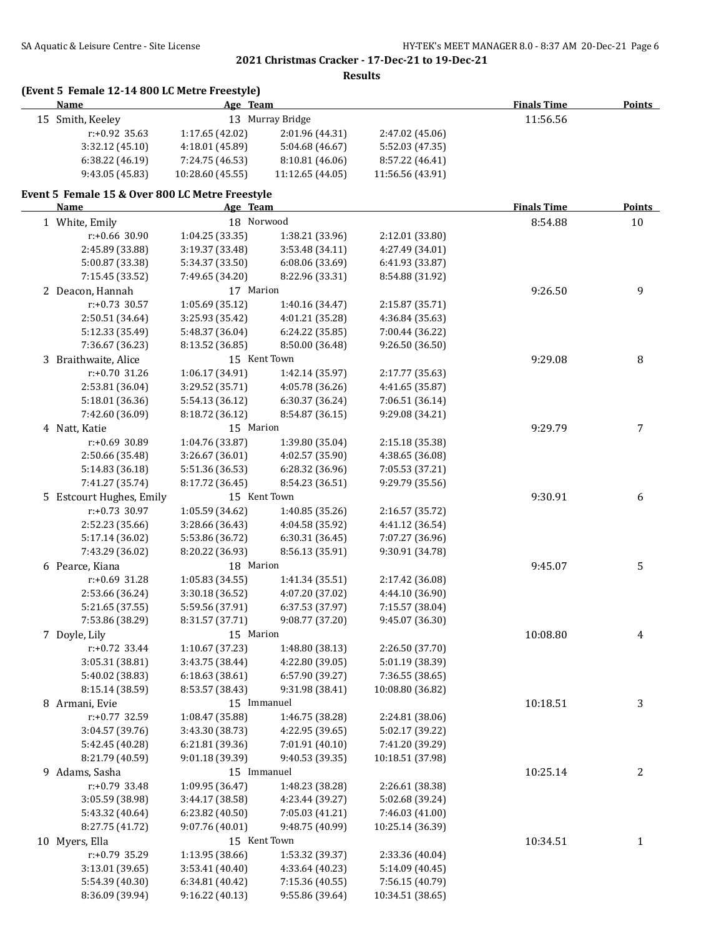|  | (Event 5 Female 12-14 800 LC Metre Freestyle)<br><b>Name</b> | Age Team                     |                  |                  | <b>Finals Time</b> | <b>Points</b> |
|--|--------------------------------------------------------------|------------------------------|------------------|------------------|--------------------|---------------|
|  | 15 Smith, Keeley                                             |                              | 13 Murray Bridge |                  | 11:56.56           |               |
|  | r:+0.92 35.63                                                | 1:17.65 (42.02)              | 2:01.96 (44.31)  | 2:47.02 (45.06)  |                    |               |
|  | 3:32.12 (45.10)                                              | 4:18.01 (45.89)              | 5:04.68 (46.67)  | 5:52.03 (47.35)  |                    |               |
|  | 6:38.22 (46.19)                                              | 7:24.75 (46.53)              | 8:10.81 (46.06)  | 8:57.22 (46.41)  |                    |               |
|  | 9:43.05 (45.83)                                              | 10:28.60 (45.55)             | 11:12.65 (44.05) | 11:56.56 (43.91) |                    |               |
|  | Event 5 Female 15 & Over 800 LC Metre Freestyle              |                              |                  |                  |                    |               |
|  | <b>Name</b>                                                  | Age Team                     |                  |                  | <b>Finals Time</b> | <b>Points</b> |
|  | 1 White, Emily                                               | 18 Norwood                   |                  |                  | 8:54.88            | $10\,$        |
|  | r:+0.66 30.90                                                | 1:04.25 (33.35)              | 1:38.21 (33.96)  | 2:12.01 (33.80)  |                    |               |
|  | 2:45.89 (33.88)                                              | 3:19.37 (33.48)              | 3:53.48 (34.11)  | 4:27.49 (34.01)  |                    |               |
|  | 5:00.87 (33.38)                                              | 5:34.37 (33.50)              | 6:08.06 (33.69)  | 6:41.93 (33.87)  |                    |               |
|  | 7:15.45 (33.52)                                              | 7:49.65 (34.20)              | 8:22.96 (33.31)  | 8:54.88 (31.92)  |                    |               |
|  | 2 Deacon, Hannah                                             | 17 Marion                    |                  |                  | 9:26.50            | 9             |
|  | $r: +0.73$ 30.57                                             | 1:05.69 (35.12)              | 1:40.16 (34.47)  | 2:15.87 (35.71)  |                    |               |
|  | 2:50.51 (34.64)                                              | 3:25.93 (35.42)              | 4:01.21 (35.28)  | 4:36.84 (35.63)  |                    |               |
|  | 5:12.33 (35.49)                                              | 5:48.37 (36.04)              | 6:24.22 (35.85)  | 7:00.44 (36.22)  |                    |               |
|  | 7:36.67 (36.23)                                              | 8:13.52 (36.85)              | 8:50.00 (36.48)  | 9:26.50 (36.50)  |                    |               |
|  | 3 Braithwaite, Alice                                         |                              | 15 Kent Town     |                  | 9:29.08            | 8             |
|  | $r: +0.70$ 31.26                                             | 1:06.17 (34.91)              | 1:42.14 (35.97)  | 2:17.77 (35.63)  |                    |               |
|  | 2:53.81 (36.04)                                              | 3:29.52 (35.71)              | 4:05.78 (36.26)  | 4:41.65 (35.87)  |                    |               |
|  | 5:18.01 (36.36)                                              | 5:54.13 (36.12)              | 6:30.37 (36.24)  | 7:06.51 (36.14)  |                    |               |
|  | 7:42.60 (36.09)                                              |                              |                  | 9:29.08 (34.21)  |                    |               |
|  |                                                              | 8:18.72 (36.12)<br>15 Marion | 8:54.87 (36.15)  |                  | 9:29.79            |               |
|  | 4 Natt, Katie                                                |                              |                  |                  |                    | 7             |
|  | r:+0.69 30.89                                                | 1:04.76 (33.87)              | 1:39.80 (35.04)  | 2:15.18 (35.38)  |                    |               |
|  | 2:50.66 (35.48)                                              | 3:26.67 (36.01)              | 4:02.57 (35.90)  | 4:38.65 (36.08)  |                    |               |
|  | 5:14.83 (36.18)                                              | 5:51.36 (36.53)              | 6:28.32 (36.96)  | 7:05.53 (37.21)  |                    |               |
|  | 7:41.27 (35.74)                                              | 8:17.72 (36.45)              | 8:54.23 (36.51)  | 9:29.79 (35.56)  |                    |               |
|  | 5 Estcourt Hughes, Emily                                     |                              | 15 Kent Town     |                  | 9:30.91            | 6             |
|  | r:+0.73 30.97                                                | 1:05.59 (34.62)              | 1:40.85 (35.26)  | 2:16.57 (35.72)  |                    |               |
|  | 2:52.23 (35.66)                                              | 3:28.66 (36.43)              | 4:04.58 (35.92)  | 4:41.12 (36.54)  |                    |               |
|  | 5:17.14 (36.02)                                              | 5:53.86 (36.72)              | 6:30.31 (36.45)  | 7:07.27 (36.96)  |                    |               |
|  | 7:43.29 (36.02)                                              | 8:20.22 (36.93)              | 8:56.13 (35.91)  | 9:30.91 (34.78)  |                    |               |
|  | 6 Pearce, Kiana                                              | 18 Marion                    |                  |                  | 9:45.07            | 5             |
|  | r:+0.69 31.28                                                | 1:05.83 (34.55)              | 1:41.34 (35.51)  | 2:17.42 (36.08)  |                    |               |
|  | 2:53.66 (36.24)                                              | 3:30.18 (36.52)              | 4:07.20 (37.02)  | 4:44.10 (36.90)  |                    |               |
|  | 5:21.65 (37.55)                                              | 5:59.56 (37.91)              | 6:37.53 (37.97)  | 7:15.57 (38.04)  |                    |               |
|  | 7:53.86 (38.29)                                              | 8:31.57 (37.71)              | 9:08.77 (37.20)  | 9:45.07 (36.30)  |                    |               |
|  | 7 Doyle, Lily                                                | 15 Marion                    |                  |                  | 10:08.80           | 4             |
|  | $r: +0.72$ 33.44                                             | 1:10.67 (37.23)              | 1:48.80 (38.13)  | 2:26.50 (37.70)  |                    |               |
|  | 3:05.31 (38.81)                                              | 3:43.75 (38.44)              | 4:22.80 (39.05)  | 5:01.19 (38.39)  |                    |               |
|  | 5:40.02 (38.83)                                              | 6:18.63 (38.61)              | 6:57.90 (39.27)  | 7:36.55 (38.65)  |                    |               |
|  | 8:15.14 (38.59)                                              | 8:53.57 (38.43)              | 9:31.98 (38.41)  | 10:08.80 (36.82) |                    |               |
|  | 8 Armani, Evie                                               | 15 Immanuel                  |                  |                  | 10:18.51           | 3             |
|  | r:+0.77 32.59                                                | 1:08.47 (35.88)              | 1:46.75 (38.28)  | 2:24.81 (38.06)  |                    |               |
|  | 3:04.57 (39.76)                                              | 3:43.30 (38.73)              | 4:22.95 (39.65)  | 5:02.17 (39.22)  |                    |               |
|  | 5:42.45 (40.28)                                              | 6:21.81 (39.36)              | 7:01.91 (40.10)  | 7:41.20 (39.29)  |                    |               |
|  | 8:21.79 (40.59)                                              | 9:01.18 (39.39)              | 9:40.53 (39.35)  | 10:18.51 (37.98) |                    |               |
|  | 9 Adams, Sasha                                               | 15 Immanuel                  |                  |                  | 10:25.14           | 2             |
|  | r:+0.79 33.48                                                | 1:09.95 (36.47)              | 1:48.23 (38.28)  | 2:26.61 (38.38)  |                    |               |
|  | 3:05.59 (38.98)                                              | 3:44.17 (38.58)              | 4:23.44 (39.27)  | 5:02.68 (39.24)  |                    |               |
|  | 5:43.32 (40.64)                                              | 6:23.82 (40.50)              | 7:05.03 (41.21)  | 7:46.03 (41.00)  |                    |               |
|  | 8:27.75 (41.72)                                              | 9:07.76 (40.01)              | 9:48.75 (40.99)  | 10:25.14 (36.39) |                    |               |
|  | 10 Myers, Ella                                               |                              | 15 Kent Town     |                  | 10:34.51           | $\mathbf{1}$  |
|  | r:+0.79 35.29                                                | 1:13.95 (38.66)              | 1:53.32 (39.37)  | 2:33.36 (40.04)  |                    |               |
|  | 3:13.01 (39.65)                                              | 3:53.41 (40.40)              | 4:33.64 (40.23)  | 5:14.09 (40.45)  |                    |               |
|  | 5:54.39 (40.30)                                              | 6:34.81 (40.42)              | 7:15.36 (40.55)  | 7:56.15 (40.79)  |                    |               |
|  | 8:36.09 (39.94)                                              | 9:16.22 (40.13)              | 9:55.86 (39.64)  | 10:34.51 (38.65) |                    |               |
|  |                                                              |                              |                  |                  |                    |               |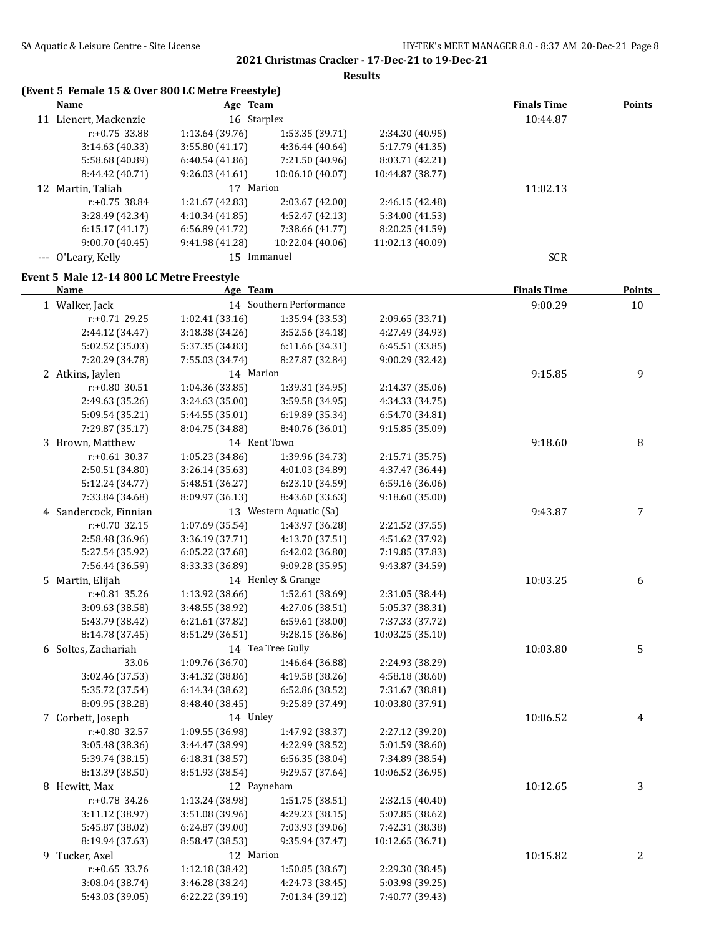| Name                                      | Age Team                           |                                      |                                     | <b>Finals Time</b> | <b>Points</b> |
|-------------------------------------------|------------------------------------|--------------------------------------|-------------------------------------|--------------------|---------------|
| 11 Lienert, Mackenzie                     | 16 Starplex                        |                                      |                                     | 10:44.87           |               |
| r:+0.75 33.88                             | 1:13.64 (39.76)                    | 1:53.35 (39.71)                      | 2:34.30 (40.95)                     |                    |               |
| 3:14.63 (40.33)                           | 3:55.80 (41.17)                    | 4:36.44 (40.64)                      | 5:17.79 (41.35)                     |                    |               |
| 5:58.68 (40.89)                           | 6:40.54(41.86)                     | 7:21.50 (40.96)                      | 8:03.71 (42.21)                     |                    |               |
| 8:44.42 (40.71)                           | 9:26.03 (41.61)                    | 10:06.10 (40.07)                     | 10:44.87 (38.77)                    |                    |               |
| 12 Martin, Taliah                         | 17 Marion                          |                                      |                                     | 11:02.13           |               |
| $r: +0.75$ 38.84                          | 1:21.67 (42.83)                    | 2:03.67 (42.00)                      | 2:46.15 (42.48)                     |                    |               |
| 3:28.49 (42.34)                           | 4:10.34(41.85)                     | 4:52.47 (42.13)                      | 5:34.00 (41.53)                     |                    |               |
| 6:15.17(41.17)                            | 6:56.89 (41.72)                    | 7:38.66 (41.77)                      | 8:20.25 (41.59)                     |                    |               |
| 9:00.70 (40.45)                           | 9:41.98 (41.28)                    | 10:22.04 (40.06)                     | 11:02.13 (40.09)                    |                    |               |
| --- O'Leary, Kelly                        |                                    | 15 Immanuel                          |                                     | <b>SCR</b>         |               |
| Event 5 Male 12-14 800 LC Metre Freestyle |                                    |                                      |                                     |                    |               |
| <b>Name</b>                               | Age Team                           |                                      |                                     | <b>Finals Time</b> | <b>Points</b> |
| 1 Walker, Jack                            |                                    | 14 Southern Performance              |                                     | 9:00.29            | 10            |
| r:+0.71 29.25                             | 1:02.41(33.16)                     | 1:35.94 (33.53)                      | 2:09.65 (33.71)                     |                    |               |
| 2:44.12 (34.47)                           | 3:18.38 (34.26)                    | 3:52.56 (34.18)                      | 4:27.49 (34.93)                     |                    |               |
| 5:02.52 (35.03)                           | 5:37.35 (34.83)                    | 6:11.66 (34.31)                      | 6:45.51 (33.85)                     |                    |               |
| 7:20.29 (34.78)                           | 7:55.03 (34.74)                    | 8:27.87 (32.84)                      | 9:00.29 (32.42)                     |                    |               |
| 2 Atkins, Jaylen                          | 14 Marion                          |                                      |                                     | 9:15.85            | 9             |
| r:+0.80 30.51                             | 1:04.36 (33.85)                    | 1:39.31 (34.95)                      | 2:14.37 (35.06)                     |                    |               |
| 2:49.63 (35.26)                           | 3:24.63 (35.00)                    | 3:59.58 (34.95)                      | 4:34.33 (34.75)                     |                    |               |
| 5:09.54 (35.21)                           | 5:44.55 (35.01)                    | 6:19.89 (35.34)                      | 6:54.70 (34.81)                     |                    |               |
| 7:29.87 (35.17)                           | 8:04.75 (34.88)                    | 8:40.76 (36.01)                      | 9:15.85 (35.09)                     |                    |               |
| 3 Brown, Matthew                          |                                    | 14 Kent Town                         |                                     | 9:18.60            | 8             |
| $r: +0.61$ 30.37                          | 1:05.23 (34.86)                    | 1:39.96 (34.73)                      | 2:15.71 (35.75)                     |                    |               |
| 2:50.51 (34.80)                           | 3:26.14 (35.63)                    | 4:01.03 (34.89)                      | 4:37.47 (36.44)                     |                    |               |
| 5:12.24 (34.77)                           | 5:48.51 (36.27)                    | 6:23.10 (34.59)                      | 6:59.16 (36.06)                     |                    |               |
| 7:33.84 (34.68)                           | 8:09.97 (36.13)                    | 8:43.60 (33.63)                      | 9:18.60 (35.00)                     |                    |               |
| 4 Sandercock, Finnian                     |                                    | 13 Western Aquatic (Sa)              |                                     | 9:43.87            | 7             |
| r:+0.70 32.15                             | 1:07.69 (35.54)                    | 1:43.97 (36.28)                      | 2:21.52 (37.55)                     |                    |               |
| 2:58.48 (36.96)                           | 3:36.19 (37.71)                    | 4:13.70 (37.51)                      | 4:51.62 (37.92)                     |                    |               |
| 5:27.54 (35.92)                           | 6:05.22 (37.68)                    | 6:42.02 (36.80)                      | 7:19.85 (37.83)                     |                    |               |
| 7:56.44 (36.59)                           | 8:33.33 (36.89)                    | 9:09.28 (35.95)                      | 9:43.87 (34.59)                     |                    |               |
| 5 Martin, Elijah                          |                                    | 14 Henley & Grange                   |                                     | 10:03.25           | 6             |
| r:+0.81 35.26                             | 1:13.92 (38.66)                    | 1:52.61 (38.69)                      | 2:31.05 (38.44)                     |                    |               |
| 3:09.63 (38.58)                           | 3:48.55 (38.92)<br>6:21.61 (37.82) | 4:27.06 (38.51)                      | 5:05.37 (38.31)                     |                    |               |
| 5:43.79 (38.42)                           |                                    | 6:59.61 (38.00)                      | 7:37.33 (37.72)                     |                    |               |
| 8:14.78 (37.45)                           | 8:51.29 (36.51)                    | 9:28.15 (36.86)<br>14 Tea Tree Gully | 10:03.25 (35.10)                    | 10:03.80           |               |
| 6 Soltes, Zachariah                       |                                    |                                      |                                     |                    | 5             |
| 33.06                                     | 1:09.76 (36.70)                    | 1:46.64 (36.88)                      | 2:24.93 (38.29)                     |                    |               |
| 3:02.46 (37.53)                           | 3:41.32 (38.86)                    | 4:19.58 (38.26)                      | 4:58.18 (38.60)                     |                    |               |
| 5:35.72 (37.54)<br>8:09.95 (38.28)        | 6:14.34 (38.62)                    | 6:52.86 (38.52)<br>9:25.89 (37.49)   | 7:31.67 (38.81)<br>10:03.80 (37.91) |                    |               |
|                                           | 8:48.40 (38.45)<br>14 Unley        |                                      |                                     |                    |               |
| 7 Corbett, Joseph                         |                                    |                                      |                                     | 10:06.52           | 4             |
| r:+0.80 32.57                             | 1:09.55 (36.98)                    | 1:47.92 (38.37)                      | 2:27.12 (39.20)                     |                    |               |
| 3:05.48 (38.36)                           | 3:44.47 (38.99)<br>6:18.31(38.57)  | 4:22.99 (38.52)                      | 5:01.59 (38.60)                     |                    |               |
| 5:39.74 (38.15)                           |                                    | 6:56.35 (38.04)                      | 7:34.89 (38.54)                     |                    |               |
| 8:13.39 (38.50)                           | 8:51.93 (38.54)                    | 9:29.57 (37.64)                      | 10:06.52 (36.95)                    |                    |               |
| 8 Hewitt, Max                             |                                    | 12 Payneham                          |                                     | 10:12.65           | 3             |
| r:+0.78 34.26                             | 1:13.24 (38.98)                    | 1:51.75 (38.51)                      | 2:32.15 (40.40)                     |                    |               |
| 3:11.12 (38.97)                           | 3:51.08 (39.96)                    | 4:29.23 (38.15)                      | 5:07.85 (38.62)                     |                    |               |
| 5:45.87 (38.02)                           | 6:24.87 (39.00)                    | 7:03.93 (39.06)                      | 7:42.31 (38.38)                     |                    |               |
| 8:19.94 (37.63)                           | 8:58.47 (38.53)                    | 9:35.94 (37.47)                      | 10:12.65 (36.71)                    |                    |               |
| 9 Tucker, Axel                            | 12 Marion                          |                                      |                                     | 10:15.82           | 2             |
| $r: +0.65$ 33.76                          | 1:12.18 (38.42)                    | 1:50.85 (38.67)                      | 2:29.30 (38.45)                     |                    |               |
| 3:08.04 (38.74)                           | 3:46.28 (38.24)                    | 4:24.73 (38.45)                      | 5:03.98 (39.25)                     |                    |               |
| 5:43.03 (39.05)                           | 6:22.22 (39.19)                    | 7:01.34 (39.12)                      | 7:40.77 (39.43)                     |                    |               |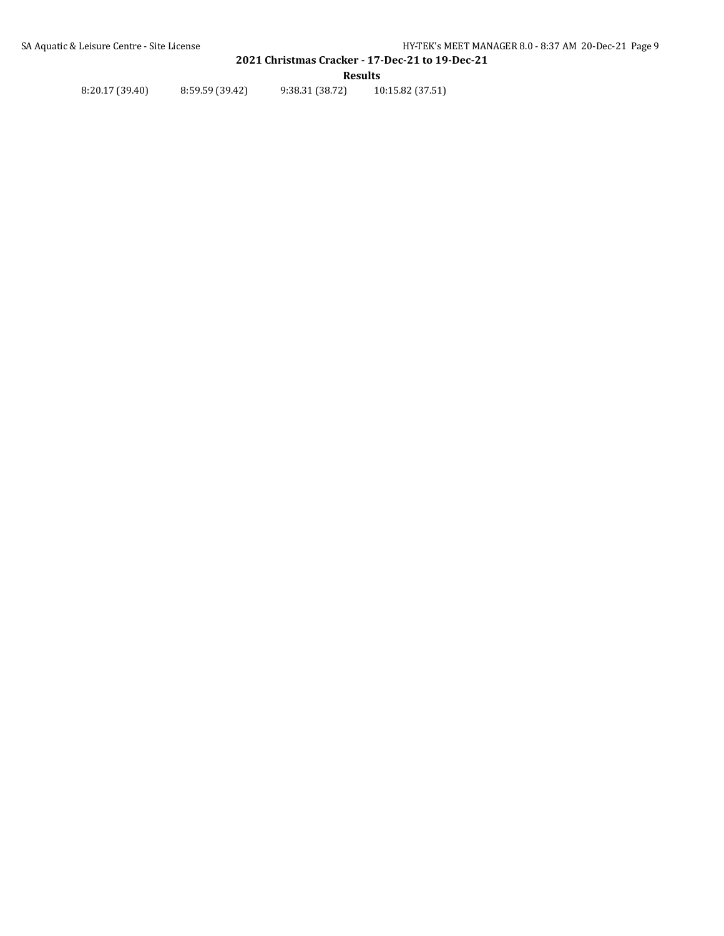**Results**<br>9:38.31 (38.72) 10 8:20.17 (39.40) 8:59.59 (39.42) 9:38.31 (38.72) 10:15.82 (37.51)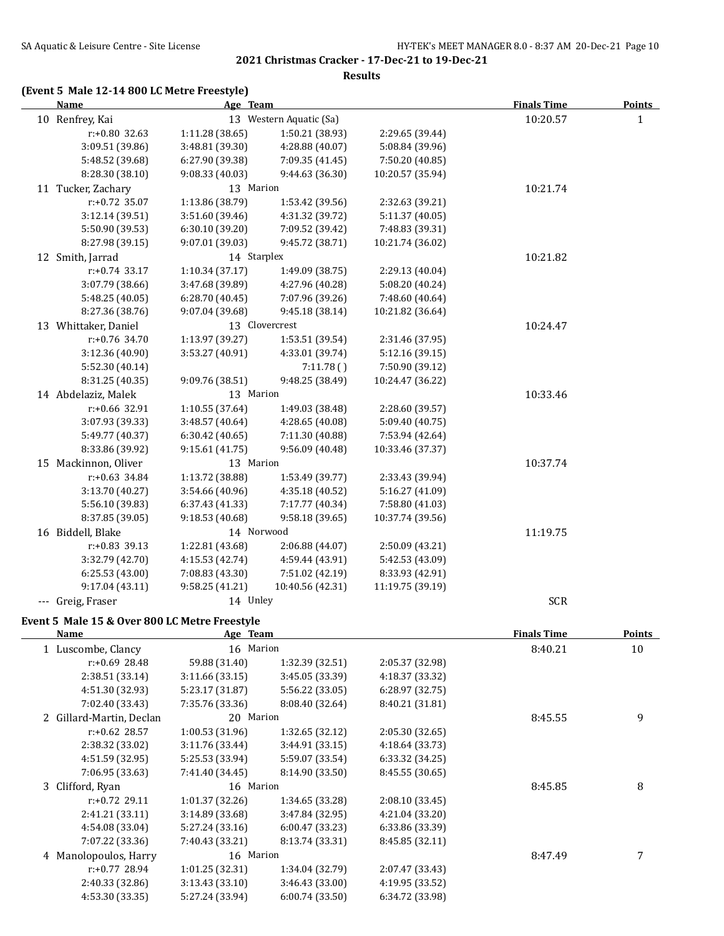**Results**

# **(Event 5 Male 12-14 800 LC Metre Freestyle)**

| <b>Name</b>                                   | Age Team        |                         |                  | <b>Finals Time</b> | <b>Points</b>  |
|-----------------------------------------------|-----------------|-------------------------|------------------|--------------------|----------------|
| 10 Renfrey, Kai                               |                 | 13 Western Aquatic (Sa) |                  | 10:20.57           | $\mathbf{1}$   |
| r:+0.80 32.63                                 | 1:11.28 (38.65) | 1:50.21 (38.93)         | 2:29.65 (39.44)  |                    |                |
| 3:09.51 (39.86)                               | 3:48.81 (39.30) | 4:28.88 (40.07)         | 5:08.84 (39.96)  |                    |                |
| 5:48.52 (39.68)                               | 6:27.90 (39.38) | 7:09.35 (41.45)         | 7:50.20 (40.85)  |                    |                |
| 8:28.30 (38.10)                               | 9:08.33 (40.03) | 9:44.63 (36.30)         | 10:20.57 (35.94) |                    |                |
| 11 Tucker, Zachary                            | 13 Marion       |                         |                  | 10:21.74           |                |
| $r: +0.72$ 35.07                              | 1:13.86 (38.79) | 1:53.42 (39.56)         | 2:32.63 (39.21)  |                    |                |
| 3:12.14 (39.51)                               | 3:51.60 (39.46) | 4:31.32 (39.72)         | 5:11.37 (40.05)  |                    |                |
| 5:50.90 (39.53)                               | 6:30.10 (39.20) | 7:09.52 (39.42)         | 7:48.83 (39.31)  |                    |                |
| 8:27.98 (39.15)                               | 9:07.01 (39.03) | 9:45.72 (38.71)         | 10:21.74 (36.02) |                    |                |
| 12 Smith, Jarrad                              | 14 Starplex     |                         |                  | 10:21.82           |                |
| $r: +0.74$ 33.17                              | 1:10.34 (37.17) | 1:49.09 (38.75)         | 2:29.13 (40.04)  |                    |                |
| 3:07.79 (38.66)                               | 3:47.68 (39.89) | 4:27.96 (40.28)         | 5:08.20 (40.24)  |                    |                |
| 5:48.25 (40.05)                               | 6:28.70 (40.45) | 7:07.96 (39.26)         | 7:48.60 (40.64)  |                    |                |
| 8:27.36 (38.76)                               | 9:07.04 (39.68) | 9:45.18 (38.14)         | 10:21.82 (36.64) |                    |                |
| 13 Whittaker, Daniel                          |                 | 13 Clovercrest          |                  | 10:24.47           |                |
| r:+0.76 34.70                                 | 1:13.97 (39.27) | 1:53.51 (39.54)         | 2:31.46 (37.95)  |                    |                |
| 3:12.36 (40.90)                               | 3:53.27 (40.91) | 4:33.01 (39.74)         | 5:12.16 (39.15)  |                    |                |
| 5:52.30 (40.14)                               |                 | 7:11.78()               | 7:50.90 (39.12)  |                    |                |
| 8:31.25 (40.35)                               | 9:09.76 (38.51) | 9:48.25 (38.49)         | 10:24.47 (36.22) |                    |                |
| 14 Abdelaziz, Malek                           | 13 Marion       |                         |                  | 10:33.46           |                |
| r:+0.66 32.91                                 | 1:10.55(37.64)  | 1:49.03 (38.48)         | 2:28.60 (39.57)  |                    |                |
| 3:07.93 (39.33)                               | 3:48.57 (40.64) | 4:28.65 (40.08)         | 5:09.40 (40.75)  |                    |                |
| 5:49.77 (40.37)                               | 6:30.42 (40.65) | 7:11.30 (40.88)         | 7:53.94 (42.64)  |                    |                |
| 8:33.86 (39.92)                               | 9:15.61 (41.75) | 9:56.09 (40.48)         | 10:33.46 (37.37) |                    |                |
| 15 Mackinnon, Oliver                          | 13 Marion       |                         |                  | 10:37.74           |                |
| r:+0.63 34.84                                 | 1:13.72 (38.88) | 1:53.49 (39.77)         | 2:33.43 (39.94)  |                    |                |
| 3:13.70 (40.27)                               | 3:54.66 (40.96) | 4:35.18 (40.52)         | 5:16.27 (41.09)  |                    |                |
| 5:56.10 (39.83)                               | 6:37.43 (41.33) | 7:17.77 (40.34)         | 7:58.80 (41.03)  |                    |                |
| 8:37.85 (39.05)                               | 9:18.53 (40.68) | 9:58.18 (39.65)         | 10:37.74 (39.56) |                    |                |
| 16 Biddell, Blake                             | 14 Norwood      |                         |                  | 11:19.75           |                |
| r:+0.83 39.13                                 | 1:22.81 (43.68) | 2:06.88 (44.07)         | 2:50.09 (43.21)  |                    |                |
| 3:32.79 (42.70)                               | 4:15.53 (42.74) | 4:59.44 (43.91)         | 5:42.53 (43.09)  |                    |                |
| 6:25.53(43.00)                                | 7:08.83 (43.30) | 7:51.02 (42.19)         | 8:33.93 (42.91)  |                    |                |
| 9:17.04 (43.11)                               | 9:58.25 (41.21) | 10:40.56 (42.31)        | 11:19.75 (39.19) |                    |                |
| --- Greig, Fraser                             | 14 Unley        |                         |                  | <b>SCR</b>         |                |
| Event 5 Male 15 & Over 800 LC Metre Freestyle |                 |                         |                  |                    |                |
| <u>Name</u>                                   | <u>Age Team</u> |                         |                  | <u>Finals Time</u> | <u>Points </u> |
| 1 Luscombe, Clancy                            | 16 Marion       |                         |                  | 8:40.21            | 10             |
| r:+0.69 28.48                                 | 59.88 (31.40)   | 1:32.39 (32.51)         | 2:05.37 (32.98)  |                    |                |
| 2:38.51 (33.14)                               | 3:11.66 (33.15) | 3:45.05 (33.39)         | 4:18.37 (33.32)  |                    |                |
| 4:51.30 (32.93)                               | 5:23.17 (31.87) | 5:56.22 (33.05)         | 6:28.97 (32.75)  |                    |                |
| 7:02.40 (33.43)                               | 7:35.76 (33.36) | 8:08.40 (32.64)         | 8:40.21 (31.81)  |                    |                |
| 2 Gillard-Martin, Declan                      | 20 Marion       |                         |                  | 8:45.55            | 9              |
| r:+0.62 28.57                                 | 1:00.53 (31.96) | 1:32.65 (32.12)         | 2:05.30 (32.65)  |                    |                |
| 2:38.32 (33.02)                               | 3:11.76 (33.44) | 3:44.91 (33.15)         | 4:18.64 (33.73)  |                    |                |
| 4:51.59 (32.95)                               | 5:25.53 (33.94) | 5:59.07 (33.54)         | 6:33.32 (34.25)  |                    |                |
| 7:06.95 (33.63)                               | 7:41.40 (34.45) | 8:14.90 (33.50)         | 8:45.55 (30.65)  |                    |                |
| 3 Clifford, Ryan                              | 16 Marion       |                         |                  | 8:45.85            | 8              |
| r:+0.72 29.11                                 | 1:01.37 (32.26) | 1:34.65 (33.28)         | 2:08.10 (33.45)  |                    |                |
| 2:41.21 (33.11)                               | 3:14.89 (33.68) | 3:47.84 (32.95)         | 4:21.04 (33.20)  |                    |                |
| 4:54.08 (33.04)                               | 5:27.24 (33.16) | 6:00.47 (33.23)         | 6:33.86 (33.39)  |                    |                |
| 7:07.22 (33.36)                               | 7:40.43 (33.21) | 8:13.74 (33.31)         | 8:45.85 (32.11)  |                    |                |
| 4 Manolopoulos, Harry                         | 16 Marion       |                         |                  | 8:47.49            | 7              |
| r:+0.77 28.94                                 | 1:01.25 (32.31) | 1:34.04 (32.79)         | 2:07.47 (33.43)  |                    |                |
| 2:40.33 (32.86)                               | 3:13.43 (33.10) | 3:46.43 (33.00)         | 4:19.95 (33.52)  |                    |                |
| 4:53.30 (33.35)                               | 5:27.24 (33.94) | 6:00.74 (33.50)         | 6:34.72 (33.98)  |                    |                |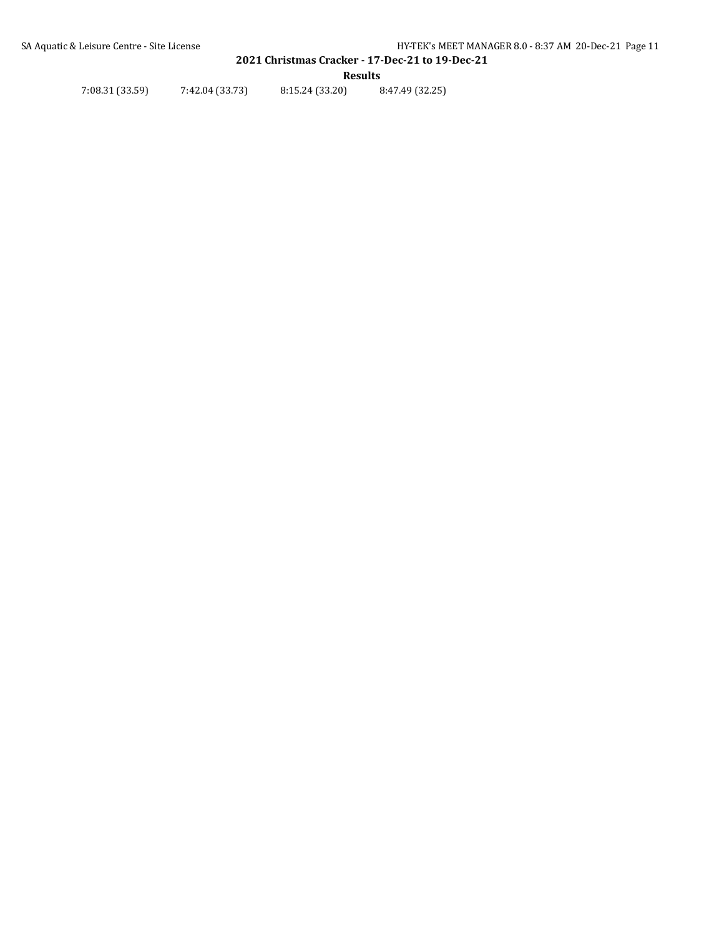**Results**<br>8:15.24 (33.20) 8 7:08.31 (33.59) 7:42.04 (33.73) 8:15.24 (33.20) 8:47.49 (32.25)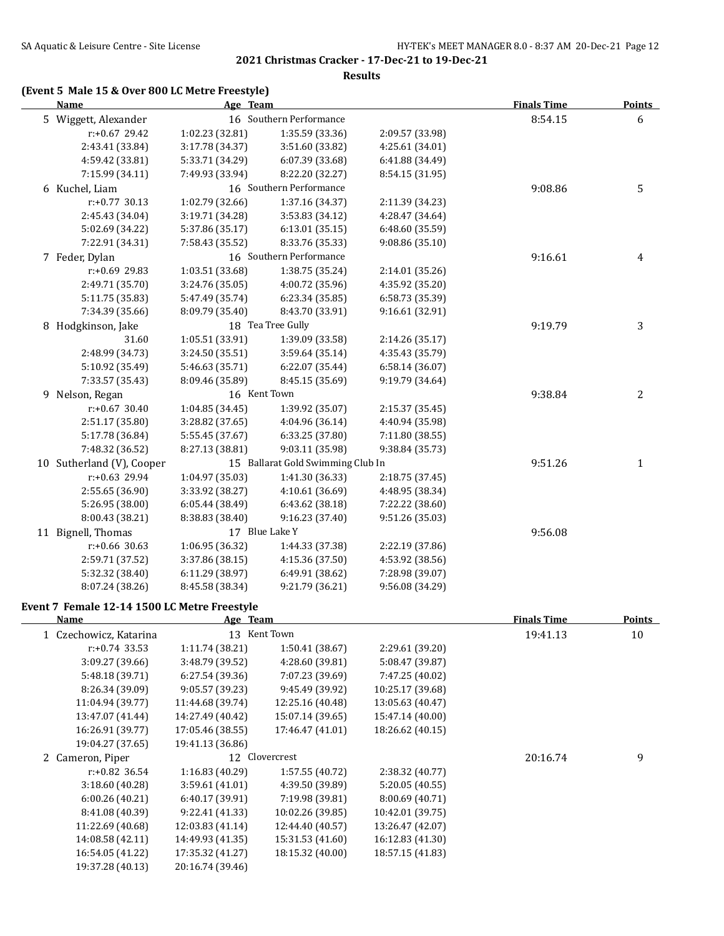**Results**

#### **(Event 5 Male 15 & Over 800 LC Metre Freestyle)**

| Name                                         | Age Team         |                                   |                  | <b>Finals Time</b> | Points        |
|----------------------------------------------|------------------|-----------------------------------|------------------|--------------------|---------------|
| 5 Wiggett, Alexander                         |                  | 16 Southern Performance           |                  | 8:54.15            | $6\,$         |
| r:+0.67 29.42                                | 1:02.23 (32.81)  | 1:35.59 (33.36)                   | 2:09.57 (33.98)  |                    |               |
| 2:43.41 (33.84)                              | 3:17.78 (34.37)  | 3:51.60 (33.82)                   | 4:25.61 (34.01)  |                    |               |
| 4:59.42 (33.81)                              | 5:33.71 (34.29)  | 6:07.39 (33.68)                   | 6:41.88 (34.49)  |                    |               |
| 7:15.99 (34.11)                              | 7:49.93 (33.94)  | 8:22.20 (32.27)                   | 8:54.15 (31.95)  |                    |               |
| 6 Kuchel, Liam                               |                  | 16 Southern Performance           |                  | 9:08.86            | 5             |
| $r: +0.77$ 30.13                             | 1:02.79 (32.66)  | 1:37.16 (34.37)                   | 2:11.39 (34.23)  |                    |               |
| 2:45.43 (34.04)                              | 3:19.71 (34.28)  | 3:53.83 (34.12)                   | 4:28.47 (34.64)  |                    |               |
| 5:02.69 (34.22)                              | 5:37.86 (35.17)  | 6:13.01 (35.15)                   | 6:48.60 (35.59)  |                    |               |
| 7:22.91 (34.31)                              | 7:58.43 (35.52)  | 8:33.76 (35.33)                   | 9:08.86 (35.10)  |                    |               |
| 7 Feder, Dylan                               |                  | 16 Southern Performance           |                  | 9:16.61            | 4             |
| r:+0.69 29.83                                | 1:03.51 (33.68)  | 1:38.75 (35.24)                   | 2:14.01 (35.26)  |                    |               |
| 2:49.71 (35.70)                              | 3:24.76 (35.05)  | 4:00.72 (35.96)                   | 4:35.92 (35.20)  |                    |               |
| 5:11.75 (35.83)                              | 5:47.49 (35.74)  | 6:23.34 (35.85)                   | 6:58.73 (35.39)  |                    |               |
| 7:34.39 (35.66)                              | 8:09.79 (35.40)  | 8:43.70 (33.91)                   | 9:16.61 (32.91)  |                    |               |
| 8 Hodgkinson, Jake                           |                  | 18 Tea Tree Gully                 |                  | 9:19.79            | 3             |
| 31.60                                        | 1:05.51 (33.91)  | 1:39.09 (33.58)                   | 2:14.26 (35.17)  |                    |               |
| 2:48.99 (34.73)                              | 3:24.50 (35.51)  | 3:59.64 (35.14)                   | 4:35.43 (35.79)  |                    |               |
| 5:10.92 (35.49)                              | 5:46.63 (35.71)  | 6:22.07 (35.44)                   | 6:58.14 (36.07)  |                    |               |
| 7:33.57 (35.43)                              | 8:09.46 (35.89)  | 8:45.15 (35.69)                   | 9:19.79 (34.64)  |                    |               |
| 9 Nelson, Regan                              |                  | 16 Kent Town                      |                  | 9:38.84            | 2             |
| $r: +0.67$ 30.40                             | 1:04.85 (34.45)  | 1:39.92 (35.07)                   | 2:15.37 (35.45)  |                    |               |
| 2:51.17 (35.80)                              | 3:28.82 (37.65)  | 4:04.96 (36.14)                   | 4:40.94 (35.98)  |                    |               |
| 5:17.78 (36.84)                              | 5:55.45 (37.67)  | 6:33.25 (37.80)                   | 7:11.80 (38.55)  |                    |               |
| 7:48.32 (36.52)                              | 8:27.13 (38.81)  | 9:03.11 (35.98)                   | 9:38.84 (35.73)  |                    |               |
| 10 Sutherland (V), Cooper                    |                  | 15 Ballarat Gold Swimming Club In |                  | 9:51.26            | $\mathbf{1}$  |
| r:+0.63 29.94                                | 1:04.97 (35.03)  | 1:41.30 (36.33)                   | 2:18.75 (37.45)  |                    |               |
| 2:55.65 (36.90)                              | 3:33.92 (38.27)  | 4:10.61 (36.69)                   | 4:48.95 (38.34)  |                    |               |
| 5:26.95 (38.00)                              | 6:05.44(38.49)   | 6:43.62 (38.18)                   | 7:22.22 (38.60)  |                    |               |
| 8:00.43 (38.21)                              | 8:38.83 (38.40)  | 9:16.23 (37.40)                   | 9:51.26 (35.03)  |                    |               |
| 11 Bignell, Thomas                           |                  | 17 Blue Lake Y                    |                  | 9:56.08            |               |
| r:+0.66 30.63                                | 1:06.95 (36.32)  | 1:44.33 (37.38)                   | 2:22.19 (37.86)  |                    |               |
| 2:59.71 (37.52)                              | 3:37.86 (38.15)  | 4:15.36 (37.50)                   | 4:53.92 (38.56)  |                    |               |
| 5:32.32 (38.40)                              | 6:11.29 (38.97)  | 6:49.91 (38.62)                   | 7:28.98 (39.07)  |                    |               |
| 8:07.24 (38.26)                              | 8:45.58 (38.34)  | 9:21.79 (36.21)                   | 9:56.08 (34.29)  |                    |               |
| Event 7 Female 12-14 1500 LC Metre Freestyle |                  |                                   |                  |                    |               |
| <b>Name</b>                                  | Age Team         |                                   |                  | <b>Finals Time</b> | <b>Points</b> |
| 1 Czechowicz, Katarina                       |                  | 13 Kent Town                      |                  | 19:41.13           | 10            |
| $r: +0.74$ 33.53                             | 1:11.74 (38.21)  | 1:50.41 (38.67)                   | 2:29.61 (39.20)  |                    |               |
| 3:09.27 (39.66)                              | 3:48.79 (39.52)  | 4:28.60 (39.81)                   | 5:08.47 (39.87)  |                    |               |
| 5:48.18 (39.71)                              | 6:27.54 (39.36)  | 7:07.23 (39.69)                   | 7:47.25 (40.02)  |                    |               |
| 8:26.34 (39.09)                              | 9:05.57 (39.23)  | 9:45.49 (39.92)                   | 10:25.17 (39.68) |                    |               |
| 11:04.94 (39.77)                             | 11:44.68 (39.74) | 12:25.16 (40.48)                  | 13:05.63 (40.47) |                    |               |
| 13:47.07 (41.44)                             | 14:27.49 (40.42) | 15:07.14 (39.65)                  | 15:47.14 (40.00) |                    |               |
| 16:26.91 (39.77)                             | 17:05.46 (38.55) | 17:46.47 (41.01)                  | 18:26.62 (40.15) |                    |               |
| 19:04.27 (37.65)                             | 19:41.13 (36.86) |                                   |                  |                    |               |
| 2 Cameron, Piper                             |                  | 12 Clovercrest                    |                  | 20:16.74           | 9             |
| r:+0.82 36.54                                | 1:16.83 (40.29)  | 1:57.55 (40.72)                   | 2:38.32 (40.77)  |                    |               |
| 3:18.60 (40.28)                              | 3:59.61 (41.01)  | 4:39.50 (39.89)                   | 5:20.05 (40.55)  |                    |               |
| 6:00.26 (40.21)                              | 6:40.17 (39.91)  | 7:19.98 (39.81)                   | 8:00.69 (40.71)  |                    |               |
| 8:41.08 (40.39)                              | 9:22.41 (41.33)  | 10:02.26 (39.85)                  | 10:42.01 (39.75) |                    |               |
| 11:22.69 (40.68)                             | 12:03.83 (41.14) | 12:44.40 (40.57)                  | 13:26.47 (42.07) |                    |               |

14:08.58 (42.11) 14:49.93 (41.35) 15:31.53 (41.60) 16:12.83 (41.30) 16:54.05 (41.22) 17:35.32 (41.27) 18:15.32 (40.00) 18:57.15 (41.83)

19:37.28 (40.13) 20:16.74 (39.46)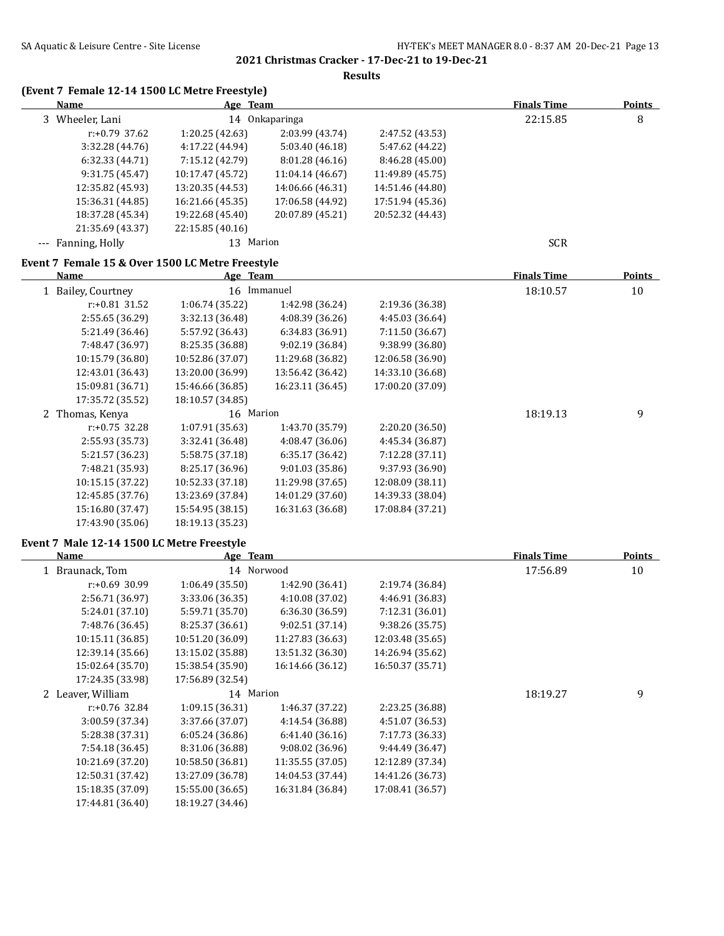| (Event 7 Female 12-14 1500 LC Metre Freestyle)<br><b>Name</b> | Age Team                             |                  |                                    | <b>Finals Time</b> | <b>Points</b> |
|---------------------------------------------------------------|--------------------------------------|------------------|------------------------------------|--------------------|---------------|
| 3 Wheeler, Lani                                               |                                      | 14 Onkaparinga   |                                    | 22:15.85           | 8             |
| r:+0.79 37.62                                                 | 1:20.25 (42.63)                      | 2:03.99 (43.74)  | 2:47.52 (43.53)                    |                    |               |
| 3:32.28 (44.76)                                               | 4:17.22 (44.94)                      | 5:03.40 (46.18)  | 5:47.62 (44.22)                    |                    |               |
| 6:32.33 (44.71)                                               | 7:15.12 (42.79)                      | 8:01.28 (46.16)  | 8:46.28 (45.00)                    |                    |               |
| 9:31.75 (45.47)                                               | 10:17.47 (45.72)                     | 11:04.14 (46.67) | 11:49.89 (45.75)                   |                    |               |
| 12:35.82 (45.93)                                              | 13:20.35 (44.53)                     | 14:06.66 (46.31) | 14:51.46 (44.80)                   |                    |               |
| 15:36.31 (44.85)                                              | 16:21.66 (45.35)                     | 17:06.58 (44.92) | 17:51.94 (45.36)                   |                    |               |
|                                                               |                                      |                  |                                    |                    |               |
| 18:37.28 (45.34)<br>21:35.69 (43.37)                          | 19:22.68 (45.40)<br>22:15.85 (40.16) | 20:07.89 (45.21) | 20:52.32 (44.43)                   |                    |               |
| --- Fanning, Holly                                            | 13 Marion                            |                  |                                    | <b>SCR</b>         |               |
| Event 7 Female 15 & Over 1500 LC Metre Freestyle              |                                      |                  |                                    |                    |               |
| Name                                                          | Age Team                             |                  |                                    | <b>Finals Time</b> | <b>Points</b> |
| 1 Bailey, Courtney                                            |                                      | 16 Immanuel      |                                    | 18:10.57           | 10            |
| $r: +0.81$ 31.52                                              | 1:06.74 (35.22)                      | 1:42.98 (36.24)  | 2:19.36 (36.38)                    |                    |               |
| 2:55.65 (36.29)                                               | 3:32.13 (36.48)                      | 4:08.39 (36.26)  | 4:45.03 (36.64)                    |                    |               |
| 5:21.49 (36.46)                                               | 5:57.92 (36.43)                      | 6:34.83 (36.91)  | 7:11.50 (36.67)                    |                    |               |
| 7:48.47 (36.97)                                               | 8:25.35 (36.88)                      | 9:02.19 (36.84)  | 9:38.99 (36.80)                    |                    |               |
| 10:15.79 (36.80)                                              | 10:52.86 (37.07)                     | 11:29.68 (36.82) | 12:06.58 (36.90)                   |                    |               |
| 12:43.01 (36.43)                                              | 13:20.00 (36.99)                     | 13:56.42 (36.42) | 14:33.10 (36.68)                   |                    |               |
| 15:09.81 (36.71)                                              | 15:46.66 (36.85)                     | 16:23.11 (36.45) | 17:00.20 (37.09)                   |                    |               |
| 17:35.72 (35.52)                                              | 18:10.57 (34.85)                     |                  |                                    |                    |               |
| 2 Thomas, Kenya                                               | 16 Marion                            |                  |                                    | 18:19.13           | 9             |
|                                                               |                                      |                  |                                    |                    |               |
| r:+0.75 32.28                                                 | 1:07.91 (35.63)                      | 1:43.70 (35.79)  | 2:20.20 (36.50)                    |                    |               |
| 2:55.93 (35.73)                                               | 3:32.41 (36.48)                      | 4:08.47 (36.06)  | 4:45.34 (36.87)                    |                    |               |
| 5:21.57 (36.23)                                               | 5:58.75 (37.18)                      | 6:35.17 (36.42)  | 7:12.28 (37.11)                    |                    |               |
| 7:48.21 (35.93)                                               | 8:25.17 (36.96)                      | 9:01.03 (35.86)  | 9:37.93 (36.90)                    |                    |               |
| 10:15.15 (37.22)                                              | 10:52.33 (37.18)                     | 11:29.98 (37.65) | 12:08.09 (38.11)                   |                    |               |
| 12:45.85 (37.76)                                              | 13:23.69 (37.84)                     | 14:01.29 (37.60) | 14:39.33 (38.04)                   |                    |               |
| 15:16.80 (37.47)                                              | 15:54.95 (38.15)                     | 16:31.63 (36.68) | 17:08.84 (37.21)                   |                    |               |
| 17:43.90 (35.06)                                              | 18:19.13 (35.23)                     |                  |                                    |                    |               |
| Event 7 Male 12-14 1500 LC Metre Freestyle<br>Name            | Age Team                             |                  |                                    | <b>Finals Time</b> | <b>Points</b> |
| 1 Braunack, Tom                                               | 14 Norwood                           |                  |                                    | 17:56.89           | 10            |
|                                                               | 1:06.49 (35.50)                      | 1:42.90 (36.41)  |                                    |                    |               |
| r:+0.69 30.99                                                 |                                      |                  | 2:19.74 (36.84)<br>4:46.91 (36.83) |                    |               |
| 2:56.71 (36.97)                                               | 3:33.06 (36.35)                      | 4:10.08 (37.02)  |                                    |                    |               |
| 5:24.01 (37.10)                                               | 5:59.71 (35.70)                      | 6:36.30 (36.59)  | 7:12.31 (36.01)                    |                    |               |
| 7:48.76 (36.45)                                               | 8:25.37 (36.61)                      | 9:02.51 (37.14)  | 9:38.26 (35.75)                    |                    |               |
| 10:15.11 (36.85)                                              | 10:51.20 (36.09)                     | 11:27.83 (36.63) | 12:03.48 (35.65)                   |                    |               |
| 12:39.14 (35.66)                                              | 13:15.02 (35.88)                     | 13:51.32 (36.30) | 14:26.94 (35.62)                   |                    |               |
| 15:02.64 (35.70)                                              | 15:38.54 (35.90)                     | 16:14.66 (36.12) | 16:50.37 (35.71)                   |                    |               |
| 17:24.35 (33.98)                                              | 17:56.89 (32.54)                     |                  |                                    |                    |               |
| 2 Leaver, William                                             | 14 Marion                            |                  |                                    | 18:19.27           | 9             |
| r:+0.76 32.84                                                 | 1:09.15 (36.31)                      | 1:46.37 (37.22)  | 2:23.25 (36.88)                    |                    |               |
| 3:00.59 (37.34)                                               | 3:37.66 (37.07)                      | 4:14.54 (36.88)  | 4:51.07 (36.53)                    |                    |               |
| 5:28.38 (37.31)                                               | 6:05.24 (36.86)                      | 6:41.40 (36.16)  | 7:17.73 (36.33)                    |                    |               |
| 7:54.18 (36.45)                                               | 8:31.06 (36.88)                      | 9:08.02 (36.96)  | 9:44.49 (36.47)                    |                    |               |
| 10:21.69 (37.20)                                              | 10:58.50 (36.81)                     | 11:35.55 (37.05) | 12:12.89 (37.34)                   |                    |               |
| 12:50.31 (37.42)                                              | 13:27.09 (36.78)                     | 14:04.53 (37.44) | 14:41.26 (36.73)                   |                    |               |
| 15:18.35 (37.09)                                              | 15:55.00 (36.65)                     | 16:31.84 (36.84) | 17:08.41 (36.57)                   |                    |               |
| 17:44.81 (36.40)                                              | 18:19.27 (34.46)                     |                  |                                    |                    |               |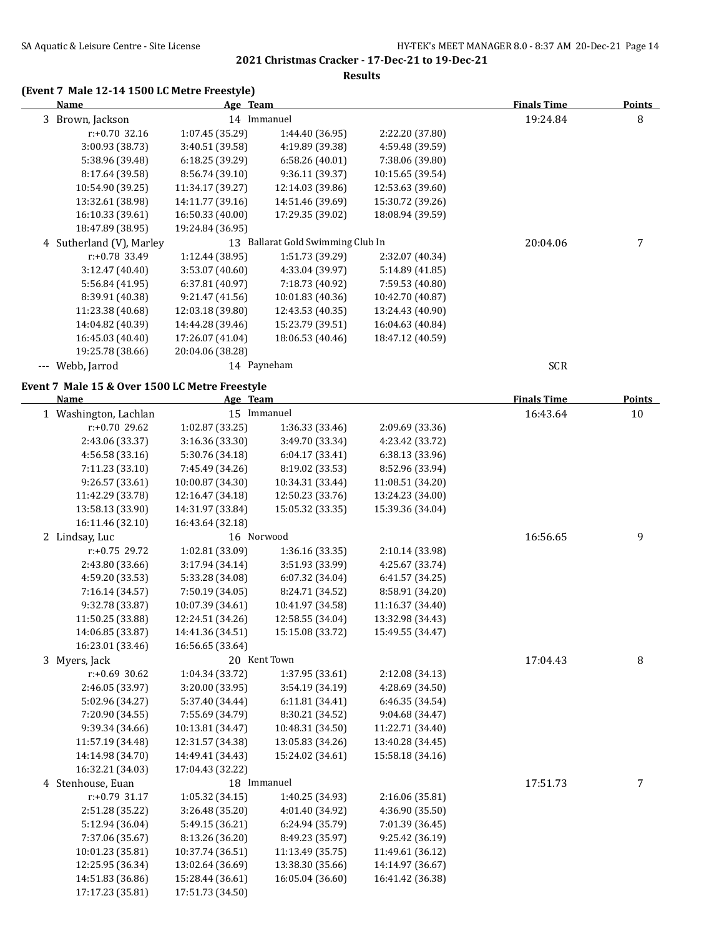**Results**

# **(Event 7 Male 12-14 1500 LC Metre Freestyle)**

| Name                                           | Age Team         |                                   |                  | <b>Finals Time</b> | <b>Points</b> |
|------------------------------------------------|------------------|-----------------------------------|------------------|--------------------|---------------|
| 3 Brown, Jackson                               |                  | 14 Immanuel                       |                  | 19:24.84           | 8             |
| r:+0.70 32.16                                  | 1:07.45 (35.29)  | 1:44.40 (36.95)                   | 2:22.20 (37.80)  |                    |               |
| 3:00.93 (38.73)                                | 3:40.51 (39.58)  | 4:19.89 (39.38)                   | 4:59.48 (39.59)  |                    |               |
| 5:38.96 (39.48)                                | 6:18.25 (39.29)  | 6:58.26 (40.01)                   | 7:38.06 (39.80)  |                    |               |
| 8:17.64 (39.58)                                | 8:56.74 (39.10)  | 9:36.11 (39.37)                   | 10:15.65 (39.54) |                    |               |
| 10:54.90 (39.25)                               | 11:34.17 (39.27) | 12:14.03 (39.86)                  | 12:53.63 (39.60) |                    |               |
| 13:32.61 (38.98)                               | 14:11.77 (39.16) | 14:51.46 (39.69)                  | 15:30.72 (39.26) |                    |               |
| 16:10.33 (39.61)                               | 16:50.33 (40.00) | 17:29.35 (39.02)                  | 18:08.94 (39.59) |                    |               |
| 18:47.89 (38.95)                               | 19:24.84 (36.95) |                                   |                  |                    |               |
| 4 Sutherland (V), Marley                       |                  | 13 Ballarat Gold Swimming Club In |                  | 20:04.06           | 7             |
| r:+0.78 33.49                                  | 1:12.44 (38.95)  | 1:51.73 (39.29)                   | 2:32.07 (40.34)  |                    |               |
| 3:12.47 (40.40)                                |                  | 4:33.04 (39.97)                   |                  |                    |               |
|                                                | 3:53.07 (40.60)  |                                   | 5:14.89 (41.85)  |                    |               |
| 5:56.84 (41.95)                                | 6:37.81 (40.97)  | 7:18.73 (40.92)                   | 7:59.53 (40.80)  |                    |               |
| 8:39.91 (40.38)                                | 9:21.47 (41.56)  | 10:01.83 (40.36)                  | 10:42.70 (40.87) |                    |               |
| 11:23.38 (40.68)                               | 12:03.18 (39.80) | 12:43.53 (40.35)                  | 13:24.43 (40.90) |                    |               |
| 14:04.82 (40.39)                               | 14:44.28 (39.46) | 15:23.79 (39.51)                  | 16:04.63 (40.84) |                    |               |
| 16:45.03 (40.40)                               | 17:26.07 (41.04) | 18:06.53 (40.46)                  | 18:47.12 (40.59) |                    |               |
| 19:25.78 (38.66)                               | 20:04.06 (38.28) |                                   |                  |                    |               |
| --- Webb, Jarrod                               |                  | 14 Payneham                       |                  | <b>SCR</b>         |               |
| Event 7 Male 15 & Over 1500 LC Metre Freestyle |                  |                                   |                  |                    |               |
| Name                                           | Age Team         |                                   |                  | <b>Finals Time</b> | <b>Points</b> |
| 1 Washington, Lachlan                          |                  | 15 Immanuel                       |                  | 16:43.64           | 10            |
| r:+0.70 29.62                                  | 1:02.87(33.25)   | 1:36.33 (33.46)                   | 2:09.69 (33.36)  |                    |               |
| 2:43.06 (33.37)                                | 3:16.36 (33.30)  | 3:49.70 (33.34)                   | 4:23.42 (33.72)  |                    |               |
| 4:56.58 (33.16)                                | 5:30.76 (34.18)  | 6:04.17 (33.41)                   | 6:38.13 (33.96)  |                    |               |
| 7:11.23 (33.10)                                | 7:45.49 (34.26)  | 8:19.02 (33.53)                   | 8:52.96 (33.94)  |                    |               |
|                                                |                  | 10:34.31 (33.44)                  | 11:08.51 (34.20) |                    |               |
| 9:26.57 (33.61)                                | 10:00.87 (34.30) |                                   |                  |                    |               |
| 11:42.29 (33.78)                               | 12:16.47 (34.18) | 12:50.23 (33.76)                  | 13:24.23 (34.00) |                    |               |
| 13:58.13 (33.90)                               | 14:31.97 (33.84) | 15:05.32 (33.35)                  | 15:39.36 (34.04) |                    |               |
| 16:11.46 (32.10)                               | 16:43.64 (32.18) |                                   |                  |                    |               |
| 2 Lindsay, Luc                                 | 16 Norwood       |                                   |                  | 16:56.65           | 9             |
| r:+0.75 29.72                                  | 1:02.81 (33.09)  | 1:36.16 (33.35)                   | 2:10.14 (33.98)  |                    |               |
| 2:43.80 (33.66)                                | 3:17.94 (34.14)  | 3:51.93 (33.99)                   | 4:25.67 (33.74)  |                    |               |
| 4:59.20 (33.53)                                | 5:33.28 (34.08)  | 6:07.32 (34.04)                   | 6:41.57 (34.25)  |                    |               |
| 7:16.14 (34.57)                                | 7:50.19 (34.05)  | 8:24.71 (34.52)                   | 8:58.91 (34.20)  |                    |               |
| 9:32.78 (33.87)                                | 10:07.39 (34.61) | 10:41.97 (34.58)                  | 11:16.37 (34.40) |                    |               |
| 11:50.25 (33.88)                               | 12:24.51 (34.26) | 12:58.55 (34.04)                  | 13:32.98 (34.43) |                    |               |
| 14:06.85 (33.87)                               | 14:41.36 (34.51) | 15:15.08 (33.72)                  | 15:49.55 (34.47) |                    |               |
| 16:23.01 (33.46)                               | 16:56.65 (33.64) |                                   |                  |                    |               |
| 3 Myers, Jack                                  |                  | 20 Kent Town                      |                  | 17:04.43           | 8             |
| r:+0.69 30.62                                  | 1:04.34 (33.72)  | 1:37.95 (33.61)                   | 2:12.08 (34.13)  |                    |               |
| 2:46.05 (33.97)                                | 3:20.00 (33.95)  | 3:54.19 (34.19)                   | 4:28.69 (34.50)  |                    |               |
| 5:02.96 (34.27)                                | 5:37.40 (34.44)  | 6:11.81(34.41)                    | 6:46.35 (34.54)  |                    |               |
| 7:20.90 (34.55)                                | 7:55.69 (34.79)  | 8:30.21 (34.52)                   | 9:04.68 (34.47)  |                    |               |
| 9:39.34 (34.66)                                | 10:13.81 (34.47) | 10:48.31 (34.50)                  | 11:22.71 (34.40) |                    |               |
| 11:57.19 (34.48)                               | 12:31.57 (34.38) | 13:05.83 (34.26)                  | 13:40.28 (34.45) |                    |               |
| 14:14.98 (34.70)                               | 14:49.41 (34.43) | 15:24.02 (34.61)                  | 15:58.18 (34.16) |                    |               |
| 16:32.21 (34.03)                               | 17:04.43 (32.22) |                                   |                  |                    |               |
| 4 Stenhouse, Euan                              |                  | 18 Immanuel                       |                  | 17:51.73           | 7             |
| r:+0.79 31.17                                  | 1:05.32 (34.15)  | 1:40.25 (34.93)                   | 2:16.06 (35.81)  |                    |               |
| 2:51.28 (35.22)                                | 3:26.48 (35.20)  | 4:01.40 (34.92)                   | 4:36.90 (35.50)  |                    |               |
| 5:12.94 (36.04)                                | 5:49.15 (36.21)  | 6:24.94 (35.79)                   | 7:01.39 (36.45)  |                    |               |
|                                                |                  |                                   |                  |                    |               |
| 7:37.06 (35.67)                                | 8:13.26 (36.20)  | 8:49.23 (35.97)                   | 9:25.42 (36.19)  |                    |               |
| 10:01.23 (35.81)                               | 10:37.74 (36.51) | 11:13.49 (35.75)                  | 11:49.61 (36.12) |                    |               |
| 12:25.95 (36.34)                               | 13:02.64 (36.69) | 13:38.30 (35.66)                  | 14:14.97 (36.67) |                    |               |
| 14:51.83 (36.86)                               | 15:28.44 (36.61) | 16:05.04 (36.60)                  | 16:41.42 (36.38) |                    |               |
| 17:17.23 (35.81)                               | 17:51.73 (34.50) |                                   |                  |                    |               |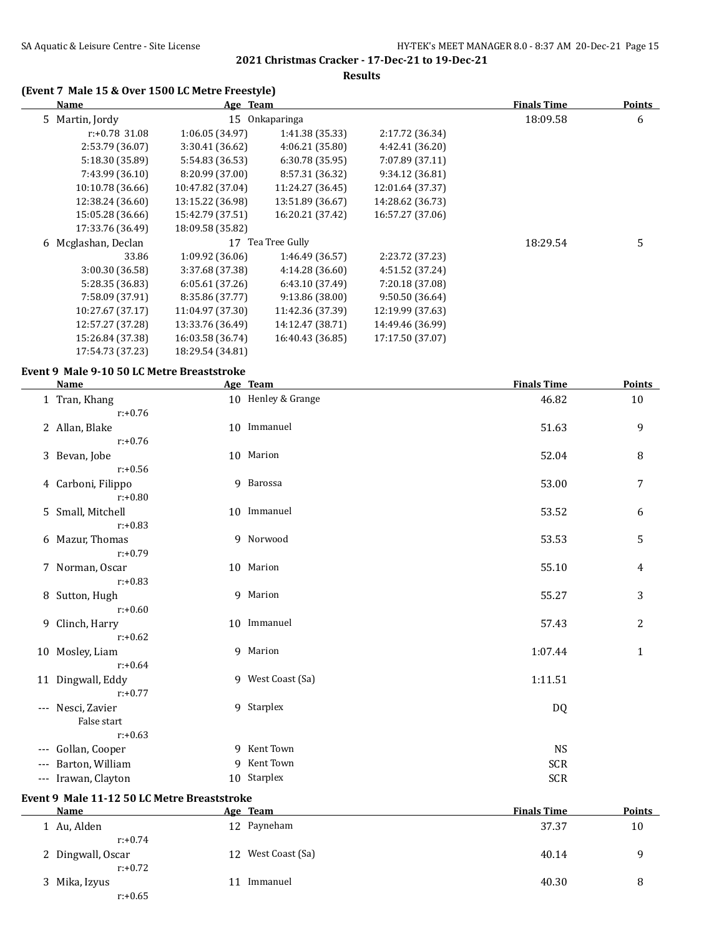**Results**

## **(Event 7 Male 15 & Over 1500 LC Metre Freestyle)**

| Name                | Age Team         |                   |                  | <b>Finals Time</b> | <b>Points</b> |
|---------------------|------------------|-------------------|------------------|--------------------|---------------|
| 5 Martin, Jordy     | 15 <sup>2</sup>  | Onkaparinga       |                  | 18:09.58           | 6             |
| $r: +0.78$ 31.08    | 1:06.05 (34.97)  | 1:41.38 (35.33)   | 2:17.72 (36.34)  |                    |               |
| 2:53.79 (36.07)     | 3:30.41 (36.62)  | 4:06.21 (35.80)   | 4:42.41 (36.20)  |                    |               |
| 5:18.30 (35.89)     | 5:54.83 (36.53)  | 6:30.78(35.95)    | 7:07.89 (37.11)  |                    |               |
| 7:43.99 (36.10)     | 8:20.99 (37.00)  | 8:57.31 (36.32)   | 9:34.12 (36.81)  |                    |               |
| 10:10.78 (36.66)    | 10:47.82 (37.04) | 11:24.27 (36.45)  | 12:01.64 (37.37) |                    |               |
| 12:38.24 (36.60)    | 13:15.22 (36.98) | 13:51.89 (36.67)  | 14:28.62 (36.73) |                    |               |
| 15:05.28 (36.66)    | 15:42.79 (37.51) | 16:20.21 (37.42)  | 16:57.27 (37.06) |                    |               |
| 17:33.76 (36.49)    | 18:09.58 (35.82) |                   |                  |                    |               |
| 6 Mcglashan, Declan |                  | 17 Tea Tree Gully |                  | 18:29.54           | 5             |
| 33.86               | 1:09.92 (36.06)  | 1:46.49(36.57)    | 2:23.72 (37.23)  |                    |               |
| 3:00.30 (36.58)     | 3:37.68 (37.38)  | 4:14.28 (36.60)   | 4:51.52 (37.24)  |                    |               |
| 5:28.35 (36.83)     | 6:05.61(37.26)   | 6:43.10 (37.49)   | 7:20.18 (37.08)  |                    |               |
| 7:58.09 (37.91)     | 8:35.86 (37.77)  | 9:13.86 (38.00)   | 9:50.50(36.64)   |                    |               |
| 10:27.67 (37.17)    | 11:04.97 (37.30) | 11:42.36 (37.39)  | 12:19.99 (37.63) |                    |               |
| 12:57.27 (37.28)    | 13:33.76 (36.49) | 14:12.47 (38.71)  | 14:49.46 (36.99) |                    |               |
| 15:26.84 (37.38)    | 16:03.58 (36.74) | 16:40.43 (36.85)  | 17:17.50 (37.07) |                    |               |
| 17:54.73 (37.23)    | 18:29.54 (34.81) |                   |                  |                    |               |

#### **Event 9 Male 9-10 50 LC Metre Breaststroke**

|                                          | <b>Name</b>                                 | Age Team           | <b>Finals Time</b> | <b>Points</b>  |
|------------------------------------------|---------------------------------------------|--------------------|--------------------|----------------|
|                                          | 1 Tran, Khang<br>$r: +0.76$                 | 10 Henley & Grange | 46.82              | 10             |
|                                          | 2 Allan, Blake                              | 10 Immanuel        | 51.63              | 9              |
|                                          | $r: +0.76$                                  |                    |                    |                |
|                                          | 3 Bevan, Jobe                               | 10 Marion          | 52.04              | 8              |
|                                          | $r: +0.56$                                  |                    |                    |                |
|                                          | 4 Carboni, Filippo                          | 9 Barossa          | 53.00              | 7              |
|                                          | $r: +0.80$                                  |                    |                    |                |
|                                          | 5 Small, Mitchell                           | 10 Immanuel        | 53.52              | 6              |
|                                          | $r: +0.83$                                  |                    |                    |                |
|                                          | 6 Mazur, Thomas                             | 9 Norwood          | 53.53              | 5              |
|                                          | $r: +0.79$                                  |                    |                    |                |
|                                          | 7 Norman, Oscar                             | 10 Marion          | 55.10              | 4              |
|                                          | $r: +0.83$                                  |                    |                    |                |
|                                          | 8 Sutton, Hugh                              | 9 Marion           | 55.27              | 3              |
|                                          | $r: +0.60$                                  |                    |                    |                |
|                                          | 9 Clinch, Harry                             | 10 Immanuel        | 57.43              | $\overline{2}$ |
|                                          | $r: +0.62$                                  |                    |                    |                |
|                                          | 10 Mosley, Liam                             | 9 Marion           | 1:07.44            | $\mathbf{1}$   |
|                                          | $r: +0.64$                                  |                    |                    |                |
|                                          | 11 Dingwall, Eddy                           | 9 West Coast (Sa)  | 1:11.51            |                |
|                                          | $r: +0.77$                                  |                    |                    |                |
|                                          | --- Nesci, Zavier                           | 9 Starplex         | DQ                 |                |
|                                          | False start                                 |                    |                    |                |
|                                          | $r: +0.63$                                  |                    |                    |                |
|                                          | --- Gollan, Cooper                          | 9 Kent Town        | <b>NS</b>          |                |
| $\hspace{0.05cm} \ldots \hspace{0.05cm}$ | Barton, William                             | 9 Kent Town        | <b>SCR</b>         |                |
|                                          | --- Irawan, Clayton                         | 10 Starplex        | <b>SCR</b>         |                |
|                                          | Event 9 Male 11-12 50 LC Metre Breaststroke |                    |                    |                |
|                                          | <b>Name</b>                                 | Age Team           | <b>Finals Time</b> | <b>Points</b>  |
|                                          | 1 Au, Alden                                 | 12 Payneham        | 37.37              | 10             |
|                                          | $r: +0.74$                                  |                    |                    |                |
|                                          | 2 Dingwall, Oscar                           | 12 West Coast (Sa) | 40.14              | 9              |
|                                          | $r: +0.72$                                  |                    |                    |                |
|                                          | 3 Mika, Izyus                               | 11 Immanuel        | 40.30              | 8              |

r:+0.65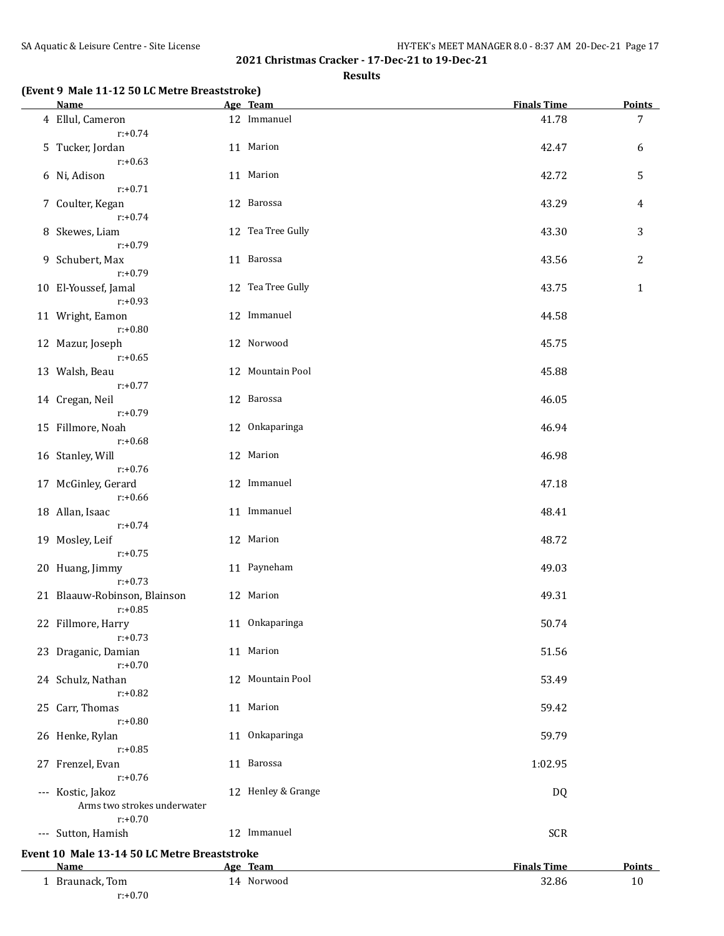#### **Results**

## **(Event 9 Male 11-12 50 LC Metre Breaststroke)**

| Name                                                           | Age Team           | <b>Finals Time</b> | <b>Points</b>    |
|----------------------------------------------------------------|--------------------|--------------------|------------------|
| 4 Ellul, Cameron<br>$r: +0.74$                                 | 12 Immanuel        | 41.78              | $\overline{7}$   |
| 5 Tucker, Jordan<br>$r: +0.63$                                 | 11 Marion          | 42.47              | 6                |
| 6 Ni, Adison<br>$r: +0.71$                                     | 11 Marion          | 42.72              | 5                |
| 7 Coulter, Kegan<br>$r: +0.74$                                 | 12 Barossa         | 43.29              | 4                |
| 8 Skewes, Liam<br>$r: +0.79$                                   | 12 Tea Tree Gully  | 43.30              | 3                |
| 9 Schubert, Max<br>$r: +0.79$                                  | 11 Barossa         | 43.56              | $\boldsymbol{2}$ |
| 10 El-Youssef, Jamal<br>$r: +0.93$                             | 12 Tea Tree Gully  | 43.75              | $\mathbf{1}$     |
| 11 Wright, Eamon<br>$r: +0.80$                                 | 12 Immanuel        | 44.58              |                  |
| 12 Mazur, Joseph<br>$r: +0.65$                                 | 12 Norwood         | 45.75              |                  |
| 13 Walsh, Beau<br>$r: +0.77$                                   | 12 Mountain Pool   | 45.88              |                  |
| 14 Cregan, Neil<br>$r: +0.79$                                  | 12 Barossa         | 46.05              |                  |
| 15 Fillmore, Noah<br>$r: +0.68$                                | 12 Onkaparinga     | 46.94              |                  |
| 16 Stanley, Will<br>$r: +0.76$                                 | 12 Marion          | 46.98              |                  |
| 17 McGinley, Gerard<br>$r: +0.66$                              | 12 Immanuel        | 47.18              |                  |
| 18 Allan, Isaac<br>$r: +0.74$                                  | 11 Immanuel        | 48.41              |                  |
| 19 Mosley, Leif<br>$r: +0.75$                                  | 12 Marion          | 48.72              |                  |
| 20 Huang, Jimmy<br>$r: +0.73$                                  | 11 Payneham        | 49.03              |                  |
| 21 Blaauw-Robinson, Blainson<br>$r: +0.85$                     | 12 Marion          | 49.31              |                  |
| 22 Fillmore, Harry<br>$r: +0.73$                               | 11 Onkaparinga     | 50.74              |                  |
| 23 Draganic, Damian<br>$r: +0.70$                              | 11 Marion          | 51.56              |                  |
| 24 Schulz, Nathan<br>$r: +0.82$                                | 12 Mountain Pool   | 53.49              |                  |
| 25 Carr, Thomas<br>$r: +0.80$                                  | 11 Marion          | 59.42              |                  |
| 26 Henke, Rylan<br>$r: +0.85$                                  | 11 Onkaparinga     | 59.79              |                  |
| 27 Frenzel, Evan<br>$r: +0.76$                                 | 11 Barossa         | 1:02.95            |                  |
| --- Kostic, Jakoz<br>Arms two strokes underwater<br>$r: +0.70$ | 12 Henley & Grange | DQ                 |                  |
| --- Sutton, Hamish                                             | 12 Immanuel        | <b>SCR</b>         |                  |
| Event 10 Male 13-14 50 LC Metre Breaststroke<br>Name           | Age Team           | <b>Finals Time</b> | <b>Points</b>    |
| 1 Braunack, Tom<br>$r: +0.70$                                  | 14 Norwood         | 32.86              | $10\,$           |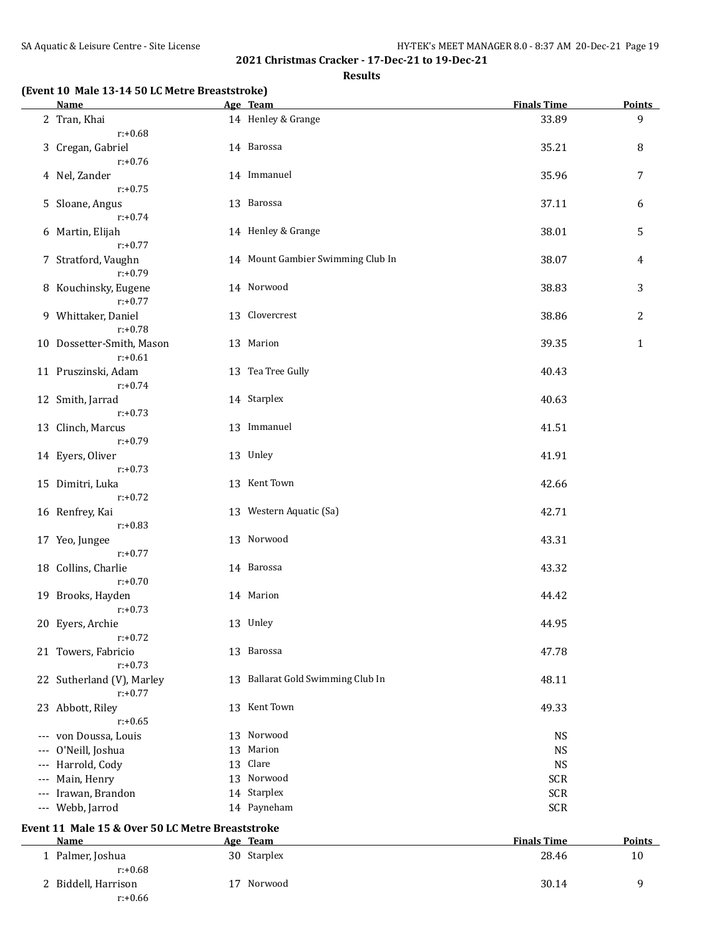**Results**

## **(Event 10 Male 13-14 50 LC Metre Breaststroke)**

|       | <b>Name</b>                             |    | Age Team                          | <b>Finals Time</b> | <b>Points</b>  |
|-------|-----------------------------------------|----|-----------------------------------|--------------------|----------------|
|       | 2 Tran, Khai<br>$r: +0.68$              |    | 14 Henley & Grange                | 33.89              | $\mathfrak{g}$ |
|       | 3 Cregan, Gabriel<br>$r: +0.76$         |    | 14 Barossa                        | 35.21              | 8              |
|       | 4 Nel, Zander<br>$r: +0.75$             |    | 14 Immanuel                       | 35.96              | 7              |
|       | 5 Sloane, Angus<br>$r: +0.74$           |    | 13 Barossa                        | 37.11              | 6              |
|       | 6 Martin, Elijah<br>$r: +0.77$          |    | 14 Henley & Grange                | 38.01              | 5              |
|       | 7 Stratford, Vaughn<br>$r: +0.79$       |    | 14 Mount Gambier Swimming Club In | 38.07              | $\overline{4}$ |
|       | 8 Kouchinsky, Eugene<br>$r: +0.77$      |    | 14 Norwood                        | 38.83              | 3              |
|       | 9 Whittaker, Daniel<br>$r: +0.78$       |    | 13 Clovercrest                    | 38.86              | $\overline{2}$ |
|       | 10 Dossetter-Smith, Mason<br>$r: +0.61$ |    | 13 Marion                         | 39.35              | $\mathbf{1}$   |
|       | 11 Pruszinski, Adam<br>$r: +0.74$       |    | 13 Tea Tree Gully                 | 40.43              |                |
|       | 12 Smith, Jarrad<br>$r: +0.73$          |    | 14 Starplex                       | 40.63              |                |
|       | 13 Clinch, Marcus<br>$r: +0.79$         |    | 13 Immanuel                       | 41.51              |                |
|       | 14 Eyers, Oliver<br>$r: +0.73$          |    | 13 Unley                          | 41.91              |                |
|       | 15 Dimitri, Luka<br>$r: +0.72$          |    | 13 Kent Town                      | 42.66              |                |
|       | 16 Renfrey, Kai<br>$r: +0.83$           |    | 13 Western Aquatic (Sa)           | 42.71              |                |
|       | 17 Yeo, Jungee<br>$r: +0.77$            |    | 13 Norwood                        | 43.31              |                |
|       | 18 Collins, Charlie<br>$r: +0.70$       |    | 14 Barossa                        | 43.32              |                |
|       | 19 Brooks, Hayden<br>$r: +0.73$         |    | 14 Marion                         | 44.42              |                |
|       | 20 Eyers, Archie<br>$r: +0.72$          |    | 13 Unley                          | 44.95              |                |
|       | 21 Towers, Fabricio<br>$r: +0.73$       |    | 13 Barossa                        | 47.78              |                |
|       | 22 Sutherland (V), Marley<br>$r: +0.77$ |    | 13 Ballarat Gold Swimming Club In | 48.11              |                |
|       | 23 Abbott, Riley<br>$r: +0.65$          |    | 13 Kent Town                      | 49.33              |                |
|       | --- von Doussa, Louis                   |    | 13 Norwood                        | <b>NS</b>          |                |
|       | --- O'Neill, Joshua                     | 13 | Marion                            | <b>NS</b>          |                |
|       | --- Harrold, Cody                       | 13 | Clare                             | <b>NS</b>          |                |
| $---$ | Main, Henry                             |    | 13 Norwood                        | <b>SCR</b>         |                |
|       | --- Irawan, Brandon                     |    | 14 Starplex                       | <b>SCR</b>         |                |
|       | --- Webb, Jarrod                        |    | 14 Payneham                       | <b>SCR</b>         |                |

## **Event 11 Male 15 & Over 50 LC Metre Breaststroke**

| Name                | Age Team       | <b>Finals Time</b> | <b>Points</b> |
|---------------------|----------------|--------------------|---------------|
| Palmer, Joshua      | Starplex<br>30 | 28.46              | 10            |
| $r: +0.68$          |                |                    |               |
| 2 Biddell, Harrison | Norwood        | 30.14              |               |
| $r: +0.66$          |                |                    |               |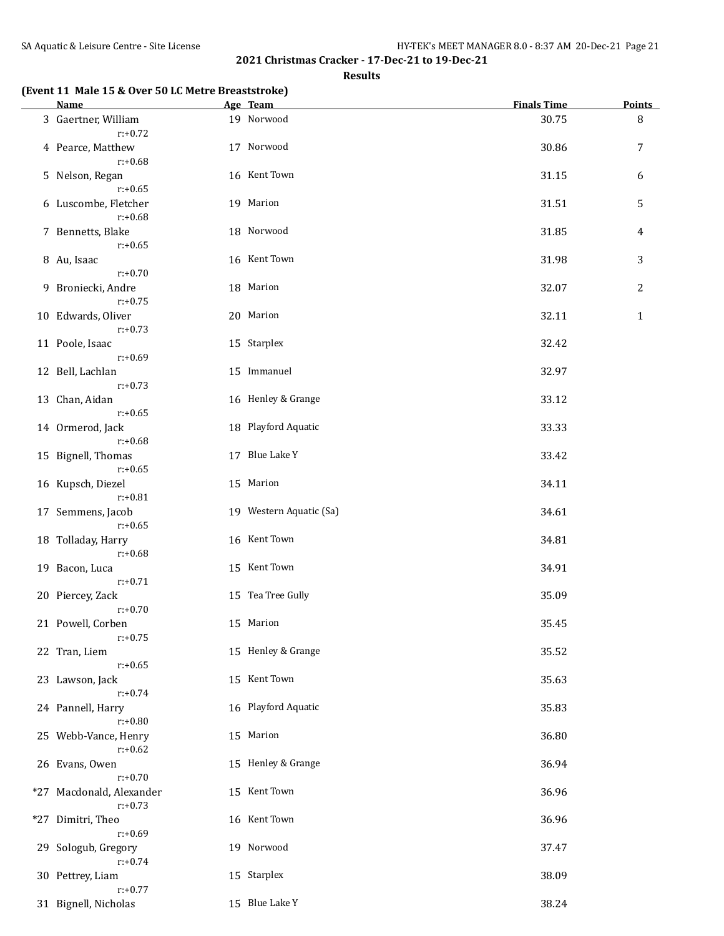#### **Results**

#### **(Event 11 Male 15 & Over 50 LC Metre Breaststroke)**

| Name                                          | Age Team                | <b>Finals Time</b> | <b>Points</b> |
|-----------------------------------------------|-------------------------|--------------------|---------------|
| 3 Gaertner, William<br>$r: +0.72$             | 19 Norwood              | 30.75              | 8             |
| 4 Pearce, Matthew<br>$r: +0.68$               | 17 Norwood              | 30.86              | 7             |
| 5 Nelson, Regan<br>$r: +0.65$                 | 16 Kent Town            | 31.15              | 6             |
| 6 Luscombe, Fletcher<br>$r: +0.68$            | 19 Marion               | 31.51              | 5             |
| 7 Bennetts, Blake<br>$r: +0.65$               | 18 Norwood              | 31.85              | 4             |
| 8 Au, Isaac<br>$r: +0.70$                     | 16 Kent Town            | 31.98              | 3             |
| 9 Broniecki, Andre<br>$r: +0.75$              | 18 Marion               | 32.07              | 2             |
| 10 Edwards, Oliver                            | 20 Marion               | 32.11              | $\mathbf{1}$  |
| $r: +0.73$<br>11 Poole, Isaac                 | 15 Starplex             | 32.42              |               |
| $r: +0.69$<br>12 Bell, Lachlan                | 15 Immanuel             | 32.97              |               |
| $r: +0.73$<br>13 Chan, Aidan                  | 16 Henley & Grange      | 33.12              |               |
| $r: +0.65$<br>14 Ormerod, Jack                | 18 Playford Aquatic     | 33.33              |               |
| $r: +0.68$<br>15 Bignell, Thomas              | 17 Blue Lake Y          | 33.42              |               |
| $r: +0.65$<br>16 Kupsch, Diezel<br>$r: +0.81$ | 15 Marion               | 34.11              |               |
| 17 Semmens, Jacob<br>$r: +0.65$               | 19 Western Aquatic (Sa) | 34.61              |               |
| 18 Tolladay, Harry<br>$r: +0.68$              | 16 Kent Town            | 34.81              |               |
| 19 Bacon, Luca<br>$r: +0.71$                  | 15 Kent Town            | 34.91              |               |
| 20 Piercey, Zack<br>$r: +0.70$                | 15 Tea Tree Gully       | 35.09              |               |
| 21 Powell, Corben<br>$r: +0.75$               | 15 Marion               | 35.45              |               |
| 22 Tran, Liem<br>$r: +0.65$                   | 15 Henley & Grange      | 35.52              |               |
| 23 Lawson, Jack<br>$r: +0.74$                 | 15 Kent Town            | 35.63              |               |
| 24 Pannell, Harry<br>$r: +0.80$               | 16 Playford Aquatic     | 35.83              |               |
| 25 Webb-Vance, Henry<br>$r: +0.62$            | 15 Marion               | 36.80              |               |
| 26 Evans, Owen<br>$r: +0.70$                  | 15 Henley & Grange      | 36.94              |               |
| *27 Macdonald, Alexander<br>$r: +0.73$        | 15 Kent Town            | 36.96              |               |
| *27 Dimitri, Theo<br>$r: +0.69$               | 16 Kent Town            | 36.96              |               |
| 29 Sologub, Gregory<br>$r: +0.74$             | 19 Norwood              | 37.47              |               |
| 30 Pettrey, Liam<br>$r: +0.77$                | 15 Starplex             | 38.09              |               |
| 31 Bignell, Nicholas                          | 15 Blue Lake Y          | 38.24              |               |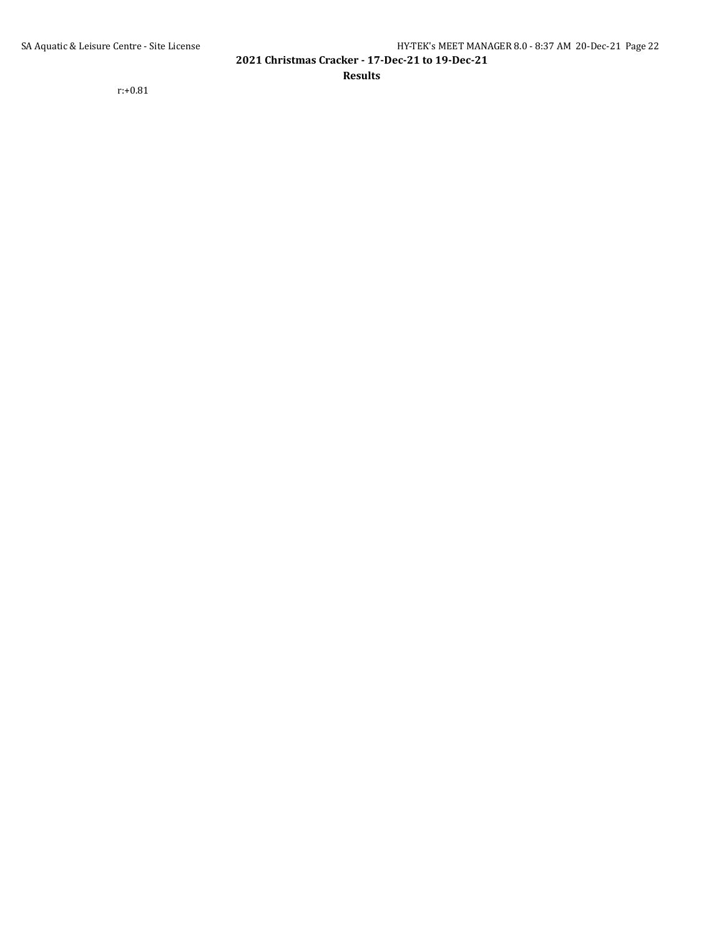#### **Results**

r:+0.81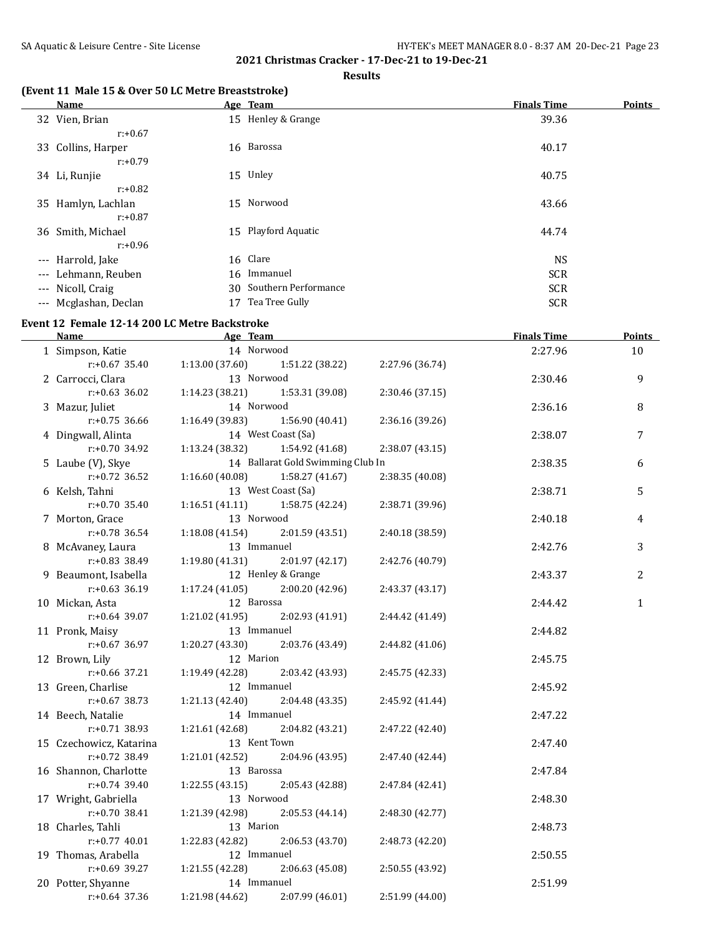#### **Results**

## **(Event 11 Male 15 & Over 50 LC Metre Breaststroke)**

| Name                  | Age Team                | <b>Finals Time</b> | <b>Points</b> |
|-----------------------|-------------------------|--------------------|---------------|
| 32 Vien, Brian        | 15 Henley & Grange      | 39.36              |               |
| $r: +0.67$            |                         |                    |               |
| 33 Collins, Harper    | 16 Barossa              | 40.17              |               |
| $r: +0.79$            |                         |                    |               |
| 34 Li, Runjie         | 15 Unley                | 40.75              |               |
| $r: +0.82$            |                         |                    |               |
| 35 Hamlyn, Lachlan    | 15 Norwood              | 43.66              |               |
| $r: +0.87$            |                         |                    |               |
| 36 Smith, Michael     | 15 Playford Aquatic     | 44.74              |               |
| $r: +0.96$            |                         |                    |               |
| --- Harrold, Jake     | 16 Clare                | <b>NS</b>          |               |
| --- Lehmann, Reuben   | 16 Immanuel             | <b>SCR</b>         |               |
| --- Nicoll, Craig     | 30 Southern Performance | <b>SCR</b>         |               |
| --- Mcglashan, Declan | 17 Tea Tree Gully       | <b>SCR</b>         |               |

## **Event 12 Female 12-14 200 LC Metre Backstroke**

| Name                    | Age Team        |                                   |                 | <b>Finals Time</b> | <b>Points</b> |
|-------------------------|-----------------|-----------------------------------|-----------------|--------------------|---------------|
| 1 Simpson, Katie        | 14 Norwood      |                                   |                 | 2:27.96            | 10            |
| $r: +0.67$ 35.40        | 1:13.00(37.60)  | 1:51.22 (38.22)                   | 2:27.96 (36.74) |                    |               |
| 2 Carrocci, Clara       | 13 Norwood      |                                   |                 | 2:30.46            | 9             |
| $r: +0.63$ 36.02        | 1:14.23 (38.21) | 1:53.31 (39.08)                   | 2:30.46(37.15)  |                    |               |
| 3 Mazur, Juliet         | 14 Norwood      |                                   |                 | 2:36.16            | 8             |
| $r: +0.75$ 36.66        | 1:16.49 (39.83) | 1:56.90 (40.41)                   | 2:36.16 (39.26) |                    |               |
| 4 Dingwall, Alinta      |                 | 14 West Coast (Sa)                |                 | 2:38.07            | 7             |
| $r: +0.70$ 34.92        | 1:13.24(38.32)  | 1:54.92 (41.68)                   | 2:38.07 (43.15) |                    |               |
| 5 Laube (V), Skye       |                 | 14 Ballarat Gold Swimming Club In |                 | 2:38.35            | 6             |
| $r: +0.72$ 36.52        | 1:16.60(40.08)  | 1:58.27(41.67)                    | 2:38.35 (40.08) |                    |               |
| 6 Kelsh, Tahni          |                 | 13 West Coast (Sa)                |                 | 2:38.71            | 5             |
| $r: +0.70$ 35.40        | 1:16.51 (41.11) | 1:58.75 (42.24)                   | 2:38.71 (39.96) |                    |               |
| 7 Morton, Grace         | 13 Norwood      |                                   |                 | 2:40.18            | 4             |
| $r: +0.78$ 36.54        | 1:18.08(41.54)  | 2:01.59(43.51)                    | 2:40.18 (38.59) |                    |               |
| 8 McAvaney, Laura       | 13 Immanuel     |                                   |                 | 2:42.76            | 3             |
| $r: +0.83$ 38.49        |                 | $1:19.80(41.31)$ $2:01.97(42.17)$ | 2:42.76 (40.79) |                    |               |
| 9 Beaumont, Isabella    |                 | 12 Henley & Grange                |                 | 2:43.37            | 2             |
| $r: +0.63$ 36.19        | 1:17.24(41.05)  | 2:00.20 (42.96)                   | 2:43.37 (43.17) |                    |               |
| 10 Mickan, Asta         | 12 Barossa      |                                   |                 | 2:44.42            | $\mathbf{1}$  |
| $r: +0.64$ 39.07        | 1:21.02(41.95)  | 2:02.93 (41.91)                   | 2:44.42 (41.49) |                    |               |
| 11 Pronk, Maisy         | 13 Immanuel     |                                   |                 | 2:44.82            |               |
| $r: +0.67$ 36.97        | 1:20.27(43.30)  | 2:03.76 (43.49)                   | 2:44.82 (41.06) |                    |               |
| 12 Brown, Lily          | 12 Marion       |                                   |                 | 2:45.75            |               |
| r:+0.66 37.21           | 1:19.49 (42.28) | 2:03.42 (43.93)                   | 2:45.75 (42.33) |                    |               |
| 13 Green, Charlise      | 12 Immanuel     |                                   |                 | 2:45.92            |               |
| $r: +0.67$ 38.73        | 1:21.13(42.40)  | 2:04.48 (43.35)                   | 2:45.92 (41.44) |                    |               |
| 14 Beech, Natalie       | 14 Immanuel     |                                   |                 | 2:47.22            |               |
| $r: +0.71$ 38.93        | 1:21.61 (42.68) | 2:04.82 (43.21)                   | 2:47.22 (42.40) |                    |               |
| 15 Czechowicz, Katarina | 13 Kent Town    |                                   |                 | 2:47.40            |               |
| $r: +0.72$ 38.49        | 1:21.01 (42.52) | 2:04.96 (43.95)                   | 2:47.40 (42.44) |                    |               |
| 16 Shannon, Charlotte   | 13 Barossa      |                                   |                 | 2:47.84            |               |
| $r: +0.74$ 39.40        | 1:22.55(43.15)  | 2:05.43 (42.88)                   | 2:47.84 (42.41) |                    |               |
| 17 Wright, Gabriella    | 13 Norwood      |                                   |                 | 2:48.30            |               |
| $r: +0.70$ 38.41        | 1:21.39 (42.98) | 2:05.53 (44.14)                   | 2:48.30 (42.77) |                    |               |
| 18 Charles, Tahli       | 13 Marion       |                                   |                 | 2:48.73            |               |
| $r: +0.77$ 40.01        | 1:22.83(42.82)  | 2:06.53 (43.70)                   | 2:48.73 (42.20) |                    |               |
| 19 Thomas, Arabella     | 12 Immanuel     |                                   |                 | 2:50.55            |               |
| r:+0.69 39.27           | 1:21.55(42.28)  | 2:06.63 (45.08)                   | 2:50.55 (43.92) |                    |               |
| 20 Potter, Shyanne      | 14 Immanuel     |                                   |                 | 2:51.99            |               |
| $r: +0.64$ 37.36        | 1:21.98 (44.62) | 2:07.99 (46.01)                   | 2:51.99 (44.00) |                    |               |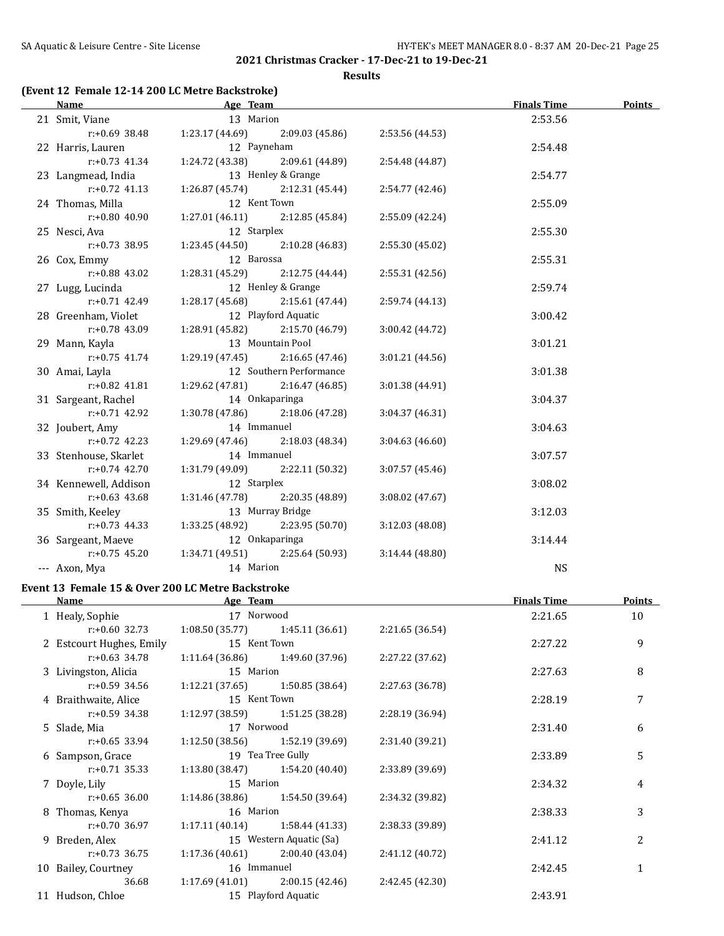**Results**

## **(Event 12 Female 12-14 200 LC Metre Backstroke)**

| Name                  | Age Team                                         |                                   |                 | <b>Finals Time</b> | <b>Points</b> |
|-----------------------|--------------------------------------------------|-----------------------------------|-----------------|--------------------|---------------|
| 21 Smit, Viane        | 13 Marion                                        |                                   | 2:53.56         |                    |               |
|                       | $r: +0.69$ 38.48 1:23.17 (44.69) 2:09.03 (45.86) |                                   | 2:53.56 (44.53) |                    |               |
| 22 Harris, Lauren     | 12 Payneham                                      |                                   |                 | 2:54.48            |               |
| r:+0.73 41.34         |                                                  | $1:24.72(43.38)$ $2:09.61(44.89)$ | 2:54.48 (44.87) |                    |               |
| 23 Langmead, India    | 13 Henley & Grange                               |                                   |                 | 2:54.77            |               |
| $r: +0.72$ 41.13      |                                                  | $1:26.87(45.74)$ $2:12.31(45.44)$ | 2:54.77 (42.46) |                    |               |
| 24 Thomas, Milla      | 12 Kent Town                                     |                                   |                 | 2:55.09            |               |
| $r: +0.80$ 40.90      |                                                  | $1:27.01(46.11)$ $2:12.85(45.84)$ | 2:55.09 (42.24) |                    |               |
| 25 Nesci, Ava         | 12 Starplex                                      |                                   |                 | 2:55.30            |               |
| $r: +0.73$ 38.95      |                                                  | $1:23.45(44.50)$ $2:10.28(46.83)$ | 2:55.30(45.02)  |                    |               |
| 26 Cox, Emmy          | 12 Barossa                                       |                                   |                 | 2:55.31            |               |
| r:+0.88 43.02         |                                                  | $1:28.31(45.29)$ $2:12.75(44.44)$ | 2:55.31 (42.56) |                    |               |
| 27 Lugg, Lucinda      |                                                  | 12 Henley & Grange                |                 | 2:59.74            |               |
| $r: +0.71$ 42.49      |                                                  | $1:28.17(45.68)$ $2:15.61(47.44)$ | 2:59.74(44.13)  |                    |               |
| 28 Greenham, Violet   | 12 Playford Aquatic                              |                                   |                 | 3:00.42            |               |
| r:+0.78 43.09         |                                                  | $1:28.91(45.82)$ $2:15.70(46.79)$ | 3:00.42(44.72)  |                    |               |
| 29 Mann, Kayla        | 13 Mountain Pool                                 |                                   |                 | 3:01.21            |               |
| $r: +0.75$ 41.74      |                                                  | $1:29.19(47.45)$ $2:16.65(47.46)$ | 3:01.21(44.56)  |                    |               |
| 30 Amai, Layla        |                                                  | 12 Southern Performance           |                 | 3:01.38            |               |
| r:+0.82 41.81         |                                                  | $1:29.62(47.81)$ $2:16.47(46.85)$ | 3:01.38(44.91)  |                    |               |
| 31 Sargeant, Rachel   |                                                  | 14 Onkaparinga                    |                 | 3:04.37            |               |
| $r: +0.71$ 42.92      | 1:30.78 (47.86)                                  | 2:18.06 (47.28)                   | 3:04.37(46.31)  |                    |               |
| 32 Joubert, Amy       | 14 Immanuel                                      |                                   |                 | 3:04.63            |               |
| $r: +0.72$ 42.23      |                                                  | $1:29.69(47.46)$ $2:18.03(48.34)$ | 3:04.63 (46.60) |                    |               |
| 33 Stenhouse, Skarlet | 14 Immanuel                                      |                                   |                 | 3:07.57            |               |
| $r: +0.74$ 42.70      |                                                  | $1:31.79(49.09)$ $2:22.11(50.32)$ | 3:07.57(45.46)  |                    |               |
| 34 Kennewell, Addison | 12 Starplex                                      |                                   |                 | 3:08.02            |               |
| $r: +0.63$ 43.68      |                                                  | $1:31.46(47.78)$ $2:20.35(48.89)$ | 3:08.02(47.67)  |                    |               |
| 35 Smith, Keeley      |                                                  | 13 Murray Bridge                  |                 | 3:12.03            |               |
| $r: +0.73$ 44.33      |                                                  | $1:33.25(48.92)$ $2:23.95(50.70)$ | 3:12.03(48.08)  |                    |               |
| 36 Sargeant, Maeve    |                                                  | 12 Onkaparinga                    |                 | 3:14.44            |               |
|                       | $r: +0.75$ 45.20 $1:34.71$ (49.51)               | 2:25.64 (50.93)                   | 3:14.44(48.80)  |                    |               |
| --- Axon, Mya         | 14 Marion                                        |                                   |                 | <b>NS</b>          |               |

# **Event 13 Female 15 & Over 200 LC Metre Backstroke**

| Name                     | Age Team     |                                   |                 | <b>Finals Time</b> | <b>Points</b> |
|--------------------------|--------------|-----------------------------------|-----------------|--------------------|---------------|
| 1 Healy, Sophie          | 17 Norwood   |                                   |                 | 2:21.65            | 10            |
| $r: +0.60$ 32.73         |              | $1:08.50(35.77)$ $1:45.11(36.61)$ | 2:21.65 (36.54) |                    |               |
| 2 Estcourt Hughes, Emily | 15 Kent Town |                                   |                 | 2:27.22            | 9             |
| r:+0.63 34.78            |              | $1:11.64(36.86)$ $1:49.60(37.96)$ | 2:27.22 (37.62) |                    |               |
| 3 Livingston, Alicia     | 15 Marion    |                                   |                 | 2:27.63            | 8             |
| r:+0.59 34.56            |              | $1:12.21(37.65)$ $1:50.85(38.64)$ | 2:27.63 (36.78) |                    |               |
| 4 Braithwaite, Alice     | 15 Kent Town |                                   |                 | 2:28.19            | 7             |
| r:+0.59 34.38            |              | $1:12.97(38.59)$ $1:51.25(38.28)$ | 2:28.19 (36.94) |                    |               |
| 5 Slade, Mia             | 17 Norwood   |                                   |                 | 2:31.40            | 6             |
| r:+0.65 33.94            |              | $1:12.50(38.56)$ $1:52.19(39.69)$ | 2:31.40 (39.21) |                    |               |
| 6 Sampson, Grace         |              | 19 Tea Tree Gully                 |                 | 2:33.89            | 5             |
| $r: +0.71$ 35.33         |              | $1:13.80(38.47)$ $1:54.20(40.40)$ | 2:33.89 (39.69) |                    |               |
| 7 Doyle, Lily            | 15 Marion    |                                   |                 | 2:34.32            | 4             |
| r:+0.65 36.00            |              | $1:14.86(38.86)$ $1:54.50(39.64)$ | 2:34.32 (39.82) |                    |               |
| 8 Thomas, Kenya          | 16 Marion    |                                   |                 | 2:38.33            | 3             |
| r:+0.70 36.97            |              | $1:17.11(40.14)$ $1:58.44(41.33)$ | 2:38.33 (39.89) |                    |               |
| 9 Breden, Alex           |              | 15 Western Aquatic (Sa)           |                 | 2:41.12            | 2             |
| r:+0.73 36.75            |              | $1:17.36(40.61)$ $2:00.40(43.04)$ | 2:41.12 (40.72) |                    |               |
| 10 Bailey, Courtney      | 16 Immanuel  |                                   |                 | 2:42.45            |               |
| 36.68                    |              | $1:17.69(41.01)$ $2:00.15(42.46)$ | 2:42.45 (42.30) |                    |               |
| 11 Hudson, Chloe         |              | 15 Playford Aquatic               |                 | 2:43.91            |               |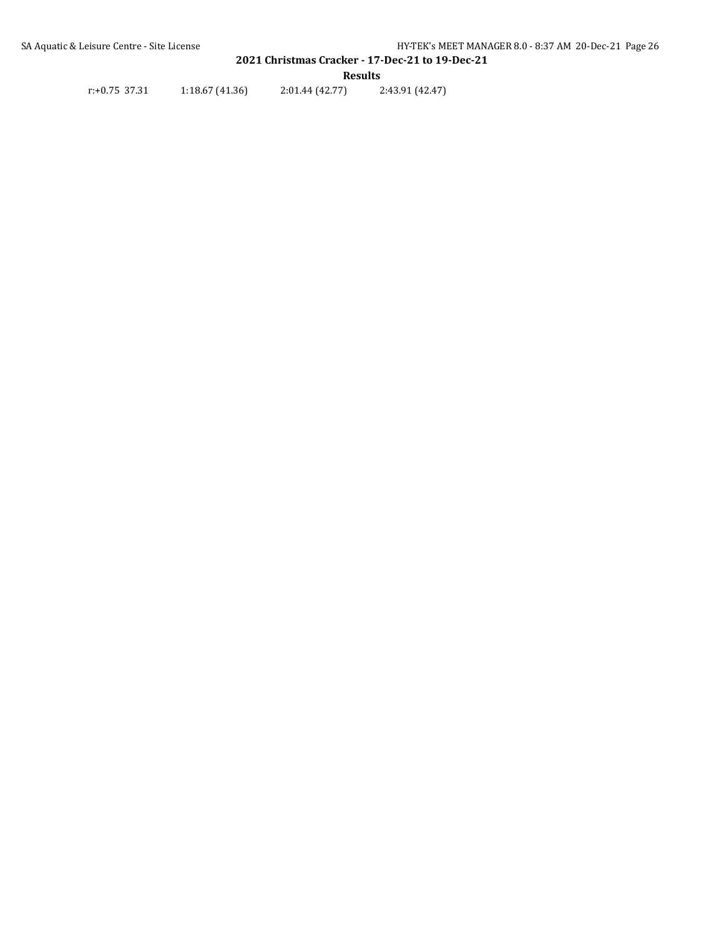**Results**<br>2:01.44 (42.77) 2 r:+0.75 37.31 1:18.67 (41.36) 2:01.44 (42.77) 2:43.91 (42.47)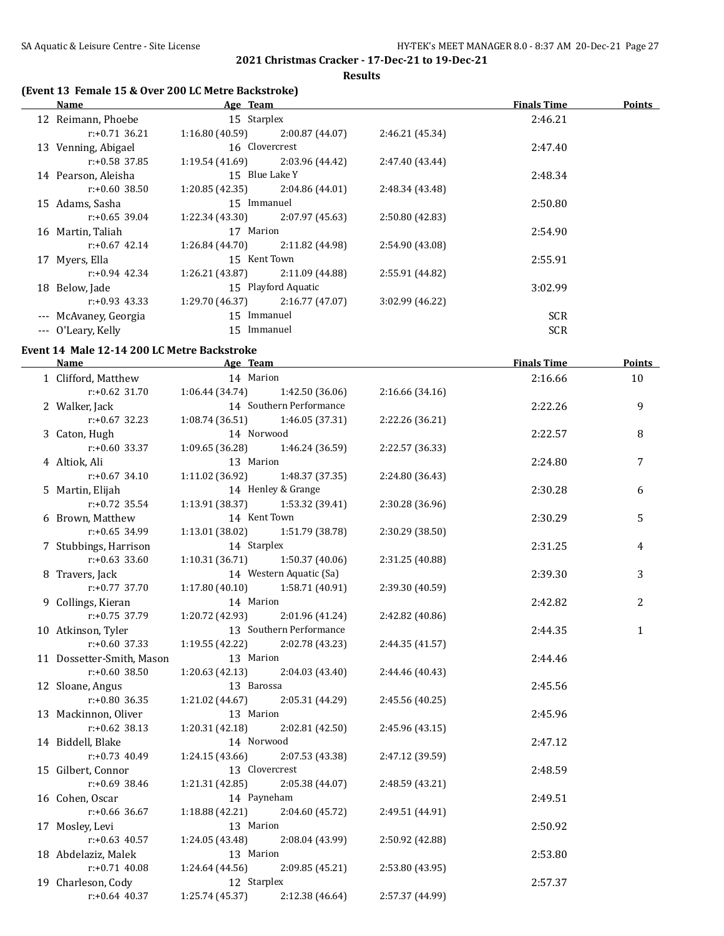**Results**

## **(Event 13 Female 15 & Over 200 LC Metre Backstroke)**

| Name                  | Age Team        |                     |                 | <b>Finals Time</b> | <b>Points</b> |
|-----------------------|-----------------|---------------------|-----------------|--------------------|---------------|
| 12 Reimann, Phoebe    | 15 Starplex     |                     |                 | 2:46.21            |               |
| $r: +0.71$ 36.21      | 1:16.80(40.59)  | 2:00.87(44.07)      | 2:46.21 (45.34) |                    |               |
| 13 Venning, Abigael   | 16 Clovercrest  |                     |                 | 2:47.40            |               |
| $r: +0.58$ 37.85      | 1:19.54 (41.69) | 2:03.96 (44.42)     | 2:47.40 (43.44) |                    |               |
| 14 Pearson, Aleisha   | 15 Blue Lake Y  |                     |                 | 2:48.34            |               |
| $r: +0.60$ 38.50      | 1:20.85(42.35)  | 2:04.86 (44.01)     | 2:48.34 (43.48) |                    |               |
| 15 Adams, Sasha       | 15 Immanuel     |                     |                 | 2:50.80            |               |
| $r: +0.65$ 39.04      | 1:22.34 (43.30) | 2:07.97 (45.63)     | 2:50.80 (42.83) |                    |               |
| 16 Martin. Taliah     | 17 Marion       |                     |                 | 2:54.90            |               |
| $r: +0.67$ 42.14      | 1:26.84(44.70)  | 2:11.82 (44.98)     | 2:54.90 (43.08) |                    |               |
| 17 Myers, Ella        | 15 Kent Town    |                     |                 | 2:55.91            |               |
| $r: +0.94$ 42.34      | 1:26.21(43.87)  | 2:11.09 (44.88)     | 2:55.91 (44.82) |                    |               |
| 18 Below, Jade        |                 | 15 Playford Aquatic |                 | 3:02.99            |               |
| $r: +0.93$ 43.33      | 1:29.70 (46.37) | 2:16.77(47.07)      | 3:02.99 (46.22) |                    |               |
| --- McAvaney, Georgia | 15 Immanuel     |                     |                 | <b>SCR</b>         |               |
| --- O'Leary, Kelly    | 15 Immanuel     |                     |                 | <b>SCR</b>         |               |
|                       |                 |                     |                 |                    |               |

## **Event 14 Male 12-14 200 LC Metre Backstroke**

L.

| Name                      | Age Team        |                         |                 | <b>Finals Time</b> | <b>Points</b> |
|---------------------------|-----------------|-------------------------|-----------------|--------------------|---------------|
| 1 Clifford, Matthew       | 14 Marion       |                         |                 | 2:16.66            | 10            |
| $r: +0.62$ 31.70          | 1:06.44(34.74)  | 1:42.50 (36.06)         | 2:16.66 (34.16) |                    |               |
| 2 Walker, Jack            |                 | 14 Southern Performance |                 | 2:22.26            | 9             |
| $r: +0.67$ 32.23          | 1:08.74(36.51)  | 1:46.05 (37.31)         | 2:22.26 (36.21) |                    |               |
| 3 Caton, Hugh             | 14 Norwood      |                         |                 | 2:22.57            | 8             |
| $r: +0.60$ 33.37          | 1:09.65(36.28)  | 1:46.24 (36.59)         | 2:22.57 (36.33) |                    |               |
| 4 Altiok, Ali             | 13 Marion       |                         |                 | 2:24.80            | 7             |
| $r: +0.67$ 34.10          | 1:11.02(36.92)  | 1:48.37 (37.35)         | 2:24.80 (36.43) |                    |               |
| 5 Martin, Elijah          |                 | 14 Henley & Grange      |                 | 2:30.28            | 6             |
| $r: +0.72$ 35.54          | 1:13.91(38.37)  | 1:53.32 (39.41)         | 2:30.28 (36.96) |                    |               |
| 6 Brown, Matthew          | 14 Kent Town    |                         |                 | 2:30.29            | 5             |
| $r: +0.65$ 34.99          | 1:13.01(38.02)  | 1:51.79 (38.78)         | 2:30.29 (38.50) |                    |               |
| 7 Stubbings, Harrison     | 14 Starplex     |                         |                 | 2:31.25            | 4             |
| $r: +0.63$ 33.60          | 1:10.31(36.71)  | 1:50.37 (40.06)         | 2:31.25 (40.88) |                    |               |
| 8 Travers, Jack           |                 | 14 Western Aquatic (Sa) |                 | 2:39.30            | 3             |
| $r: +0.77$ 37.70          | 1:17.80 (40.10) | 1:58.71 (40.91)         | 2:39.30 (40.59) |                    |               |
| 9 Collings, Kieran        | 14 Marion       |                         |                 | 2:42.82            | 2             |
| $r: +0.75$ 37.79          | 1:20.72 (42.93) | 2:01.96 (41.24)         | 2:42.82 (40.86) |                    |               |
| 10 Atkinson, Tyler        |                 | 13 Southern Performance |                 | 2:44.35            | $\mathbf{1}$  |
| $r: +0.60$ 37.33          | 1:19.55(42.22)  | 2:02.78 (43.23)         | 2:44.35 (41.57) |                    |               |
| 11 Dossetter-Smith, Mason | 13 Marion       |                         |                 | 2:44.46            |               |
| $r: +0.60$ 38.50          | 1:20.63(42.13)  | 2:04.03 (43.40)         | 2:44.46 (40.43) |                    |               |
| 12 Sloane, Angus          | 13 Barossa      |                         |                 | 2:45.56            |               |
| $r: +0.80$ 36.35          | 1:21.02 (44.67) | 2:05.31 (44.29)         | 2:45.56 (40.25) |                    |               |
| 13 Mackinnon, Oliver      | 13 Marion       |                         |                 | 2:45.96            |               |
| $r: +0.62$ 38.13          | 1:20.31(42.18)  | 2:02.81(42.50)          | 2:45.96(43.15)  |                    |               |
| 14 Biddell, Blake         | 14 Norwood      |                         |                 | 2:47.12            |               |
| $r: +0.73$ 40.49          | 1:24.15(43.66)  | 2:07.53 (43.38)         | 2:47.12 (39.59) |                    |               |
| 15 Gilbert, Connor        |                 | 13 Clovercrest          |                 | 2:48.59            |               |
| $r: +0.69$ 38.46          | 1:21.31(42.85)  | 2:05.38 (44.07)         | 2:48.59 (43.21) |                    |               |
| 16 Cohen, Oscar           | 14 Payneham     |                         |                 | 2:49.51            |               |
| r:+0.66 36.67             | 1:18.88 (42.21) | 2:04.60 (45.72)         | 2:49.51 (44.91) |                    |               |
| 17 Mosley, Levi           | 13 Marion       |                         |                 | 2:50.92            |               |
| $r: +0.63$ 40.57          | 1:24.05(43.48)  | 2:08.04 (43.99)         | 2:50.92 (42.88) |                    |               |
| 18 Abdelaziz, Malek       | 13 Marion       |                         |                 | 2:53.80            |               |
| $r: +0.71$ 40.08          | 1:24.64(44.56)  | 2:09.85 (45.21)         | 2:53.80 (43.95) |                    |               |
| 19 Charleson, Cody        | 12 Starplex     |                         |                 | 2:57.37            |               |
| $r: +0.64$ 40.37          | 1:25.74(45.37)  | 2:12.38 (46.64)         | 2:57.37 (44.99) |                    |               |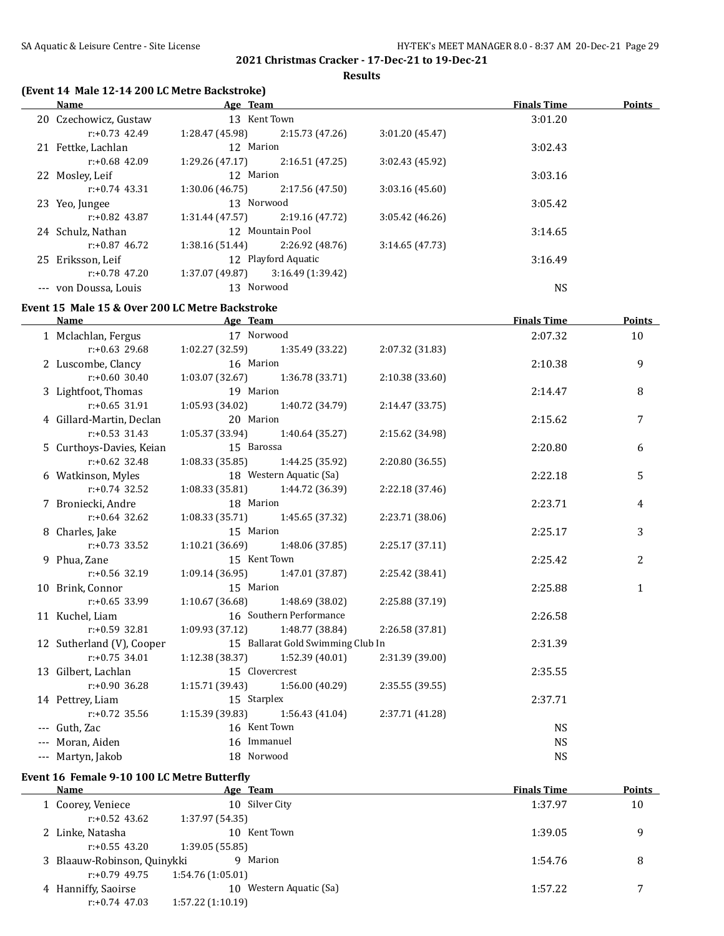**Results**

## **(Event 14 Male 12-14 200 LC Metre Backstroke)**

|    | Name                  | Age Team            |                   |                 | <b>Finals Time</b> | <b>Points</b> |
|----|-----------------------|---------------------|-------------------|-----------------|--------------------|---------------|
|    | 20 Czechowicz, Gustaw |                     | 13 Kent Town      |                 | 3:01.20            |               |
|    | $r: +0.73$ 42.49      | 1:28.47 (45.98)     | 2:15.73(47.26)    | 3:01.20 (45.47) |                    |               |
| 21 | Fettke, Lachlan       | 12 Marion           |                   |                 | 3:02.43            |               |
|    | $r: +0.68$ 42.09      | 1:29.26(47.17)      | 2:16.51(47.25)    | 3:02.43 (45.92) |                    |               |
|    | 22 Mosley, Leif       | 12 Marion           |                   |                 | 3:03.16            |               |
|    | $r: +0.74$ 43.31      | 1:30.06(46.75)      | 2:17.56 (47.50)   | 3:03.16(45.60)  |                    |               |
|    | 23 Yeo, Jungee        | 13 Norwood          |                   |                 | 3:05.42            |               |
|    | $r: +0.82$ 43.87      | 1:31.44(47.57)      | 2:19.16 (47.72)   | 3:05.42(46.26)  |                    |               |
|    | 24 Schulz, Nathan     |                     | 12 Mountain Pool  |                 | 3:14.65            |               |
|    | $r: +0.87$ 46.72      | 1:38.16(51.44)      | 2:26.92 (48.76)   | 3:14.65(47.73)  |                    |               |
|    | 25 Eriksson, Leif     | 12 Playford Aquatic |                   |                 | 3:16.49            |               |
|    | $r: +0.78$ 47.20      | 1:37.07 (49.87)     | 3:16.49 (1:39.42) |                 |                    |               |
|    | --- von Doussa, Louis | 13 Norwood          |                   |                 | NS                 |               |

## **Event 15 Male 15 & Over 200 LC Metre Backstroke**

| <b>Name</b>               | Age Team                          |                                   |                 | <b>Finals Time</b> | <b>Points</b> |
|---------------------------|-----------------------------------|-----------------------------------|-----------------|--------------------|---------------|
| 1 Mclachlan, Fergus       | 17 Norwood                        |                                   |                 | 2:07.32            | 10            |
| $r: +0.63$ 29.68          |                                   | $1:02.27(32.59)$ $1:35.49(33.22)$ | 2:07.32 (31.83) |                    |               |
| 2 Luscombe, Clancy        | 16 Marion                         |                                   |                 | 2:10.38            | 9             |
| $r: +0.60$ 30.40          | $1:03.07(32.67)$ $1:36.78(33.71)$ |                                   | 2:10.38 (33.60) |                    |               |
| 3 Lightfoot, Thomas       | 19 Marion                         |                                   |                 | 2:14.47            | 8             |
| $r: +0.65$ 31.91          | 1:05.93(34.02)                    | 1:40.72 (34.79)                   | 2:14.47 (33.75) |                    |               |
| 4 Gillard-Martin, Declan  | 20 Marion                         |                                   |                 | 2:15.62            | 7             |
| $r: +0.53$ 31.43          | 1:05.37 (33.94) 1:40.64 (35.27)   |                                   | 2:15.62 (34.98) |                    |               |
| 5 Curthoys-Davies, Keian  | 15 Barossa                        |                                   |                 | 2:20.80            | 6             |
| $r: +0.62$ 32.48          | 1:08.33 (35.85) 1:44.25 (35.92)   |                                   | 2:20.80 (36.55) |                    |               |
| 6 Watkinson, Myles        |                                   | 18 Western Aquatic (Sa)           |                 | 2:22.18            | 5             |
| $r: +0.74$ 32.52          | 1:08.33(35.81)                    | 1:44.72 (36.39)                   | 2:22.18 (37.46) |                    |               |
| 7 Broniecki, Andre        | 18 Marion                         |                                   |                 | 2:23.71            | 4             |
| $r: +0.64$ 32.62          | $1:08.33(35.71)$ $1:45.65(37.32)$ |                                   | 2:23.71 (38.06) |                    |               |
| 8 Charles, Jake           | 15 Marion                         |                                   |                 | 2:25.17            | 3             |
| $r: +0.73$ 33.52          | $1:10.21(36.69)$ $1:48.06(37.85)$ |                                   | 2:25.17 (37.11) |                    |               |
| 9 Phua, Zane              | 15 Kent Town                      |                                   |                 | 2:25.42            | 2             |
| r:+0.56 32.19             | 1:09.14(36.95)                    | 1:47.01 (37.87)                   | 2:25.42 (38.41) |                    |               |
| 10 Brink, Connor          | 15 Marion                         |                                   |                 | 2:25.88            | $\mathbf{1}$  |
| $r: +0.65$ 33.99          | 1:10.67 (36.68) 1:48.69 (38.02)   |                                   | 2:25.88 (37.19) |                    |               |
| 11 Kuchel, Liam           |                                   | 16 Southern Performance           |                 | 2:26.58            |               |
| $r: +0.59$ 32.81          | 1:09.93 (37.12)                   | 1:48.77 (38.84)                   | 2:26.58 (37.81) |                    |               |
| 12 Sutherland (V), Cooper |                                   | 15 Ballarat Gold Swimming Club In |                 | 2:31.39            |               |
| $r: +0.75$ 34.01          | 1:12.38(38.37)                    | 1:52.39 (40.01)                   | 2:31.39 (39.00) |                    |               |
| 13 Gilbert, Lachlan       | 15 Clovercrest                    |                                   |                 | 2:35.55            |               |
| $r: +0.90$ 36.28          |                                   | $1:15.71(39.43)$ $1:56.00(40.29)$ | 2:35.55 (39.55) |                    |               |
| 14 Pettrey, Liam          | 15 Starplex                       |                                   |                 | 2:37.71            |               |
| $r: +0.72$ 35.56          |                                   | $1:15.39(39.83)$ $1:56.43(41.04)$ | 2:37.71 (41.28) |                    |               |
| --- Guth, Zac             | 16 Kent Town                      |                                   |                 | <b>NS</b>          |               |
| --- Moran, Aiden          | 16 Immanuel                       |                                   |                 | <b>NS</b>          |               |
| --- Martyn, Jakob         | 18 Norwood                        |                                   |                 | <b>NS</b>          |               |

## **Event 16 Female 9-10 100 LC Metre Butterfly**

| Name                        |                  | Age Team             | <b>Finals Time</b> | <b>Points</b> |
|-----------------------------|------------------|----------------------|--------------------|---------------|
| 1 Coorey, Veniece           |                  | 10 Silver City       | 1:37.97            | 10            |
| $r: +0.52$ 43.62            | 1:37.97 (54.35)  |                      |                    |               |
| 2 Linke, Natasha            |                  | 10 Kent Town         | 1:39.05            | q             |
| $r: +0.55$ 43.20            | 1:39.05(55.85)   |                      |                    |               |
| 3 Blaauw-Robinson, Quinykki |                  | 9 Marion             | 1:54.76            | 8             |
| $r: +0.79$ 49.75            | 1:54.76(1:05.01) |                      |                    |               |
| 4 Hanniffy, Saoirse         | 10               | Western Aquatic (Sa) | 1:57.22            | 7             |
| $r: +0.74$ 47.03            | 1:57.22(1:10.19) |                      |                    |               |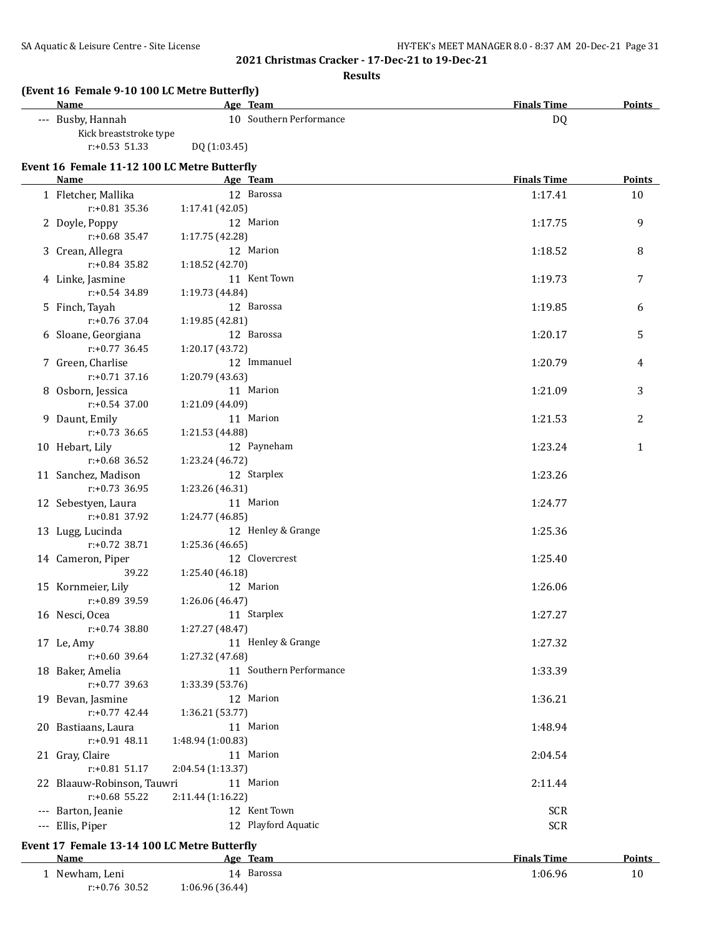**Results**

| (Event 16 Female 9-10 100 LC Metre Butterfly) |  |  |  |  |  |
|-----------------------------------------------|--|--|--|--|--|
|-----------------------------------------------|--|--|--|--|--|

| Name                   | Age Team                | <b>Finals Time</b> | <b>Points</b> |
|------------------------|-------------------------|--------------------|---------------|
| --- Busby, Hannah      | 10 Southern Performance | DC                 |               |
| Kick breaststroke type |                         |                    |               |
| $r: +0.53$ 51.33       | DQ (1:03.45)            |                    |               |

#### **Event 16 Female 11-12 100 LC Metre Butterfly**

r:+0.76 30.52 1:06.96 (36.44)

| Name                                         | Age Team                | <b>Finals Time</b> | <b>Points</b> |
|----------------------------------------------|-------------------------|--------------------|---------------|
| 1 Fletcher, Mallika                          | 12 Barossa              | 1:17.41            | 10            |
| $r: +0.81$ 35.36                             | 1:17.41 (42.05)         |                    |               |
| 2 Doyle, Poppy                               | 12 Marion               | 1:17.75            | 9             |
| $r: +0.68$ 35.47                             | 1:17.75 (42.28)         |                    |               |
| 3 Crean, Allegra                             | 12 Marion               | 1:18.52            | 8             |
| r:+0.84 35.82                                | 1:18.52 (42.70)         |                    |               |
| 4 Linke, Jasmine                             | 11 Kent Town            | 1:19.73            | 7             |
| r:+0.54 34.89                                | 1:19.73 (44.84)         |                    |               |
| 5 Finch, Tayah                               | 12 Barossa              | 1:19.85            | 6             |
| r:+0.76 37.04                                | 1:19.85 (42.81)         |                    |               |
| 6 Sloane, Georgiana                          | 12 Barossa              | 1:20.17            | 5             |
| $r: +0.77$ 36.45                             | 1:20.17 (43.72)         |                    |               |
| 7 Green, Charlise                            | 12 Immanuel             | 1:20.79            | 4             |
| $r: +0.71$ 37.16                             | 1:20.79 (43.63)         |                    |               |
| 8 Osborn, Jessica                            | 11 Marion               | 1:21.09            | 3             |
| $r: +0.54$ 37.00                             | 1:21.09 (44.09)         |                    |               |
| 9 Daunt, Emily                               | 11 Marion               | 1:21.53            | 2             |
| $r: +0.73$ 36.65                             | 1:21.53 (44.88)         |                    |               |
| 10 Hebart, Lily                              | 12 Payneham             | 1:23.24            | $\mathbf{1}$  |
| $r: +0.68$ 36.52                             | 1:23.24 (46.72)         |                    |               |
| 11 Sanchez, Madison                          | 12 Starplex             | 1:23.26            |               |
| $r: +0.73$ 36.95                             | 1:23.26 (46.31)         |                    |               |
| 12 Sebestyen, Laura                          | 11 Marion               | 1:24.77            |               |
| r:+0.81 37.92                                | 1:24.77 (46.85)         |                    |               |
| 13 Lugg, Lucinda                             | 12 Henley & Grange      | 1:25.36            |               |
| $r: +0.72$ 38.71                             | 1:25.36 (46.65)         |                    |               |
| 14 Cameron, Piper                            | 12 Clovercrest          | 1:25.40            |               |
| 39.22                                        | 1:25.40 (46.18)         |                    |               |
| 15 Kornmeier, Lily                           | 12 Marion               | 1:26.06            |               |
| $r: +0.89$ 39.59                             | 1:26.06 (46.47)         |                    |               |
| 16 Nesci, Ocea                               | 11 Starplex             | 1:27.27            |               |
| r:+0.74 38.80                                | 1:27.27 (48.47)         |                    |               |
| 17 Le, Amy                                   | 11 Henley & Grange      | 1:27.32            |               |
| $r: +0.60$ 39.64                             | 1:27.32 (47.68)         |                    |               |
| 18 Baker, Amelia                             | 11 Southern Performance | 1:33.39            |               |
| $r: +0.77$ 39.63                             | 1:33.39 (53.76)         |                    |               |
| 19 Bevan, Jasmine                            | 12 Marion               | 1:36.21            |               |
| r:+0.77 42.44                                | 1:36.21(53.77)          |                    |               |
| 20 Bastiaans, Laura                          | 11 Marion               | 1:48.94            |               |
| r:+0.91 48.11                                | 1:48.94 (1:00.83)       |                    |               |
| 21 Gray, Claire                              | 11 Marion               | 2:04.54            |               |
| $r: +0.81$ 51.17                             | 2:04.54 (1:13.37)       |                    |               |
| 22 Blaauw-Robinson, Tauwri                   | 11 Marion               | 2:11.44            |               |
| r:+0.68 55.22                                | 2:11.44 (1:16.22)       |                    |               |
| --- Barton, Jeanie                           | 12 Kent Town            | <b>SCR</b>         |               |
| --- Ellis, Piper                             | 12 Playford Aquatic     | <b>SCR</b>         |               |
| Event 17 Female 13-14 100 LC Metre Butterfly |                         |                    |               |
| <b>Name</b>                                  | Age Team                | <b>Finals Time</b> | <b>Points</b> |
| 1 Newham, Leni                               | 14 Barossa              | 1:06.96            | 10            |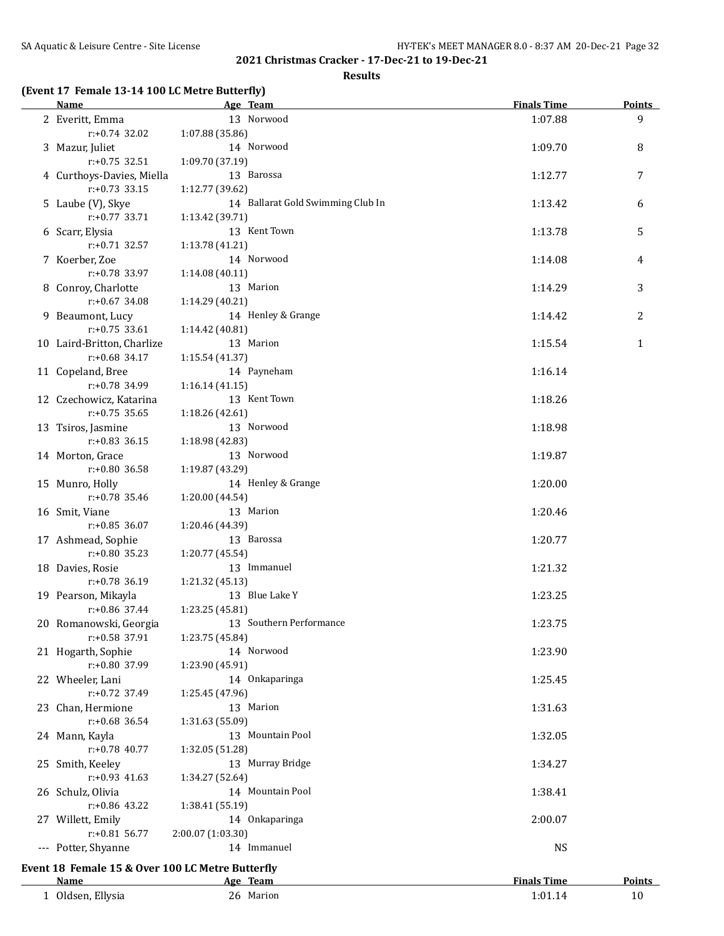**Results**

## **(Event 17 Female 13-14 100 LC Metre Butterfly)**

| Name                                                            | Age Team                                             | <b>Finals Time</b> | <b>Points</b> |
|-----------------------------------------------------------------|------------------------------------------------------|--------------------|---------------|
| 2 Everitt, Emma<br>$r: +0.74$ 32.02                             | 13 Norwood<br>1:07.88 (35.86)                        | 1:07.88            | 9             |
| 3 Mazur, Juliet<br>$r: +0.75$ 32.51                             | 14 Norwood<br>1:09.70 (37.19)                        | 1:09.70            | 8             |
| 4 Curthoys-Davies, Miella<br>$r: +0.73$ 33.15                   | 13 Barossa<br>1:12.77 (39.62)                        | 1:12.77            | 7             |
| 5 Laube (V), Skye<br>$r: +0.77$ 33.71                           | 14 Ballarat Gold Swimming Club In<br>1:13.42 (39.71) | 1:13.42            | 6             |
| 6 Scarr, Elysia<br>r:+0.71 32.57                                | 13 Kent Town<br>1:13.78 (41.21)                      | 1:13.78            | 5             |
| 7 Koerber, Zoe<br>r:+0.78 33.97                                 | 14 Norwood<br>1:14.08(40.11)                         | 1:14.08            | 4             |
| 8 Conroy, Charlotte<br>$r: +0.67$ 34.08                         | 13 Marion<br>1:14.29 (40.21)                         | 1:14.29            | 3             |
| 9 Beaumont, Lucy<br>$r: +0.75$ 33.61                            | 14 Henley & Grange<br>1:14.42 (40.81)                | 1:14.42            | 2             |
| 10 Laird-Britton, Charlize<br>r:+0.68 34.17                     | 13 Marion<br>1:15.54 (41.37)                         | 1:15.54            | 1             |
| 11 Copeland, Bree<br>r:+0.78 34.99                              | 14 Payneham<br>1:16.14(41.15)                        | 1:16.14            |               |
| 12 Czechowicz, Katarina<br>$r: +0.75$ 35.65                     | 13 Kent Town<br>1:18.26 (42.61)                      | 1:18.26            |               |
| 13 Tsiros, Jasmine<br>$r: +0.83$ 36.15                          | 13 Norwood<br>1:18.98 (42.83)                        | 1:18.98            |               |
| 14 Morton, Grace<br>$r: +0.80$ 36.58                            | 13 Norwood<br>1:19.87 (43.29)                        | 1:19.87            |               |
| 15 Munro, Holly<br>$r: +0.78$ 35.46                             | 14 Henley & Grange<br>1:20.00 (44.54)                | 1:20.00            |               |
| 16 Smit, Viane<br>$r: +0.85$ 36.07                              | 13 Marion<br>1:20.46 (44.39)                         | 1:20.46            |               |
| 17 Ashmead, Sophie<br>$r: +0.80$ 35.23                          | 13 Barossa<br>1:20.77 (45.54)                        | 1:20.77            |               |
| 18 Davies, Rosie<br>$r: +0.78$ 36.19                            | 13 Immanuel<br>1:21.32 (45.13)                       | 1:21.32            |               |
| 19 Pearson, Mikayla<br>$r: +0.86$ 37.44                         | 13 Blue Lake Y<br>1:23.25 (45.81)                    | 1:23.25            |               |
| 20 Romanowski, Georgia<br>r:+0.58 37.91                         | 13 Southern Performance<br>1:23.75 (45.84)           | 1:23.75            |               |
| 21 Hogarth, Sophie<br>r:+0.80 37.99                             | 14 Norwood<br>1:23.90 (45.91)                        | 1:23.90            |               |
| 22 Wheeler, Lani<br>$r: +0.72$ 37.49                            | 14 Onkaparinga<br>1:25.45 (47.96)                    | 1:25.45            |               |
| 23 Chan, Hermione<br>$r: +0.68$ 36.54                           | 13 Marion<br>1:31.63 (55.09)                         | 1:31.63            |               |
| 24 Mann, Kayla<br>r:+0.78 40.77                                 | 13 Mountain Pool<br>1:32.05 (51.28)                  | 1:32.05            |               |
| 25 Smith, Keeley<br>$r: +0.93$ 41.63                            | 13 Murray Bridge<br>1:34.27 (52.64)                  | 1:34.27            |               |
| 26 Schulz, Olivia<br>r:+0.86 43.22                              | 14 Mountain Pool<br>1:38.41 (55.19)                  | 1:38.41            |               |
| 27 Willett, Emily<br>$r: +0.81$ 56.77                           | 14 Onkaparinga<br>2:00.07 (1:03.30)                  | 2:00.07            |               |
| --- Potter, Shyanne                                             | 14 Immanuel                                          | <b>NS</b>          |               |
| Event 18 Female 15 & Over 100 LC Metre Butterfly<br><b>Name</b> | Age Team                                             | <b>Finals Time</b> | <b>Points</b> |
| 1 Oldsen, Ellysia                                               | 26 Marion                                            | 1:01.14            | 10            |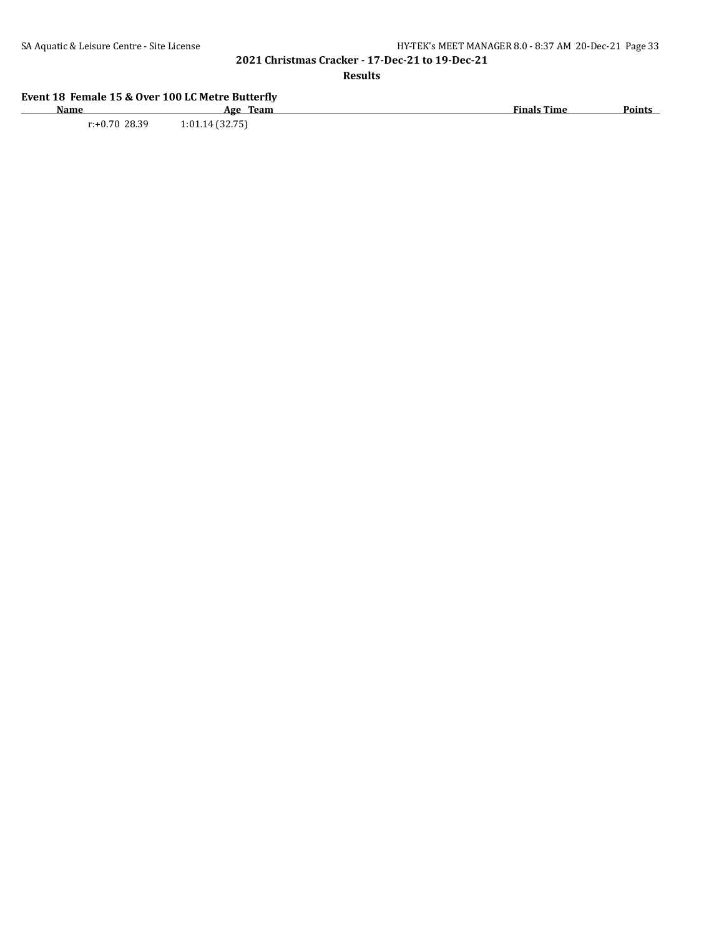**Results**

## **Event 18 Female 15 & Over 100 LC Metre Butterfly**

| Name                     | Team<br>Age                                                           | Time<br>--<br><b>Finals</b> | <b>Points</b> |
|--------------------------|-----------------------------------------------------------------------|-----------------------------|---------------|
| 28.39<br>$r:+(1)$ .<br>. | (22.75)<br>1:01<br>$\mathbf{L}$<br>.<br>the company of the company of |                             |               |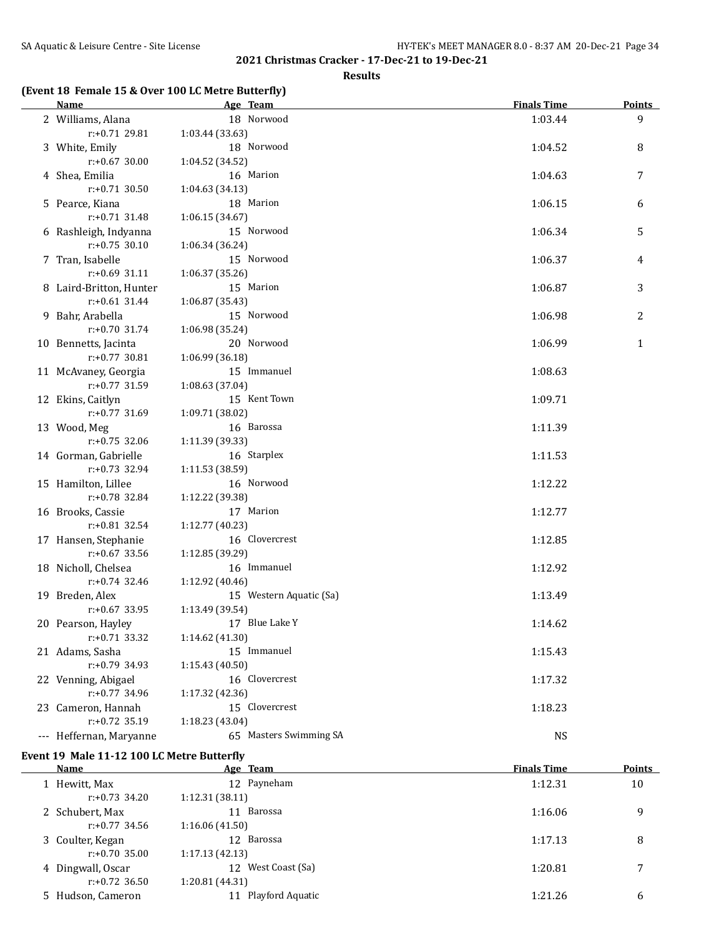**Results**

## **(Event 18 Female 15 & Over 100 LC Metre Butterfly)**

| Name                    | Age Team                | <b>Finals Time</b> | <b>Points</b> |
|-------------------------|-------------------------|--------------------|---------------|
| 2 Williams, Alana       | 18 Norwood              | 1:03.44            | 9             |
| r:+0.71 29.81           | 1:03.44 (33.63)         |                    |               |
| 3 White, Emily          | 18 Norwood              | 1:04.52            | 8             |
| $r: +0.67$ 30.00        | 1:04.52 (34.52)         |                    |               |
| 4 Shea, Emilia          | 16 Marion               | 1:04.63            | 7             |
| $r: +0.71$ 30.50        | 1:04.63 (34.13)         |                    |               |
| 5 Pearce, Kiana         | 18 Marion               | 1:06.15            | 6             |
| $r: +0.71$ 31.48        | 1:06.15 (34.67)         |                    |               |
| 6 Rashleigh, Indyanna   | 15 Norwood              | 1:06.34            | 5             |
| $r: +0.75$ 30.10        | 1:06.34 (36.24)         |                    |               |
| 7 Tran, Isabelle        | 15 Norwood              | 1:06.37            | 4             |
| $r: +0.69$ 31.11        | 1:06.37 (35.26)         |                    |               |
| 8 Laird-Britton, Hunter | 15 Marion               | 1:06.87            | 3             |
| $r: +0.61$ 31.44        | 1:06.87 (35.43)         |                    |               |
| 9 Bahr, Arabella        | 15 Norwood              | 1:06.98            | 2             |
| $r: +0.70$ 31.74        | 1:06.98 (35.24)         |                    |               |
| 10 Bennetts, Jacinta    | 20 Norwood              | 1:06.99            | $\mathbf{1}$  |
| $r: +0.77$ 30.81        | 1:06.99 (36.18)         |                    |               |
| 11 McAvaney, Georgia    | 15 Immanuel             | 1:08.63            |               |
| $r: +0.77$ 31.59        | 1:08.63 (37.04)         |                    |               |
| 12 Ekins, Caitlyn       | 15 Kent Town            | 1:09.71            |               |
| $r: +0.77$ 31.69        | 1:09.71 (38.02)         |                    |               |
| 13 Wood, Meg            | 16 Barossa              | 1:11.39            |               |
| $r: +0.75$ 32.06        | 1:11.39 (39.33)         |                    |               |
| 14 Gorman, Gabrielle    | 16 Starplex             | 1:11.53            |               |
| $r: +0.73$ 32.94        | 1:11.53 (38.59)         |                    |               |
| 15 Hamilton, Lillee     | 16 Norwood              | 1:12.22            |               |
| $r: +0.78$ 32.84        | 1:12.22 (39.38)         |                    |               |
| 16 Brooks, Cassie       | 17 Marion               | 1:12.77            |               |
| $r: +0.81$ 32.54        | 1:12.77 (40.23)         |                    |               |
| 17 Hansen, Stephanie    | 16 Clovercrest          | 1:12.85            |               |
| $r: +0.67$ 33.56        | 1:12.85 (39.29)         |                    |               |
| 18 Nicholl, Chelsea     | 16 Immanuel             | 1:12.92            |               |
| $r: +0.74$ 32.46        | 1:12.92 (40.46)         |                    |               |
| 19 Breden, Alex         | 15 Western Aquatic (Sa) | 1:13.49            |               |
| $r: +0.67$ 33.95        | 1:13.49 (39.54)         |                    |               |
| 20 Pearson, Hayley      | 17 Blue Lake Y          | 1:14.62            |               |
| r:+0.71 33.32           | 1:14.62 (41.30)         |                    |               |
| 21 Adams, Sasha         | 15 Immanuel             | 1:15.43            |               |
| r:+0.79 34.93           | 1:15.43 (40.50)         |                    |               |
| 22 Venning, Abigael     | 16 Clovercrest          | 1:17.32            |               |
| r:+0.77 34.96           | 1:17.32 (42.36)         |                    |               |
| 23 Cameron, Hannah      | 15 Clovercrest          | 1:18.23            |               |
| r:+0.72 35.19           | 1:18.23 (43.04)         |                    |               |
| --- Heffernan, Maryanne | 65 Masters Swimming SA  | <b>NS</b>          |               |

## **Event 19 Male 11-12 100 LC Metre Butterfly**

| Name              | Age Team           | <b>Finals Time</b> | <b>Points</b> |
|-------------------|--------------------|--------------------|---------------|
| 1 Hewitt, Max     | 12 Payneham        | 1:12.31            | 10            |
| $r: +0.73$ 34.20  | 1:12.31(38.11)     |                    |               |
| 2 Schubert, Max   | Barossa            | 1:16.06            | 9             |
| $r: +0.77$ 34.56  | 1:16.06(41.50)     |                    |               |
| 3 Coulter, Kegan  | 12 Barossa         | 1:17.13            | 8             |
| $r: +0.70$ 35.00  | 1:17.13(42.13)     |                    |               |
| 4 Dingwall, Oscar | 12 West Coast (Sa) | 1:20.81            | 7             |
| $r: +0.72$ 36.50  | 1:20.81 (44.31)    |                    |               |
| 5 Hudson, Cameron | Playford Aquatic   | 1:21.26            | 6             |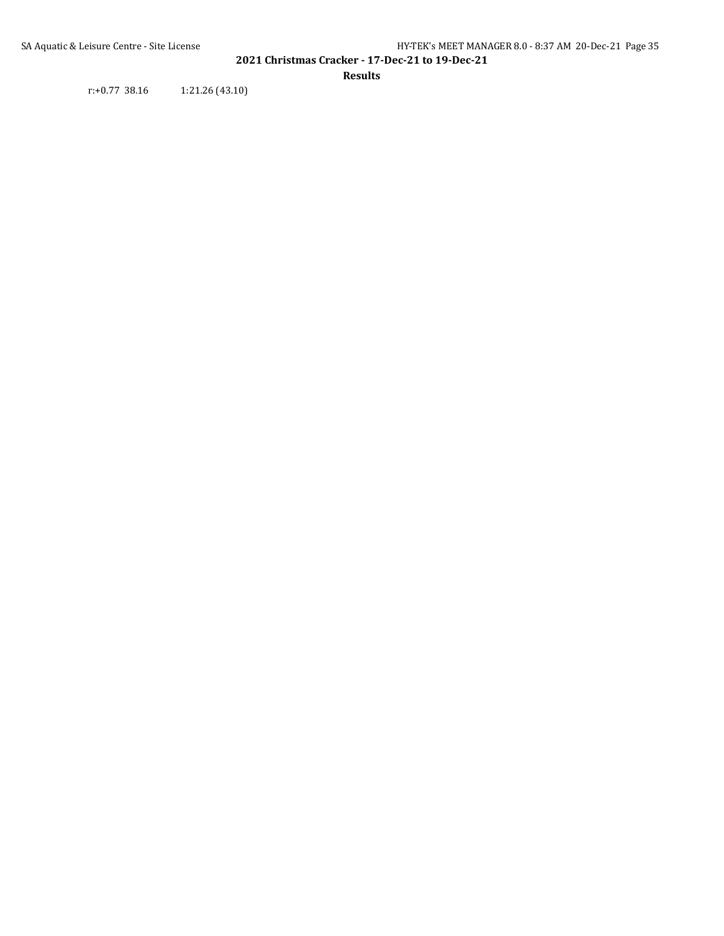**Results**

r:+0.77 38.16 1:21.26 (43.10)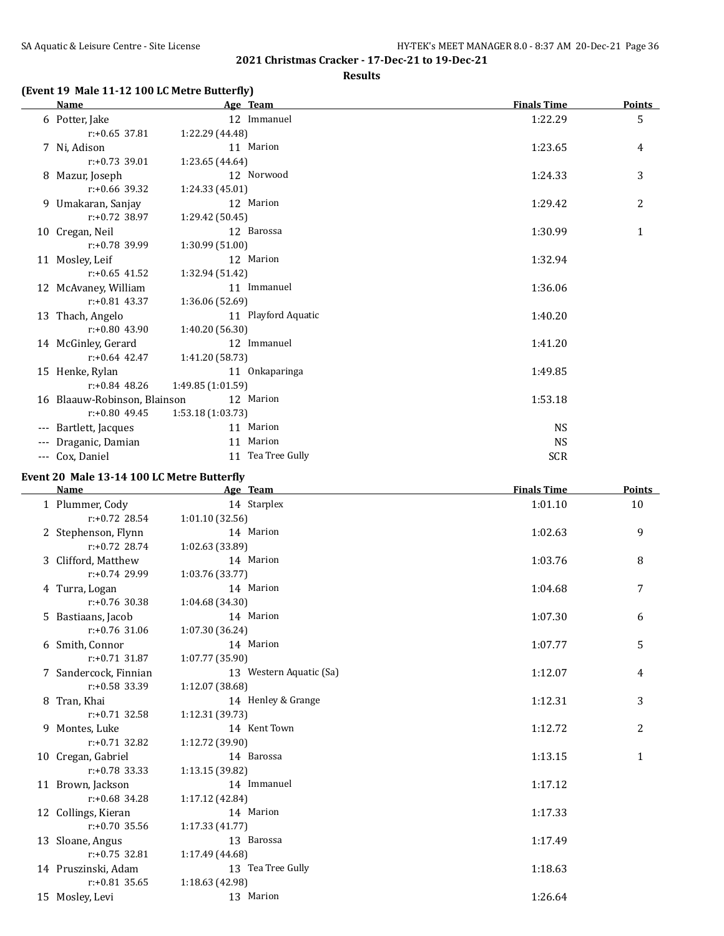**Results**

## **(Event 19 Male 11-12 100 LC Metre Butterfly)**

|                     | Name                         | Age Team          |                     | <b>Finals Time</b> | Points       |
|---------------------|------------------------------|-------------------|---------------------|--------------------|--------------|
|                     | 6 Potter, Jake               |                   | 12 Immanuel         | 1:22.29            | 5            |
|                     | $r: +0.65$ 37.81             | 1:22.29 (44.48)   |                     |                    |              |
|                     | 7 Ni, Adison                 |                   | 11 Marion           | 1:23.65            | 4            |
|                     | $r: +0.73$ 39.01             | 1:23.65 (44.64)   |                     |                    |              |
| 8                   | Mazur, Joseph                |                   | 12 Norwood          | 1:24.33            | 3            |
|                     | $r: +0.66$ 39.32             | 1:24.33 (45.01)   |                     |                    |              |
|                     | 9 Umakaran, Sanjay           |                   | 12 Marion           | 1:29.42            | 2            |
|                     | $r: +0.72$ 38.97             | 1:29.42 (50.45)   |                     |                    |              |
|                     | 10 Cregan, Neil              |                   | 12 Barossa          | 1:30.99            | $\mathbf{1}$ |
|                     | $r: +0.78$ 39.99             | 1:30.99 (51.00)   |                     |                    |              |
|                     | 11 Mosley, Leif              |                   | 12 Marion           | 1:32.94            |              |
|                     | $r: +0.65$ 41.52             | 1:32.94 (51.42)   |                     |                    |              |
|                     | 12 McAvaney, William         |                   | 11 Immanuel         | 1:36.06            |              |
|                     | $r: +0.81$ 43.37             | 1:36.06 (52.69)   |                     |                    |              |
|                     | 13 Thach, Angelo             |                   | 11 Playford Aquatic | 1:40.20            |              |
|                     | $r: +0.80$ 43.90             | 1:40.20 (56.30)   |                     |                    |              |
|                     | 14 McGinley, Gerard          |                   | 12 Immanuel         | 1:41.20            |              |
|                     | $r: +0.64$ 42.47             | 1:41.20 (58.73)   |                     |                    |              |
|                     | 15 Henke, Rylan              |                   | 11 Onkaparinga      | 1:49.85            |              |
|                     | $r: +0.84$ 48.26             | 1:49.85 (1:01.59) |                     |                    |              |
|                     | 16 Blaauw-Robinson, Blainson |                   | 12 Marion           | 1:53.18            |              |
|                     | $r: +0.80$ 49.45             | 1:53.18(1:03.73)  |                     |                    |              |
| $\qquad \qquad - -$ | Bartlett, Jacques            |                   | 11 Marion           | NS                 |              |
|                     | Draganic, Damian             |                   | 11 Marion           | <b>NS</b>          |              |
| $---$               | Cox, Daniel                  |                   | 11 Tea Tree Gully   | <b>SCR</b>         |              |

# **Event 20 Male 13-14 100 LC Metre Butterfly**

|  | <b>Name</b>           | Age Team                | <b>Finals Time</b> | <b>Points</b>  |
|--|-----------------------|-------------------------|--------------------|----------------|
|  | 1 Plummer, Cody       | 14 Starplex             | 1:01.10            | 10             |
|  | $r: +0.72$ 28.54      | 1:01.10(32.56)          |                    |                |
|  | 2 Stephenson, Flynn   | 14 Marion               | 1:02.63            | 9              |
|  | $r: +0.72$ 28.74      | 1:02.63 (33.89)         |                    |                |
|  | 3 Clifford, Matthew   | 14 Marion               | 1:03.76            | 8              |
|  | $r: +0.74$ 29.99      | 1:03.76 (33.77)         |                    |                |
|  | 4 Turra, Logan        | 14 Marion               | 1:04.68            | 7              |
|  | $r: +0.76$ 30.38      | 1:04.68 (34.30)         |                    |                |
|  | 5 Bastiaans, Jacob    | 14 Marion               | 1:07.30            | 6              |
|  | $r: +0.76$ 31.06      | 1:07.30 (36.24)         |                    |                |
|  | 6 Smith, Connor       | 14 Marion               | 1:07.77            | 5              |
|  | $r: +0.71$ 31.87      | 1:07.77 (35.90)         |                    |                |
|  | 7 Sandercock, Finnian | 13 Western Aquatic (Sa) | 1:12.07            | 4              |
|  | $r: +0.58$ 33.39      | 1:12.07 (38.68)         |                    |                |
|  | 8 Tran, Khai          | 14 Henley & Grange      | 1:12.31            | 3              |
|  | $r: +0.71$ 32.58      | 1:12.31 (39.73)         |                    |                |
|  | 9 Montes, Luke        | 14 Kent Town            | 1:12.72            | $\overline{2}$ |
|  | $r: +0.71$ 32.82      | 1:12.72 (39.90)         |                    |                |
|  | 10 Cregan, Gabriel    | 14 Barossa              | 1:13.15            | 1              |
|  | $r: +0.78$ 33.33      | 1:13.15 (39.82)         |                    |                |
|  | 11 Brown, Jackson     | 14 Immanuel             | 1:17.12            |                |
|  | $r: +0.68$ 34.28      | 1:17.12 (42.84)         |                    |                |
|  | 12 Collings, Kieran   | 14 Marion               | 1:17.33            |                |
|  | $r: +0.70$ 35.56      | 1:17.33(41.77)          |                    |                |
|  | 13 Sloane, Angus      | 13 Barossa              | 1:17.49            |                |
|  | $r: +0.75$ 32.81      | 1:17.49 (44.68)         |                    |                |
|  | 14 Pruszinski, Adam   | 13 Tea Tree Gully       | 1:18.63            |                |
|  | $r: +0.81$ 35.65      | 1:18.63 (42.98)         |                    |                |
|  | 15 Mosley, Levi       | 13 Marion               | 1:26.64            |                |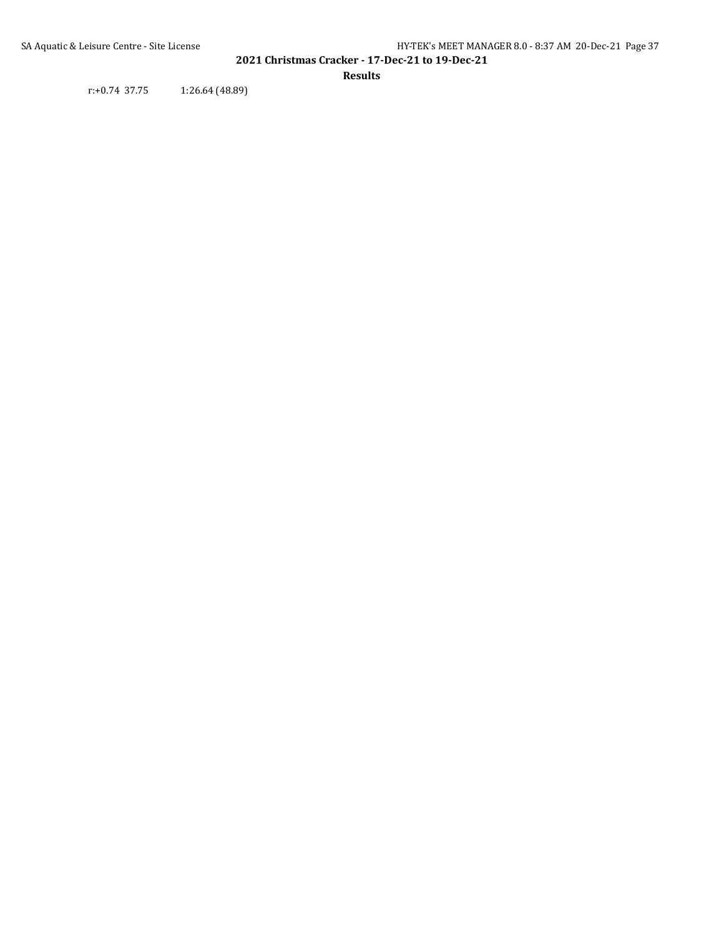**Results**

r:+0.74 37.75 1:26.64 (48.89)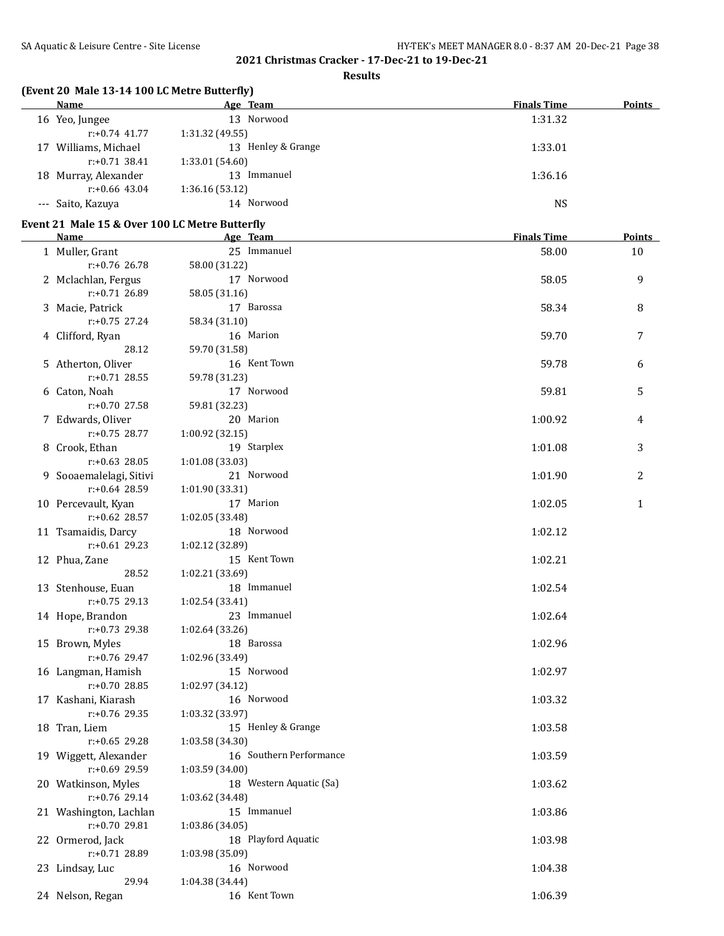**Results**

# **(Event 20 Male 13-14 100 LC Metre Butterfly)**

| Name                 | Age Team              | <b>Finals Time</b> | Points |
|----------------------|-----------------------|--------------------|--------|
| 16 Yeo, Jungee       | Norwood<br>13         | 1:31.32            |        |
| $r: +0.74$ 41.77     | 1:31.32 (49.55)       |                    |        |
| 17 Williams, Michael | Henley & Grange<br>13 | 1:33.01            |        |
| $r: +0.71$ 38.41     | 1:33.01(54.60)        |                    |        |
| 18 Murray, Alexander | Immanuel<br>13        | 1:36.16            |        |
| $r: +0.66$ 43.04     | 1:36.16(53.12)        |                    |        |
| --- Saito, Kazuya    | Norwood<br>14         | <b>NS</b>          |        |
|                      |                       |                    |        |

# **Event 21 Male 15 & Over 100 LC Metre Butterfly**

| Name                    |                 | Age Team                | <b>Finals Time</b> | Points         |
|-------------------------|-----------------|-------------------------|--------------------|----------------|
| 1 Muller, Grant         |                 | 25 Immanuel             | 58.00              | 10             |
| r:+0.76 26.78           | 58.00 (31.22)   |                         |                    |                |
| 2 Mclachlan, Fergus     |                 | 17 Norwood              | 58.05              | $\overline{9}$ |
| $r: +0.71$ 26.89        | 58.05 (31.16)   |                         |                    |                |
| 3 Macie, Patrick        |                 | 17 Barossa              | 58.34              | 8              |
| $r: +0.75$ 27.24        | 58.34 (31.10)   |                         |                    |                |
| 4 Clifford, Ryan        |                 | 16 Marion               | 59.70              | 7              |
| 28.12                   | 59.70 (31.58)   |                         |                    |                |
| 5 Atherton, Oliver      |                 | 16 Kent Town            | 59.78              | 6              |
| $r: +0.71$ 28.55        | 59.78 (31.23)   |                         |                    |                |
| 6 Caton, Noah           |                 | 17 Norwood              | 59.81              | 5              |
| $r: +0.70$ 27.58        | 59.81 (32.23)   |                         |                    |                |
| 7 Edwards, Oliver       |                 | 20 Marion               | 1:00.92            | 4              |
| $r: +0.75$ 28.77        | 1:00.92 (32.15) |                         |                    |                |
| 8 Crook, Ethan          |                 | 19 Starplex             | 1:01.08            | 3              |
| $r: +0.63$ 28.05        | 1:01.08 (33.03) |                         |                    |                |
| 9 Sooaemalelagi, Sitivi |                 | 21 Norwood              | 1:01.90            | 2              |
| $r: +0.64$ 28.59        | 1:01.90 (33.31) |                         |                    |                |
| 10 Percevault, Kyan     |                 | 17 Marion               | 1:02.05            | 1              |
| $r: +0.62$ 28.57        | 1:02.05 (33.48) |                         |                    |                |
| 11 Tsamaidis, Darcy     |                 | 18 Norwood              | 1:02.12            |                |
| $r: +0.61$ 29.23        | 1:02.12 (32.89) |                         |                    |                |
| 12 Phua, Zane           |                 | 15 Kent Town            | 1:02.21            |                |
| 28.52                   | 1:02.21 (33.69) |                         |                    |                |
| 13 Stenhouse, Euan      |                 | 18 Immanuel             | 1:02.54            |                |
| $r: +0.75$ 29.13        | 1:02.54 (33.41) |                         |                    |                |
| 14 Hope, Brandon        |                 | 23 Immanuel             | 1:02.64            |                |
| $r: +0.73$ 29.38        | 1:02.64 (33.26) |                         |                    |                |
| 15 Brown, Myles         |                 | 18 Barossa              | 1:02.96            |                |
| r:+0.76 29.47           | 1:02.96 (33.49) |                         |                    |                |
| 16 Langman, Hamish      |                 | 15 Norwood              | 1:02.97            |                |
| $r: +0.70$ 28.85        | 1:02.97 (34.12) |                         |                    |                |
| 17 Kashani, Kiarash     |                 | 16 Norwood              | 1:03.32            |                |
| $r: +0.76$ 29.35        | 1:03.32 (33.97) |                         |                    |                |
| 18 Tran, Liem           |                 | 15 Henley & Grange      | 1:03.58            |                |
| r:+0.65 29.28           | 1:03.58 (34.30) |                         |                    |                |
| 19 Wiggett, Alexander   |                 | 16 Southern Performance | 1:03.59            |                |
| r:+0.69 29.59           | 1:03.59 (34.00) |                         |                    |                |
| 20 Watkinson, Myles     |                 | 18 Western Aquatic (Sa) | 1:03.62            |                |
| r:+0.76 29.14           | 1:03.62 (34.48) |                         |                    |                |
| 21 Washington, Lachlan  |                 | 15 Immanuel             | 1:03.86            |                |
| r:+0.70 29.81           | 1:03.86 (34.05) |                         |                    |                |
| 22 Ormerod, Jack        |                 | 18 Playford Aquatic     | 1:03.98            |                |
| r:+0.71 28.89           | 1:03.98 (35.09) |                         |                    |                |
| 23 Lindsay, Luc         |                 | 16 Norwood              | 1:04.38            |                |
| 29.94                   | 1:04.38 (34.44) |                         |                    |                |
| 24 Nelson, Regan        |                 | 16 Kent Town            | 1:06.39            |                |
|                         |                 |                         |                    |                |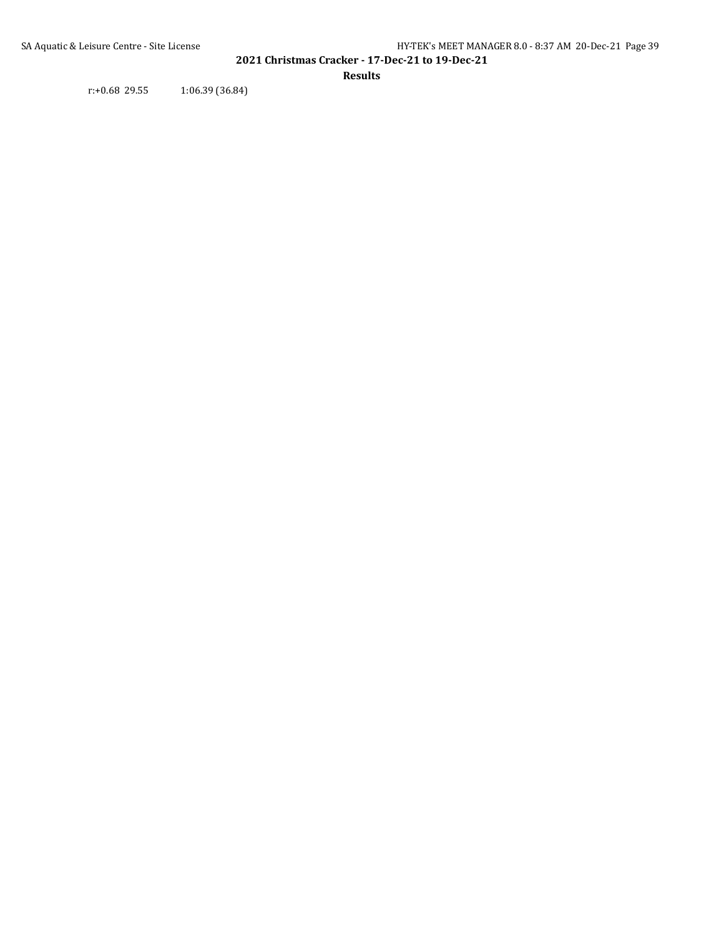**Results**

r:+0.68 29.55 1:06.39 (36.84)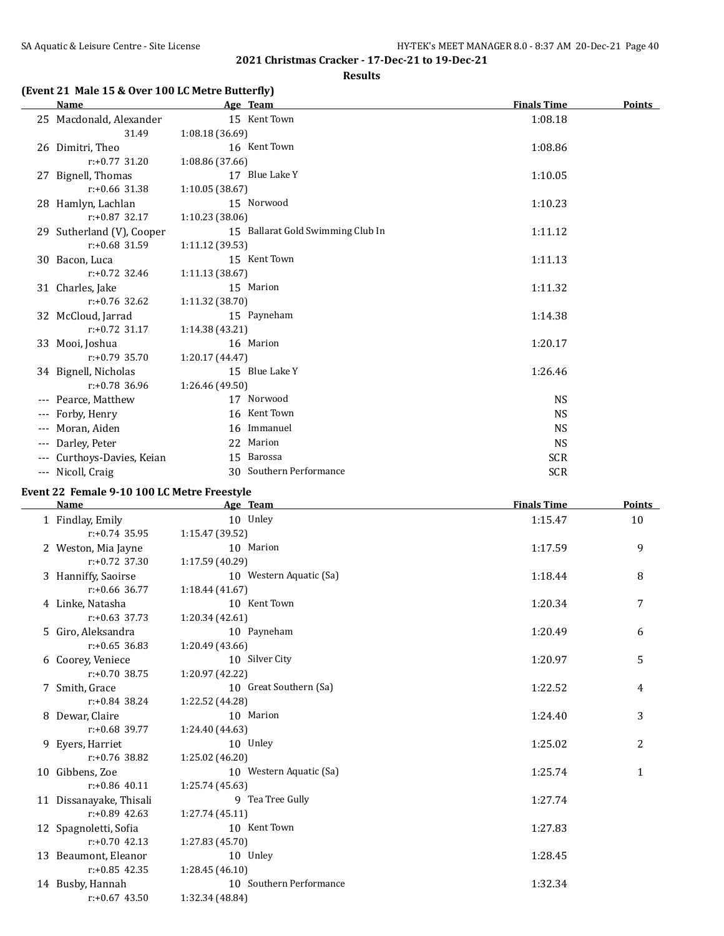**Results**

# **(Event 21 Male 15 & Over 100 LC Metre Butterfly)**

|                     | <b>Name</b>               |                 | Age Team                          | <b>Finals Time</b> | <b>Points</b> |
|---------------------|---------------------------|-----------------|-----------------------------------|--------------------|---------------|
|                     | 25 Macdonald, Alexander   |                 | 15 Kent Town                      | 1:08.18            |               |
|                     | 31.49                     | 1:08.18(36.69)  |                                   |                    |               |
|                     | 26 Dimitri, Theo          |                 | 16 Kent Town                      | 1:08.86            |               |
|                     | $r: +0.77$ 31.20          | 1:08.86 (37.66) |                                   |                    |               |
|                     | 27 Bignell, Thomas        |                 | 17 Blue Lake Y                    | 1:10.05            |               |
|                     | $r: +0.66$ 31.38          | 1:10.05(38.67)  |                                   |                    |               |
|                     | 28 Hamlyn, Lachlan        |                 | 15 Norwood                        | 1:10.23            |               |
|                     | $r: +0.87$ 32.17          | 1:10.23(38.06)  |                                   |                    |               |
|                     | 29 Sutherland (V), Cooper |                 | 15 Ballarat Gold Swimming Club In | 1:11.12            |               |
|                     | $r: +0.68$ 31.59          | 1:11.12(39.53)  |                                   |                    |               |
|                     | 30 Bacon, Luca            |                 | 15 Kent Town                      | 1:11.13            |               |
|                     | $r: +0.72$ 32.46          | 1:11.13(38.67)  |                                   |                    |               |
|                     | 31 Charles, Jake          |                 | 15 Marion                         | 1:11.32            |               |
|                     | $r: +0.76$ 32.62          | 1:11.32 (38.70) |                                   |                    |               |
|                     | 32 McCloud, Jarrad        |                 | 15 Payneham                       | 1:14.38            |               |
|                     | $r: +0.72$ 31.17          | 1:14.38(43.21)  |                                   |                    |               |
|                     | 33 Mooi, Joshua           |                 | 16 Marion                         | 1:20.17            |               |
|                     | $r: +0.79$ 35.70          | 1:20.17 (44.47) |                                   |                    |               |
|                     | 34 Bignell, Nicholas      |                 | 15 Blue Lake Y                    | 1:26.46            |               |
|                     | $r: +0.78$ 36.96          | 1:26.46 (49.50) |                                   |                    |               |
| $\qquad \qquad - -$ | Pearce, Matthew           |                 | 17 Norwood                        | NS.                |               |
| ---                 | Forby, Henry              |                 | 16 Kent Town                      | <b>NS</b>          |               |
| $---$               | Moran, Aiden              |                 | 16 Immanuel                       | <b>NS</b>          |               |
| $---$               | Darley, Peter             |                 | 22 Marion                         | <b>NS</b>          |               |
|                     | Curthoys-Davies, Keian    |                 | 15 Barossa                        | <b>SCR</b>         |               |
|                     | --- Nicoll, Craig         |                 | 30 Southern Performance           | <b>SCR</b>         |               |

# **Event 22 Female 9-10 100 LC Metre Freestyle**

| Name                    | Age Team                | <b>Finals Time</b> | <b>Points</b> |
|-------------------------|-------------------------|--------------------|---------------|
| 1 Findlay, Emily        | 10 Unley                | 1:15.47            | 10            |
| $r: +0.74$ 35.95        | 1:15.47(39.52)          |                    |               |
| 2 Weston, Mia Jayne     | 10 Marion               | 1:17.59            | 9             |
| $r: +0.72$ 37.30        | 1:17.59 (40.29)         |                    |               |
| 3 Hanniffy, Saoirse     | 10 Western Aquatic (Sa) | 1:18.44            | 8             |
| $r: +0.66$ 36.77        | 1:18.44(41.67)          |                    |               |
| 4 Linke, Natasha        | 10 Kent Town            | 1:20.34            | 7             |
| $r: +0.63$ 37.73        | 1:20.34 (42.61)         |                    |               |
| 5 Giro, Aleksandra      | 10 Payneham             | 1:20.49            | 6             |
| $r: +0.65$ 36.83        | 1:20.49 (43.66)         |                    |               |
| 6 Coorey, Veniece       | 10 Silver City          | 1:20.97            | 5             |
| $r: +0.70$ 38.75        | 1:20.97 (42.22)         |                    |               |
| 7 Smith, Grace          | 10 Great Southern (Sa)  | 1:22.52            | 4             |
| $r: +0.84$ 38.24        | 1:22.52 (44.28)         |                    |               |
| 8 Dewar, Claire         | 10 Marion               | 1:24.40            | 3             |
| $r: +0.68$ 39.77        | 1:24.40 (44.63)         |                    |               |
| 9 Eyers, Harriet        | 10 Unley                | 1:25.02            | 2             |
| $r: +0.76$ 38.82        | 1:25.02 (46.20)         |                    |               |
| 10 Gibbens. Zoe         | 10 Western Aquatic (Sa) | 1:25.74            | 1             |
| $r: +0.86$ 40.11        | 1:25.74 (45.63)         |                    |               |
| 11 Dissanayake, Thisali | 9 Tea Tree Gully        | 1:27.74            |               |
| $r: +0.89$ 42.63        | 1:27.74(45.11)          |                    |               |
| 12 Spagnoletti, Sofia   | 10 Kent Town            | 1:27.83            |               |
| $r: +0.70$ 42.13        | 1:27.83 (45.70)         |                    |               |
| 13 Beaumont, Eleanor    | 10 Unley                | 1:28.45            |               |
| $r: +0.85$ 42.35        | 1:28.45 (46.10)         |                    |               |
| 14 Busby, Hannah        | 10 Southern Performance | 1:32.34            |               |
| $r: +0.67$ 43.50        | 1:32.34 (48.84)         |                    |               |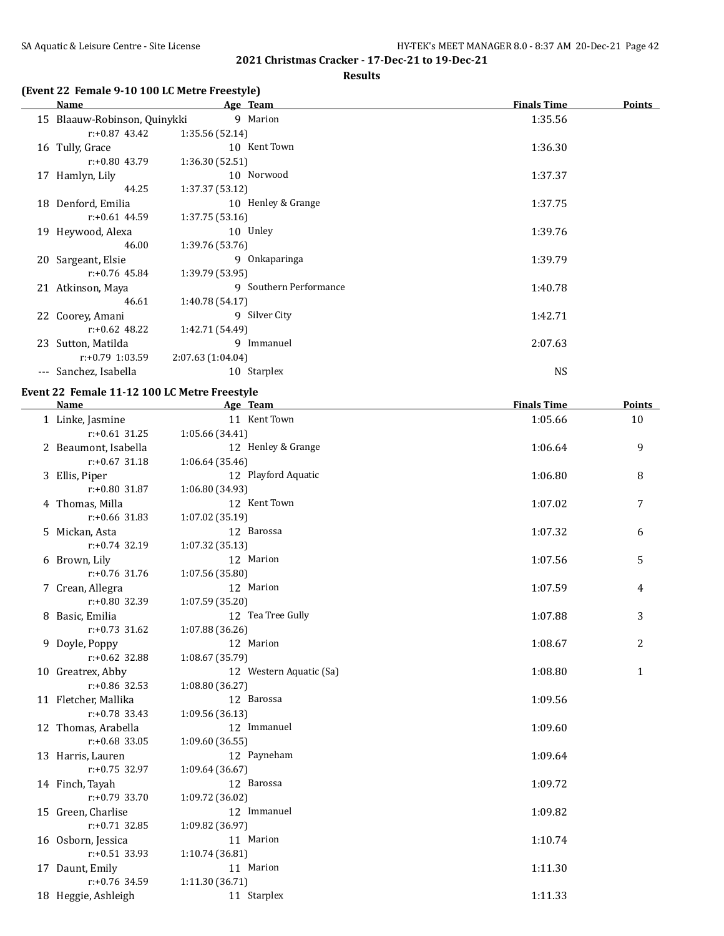#### **Results**

# **(Event 22 Female 9-10 100 LC Metre Freestyle)**

|       | Name                      | Age Team               | <b>Finals Time</b> | <b>Points</b> |
|-------|---------------------------|------------------------|--------------------|---------------|
| 15    | Blaauw-Robinson, Quinykki | 9 Marion               | 1:35.56            |               |
|       | $r: +0.87$ 43.42          | 1:35.56(52.14)         |                    |               |
|       | 16 Tully, Grace           | 10 Kent Town           | 1:36.30            |               |
|       | $r: +0.80$ 43.79          | 1:36.30(52.51)         |                    |               |
|       | 17 Hamlyn, Lily           | 10 Norwood             | 1:37.37            |               |
|       | 44.25                     | 1:37.37(53.12)         |                    |               |
| 18    | Denford, Emilia           | 10 Henley & Grange     | 1:37.75            |               |
|       | $r: +0.61$ 44.59          | 1:37.75(53.16)         |                    |               |
|       | 19 Heywood, Alexa         | 10 Unley               | 1:39.76            |               |
|       | 46.00                     | 1:39.76 (53.76)        |                    |               |
|       | 20 Sargeant, Elsie        | 9 Onkaparinga          | 1:39.79            |               |
|       | $r: +0.76$ 45.84          | 1:39.79 (53.95)        |                    |               |
|       | 21 Atkinson, Maya         | 9 Southern Performance | 1:40.78            |               |
|       | 46.61                     | 1:40.78 (54.17)        |                    |               |
|       | 22 Coorey, Amani          | 9 Silver City          | 1:42.71            |               |
|       | $r: +0.62$ 48.22          | 1:42.71 (54.49)        |                    |               |
|       | 23 Sutton, Matilda        | Immanuel<br>9          | 2:07.63            |               |
|       | $r: +0.79$ 1:03.59        | 2:07.63 (1:04.04)      |                    |               |
| $---$ | Sanchez, Isabella         | 10 Starplex            | <b>NS</b>          |               |

# **Event 22 Female 11-12 100 LC Metre Freestyle**

| Name                 | Age Team                | <b>Finals Time</b> | <b>Points</b> |
|----------------------|-------------------------|--------------------|---------------|
| 1 Linke, Jasmine     | 11 Kent Town            | 1:05.66            | 10            |
| $r: +0.61$ 31.25     | 1:05.66 (34.41)         |                    |               |
| 2 Beaumont, Isabella | 12 Henley & Grange      | 1:06.64            | 9             |
| $r: +0.67$ 31.18     | 1:06.64 (35.46)         |                    |               |
| 3 Ellis, Piper       | 12 Playford Aquatic     | 1:06.80            | 8             |
| $r: +0.80$ 31.87     | 1:06.80 (34.93)         |                    |               |
| 4 Thomas, Milla      | 12 Kent Town            | 1:07.02            | 7             |
| $r: +0.66$ 31.83     | 1:07.02 (35.19)         |                    |               |
| 5 Mickan, Asta       | 12 Barossa              | 1:07.32            | 6             |
| $r: +0.74$ 32.19     | 1:07.32 (35.13)         |                    |               |
| 6 Brown, Lily        | 12 Marion               | 1:07.56            | 5             |
| $r: +0.76$ 31.76     | 1:07.56 (35.80)         |                    |               |
| 7 Crean, Allegra     | 12 Marion               | 1:07.59            | 4             |
| r:+0.80 32.39        | 1:07.59 (35.20)         |                    |               |
| 8 Basic, Emilia      | 12 Tea Tree Gully       | 1:07.88            | 3             |
| $r: +0.73$ 31.62     | 1:07.88 (36.26)         |                    |               |
| 9 Doyle, Poppy       | 12 Marion               | 1:08.67            | 2             |
| $r: +0.62$ 32.88     | 1:08.67 (35.79)         |                    |               |
| 10 Greatrex, Abby    | 12 Western Aquatic (Sa) | 1:08.80            | $\mathbf{1}$  |
| r:+0.86 32.53        | 1:08.80 (36.27)         |                    |               |
| 11 Fletcher, Mallika | 12 Barossa              | 1:09.56            |               |
| $r: +0.78$ 33.43     | 1:09.56 (36.13)         |                    |               |
| 12 Thomas, Arabella  | 12 Immanuel             | 1:09.60            |               |
| $r: +0.68$ 33.05     | 1:09.60 (36.55)         |                    |               |
| 13 Harris, Lauren    | 12 Payneham             | 1:09.64            |               |
| r:+0.75 32.97        | 1:09.64 (36.67)         |                    |               |
| 14 Finch, Tayah      | 12 Barossa              | 1:09.72            |               |
| $r: +0.79$ 33.70     | 1:09.72 (36.02)         |                    |               |
| 15 Green, Charlise   | 12 Immanuel             | 1:09.82            |               |
| $r: +0.71$ 32.85     | 1:09.82 (36.97)         |                    |               |
| 16 Osborn, Jessica   | 11 Marion               | 1:10.74            |               |
| $r: +0.51$ 33.93     | 1:10.74 (36.81)         |                    |               |
| 17 Daunt, Emily      | 11 Marion               | 1:11.30            |               |
| $r: +0.76$ 34.59     | 1:11.30 (36.71)         |                    |               |
| 18 Heggie, Ashleigh  | 11 Starplex             | 1:11.33            |               |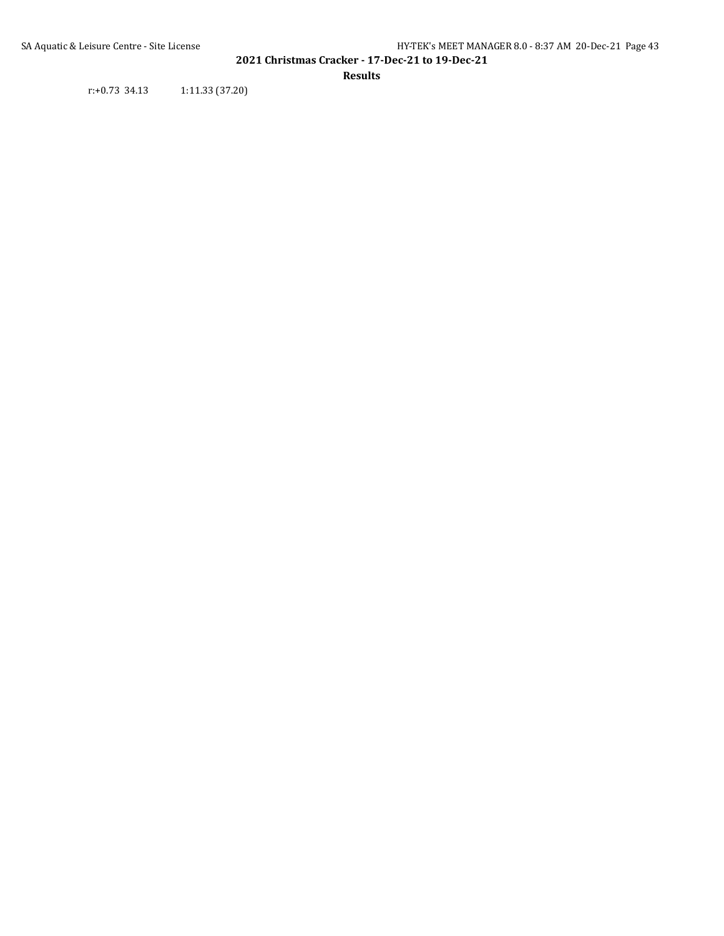**Results**

r:+0.73 34.13 1:11.33 (37.20)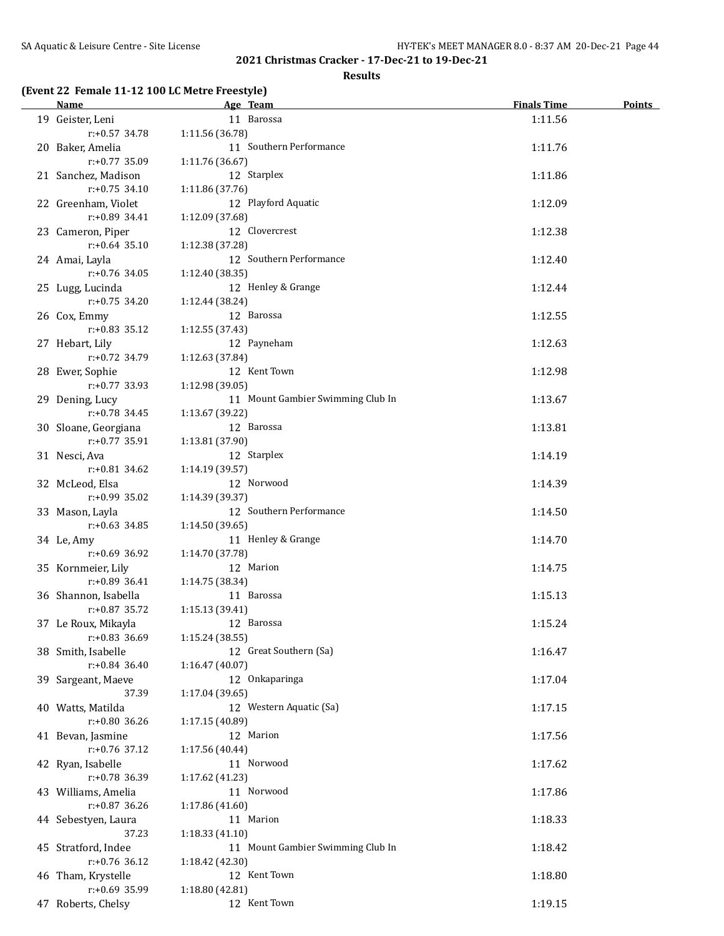**Results**

# **(Event 22 Female 11-12 100 LC Metre Freestyle)**

| Name                                     | Age Team                                             | <b>Finals Time</b> | <b>Points</b> |
|------------------------------------------|------------------------------------------------------|--------------------|---------------|
| 19 Geister, Leni<br>r:+0.57 34.78        | 11 Barossa<br>1:11.56 (36.78)                        | 1:11.56            |               |
| 20 Baker, Amelia<br>$r: +0.77$ 35.09     | 11 Southern Performance<br>1:11.76 (36.67)           | 1:11.76            |               |
| 21 Sanchez, Madison<br>$r: +0.75$ 34.10  | 12 Starplex<br>1:11.86 (37.76)                       | 1:11.86            |               |
| 22 Greenham, Violet<br>r:+0.89 34.41     | 12 Playford Aquatic<br>1:12.09 (37.68)               | 1:12.09            |               |
| 23 Cameron, Piper<br>$r: +0.64$ 35.10    | 12 Clovercrest<br>1:12.38 (37.28)                    | 1:12.38            |               |
| 24 Amai, Layla<br>r:+0.76 34.05          | 12 Southern Performance<br>1:12.40 (38.35)           | 1:12.40            |               |
| 25 Lugg, Lucinda<br>$r: +0.75$ 34.20     | 12 Henley & Grange<br>1:12.44 (38.24)                | 1:12.44            |               |
| 26 Cox, Emmy<br>$r: +0.83$ 35.12         | 12 Barossa<br>1:12.55(37.43)                         | 1:12.55            |               |
| 27 Hebart, Lily<br>$r: +0.72$ 34.79      | 12 Payneham<br>1:12.63 (37.84)                       | 1:12.63            |               |
| 28 Ewer, Sophie<br>$r: +0.77$ 33.93      | 12 Kent Town<br>1:12.98 (39.05)                      | 1:12.98            |               |
| 29 Dening, Lucy<br>$r: +0.78$ 34.45      | 11 Mount Gambier Swimming Club In<br>1:13.67 (39.22) | 1:13.67            |               |
| 30 Sloane, Georgiana<br>$r: +0.77$ 35.91 | 12 Barossa<br>1:13.81 (37.90)                        | 1:13.81            |               |
| 31 Nesci, Ava<br>$r: +0.81$ 34.62        | 12 Starplex<br>1:14.19 (39.57)                       | 1:14.19            |               |
| 32 McLeod, Elsa<br>$r: +0.99$ 35.02      | 12 Norwood<br>1:14.39 (39.37)                        | 1:14.39            |               |
| 33 Mason, Layla<br>$r: +0.63$ 34.85      | 12 Southern Performance<br>1:14.50 (39.65)           | 1:14.50            |               |
| 34 Le, Amy<br>$r: +0.69$ 36.92           | 11 Henley & Grange<br>1:14.70 (37.78)                | 1:14.70            |               |
| 35 Kornmeier, Lily<br>$r: +0.89$ 36.41   | 12 Marion<br>1:14.75 (38.34)                         | 1:14.75            |               |
| 36 Shannon, Isabella<br>$r: +0.87$ 35.72 | 11 Barossa<br>1:15.13 (39.41)                        | 1:15.13            |               |
| 37 Le Roux, Mikayla<br>r:+0.83 36.69     | 12 Barossa<br>1:15.24 (38.55)                        | 1:15.24            |               |
| 38 Smith, Isabelle<br>$r: +0.84$ 36.40   | 12 Great Southern (Sa)<br>1:16.47 (40.07)            | 1:16.47            |               |
| 39 Sargeant, Maeve<br>37.39              | 12 Onkaparinga<br>1:17.04 (39.65)                    | 1:17.04            |               |
| 40 Watts, Matilda<br>r:+0.80 36.26       | 12 Western Aquatic (Sa)<br>1:17.15 (40.89)           | 1:17.15            |               |
| 41 Bevan, Jasmine<br>r:+0.76 37.12       | 12 Marion<br>1:17.56 (40.44)                         | 1:17.56            |               |
| 42 Ryan, Isabelle<br>r:+0.78 36.39       | 11 Norwood<br>1:17.62 (41.23)                        | 1:17.62            |               |
| 43 Williams, Amelia<br>$r: +0.87$ 36.26  | 11 Norwood<br>1:17.86 (41.60)                        | 1:17.86            |               |
| 44 Sebestyen, Laura<br>37.23             | 11 Marion<br>1:18.33(41.10)                          | 1:18.33            |               |
| 45 Stratford, Indee<br>r:+0.76 36.12     | 11 Mount Gambier Swimming Club In<br>1:18.42 (42.30) | 1:18.42            |               |
| 46 Tham, Krystelle<br>r:+0.69 35.99      | 12 Kent Town<br>1:18.80 (42.81)                      | 1:18.80            |               |
| 47 Roberts, Chelsy                       | 12 Kent Town                                         | 1:19.15            |               |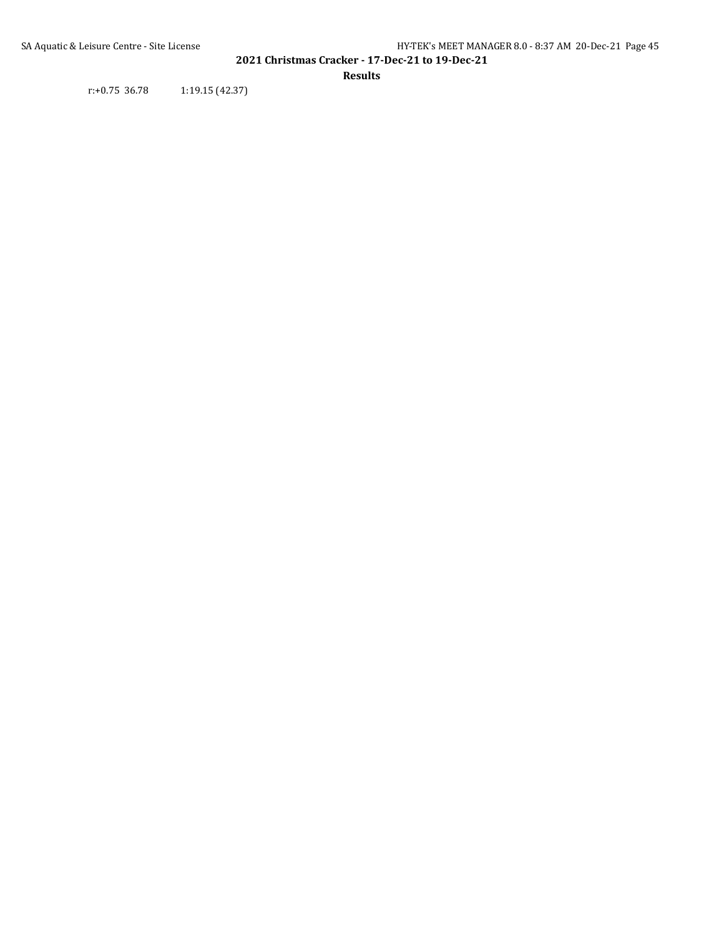**Results**

r:+0.75 36.78 1:19.15 (42.37)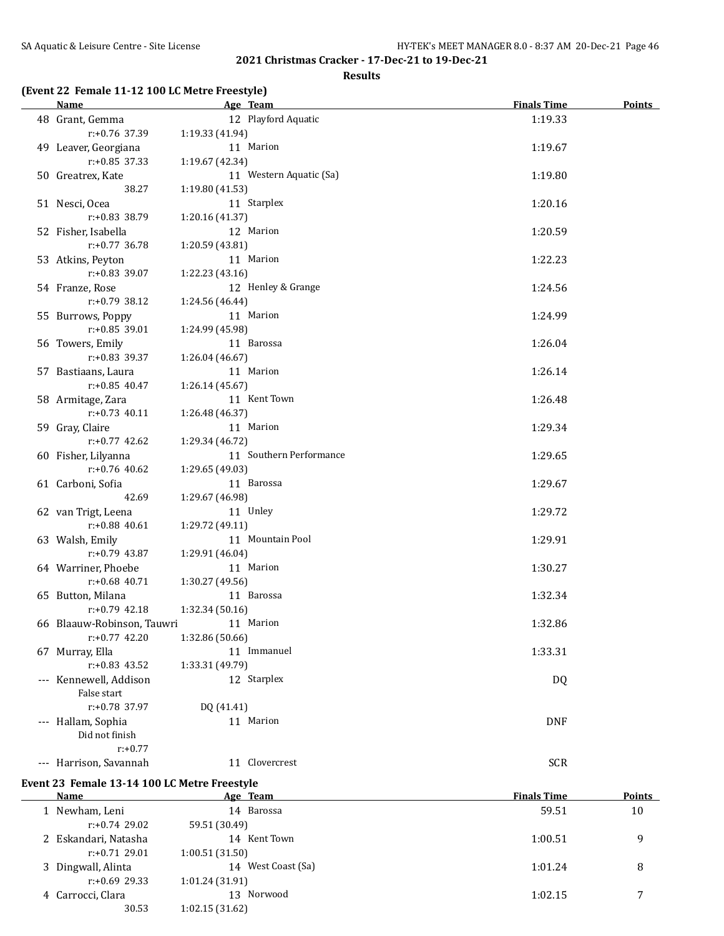**Results**

# **(Event 22 Female 11-12 100 LC Metre Freestyle)**

| Name                       |                 | Age Team                | <b>Finals Time</b> | <b>Points</b> |
|----------------------------|-----------------|-------------------------|--------------------|---------------|
| 48 Grant, Gemma            |                 | 12 Playford Aquatic     | 1:19.33            |               |
| $r: +0.76$ 37.39           | 1:19.33 (41.94) |                         |                    |               |
| 49 Leaver, Georgiana       |                 | 11 Marion               | 1:19.67            |               |
| $r: +0.85$ 37.33           | 1:19.67 (42.34) |                         |                    |               |
| 50 Greatrex, Kate          |                 | 11 Western Aquatic (Sa) | 1:19.80            |               |
| 38.27                      | 1:19.80 (41.53) |                         |                    |               |
| 51 Nesci, Ocea             |                 | 11 Starplex             | 1:20.16            |               |
| $r: +0.83$ 38.79           | 1:20.16(41.37)  |                         |                    |               |
| 52 Fisher, Isabella        |                 | 12 Marion               | 1:20.59            |               |
| $r: +0.77$ 36.78           | 1:20.59(43.81)  |                         |                    |               |
| 53 Atkins, Peyton          |                 | 11 Marion               | 1:22.23            |               |
| r:+0.83 39.07              | 1:22.23 (43.16) |                         |                    |               |
| 54 Franze, Rose            |                 | 12 Henley & Grange      | 1:24.56            |               |
| $r: +0.79$ 38.12           | 1:24.56 (46.44) |                         |                    |               |
| 55 Burrows, Poppy          |                 | 11 Marion               | 1:24.99            |               |
| $r: +0.85$ 39.01           | 1:24.99 (45.98) |                         |                    |               |
| 56 Towers, Emily           |                 | 11 Barossa              | 1:26.04            |               |
| r:+0.83 39.37              | 1:26.04 (46.67) |                         |                    |               |
| 57 Bastiaans, Laura        |                 | 11 Marion               | 1:26.14            |               |
| $r: +0.85$ 40.47           | 1:26.14(45.67)  |                         |                    |               |
| 58 Armitage, Zara          |                 | 11 Kent Town            | 1:26.48            |               |
| $r: +0.73$ 40.11           | 1:26.48 (46.37) |                         |                    |               |
| 59 Gray, Claire            |                 | 11 Marion               | 1:29.34            |               |
| $r: +0.77$ 42.62           | 1:29.34 (46.72) |                         |                    |               |
| 60 Fisher, Lilyanna        |                 | 11 Southern Performance | 1:29.65            |               |
| $r: +0.76$ 40.62           | 1:29.65 (49.03) |                         |                    |               |
| 61 Carboni, Sofia          |                 | 11 Barossa              | 1:29.67            |               |
| 42.69                      | 1:29.67 (46.98) |                         |                    |               |
| 62 van Trigt, Leena        |                 | 11 Unley                | 1:29.72            |               |
| r:+0.88 40.61              | 1:29.72 (49.11) |                         |                    |               |
| 63 Walsh, Emily            |                 | 11 Mountain Pool        | 1:29.91            |               |
| r:+0.79 43.87              | 1:29.91 (46.04) |                         |                    |               |
| 64 Warriner, Phoebe        |                 | 11 Marion               | 1:30.27            |               |
| $r: +0.68$ 40.71           | 1:30.27 (49.56) |                         |                    |               |
| 65 Button, Milana          |                 | 11 Barossa              | 1:32.34            |               |
| $r: +0.79$ 42.18           | 1:32.34(50.16)  |                         |                    |               |
| 66 Blaauw-Robinson, Tauwri |                 | 11 Marion               | 1:32.86            |               |
| $r: +0.77$ 42.20           | 1:32.86 (50.66) |                         |                    |               |
| 67 Murray, Ella            |                 | 11 Immanuel             | 1:33.31            |               |
| $r: +0.83$ 43.52           | 1:33.31 (49.79) |                         |                    |               |
|                            |                 | 12 Starplex             |                    |               |
| --- Kennewell, Addison     |                 |                         | DQ                 |               |
| False start                |                 |                         |                    |               |
| r:+0.78 37.97              | DQ (41.41)      |                         |                    |               |
| --- Hallam, Sophia         |                 | 11 Marion               | <b>DNF</b>         |               |
| Did not finish             |                 |                         |                    |               |
| $r: +0.77$                 |                 |                         |                    |               |
| --- Harrison, Savannah     |                 | 11 Clovercrest          | <b>SCR</b>         |               |

# **Event 23 Female 13-14 100 LC Metre Freestyle**

| Name                 | Age Team           | <b>Finals Time</b> | <b>Points</b> |
|----------------------|--------------------|--------------------|---------------|
| 1 Newham, Leni       | 14 Barossa         | 59.51              | 10            |
| $r: +0.74$ 29.02     | 59.51 (30.49)      |                    |               |
| 2 Eskandari, Natasha | 14 Kent Town       | 1:00.51            | 9             |
| r:+0.71 29.01        | 1:00.51(31.50)     |                    |               |
| 3 Dingwall, Alinta   | 14 West Coast (Sa) | 1:01.24            | 8             |
| $r: +0.69$ 29.33     | 1:01.24(31.91)     |                    |               |
| 4 Carrocci, Clara    | 13 Norwood         | 1:02.15            | 7             |
| 30.53                | 1:02.15(31.62)     |                    |               |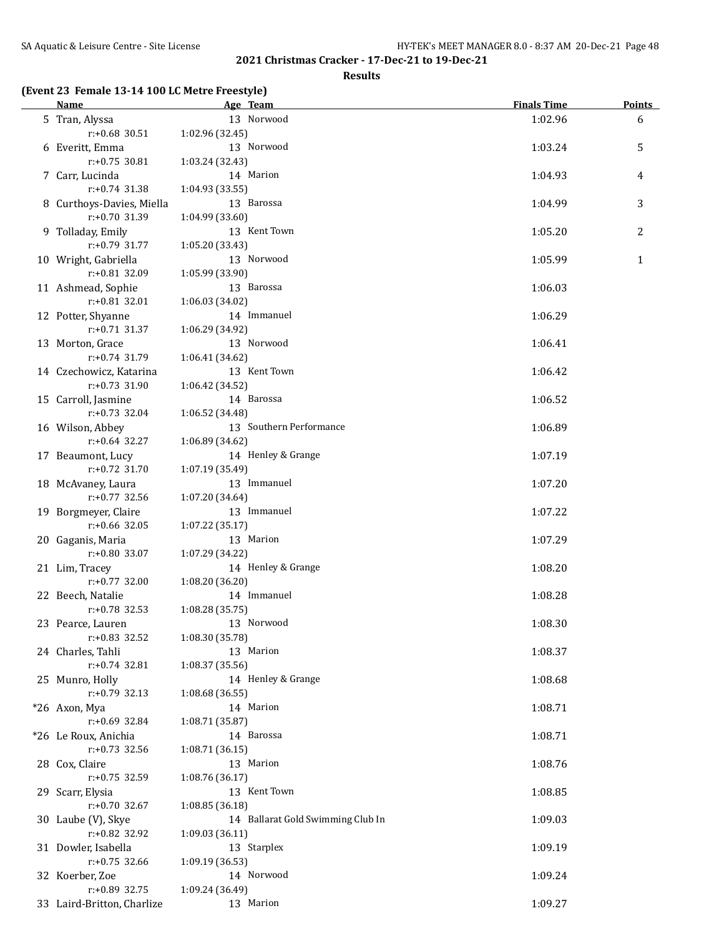**Results**

# **(Event 23 Female 13-14 100 LC Metre Freestyle)**

| <b>Name</b>                          | Age Team                                   | <b>Finals Time</b> | <b>Points</b> |
|--------------------------------------|--------------------------------------------|--------------------|---------------|
| 5 Tran, Alyssa                       | 13 Norwood                                 | 1:02.96            | 6             |
| $r: +0.68$ 30.51                     | 1:02.96 (32.45)<br>13 Norwood              |                    |               |
| 6 Everitt, Emma<br>$r: +0.75$ 30.81  | 1:03.24 (32.43)                            | 1:03.24            | 5             |
| 7 Carr, Lucinda                      | 14 Marion                                  | 1:04.93            | 4             |
| $r: +0.74$ 31.38                     | 1:04.93 (33.55)                            |                    |               |
| 8 Curthoys-Davies, Miella            | 13 Barossa                                 | 1:04.99            | 3             |
| r:+0.70 31.39                        | 1:04.99 (33.60)                            |                    |               |
| 9 Tolladay, Emily                    | 13 Kent Town                               | 1:05.20            | 2             |
| $r: +0.79$ 31.77                     | 1:05.20 (33.43)                            |                    |               |
| 10 Wright, Gabriella                 | 13 Norwood                                 | 1:05.99            | $\mathbf{1}$  |
| r:+0.81 32.09                        | 1:05.99 (33.90)                            |                    |               |
| 11 Ashmead, Sophie                   | 13 Barossa                                 | 1:06.03            |               |
| $r: +0.81$ 32.01                     | 1:06.03 (34.02)                            |                    |               |
| 12 Potter, Shyanne                   | 14 Immanuel                                | 1:06.29            |               |
| r:+0.71 31.37                        | 1:06.29 (34.92)                            |                    |               |
| 13 Morton, Grace                     | 13 Norwood                                 | 1:06.41            |               |
| $r: +0.74$ 31.79                     | 1:06.41 (34.62)                            |                    |               |
| 14 Czechowicz, Katarina              | 13 Kent Town                               | 1:06.42            |               |
| $r: +0.73$ 31.90                     | 1:06.42 (34.52)                            |                    |               |
| 15 Carroll, Jasmine                  | 14 Barossa                                 | 1:06.52            |               |
| $r: +0.73$ 32.04                     | 1:06.52 (34.48)<br>13 Southern Performance |                    |               |
| 16 Wilson, Abbey<br>$r: +0.64$ 32.27 | 1:06.89 (34.62)                            | 1:06.89            |               |
| 17 Beaumont, Lucy                    | 14 Henley & Grange                         | 1:07.19            |               |
| r:+0.72 31.70                        | 1:07.19 (35.49)                            |                    |               |
| 18 McAvaney, Laura                   | 13 Immanuel                                | 1:07.20            |               |
| r:+0.77 32.56                        | 1:07.20 (34.64)                            |                    |               |
| 19 Borgmeyer, Claire                 | 13 Immanuel                                | 1:07.22            |               |
| r:+0.66 32.05                        | 1:07.22 (35.17)                            |                    |               |
| 20 Gaganis, Maria                    | 13 Marion                                  | 1:07.29            |               |
| r:+0.80 33.07                        | 1:07.29 (34.22)                            |                    |               |
| 21 Lim, Tracey                       | 14 Henley & Grange                         | 1:08.20            |               |
| r:+0.77 32.00                        | 1:08.20 (36.20)                            |                    |               |
| 22 Beech, Natalie                    | 14 Immanuel                                | 1:08.28            |               |
| $r: +0.78$ 32.53                     | 1:08.28 (35.75)                            |                    |               |
| 23 Pearce, Lauren                    | 13 Norwood                                 | 1:08.30            |               |
| r:+0.83 32.52                        | 1:08.30 (35.78)                            |                    |               |
| 24 Charles, Tahli<br>r:+0.74 32.81   | 13 Marion<br>1:08.37(35.56)                | 1:08.37            |               |
| 25 Munro, Holly                      | 14 Henley & Grange                         | 1:08.68            |               |
| r:+0.79 32.13                        | 1:08.68(36.55)                             |                    |               |
| *26 Axon, Mya                        | 14 Marion                                  | 1:08.71            |               |
| r:+0.69 32.84                        | 1:08.71 (35.87)                            |                    |               |
| *26 Le Roux, Anichia                 | 14 Barossa                                 | 1:08.71            |               |
| r:+0.73 32.56                        | 1:08.71 (36.15)                            |                    |               |
| 28 Cox, Claire                       | 13 Marion                                  | 1:08.76            |               |
| r:+0.75 32.59                        | 1:08.76 (36.17)                            |                    |               |
| 29 Scarr, Elysia                     | 13 Kent Town                               | 1:08.85            |               |
| r:+0.70 32.67                        | 1:08.85 (36.18)                            |                    |               |
| 30 Laube (V), Skye                   | 14 Ballarat Gold Swimming Club In          | 1:09.03            |               |
| r:+0.82 32.92                        | 1:09.03(36.11)                             |                    |               |
| 31 Dowler, Isabella                  | 13 Starplex                                | 1:09.19            |               |
| $r: +0.75$ 32.66                     | 1:09.19 (36.53)                            |                    |               |
| 32 Koerber, Zoe                      | 14 Norwood                                 | 1:09.24            |               |
| r:+0.89 32.75                        | 1:09.24 (36.49)                            |                    |               |
| 33 Laird-Britton, Charlize           | 13 Marion                                  | 1:09.27            |               |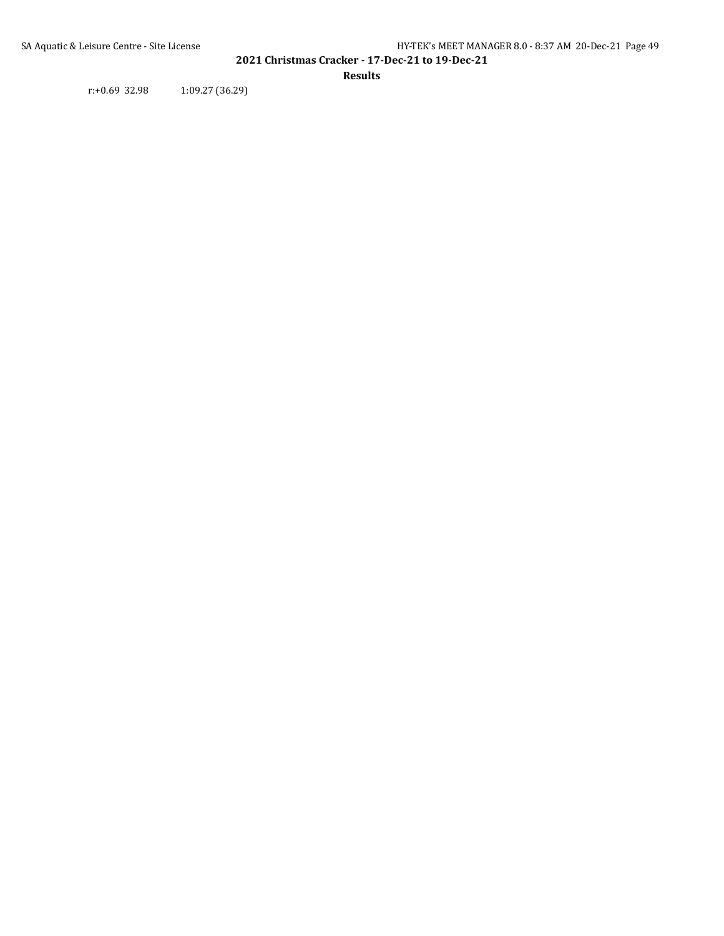**Results**

r:+0.69 32.98 1:09.27 (36.29)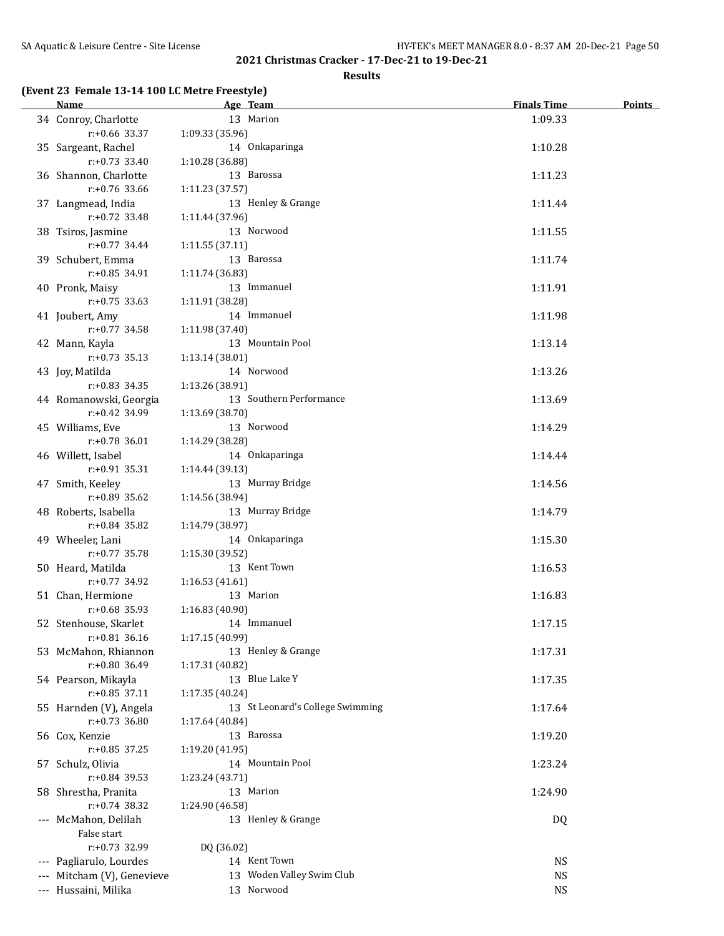**Results**

# **(Event 23 Female 13-14 100 LC Metre Freestyle)**

| <b>Name</b>                                |                 | Age Team                         | <b>Finals Time</b> | <b>Points</b> |
|--------------------------------------------|-----------------|----------------------------------|--------------------|---------------|
| 34 Conroy, Charlotte<br>$r: +0.66$ 33.37   | 1:09.33 (35.96) | 13 Marion                        | 1:09.33            |               |
| 35 Sargeant, Rachel<br>$r: +0.73$ 33.40    | 1:10.28 (36.88) | 14 Onkaparinga                   | 1:10.28            |               |
| 36 Shannon, Charlotte<br>r:+0.76 33.66     | 1:11.23 (37.57) | 13 Barossa                       | 1:11.23            |               |
| 37 Langmead, India<br>$r: +0.72$ 33.48     | 1:11.44(37.96)  | 13 Henley & Grange               | 1:11.44            |               |
| 38 Tsiros, Jasmine<br>$r: +0.77$ 34.44     | 1:11.55(37.11)  | 13 Norwood                       | 1:11.55            |               |
| 39 Schubert, Emma<br>$r: +0.85$ 34.91      | 1:11.74 (36.83) | 13 Barossa                       | 1:11.74            |               |
| 40 Pronk, Maisy<br>$r: +0.75$ 33.63        | 1:11.91 (38.28) | 13 Immanuel                      | 1:11.91            |               |
| 41 Joubert, Amy<br>r:+0.77 34.58           | 1:11.98 (37.40) | 14 Immanuel                      | 1:11.98            |               |
| 42 Mann, Kayla<br>$r: +0.73$ 35.13         | 1:13.14 (38.01) | 13 Mountain Pool                 | 1:13.14            |               |
| 43 Joy, Matilda<br>$r: +0.83$ 34.35        | 1:13.26 (38.91) | 14 Norwood                       | 1:13.26            |               |
| 44 Romanowski, Georgia<br>$r: +0.42$ 34.99 | 1:13.69 (38.70) | 13 Southern Performance          | 1:13.69            |               |
| 45 Williams, Eve<br>$r: +0.78$ 36.01       | 1:14.29 (38.28) | 13 Norwood                       | 1:14.29            |               |
| 46 Willett, Isabel<br>$r: +0.91$ 35.31     | 1:14.44 (39.13) | 14 Onkaparinga                   | 1:14.44            |               |
| 47 Smith, Keeley<br>$r: +0.89$ 35.62       | 1:14.56 (38.94) | 13 Murray Bridge                 | 1:14.56            |               |
| 48 Roberts, Isabella<br>$r: +0.84$ 35.82   | 1:14.79 (38.97) | 13 Murray Bridge                 | 1:14.79            |               |
| 49 Wheeler, Lani<br>$r: +0.77$ 35.78       | 1:15.30 (39.52) | 14 Onkaparinga                   | 1:15.30            |               |
| 50 Heard, Matilda<br>$r: +0.77$ 34.92      | 1:16.53(41.61)  | 13 Kent Town                     | 1:16.53            |               |
| 51 Chan, Hermione<br>$r: +0.68$ 35.93      | 1:16.83(40.90)  | 13 Marion                        | 1:16.83            |               |
| 52 Stenhouse, Skarlet<br>$r: +0.81$ 36.16  | 1:17.15 (40.99) | 14 Immanuel                      | 1:17.15            |               |
| 53 McMahon, Rhiannon<br>r:+0.80 36.49      | 1:17.31 (40.82) | 13 Henley & Grange               | 1:17.31            |               |
| 54 Pearson, Mikayla<br>r:+0.85 37.11       | 1:17.35 (40.24) | 13 Blue Lake Y                   | 1:17.35            |               |
| 55 Harnden (V), Angela<br>$r: +0.73$ 36.80 | 1:17.64 (40.84) | 13 St Leonard's College Swimming | 1:17.64            |               |
| 56 Cox, Kenzie<br>r:+0.85 37.25            | 1:19.20 (41.95) | 13 Barossa                       | 1:19.20            |               |
| 57 Schulz, Olivia<br>$r: +0.84$ 39.53      | 1:23.24 (43.71) | 14 Mountain Pool                 | 1:23.24            |               |
| 58 Shrestha, Pranita<br>r:+0.74 38.32      | 1:24.90 (46.58) | 13 Marion                        | 1:24.90            |               |
| --- McMahon, Delilah<br>False start        |                 | 13 Henley & Grange               | DQ                 |               |
| r:+0.73 32.99                              | DQ (36.02)      |                                  |                    |               |
| --- Pagliarulo, Lourdes                    |                 | 14 Kent Town                     | <b>NS</b>          |               |
| Mitcham (V), Genevieve                     |                 | 13 Woden Valley Swim Club        | <b>NS</b>          |               |
| --- Hussaini, Milika                       |                 | 13 Norwood                       | <b>NS</b>          |               |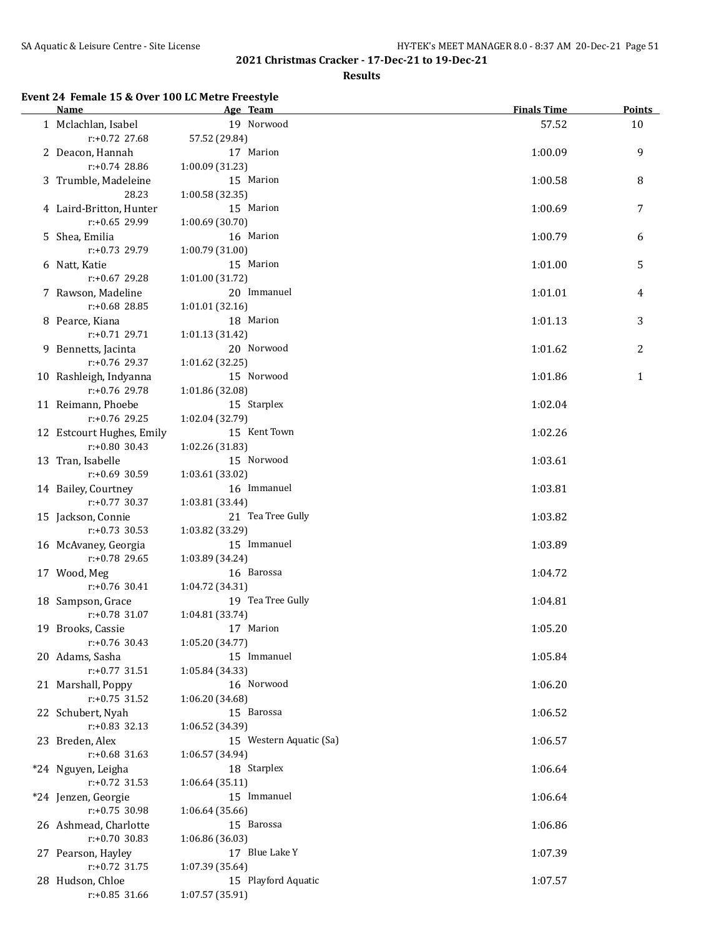**Results**

# **Event 24 Female 15 & Over 100 LC Metre Freestyle**

| Name                      |                 | Age Team                | <b>Finals Time</b> | <b>Points</b> |
|---------------------------|-----------------|-------------------------|--------------------|---------------|
| 1 Mclachlan, Isabel       |                 | 19 Norwood              | 57.52              | 10            |
| $r: +0.72$ 27.68          | 57.52 (29.84)   |                         |                    |               |
| 2 Deacon, Hannah          |                 | 17 Marion               | 1:00.09            | 9             |
| $r: +0.74$ 28.86          | 1:00.09 (31.23) |                         |                    |               |
| 3 Trumble, Madeleine      |                 | 15 Marion               | 1:00.58            | 8             |
| 28.23                     | 1:00.58 (32.35) |                         |                    |               |
| 4 Laird-Britton, Hunter   |                 | 15 Marion               | 1:00.69            | 7             |
| r:+0.65 29.99             | 1:00.69 (30.70) |                         |                    |               |
| 5 Shea, Emilia            |                 | 16 Marion               | 1:00.79            | 6             |
| r:+0.73 29.79             | 1:00.79 (31.00) |                         |                    |               |
| 6 Natt, Katie             |                 | 15 Marion               | 1:01.00            | 5             |
| r:+0.67 29.28             | 1:01.00 (31.72) |                         |                    |               |
| 7 Rawson, Madeline        |                 | 20 Immanuel             | 1:01.01            | 4             |
| r:+0.68 28.85             | 1:01.01(32.16)  |                         |                    |               |
| 8 Pearce, Kiana           |                 | 18 Marion               | 1:01.13            | 3             |
| r:+0.71 29.71             | 1:01.13 (31.42) |                         |                    |               |
| 9 Bennetts, Jacinta       |                 | 20 Norwood              | 1:01.62            | 2             |
| r:+0.76 29.37             | 1:01.62 (32.25) |                         |                    |               |
| 10 Rashleigh, Indyanna    |                 | 15 Norwood              | 1:01.86            | $\mathbf{1}$  |
| r:+0.76 29.78             | 1:01.86 (32.08) |                         |                    |               |
| 11 Reimann, Phoebe        |                 | 15 Starplex             | 1:02.04            |               |
| r:+0.76 29.25             | 1:02.04 (32.79) |                         |                    |               |
| 12 Estcourt Hughes, Emily |                 | 15 Kent Town            | 1:02.26            |               |
| $r: +0.80$ 30.43          | 1:02.26 (31.83) |                         |                    |               |
| 13 Tran, Isabelle         |                 | 15 Norwood              | 1:03.61            |               |
| r:+0.69 30.59             | 1:03.61 (33.02) |                         |                    |               |
| 14 Bailey, Courtney       |                 | 16 Immanuel             | 1:03.81            |               |
| r:+0.77 30.37             | 1:03.81 (33.44) |                         |                    |               |
| 15 Jackson, Connie        |                 | 21 Tea Tree Gully       | 1:03.82            |               |
| $r: +0.73$ 30.53          | 1:03.82 (33.29) |                         |                    |               |
| 16 McAvaney, Georgia      |                 | 15 Immanuel             | 1:03.89            |               |
| r:+0.78 29.65             | 1:03.89 (34.24) |                         |                    |               |
| 17 Wood, Meg              |                 | 16 Barossa              | 1:04.72            |               |
| r:+0.76 30.41             | 1:04.72 (34.31) |                         |                    |               |
| 18 Sampson, Grace         |                 | 19 Tea Tree Gully       | 1:04.81            |               |
| $r: +0.78$ 31.07          | 1:04.81 (33.74) |                         |                    |               |
| 19 Brooks, Cassie         | 17 Marion       |                         | 1:05.20            |               |
| $r: +0.76$ 30.43          | 1:05.20 (34.77) |                         |                    |               |
| 20 Adams, Sasha           |                 | 15 Immanuel             | 1:05.84            |               |
| r:+0.77 31.51             | 1:05.84 (34.33) |                         |                    |               |
| 21 Marshall, Poppy        |                 | 16 Norwood              | 1:06.20            |               |
| r:+0.75 31.52             | 1:06.20 (34.68) |                         |                    |               |
| 22 Schubert, Nyah         |                 | 15 Barossa              | 1:06.52            |               |
| r:+0.83 32.13             | 1:06.52 (34.39) |                         |                    |               |
| 23 Breden, Alex           |                 | 15 Western Aquatic (Sa) | 1:06.57            |               |
| $r: +0.68$ 31.63          | 1:06.57 (34.94) |                         |                    |               |
| *24 Nguyen, Leigha        |                 | 18 Starplex             | 1:06.64            |               |
| $r: +0.72$ 31.53          | 1:06.64(35.11)  |                         |                    |               |
| *24 Jenzen, Georgie       |                 | 15 Immanuel             | 1:06.64            |               |
| $r: +0.75$ 30.98          | 1:06.64 (35.66) |                         |                    |               |
| 26 Ashmead, Charlotte     |                 | 15 Barossa              | 1:06.86            |               |
| r:+0.70 30.83             | 1:06.86 (36.03) |                         |                    |               |
| 27 Pearson, Hayley        |                 | 17 Blue Lake Y          | 1:07.39            |               |
| r:+0.72 31.75             | 1:07.39 (35.64) |                         |                    |               |
| 28 Hudson, Chloe          |                 | 15 Playford Aquatic     | 1:07.57            |               |
| $r: +0.85$ 31.66          | 1:07.57 (35.91) |                         |                    |               |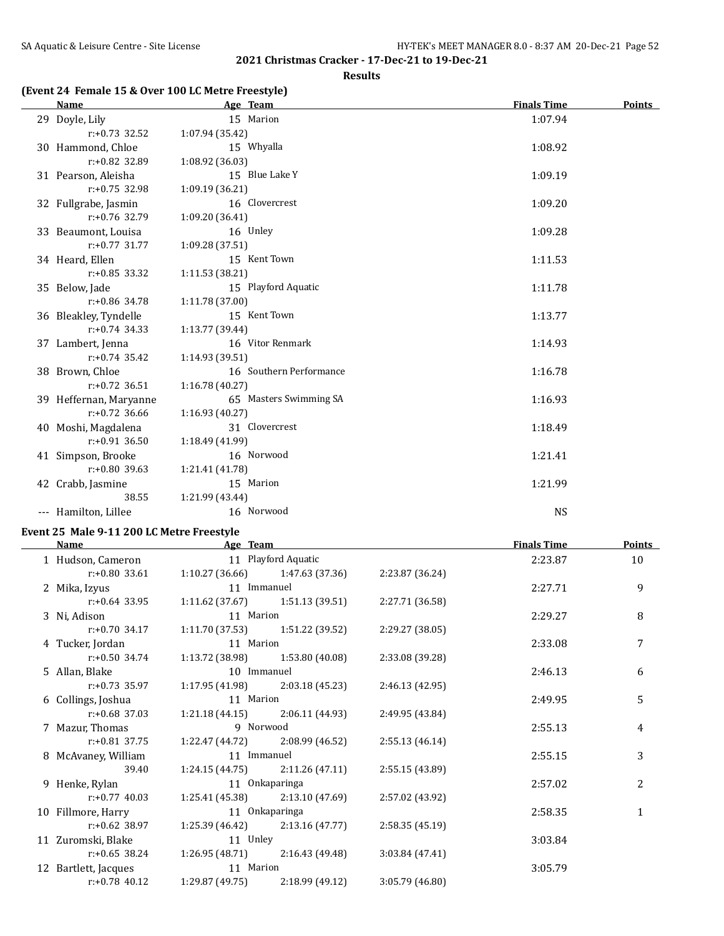**Results**

# **(Event 24 Female 15 & Over 100 LC Metre Freestyle)**

| Name                   |                 | Age Team                | <b>Finals Time</b> | Points |
|------------------------|-----------------|-------------------------|--------------------|--------|
| 29 Doyle, Lily         |                 | 15 Marion               | 1:07.94            |        |
| $r: +0.73$ 32.52       | 1:07.94 (35.42) |                         |                    |        |
| 30 Hammond, Chloe      |                 | 15 Whyalla              | 1:08.92            |        |
| $r: +0.82$ 32.89       | 1:08.92 (36.03) |                         |                    |        |
| 31 Pearson, Aleisha    |                 | 15 Blue Lake Y          | 1:09.19            |        |
| $r: +0.75$ 32.98       | 1:09.19(36.21)  |                         |                    |        |
| 32 Fullgrabe, Jasmin   |                 | 16 Clovercrest          | 1:09.20            |        |
| $r: +0.76$ 32.79       | 1:09.20 (36.41) |                         |                    |        |
| 33 Beaumont, Louisa    |                 | 16 Unley                | 1:09.28            |        |
| $r: +0.77$ 31.77       | 1:09.28 (37.51) |                         |                    |        |
| 34 Heard, Ellen        |                 | 15 Kent Town            | 1:11.53            |        |
| $r: +0.85$ 33.32       | 1:11.53 (38.21) |                         |                    |        |
| 35 Below, Jade         |                 | 15 Playford Aquatic     | 1:11.78            |        |
| r:+0.86 34.78          | 1:11.78 (37.00) |                         |                    |        |
| 36 Bleakley, Tyndelle  |                 | 15 Kent Town            | 1:13.77            |        |
| $r: +0.74$ 34.33       | 1:13.77 (39.44) |                         |                    |        |
| 37 Lambert, Jenna      |                 | 16 Vitor Renmark        | 1:14.93            |        |
| $r: +0.74$ 35.42       | 1:14.93 (39.51) |                         |                    |        |
| 38 Brown, Chloe        |                 | 16 Southern Performance | 1:16.78            |        |
| $r: +0.72$ 36.51       | 1:16.78(40.27)  |                         |                    |        |
| 39 Heffernan, Maryanne |                 | 65 Masters Swimming SA  | 1:16.93            |        |
| $r: +0.72$ 36.66       | 1:16.93(40.27)  |                         |                    |        |
| 40 Moshi, Magdalena    |                 | 31 Clovercrest          | 1:18.49            |        |
| $r: +0.91$ 36.50       | 1:18.49(41.99)  |                         |                    |        |
| 41 Simpson, Brooke     |                 | 16 Norwood              | 1:21.41            |        |
| $r: +0.80$ 39.63       | 1:21.41 (41.78) |                         |                    |        |
| 42 Crabb, Jasmine      |                 | 15 Marion               | 1:21.99            |        |
| 38.55                  | 1:21.99 (43.44) |                         |                    |        |
| --- Hamilton, Lillee   |                 | 16 Norwood              | <b>NS</b>          |        |

### **Event 25 Male 9-11 200 LC Metre Freestyle**

 $\overline{a}$ 

| Name                 | Age Team        |                                     |                 | <b>Finals Time</b> | <b>Points</b> |
|----------------------|-----------------|-------------------------------------|-----------------|--------------------|---------------|
| 1 Hudson, Cameron    |                 | 11 Playford Aquatic                 |                 | 2:23.87            | 10            |
| $r: +0.80$ 33.61     |                 | $1:10.27$ (36.66) $1:47.63$ (37.36) | 2:23.87 (36.24) |                    |               |
| 2 Mika, Izyus        | 11 Immanuel     |                                     |                 | 2:27.71            | 9             |
| $r: +0.64$ 33.95     |                 | $1:11.62$ (37.67) $1:51.13$ (39.51) | 2:27.71 (36.58) |                    |               |
| 3 Ni, Adison         | 11 Marion       |                                     |                 | 2:29.27            | 8             |
| $r: +0.70$ 34.17     |                 | $1:11.70(37.53)$ $1:51.22(39.52)$   | 2:29.27 (38.05) |                    |               |
| 4 Tucker, Jordan     | 11 Marion       |                                     |                 | 2:33.08            | 7             |
| $r: +0.50$ 34.74     |                 | $1:13.72$ (38.98) $1:53.80$ (40.08) | 2:33.08 (39.28) |                    |               |
| 5 Allan, Blake       | 10 Immanuel     |                                     |                 | 2:46.13            | 6             |
| $r: +0.73$ 35.97     | 1:17.95 (41.98) | 2:03.18 (45.23)                     | 2:46.13 (42.95) |                    |               |
| 6 Collings, Joshua   | 11 Marion       |                                     |                 | 2:49.95            | 5             |
| $r: +0.68$ 37.03     | 1:21.18(44.15)  | 2:06.11 (44.93)                     | 2:49.95 (43.84) |                    |               |
| 7 Mazur, Thomas      | 9 Norwood       |                                     |                 | 2:55.13            | 4             |
| $r: +0.81$ 37.75     |                 | $1:22.47(44.72)$ $2:08.99(46.52)$   | 2:55.13 (46.14) |                    |               |
| 8 McAvaney, William  | 11 Immanuel     |                                     |                 | 2:55.15            | 3             |
| 39.40                |                 | $1:24.15(44.75)$ $2:11.26(47.11)$   | 2:55.15 (43.89) |                    |               |
| 9 Henke, Rylan       |                 | 11 Onkaparinga                      |                 | 2:57.02            | 2             |
| $r: +0.77$ 40.03     |                 | $1:25.41(45.38)$ $2:13.10(47.69)$   | 2:57.02 (43.92) |                    |               |
| 10 Fillmore, Harry   |                 | 11 Onkaparinga                      |                 | 2:58.35            | 1             |
| $r: +0.62$ 38.97     |                 | $1:25.39(46.42)$ $2:13.16(47.77)$   | 2:58.35(45.19)  |                    |               |
| 11 Zuromski, Blake   | 11 Unley        |                                     |                 | 3:03.84            |               |
| r:+0.65 38.24        | 1:26.95 (48.71) | 2:16.43 (49.48)                     | 3:03.84 (47.41) |                    |               |
| 12 Bartlett, Jacques | 11 Marion       |                                     |                 | 3:05.79            |               |
| $r: +0.78$ 40.12     | 1:29.87 (49.75) | 2:18.99(49.12)                      | 3:05.79 (46.80) |                    |               |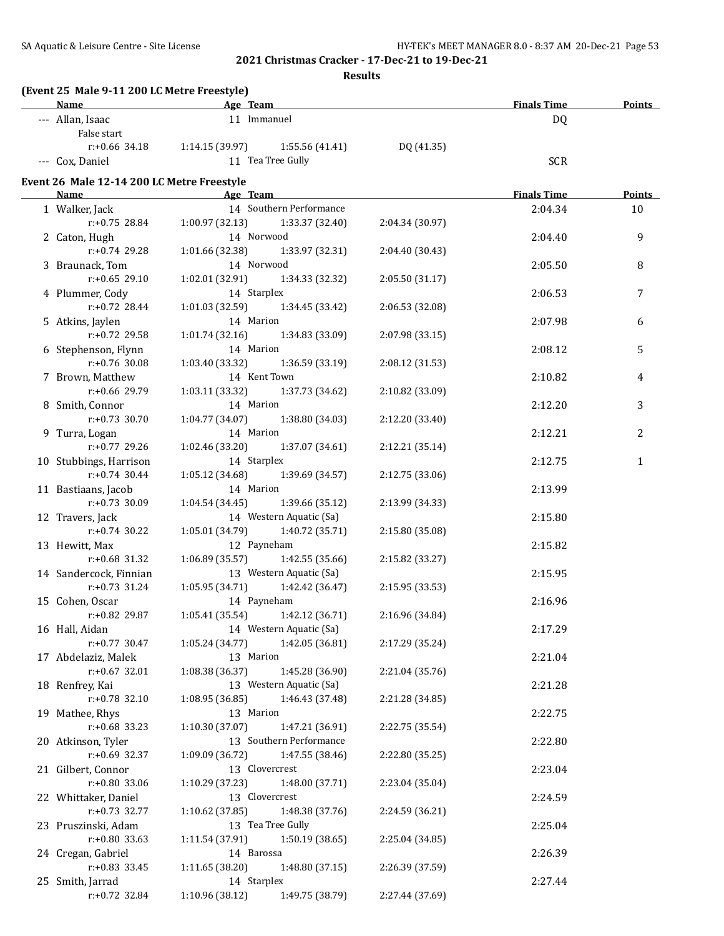| <b>Name</b>                                | Age Team                                        |                 | <b>Finals Time</b> | <b>Points</b> |
|--------------------------------------------|-------------------------------------------------|-----------------|--------------------|---------------|
| --- Allan, Isaac                           | 11 Immanuel                                     |                 | DQ                 |               |
| False start                                |                                                 |                 |                    |               |
| $r: +0.66$ 34.18                           | $1:14.15(39.97)$ $1:55.56(41.41)$               | DQ (41.35)      |                    |               |
| --- Cox, Daniel                            | 11 Tea Tree Gully                               |                 | <b>SCR</b>         |               |
| Event 26 Male 12-14 200 LC Metre Freestyle |                                                 |                 |                    |               |
| <b>Name</b>                                | Age Team                                        |                 | <b>Finals Time</b> | <b>Points</b> |
| 1 Walker, Jack                             | 14 Southern Performance                         |                 | 2:04.34            | 10            |
| $r: +0.75$ 28.84                           | 1:00.97 (32.13)<br>1:33.37 (32.40)              | 2:04.34 (30.97) |                    |               |
| 2 Caton, Hugh                              | 14 Norwood                                      |                 | 2:04.40            | 9             |
| $r: +0.74$ 29.28                           | 1:01.66 (32.38)<br>1:33.97 (32.31)              | 2:04.40 (30.43) |                    |               |
| 3 Braunack, Tom                            | 14 Norwood                                      |                 | 2:05.50            | 8             |
| $r: +0.65$ 29.10                           | 1:02.01 (32.91)<br>1:34.33 (32.32)              | 2:05.50 (31.17) |                    |               |
| 4 Plummer, Cody<br>$r: +0.72$ 28.44        | 14 Starplex                                     |                 | 2:06.53            | 7             |
|                                            | 1:01.03 (32.59)<br>1:34.45 (33.42)<br>14 Marion | 2:06.53 (32.08) |                    |               |
| 5 Atkins, Jaylen<br>r:+0.72 29.58          |                                                 |                 | 2:07.98            | 6             |
|                                            | 1:01.74(32.16)<br>1:34.83 (33.09)<br>14 Marion  | 2:07.98 (33.15) |                    |               |
| 6 Stephenson, Flynn<br>$r: +0.76$ 30.08    | 1:03.40 (33.32)                                 |                 | 2:08.12            | 5             |
| 7 Brown, Matthew                           | 1:36.59 (33.19)<br>14 Kent Town                 | 2:08.12 (31.53) |                    |               |
| r:+0.66 29.79                              | 1:03.11 (33.32)<br>1:37.73 (34.62)              | 2:10.82 (33.09) | 2:10.82            | 4             |
| 8 Smith, Connor                            | 14 Marion                                       |                 | 2:12.20            | 3             |
| $r: +0.73$ 30.70                           | 1:04.77 (34.07)<br>1:38.80 (34.03)              | 2:12.20 (33.40) |                    |               |
|                                            | 14 Marion                                       |                 | 2:12.21            | 2             |
| 9 Turra, Logan<br>$r: +0.77$ 29.26         | 1:02.46 (33.20)<br>1:37.07 (34.61)              | 2:12.21 (35.14) |                    |               |
| 10 Stubbings, Harrison                     | 14 Starplex                                     |                 | 2:12.75            | 1             |
| $r: +0.74$ 30.44                           | 1:39.69 (34.57)                                 | 2:12.75 (33.06) |                    |               |
| 11 Bastiaans, Jacob                        | 1:05.12 (34.68)<br>14 Marion                    |                 | 2:13.99            |               |
| r:+0.73 30.09                              | 1:39.66 (35.12)<br>1:04.54 (34.45)              | 2:13.99 (34.33) |                    |               |
| 12 Travers, Jack                           | 14 Western Aquatic (Sa)                         |                 | 2:15.80            |               |
| $r: +0.74$ 30.22                           | 1:05.01 (34.79)<br>1:40.72 (35.71)              | 2:15.80 (35.08) |                    |               |
| 13 Hewitt, Max                             | 12 Payneham                                     |                 | 2:15.82            |               |
| r:+0.68 31.32                              | 1:06.89(35.57)<br>1:42.55 (35.66)               | 2:15.82 (33.27) |                    |               |
| 14 Sandercock, Finnian                     | 13 Western Aquatic (Sa)                         |                 | 2:15.95            |               |
| $r: +0.73$ 31.24                           | 1:05.95 (34.71)<br>1:42.42 (36.47)              | 2:15.95 (33.53) |                    |               |
| 15 Cohen, Oscar                            | 14 Payneham                                     |                 | 2:16.96            |               |
| r:+0.82 29.87                              | 1:05.41 (35.54)<br>1:42.12 (36.71)              | 2:16.96 (34.84) |                    |               |
| 16 Hall, Aidan                             | 14 Western Aquatic (Sa)                         |                 | 2:17.29            |               |
| $r: +0.77$ 30.47                           | 1:05.24 (34.77)<br>1:42.05 (36.81)              | 2:17.29 (35.24) |                    |               |
| 17 Abdelaziz, Malek                        | 13 Marion                                       |                 | 2:21.04            |               |
| $r: +0.67$ 32.01                           | 1:08.38 (36.37)<br>1:45.28 (36.90)              | 2:21.04 (35.76) |                    |               |
| 18 Renfrey, Kai                            | 13 Western Aquatic (Sa)                         |                 | 2:21.28            |               |
| r:+0.78 32.10                              | 1:46.43 (37.48)<br>1:08.95 (36.85)              | 2:21.28 (34.85) |                    |               |
| 19 Mathee, Rhys                            | 13 Marion                                       |                 | 2:22.75            |               |
| $r: +0.68$ 33.23                           | 1:10.30 (37.07)<br>1:47.21 (36.91)              | 2:22.75 (35.54) |                    |               |
| 20 Atkinson, Tyler                         | 13 Southern Performance                         |                 | 2:22.80            |               |
| r:+0.69 32.37                              | 1:09.09 (36.72)<br>1:47.55 (38.46)              | 2:22.80 (35.25) |                    |               |
| 21 Gilbert, Connor                         | 13 Clovercrest                                  |                 | 2:23.04            |               |
| r:+0.80 33.06                              | 1:48.00 (37.71)<br>1:10.29 (37.23)              | 2:23.04 (35.04) |                    |               |
| 22 Whittaker, Daniel                       | 13 Clovercrest                                  |                 | 2:24.59            |               |
| $r: +0.73$ 32.77                           | 1:10.62 (37.85)<br>1:48.38 (37.76)              | 2:24.59 (36.21) |                    |               |
| 23 Pruszinski, Adam                        | 13 Tea Tree Gully                               |                 | 2:25.04            |               |
| r:+0.80 33.63                              | 1:11.54 (37.91)<br>1:50.19 (38.65)              | 2:25.04 (34.85) |                    |               |
| 24 Cregan, Gabriel                         | 14 Barossa                                      |                 | 2:26.39            |               |
| $r: +0.83$ 33.45                           | 1:11.65 (38.20)<br>1:48.80 (37.15)              | 2:26.39 (37.59) |                    |               |
| 25 Smith, Jarrad                           | 14 Starplex                                     |                 | 2:27.44            |               |
| r:+0.72 32.84                              | 1:10.96 (38.12)<br>1:49.75 (38.79)              | 2:27.44 (37.69) |                    |               |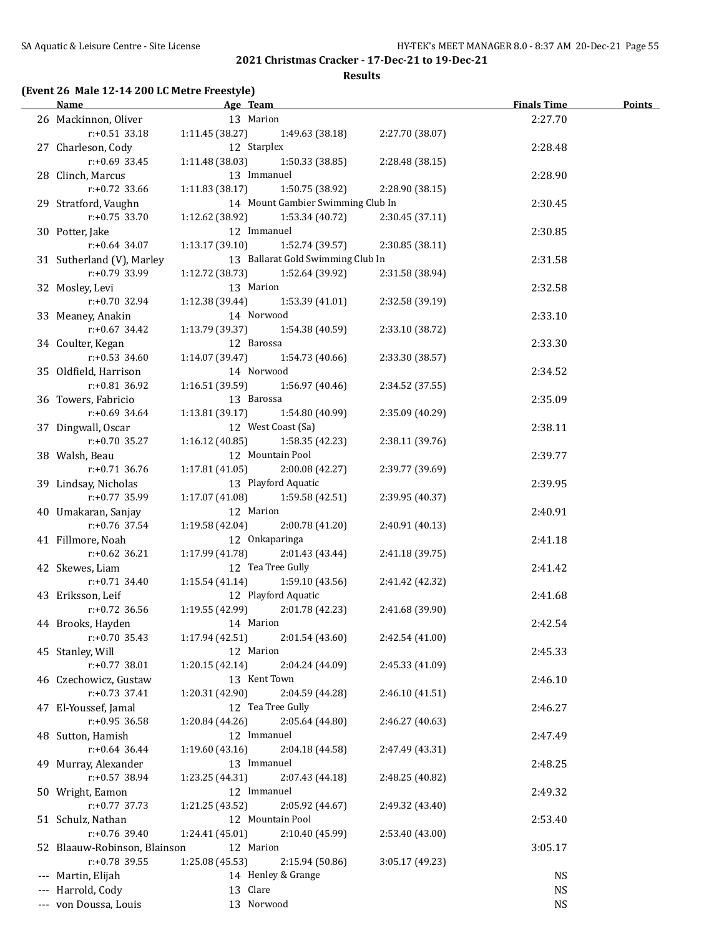**Results**

# **(Event 26 Male 12-14 200 LC Metre Freestyle)**

| <b>Name</b>                  | Age Team                          |                                   |                 | <b>Finals Time</b> | <b>Points</b> |
|------------------------------|-----------------------------------|-----------------------------------|-----------------|--------------------|---------------|
| 26 Mackinnon, Oliver         | 13 Marion                         |                                   |                 | 2:27.70            |               |
| $r: +0.51$ 33.18             | 1:11.45 (38.27)                   | 1:49.63(38.18)                    | 2:27.70 (38.07) |                    |               |
| 27 Charleson, Cody           | 12 Starplex                       |                                   |                 | 2:28.48            |               |
| $r: +0.69$ 33.45             | 1:11.48 (38.03)                   | 1:50.33(38.85)                    | 2:28.48 (38.15) |                    |               |
| 28 Clinch, Marcus            | 13 Immanuel                       |                                   |                 | 2:28.90            |               |
| $r: +0.72$ 33.66             | 1:11.83 (38.17)                   | 1:50.75 (38.92)                   | 2:28.90 (38.15) |                    |               |
| 29 Stratford, Vaughn         |                                   | 14 Mount Gambier Swimming Club In |                 | 2:30.45            |               |
| $r: +0.75$ 33.70             | 1:12.62 (38.92)                   | 1:53.34 (40.72)                   | 2:30.45 (37.11) |                    |               |
| 30 Potter, Jake              | 12 Immanuel                       |                                   |                 | 2:30.85            |               |
| $r: +0.64$ 34.07             | 1:13.17 (39.10)                   | 1:52.74 (39.57)                   | 2:30.85 (38.11) |                    |               |
| 31 Sutherland (V), Marley    |                                   | 13 Ballarat Gold Swimming Club In |                 | 2:31.58            |               |
| r:+0.79 33.99                | 1:12.72 (38.73)                   | 1:52.64 (39.92)                   | 2:31.58 (38.94) |                    |               |
| 32 Mosley, Levi              | 13 Marion                         |                                   |                 | 2:32.58            |               |
| $r: +0.70$ 32.94             | 1:12.38 (39.44)                   | 1:53.39 (41.01)                   |                 |                    |               |
|                              | 14 Norwood                        |                                   | 2:32.58 (39.19) |                    |               |
| 33 Meaney, Anakin            |                                   |                                   |                 | 2:33.10            |               |
| $r: +0.67$ 34.42             | 1:13.79 (39.37)                   | 1:54.38 (40.59)                   | 2:33.10 (38.72) |                    |               |
| 34 Coulter, Kegan            | 12 Barossa                        |                                   |                 | 2:33.30            |               |
| $r: +0.53$ 34.60             | 1:14.07(39.47)                    | 1:54.73 (40.66)                   | 2:33.30 (38.57) |                    |               |
| 35 Oldfield, Harrison        | 14 Norwood                        |                                   |                 | 2:34.52            |               |
| $r: +0.81$ 36.92             | 1:16.51 (39.59)                   | 1:56.97 (40.46)                   | 2:34.52 (37.55) |                    |               |
| 36 Towers, Fabricio          | 13 Barossa                        |                                   |                 | 2:35.09            |               |
| $r: +0.69$ 34.64             | $1:13.81(39.17)$ $1:54.80(40.99)$ |                                   | 2:35.09 (40.29) |                    |               |
| 37 Dingwall, Oscar           |                                   | 12 West Coast (Sa)                |                 | 2:38.11            |               |
| $r: +0.70$ 35.27             | 1:16.12(40.85)                    | 1:58.35 (42.23)                   | 2:38.11 (39.76) |                    |               |
| 38 Walsh, Beau               |                                   | 12 Mountain Pool                  |                 | 2:39.77            |               |
| $r: +0.71$ 36.76             | 1:17.81(41.05)                    | 2:00.08 (42.27)                   | 2:39.77 (39.69) |                    |               |
| 39 Lindsay, Nicholas         |                                   | 13 Playford Aquatic               |                 | 2:39.95            |               |
| $r: +0.77$ 35.99             | 1:17.07 (41.08)                   | 1:59.58 (42.51)                   | 2:39.95 (40.37) |                    |               |
| 40 Umakaran, Sanjay          | 12 Marion                         |                                   |                 | 2:40.91            |               |
| r:+0.76 37.54                | $1:19.58(42.04)$ $2:00.78(41.20)$ |                                   | 2:40.91 (40.13) |                    |               |
| 41 Fillmore, Noah            | 12 Onkaparinga                    |                                   |                 | 2:41.18            |               |
| $r: +0.62$ 36.21             | $1:17.99(41.78)$ $2:01.43(43.44)$ |                                   | 2:41.18 (39.75) |                    |               |
| 42 Skewes, Liam              |                                   | 12 Tea Tree Gully                 |                 | 2:41.42            |               |
| $r: +0.71$ 34.40             | $1:15.54(41.14)$ $1:59.10(43.56)$ |                                   | 2:41.42 (42.32) |                    |               |
| 43 Eriksson, Leif            |                                   | 12 Playford Aquatic               |                 | 2:41.68            |               |
| $r: +0.72$ 36.56             | 1:19.55 (42.99)                   | 2:01.78 (42.23)                   | 2:41.68 (39.90) |                    |               |
| 44 Brooks, Hayden            | 14 Marion                         |                                   |                 | 2:42.54            |               |
| $r: +0.70$ 35.43             | 1:17.94(42.51)                    | 2:01.54(43.60)                    | 2:42.54 (41.00) |                    |               |
| 45 Stanley, Will             | 12 Marion                         |                                   |                 | 2:45.33            |               |
| $r: +0.77$ 38.01             | 1:20.15(42.14)                    | 2:04.24 (44.09)                   | 2:45.33 (41.09) |                    |               |
| 46 Czechowicz, Gustaw        | 13 Kent Town                      |                                   |                 | 2:46.10            |               |
| $r: +0.73$ 37.41             | 1:20.31 (42.90)                   | 2:04.59 (44.28)                   | 2:46.10 (41.51) |                    |               |
|                              |                                   | 12 Tea Tree Gully                 |                 | 2:46.27            |               |
| 47 El-Youssef, Jamal         |                                   |                                   | 2:46.27 (40.63) |                    |               |
| $r: +0.95$ 36.58             | 1:20.84(44.26)<br>12 Immanuel     | 2:05.64 (44.80)                   |                 |                    |               |
| 48 Sutton, Hamish            |                                   |                                   |                 | 2:47.49            |               |
| $r: +0.64$ 36.44             | 1:19.60(43.16)                    | 2:04.18 (44.58)                   | 2:47.49 (43.31) |                    |               |
| 49 Murray, Alexander         | 13 Immanuel                       |                                   |                 | 2:48.25            |               |
| $r: +0.57$ 38.94             | 1:23.25 (44.31)                   | 2:07.43 (44.18)                   | 2:48.25 (40.82) |                    |               |
| 50 Wright, Eamon             | 12 Immanuel                       |                                   |                 | 2:49.32            |               |
| $r: +0.77$ 37.73             | 1:21.25 (43.52)                   | 2:05.92 (44.67)                   | 2:49.32 (43.40) |                    |               |
| 51 Schulz, Nathan            |                                   | 12 Mountain Pool                  |                 | 2:53.40            |               |
| r:+0.76 39.40                | 1:24.41 (45.01)                   | 2:10.40 (45.99)                   | 2:53.40 (43.00) |                    |               |
| 52 Blaauw-Robinson, Blainson | 12 Marion                         |                                   |                 | 3:05.17            |               |
| $r: +0.78$ 39.55             | 1:25.08 (45.53)                   | 2:15.94 (50.86)                   | 3:05.17 (49.23) |                    |               |
| --- Martin, Elijah           |                                   | 14 Henley & Grange                |                 | <b>NS</b>          |               |
| --- Harrold, Cody            | 13 Clare                          |                                   |                 | $_{\rm NS}$        |               |
| --- von Doussa, Louis        | 13 Norwood                        |                                   |                 | $_{\rm NS}$        |               |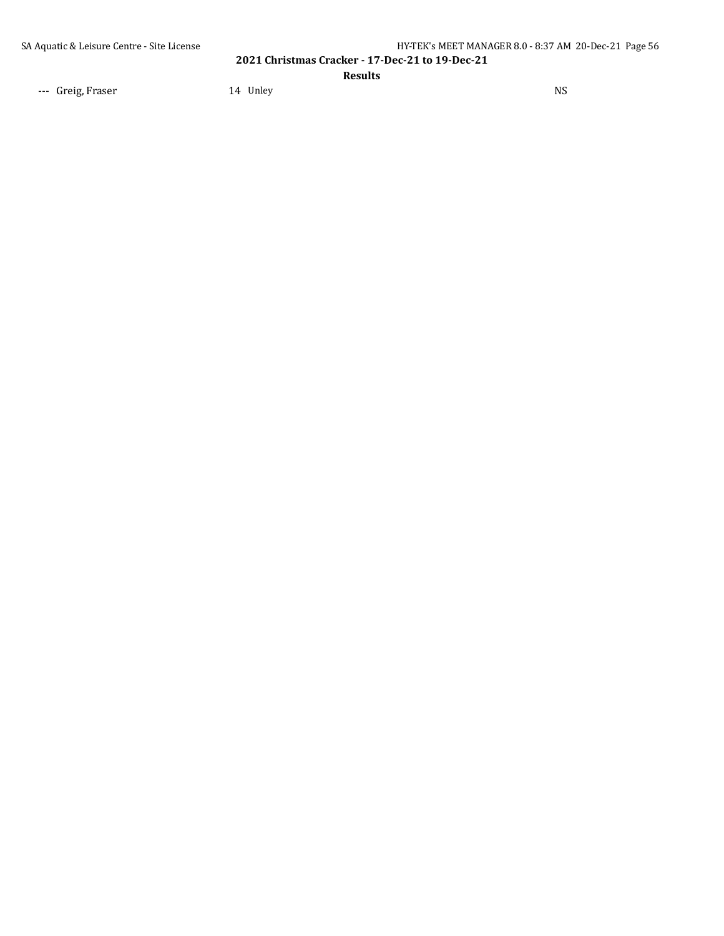**Results**

--- Greig, Fraser 14 Unley 14 Unley 14 Unley 2001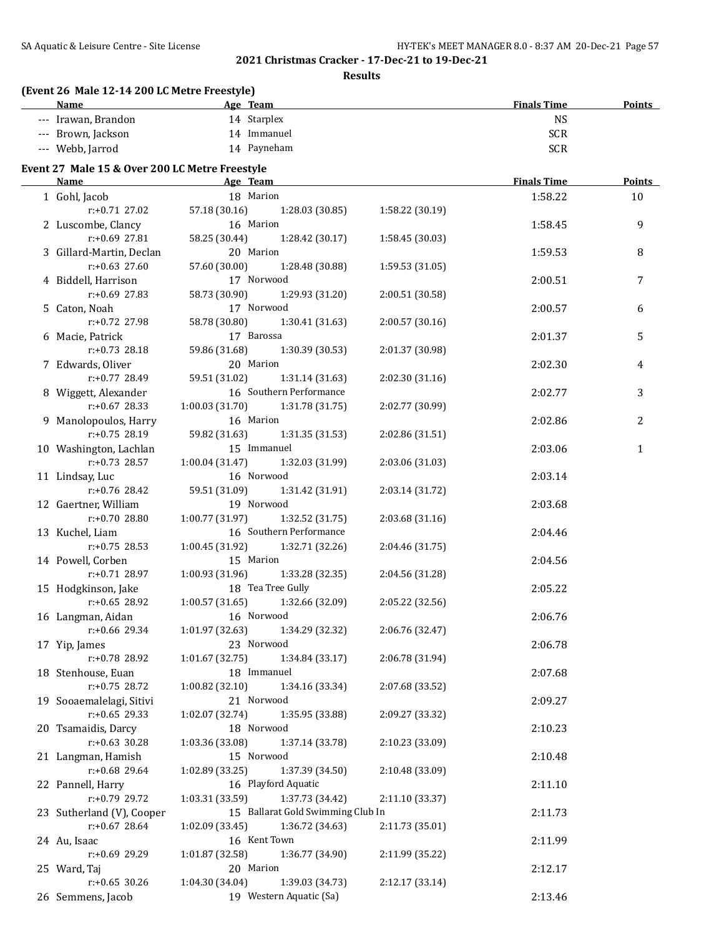| Name                                           | Age Team        |                                   |                 | <b>Finals Time</b> | <b>Points</b> |
|------------------------------------------------|-----------------|-----------------------------------|-----------------|--------------------|---------------|
| --- Irawan, Brandon                            |                 | 14 Starplex                       |                 | <b>NS</b>          |               |
| --- Brown, Jackson                             |                 | 14 Immanuel                       |                 | <b>SCR</b>         |               |
| --- Webb, Jarrod                               |                 | 14 Payneham                       |                 | <b>SCR</b>         |               |
| Event 27 Male 15 & Over 200 LC Metre Freestyle |                 |                                   |                 |                    |               |
| <b>Name</b>                                    | Age Team        |                                   |                 | <b>Finals Time</b> | <b>Points</b> |
| 1 Gohl, Jacob                                  |                 | 18 Marion                         |                 | 1:58.22            | 10            |
| $r: +0.71$ 27.02                               | 57.18 (30.16)   | 1:28.03 (30.85)                   | 1:58.22 (30.19) |                    |               |
| 2 Luscombe, Clancy                             |                 | 16 Marion                         |                 | 1:58.45            | 9             |
| $r: +0.69$ 27.81                               | 58.25 (30.44)   | 1:28.42 (30.17)                   | 1:58.45 (30.03) |                    |               |
| 3 Gillard-Martin, Declan                       |                 | 20 Marion                         |                 | 1:59.53            | 8             |
| $r: +0.63$ 27.60                               | 57.60 (30.00)   | 1:28.48 (30.88)                   | 1:59.53 (31.05) |                    |               |
| 4 Biddell, Harrison                            |                 | 17 Norwood                        |                 | 2:00.51            | 7             |
| $r: +0.69$ 27.83                               | 58.73 (30.90)   | 1:29.93 (31.20)                   | 2:00.51 (30.58) |                    |               |
| 5 Caton, Noah                                  |                 | 17 Norwood                        |                 | 2:00.57            | 6             |
| $r: +0.72$ 27.98                               | 58.78 (30.80)   | 1:30.41 (31.63)                   | 2:00.57 (30.16) |                    |               |
| 6 Macie, Patrick                               |                 | 17 Barossa                        |                 | 2:01.37            | 5             |
| $r: +0.73$ 28.18                               | 59.86 (31.68)   | 1:30.39 (30.53)                   | 2:01.37 (30.98) |                    |               |
| 7 Edwards, Oliver                              |                 | 20 Marion                         |                 | 2:02.30            | 4             |
| r:+0.77 28.49                                  | 59.51 (31.02)   | 1:31.14(31.63)                    | 2:02.30 (31.16) |                    |               |
| 8 Wiggett, Alexander                           |                 | 16 Southern Performance           |                 | 2:02.77            | 3             |
| $r: +0.67$ 28.33                               | 1:00.03(31.70)  | 1:31.78 (31.75)                   | 2:02.77 (30.99) |                    |               |
| 9 Manolopoulos, Harry                          |                 | 16 Marion                         |                 | 2:02.86            | 2             |
| $r: +0.75$ 28.19                               | 59.82 (31.63)   | 1:31.35 (31.53)                   | 2:02.86 (31.51) |                    |               |
| 10 Washington, Lachlan                         |                 | 15 Immanuel                       |                 | 2:03.06            | $\mathbf{1}$  |
| $r: +0.73$ 28.57                               | 1:00.04 (31.47) | 1:32.03 (31.99)                   | 2:03.06 (31.03) |                    |               |
| 11 Lindsay, Luc                                |                 | 16 Norwood                        |                 | 2:03.14            |               |
| $r: +0.76$ 28.42                               | 59.51 (31.09)   | 1:31.42 (31.91)                   | 2:03.14 (31.72) |                    |               |
| 12 Gaertner, William                           |                 | 19 Norwood                        |                 | 2:03.68            |               |
| r:+0.70 28.80                                  | 1:00.77 (31.97) | 1:32.52 (31.75)                   | 2:03.68 (31.16) |                    |               |
| 13 Kuchel, Liam                                |                 | 16 Southern Performance           |                 | 2:04.46            |               |
| r:+0.75 28.53                                  |                 |                                   |                 |                    |               |
|                                                | 1:00.45 (31.92) | 1:32.71 (32.26)                   | 2:04.46 (31.75) |                    |               |
| 14 Powell, Corben                              |                 | 15 Marion                         |                 | 2:04.56            |               |
| r:+0.71 28.97                                  | 1:00.93 (31.96) | 1:33.28 (32.35)                   | 2:04.56 (31.28) |                    |               |
| 15 Hodgkinson, Jake                            |                 | 18 Tea Tree Gully                 |                 | 2:05.22            |               |
| $r: +0.65$ 28.92                               | 1:00.57(31.65)  | 1:32.66 (32.09)                   | 2:05.22 (32.56) |                    |               |
| 16 Langman, Aidan                              | 16 Norwood      |                                   |                 | 2:06.76            |               |
| $r: +0.66$ 29.34                               | 1:01.97 (32.63) | 1:34.29 (32.32)                   | 2:06.76 (32.47) |                    |               |
| 17 Yip, James                                  |                 | 23 Norwood                        |                 | 2:06.78            |               |
| r:+0.78 28.92                                  | 1:01.67(32.75)  | 1:34.84 (33.17)                   | 2:06.78 (31.94) |                    |               |
| 18 Stenhouse, Euan                             |                 | 18 Immanuel                       |                 | 2:07.68            |               |
| $r: +0.75$ 28.72                               | 1:00.82(32.10)  | 1:34.16 (33.34)                   | 2:07.68 (33.52) |                    |               |
| 19 Sooaemalelagi, Sitivi                       |                 | 21 Norwood                        |                 | 2:09.27            |               |
| $r: +0.65$ 29.33                               | 1:02.07 (32.74) | 1:35.95 (33.88)                   | 2:09.27 (33.32) |                    |               |
| 20 Tsamaidis, Darcy                            |                 | 18 Norwood                        |                 | 2:10.23            |               |
| $r: +0.63$ 30.28                               | 1:03.36 (33.08) | 1:37.14 (33.78)                   | 2:10.23 (33.09) |                    |               |
| 21 Langman, Hamish                             |                 | 15 Norwood                        |                 | 2:10.48            |               |
| $r: +0.68$ 29.64                               | 1:02.89(33.25)  | 1:37.39 (34.50)                   | 2:10.48 (33.09) |                    |               |
| 22 Pannell, Harry                              |                 | 16 Playford Aquatic               |                 | 2:11.10            |               |
| r:+0.79 29.72                                  | 1:03.31(33.59)  | 1:37.73 (34.42)                   | 2:11.10 (33.37) |                    |               |
| 23 Sutherland (V), Cooper                      |                 | 15 Ballarat Gold Swimming Club In |                 | 2:11.73            |               |
| $r: +0.67$ 28.64                               | 1:02.09 (33.45) | 1:36.72 (34.63)                   | 2:11.73 (35.01) |                    |               |
| 24 Au, Isaac                                   |                 | 16 Kent Town                      |                 | 2:11.99            |               |
| r:+0.69 29.29                                  | 1:01.87 (32.58) | 1:36.77 (34.90)                   | 2:11.99 (35.22) |                    |               |
| 25 Ward, Taj                                   |                 | 20 Marion                         |                 | 2:12.17            |               |
| $r: +0.65$ 30.26                               | 1:04.30 (34.04) | 1:39.03 (34.73)                   | 2:12.17 (33.14) |                    |               |
| 26 Semmens, Jacob                              |                 | 19 Western Aquatic (Sa)           |                 | 2:13.46            |               |
|                                                |                 |                                   |                 |                    |               |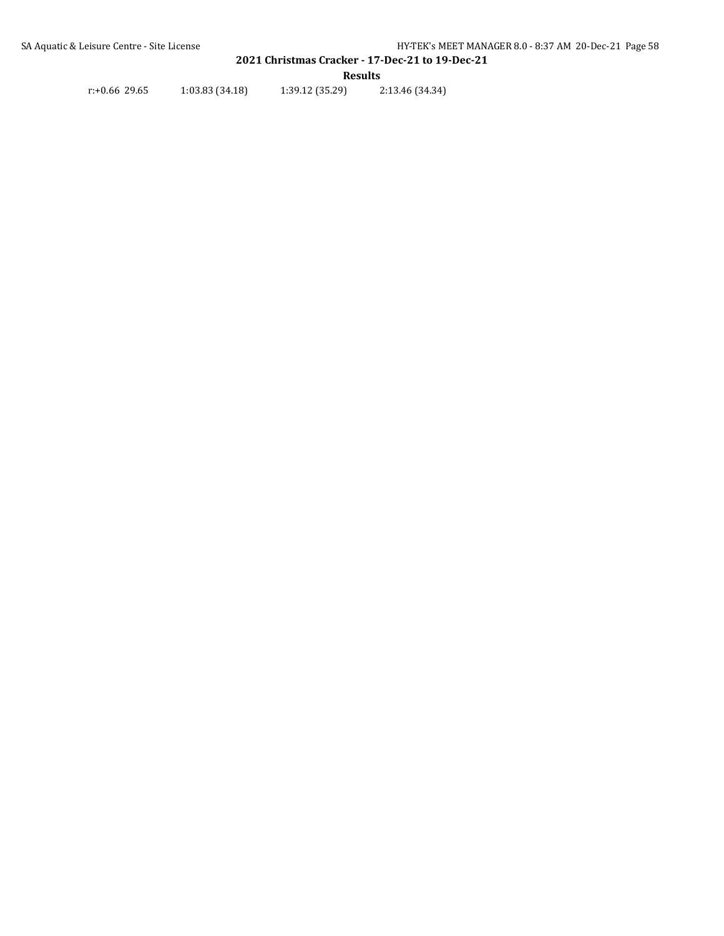**Results**

r:+0.66 29.65 1:03.83 (34.18) 1:39.12 (35.29) 2:13.46 (34.34)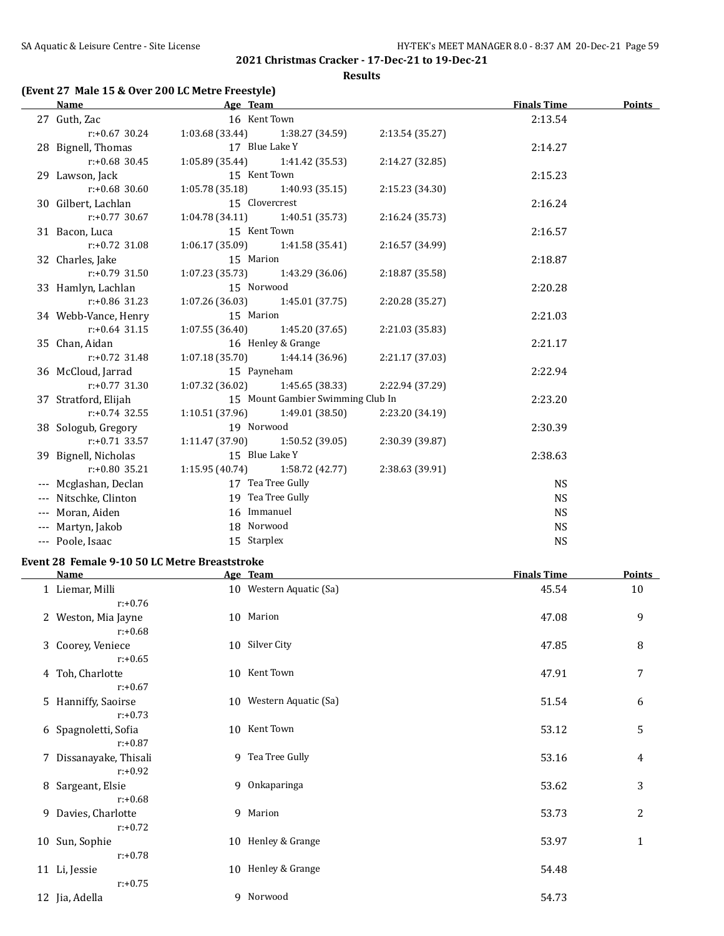**Results**

# **(Event 27 Male 15 & Over 200 LC Metre Freestyle)**

| Name                  | Age Team          |                                   |                 | <b>Finals Time</b> | <b>Points</b> |
|-----------------------|-------------------|-----------------------------------|-----------------|--------------------|---------------|
| 27 Guth, Zac          | 16 Kent Town      |                                   |                 | 2:13.54            |               |
| r:+0.67 30.24         |                   | $1:03.68(33.44)$ $1:38.27(34.59)$ | 2:13.54 (35.27) |                    |               |
| 28 Bignell, Thomas    | 17 Blue Lake Y    |                                   |                 | 2:14.27            |               |
| $r: +0.68$ 30.45      |                   | $1:05.89(35.44)$ $1:41.42(35.53)$ | 2:14.27 (32.85) |                    |               |
| 29 Lawson, Jack       | 15 Kent Town      |                                   |                 | 2:15.23            |               |
| $r: +0.68$ 30.60      |                   | $1:05.78(35.18)$ $1:40.93(35.15)$ | 2:15.23 (34.30) |                    |               |
| 30 Gilbert, Lachlan   | 15 Clovercrest    |                                   |                 | 2:16.24            |               |
| $r: +0.77$ 30.67      |                   | $1:04.78(34.11)$ $1:40.51(35.73)$ | 2:16.24 (35.73) |                    |               |
| 31 Bacon, Luca        | 15 Kent Town      |                                   |                 | 2:16.57            |               |
| $r: +0.72$ 31.08      |                   | $1:06.17(35.09)$ $1:41.58(35.41)$ | 2:16.57 (34.99) |                    |               |
| 32 Charles, Jake      | 15 Marion         |                                   |                 | 2:18.87            |               |
| $r: +0.79$ 31.50      |                   | $1:07.23(35.73)$ $1:43.29(36.06)$ | 2:18.87 (35.58) |                    |               |
| 33 Hamlyn, Lachlan    | 15 Norwood        |                                   |                 | 2:20.28            |               |
| $r: +0.86$ 31.23      |                   | $1:07.26(36.03)$ $1:45.01(37.75)$ | 2:20.28 (35.27) |                    |               |
| 34 Webb-Vance, Henry  | 15 Marion         |                                   |                 | 2:21.03            |               |
| $r: +0.64$ 31.15      |                   | $1:07.55(36.40)$ $1:45.20(37.65)$ | 2:21.03 (35.83) |                    |               |
| 35 Chan, Aidan        |                   | 16 Henley & Grange                |                 | 2:21.17            |               |
| $r: +0.72$ 31.48      |                   | $1:07.18(35.70)$ $1:44.14(36.96)$ | 2:21.17 (37.03) |                    |               |
| 36 McCloud, Jarrad    | 15 Payneham       |                                   |                 | 2:22.94            |               |
| $r: +0.77$ 31.30      |                   | $1:07.32(36.02)$ $1:45.65(38.33)$ | 2:22.94 (37.29) |                    |               |
| 37 Stratford, Elijah  |                   | 15 Mount Gambier Swimming Club In |                 | 2:23.20            |               |
| $r: +0.74$ 32.55      |                   | $1:10.51(37.96)$ $1:49.01(38.50)$ | 2:23.20 (34.19) |                    |               |
| 38 Sologub, Gregory   | 19 Norwood        |                                   |                 | 2:30.39            |               |
| $r: +0.71$ 33.57      | 1:11.47 (37.90)   | 1:50.52 (39.05)                   | 2:30.39 (39.87) |                    |               |
| 39 Bignell, Nicholas  |                   | 15 Blue Lake Y                    |                 | 2:38.63            |               |
| $r: +0.80$ 35.21      |                   | $1:15.95(40.74)$ $1:58.72(42.77)$ | 2:38.63 (39.91) |                    |               |
| --- Mcglashan, Declan | 17 Tea Tree Gully |                                   |                 | <b>NS</b>          |               |
| --- Nitschke, Clinton |                   | 19 Tea Tree Gully                 |                 | <b>NS</b>          |               |
| --- Moran, Aiden      | 16 Immanuel       |                                   |                 | <b>NS</b>          |               |
| --- Martyn, Jakob     | 18 Norwood        |                                   |                 | <b>NS</b>          |               |
| --- Poole, Isaac      | 15 Starplex       |                                   |                 | <b>NS</b>          |               |

# **Event 28 Female 9-10 50 LC Metre Breaststroke**

|   | Name                               |   | Age Team                | <b>Finals Time</b> | <b>Points</b>  |
|---|------------------------------------|---|-------------------------|--------------------|----------------|
|   | 1 Liemar, Milli                    |   | 10 Western Aquatic (Sa) | 45.54              | 10             |
|   | $r: +0.76$                         |   |                         |                    |                |
|   | 2 Weston, Mia Jayne                |   | 10 Marion               | 47.08              | 9              |
|   | $r: +0.68$                         |   |                         |                    |                |
|   | 3 Coorey, Veniece                  |   | 10 Silver City          | 47.85              | 8              |
|   | $r: +0.65$                         |   |                         |                    |                |
|   | 4 Toh, Charlotte                   |   | 10 Kent Town            | 47.91              | 7              |
|   | $r: +0.67$                         |   |                         |                    |                |
|   | 5 Hanniffy, Saoirse                |   | 10 Western Aquatic (Sa) | 51.54              | 6              |
|   | $r: +0.73$                         |   |                         |                    |                |
|   |                                    |   | 10 Kent Town            | 53.12              | 5              |
|   | 6 Spagnoletti, Sofia<br>$r: +0.87$ |   |                         |                    |                |
|   |                                    |   |                         |                    |                |
|   | 7 Dissanayake, Thisali             |   | 9 Tea Tree Gully        | 53.16              | 4              |
|   | $r: +0.92$                         |   |                         |                    |                |
| 8 | Sargeant, Elsie                    | 9 | Onkaparinga             | 53.62              | 3              |
|   | $r: +0.68$                         |   |                         |                    |                |
| 9 | Davies, Charlotte                  |   | 9 Marion                | 53.73              | $\overline{c}$ |
|   | $r: +0.72$                         |   |                         |                    |                |
|   | 10 Sun, Sophie                     |   | 10 Henley & Grange      | 53.97              | $\mathbf{1}$   |
|   | $r: +0.78$                         |   |                         |                    |                |
|   | 11 Li, Jessie                      |   | 10 Henley & Grange      | 54.48              |                |
|   | $r: +0.75$                         |   |                         |                    |                |
|   | 12 Jia, Adella                     |   | 9 Norwood               | 54.73              |                |
|   |                                    |   |                         |                    |                |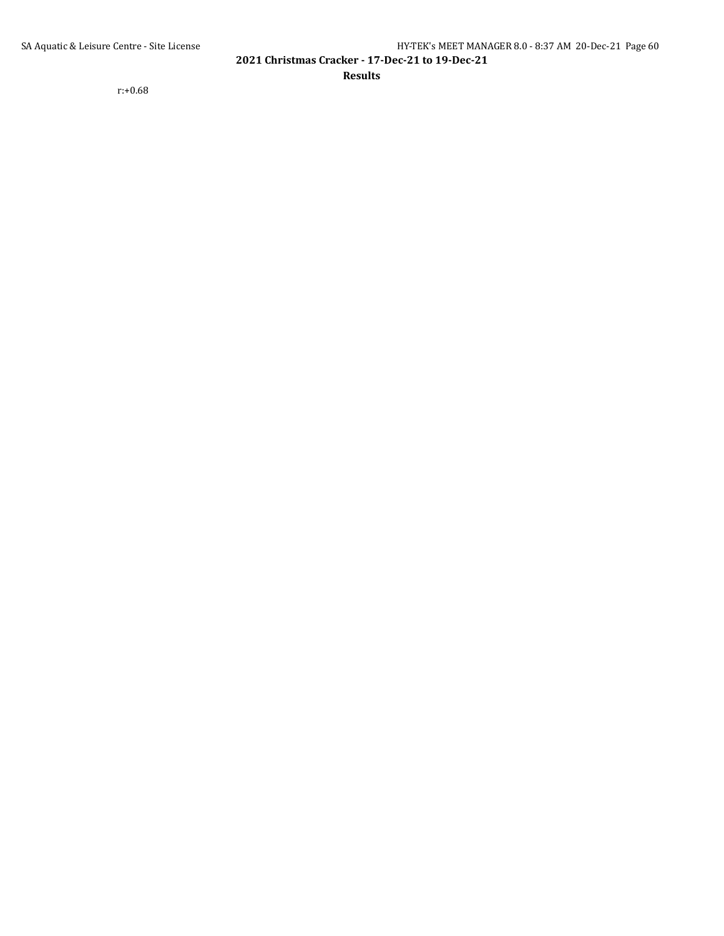**Results**

r:+0.68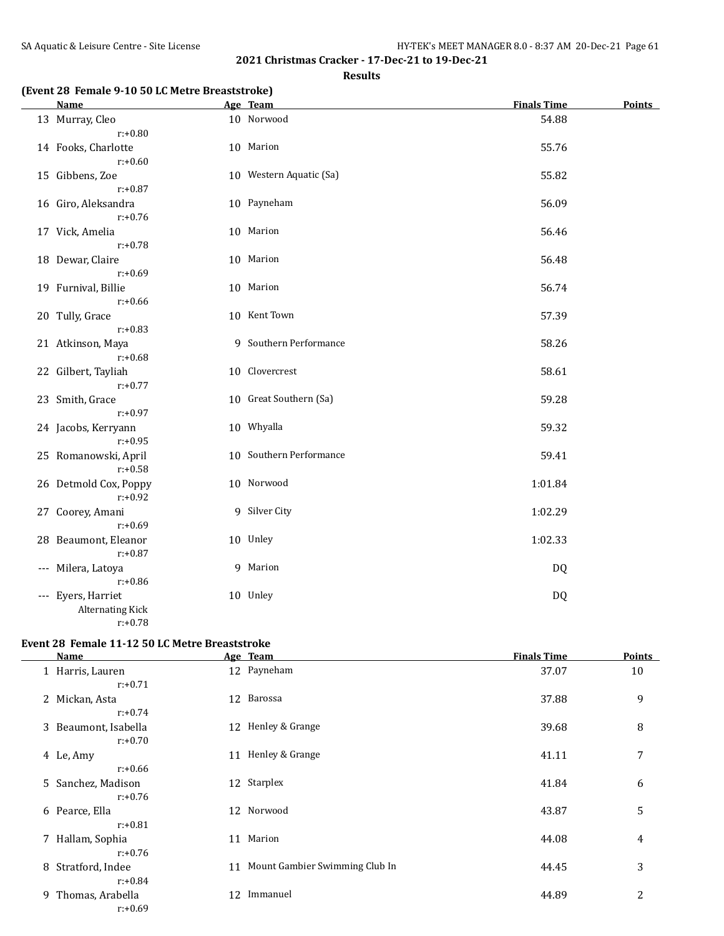#### **Results**

# **(Event 28 Female 9-10 50 LC Metre Breaststroke)**

| <b>Name</b>                                   | Age Team                | <b>Finals Time</b> | <b>Points</b> |
|-----------------------------------------------|-------------------------|--------------------|---------------|
| 13 Murray, Cleo<br>$r: +0.80$                 | 10 Norwood              | 54.88              |               |
| 14 Fooks, Charlotte<br>$r: +0.60$             | 10 Marion               | 55.76              |               |
| 15 Gibbens, Zoe<br>$r: +0.87$                 | 10 Western Aquatic (Sa) | 55.82              |               |
| 16 Giro, Aleksandra<br>$r: +0.76$             | 10 Payneham             | 56.09              |               |
| 17 Vick, Amelia<br>$r: +0.78$                 | 10 Marion               | 56.46              |               |
| 18 Dewar, Claire<br>$r: +0.69$                | 10 Marion               | 56.48              |               |
| 19 Furnival, Billie<br>$r: +0.66$             | 10 Marion               | 56.74              |               |
| 20 Tully, Grace<br>$r: +0.83$                 | 10 Kent Town            | 57.39              |               |
| 21 Atkinson, Maya<br>$r: +0.68$               | 9 Southern Performance  | 58.26              |               |
| 22 Gilbert, Tayliah<br>$r: +0.77$             | 10 Clovercrest          | 58.61              |               |
| 23 Smith, Grace<br>$r: +0.97$                 | 10 Great Southern (Sa)  | 59.28              |               |
| 24 Jacobs, Kerryann<br>$r: +0.95$             | 10 Whyalla              | 59.32              |               |
| 25 Romanowski, April<br>$r: +0.58$            | 10 Southern Performance | 59.41              |               |
| 26 Detmold Cox, Poppy<br>$r: +0.92$           | 10 Norwood              | 1:01.84            |               |
| 27 Coorey, Amani<br>$r: +0.69$                | 9 Silver City           | 1:02.29            |               |
| 28 Beaumont, Eleanor<br>$r: +0.87$            | 10 Unley                | 1:02.33            |               |
| --- Milera, Latoya<br>$r: +0.86$              | 9 Marion                | <b>DQ</b>          |               |
| --- Eyers, Harriet<br><b>Alternating Kick</b> | 10 Unley                | <b>DQ</b>          |               |

# **Event 28 Female 11-12 50 LC Metre Breaststroke**

r:+0.78

|   | Name               |    | Age Team                          | <b>Finals Time</b> | <b>Points</b>  |
|---|--------------------|----|-----------------------------------|--------------------|----------------|
|   | 1 Harris, Lauren   |    | 12 Payneham                       | 37.07              | 10             |
|   | $r: +0.71$         |    |                                   |                    |                |
|   | 2 Mickan, Asta     |    | 12 Barossa                        | 37.88              | 9              |
|   | $r: +0.74$         |    |                                   |                    |                |
| 3 | Beaumont, Isabella |    | 12 Henley & Grange                | 39.68              | 8              |
|   | $r: +0.70$         |    |                                   |                    |                |
|   | 4 Le, Amy          |    | 11 Henley & Grange                | 41.11              | 7              |
|   | $r: +0.66$         |    |                                   |                    |                |
|   | 5 Sanchez, Madison |    | 12 Starplex                       | 41.84              | 6              |
|   | $r: +0.76$         |    |                                   |                    |                |
|   | 6 Pearce, Ella     |    | 12 Norwood                        | 43.87              | 5              |
|   | $r: +0.81$         |    |                                   |                    |                |
|   | 7 Hallam, Sophia   |    | 11 Marion                         | 44.08              | 4              |
|   | $r: +0.76$         |    |                                   |                    |                |
| 8 | Stratford, Indee   |    | 11 Mount Gambier Swimming Club In | 44.45              | 3              |
|   | $r: +0.84$         |    |                                   |                    |                |
|   | 9 Thomas, Arabella | 12 | Immanuel                          | 44.89              | $\overline{2}$ |
|   | $r: +0.69$         |    |                                   |                    |                |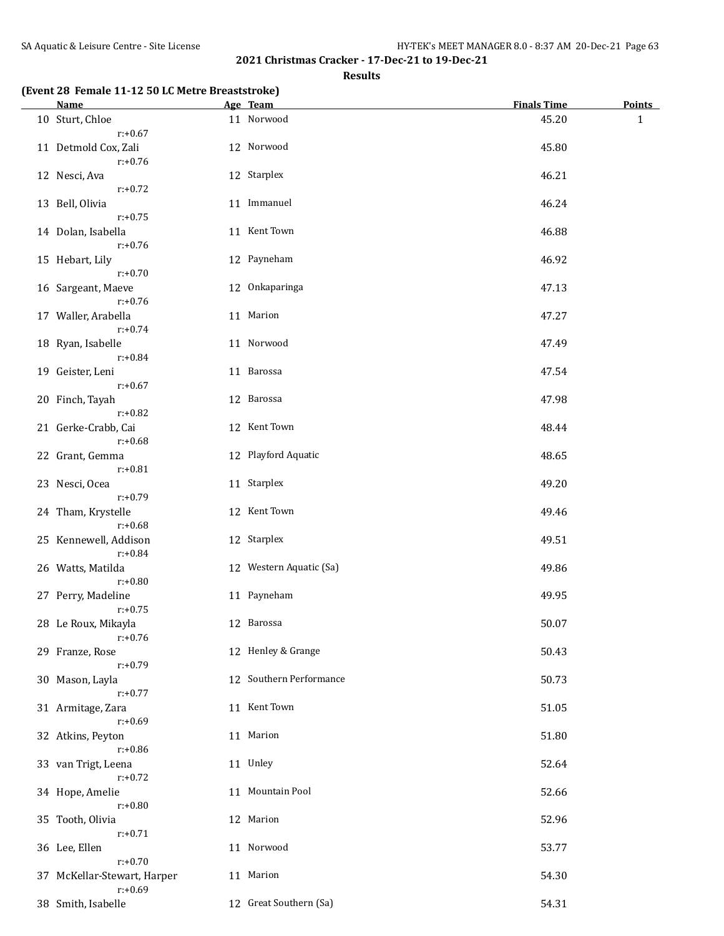#### **Results**

### **(Event 28 Female 11-12 50 LC Metre Breaststroke)**

| <b>Name</b>                               | Age Team                | <b>Finals Time</b> | <b>Points</b> |
|-------------------------------------------|-------------------------|--------------------|---------------|
| 10 Sturt, Chloe<br>$r: +0.67$             | 11 Norwood              | 45.20              | $\mathbf{1}$  |
| 11 Detmold Cox, Zali<br>$r: +0.76$        | 12 Norwood              | 45.80              |               |
| 12 Nesci, Ava<br>$r: +0.72$               | 12 Starplex             | 46.21              |               |
| 13 Bell, Olivia<br>$r: +0.75$             | 11 Immanuel             | 46.24              |               |
| 14 Dolan, Isabella<br>$r: +0.76$          | 11 Kent Town            | 46.88              |               |
| 15 Hebart, Lily<br>$r: +0.70$             | 12 Payneham             | 46.92              |               |
| 16 Sargeant, Maeve<br>$r: +0.76$          | 12 Onkaparinga          | 47.13              |               |
| 17 Waller, Arabella<br>$r: +0.74$         | 11 Marion               | 47.27              |               |
| 18 Ryan, Isabelle<br>$r: +0.84$           | 11 Norwood              | 47.49              |               |
| 19 Geister, Leni<br>$r: +0.67$            | 11 Barossa              | 47.54              |               |
| 20 Finch, Tayah<br>$r: +0.82$             | 12 Barossa              | 47.98              |               |
| 21 Gerke-Crabb, Cai<br>$r: +0.68$         | 12 Kent Town            | 48.44              |               |
| 22 Grant, Gemma<br>$r: +0.81$             | 12 Playford Aquatic     | 48.65              |               |
| 23 Nesci, Ocea<br>$r: +0.79$              | 11 Starplex             | 49.20              |               |
| 24 Tham, Krystelle<br>$r: +0.68$          | 12 Kent Town            | 49.46              |               |
| 25 Kennewell, Addison<br>$r: +0.84$       | 12 Starplex             | 49.51              |               |
| 26 Watts, Matilda<br>$r: +0.80$           | 12 Western Aquatic (Sa) | 49.86              |               |
| 27 Perry, Madeline<br>$r: +0.75$          | 11 Payneham             | 49.95              |               |
| 28 Le Roux, Mikayla<br>$r: +0.76$         | 12 Barossa              | 50.07              |               |
| 29 Franze, Rose<br>$r: +0.79$             | 12 Henley & Grange      | 50.43              |               |
| 30 Mason, Layla<br>$r: +0.77$             | 12 Southern Performance | 50.73              |               |
| 31 Armitage, Zara<br>$r: +0.69$           | 11 Kent Town            | 51.05              |               |
| 32 Atkins, Peyton<br>$r: +0.86$           | 11 Marion               | 51.80              |               |
| 33 van Trigt, Leena<br>$r: +0.72$         | 11 Unley                | 52.64              |               |
| 34 Hope, Amelie<br>$r: +0.80$             | 11 Mountain Pool        | 52.66              |               |
| 35 Tooth, Olivia<br>$r: +0.71$            | 12 Marion               | 52.96              |               |
| 36 Lee, Ellen<br>$r: +0.70$               | 11 Norwood              | 53.77              |               |
| 37 McKellar-Stewart, Harper<br>$r: +0.69$ | 11 Marion               | 54.30              |               |
| 38 Smith, Isabelle                        | 12 Great Southern (Sa)  | 54.31              |               |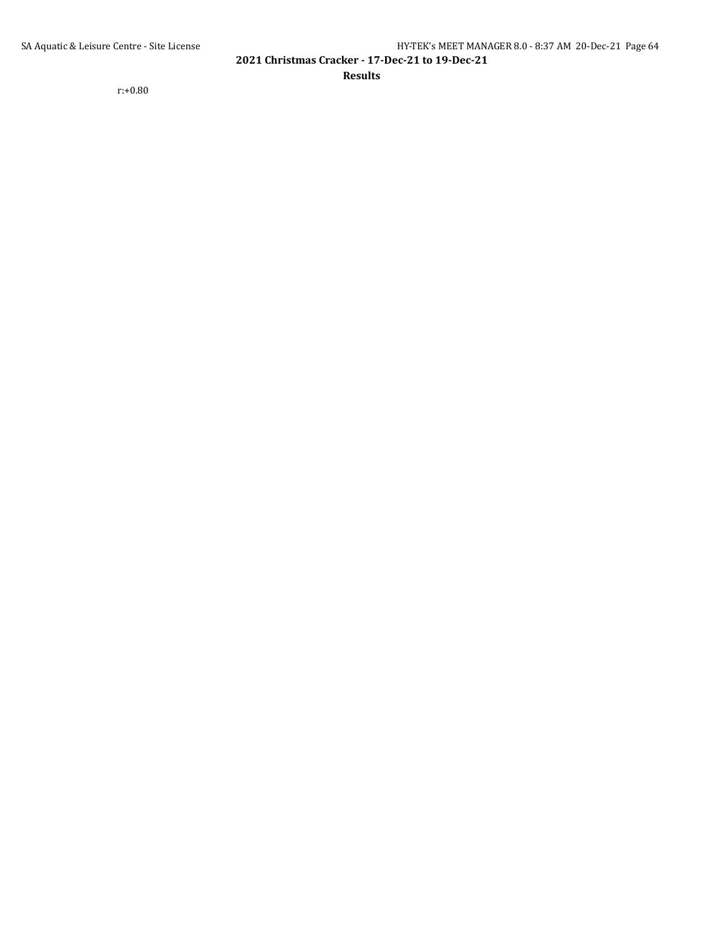**Results**

r:+0.80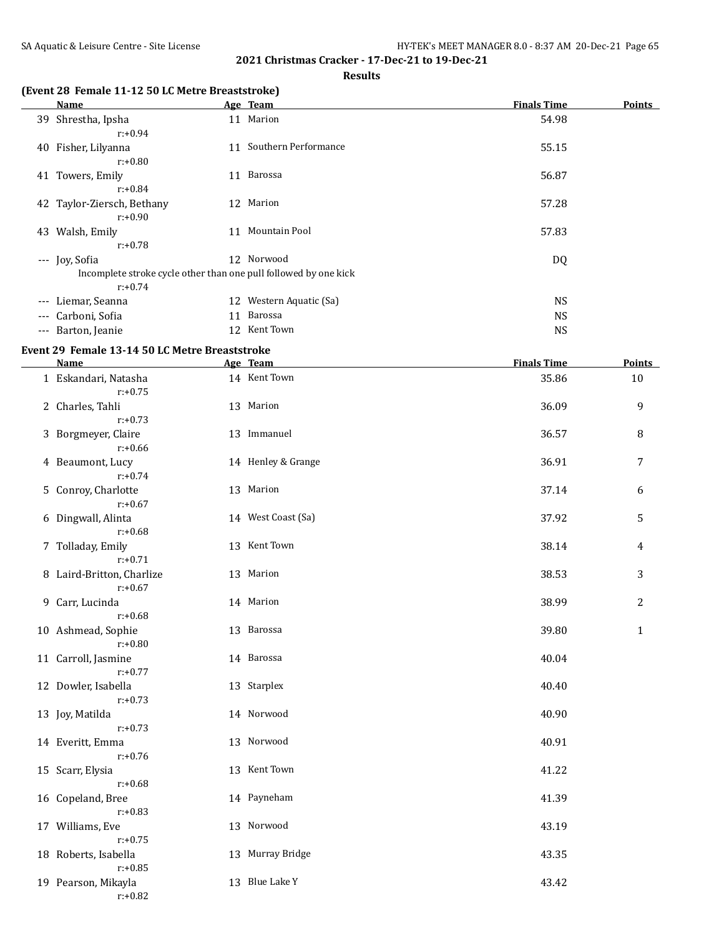#### **Results**

# **(Event 28 Female 11-12 50 LC Metre Breaststroke)**

|                     | Name                                                             |    | Age Team                | <b>Finals Time</b> | <b>Points</b> |
|---------------------|------------------------------------------------------------------|----|-------------------------|--------------------|---------------|
|                     | 39 Shrestha, Ipsha                                               |    | 11 Marion               | 54.98              |               |
|                     | $r: +0.94$                                                       |    |                         |                    |               |
| 40                  | Fisher, Lilyanna                                                 | 11 | Southern Performance    | 55.15              |               |
|                     | $r: +0.80$                                                       |    |                         |                    |               |
| 41                  | Towers, Emily                                                    | 11 | Barossa                 | 56.87              |               |
|                     | $r: +0.84$                                                       |    |                         |                    |               |
|                     | 42 Taylor-Ziersch, Bethany                                       |    | 12 Marion               | 57.28              |               |
|                     | $r: +0.90$                                                       |    |                         |                    |               |
| 43                  | Walsh, Emily                                                     | 11 | Mountain Pool           | 57.83              |               |
|                     | $r: +0.78$                                                       |    |                         |                    |               |
|                     | --- Joy, Sofia                                                   |    | 12 Norwood              | DQ                 |               |
|                     | Incomplete stroke cycle other than one pull followed by one kick |    |                         |                    |               |
|                     | $r: +0.74$                                                       |    |                         |                    |               |
| $---$               | Liemar, Seanna                                                   |    | 12 Western Aquatic (Sa) | <b>NS</b>          |               |
| $---$               | Carboni, Sofia                                                   | 11 | Barossa                 | <b>NS</b>          |               |
| $\qquad \qquad - -$ | Barton, Jeanie                                                   |    | 12 Kent Town            | <b>NS</b>          |               |

# **Event 29 Female 13-14 50 LC Metre Breaststroke**

| Name                                    | Age Team           | <b>Finals Time</b> | <b>Points</b> |
|-----------------------------------------|--------------------|--------------------|---------------|
| 1 Eskandari, Natasha<br>$r: +0.75$      | 14 Kent Town       | 35.86              | 10            |
| 2 Charles, Tahli<br>$r: +0.73$          | 13 Marion          | 36.09              | 9             |
| 3 Borgmeyer, Claire<br>$r: +0.66$       | 13 Immanuel        | 36.57              | 8             |
| 4 Beaumont, Lucy<br>$r: +0.74$          | 14 Henley & Grange | 36.91              | 7             |
| 5 Conroy, Charlotte<br>$r: +0.67$       | 13 Marion          | 37.14              | 6             |
| 6 Dingwall, Alinta<br>$r: +0.68$        | 14 West Coast (Sa) | 37.92              | 5             |
| 7 Tolladay, Emily<br>$r: +0.71$         | 13 Kent Town       | 38.14              | 4             |
| 8 Laird-Britton, Charlize<br>$r: +0.67$ | 13 Marion          | 38.53              | 3             |
| 9 Carr, Lucinda<br>$r: +0.68$           | 14 Marion          | 38.99              | $\sqrt{2}$    |
| 10 Ashmead, Sophie<br>$r: +0.80$        | 13 Barossa         | 39.80              | $\mathbf{1}$  |
| 11 Carroll, Jasmine<br>$r: +0.77$       | 14 Barossa         | 40.04              |               |
| 12 Dowler, Isabella<br>$r: +0.73$       | 13 Starplex        | 40.40              |               |
| 13 Joy, Matilda<br>$r: +0.73$           | 14 Norwood         | 40.90              |               |
| 14 Everitt, Emma<br>$r: +0.76$          | 13 Norwood         | 40.91              |               |
| 15 Scarr, Elysia<br>$r: +0.68$          | 13 Kent Town       | 41.22              |               |
| 16 Copeland, Bree<br>$r: +0.83$         | 14 Payneham        | 41.39              |               |
| 17 Williams, Eve<br>$r: +0.75$          | 13 Norwood         | 43.19              |               |
| 18 Roberts, Isabella<br>$r: +0.85$      | 13 Murray Bridge   | 43.35              |               |
| 19 Pearson, Mikayla<br>$r: +0.82$       | 13 Blue Lake Y     | 43.42              |               |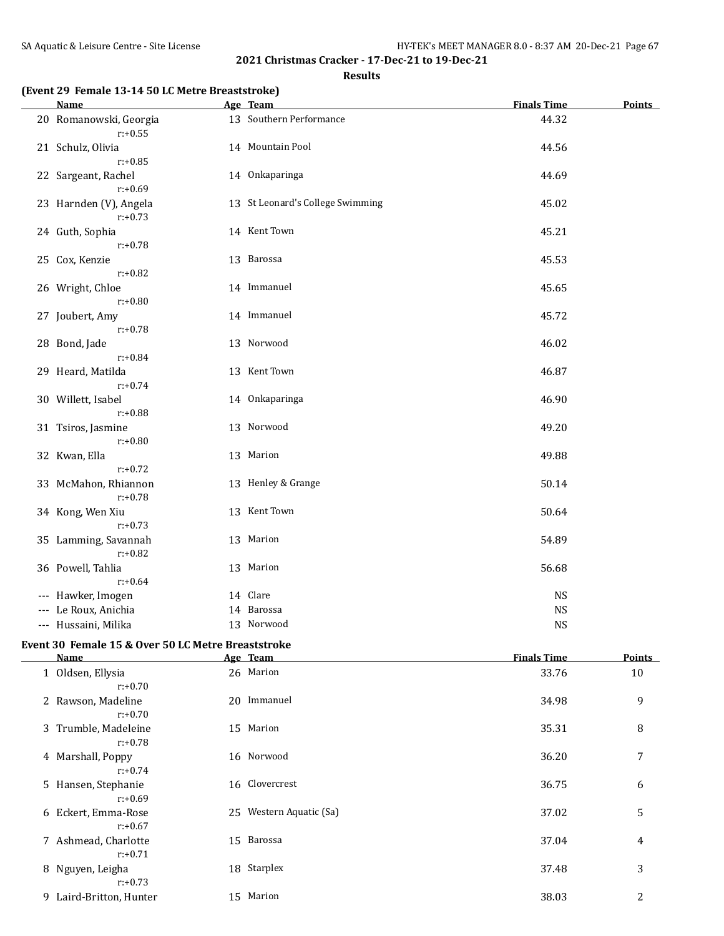### **Results**

# **(Event 29 Female 13-14 50 LC Metre Breaststroke)**

| <b>Name</b>                                        | Age Team                         | <b>Finals Time</b> | <b>Points</b> |
|----------------------------------------------------|----------------------------------|--------------------|---------------|
| 20 Romanowski, Georgia<br>$r: +0.55$               | 13 Southern Performance          | 44.32              |               |
| 21 Schulz, Olivia<br>$r: +0.85$                    | 14 Mountain Pool                 | 44.56              |               |
| 22 Sargeant, Rachel<br>$r: +0.69$                  | 14 Onkaparinga                   | 44.69              |               |
| 23 Harnden (V), Angela<br>$r: +0.73$               | 13 St Leonard's College Swimming | 45.02              |               |
| 24 Guth, Sophia<br>$r: +0.78$                      | 14 Kent Town                     | 45.21              |               |
| 25 Cox, Kenzie<br>$r: +0.82$                       | 13 Barossa                       | 45.53              |               |
| 26 Wright, Chloe<br>$r: +0.80$                     | 14 Immanuel                      | 45.65              |               |
| 27 Joubert, Amy<br>$r: +0.78$                      | 14 Immanuel                      | 45.72              |               |
| 28 Bond, Jade<br>$r: +0.84$                        | 13 Norwood                       | 46.02              |               |
| 29 Heard, Matilda<br>$r: +0.74$                    | 13 Kent Town                     | 46.87              |               |
| 30 Willett, Isabel<br>$r: +0.88$                   | 14 Onkaparinga                   | 46.90              |               |
| 31 Tsiros, Jasmine<br>$r: +0.80$                   | 13 Norwood                       | 49.20              |               |
| 32 Kwan, Ella<br>$r: +0.72$                        | 13 Marion                        | 49.88              |               |
| 33 McMahon, Rhiannon<br>$r: +0.78$                 | 13 Henley & Grange               | 50.14              |               |
| 34 Kong, Wen Xiu<br>$r: +0.73$                     | 13 Kent Town                     | 50.64              |               |
| 35 Lamming, Savannah<br>$r: +0.82$                 | 13 Marion                        | 54.89              |               |
| 36 Powell, Tahlia<br>$r: +0.64$                    | 13 Marion                        | 56.68              |               |
| --- Hawker, Imogen                                 | 14 Clare                         | <b>NS</b>          |               |
| --- Le Roux, Anichia                               | 14 Barossa                       | <b>NS</b>          |               |
| --- Hussaini, Milika                               | 13 Norwood                       | <b>NS</b>          |               |
| Event 30 Female 15 & Over 50 LC Metre Breaststroke |                                  |                    |               |
| <b>Name</b>                                        | Age Team                         | <b>Finals Time</b> | <b>Points</b> |

|   | name                               |    | <u>дес ісані</u>        | <u>, ,,,,,,,,,,,,,,,,,</u> | 1 v.iito         |
|---|------------------------------------|----|-------------------------|----------------------------|------------------|
|   | 1 Oldsen, Ellysia<br>$r: +0.70$    |    | 26 Marion               | 33.76                      | 10               |
|   | 2 Rawson, Madeline<br>$r: +0.70$   | 20 | Immanuel                | 34.98                      | 9                |
|   | 3 Trumble, Madeleine<br>$r: +0.78$ |    | 15 Marion               | 35.31                      | 8                |
|   | 4 Marshall, Poppy<br>$r: +0.74$    |    | 16 Norwood              | 36.20                      | 7                |
|   | 5 Hansen, Stephanie<br>$r: +0.69$  |    | 16 Clovercrest          | 36.75                      | 6                |
|   | 6 Eckert, Emma-Rose<br>$r: +0.67$  |    | 25 Western Aquatic (Sa) | 37.02                      | 5                |
|   | 7 Ashmead, Charlotte<br>$r: +0.71$ |    | 15 Barossa              | 37.04                      | $\boldsymbol{4}$ |
| 8 | Nguyen, Leigha<br>$r: +0.73$       |    | 18 Starplex             | 37.48                      | 3                |
|   | 9 Laird-Britton, Hunter            | 15 | Marion                  | 38.03                      | 2                |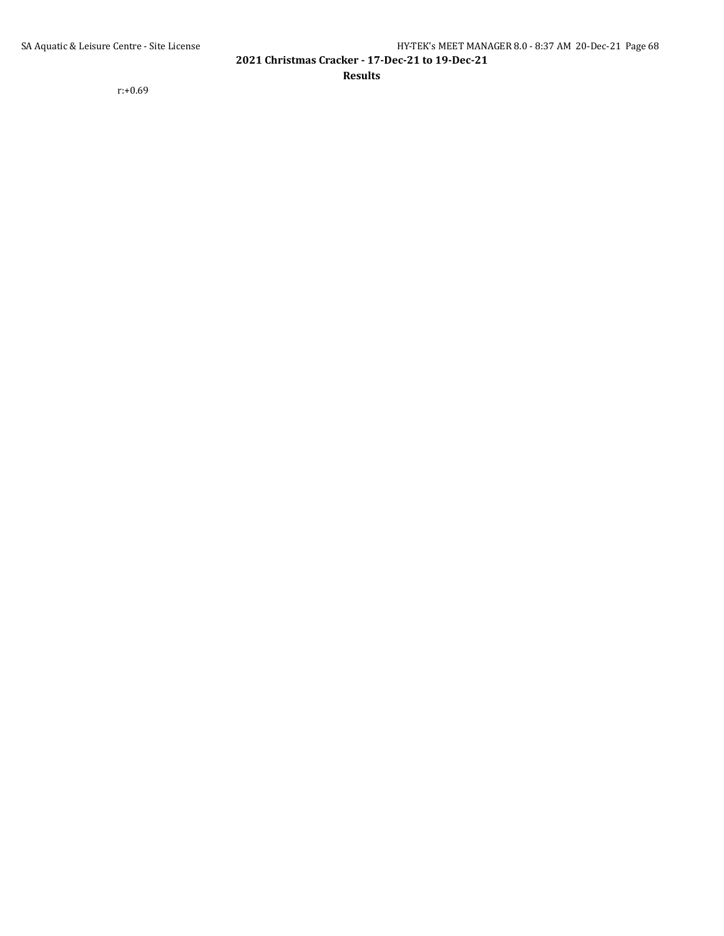**Results**

r:+0.69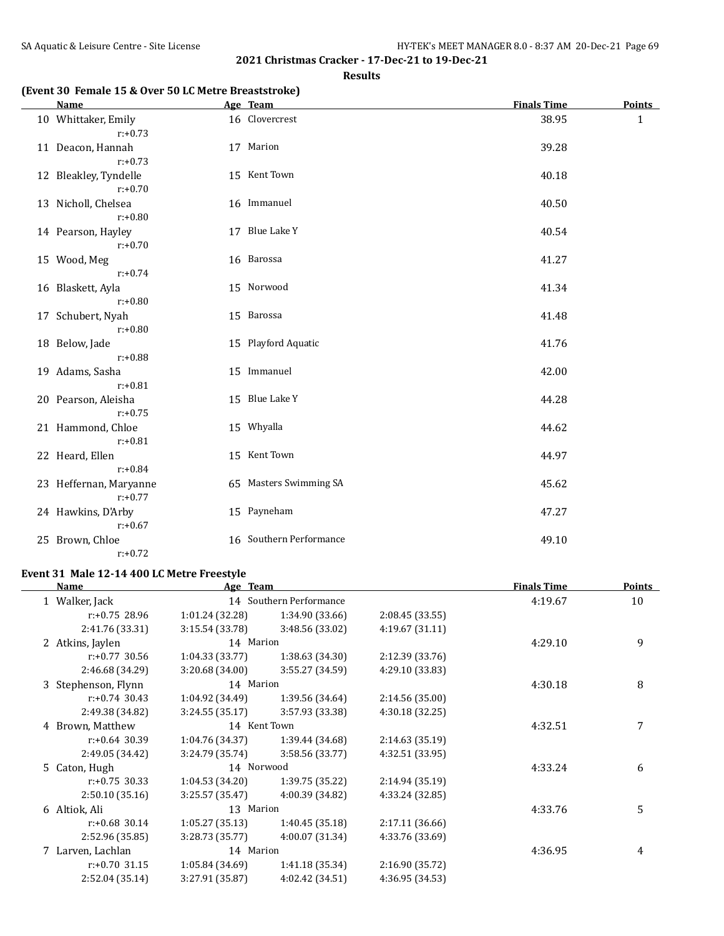### **Results**

# **(Event 30 Female 15 & Over 50 LC Metre Breaststroke)**

| <b>Name</b>                          | Age Team                | <b>Finals Time</b> | <b>Points</b> |
|--------------------------------------|-------------------------|--------------------|---------------|
| 10 Whittaker, Emily<br>$r: +0.73$    | 16 Clovercrest          | 38.95              | $\mathbf{1}$  |
| 11 Deacon, Hannah<br>$r: +0.73$      | 17 Marion               | 39.28              |               |
| 12 Bleakley, Tyndelle<br>$r: +0.70$  | 15 Kent Town            | 40.18              |               |
| 13 Nicholl, Chelsea<br>$r: +0.80$    | 16 Immanuel             | 40.50              |               |
| 14 Pearson, Hayley<br>$r: +0.70$     | 17 Blue Lake Y          | 40.54              |               |
| 15 Wood, Meg<br>$r: +0.74$           | 16 Barossa              | 41.27              |               |
| 16 Blaskett, Ayla<br>$r: +0.80$      | 15 Norwood              | 41.34              |               |
| 17 Schubert, Nyah<br>$r: +0.80$      | 15 Barossa              | 41.48              |               |
| 18 Below, Jade<br>$r: +0.88$         | 15 Playford Aquatic     | 41.76              |               |
| 19 Adams, Sasha<br>$r: +0.81$        | 15 Immanuel             | 42.00              |               |
| 20 Pearson, Aleisha<br>$r: +0.75$    | 15 Blue Lake Y          | 44.28              |               |
| 21 Hammond, Chloe<br>$r: +0.81$      | 15 Whyalla              | 44.62              |               |
| 22 Heard, Ellen<br>$r: +0.84$        | 15 Kent Town            | 44.97              |               |
| 23 Heffernan, Maryanne<br>$r: +0.77$ | 65 Masters Swimming SA  | 45.62              |               |
| 24 Hawkins, D'Arby<br>$r: +0.67$     | 15 Payneham             | 47.27              |               |
| 25 Brown, Chloe<br>$r: +0.72$        | 16 Southern Performance | 49.10              |               |

# **Event 31 Male 12-14 400 LC Metre Freestyle**

| <b>Name</b>         | Age Team        |                         |                 | <b>Finals Time</b> | <b>Points</b> |
|---------------------|-----------------|-------------------------|-----------------|--------------------|---------------|
| 1 Walker, Jack      |                 | 14 Southern Performance |                 | 4:19.67            | 10            |
| $r: +0.75$ 28.96    | 1:01.24 (32.28) | 1:34.90 (33.66)         | 2:08.45(33.55)  |                    |               |
| 2:41.76 (33.31)     | 3:15.54(33.78)  | 3:48.56 (33.02)         | 4:19.67 (31.11) |                    |               |
| 2 Atkins, Jaylen    | 14 Marion       |                         | 4:29.10         | 9                  |               |
| $r: +0.77$ 30.56    | 1:04.33(33.77)  | 1:38.63(34.30)          | 2:12.39 (33.76) |                    |               |
| 2:46.68 (34.29)     | 3:20.68(34.00)  | 3:55.27 (34.59)         | 4:29.10 (33.83) |                    |               |
| 3 Stephenson, Flynn | 14 Marion       |                         |                 |                    | 8             |
| $r: +0.74$ 30.43    | 1:04.92 (34.49) | 1:39.56 (34.64)         | 2:14.56 (35.00) |                    |               |
| 2:49.38 (34.82)     | 3:24.55(35.17)  | 3:57.93 (33.38)         | 4:30.18 (32.25) |                    |               |
| 4 Brown, Matthew    | 14 Kent Town    |                         |                 | 4:32.51            | 7             |
| $r: +0.64$ 30.39    | 1:04.76(34.37)  | 1:39.44 (34.68)         | 2:14.63 (35.19) |                    |               |
| 2:49.05 (34.42)     | 3:24.79 (35.74) | 3:58.56 (33.77)         | 4:32.51 (33.95) |                    |               |
| 5 Caton, Hugh       | 14 Norwood      |                         |                 | 4:33.24            | 6             |
| $r: +0.75$ 30.33    | 1:04.53(34.20)  | 1:39.75 (35.22)         | 2:14.94 (35.19) |                    |               |
| 2:50.10(35.16)      | 3:25.57 (35.47) | 4:00.39 (34.82)         | 4:33.24 (32.85) |                    |               |
| 6 Altiok, Ali       |                 | 13 Marion               |                 |                    | 5             |
| $r: +0.68$ 30.14    | 1:05.27(35.13)  | 1:40.45(35.18)          | 2:17.11 (36.66) |                    |               |
| 2:52.96 (35.85)     | 3:28.73 (35.77) | 4:00.07 (31.34)         | 4:33.76 (33.69) |                    |               |
| 7 Larven, Lachlan   | 14 Marion       |                         |                 | 4:36.95            | 4             |
| $r: +0.70$ 31.15    | 1:05.84(34.69)  | 1:41.18(35.34)          | 2:16.90 (35.72) |                    |               |
| 2:52.04 (35.14)     | 3:27.91 (35.87) | 4:02.42 (34.51)         | 4:36.95 (34.53) |                    |               |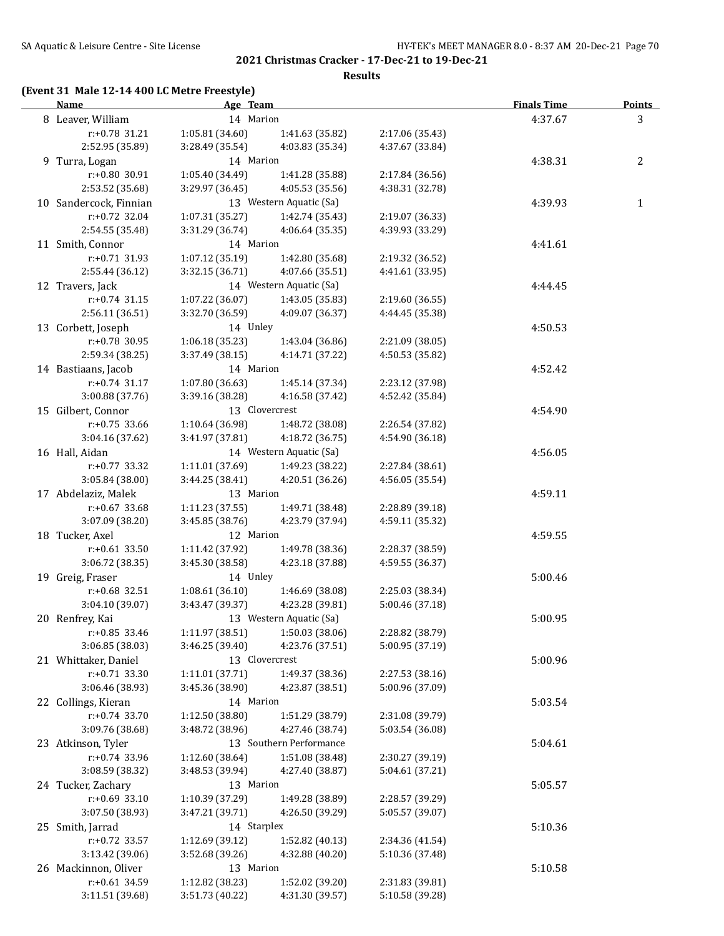**Results**

# **(Event 31 Male 12-14 400 LC Metre Freestyle)**

| <b>Name</b>                              | Age Team                    |                                    |                                    | <b>Finals Time</b> | <b>Points</b> |
|------------------------------------------|-----------------------------|------------------------------------|------------------------------------|--------------------|---------------|
| 8 Leaver, William                        | 4:37.67                     | 3                                  |                                    |                    |               |
| r:+0.78 31.21                            | 14 Marion<br>1:05.81(34.60) | 1:41.63 (35.82)                    | 2:17.06 (35.43)                    |                    |               |
| 2:52.95 (35.89)                          | 3:28.49 (35.54)             | 4:03.83 (35.34)                    | 4:37.67 (33.84)                    |                    |               |
| 9 Turra, Logan                           | 14 Marion                   |                                    |                                    | 4:38.31            | 2             |
| r:+0.80 30.91                            | 1:05.40 (34.49)             | 1:41.28 (35.88)                    | 2:17.84 (36.56)                    |                    |               |
| 2:53.52 (35.68)                          | 3:29.97 (36.45)             | 4:05.53 (35.56)                    | 4:38.31 (32.78)                    |                    |               |
| 10 Sandercock, Finnian                   |                             | 13 Western Aquatic (Sa)            |                                    | 4:39.93            | $\mathbf{1}$  |
| $r: +0.72$ 32.04                         | 1:07.31 (35.27)             | 1:42.74 (35.43)                    | 2:19.07 (36.33)                    |                    |               |
| 2:54.55 (35.48)                          | 3:31.29 (36.74)             | 4:06.64 (35.35)                    | 4:39.93 (33.29)                    |                    |               |
| 11 Smith, Connor                         | 14 Marion                   |                                    |                                    | 4:41.61            |               |
| r:+0.71 31.93                            | 1:07.12 (35.19)             | 1:42.80 (35.68)                    | 2:19.32 (36.52)                    |                    |               |
| 2:55.44 (36.12)                          | 3:32.15 (36.71)             | 4:07.66 (35.51)                    | 4:41.61 (33.95)                    |                    |               |
| 12 Travers, Jack                         |                             | 14 Western Aquatic (Sa)            |                                    | 4:44.45            |               |
| $r: +0.74$ 31.15                         | 1:07.22 (36.07)             | 1:43.05 (35.83)                    | 2:19.60 (36.55)                    |                    |               |
| 2:56.11 (36.51)                          | 3:32.70 (36.59)             | 4:09.07 (36.37)                    | 4:44.45 (35.38)                    |                    |               |
| 13 Corbett, Joseph                       | 14 Unley                    |                                    |                                    | 4:50.53            |               |
| r:+0.78 30.95                            | 1:06.18(35.23)              | 1:43.04 (36.86)                    | 2:21.09 (38.05)                    |                    |               |
| 2:59.34 (38.25)                          | 3:37.49 (38.15)             | 4:14.71 (37.22)                    | 4:50.53 (35.82)                    |                    |               |
| 14 Bastiaans, Jacob                      | 14 Marion                   |                                    |                                    | 4:52.42            |               |
| r:+0.74 31.17                            | 1:07.80(36.63)              | 1:45.14 (37.34)                    | 2:23.12 (37.98)                    |                    |               |
| 3:00.88 (37.76)                          | 3:39.16 (38.28)             | 4:16.58 (37.42)                    | 4:52.42 (35.84)                    |                    |               |
| 15 Gilbert, Connor                       | 13 Clovercrest              |                                    |                                    | 4:54.90            |               |
| $r: +0.75$ 33.66                         | 1:10.64(36.98)              | 1:48.72 (38.08)                    | 2:26.54 (37.82)                    |                    |               |
| 3:04.16 (37.62)                          | 3:41.97 (37.81)             | 4:18.72 (36.75)                    | 4:54.90 (36.18)                    |                    |               |
| 16 Hall, Aidan                           |                             | 14 Western Aquatic (Sa)            |                                    | 4:56.05            |               |
| r:+0.77 33.32                            | 1:11.01(37.69)              | 1:49.23 (38.22)                    | 2:27.84 (38.61)                    |                    |               |
| 3:05.84 (38.00)                          | 3:44.25 (38.41)             | 4:20.51 (36.26)                    | 4:56.05 (35.54)                    |                    |               |
| 17 Abdelaziz, Malek                      | 13 Marion                   |                                    |                                    | 4:59.11            |               |
| $r: +0.67$ 33.68                         | 1:11.23(37.55)              | 1:49.71 (38.48)                    | 2:28.89 (39.18)                    |                    |               |
| 3:07.09 (38.20)                          | 3:45.85 (38.76)             | 4:23.79 (37.94)                    | 4:59.11 (35.32)                    |                    |               |
| 18 Tucker, Axel                          | 12 Marion                   |                                    |                                    | 4:59.55            |               |
| $r: +0.61$ 33.50                         | 1:11.42 (37.92)             | 1:49.78 (38.36)                    |                                    |                    |               |
| 3:06.72 (38.35)                          | 3:45.30(38.58)              | 4:23.18 (37.88)                    | 2:28.37 (38.59)<br>4:59.55 (36.37) |                    |               |
|                                          | 14 Unley                    |                                    |                                    | 5:00.46            |               |
| 19 Greig, Fraser<br>r:+0.68 32.51        | 1:08.61(36.10)              | 1:46.69 (38.08)                    |                                    |                    |               |
| 3:04.10 (39.07)                          | 3:43.47 (39.37)             | 4:23.28 (39.81)                    | 2:25.03 (38.34)<br>5:00.46 (37.18) |                    |               |
|                                          |                             | 13 Western Aquatic (Sa)            |                                    |                    |               |
| 20 Renfrey, Kai<br>$r: +0.85$ 33.46      | 1:11.97 (38.51)             | 1:50.03 (38.06)                    | 2:28.82 (38.79)                    | 5:00.95            |               |
| 3:06.85 (38.03)                          | 3:46.25 (39.40)             | 4:23.76 (37.51)                    | 5:00.95 (37.19)                    |                    |               |
|                                          | 13 Clovercrest              |                                    |                                    | 5:00.96            |               |
| 21 Whittaker, Daniel<br>$r: +0.71$ 33.30 | 1:11.01(37.71)              | 1:49.37 (38.36)                    | 2:27.53 (38.16)                    |                    |               |
| 3:06.46 (38.93)                          | 3:45.36 (38.90)             | 4:23.87 (38.51)                    | 5:00.96 (37.09)                    |                    |               |
|                                          | 14 Marion                   |                                    |                                    |                    |               |
| 22 Collings, Kieran                      |                             |                                    |                                    | 5:03.54            |               |
| $r: +0.74$ 33.70                         | 1:12.50 (38.80)             | 1:51.29 (38.79)<br>4:27.46 (38.74) | 2:31.08 (39.79)<br>5:03.54 (36.08) |                    |               |
| 3:09.76 (38.68)                          | 3:48.72 (38.96)             | 13 Southern Performance            |                                    |                    |               |
| 23 Atkinson, Tyler                       |                             |                                    |                                    | 5:04.61            |               |
| r:+0.74 33.96                            | 1:12.60 (38.64)             | 1:51.08 (38.48)                    | 2:30.27 (39.19)                    |                    |               |
| 3:08.59 (38.32)                          | 3:48.53 (39.94)             | 4:27.40 (38.87)                    | 5:04.61 (37.21)                    |                    |               |
| 24 Tucker, Zachary                       | 13 Marion                   |                                    |                                    | 5:05.57            |               |
| $r: +0.69$ 33.10                         | 1:10.39 (37.29)             | 1:49.28 (38.89)                    | 2:28.57 (39.29)                    |                    |               |
| 3:07.50 (38.93)                          | 3:47.21 (39.71)             | 4:26.50 (39.29)                    | 5:05.57 (39.07)                    |                    |               |
| 25 Smith, Jarrad                         | 14 Starplex                 |                                    |                                    | 5:10.36            |               |
| r:+0.72 33.57                            | 1:12.69 (39.12)             | 1:52.82 (40.13)                    | 2:34.36 (41.54)                    |                    |               |
| 3:13.42 (39.06)                          | 3:52.68 (39.26)             | 4:32.88 (40.20)                    | 5:10.36 (37.48)                    |                    |               |
| 26 Mackinnon, Oliver                     | 13 Marion                   |                                    |                                    | 5:10.58            |               |
| r:+0.61 34.59                            | 1:12.82 (38.23)             | 1:52.02 (39.20)                    | 2:31.83 (39.81)                    |                    |               |
| 3:11.51 (39.68)                          | 3:51.73 (40.22)             | 4:31.30 (39.57)                    | 5:10.58 (39.28)                    |                    |               |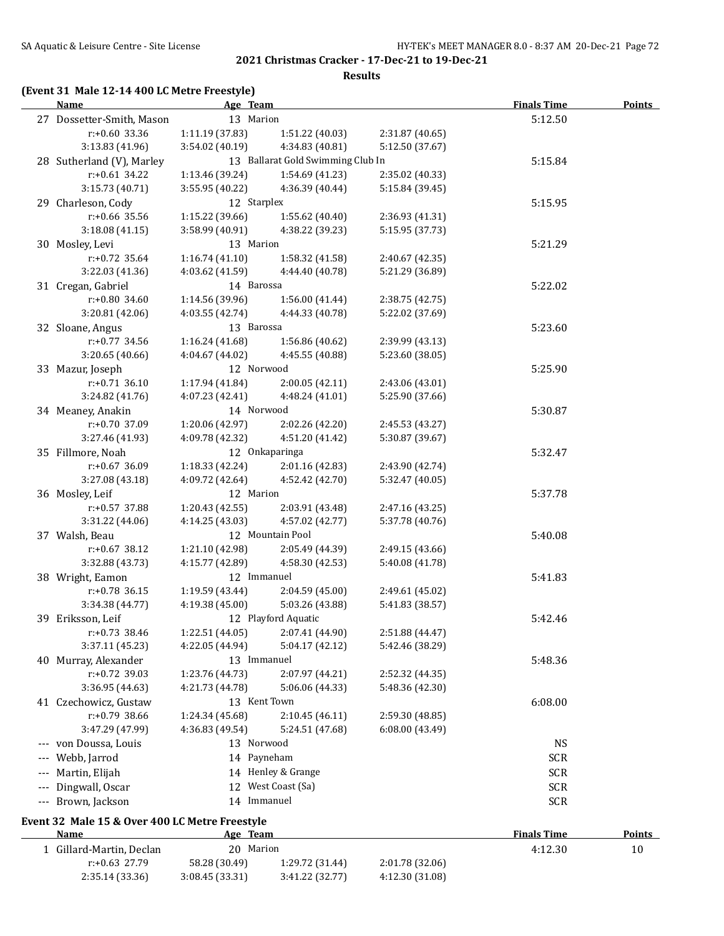**Results**

# **(Event 31 Male 12-14 400 LC Metre Freestyle)**

| <b>Name</b>                                    | Age Team           |                                   |                 | <b>Finals Time</b> | <b>Points</b> |
|------------------------------------------------|--------------------|-----------------------------------|-----------------|--------------------|---------------|
| 27 Dossetter-Smith, Mason                      | 13 Marion          |                                   |                 | 5:12.50            |               |
| r:+0.60 33.36                                  | 1:11.19(37.83)     | 1:51.22 (40.03)                   | 2:31.87 (40.65) |                    |               |
| 3:13.83 (41.96)                                | 3:54.02 (40.19)    | 4:34.83 (40.81)                   | 5:12.50 (37.67) |                    |               |
| 28 Sutherland (V), Marley                      |                    | 13 Ballarat Gold Swimming Club In |                 | 5:15.84            |               |
| $r: +0.61$ 34.22                               | 1:13.46 (39.24)    | 1:54.69 (41.23)                   | 2:35.02 (40.33) |                    |               |
| 3:15.73 (40.71)                                | 3:55.95 (40.22)    | 4:36.39 (40.44)                   | 5:15.84 (39.45) |                    |               |
| 29 Charleson, Cody                             | 12 Starplex        |                                   |                 | 5:15.95            |               |
| r:+0.66 35.56                                  | 1:15.22(39.66)     | 1:55.62 (40.40)                   | 2:36.93 (41.31) |                    |               |
| 3:18.08(41.15)                                 | 3:58.99 (40.91)    | 4:38.22 (39.23)                   | 5:15.95 (37.73) |                    |               |
| 30 Mosley, Levi                                | 13 Marion          |                                   |                 | 5:21.29            |               |
| $r: +0.72$ 35.64                               | 1:16.74(41.10)     | 1:58.32 (41.58)                   | 2:40.67 (42.35) |                    |               |
| 3:22.03 (41.36)                                | 4:03.62 (41.59)    | 4:44.40 (40.78)                   | 5:21.29 (36.89) |                    |               |
| 31 Cregan, Gabriel                             | 14 Barossa         |                                   |                 | 5:22.02            |               |
| $r: +0.80$ 34.60                               | 1:14.56 (39.96)    | 1:56.00 (41.44)                   | 2:38.75 (42.75) |                    |               |
| 3:20.81 (42.06)                                | 4:03.55 (42.74)    | 4:44.33 (40.78)                   | 5:22.02 (37.69) |                    |               |
| 32 Sloane, Angus                               | 13 Barossa         |                                   |                 | 5:23.60            |               |
| $r: +0.77$ 34.56                               | 1:16.24(41.68)     | 1:56.86 (40.62)                   | 2:39.99 (43.13) |                    |               |
| 3:20.65(40.66)                                 | 4:04.67 (44.02)    | 4:45.55 (40.88)                   | 5:23.60 (38.05) |                    |               |
| 33 Mazur, Joseph                               | 12 Norwood         |                                   |                 | 5:25.90            |               |
| $r: +0.71$ 36.10                               | 1:17.94 (41.84)    | 2:00.05 (42.11)                   | 2:43.06 (43.01) |                    |               |
| 3:24.82 (41.76)                                | 4:07.23 (42.41)    | 4:48.24 (41.01)                   | 5:25.90 (37.66) |                    |               |
| 34 Meaney, Anakin                              | 14 Norwood         |                                   |                 | 5:30.87            |               |
| r:+0.70 37.09                                  | 1:20.06 (42.97)    | 2:02.26 (42.20)                   | 2:45.53 (43.27) |                    |               |
| 3:27.46 (41.93)                                | 4:09.78 (42.32)    | 4:51.20 (41.42)                   | 5:30.87 (39.67) |                    |               |
| 35 Fillmore, Noah                              |                    | 12 Onkaparinga                    |                 | 5:32.47            |               |
| $r: +0.67$ 36.09                               | 1:18.33 (42.24)    | 2:01.16 (42.83)                   | 2:43.90 (42.74) |                    |               |
| 3:27.08 (43.18)                                | 4:09.72 (42.64)    | 4:52.42 (42.70)                   | 5:32.47 (40.05) |                    |               |
| 36 Mosley, Leif                                | 12 Marion          |                                   |                 | 5:37.78            |               |
| r:+0.57 37.88                                  | 1:20.43 (42.55)    | 2:03.91 (43.48)                   | 2:47.16 (43.25) |                    |               |
| 3:31.22 (44.06)                                | 4:14.25 (43.03)    | 4:57.02 (42.77)                   | 5:37.78 (40.76) |                    |               |
| 37 Walsh, Beau                                 |                    | 12 Mountain Pool                  |                 | 5:40.08            |               |
| $r: +0.67$ 38.12                               | 1:21.10 (42.98)    | 2:05.49 (44.39)                   | 2:49.15 (43.66) |                    |               |
| 3:32.88 (43.73)                                | 4:15.77 (42.89)    | 4:58.30 (42.53)                   | 5:40.08 (41.78) |                    |               |
| 38 Wright, Eamon                               | 12 Immanuel        |                                   |                 | 5:41.83            |               |
| $r: +0.78$ 36.15                               | 1:19.59 (43.44)    | 2:04.59 (45.00)                   | 2:49.61 (45.02) |                    |               |
| 3:34.38 (44.77)                                | 4:19.38 (45.00)    | 5:03.26 (43.88)                   | 5:41.83 (38.57) |                    |               |
| 39 Eriksson, Leif                              |                    | 12 Playford Aquatic               |                 | 5:42.46            |               |
| $r: +0.73$ 38.46                               | 1:22.51 (44.05)    | 2:07.41 (44.90)                   | 2:51.88 (44.47) |                    |               |
| 3:37.11 (45.23)                                | 4:22.05 (44.94)    | 5:04.17 (42.12)                   | 5:42.46 (38.29) |                    |               |
| 40 Murray, Alexander                           | 13 Immanuel        |                                   |                 | 5:48.36            |               |
| $r: +0.72$ 39.03                               | 1:23.76 (44.73)    | 2:07.97 (44.21)                   | 2:52.32 (44.35) |                    |               |
| 3:36.95 (44.63)                                | 4:21.73 (44.78)    | 5:06.06 (44.33)                   | 5:48.36 (42.30) |                    |               |
| 41 Czechowicz, Gustaw                          | 13 Kent Town       |                                   |                 | 6:08.00            |               |
| r:+0.79 38.66                                  | 1:24.34 (45.68)    | 2:10.45 (46.11)                   | 2:59.30 (48.85) |                    |               |
| 3:47.29 (47.99)                                | 4:36.83 (49.54)    | 5:24.51 (47.68)                   | 6:08.00 (43.49) |                    |               |
| --- von Doussa, Louis                          | 13 Norwood         |                                   |                 | <b>NS</b>          |               |
| --- Webb, Jarrod                               | 14 Payneham        |                                   |                 | <b>SCR</b>         |               |
| --- Martin, Elijah                             | 14 Henley & Grange |                                   |                 | <b>SCR</b>         |               |
| --- Dingwall, Oscar                            |                    | 12 West Coast (Sa)                |                 | <b>SCR</b>         |               |
| --- Brown, Jackson                             | 14 Immanuel        |                                   |                 | <b>SCR</b>         |               |
|                                                |                    |                                   |                 |                    |               |
| Event 32 Male 15 & Over 400 LC Metre Freestyle |                    |                                   |                 |                    |               |
| <b>Name</b>                                    | Age Team           |                                   |                 | <b>Finals Time</b> | <b>Points</b> |
| 1 Gillard-Martin, Declan                       | 20 Marion          |                                   |                 | 4:12.30            | 10            |
| r:+0.63 27.79                                  | 58.28 (30.49)      | 1:29.72 (31.44)                   | 2:01.78 (32.06) |                    |               |
| 2:35.14 (33.36)                                | 3:08.45 (33.31)    | 3:41.22 (32.77)                   | 4:12.30 (31.08) |                    |               |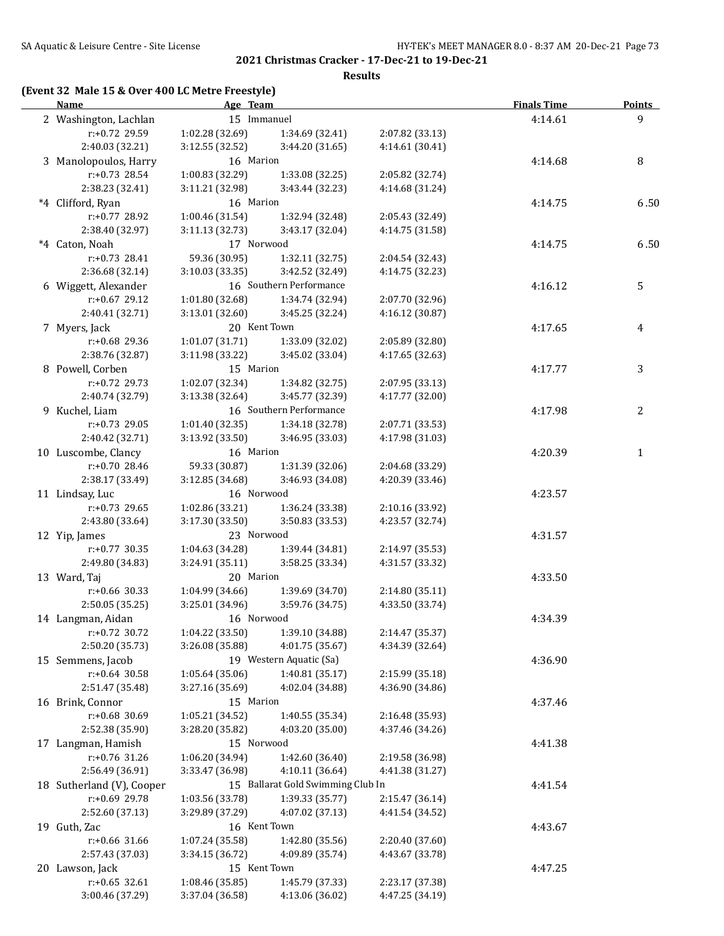**Results**

# **(Event 32 Male 15 & Over 400 LC Metre Freestyle)**

| <b>Name</b>               | Age Team        |                                   |                 | <b>Finals Time</b> | <b>Points</b> |
|---------------------------|-----------------|-----------------------------------|-----------------|--------------------|---------------|
| 2 Washington, Lachlan     | 15 Immanuel     |                                   |                 | 4:14.61            | 9             |
| r:+0.72 29.59             | 1:02.28 (32.69) | 1:34.69 (32.41)                   | 2:07.82 (33.13) |                    |               |
| 2:40.03 (32.21)           | 3:12.55 (32.52) | 3:44.20 (31.65)                   | 4:14.61 (30.41) |                    |               |
| 3 Manolopoulos, Harry     | 16 Marion       |                                   |                 | 4:14.68            | 8             |
| r:+0.73 28.54             | 1:00.83 (32.29) | 1:33.08 (32.25)                   | 2:05.82 (32.74) |                    |               |
| 2:38.23 (32.41)           | 3:11.21 (32.98) | 3:43.44 (32.23)                   | 4:14.68 (31.24) |                    |               |
| *4 Clifford, Ryan         | 16 Marion       |                                   |                 | 4:14.75            | 6.50          |
| r:+0.77 28.92             | 1:00.46 (31.54) | 1:32.94 (32.48)                   | 2:05.43 (32.49) |                    |               |
| 2:38.40 (32.97)           | 3:11.13 (32.73) | 3:43.17 (32.04)                   | 4:14.75 (31.58) |                    |               |
| *4 Caton, Noah            | 17 Norwood      |                                   |                 | 4:14.75            | 6.50          |
| r:+0.73 28.41             | 59.36 (30.95)   | 1:32.11 (32.75)                   | 2:04.54 (32.43) |                    |               |
| 2:36.68 (32.14)           | 3:10.03(33.35)  | 3:42.52 (32.49)                   | 4:14.75 (32.23) |                    |               |
| 6 Wiggett, Alexander      |                 | 16 Southern Performance           |                 | 4:16.12            | 5             |
| $r: +0.67$ 29.12          | 1:01.80 (32.68) | 1:34.74 (32.94)                   | 2:07.70 (32.96) |                    |               |
| 2:40.41 (32.71)           | 3:13.01 (32.60) | 3:45.25 (32.24)                   | 4:16.12 (30.87) |                    |               |
| 7 Myers, Jack             | 20 Kent Town    |                                   |                 | 4:17.65            | 4             |
| r:+0.68 29.36             | 1:01.07(31.71)  | 1:33.09 (32.02)                   | 2:05.89 (32.80) |                    |               |
| 2:38.76 (32.87)           | 3:11.98 (33.22) | 3:45.02 (33.04)                   | 4:17.65 (32.63) |                    |               |
| 8 Powell, Corben          | 15 Marion       |                                   |                 | 4:17.77            | 3             |
| r:+0.72 29.73             | 1:02.07 (32.34) | 1:34.82 (32.75)                   | 2:07.95 (33.13) |                    |               |
| 2:40.74 (32.79)           | 3:13.38 (32.64) | 3:45.77 (32.39)                   | 4:17.77 (32.00) |                    |               |
| 9 Kuchel, Liam            |                 | 16 Southern Performance           |                 | 4:17.98            | 2             |
| r:+0.73 29.05             | 1:01.40(32.35)  | 1:34.18 (32.78)                   | 2:07.71 (33.53) |                    |               |
| 2:40.42 (32.71)           | 3:13.92 (33.50) | 3:46.95 (33.03)                   | 4:17.98 (31.03) |                    |               |
|                           | 16 Marion       |                                   |                 |                    |               |
| 10 Luscombe, Clancy       | 59.33 (30.87)   |                                   |                 | 4:20.39            | $\mathbf{1}$  |
| r:+0.70 28.46             |                 | 1:31.39 (32.06)                   | 2:04.68 (33.29) |                    |               |
| 2:38.17 (33.49)           | 3:12.85 (34.68) | 3:46.93 (34.08)                   | 4:20.39 (33.46) |                    |               |
| 11 Lindsay, Luc           | 16 Norwood      |                                   |                 | 4:23.57            |               |
| r:+0.73 29.65             | 1:02.86 (33.21) | 1:36.24 (33.38)                   | 2:10.16 (33.92) |                    |               |
| 2:43.80 (33.64)           | 3:17.30 (33.50) | 3:50.83 (33.53)                   | 4:23.57 (32.74) |                    |               |
| 12 Yip, James             | 23 Norwood      |                                   |                 | 4:31.57            |               |
| r:+0.77 30.35             | 1:04.63 (34.28) | 1:39.44 (34.81)                   | 2:14.97 (35.53) |                    |               |
| 2:49.80 (34.83)           | 3:24.91 (35.11) | 3:58.25 (33.34)                   | 4:31.57 (33.32) |                    |               |
| 13 Ward, Taj              | 20 Marion       |                                   |                 | 4:33.50            |               |
| r:+0.66 30.33             | 1:04.99 (34.66) | 1:39.69 (34.70)                   | 2:14.80 (35.11) |                    |               |
| 2:50.05(35.25)            | 3:25.01 (34.96) | 3:59.76 (34.75)                   | 4:33.50 (33.74) |                    |               |
| 14 Langman, Aidan         | 16 Norwood      |                                   |                 | 4:34.39            |               |
| $r+0.72$ 30.72            | 1:04.22 (33.50) | 1:39.10 (34.88)                   | 2:14.47 (35.37) |                    |               |
| 2:50.20 (35.73)           | 3:26.08 (35.88) | 4:01.75 (35.67)                   | 4:34.39 (32.64) |                    |               |
| 15 Semmens, Jacob         |                 | 19 Western Aquatic (Sa)           |                 | 4:36.90            |               |
| r:+0.64 30.58             | 1:05.64(35.06)  | 1:40.81 (35.17)                   | 2:15.99 (35.18) |                    |               |
| 2:51.47 (35.48)           | 3:27.16 (35.69) | 4:02.04 (34.88)                   | 4:36.90 (34.86) |                    |               |
| 16 Brink, Connor          | 15 Marion       |                                   |                 | 4:37.46            |               |
| r:+0.68 30.69             | 1:05.21 (34.52) | 1:40.55 (35.34)                   | 2:16.48 (35.93) |                    |               |
| 2:52.38 (35.90)           | 3:28.20 (35.82) | 4:03.20 (35.00)                   | 4:37.46 (34.26) |                    |               |
| 17 Langman, Hamish        | 15 Norwood      |                                   |                 | 4:41.38            |               |
| r:+0.76 31.26             | 1:06.20 (34.94) | 1:42.60 (36.40)                   | 2:19.58 (36.98) |                    |               |
| 2:56.49 (36.91)           | 3:33.47 (36.98) | 4:10.11 (36.64)                   | 4:41.38 (31.27) |                    |               |
| 18 Sutherland (V), Cooper |                 | 15 Ballarat Gold Swimming Club In |                 | 4:41.54            |               |
| r:+0.69 29.78             | 1:03.56 (33.78) | 1:39.33 (35.77)                   | 2:15.47 (36.14) |                    |               |
| 2:52.60 (37.13)           | 3:29.89 (37.29) | 4:07.02 (37.13)                   | 4:41.54 (34.52) |                    |               |
| 19 Guth, Zac              | 16 Kent Town    |                                   |                 | 4:43.67            |               |
| r:+0.66 31.66             | 1:07.24 (35.58) | 1:42.80 (35.56)                   | 2:20.40 (37.60) |                    |               |
| 2:57.43 (37.03)           | 3:34.15 (36.72) | 4:09.89 (35.74)                   | 4:43.67 (33.78) |                    |               |
| 20 Lawson, Jack           | 15 Kent Town    |                                   |                 | 4:47.25            |               |
| $r: +0.65$ 32.61          | 1:08.46 (35.85) | 1:45.79 (37.33)                   | 2:23.17 (37.38) |                    |               |
| 3:00.46 (37.29)           | 3:37.04 (36.58) | 4:13.06 (36.02)                   | 4:47.25 (34.19) |                    |               |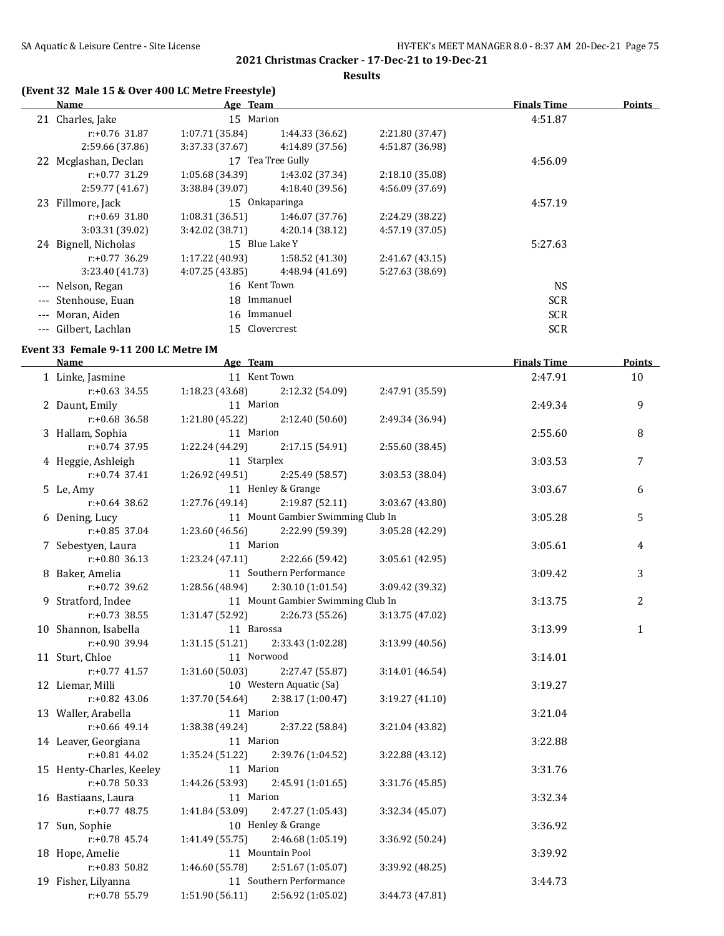#### **2021 Christmas Cracker - 17-Dec-21 to 19-Dec-21**

**Results**

# **(Event 32 Male 15 & Over 400 LC Metre Freestyle)**

|       | Name                                 | Age Team        |                   |                 | <b>Finals Time</b> | <b>Points</b> |
|-------|--------------------------------------|-----------------|-------------------|-----------------|--------------------|---------------|
|       | 21 Charles, Jake                     | 15 Marion       |                   |                 | 4:51.87            |               |
|       | r:+0.76 31.87                        | 1:07.71(35.84)  | 1:44.33 (36.62)   | 2:21.80 (37.47) |                    |               |
|       | 2:59.66 (37.86)                      | 3:37.33 (37.67) | 4:14.89 (37.56)   | 4:51.87 (36.98) |                    |               |
|       | 22 Mcglashan, Declan                 |                 | 17 Tea Tree Gully |                 | 4:56.09            |               |
|       | $r: +0.77$ 31.29                     | 1:05.68(34.39)  | 1:43.02 (37.34)   | 2:18.10 (35.08) |                    |               |
|       | 2:59.77 (41.67)                      | 3:38.84 (39.07) | 4:18.40 (39.56)   | 4:56.09 (37.69) |                    |               |
|       | 23 Fillmore, Jack                    |                 | 15 Onkaparinga    |                 | 4:57.19            |               |
|       | $r: +0.69$ 31.80                     | 1:08.31(36.51)  | 1:46.07(37.76)    | 2:24.29 (38.22) |                    |               |
|       | 3:03.31 (39.02)                      | 3:42.02 (38.71) | 4:20.14 (38.12)   | 4:57.19 (37.05) |                    |               |
|       | 24 Bignell, Nicholas                 | 15 Blue Lake Y  |                   |                 | 5:27.63            |               |
|       | $r: +0.77$ 36.29                     | 1:17.22 (40.93) | 1:58.52 (41.30)   | 2:41.67 (43.15) |                    |               |
|       | 3:23.40 (41.73)                      | 4:07.25(43.85)  | 4:48.94 (41.69)   | 5:27.63 (38.69) |                    |               |
| $---$ | Nelson, Regan                        | 16 Kent Town    |                   |                 | NS.                |               |
|       | Stenhouse, Euan                      | 18 Immanuel     |                   |                 | <b>SCR</b>         |               |
| $---$ | Moran, Aiden                         | 16 Immanuel     |                   |                 | <b>SCR</b>         |               |
| $---$ | Gilbert, Lachlan                     | 15 Clovercrest  |                   |                 | <b>SCR</b>         |               |
|       | Event 33 Female 9-11 200 LC Metre IM |                 |                   |                 |                    |               |
|       | Name                                 | Age Team        |                   |                 | <b>Finals Time</b> | <b>Points</b> |
|       | 1 Linke, Jasmine                     | 11 Kent Town    |                   |                 | 2:47.91            | 10            |
|       | $r: +0.63$ 34.55                     | 1:18.23(43.68)  | 2:12.32 (54.09)   | 2:47.91 (35.59) |                    |               |
|       | 2 Daunt, Emily                       | 11 Marion       |                   |                 | 2:49.34            | 9             |

| $r: +0.63$ 34.55         | 1:18.23 (43.68) | 2:12.32 (54.09)                   | 2:47.91 (35.59) |         |              |
|--------------------------|-----------------|-----------------------------------|-----------------|---------|--------------|
| 2 Daunt, Emily           | 11 Marion       |                                   |                 | 2:49.34 | 9            |
| $r: +0.68$ 36.58         | 1:21.80 (45.22) | 2:12.40(50.60)                    | 2:49.34 (36.94) |         |              |
| 3 Hallam, Sophia         | 11 Marion       |                                   |                 | 2:55.60 | 8            |
| $r: +0.74$ 37.95         | 1:22.24 (44.29) | 2:17.15 (54.91)                   | 2:55.60 (38.45) |         |              |
| 4 Heggie, Ashleigh       | 11 Starplex     |                                   |                 | 3:03.53 | 7            |
| $r: +0.74$ 37.41         | 1:26.92 (49.51) | 2:25.49 (58.57)                   | 3:03.53 (38.04) |         |              |
| 5 Le, Amy                |                 | 11 Henley & Grange                |                 | 3:03.67 | 6            |
| $r: +0.64$ 38.62         | 1:27.76 (49.14) | 2:19.87 (52.11)                   | 3:03.67 (43.80) |         |              |
| 6 Dening, Lucy           |                 | 11 Mount Gambier Swimming Club In |                 | 3:05.28 | 5            |
| $r: +0.85$ 37.04         | 1:23.60 (46.56) | 2:22.99 (59.39)                   | 3:05.28 (42.29) |         |              |
| 7 Sebestyen, Laura       | 11 Marion       |                                   |                 | 3:05.61 | 4            |
| $r: +0.80$ 36.13         | 1:23.24(47.11)  | 2:22.66 (59.42)                   | 3:05.61 (42.95) |         |              |
| 8 Baker, Amelia          |                 | 11 Southern Performance           |                 | 3:09.42 | 3            |
| $r: +0.72$ 39.62         | 1:28.56 (48.94) | 2:30.10 (1:01.54)                 | 3:09.42 (39.32) |         |              |
| 9 Stratford, Indee       |                 | 11 Mount Gambier Swimming Club In |                 | 3:13.75 | 2            |
| $r: +0.73$ 38.55         | 1:31.47 (52.92) | 2:26.73 (55.26)                   | 3:13.75 (47.02) |         |              |
| 10 Shannon, Isabella     | 11 Barossa      |                                   |                 | 3:13.99 | $\mathbf{1}$ |
| r:+0.90 39.94            | 1:31.15(51.21)  | 2:33.43 (1:02.28)                 | 3:13.99 (40.56) |         |              |
| 11 Sturt, Chloe          | 11 Norwood      |                                   |                 | 3:14.01 |              |
| $r: +0.77$ 41.57         | 1:31.60(50.03)  | 2:27.47 (55.87)                   | 3:14.01(46.54)  |         |              |
| 12 Liemar, Milli         |                 | 10 Western Aquatic (Sa)           |                 | 3:19.27 |              |
| $r: +0.82$ 43.06         | 1:37.70 (54.64) | 2:38.17(1:00.47)                  | 3:19.27(41.10)  |         |              |
| 13 Waller, Arabella      | 11 Marion       |                                   |                 | 3:21.04 |              |
| $r: +0.66$ 49.14         | 1:38.38 (49.24) | 2:37.22 (58.84)                   | 3:21.04 (43.82) |         |              |
| 14 Leaver, Georgiana     | 11 Marion       |                                   |                 | 3:22.88 |              |
| $r: +0.81$ 44.02         | 1:35.24 (51.22) | 2:39.76 (1:04.52)                 | 3:22.88 (43.12) |         |              |
| 15 Henty-Charles, Keeley | 11 Marion       |                                   |                 | 3:31.76 |              |
| $r: +0.78$ 50.33         | 1:44.26 (53.93) | 2:45.91 (1:01.65)                 | 3:31.76 (45.85) |         |              |
| 16 Bastiaans, Laura      | 11 Marion       |                                   |                 | 3:32.34 |              |
| $r: +0.77$ 48.75         | 1:41.84(53.09)  | 2:47.27 (1:05.43)                 | 3:32.34 (45.07) |         |              |
| 17 Sun, Sophie           |                 | 10 Henley & Grange                |                 | 3:36.92 |              |
| $r: +0.78$ 45.74         | 1:41.49 (55.75) | 2:46.68(1:05.19)                  | 3:36.92 (50.24) |         |              |
| 18 Hope, Amelie          |                 | 11 Mountain Pool                  |                 | 3:39.92 |              |
| $r: +0.83$ 50.82         | 1:46.60 (55.78) | 2:51.67 (1:05.07)                 | 3:39.92 (48.25) |         |              |
| 19 Fisher, Lilyanna      |                 | 11 Southern Performance           |                 | 3:44.73 |              |
| $r: +0.78$ 55.79         | 1:51.90(56.11)  | 2:56.92 (1:05.02)                 | 3:44.73 (47.81) |         |              |
|                          |                 |                                   |                 |         |              |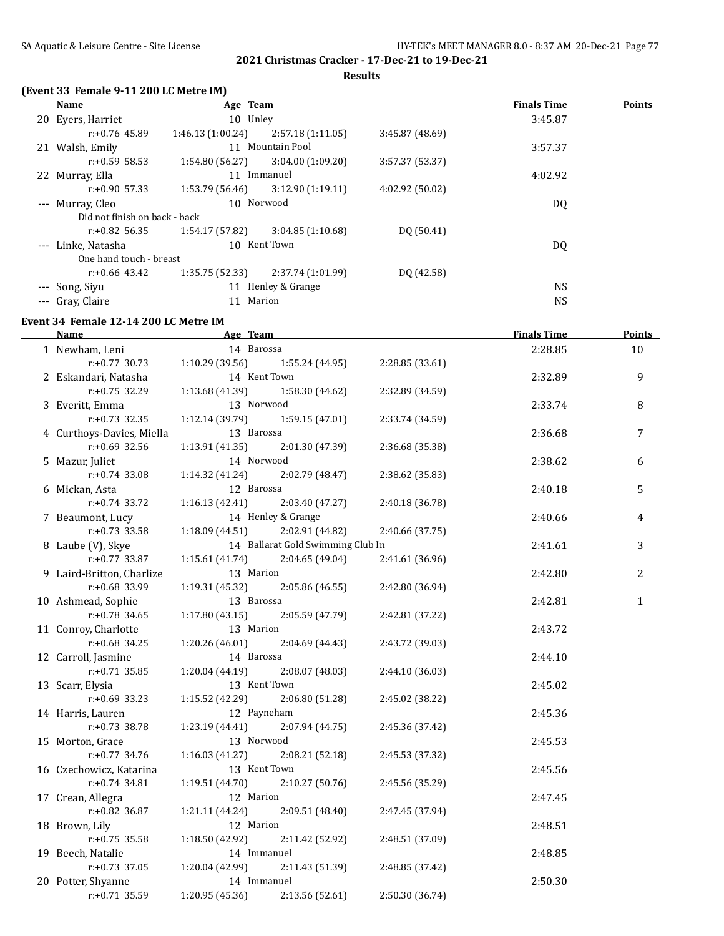**Results**

## **(Event 33 Female 9-11 200 LC Metre IM)**

|       | Name                          | Age Team         |                    |                 | <b>Finals Time</b> | <b>Points</b> |
|-------|-------------------------------|------------------|--------------------|-----------------|--------------------|---------------|
|       | 20 Eyers, Harriet             | 10 Unley         |                    |                 | 3:45.87            |               |
|       | $r: +0.76$ 45.89              | 1:46.13(1:00.24) | 2:57.18(1:11.05)   | 3:45.87(48.69)  |                    |               |
|       | 21 Walsh, Emily               |                  | 11 Mountain Pool   |                 | 3:57.37            |               |
|       | $r: +0.59553$                 | 1:54.80(56.27)   | 3:04.00(1:09.20)   | 3:57.37 (53.37) |                    |               |
|       | 22 Murray, Ella               |                  | 11 Immanuel        |                 | 4:02.92            |               |
|       | $r: +0.90$ 57.33              | 1:53.79(56.46)   | 3:12.90(1:19.11)   | 4:02.92 (50.02) |                    |               |
|       | --- Murray, Cleo              | 10 Norwood       |                    |                 | DQ                 |               |
|       | Did not finish on back - back |                  |                    |                 |                    |               |
|       | $r: +0.82\,56.35$             | 1:54.17 (57.82)  | 3:04.85(1:10.68)   | DQ (50.41)      |                    |               |
| $---$ | Linke, Natasha                |                  | 10 Kent Town       |                 | DQ                 |               |
|       | One hand touch - breast       |                  |                    |                 |                    |               |
|       | $r: +0.66$ 43.42              | 1:35.75(52.33)   | 2:37.74 (1:01.99)  | DQ (42.58)      |                    |               |
|       | Song, Siyu                    |                  | 11 Henley & Grange |                 | <b>NS</b>          |               |
|       | Gray, Claire                  |                  | Marion             |                 | <b>NS</b>          |               |

# **Event 34 Female 12-14 200 LC Metre IM**

 $\overline{a}$ 

| <b>Name</b>               | Age Team        |                                   |                 | <b>Finals Time</b> | <b>Points</b>  |
|---------------------------|-----------------|-----------------------------------|-----------------|--------------------|----------------|
| 1 Newham, Leni            | 14 Barossa      |                                   |                 | 2:28.85            | 10             |
| $r: +0.77$ 30.73          | 1:10.29 (39.56) | 1:55.24 (44.95)                   | 2:28.85 (33.61) |                    |                |
| 2 Eskandari, Natasha      | 14 Kent Town    |                                   |                 | 2:32.89            | 9              |
| $r: +0.75$ 32.29          | 1:13.68(41.39)  | 1:58.30 (44.62)                   | 2:32.89 (34.59) |                    |                |
| 3 Everitt, Emma           | 13 Norwood      |                                   |                 | 2:33.74            | 8              |
| $r: +0.73$ 32.35          | 1:12.14 (39.79) | 1:59.15 (47.01)                   | 2:33.74 (34.59) |                    |                |
| 4 Curthoys-Davies, Miella | 13 Barossa      |                                   |                 | 2:36.68            | $\overline{7}$ |
| $r: +0.69$ 32.56          | 1:13.91 (41.35) | 2:01.30 (47.39)                   | 2:36.68 (35.38) |                    |                |
| 5 Mazur, Juliet           | 14 Norwood      |                                   |                 | 2:38.62            | 6              |
| $r: +0.74$ 33.08          | 1:14.32(41.24)  | 2:02.79 (48.47)                   | 2:38.62 (35.83) |                    |                |
| 6 Mickan, Asta            | 12 Barossa      |                                   |                 | 2:40.18            | 5              |
| r:+0.74 33.72             | 1:16.13(42.41)  | 2:03.40 (47.27)                   | 2:40.18 (36.78) |                    |                |
| 7 Beaumont, Lucy          |                 | 14 Henley & Grange                |                 | 2:40.66            | 4              |
| $r: +0.73$ 33.58          | 1:18.09(44.51)  | 2:02.91 (44.82)                   | 2:40.66 (37.75) |                    |                |
| 8 Laube (V), Skye         |                 | 14 Ballarat Gold Swimming Club In |                 | 2:41.61            | 3              |
| $r: +0.77$ 33.87          | 1:15.61(41.74)  | 2:04.65(49.04)                    | 2:41.61 (36.96) |                    |                |
| 9 Laird-Britton, Charlize | 13 Marion       |                                   |                 | 2:42.80            | 2              |
| r:+0.68 33.99             | 1:19.31 (45.32) | 2:05.86 (46.55)                   | 2:42.80 (36.94) |                    |                |
| 10 Ashmead, Sophie        | 13 Barossa      |                                   |                 | 2:42.81            | $\mathbf{1}$   |
| $r: +0.78$ 34.65          | 1:17.80 (43.15) | 2:05.59 (47.79)                   | 2:42.81 (37.22) |                    |                |
| 11 Conroy, Charlotte      | 13 Marion       |                                   |                 | 2:43.72            |                |
| r:+0.68 34.25             | 1:20.26 (46.01) | 2:04.69 (44.43)                   | 2:43.72 (39.03) |                    |                |
| 12 Carroll, Jasmine       | 14 Barossa      |                                   |                 | 2:44.10            |                |
| $r: +0.71$ 35.85          | 1:20.04(44.19)  | 2:08.07 (48.03)                   | 2:44.10 (36.03) |                    |                |
| 13 Scarr, Elysia          | 13 Kent Town    |                                   |                 | 2:45.02            |                |
| r:+0.69 33.23             | 1:15.52 (42.29) | 2:06.80 (51.28)                   | 2:45.02 (38.22) |                    |                |
| 14 Harris, Lauren         | 12 Payneham     |                                   |                 | 2:45.36            |                |
| $r: +0.73$ 38.78          | 1:23.19 (44.41) | 2:07.94 (44.75)                   | 2:45.36 (37.42) |                    |                |
| 15 Morton, Grace          | 13 Norwood      |                                   |                 | 2:45.53            |                |
| $r: +0.77$ 34.76          | 1:16.03(41.27)  | 2:08.21 (52.18)                   | 2:45.53 (37.32) |                    |                |
| 16 Czechowicz, Katarina   | 13 Kent Town    |                                   |                 | 2:45.56            |                |
| $r: +0.74$ 34.81          | 1:19.51 (44.70) | 2:10.27 (50.76)                   | 2:45.56 (35.29) |                    |                |
| 17 Crean, Allegra         | 12 Marion       |                                   |                 | 2:47.45            |                |
| $r: +0.82$ 36.87          | 1:21.11(44.24)  | 2:09.51 (48.40)                   | 2:47.45 (37.94) |                    |                |
| 18 Brown, Lily            | 12 Marion       |                                   |                 | 2:48.51            |                |
| r:+0.75 35.58             | 1:18.50(42.92)  | 2:11.42 (52.92)                   | 2:48.51 (37.09) |                    |                |
| 19 Beech, Natalie         | 14 Immanuel     |                                   |                 | 2:48.85            |                |
| $r: +0.73$ 37.05          | 1:20.04(42.99)  | 2:11.43 (51.39)                   | 2:48.85 (37.42) |                    |                |
| 20 Potter, Shyanne        | 14 Immanuel     |                                   |                 | 2:50.30            |                |
| $r: +0.71$ 35.59          | 1:20.95(45.36)  | 2:13.56 (52.61)                   | 2:50.30 (36.74) |                    |                |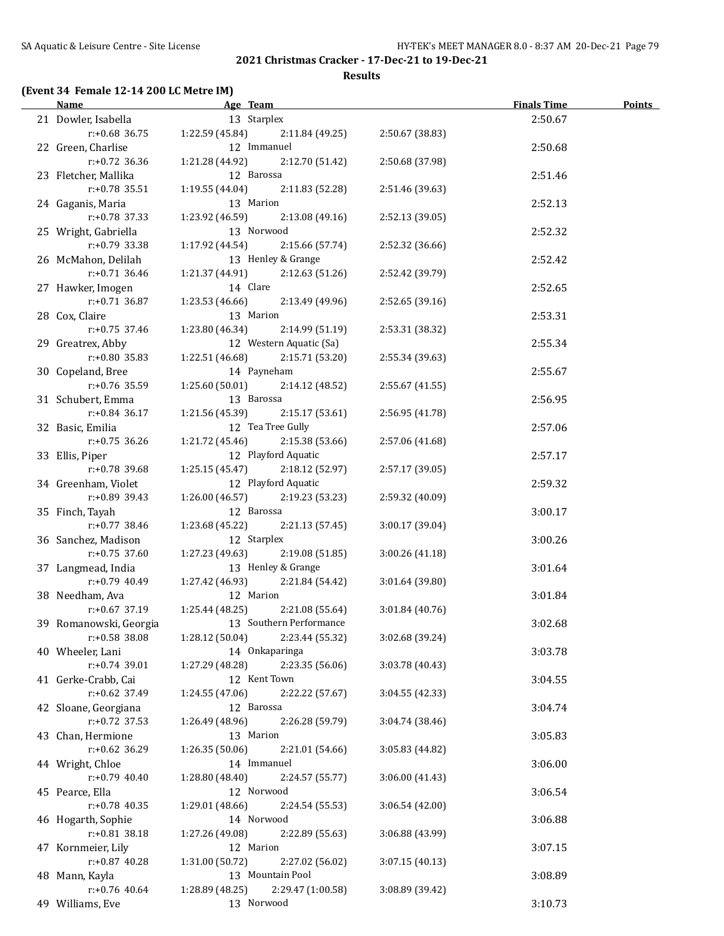#### **Results**

# **(Event 34 Female 12-14 200 LC Metre IM)**

| Name                   | Age Team                             |                 | <b>Finals Time</b> | <b>Points</b> |
|------------------------|--------------------------------------|-----------------|--------------------|---------------|
| 21 Dowler, Isabella    | 13 Starplex                          |                 | 2:50.67            |               |
| $r: +0.68$ 36.75       | 1:22.59 (45.84)<br>2:11.84 (49.25)   | 2:50.67 (38.83) |                    |               |
| 22 Green, Charlise     | 12 Immanuel                          |                 | 2:50.68            |               |
| $r: +0.72$ 36.36       | 1:21.28 (44.92)<br>2:12.70 (51.42)   | 2:50.68 (37.98) |                    |               |
| 23 Fletcher, Mallika   | 12 Barossa                           |                 | 2:51.46            |               |
| $r: +0.78$ 35.51       | 1:19.55 (44.04)<br>2:11.83 (52.28)   | 2:51.46 (39.63) |                    |               |
| 24 Gaganis, Maria      | 13 Marion                            |                 | 2:52.13            |               |
| $r: +0.78$ 37.33       | 1:23.92 (46.59)<br>2:13.08(49.16)    | 2:52.13 (39.05) |                    |               |
| 25 Wright, Gabriella   | 13 Norwood                           |                 | 2:52.32            |               |
| $r: +0.79$ 33.38       | 1:17.92 (44.54)<br>2:15.66 (57.74)   | 2:52.32 (36.66) |                    |               |
| 26 McMahon, Delilah    | 13 Henley & Grange                   |                 | 2:52.42            |               |
| $r: +0.71$ 36.46       | 1:21.37 (44.91)<br>2:12.63(51.26)    | 2:52.42 (39.79) |                    |               |
| 27 Hawker, Imogen      | 14 Clare                             |                 | 2:52.65            |               |
| $r: +0.71$ 36.87       | 1:23.53 (46.66)                      |                 |                    |               |
|                        | 2:13.49 (49.96)<br>13 Marion         | 2:52.65 (39.16) |                    |               |
| 28 Cox, Claire         |                                      |                 | 2:53.31            |               |
| $r: +0.75$ 37.46       | 1:23.80 (46.34)<br>2:14.99 (51.19)   | 2:53.31 (38.32) |                    |               |
| 29 Greatrex, Abby      | 12 Western Aquatic (Sa)              |                 | 2:55.34            |               |
| $r: +0.80$ 35.83       | 1:22.51 (46.68)<br>2:15.71(53.20)    | 2:55.34 (39.63) |                    |               |
| 30 Copeland, Bree      | 14 Payneham                          |                 | 2:55.67            |               |
| $r: +0.76$ 35.59       | 1:25.60 (50.01)<br>2:14.12 (48.52)   | 2:55.67 (41.55) |                    |               |
| 31 Schubert, Emma      | 13 Barossa                           |                 | 2:56.95            |               |
| $r: +0.84$ 36.17       | 1:21.56 (45.39)<br>2:15.17(53.61)    | 2:56.95 (41.78) |                    |               |
| 32 Basic, Emilia       | 12 Tea Tree Gully                    |                 | 2:57.06            |               |
| $r: +0.75$ 36.26       | 1:21.72 (45.46) 2:15.38 (53.66)      | 2:57.06 (41.68) |                    |               |
| 33 Ellis, Piper        | 12 Playford Aquatic                  |                 | 2:57.17            |               |
| $r: +0.78$ 39.68       | 1:25.15 (45.47) 2:18.12 (52.97)      | 2:57.17 (39.05) |                    |               |
| 34 Greenham, Violet    | 12 Playford Aquatic                  |                 | 2:59.32            |               |
| $r: +0.89$ 39.43       | $1:26.00(46.57)$ $2:19.23(53.23)$    | 2:59.32 (40.09) |                    |               |
| 35 Finch, Tayah        | 12 Barossa                           |                 | 3:00.17            |               |
| $r: +0.77$ 38.46       | $1:23.68(45.22)$ $2:21.13(57.45)$    | 3:00.17 (39.04) |                    |               |
| 36 Sanchez, Madison    | 12 Starplex                          |                 | 3:00.26            |               |
| $r: +0.75$ 37.60       | $1:27.23(49.63)$ $2:19.08(51.85)$    | 3:00.26 (41.18) |                    |               |
| 37 Langmead, India     | 13 Henley & Grange                   |                 | 3:01.64            |               |
| $r: +0.79$ 40.49       | $1:27.42$ (46.93) $2:21.84$ (54.42)  | 3:01.64 (39.80) |                    |               |
| 38 Needham, Ava        | 12 Marion                            |                 | 3:01.84            |               |
| $r: +0.67$ 37.19       | $1:25.44(48.25)$ $2:21.08(55.64)$    | 3:01.84(40.76)  |                    |               |
| 39 Romanowski, Georgia | 13 Southern Performance              |                 | 3:02.68            |               |
| $r: +0.58$ 38.08       | 2:23.44 (55.32)<br>1:28.12 (50.04)   | 3:02.68 (39.24) |                    |               |
| 40 Wheeler, Lani       | 14 Onkaparinga                       |                 | 3:03.78            |               |
| $r: +0.74$ 39.01       | 1:27.29 (48.28)<br>2:23.35 (56.06)   | 3:03.78 (40.43) |                    |               |
| 41 Gerke-Crabb, Cai    | 12 Kent Town                         |                 | 3:04.55            |               |
| r:+0.62 37.49          | 1:24.55 (47.06)<br>2:22.22 (57.67)   | 3:04.55 (42.33) |                    |               |
|                        | 12 Barossa                           |                 |                    |               |
| 42 Sloane, Georgiana   |                                      |                 | 3:04.74            |               |
| r:+0.72 37.53          | 1:26.49 (48.96)<br>2:26.28 (59.79)   | 3:04.74 (38.46) |                    |               |
| 43 Chan, Hermione      | 13 Marion                            |                 | 3:05.83            |               |
| r:+0.62 36.29          | 1:26.35(50.06)<br>2:21.01 (54.66)    | 3:05.83 (44.82) |                    |               |
| 44 Wright, Chloe       | 14 Immanuel                          |                 | 3:06.00            |               |
| $r: +0.79$ 40.40       | 1:28.80 (48.40)<br>2:24.57 (55.77)   | 3:06.00 (41.43) |                    |               |
| 45 Pearce, Ella        | 12 Norwood                           |                 | 3:06.54            |               |
| $r: +0.78$ 40.35       | 1:29.01 (48.66)<br>2:24.54 (55.53)   | 3:06.54 (42.00) |                    |               |
| 46 Hogarth, Sophie     | 14 Norwood                           |                 | 3:06.88            |               |
| $r: +0.81$ 38.18       | 1:27.26 (49.08)<br>2:22.89 (55.63)   | 3:06.88 (43.99) |                    |               |
| 47 Kornmeier, Lily     | 12 Marion                            |                 | 3:07.15            |               |
| $r: +0.87$ 40.28       | 2:27.02 (56.02)<br>1:31.00 (50.72)   | 3:07.15 (40.13) |                    |               |
| 48 Mann, Kayla         | 13 Mountain Pool                     |                 | 3:08.89            |               |
| r:+0.76 40.64          | 1:28.89 (48.25)<br>2:29.47 (1:00.58) | 3:08.89 (39.42) |                    |               |
| 49 Williams, Eve       | 13 Norwood                           |                 | 3:10.73            |               |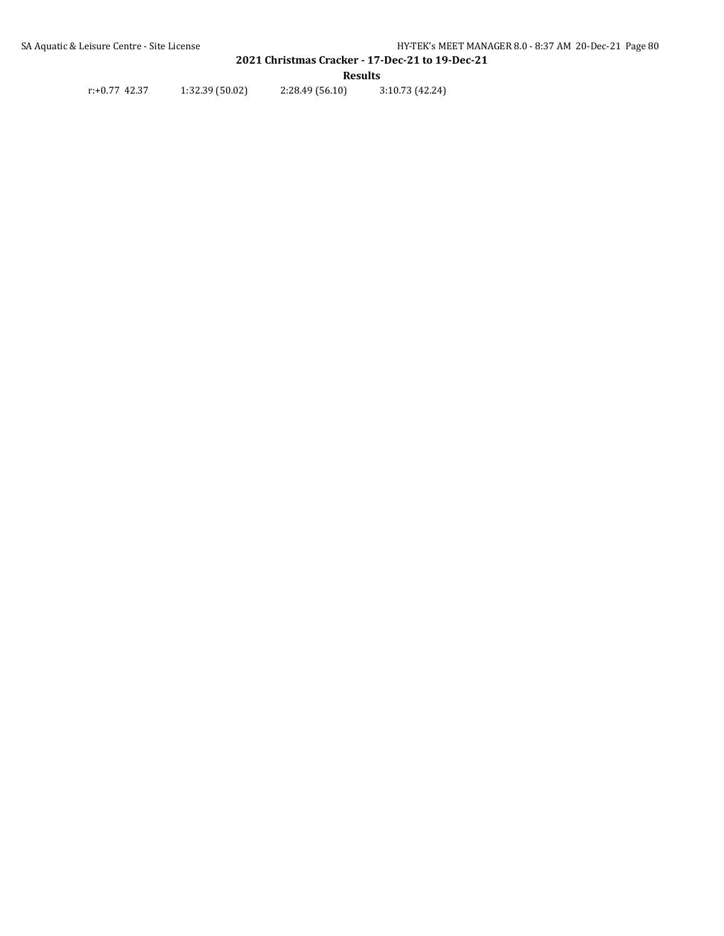**Results**

r:+0.77 42.37 1:32.39 (50.02) 2:28.49 (56.10) 3:10.73 (42.24)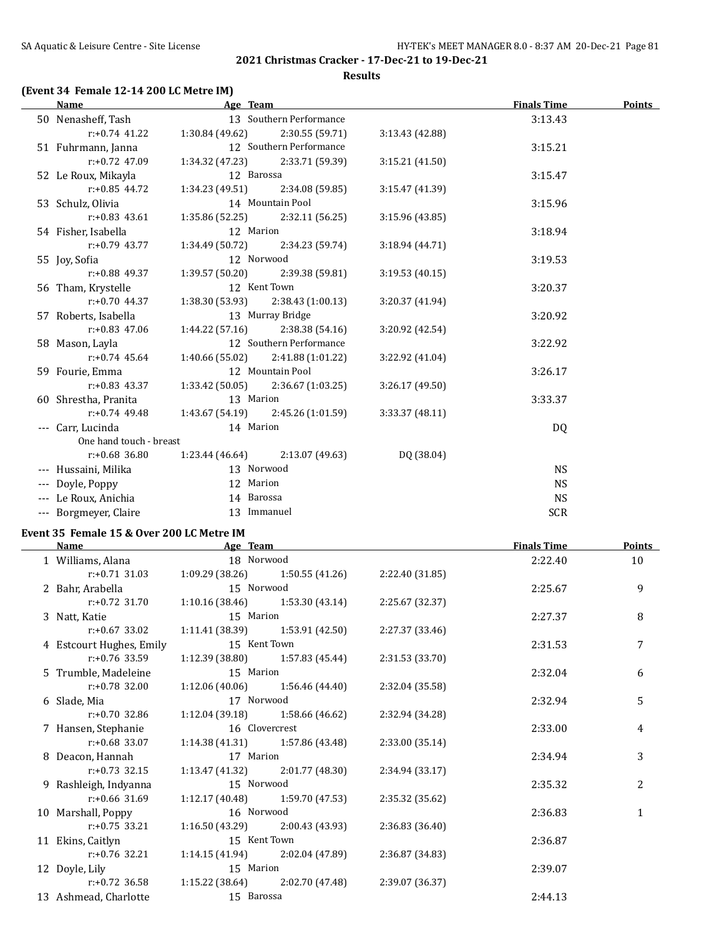#### **Results**

## **(Event 34 Female 12-14 200 LC Metre IM)**

| Name                    | Age Team   |                                     |                 | <b>Finals Time</b> | <b>Points</b> |
|-------------------------|------------|-------------------------------------|-----------------|--------------------|---------------|
| 50 Nenasheff, Tash      |            | 13 Southern Performance             |                 | 3:13.43            |               |
| $r: +0.74$ 41.22        |            | $1:30.84(49.62)$ $2:30.55(59.71)$   | 3:13.43(42.88)  |                    |               |
| 51 Fuhrmann, Janna      |            | 12 Southern Performance             |                 | 3:15.21            |               |
| $r: +0.72$ 47.09        |            | 1:34.32 (47.23) 2:33.71 (59.39)     | 3:15.21 (41.50) |                    |               |
| 52 Le Roux, Mikayla     | 12 Barossa |                                     |                 | 3:15.47            |               |
| $r: +0.85$ 44.72        |            | 1:34.23 (49.51) 2:34.08 (59.85)     | 3:15.47 (41.39) |                    |               |
| 53 Schulz, Olivia       |            | 14 Mountain Pool                    |                 | 3:15.96            |               |
| $r: +0.83$ 43.61        |            | $1:35.86(52.25)$ $2:32.11(56.25)$   | 3:15.96 (43.85) |                    |               |
| 54 Fisher, Isabella     | 12 Marion  |                                     |                 | 3:18.94            |               |
| r:+0.79 43.77           |            | 1:34.49 (50.72) 2:34.23 (59.74)     | 3:18.94 (44.71) |                    |               |
| 55 Joy, Sofia           | 12 Norwood |                                     |                 | 3:19.53            |               |
| $r: +0.88$ 49.37        |            | $1:39.57(50.20)$ $2:39.38(59.81)$   | 3:19.53(40.15)  |                    |               |
| 56 Tham, Krystelle      |            | 12 Kent Town                        |                 | 3:20.37            |               |
| $r: +0.70$ 44.37        |            | $1:38.30(53.93)$ $2:38.43(1:00.13)$ | 3:20.37 (41.94) |                    |               |
| 57 Roberts, Isabella    |            | 13 Murray Bridge                    |                 | 3:20.92            |               |
| $r: +0.83$ 47.06        |            | $1:44.22(57.16)$ $2:38.38(54.16)$   | 3:20.92 (42.54) |                    |               |
| 58 Mason, Layla         |            | 12 Southern Performance             |                 | 3:22.92            |               |
| $r: +0.74$ 45.64        |            | $1:40.66(55.02)$ $2:41.88(1:01.22)$ | 3:22.92 (41.04) |                    |               |
| 59 Fourie, Emma         |            | 12 Mountain Pool                    |                 | 3:26.17            |               |
| $r: +0.83$ 43.37        |            | $1:33.42(50.05)$ $2:36.67(1:03.25)$ | 3:26.17 (49.50) |                    |               |
| 60 Shrestha, Pranita    | 13 Marion  |                                     |                 | 3:33.37            |               |
| $r: +0.74$ 49.48        |            | $1:43.67(54.19)$ $2:45.26(1:01.59)$ | 3:33.37 (48.11) |                    |               |
| --- Carr, Lucinda       | 14 Marion  |                                     |                 | DQ                 |               |
| One hand touch - breast |            |                                     |                 |                    |               |
| $r: +0.68$ 36.80        |            | $1:23.44(46.64)$ $2:13.07(49.63)$   | DQ (38.04)      |                    |               |
| --- Hussaini, Milika    | 13 Norwood |                                     |                 | <b>NS</b>          |               |
| --- Doyle, Poppy        | 12 Marion  |                                     |                 | <b>NS</b>          |               |
| --- Le Roux, Anichia    | 14 Barossa |                                     |                 | <b>NS</b>          |               |
| --- Borgmeyer, Claire   |            | 13 Immanuel                         |                 | <b>SCR</b>         |               |

# **Event 35 Female 15 & Over 200 LC Metre IM**

| Name                     | Age Team       |                                   |                 | <b>Finals Time</b> | <b>Points</b> |
|--------------------------|----------------|-----------------------------------|-----------------|--------------------|---------------|
| 1 Williams, Alana        | 18 Norwood     |                                   |                 | 2:22.40            | 10            |
| $r: +0.71$ 31.03         |                | $1:09.29(38.26)$ $1:50.55(41.26)$ | 2:22.40 (31.85) |                    |               |
| 2 Bahr, Arabella         | 15 Norwood     |                                   |                 | 2:25.67            | 9             |
| r:+0.72 31.70            |                | $1:10.16(38.46)$ $1:53.30(43.14)$ | 2:25.67 (32.37) |                    |               |
| 3 Natt, Katie            | 15 Marion      |                                   |                 | 2:27.37            | 8             |
| r:+0.67 33.02            |                | $1:11.41(38.39)$ $1:53.91(42.50)$ | 2:27.37 (33.46) |                    |               |
| 4 Estcourt Hughes, Emily | 15 Kent Town   |                                   |                 | 2:31.53            | 7             |
| r:+0.76 33.59            |                | $1:12.39(38.80)$ $1:57.83(45.44)$ | 2:31.53 (33.70) |                    |               |
| 5 Trumble, Madeleine     | 15 Marion      |                                   |                 | 2:32.04            | 6             |
| r:+0.78 32.00            |                | $1:12.06(40.06)$ $1:56.46(44.40)$ | 2:32.04 (35.58) |                    |               |
| 6 Slade, Mia             | 17 Norwood     |                                   |                 | 2:32.94            | 5             |
| r:+0.70 32.86            |                | $1:12.04(39.18)$ $1:58.66(46.62)$ | 2:32.94 (34.28) |                    |               |
| 7 Hansen, Stephanie      | 16 Clovercrest |                                   |                 | 2:33.00            | 4             |
| r:+0.68 33.07            |                | $1:14.38(41.31)$ $1:57.86(43.48)$ | 2:33.00 (35.14) |                    |               |
| 8 Deacon, Hannah         | 17 Marion      |                                   |                 | 2:34.94            | 3             |
| r:+0.73 32.15            |                | $1:13.47(41.32)$ $2:01.77(48.30)$ | 2:34.94(33.17)  |                    |               |
| 9 Rashleigh, Indyanna    | 15 Norwood     |                                   |                 | 2:35.32            | 2             |
| r:+0.66 31.69            |                | $1:12.17(40.48)$ $1:59.70(47.53)$ | 2:35.32 (35.62) |                    |               |
| 10 Marshall, Poppy       | 16 Norwood     |                                   |                 | 2:36.83            | 1             |
| r:+0.75 33.21            |                | $1:16.50(43.29)$ $2:00.43(43.93)$ | 2:36.83(36.40)  |                    |               |
| 11 Ekins, Caitlyn        | 15 Kent Town   |                                   |                 | 2:36.87            |               |
| r:+0.76 32.21            |                | $1:14.15(41.94)$ $2:02.04(47.89)$ | 2:36.87 (34.83) |                    |               |
| 12 Doyle, Lily           | 15 Marion      |                                   |                 | 2:39.07            |               |
| r:+0.72 36.58            |                | $1:15.22(38.64)$ $2:02.70(47.48)$ | 2:39.07 (36.37) |                    |               |
| 13 Ashmead, Charlotte    | 15 Barossa     |                                   |                 | 2:44.13            |               |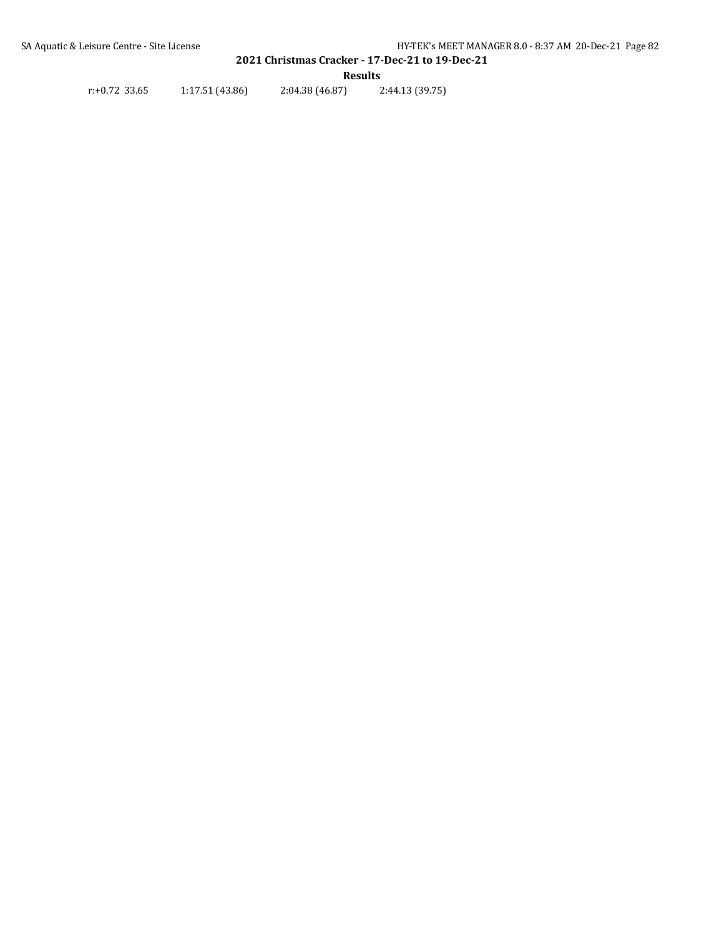**Results**

r:+0.72 33.65 1:17.51 (43.86) 2:04.38 (46.87) 2:44.13 (39.75)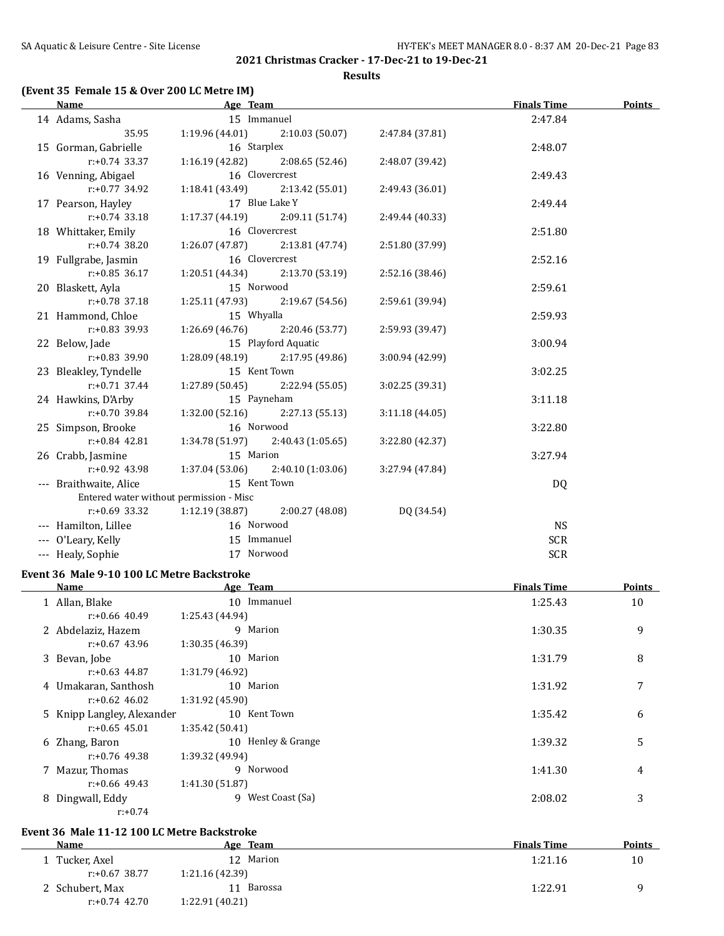#### **Results**

## **(Event 35 Female 15 & Over 200 LC Metre IM)**

| Name                   |                |                                                                   |                                                                                                                                                                                                                                                                                                                                                                                                                                                                                                                                                                                                                                                                                              | <b>Finals Time</b>                                     | <b>Points</b> |
|------------------------|----------------|-------------------------------------------------------------------|----------------------------------------------------------------------------------------------------------------------------------------------------------------------------------------------------------------------------------------------------------------------------------------------------------------------------------------------------------------------------------------------------------------------------------------------------------------------------------------------------------------------------------------------------------------------------------------------------------------------------------------------------------------------------------------------|--------------------------------------------------------|---------------|
| 14 Adams, Sasha        |                |                                                                   |                                                                                                                                                                                                                                                                                                                                                                                                                                                                                                                                                                                                                                                                                              | 2:47.84                                                |               |
|                        | 1:19.96(44.01) |                                                                   | 2:47.84 (37.81)                                                                                                                                                                                                                                                                                                                                                                                                                                                                                                                                                                                                                                                                              |                                                        |               |
| 15 Gorman, Gabrielle   |                |                                                                   |                                                                                                                                                                                                                                                                                                                                                                                                                                                                                                                                                                                                                                                                                              | 2:48.07                                                |               |
| $r: +0.74$ 33.37       |                |                                                                   | 2:48.07 (39.42)                                                                                                                                                                                                                                                                                                                                                                                                                                                                                                                                                                                                                                                                              |                                                        |               |
| 16 Venning, Abigael    |                |                                                                   |                                                                                                                                                                                                                                                                                                                                                                                                                                                                                                                                                                                                                                                                                              | 2:49.43                                                |               |
| $r: +0.77$ 34.92       |                |                                                                   | 2:49.43 (36.01)                                                                                                                                                                                                                                                                                                                                                                                                                                                                                                                                                                                                                                                                              |                                                        |               |
| 17 Pearson, Hayley     |                |                                                                   |                                                                                                                                                                                                                                                                                                                                                                                                                                                                                                                                                                                                                                                                                              | 2:49.44                                                |               |
| $r: +0.74$ 33.18       |                |                                                                   | 2:49.44 (40.33)                                                                                                                                                                                                                                                                                                                                                                                                                                                                                                                                                                                                                                                                              |                                                        |               |
| 18 Whittaker, Emily    |                |                                                                   |                                                                                                                                                                                                                                                                                                                                                                                                                                                                                                                                                                                                                                                                                              | 2:51.80                                                |               |
| $r: +0.74$ 38.20       |                | 2:13.81 (47.74)                                                   | 2:51.80 (37.99)                                                                                                                                                                                                                                                                                                                                                                                                                                                                                                                                                                                                                                                                              |                                                        |               |
| 19 Fullgrabe, Jasmin   |                |                                                                   |                                                                                                                                                                                                                                                                                                                                                                                                                                                                                                                                                                                                                                                                                              | 2:52.16                                                |               |
| $r: +0.85$ 36.17       |                |                                                                   | 2:52.16 (38.46)                                                                                                                                                                                                                                                                                                                                                                                                                                                                                                                                                                                                                                                                              |                                                        |               |
| 20 Blaskett, Ayla      |                |                                                                   |                                                                                                                                                                                                                                                                                                                                                                                                                                                                                                                                                                                                                                                                                              | 2:59.61                                                |               |
| $r: +0.78$ 37.18       |                |                                                                   | 2:59.61 (39.94)                                                                                                                                                                                                                                                                                                                                                                                                                                                                                                                                                                                                                                                                              |                                                        |               |
| 21 Hammond, Chloe      |                |                                                                   |                                                                                                                                                                                                                                                                                                                                                                                                                                                                                                                                                                                                                                                                                              | 2:59.93                                                |               |
| $r: +0.83$ 39.93       |                |                                                                   | 2:59.93 (39.47)                                                                                                                                                                                                                                                                                                                                                                                                                                                                                                                                                                                                                                                                              |                                                        |               |
| 22 Below, Jade         |                |                                                                   |                                                                                                                                                                                                                                                                                                                                                                                                                                                                                                                                                                                                                                                                                              | 3:00.94                                                |               |
| $r: +0.83$ 39.90       |                |                                                                   | 3:00.94 (42.99)                                                                                                                                                                                                                                                                                                                                                                                                                                                                                                                                                                                                                                                                              |                                                        |               |
| 23 Bleakley, Tyndelle  |                |                                                                   |                                                                                                                                                                                                                                                                                                                                                                                                                                                                                                                                                                                                                                                                                              | 3:02.25                                                |               |
| $r: +0.71$ 37.44       |                |                                                                   | 3:02.25 (39.31)                                                                                                                                                                                                                                                                                                                                                                                                                                                                                                                                                                                                                                                                              |                                                        |               |
| 24 Hawkins, D'Arby     |                |                                                                   |                                                                                                                                                                                                                                                                                                                                                                                                                                                                                                                                                                                                                                                                                              | 3:11.18                                                |               |
| $r: +0.70$ 39.84       |                |                                                                   | 3:11.18(44.05)                                                                                                                                                                                                                                                                                                                                                                                                                                                                                                                                                                                                                                                                               |                                                        |               |
| 25 Simpson, Brooke     |                |                                                                   |                                                                                                                                                                                                                                                                                                                                                                                                                                                                                                                                                                                                                                                                                              | 3:22.80                                                |               |
| $r: +0.84$ 42.81       |                | 2:40.43 (1:05.65)                                                 | 3:22.80 (42.37)                                                                                                                                                                                                                                                                                                                                                                                                                                                                                                                                                                                                                                                                              |                                                        |               |
| 26 Crabb, Jasmine      |                |                                                                   |                                                                                                                                                                                                                                                                                                                                                                                                                                                                                                                                                                                                                                                                                              | 3:27.94                                                |               |
|                        |                |                                                                   | 3:27.94 (47.84)                                                                                                                                                                                                                                                                                                                                                                                                                                                                                                                                                                                                                                                                              |                                                        |               |
| --- Braithwaite, Alice |                |                                                                   |                                                                                                                                                                                                                                                                                                                                                                                                                                                                                                                                                                                                                                                                                              | DQ                                                     |               |
|                        |                |                                                                   |                                                                                                                                                                                                                                                                                                                                                                                                                                                                                                                                                                                                                                                                                              |                                                        |               |
| $r: +0.69$ 33.32       |                | 2:00.27 (48.08)                                                   | DQ (34.54)                                                                                                                                                                                                                                                                                                                                                                                                                                                                                                                                                                                                                                                                                   |                                                        |               |
| --- Hamilton, Lillee   |                |                                                                   |                                                                                                                                                                                                                                                                                                                                                                                                                                                                                                                                                                                                                                                                                              | <b>NS</b>                                              |               |
| --- O'Leary, Kelly     |                |                                                                   |                                                                                                                                                                                                                                                                                                                                                                                                                                                                                                                                                                                                                                                                                              | <b>SCR</b>                                             |               |
| --- Healy, Sophie      |                |                                                                   |                                                                                                                                                                                                                                                                                                                                                                                                                                                                                                                                                                                                                                                                                              | <b>SCR</b>                                             |               |
|                        |                | 35.95<br>r:+0.92 43.98<br>Entered water without permission - Misc | Age Team<br>15 Immanuel<br>16 Starplex<br>$1:16.19(42.82)$ $2:08.65(52.46)$<br>16 Clovercrest<br>$1:18.41(43.49)$ $2:13.42(55.01)$<br>17 Blue Lake Y<br>$1:17.37(44.19)$ $2:09.11(51.74)$<br>16 Clovercrest<br>1:26.07 (47.87)<br>16 Clovercrest<br>$1:20.51(44.34)$ $2:13.70(53.19)$<br>15 Norwood<br>$1:25.11(47.93)$ $2:19.67(54.56)$<br>15 Whyalla<br>$1:26.69(46.76)$ $2:20.46(53.77)$<br>15 Playford Aquatic<br>$1:28.09(48.19)$ $2:17.95(49.86)$<br>15 Kent Town<br>$1:27.89(50.45)$ $2:22.94(55.05)$<br>15 Payneham<br>$1:32.00(52.16)$ $2:27.13(55.13)$<br>16 Norwood<br>1:34.78 (51.97)<br>15 Marion<br>15 Kent Town<br>1:12.19 (38.87)<br>16 Norwood<br>15 Immanuel<br>17 Norwood | 2:10.03 (50.07)<br>$1:37.04(53.06)$ $2:40.10(1:03.06)$ |               |

#### **Event 36 Male 9-10 100 LC Metre Backstroke**

| Name                       |                 | Age Team           | <b>Finals Time</b> | Points |
|----------------------------|-----------------|--------------------|--------------------|--------|
| 1 Allan, Blake             |                 | 10 Immanuel        | 1:25.43            | 10     |
| $r: +0.66$ 40.49           | 1:25.43 (44.94) |                    |                    |        |
| 2 Abdelaziz, Hazem         |                 | 9 Marion           | 1:30.35            | 9      |
| $r: +0.67$ 43.96           | 1:30.35 (46.39) |                    |                    |        |
| 3 Bevan, Jobe              |                 | 10 Marion          | 1:31.79            | 8      |
| $r: +0.63$ 44.87           | 1:31.79 (46.92) |                    |                    |        |
| 4 Umakaran, Santhosh       |                 | 10 Marion          | 1:31.92            |        |
| $r: +0.62$ 46.02           | 1:31.92 (45.90) |                    |                    |        |
| 5 Knipp Langley, Alexander |                 | 10 Kent Town       | 1:35.42            | 6      |
| $r: +0.65$ 45.01           | 1:35.42(50.41)  |                    |                    |        |
| 6 Zhang, Baron             |                 | 10 Henley & Grange | 1:39.32            | 5      |
| $r: +0.76$ 49.38           | 1:39.32 (49.94) |                    |                    |        |
| 7 Mazur, Thomas            |                 | 9 Norwood          | 1:41.30            | 4      |
| $r: +0.66$ 49.43           | 1:41.30 (51.87) |                    |                    |        |
| 8 Dingwall, Eddy           | 9               | West Coast (Sa)    | 2:08.02            | 3      |
| $r: +0.74$                 |                 |                    |                    |        |

# **Event 36 Male 11-12 100 LC Metre Backstroke**

| Name             | <u>Age Team</u> | <b>Finals Time</b> | <b>Points</b> |
|------------------|-----------------|--------------------|---------------|
| Tucker, Axel     | 12 Marion       | 1:21.16            | 10            |
| r:+0.67 38.77    | 1:21.16 (42.39) |                    |               |
| 2 Schubert, Max  | Barossa         | 1:22.91            |               |
| $r: +0.74$ 42.70 | 1:22.91(40.21)  |                    |               |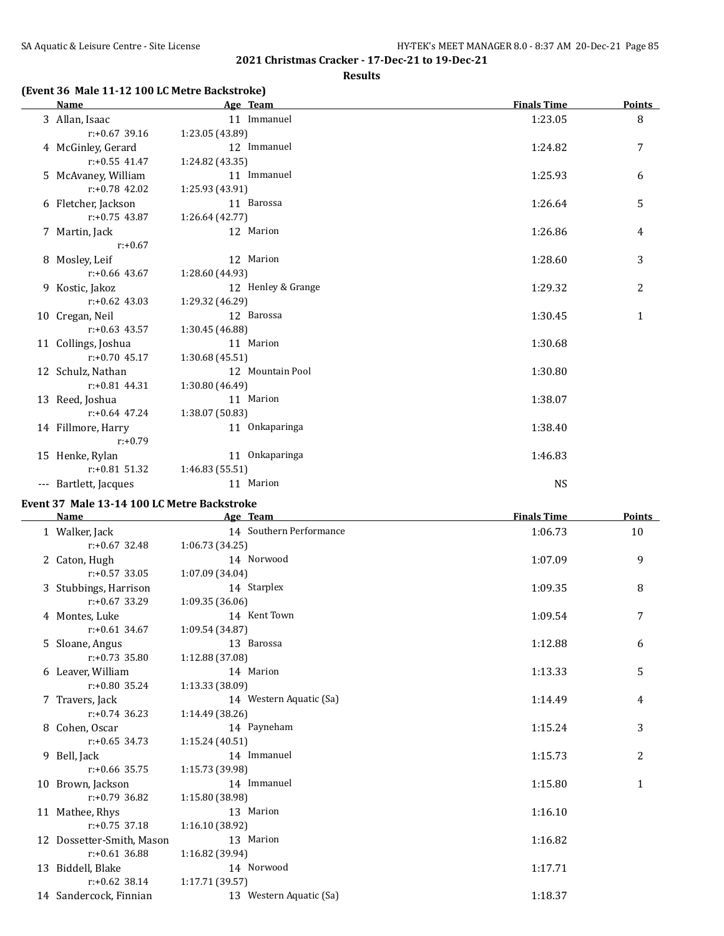**Results**

# **(Event 36 Male 11-12 100 LC Metre Backstroke)**

|                     | <b>Name</b>         | Age Team           | <b>Finals Time</b> | Points         |
|---------------------|---------------------|--------------------|--------------------|----------------|
|                     | 3 Allan, Isaac      | 11 Immanuel        | 1:23.05            | 8              |
|                     | $r: +0.67$ 39.16    | 1:23.05 (43.89)    |                    |                |
|                     | 4 McGinley, Gerard  | 12 Immanuel        | 1:24.82            | $\overline{7}$ |
|                     | $r: +0.55$ 41.47    | 1:24.82 (43.35)    |                    |                |
|                     | 5 McAvaney, William | 11 Immanuel        | 1:25.93            | 6              |
|                     | $r: +0.78$ 42.02    | 1:25.93 (43.91)    |                    |                |
|                     | 6 Fletcher, Jackson | 11 Barossa         | 1:26.64            | 5              |
|                     | $r: +0.75$ 43.87    | 1:26.64 (42.77)    |                    |                |
|                     | 7 Martin, Jack      | 12 Marion          | 1:26.86            | 4              |
|                     | $r: +0.67$          |                    |                    |                |
|                     | 8 Mosley, Leif      | 12 Marion          | 1:28.60            | 3              |
|                     | $r: +0.66$ 43.67    | 1:28.60 (44.93)    |                    |                |
|                     | 9 Kostic, Jakoz     | 12 Henley & Grange | 1:29.32            | 2              |
|                     | $r: +0.62$ 43.03    | 1:29.32 (46.29)    |                    |                |
|                     | 10 Cregan, Neil     | 12 Barossa         | 1:30.45            | 1              |
|                     | $r: +0.63$ 43.57    | 1:30.45 (46.88)    |                    |                |
|                     | 11 Collings, Joshua | 11 Marion          | 1:30.68            |                |
|                     | $r: +0.70$ 45.17    | 1:30.68(45.51)     |                    |                |
|                     | 12 Schulz, Nathan   | 12 Mountain Pool   | 1:30.80            |                |
|                     | $r: +0.81$ 44.31    | 1:30.80 (46.49)    |                    |                |
|                     | 13 Reed, Joshua     | 11 Marion          | 1:38.07            |                |
|                     | $r: +0.64$ 47.24    | 1:38.07 (50.83)    |                    |                |
|                     | 14 Fillmore, Harry  | 11 Onkaparinga     | 1:38.40            |                |
|                     | $r: +0.79$          |                    |                    |                |
|                     | 15 Henke, Rylan     | 11 Onkaparinga     | 1:46.83            |                |
|                     | $r: +0.81$ 51.32    | 1:46.83(55.51)     |                    |                |
| $\qquad \qquad - -$ | Bartlett, Jacques   | 11 Marion          | <b>NS</b>          |                |

# **Event 37 Male 13-14 100 LC Metre Backstroke**

| <b>Name</b>               | Age Team                | <b>Finals Time</b> | <b>Points</b> |
|---------------------------|-------------------------|--------------------|---------------|
| 1 Walker, Jack            | 14 Southern Performance | 1:06.73            | 10            |
| $r: +0.67$ 32.48          | 1:06.73(34.25)          |                    |               |
| 2 Caton, Hugh             | 14 Norwood              | 1:07.09            | 9             |
| $r: +0.57$ 33.05          | 1:07.09 (34.04)         |                    |               |
| 3 Stubbings, Harrison     | 14 Starplex             | 1:09.35            | 8             |
| $r: +0.67$ 33.29          | 1:09.35 (36.06)         |                    |               |
| 4 Montes, Luke            | 14 Kent Town            | 1:09.54            | 7             |
| $r: +0.61$ 34.67          | 1:09.54 (34.87)         |                    |               |
| 5 Sloane, Angus           | 13 Barossa              | 1:12.88            | 6             |
| $r: +0.73$ 35.80          | 1:12.88 (37.08)         |                    |               |
| 6 Leaver. William         | 14 Marion               | 1:13.33            | 5             |
| $r: +0.80$ 35.24          | 1:13.33 (38.09)         |                    |               |
| 7 Travers, Jack           | 14 Western Aquatic (Sa) | 1:14.49            | 4             |
| $r: +0.74$ 36.23          | 1:14.49(38.26)          |                    |               |
| 8 Cohen, Oscar            | 14 Payneham             | 1:15.24            | 3             |
| $r: +0.65$ 34.73          | 1:15.24(40.51)          |                    |               |
| 9 Bell, Jack              | 14 Immanuel             | 1:15.73            | 2             |
| $r: +0.66$ 35.75          | 1:15.73 (39.98)         |                    |               |
| 10 Brown, Jackson         | 14 Immanuel             | 1:15.80            | 1             |
| $r: +0.79$ 36.82          | 1:15.80(38.98)          |                    |               |
| 11 Mathee, Rhys           | 13 Marion               | 1:16.10            |               |
| $r: +0.75$ 37.18          | 1:16.10(38.92)          |                    |               |
| 12 Dossetter-Smith, Mason | 13 Marion               | 1:16.82            |               |
| $r: +0.61$ 36.88          | 1:16.82 (39.94)         |                    |               |
| 13 Biddell, Blake         | 14 Norwood              | 1:17.71            |               |
| $r: +0.62$ 38.14          | 1:17.71 (39.57)         |                    |               |
| 14 Sandercock, Finnian    | 13 Western Aquatic (Sa) | 1:18.37            |               |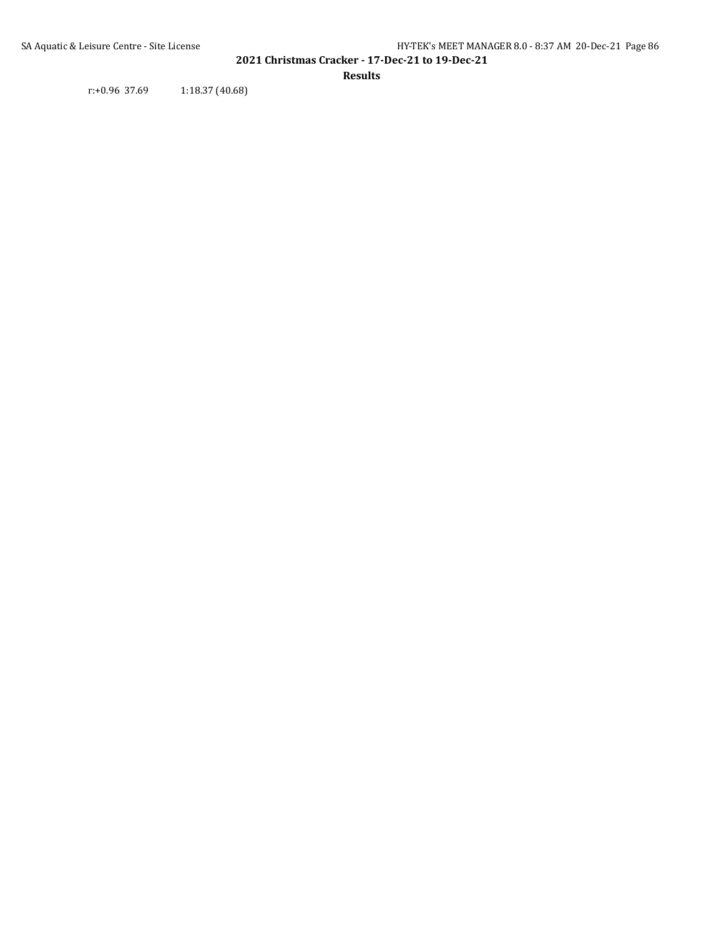**Results**

r:+0.96 37.69 1:18.37 (40.68)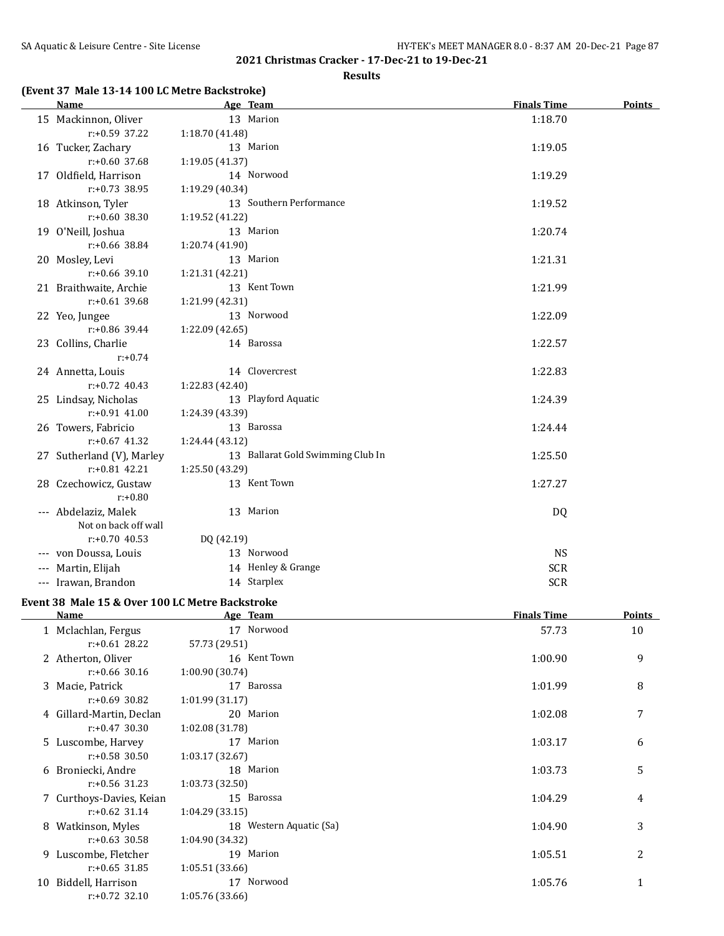#### **Results**

# **(Event 37 Male 13-14 100 LC Metre Backstroke)**

| <b>Name</b>               |                 | Age Team                          | <b>Finals Time</b> | <b>Points</b> |
|---------------------------|-----------------|-----------------------------------|--------------------|---------------|
| 15 Mackinnon, Oliver      |                 | 13 Marion                         | 1:18.70            |               |
| $r: +0.59$ 37.22          | 1:18.70 (41.48) |                                   |                    |               |
| 16 Tucker, Zachary        |                 | 13 Marion                         | 1:19.05            |               |
| r:+0.60 37.68             | 1:19.05(41.37)  |                                   |                    |               |
| 17 Oldfield, Harrison     |                 | 14 Norwood                        | 1:19.29            |               |
| $r: +0.73$ 38.95          | 1:19.29 (40.34) |                                   |                    |               |
| 18 Atkinson, Tyler        |                 | 13 Southern Performance           | 1:19.52            |               |
| $r: +0.60$ 38.30          | 1:19.52 (41.22) |                                   |                    |               |
| 19 O'Neill, Joshua        |                 | 13 Marion                         | 1:20.74            |               |
| $r: +0.66$ 38.84          | 1:20.74 (41.90) |                                   |                    |               |
| 20 Mosley, Levi           |                 | 13 Marion                         | 1:21.31            |               |
| $r: +0.66$ 39.10          | 1:21.31 (42.21) |                                   |                    |               |
| 21 Braithwaite, Archie    |                 | 13 Kent Town                      | 1:21.99            |               |
| $r: +0.61$ 39.68          | 1:21.99 (42.31) |                                   |                    |               |
| 22 Yeo, Jungee            |                 | 13 Norwood                        | 1:22.09            |               |
| $r: +0.86$ 39.44          | 1:22.09 (42.65) |                                   |                    |               |
| 23 Collins, Charlie       |                 | 14 Barossa                        | 1:22.57            |               |
| $r: +0.74$                |                 |                                   |                    |               |
| 24 Annetta, Louis         |                 | 14 Clovercrest                    | 1:22.83            |               |
| $r: +0.72$ 40.43          | 1:22.83 (42.40) |                                   |                    |               |
| 25 Lindsay, Nicholas      |                 | 13 Playford Aquatic               | 1:24.39            |               |
| $r: +0.91$ 41.00          | 1:24.39 (43.39) |                                   |                    |               |
| 26 Towers, Fabricio       |                 | 13 Barossa                        | 1:24.44            |               |
| $r: +0.67$ 41.32          | 1:24.44 (43.12) |                                   |                    |               |
| 27 Sutherland (V), Marley |                 | 13 Ballarat Gold Swimming Club In | 1:25.50            |               |
| $r: +0.81$ 42.21          | 1:25.50 (43.29) |                                   |                    |               |
| 28 Czechowicz, Gustaw     |                 | 13 Kent Town                      | 1:27.27            |               |
| $r: +0.80$                |                 |                                   |                    |               |
| --- Abdelaziz, Malek      |                 | 13 Marion                         | DQ                 |               |
| Not on back off wall      |                 |                                   |                    |               |
| $r: +0.70$ 40.53          | DQ (42.19)      |                                   |                    |               |
| --- von Doussa, Louis     |                 | 13 Norwood                        | <b>NS</b>          |               |
| --- Martin, Elijah        |                 | 14 Henley & Grange                | <b>SCR</b>         |               |
| --- Irawan, Brandon       |                 | 14 Starplex                       | <b>SCR</b>         |               |

#### **Event 38 Male 15 & Over 100 LC Metre Backstroke**

L.

|    | Name                     |                 | Age Team                | <b>Finals Time</b> | <b>Points</b> |
|----|--------------------------|-----------------|-------------------------|--------------------|---------------|
|    | 1 Mclachlan, Fergus      |                 | 17 Norwood              | 57.73              | 10            |
|    | $r: +0.61$ 28.22         | 57.73 (29.51)   |                         |                    |               |
|    | 2 Atherton, Oliver       |                 | 16 Kent Town            | 1:00.90            | 9             |
|    | $r: +0.66$ 30.16         | 1:00.90(30.74)  |                         |                    |               |
|    | 3 Macie, Patrick         |                 | 17 Barossa              | 1:01.99            | 8             |
|    | $r: +0.69$ 30.82         | 1:01.99 (31.17) |                         |                    |               |
|    | 4 Gillard-Martin, Declan |                 | 20 Marion               | 1:02.08            | 7             |
|    | $r: +0.47$ 30.30         | 1:02.08(31.78)  |                         |                    |               |
|    | 5 Luscombe, Harvey       |                 | 17 Marion               | 1:03.17            | 6             |
|    | $r: +0.58$ 30.50         | 1:03.17(32.67)  |                         |                    |               |
|    | 6 Broniecki, Andre       |                 | 18 Marion               | 1:03.73            | 5             |
|    | $r: +0.56$ 31.23         | 1:03.73(32.50)  |                         |                    |               |
|    | 7 Curthoys-Davies, Keian |                 | 15 Barossa              | 1:04.29            | 4             |
|    | $r: +0.62$ 31.14         | 1:04.29(33.15)  |                         |                    |               |
| 8  | Watkinson, Myles         |                 | 18 Western Aquatic (Sa) | 1:04.90            | 3             |
|    | $r: +0.63$ 30.58         | 1:04.90 (34.32) |                         |                    |               |
|    | 9 Luscombe, Fletcher     |                 | 19 Marion               | 1:05.51            | 2             |
|    | $r: +0.65$ 31.85         | 1:05.51(33.66)  |                         |                    |               |
| 10 | Biddell, Harrison        |                 | 17 Norwood              | 1:05.76            | $\mathbf{1}$  |
|    | $r: +0.72$ 32.10         | 1:05.76 (33.66) |                         |                    |               |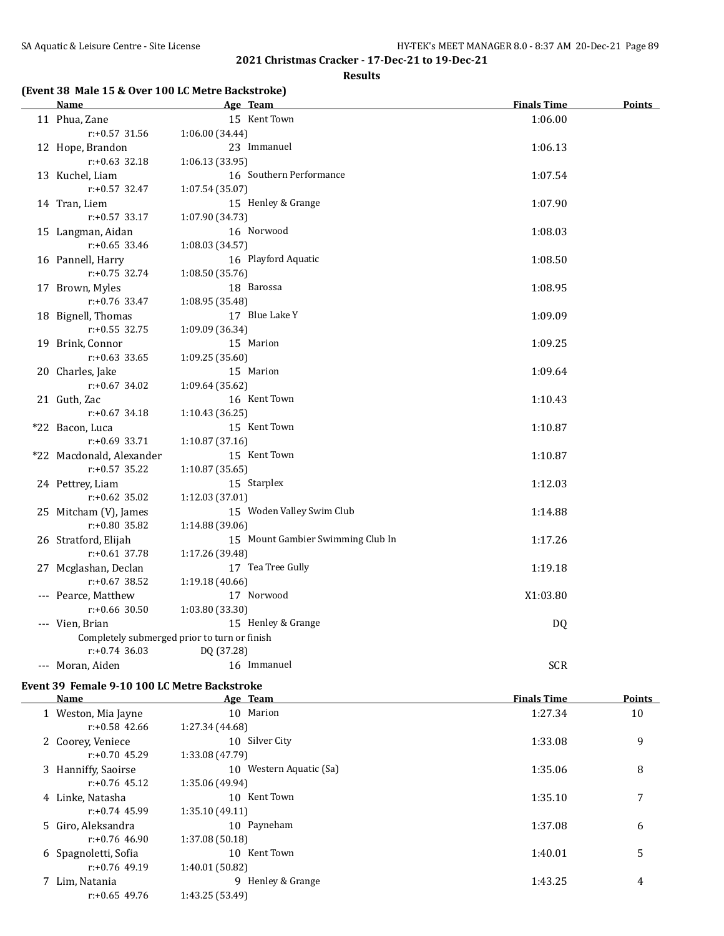**Results**

# **(Event 38 Male 15 & Over 100 LC Metre Backstroke)**

| Name                                         |                 | Age Team                          | <b>Finals Time</b> | <b>Points</b> |
|----------------------------------------------|-----------------|-----------------------------------|--------------------|---------------|
| 11 Phua, Zane                                |                 | 15 Kent Town                      | 1:06.00            |               |
| $r: +0.57$ 31.56                             | 1:06.00 (34.44) |                                   |                    |               |
| 12 Hope, Brandon                             |                 | 23 Immanuel                       | 1:06.13            |               |
| $r: +0.63$ 32.18                             | 1:06.13 (33.95) |                                   |                    |               |
| 13 Kuchel, Liam                              |                 | 16 Southern Performance           | 1:07.54            |               |
| $r: +0.57$ 32.47                             | 1:07.54 (35.07) |                                   |                    |               |
| 14 Tran, Liem                                |                 | 15 Henley & Grange                | 1:07.90            |               |
| $r: +0.57$ 33.17                             | 1:07.90 (34.73) |                                   |                    |               |
| 15 Langman, Aidan                            |                 | 16 Norwood                        | 1:08.03            |               |
| $r: +0.65$ 33.46                             | 1:08.03 (34.57) |                                   |                    |               |
| 16 Pannell, Harry                            |                 | 16 Playford Aquatic               | 1:08.50            |               |
| r:+0.75 32.74                                | 1:08.50 (35.76) |                                   |                    |               |
| 17 Brown, Myles                              |                 | 18 Barossa                        | 1:08.95            |               |
| $r: +0.76$ 33.47                             | 1:08.95 (35.48) |                                   |                    |               |
| 18 Bignell, Thomas                           |                 | 17 Blue Lake Y                    | 1:09.09            |               |
| $r: +0.55$ 32.75                             | 1:09.09 (36.34) |                                   |                    |               |
| 19 Brink, Connor                             |                 | 15 Marion                         | 1:09.25            |               |
| $r: +0.63$ 33.65                             | 1:09.25 (35.60) |                                   |                    |               |
| 20 Charles, Jake                             |                 | 15 Marion                         | 1:09.64            |               |
| $r: +0.67$ 34.02                             | 1:09.64 (35.62) |                                   |                    |               |
| 21 Guth, Zac                                 |                 | 16 Kent Town                      | 1:10.43            |               |
| $r: +0.67$ 34.18                             | 1:10.43 (36.25) |                                   |                    |               |
| *22 Bacon, Luca                              |                 | 15 Kent Town                      | 1:10.87            |               |
| r:+0.69 33.71                                | 1:10.87 (37.16) |                                   |                    |               |
| *22 Macdonald, Alexander                     |                 | 15 Kent Town                      | 1:10.87            |               |
| $r: +0.57$ 35.22                             | 1:10.87 (35.65) |                                   |                    |               |
| 24 Pettrey, Liam                             |                 | 15 Starplex                       | 1:12.03            |               |
| $r: +0.62$ 35.02                             | 1:12.03 (37.01) |                                   |                    |               |
| 25 Mitcham (V), James                        |                 | 15 Woden Valley Swim Club         | 1:14.88            |               |
| $r: +0.80$ 35.82                             | 1:14.88 (39.06) |                                   |                    |               |
| 26 Stratford, Elijah                         |                 | 15 Mount Gambier Swimming Club In | 1:17.26            |               |
| $r: +0.61$ 37.78                             | 1:17.26 (39.48) |                                   |                    |               |
| 27 Mcglashan, Declan                         |                 | 17 Tea Tree Gully                 | 1:19.18            |               |
| $r: +0.67$ 38.52                             | 1:19.18 (40.66) |                                   |                    |               |
| --- Pearce, Matthew                          |                 | 17 Norwood                        | X1:03.80           |               |
| $r: +0.66$ 30.50                             | 1:03.80 (33.30) |                                   |                    |               |
| --- Vien, Brian                              |                 | 15 Henley & Grange                | <b>DQ</b>          |               |
| Completely submerged prior to turn or finish |                 |                                   |                    |               |
| $r: +0.74$ 36.03                             | DQ (37.28)      |                                   |                    |               |
| --- Moran, Aiden                             |                 | 16 Immanuel                       | <b>SCR</b>         |               |

## **Event 39 Female 9-10 100 LC Metre Backstroke**

| <b>Name</b>          | Age Team                | <b>Finals Time</b> | <b>Points</b> |
|----------------------|-------------------------|--------------------|---------------|
| 1 Weston, Mia Jayne  | 10 Marion               | 1:27.34            | 10            |
| $r: +0.58$ 42.66     | 1:27.34 (44.68)         |                    |               |
| 2 Coorey, Veniece    | 10 Silver City          | 1:33.08            | 9             |
| $r: +0.70$ 45.29     | 1:33.08 (47.79)         |                    |               |
| 3 Hanniffy, Saoirse  | 10 Western Aquatic (Sa) | 1:35.06            | 8             |
| $r: +0.76$ 45.12     | 1:35.06 (49.94)         |                    |               |
| 4 Linke, Natasha     | 10 Kent Town            | 1:35.10            | 7             |
| $r: +0.74$ 45.99     | 1:35.10(49.11)          |                    |               |
| 5 Giro, Aleksandra   | 10 Payneham             | 1:37.08            | 6             |
| $r: +0.76$ 46.90     | 1:37.08 (50.18)         |                    |               |
| 6 Spagnoletti, Sofia | 10 Kent Town            | 1:40.01            | 5             |
| $r: +0.76$ 49.19     | 1:40.01 (50.82)         |                    |               |
| 7 Lim, Natania       | Henley & Grange<br>9    | 1:43.25            | 4             |
| $r: +0.65$ 49.76     | 1:43.25 (53.49)         |                    |               |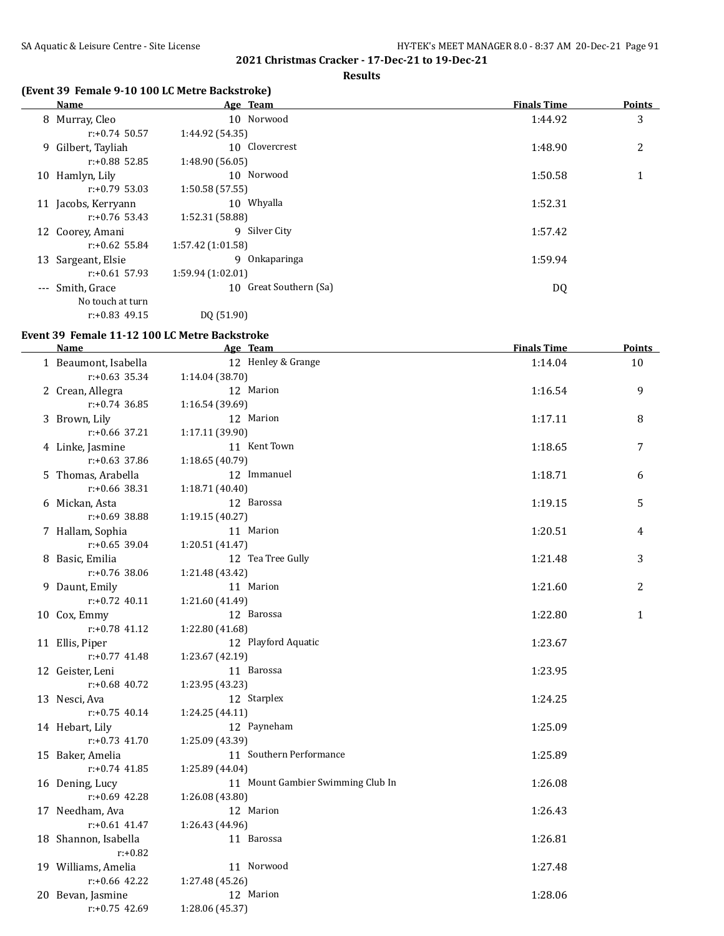**Results**

## **(Event 39 Female 9-10 100 LC Metre Backstroke)**

|    | Name                |                  | Age Team               | <b>Finals Time</b> | <b>Points</b> |
|----|---------------------|------------------|------------------------|--------------------|---------------|
|    | 8 Murray, Cleo      |                  | 10 Norwood             | 1:44.92            | 3             |
|    | $r: +0.74$ 50.57    | 1:44.92 (54.35)  |                        |                    |               |
| 9. | Gilbert, Tayliah    |                  | 10 Clovercrest         | 1:48.90            | 2             |
|    | $r: +0.88$ 52.85    | 1:48.90(56.05)   |                        |                    |               |
|    | 10 Hamlyn, Lily     |                  | 10 Norwood             | 1:50.58            | $\mathbf{1}$  |
|    | $r: +0.79$ 53.03    | 1:50.58(57.55)   |                        |                    |               |
|    | 11 Jacobs, Kerryann |                  | 10 Whyalla             | 1:52.31            |               |
|    | $r: +0.76$ 53.43    | 1:52.31 (58.88)  |                        |                    |               |
|    | 12 Coorey, Amani    |                  | 9 Silver City          | 1:57.42            |               |
|    | $r: +0.62$ 55.84    | 1:57.42(1:01.58) |                        |                    |               |
|    | 13 Sargeant, Elsie  | 9                | <b>Onkaparinga</b>     | 1:59.94            |               |
|    | $r: +0.61$ 57.93    | 1:59.94(1:02.01) |                        |                    |               |
|    | --- Smith, Grace    |                  | 10 Great Southern (Sa) | DQ                 |               |
|    | No touch at turn    |                  |                        |                    |               |
|    | $r: +0.83$ 49.15    | DQ (51.90)       |                        |                    |               |

## **Event 39 Female 11-12 100 LC Metre Backstroke**

| Name                 | Age Team                          | <b>Finals Time</b> | <b>Points</b> |
|----------------------|-----------------------------------|--------------------|---------------|
| 1 Beaumont, Isabella | 12 Henley & Grange                | 1:14.04            | 10            |
| $r: +0.63$ 35.34     | 1:14.04 (38.70)                   |                    |               |
| 2 Crean, Allegra     | 12 Marion                         | 1:16.54            | 9             |
| $r: +0.74$ 36.85     | 1:16.54 (39.69)                   |                    |               |
| 3 Brown, Lily        | 12 Marion                         | 1:17.11            | 8             |
| $r: +0.66$ 37.21     | 1:17.11 (39.90)                   |                    |               |
| 4 Linke, Jasmine     | 11 Kent Town                      | 1:18.65            | 7             |
| r:+0.63 37.86        | 1:18.65 (40.79)                   |                    |               |
| 5 Thomas, Arabella   | 12 Immanuel                       | 1:18.71            | 6             |
| $r: +0.66$ 38.31     | 1:18.71 (40.40)                   |                    |               |
| 6 Mickan, Asta       | 12 Barossa                        | 1:19.15            | 5             |
| $r: +0.69$ 38.88     | 1:19.15 (40.27)                   |                    |               |
| 7 Hallam, Sophia     | 11 Marion                         | 1:20.51            | 4             |
| $r: +0.65$ 39.04     | 1:20.51 (41.47)                   |                    |               |
| 8 Basic, Emilia      | 12 Tea Tree Gully                 | 1:21.48            | 3             |
| $r: +0.76$ 38.06     | 1:21.48 (43.42)                   |                    |               |
| 9 Daunt, Emily       | 11 Marion                         | 1:21.60            | 2             |
| $r: +0.72$ 40.11     | 1:21.60 (41.49)                   |                    |               |
| 10 Cox, Emmy         | 12 Barossa                        | 1:22.80            | $\mathbf{1}$  |
| $r: +0.78$ 41.12     | 1:22.80 (41.68)                   |                    |               |
| 11 Ellis, Piper      | 12 Playford Aquatic               | 1:23.67            |               |
| $r: +0.77$ 41.48     | 1:23.67 (42.19)                   |                    |               |
| 12 Geister, Leni     | 11 Barossa                        | 1:23.95            |               |
| $r: +0.68$ 40.72     | 1:23.95 (43.23)                   |                    |               |
| 13 Nesci, Ava        | 12 Starplex                       | 1:24.25            |               |
| $r: +0.75$ 40.14     | 1:24.25 (44.11)                   |                    |               |
| 14 Hebart, Lily      | 12 Payneham                       | 1:25.09            |               |
| $r: +0.73$ 41.70     | 1:25.09 (43.39)                   |                    |               |
| 15 Baker, Amelia     | 11 Southern Performance           | 1:25.89            |               |
| $r: +0.74$ 41.85     | 1:25.89 (44.04)                   |                    |               |
| 16 Dening, Lucy      | 11 Mount Gambier Swimming Club In | 1:26.08            |               |
| $r: +0.69$ 42.28     | 1:26.08 (43.80)                   |                    |               |
| 17 Needham, Ava      | 12 Marion                         | 1:26.43            |               |
| $r: +0.61$ 41.47     | 1:26.43 (44.96)                   |                    |               |
| 18 Shannon, Isabella | 11 Barossa                        | 1:26.81            |               |
| $r: +0.82$           |                                   |                    |               |
| 19 Williams, Amelia  | 11 Norwood                        | 1:27.48            |               |
| $r: +0.66$ 42.22     | 1:27.48 (45.26)                   |                    |               |
| 20 Bevan, Jasmine    | 12 Marion                         | 1:28.06            |               |
| $r: +0.75$ 42.69     | 1:28.06 (45.37)                   |                    |               |
|                      |                                   |                    |               |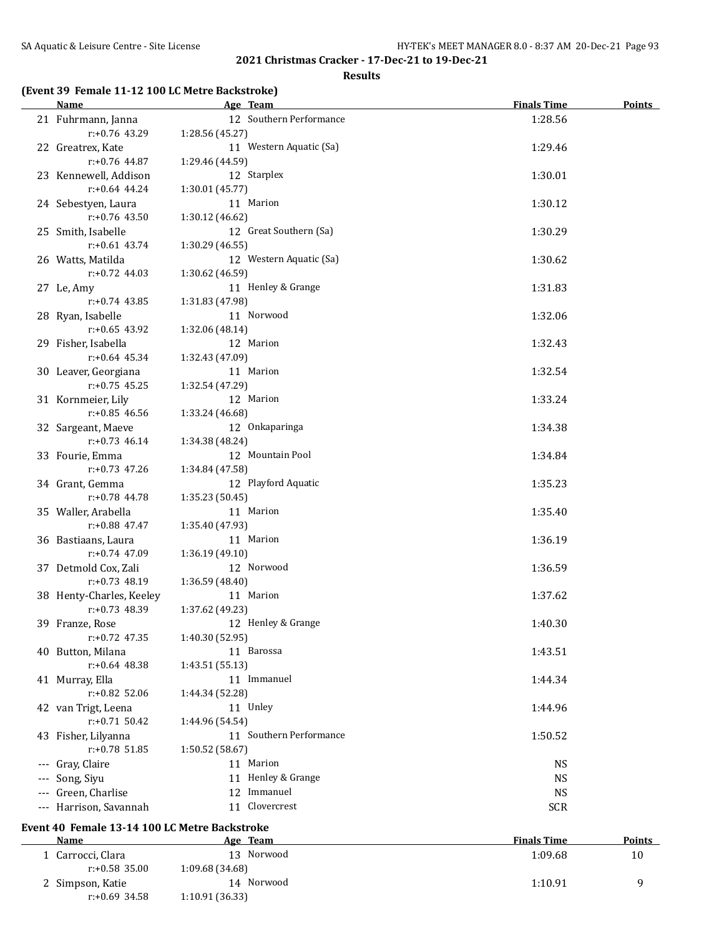**Results**

## **(Event 39 Female 11-12 100 LC Metre Backstroke)**

|                     | <b>Name</b>              | Age Team                | <b>Finals Time</b> | <b>Points</b> |
|---------------------|--------------------------|-------------------------|--------------------|---------------|
|                     | 21 Fuhrmann, Janna       | 12 Southern Performance | 1:28.56            |               |
|                     | r:+0.76 43.29            | 1:28.56 (45.27)         |                    |               |
|                     | 22 Greatrex, Kate        | 11 Western Aquatic (Sa) | 1:29.46            |               |
|                     | r:+0.76 44.87            | 1:29.46 (44.59)         |                    |               |
|                     | 23 Kennewell, Addison    | 12 Starplex             | 1:30.01            |               |
|                     | $r: +0.64$ 44.24         | 1:30.01 (45.77)         |                    |               |
|                     | 24 Sebestyen, Laura      | 11 Marion               | 1:30.12            |               |
|                     | $r: +0.76$ 43.50         | 1:30.12 (46.62)         |                    |               |
|                     | 25 Smith, Isabelle       | 12 Great Southern (Sa)  | 1:30.29            |               |
|                     | $r: +0.61$ 43.74         | 1:30.29 (46.55)         |                    |               |
|                     | 26 Watts, Matilda        | 12 Western Aquatic (Sa) | 1:30.62            |               |
|                     | $r: +0.72$ 44.03         | 1:30.62 (46.59)         |                    |               |
|                     | 27 Le, Amy               | 11 Henley & Grange      | 1:31.83            |               |
|                     | $r: +0.74$ 43.85         | 1:31.83 (47.98)         |                    |               |
|                     | 28 Ryan, Isabelle        | 11 Norwood              | 1:32.06            |               |
|                     | $r: +0.65$ 43.92         | 1:32.06 (48.14)         |                    |               |
|                     | 29 Fisher, Isabella      | 12 Marion               | 1:32.43            |               |
|                     | $r: +0.64$ 45.34         | 1:32.43 (47.09)         |                    |               |
|                     | 30 Leaver, Georgiana     | 11 Marion               | 1:32.54            |               |
|                     | $r: +0.75$ 45.25         | 1:32.54 (47.29)         |                    |               |
|                     | 31 Kornmeier, Lily       | 12 Marion               | 1:33.24            |               |
|                     | $r: +0.85$ 46.56         | 1:33.24 (46.68)         |                    |               |
|                     | 32 Sargeant, Maeve       | 12 Onkaparinga          | 1:34.38            |               |
|                     | $r: +0.73$ 46.14         | 1:34.38 (48.24)         |                    |               |
|                     | 33 Fourie, Emma          | 12 Mountain Pool        | 1:34.84            |               |
|                     | $r: +0.73$ 47.26         | 1:34.84 (47.58)         |                    |               |
|                     | 34 Grant, Gemma          | 12 Playford Aquatic     | 1:35.23            |               |
|                     | $r: +0.78$ 44.78         | 1:35.23 (50.45)         |                    |               |
|                     | 35 Waller, Arabella      | 11 Marion               | 1:35.40            |               |
|                     | $r: +0.88$ 47.47         | 1:35.40 (47.93)         |                    |               |
|                     | 36 Bastiaans, Laura      | 11 Marion               | 1:36.19            |               |
|                     | $r.+0.74$ 47.09          | 1:36.19(49.10)          |                    |               |
|                     | 37 Detmold Cox, Zali     | 12 Norwood              | 1:36.59            |               |
|                     | $r: +0.73$ 48.19         | 1:36.59 (48.40)         |                    |               |
|                     | 38 Henty-Charles, Keeley | 11 Marion               | 1:37.62            |               |
|                     | $r: +0.73$ 48.39         | 1:37.62 (49.23)         |                    |               |
|                     | 39 Franze, Rose          | 12 Henley & Grange      | 1:40.30            |               |
|                     | r:+0.72 47.35            | 1:40.30 (52.95)         |                    |               |
|                     | 40 Button, Milana        | 11 Barossa              | 1:43.51            |               |
|                     | $r: +0.64$ 48.38         | 1:43.51 (55.13)         |                    |               |
|                     | 41 Murray, Ella          | 11 Immanuel             | 1:44.34            |               |
|                     | r:+0.82 52.06            | 1:44.34 (52.28)         |                    |               |
|                     | 42 van Trigt, Leena      | 11 Unley                | 1:44.96            |               |
|                     | $r: +0.71$ 50.42         | 1:44.96 (54.54)         |                    |               |
|                     | 43 Fisher, Lilyanna      | 11 Southern Performance | 1:50.52            |               |
|                     | r:+0.78 51.85            | 1:50.52 (58.67)         |                    |               |
|                     | --- Gray, Claire         | 11 Marion               | <b>NS</b>          |               |
| $\qquad \qquad - -$ | Song, Siyu               | 11 Henley & Grange      | <b>NS</b>          |               |
| $---$               | Green, Charlise          | 12 Immanuel             | <b>NS</b>          |               |
|                     | --- Harrison, Savannah   | 11 Clovercrest          | SCR                |               |
|                     |                          |                         |                    |               |

# **Event 40 Female 13-14 100 LC Metre Backstroke**

| Name              | Age Team        | <b>Finals Time</b> | <b>Points</b> |
|-------------------|-----------------|--------------------|---------------|
| 1 Carrocci, Clara | 13 Norwood      | 1:09.68            | 10            |
| r:+0.58 35.00     | 1:09.68 (34.68) |                    |               |
| 2 Simpson, Katie  | 14 Norwood      | 1:10.91            |               |
| $r: +0.69$ 34.58  | 1:10.91(36.33)  |                    |               |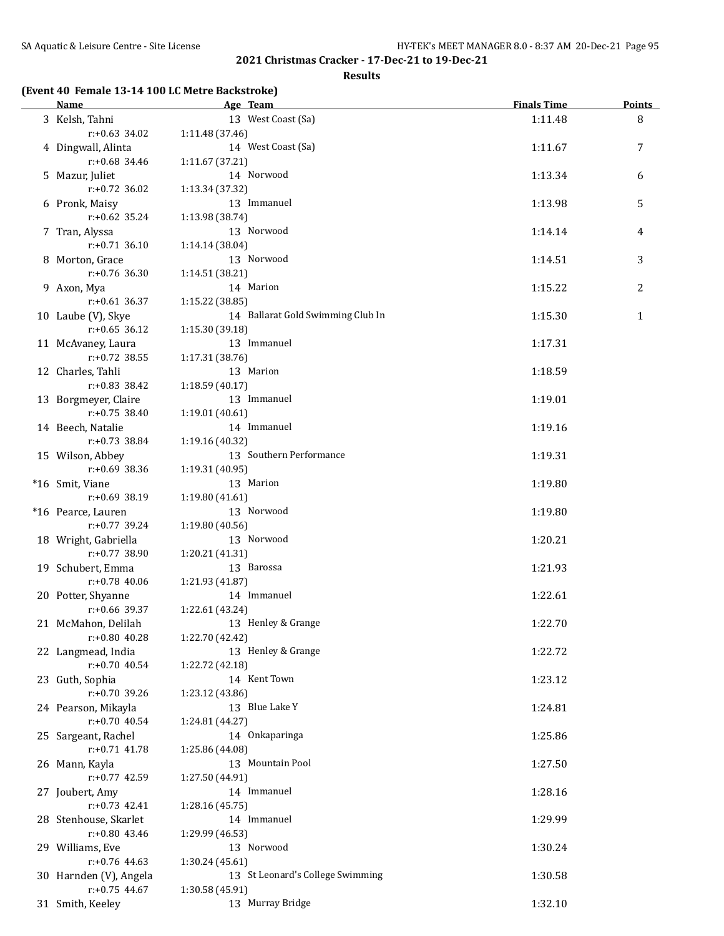**Results**

# **(Event 40 Female 13-14 100 LC Metre Backstroke)**

| <b>Name</b>                               |                 | Age Team                          | <b>Finals Time</b> | <b>Points</b>  |
|-------------------------------------------|-----------------|-----------------------------------|--------------------|----------------|
| 3 Kelsh, Tahni                            |                 | 13 West Coast (Sa)                | 1:11.48            | 8              |
| $r: +0.63$ 34.02                          | 1:11.48 (37.46) |                                   |                    |                |
| 4 Dingwall, Alinta                        |                 | 14 West Coast (Sa)                | 1:11.67            | 7              |
| $r: +0.68$ 34.46                          | 1:11.67 (37.21) |                                   |                    |                |
| 5 Mazur, Juliet                           |                 | 14 Norwood                        | 1:13.34            | 6              |
| $r: +0.72$ 36.02                          | 1:13.34 (37.32) |                                   |                    |                |
| 6 Pronk, Maisy                            |                 | 13 Immanuel                       | 1:13.98            | 5              |
| $r: +0.62$ 35.24                          | 1:13.98 (38.74) |                                   |                    |                |
| 7 Tran, Alyssa                            |                 | 13 Norwood                        | 1:14.14            | 4              |
| $r: +0.71$ 36.10                          | 1:14.14 (38.04) |                                   |                    |                |
| 8 Morton, Grace                           |                 | 13 Norwood                        | 1:14.51            | 3              |
| $r: +0.76$ 36.30                          | 1:14.51 (38.21) |                                   |                    |                |
| 9 Axon, Mya                               |                 | 14 Marion                         | 1:15.22            | $\overline{2}$ |
| $r: +0.61$ 36.37                          | 1:15.22 (38.85) |                                   |                    |                |
| 10 Laube (V), Skye                        |                 | 14 Ballarat Gold Swimming Club In | 1:15.30            | $\mathbf{1}$   |
| $r: +0.65$ 36.12                          | 1:15.30 (39.18) |                                   |                    |                |
| 11 McAvaney, Laura                        |                 | 13 Immanuel                       | 1:17.31            |                |
| $r: +0.72$ 38.55                          | 1:17.31 (38.76) |                                   |                    |                |
| 12 Charles, Tahli                         |                 | 13 Marion                         | 1:18.59            |                |
| $r: +0.83$ 38.42                          | 1:18.59(40.17)  |                                   |                    |                |
| 13 Borgmeyer, Claire                      |                 | 13 Immanuel                       | 1:19.01            |                |
| $r: +0.75$ 38.40                          | 1:19.01 (40.61) | 14 Immanuel                       |                    |                |
| 14 Beech, Natalie                         |                 |                                   | 1:19.16            |                |
| r:+0.73 38.84                             | 1:19.16 (40.32) | 13 Southern Performance           |                    |                |
| 15 Wilson, Abbey<br>r:+0.69 38.36         | 1:19.31 (40.95) |                                   | 1:19.31            |                |
| *16 Smit, Viane                           |                 | 13 Marion                         | 1:19.80            |                |
| $r: +0.69$ 38.19                          | 1:19.80 (41.61) |                                   |                    |                |
| *16 Pearce, Lauren                        |                 | 13 Norwood                        | 1:19.80            |                |
| r:+0.77 39.24                             | 1:19.80 (40.56) |                                   |                    |                |
| 18 Wright, Gabriella                      |                 | 13 Norwood                        | 1:20.21            |                |
| r:+0.77 38.90                             | 1:20.21 (41.31) |                                   |                    |                |
| 19 Schubert, Emma                         |                 | 13 Barossa                        | 1:21.93            |                |
| r:+0.78 40.06                             | 1:21.93 (41.87) |                                   |                    |                |
| 20 Potter, Shyanne                        |                 | 14 Immanuel                       | 1:22.61            |                |
| $r: +0.66$ 39.37                          | 1:22.61 (43.24) |                                   |                    |                |
| 21 McMahon, Delilah                       |                 | 13 Henley & Grange                | 1:22.70            |                |
| r:+0.80 40.28                             | 1:22.70 (42.42) |                                   |                    |                |
| 22 Langmead, India                        |                 | 13 Henley & Grange                | 1:22.72            |                |
| $r: +0.70$ 40.54                          | 1:22.72 (42.18) |                                   |                    |                |
| 23 Guth, Sophia                           |                 | 14 Kent Town                      | 1:23.12            |                |
| r:+0.70 39.26                             | 1:23.12 (43.86) |                                   |                    |                |
| 24 Pearson, Mikayla                       |                 | 13 Blue Lake Y                    | 1:24.81            |                |
| $r: +0.70$ 40.54                          | 1:24.81 (44.27) |                                   |                    |                |
| 25 Sargeant, Rachel                       |                 | 14 Onkaparinga                    | 1:25.86            |                |
| $r: +0.71$ 41.78                          | 1:25.86 (44.08) |                                   |                    |                |
| 26 Mann, Kayla                            |                 | 13 Mountain Pool                  | 1:27.50            |                |
| r:+0.77 42.59                             | 1:27.50 (44.91) |                                   |                    |                |
| 27 Joubert, Amy                           |                 | 14 Immanuel                       | 1:28.16            |                |
| $r: +0.73$ 42.41                          | 1:28.16 (45.75) | 14 Immanuel                       |                    |                |
| 28 Stenhouse, Skarlet<br>$r: +0.80$ 43.46 |                 |                                   | 1:29.99            |                |
| 29 Williams, Eve                          | 1:29.99 (46.53) | 13 Norwood                        | 1:30.24            |                |
| r:+0.76 44.63                             | 1:30.24 (45.61) |                                   |                    |                |
| 30 Harnden (V), Angela                    |                 | 13 St Leonard's College Swimming  | 1:30.58            |                |
| $r: +0.75$ 44.67                          | 1:30.58 (45.91) |                                   |                    |                |
| 31 Smith, Keeley                          |                 | 13 Murray Bridge                  | 1:32.10            |                |
|                                           |                 |                                   |                    |                |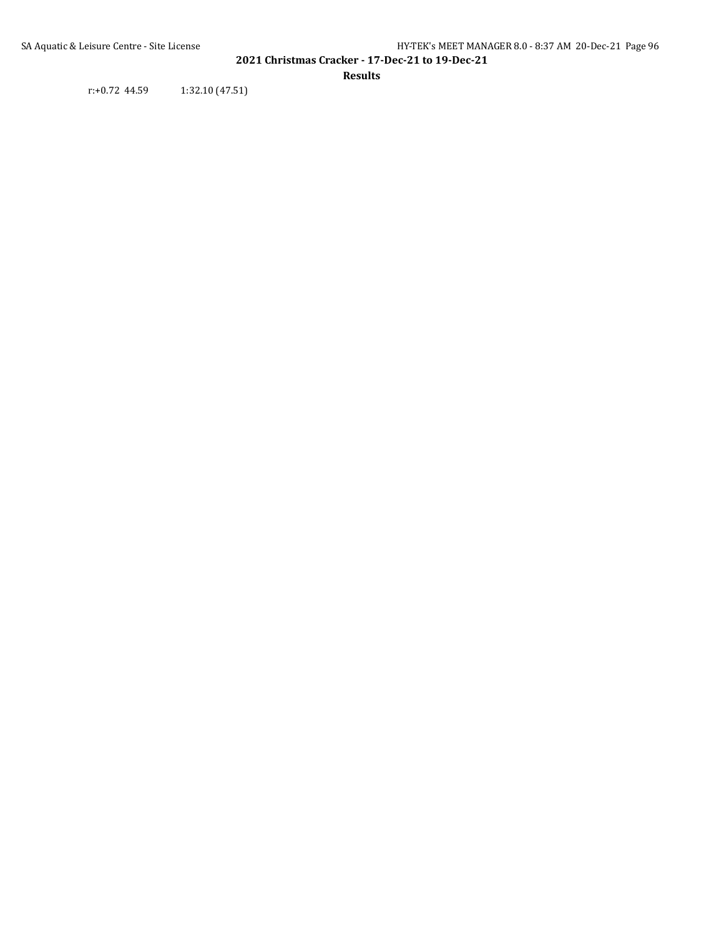**Results**

r:+0.72 44.59 1:32.10 (47.51)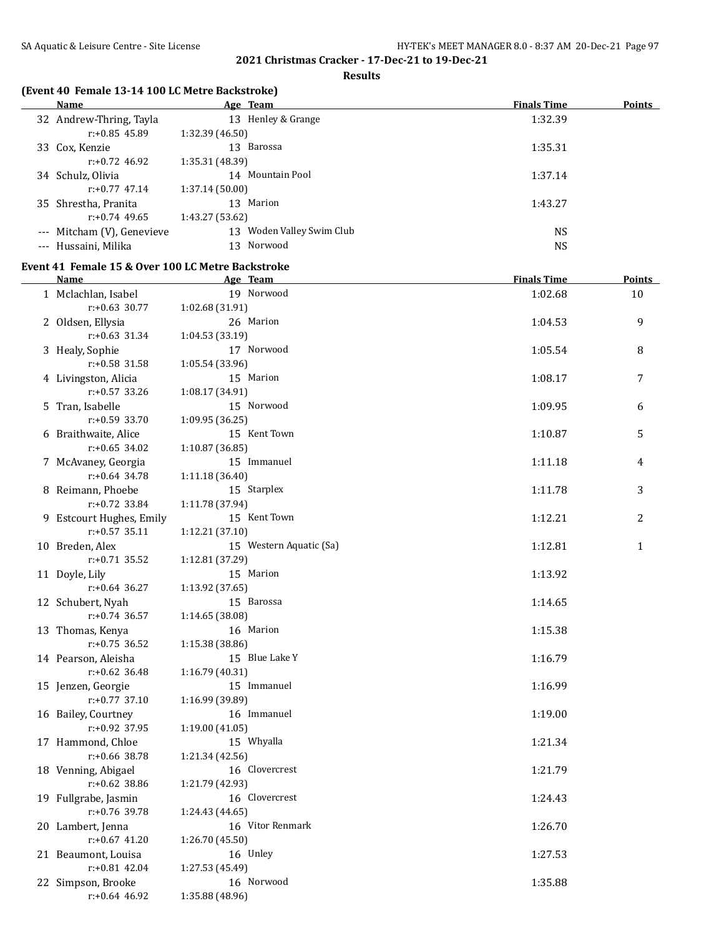#### **Results**

## **(Event 40 Female 13-14 100 LC Metre Backstroke)**

| Name                       | Age Team                     | <b>Finals Time</b> | <b>Points</b> |
|----------------------------|------------------------------|--------------------|---------------|
| 32 Andrew-Thring, Tayla    | 13 Henley & Grange           | 1:32.39            |               |
| $r: +0.85$ 45.89           | 1:32.39(46.50)               |                    |               |
| 33 Cox, Kenzie             | Barossa<br>13                | 1:35.31            |               |
| r:+0.72 46.92              | 1:35.31 (48.39)              |                    |               |
| 34 Schulz, Olivia          | Mountain Pool<br>14          | 1:37.14            |               |
| $r: +0.77$ 47.14           | 1:37.14(50.00)               |                    |               |
| 35 Shrestha, Pranita       | 13 Marion                    | 1:43.27            |               |
| $r: +0.74$ 49.65           | 1:43.27 (53.62)              |                    |               |
| --- Mitcham (V), Genevieve | Woden Valley Swim Club<br>13 | NS                 |               |
| --- Hussaini, Milika       | Norwood                      | NS                 |               |

## **Event 41 Female 15 & Over 100 LC Metre Backstroke**

| Name                                    | Age Team        |                         | <b>Finals Time</b> | Points |
|-----------------------------------------|-----------------|-------------------------|--------------------|--------|
| 1 Mclachlan, Isabel                     |                 | 19 Norwood              | 1:02.68            | 10     |
| $r: +0.63$ 30.77                        | 1:02.68 (31.91) |                         |                    |        |
| 2 Oldsen, Ellysia                       |                 | 26 Marion               | 1:04.53            | 9      |
| $r: +0.63$ 31.34                        | 1:04.53 (33.19) |                         |                    |        |
| 3 Healy, Sophie                         |                 | 17 Norwood              | 1:05.54            | 8      |
| r:+0.58 31.58                           | 1:05.54 (33.96) |                         |                    |        |
| 4 Livingston, Alicia                    |                 | 15 Marion               | 1:08.17            | 7      |
| $r: +0.57$ 33.26                        | 1:08.17 (34.91) |                         |                    |        |
| 5 Tran, Isabelle                        |                 | 15 Norwood              | 1:09.95            | 6      |
| $r: +0.59$ 33.70                        | 1:09.95 (36.25) |                         |                    |        |
| 6 Braithwaite, Alice                    |                 | 15 Kent Town            | 1:10.87            | 5      |
| $r: +0.65$ 34.02                        | 1:10.87 (36.85) |                         |                    |        |
| 7 McAvaney, Georgia                     |                 | 15 Immanuel             | 1:11.18            | 4      |
| $r: +0.64$ 34.78                        | 1:11.18 (36.40) |                         |                    |        |
| 8 Reimann, Phoebe                       |                 | 15 Starplex             | 1:11.78            | 3      |
| $r: +0.72$ 33.84                        | 1:11.78 (37.94) |                         |                    |        |
| 9 Estcourt Hughes, Emily                |                 | 15 Kent Town            | 1:12.21            | 2      |
| $r: +0.57$ 35.11                        | 1:12.21 (37.10) |                         |                    |        |
| 10 Breden, Alex                         |                 | 15 Western Aquatic (Sa) | 1:12.81            | 1      |
| $r: +0.71$ 35.52                        | 1:12.81 (37.29) |                         |                    |        |
| 11 Doyle, Lily                          |                 | 15 Marion               | 1:13.92            |        |
| $r: +0.64$ 36.27                        | 1:13.92 (37.65) |                         |                    |        |
| 12 Schubert, Nyah                       |                 | 15 Barossa              | 1:14.65            |        |
| $r: +0.74$ 36.57                        | 1:14.65 (38.08) |                         |                    |        |
| 13 Thomas, Kenya                        |                 | 16 Marion               | 1:15.38            |        |
| $r: +0.75$ 36.52                        | 1:15.38 (38.86) |                         |                    |        |
| 14 Pearson, Aleisha                     |                 | 15 Blue Lake Y          | 1:16.79            |        |
| $r: +0.62$ 36.48                        | 1:16.79 (40.31) |                         |                    |        |
| 15 Jenzen, Georgie                      |                 | 15 Immanuel             | 1:16.99            |        |
| $r: +0.77$ 37.10                        | 1:16.99 (39.89) |                         |                    |        |
| 16 Bailey, Courtney                     |                 | 16 Immanuel             | 1:19.00            |        |
| $r: +0.92$ 37.95                        | 1:19.00 (41.05) |                         |                    |        |
| 17 Hammond, Chloe                       |                 | 15 Whyalla              | 1:21.34            |        |
| $r: +0.66$ 38.78                        | 1:21.34 (42.56) |                         |                    |        |
| 18 Venning, Abigael                     |                 | 16 Clovercrest          | 1:21.79            |        |
| $r: +0.62$ 38.86                        | 1:21.79 (42.93) |                         |                    |        |
| 19 Fullgrabe, Jasmin                    |                 | 16 Clovercrest          | 1:24.43            |        |
| r:+0.76 39.78                           | 1:24.43 (44.65) |                         |                    |        |
| 20 Lambert, Jenna                       |                 | 16 Vitor Renmark        | 1:26.70            |        |
| $r: +0.67$ 41.20                        | 1:26.70 (45.50) |                         |                    |        |
| 21 Beaumont, Louisa<br>$r: +0.81$ 42.04 |                 | 16 Unley                | 1:27.53            |        |
|                                         | 1:27.53 (45.49) | 16 Norwood              |                    |        |
| 22 Simpson, Brooke                      |                 |                         | 1:35.88            |        |
| $r: +0.64$ 46.92                        | 1:35.88 (48.96) |                         |                    |        |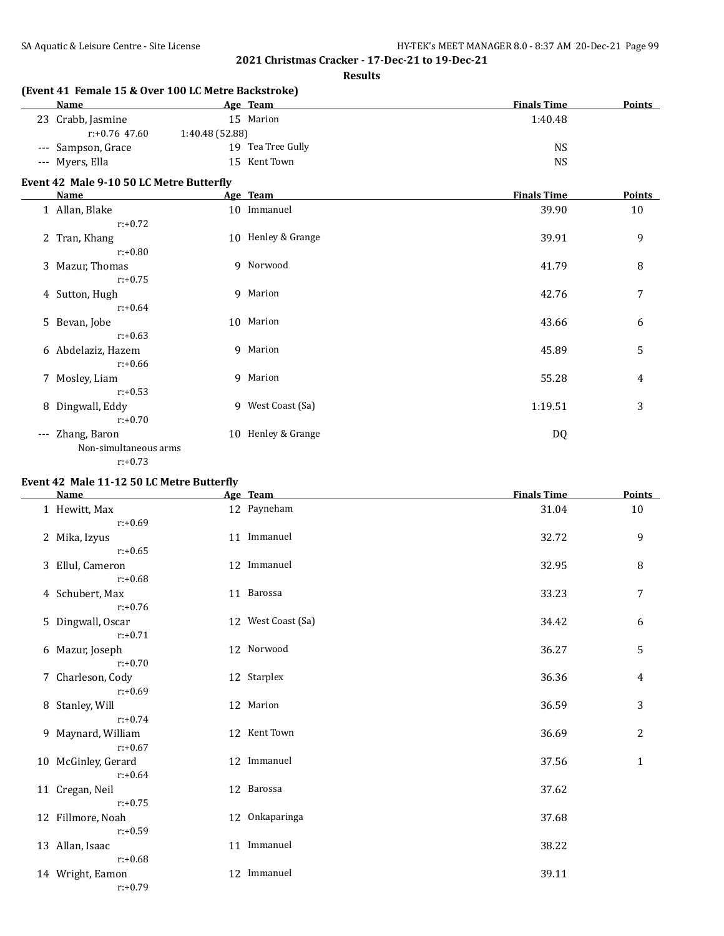**Results**

|                     | <b>Name</b>                                         |                 | Age Team           | <b>Finals Time</b> | Points |
|---------------------|-----------------------------------------------------|-----------------|--------------------|--------------------|--------|
|                     | 23 Crabb, Jasmine                                   |                 | 15 Marion          | 1:40.48            |        |
|                     | $r: +0.76$ 47.60                                    | 1:40.48 (52.88) |                    |                    |        |
| $---$               | Sampson, Grace                                      |                 | 19 Tea Tree Gully  | <b>NS</b>          |        |
|                     | --- Myers, Ella                                     |                 | 15 Kent Town       | <b>NS</b>          |        |
|                     | Event 42 Male 9-10 50 LC Metre Butterfly            |                 |                    |                    |        |
|                     | Name                                                |                 | Age Team           | <b>Finals Time</b> | Points |
|                     | 1 Allan, Blake<br>$r: +0.72$                        |                 | 10 Immanuel        | 39.90              | 10     |
|                     | 2 Tran, Khang<br>$r: +0.80$                         |                 | 10 Henley & Grange | 39.91              | 9      |
|                     | 3 Mazur, Thomas<br>$r: +0.75$                       |                 | 9 Norwood          | 41.79              | 8      |
|                     | 4 Sutton, Hugh<br>$r: +0.64$                        |                 | 9 Marion           | 42.76              | 7      |
|                     | 5 Bevan, Jobe<br>$r: +0.63$                         |                 | 10 Marion          | 43.66              | 6      |
|                     | 6 Abdelaziz, Hazem<br>$r: +0.66$                    |                 | 9 Marion           | 45.89              | 5      |
|                     | 7 Mosley, Liam<br>$r: +0.53$                        |                 | 9 Marion           | 55.28              | 4      |
| 8                   | Dingwall, Eddy<br>$r: +0.70$                        |                 | 9 West Coast (Sa)  | 1:19.51            | 3      |
| $\qquad \qquad - -$ | Zhang, Baron<br>Non-simultaneous arms<br>$r: +0.73$ |                 | 10 Henley & Grange | DQ                 |        |

# **Event 42 Male 11-12 50 LC Metre Butterfly**

| <b>Name</b>         | Age Team           | <b>Finals Time</b> | <b>Points</b>  |
|---------------------|--------------------|--------------------|----------------|
| 1 Hewitt, Max       | 12 Payneham        | 31.04              | 10             |
| $r: +0.69$          |                    |                    |                |
| 2 Mika, Izyus       | 11 Immanuel        | 32.72              | 9              |
| $r: +0.65$          |                    |                    |                |
| 3 Ellul, Cameron    | 12 Immanuel        | 32.95              | 8              |
| $r: +0.68$          |                    |                    |                |
| 4 Schubert, Max     | 11 Barossa         | 33.23              | 7              |
| $r: +0.76$          |                    |                    |                |
| 5 Dingwall, Oscar   | 12 West Coast (Sa) | 34.42              | 6              |
| $r: +0.71$          |                    |                    |                |
| 6 Mazur, Joseph     | 12 Norwood         | 36.27              | 5              |
| $r: +0.70$          |                    |                    |                |
| 7 Charleson, Cody   | 12 Starplex        | 36.36              | 4              |
| $r: +0.69$          |                    |                    |                |
| 8 Stanley, Will     | 12 Marion          | 36.59              | 3              |
| $r: +0.74$          |                    |                    |                |
| 9 Maynard, William  | 12 Kent Town       | 36.69              | $\overline{c}$ |
| $r: +0.67$          |                    |                    |                |
| 10 McGinley, Gerard | 12 Immanuel        | 37.56              | $\mathbf{1}$   |
| $r: +0.64$          |                    |                    |                |
| 11 Cregan, Neil     | 12 Barossa         | 37.62              |                |
| $r: +0.75$          |                    |                    |                |
| 12 Fillmore, Noah   | 12 Onkaparinga     | 37.68              |                |
| $r: +0.59$          |                    |                    |                |
| 13 Allan, Isaac     | 11 Immanuel        | 38.22              |                |
| $r: +0.68$          |                    |                    |                |
| 14 Wright, Eamon    | 12 Immanuel        | 39.11              |                |
| $r: +0.79$          |                    |                    |                |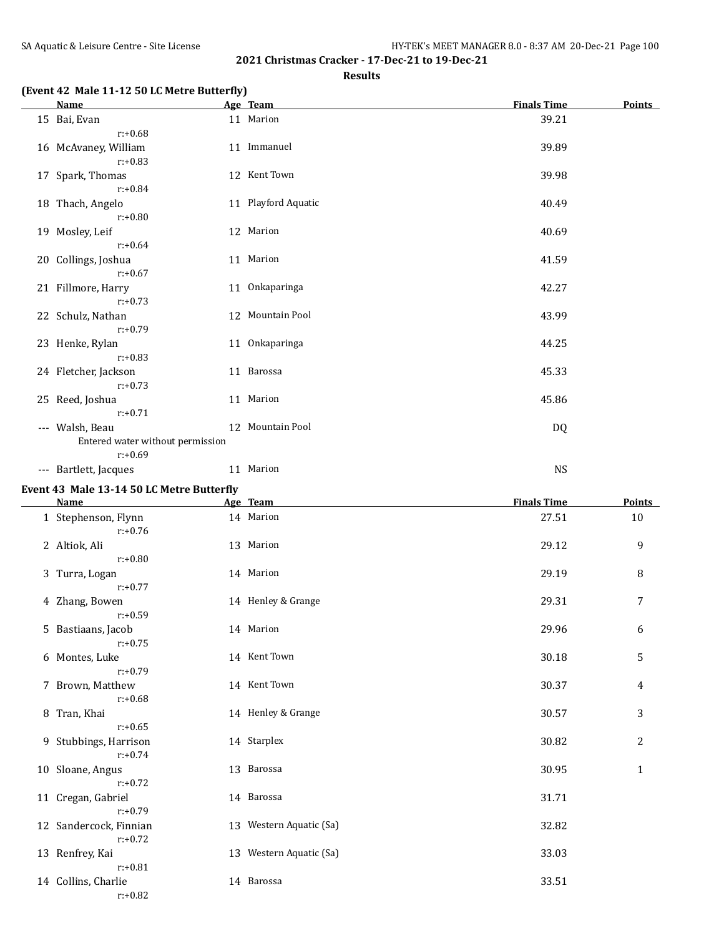#### **Results**

## **(Event 42 Male 11-12 50 LC Metre Butterfly)**

| Name                             | Age Team            | <b>Finals Time</b> | <b>Points</b> |
|----------------------------------|---------------------|--------------------|---------------|
| 15 Bai, Evan                     | 11 Marion           | 39.21              |               |
| $r: +0.68$                       |                     |                    |               |
| 16 McAvaney, William             | 11 Immanuel         | 39.89              |               |
| $r: +0.83$                       |                     |                    |               |
| 17 Spark, Thomas                 | 12 Kent Town        | 39.98              |               |
| $r: +0.84$                       |                     |                    |               |
| 18 Thach, Angelo                 | 11 Playford Aquatic | 40.49              |               |
| $r: +0.80$                       |                     |                    |               |
| 19 Mosley, Leif                  | 12 Marion           | 40.69              |               |
| $r: +0.64$                       |                     |                    |               |
| 20 Collings, Joshua              | 11 Marion           | 41.59              |               |
| $r: +0.67$                       |                     |                    |               |
| 21 Fillmore, Harry               | 11 Onkaparinga      | 42.27              |               |
| $r: +0.73$                       |                     |                    |               |
| 22 Schulz, Nathan                | 12 Mountain Pool    | 43.99              |               |
| $r: +0.79$                       |                     |                    |               |
| 23 Henke, Rylan                  | 11 Onkaparinga      | 44.25              |               |
| $r: +0.83$                       |                     |                    |               |
| 24 Fletcher, Jackson             | 11 Barossa          | 45.33              |               |
| $r: +0.73$                       |                     |                    |               |
| 25 Reed, Joshua                  | 11 Marion           | 45.86              |               |
| $r: +0.71$                       |                     |                    |               |
| --- Walsh, Beau                  | 12 Mountain Pool    | DQ                 |               |
| Entered water without permission |                     |                    |               |
| $r: +0.69$                       |                     |                    |               |
| --- Bartlett, Jacques            | 11 Marion           | <b>NS</b>          |               |

## **Event 43 Male 13-14 50 LC Metre Butterfly**

 $\overline{a}$ 

|   | <b>Name</b>                          | Age Team                | <b>Finals Time</b> | <b>Points</b> |
|---|--------------------------------------|-------------------------|--------------------|---------------|
|   | 1 Stephenson, Flynn<br>$r: +0.76$    | 14 Marion               | 27.51              | 10            |
|   | 2 Altiok, Ali                        | 13 Marion               | 29.12              | 9             |
|   | $r: +0.80$                           |                         |                    |               |
|   | 3 Turra, Logan<br>$r: +0.77$         | 14 Marion               | 29.19              | 8             |
|   | 4 Zhang, Bowen<br>$r: +0.59$         | 14 Henley & Grange      | 29.31              | 7             |
| 5 | Bastiaans, Jacob<br>$r: +0.75$       | 14 Marion               | 29.96              | 6             |
|   | 6 Montes, Luke<br>$r: +0.79$         | 14 Kent Town            | 30.18              | 5             |
|   | 7 Brown, Matthew<br>$r: +0.68$       | 14 Kent Town            | 30.37              | 4             |
|   | 8 Tran, Khai<br>$r: +0.65$           | 14 Henley & Grange      | 30.57              | 3             |
|   | 9 Stubbings, Harrison<br>$r: +0.74$  | 14 Starplex             | 30.82              | 2             |
|   | 10 Sloane, Angus<br>$r: +0.72$       | 13 Barossa              | 30.95              | $\mathbf{1}$  |
|   | 11 Cregan, Gabriel<br>$r: +0.79$     | 14 Barossa              | 31.71              |               |
|   | 12 Sandercock, Finnian<br>$r: +0.72$ | 13 Western Aquatic (Sa) | 32.82              |               |
|   | 13 Renfrey, Kai<br>$r: +0.81$        | 13 Western Aquatic (Sa) | 33.03              |               |
|   | 14 Collins, Charlie<br>$r: +0.82$    | 14 Barossa              | 33.51              |               |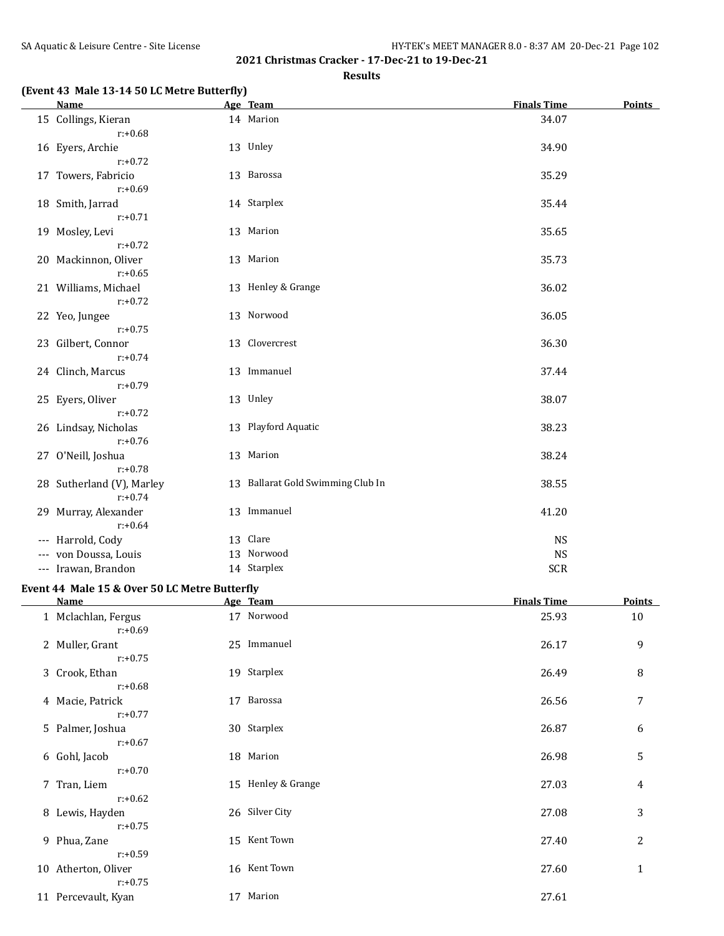**Results**

## **(Event 43 Male 13-14 50 LC Metre Butterfly)**

| <b>Name</b>                             | Age Team                          | <b>Finals Time</b> | <b>Points</b> |
|-----------------------------------------|-----------------------------------|--------------------|---------------|
| 15 Collings, Kieran<br>$r: +0.68$       | 14 Marion                         | 34.07              |               |
| 16 Eyers, Archie<br>$r: +0.72$          | 13 Unley                          | 34.90              |               |
| 17 Towers, Fabricio<br>$r: +0.69$       | 13 Barossa                        | 35.29              |               |
| 18 Smith, Jarrad<br>$r: +0.71$          | 14 Starplex                       | 35.44              |               |
| 19 Mosley, Levi<br>$r: +0.72$           | 13 Marion                         | 35.65              |               |
| 20 Mackinnon, Oliver<br>$r: +0.65$      | 13 Marion                         | 35.73              |               |
| 21 Williams, Michael<br>$r: +0.72$      | 13 Henley & Grange                | 36.02              |               |
| 22 Yeo, Jungee<br>$r: +0.75$            | 13 Norwood                        | 36.05              |               |
| 23 Gilbert, Connor<br>$r: +0.74$        | 13 Clovercrest                    | 36.30              |               |
| 24 Clinch, Marcus<br>$r: +0.79$         | 13 Immanuel                       | 37.44              |               |
| 25 Eyers, Oliver<br>$r: +0.72$          | 13 Unley                          | 38.07              |               |
| 26 Lindsay, Nicholas<br>$r: +0.76$      | 13 Playford Aquatic               | 38.23              |               |
| 27 O'Neill, Joshua<br>$r: +0.78$        | 13 Marion                         | 38.24              |               |
| 28 Sutherland (V), Marley<br>$r: +0.74$ | 13 Ballarat Gold Swimming Club In | 38.55              |               |
| 29 Murray, Alexander<br>$r: +0.64$      | 13 Immanuel                       | 41.20              |               |
| --- Harrold, Cody                       | 13 Clare                          | <b>NS</b>          |               |
| --- von Doussa, Louis                   | 13 Norwood                        | <b>NS</b>          |               |
| --- Irawan, Brandon                     | 14 Starplex                       | <b>SCR</b>         |               |

## **Event 44 Male 15 & Over 50 LC Metre Butterfly**

| <b>Name</b>                       | Age Team           | <b>Finals Time</b> | <b>Points</b>  |
|-----------------------------------|--------------------|--------------------|----------------|
| 1 Mclachlan, Fergus<br>$r: +0.69$ | 17 Norwood         | 25.93              | 10             |
| 2 Muller, Grant<br>$r: +0.75$     | 25 Immanuel        | 26.17              | 9              |
| 3 Crook, Ethan<br>$r: +0.68$      | 19 Starplex        | 26.49              | 8              |
| 4 Macie, Patrick<br>$r: +0.77$    | 17 Barossa         | 26.56              | 7              |
| 5 Palmer, Joshua<br>$r: +0.67$    | 30 Starplex        | 26.87              | 6              |
| 6 Gohl, Jacob<br>$r: +0.70$       | 18 Marion          | 26.98              | 5              |
| 7 Tran, Liem<br>$r: +0.62$        | 15 Henley & Grange | 27.03              | 4              |
| 8 Lewis, Hayden<br>$r: +0.75$     | 26 Silver City     | 27.08              | 3              |
| 9 Phua, Zane<br>$r: +0.59$        | 15 Kent Town       | 27.40              | $\overline{c}$ |
| 10 Atherton, Oliver<br>$r: +0.75$ | 16 Kent Town       | 27.60              | $\mathbf{1}$   |
| 11 Percevault, Kyan               | 17 Marion          | 27.61              |                |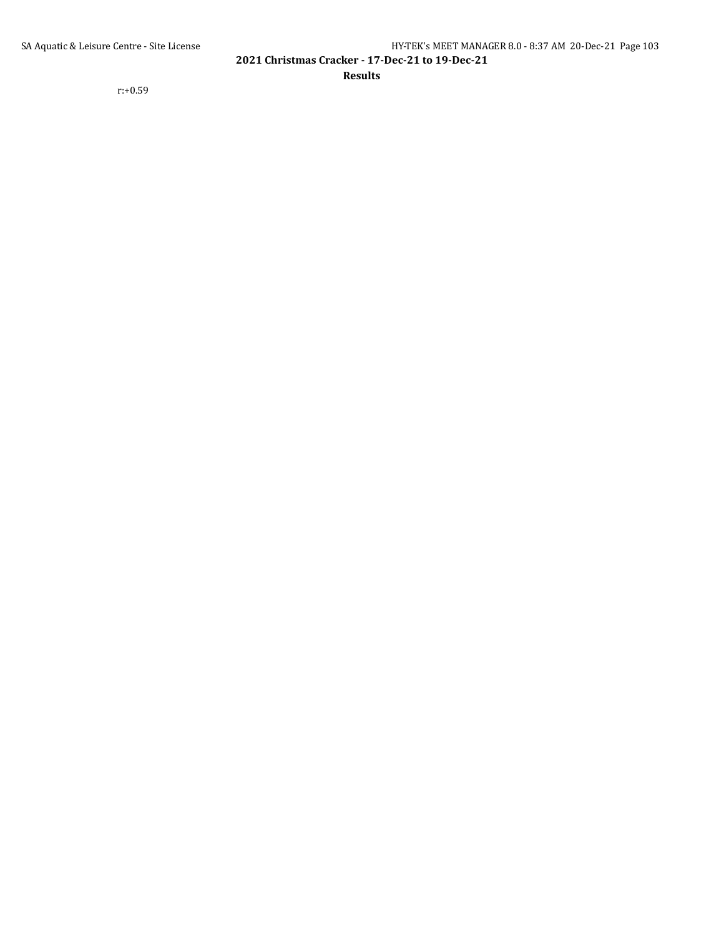**Results**

r:+0.59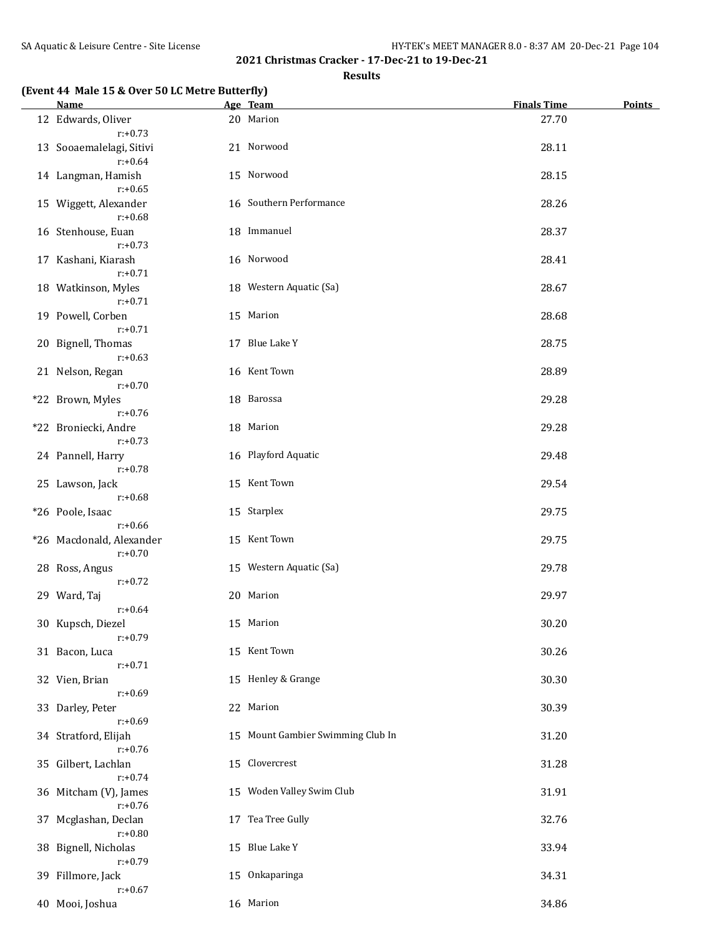**Results**

# **(Event 44 Male 15 & Over 50 LC Metre Butterfly)**

| <b>Name</b>                            |    | Age Team                          | <b>Finals Time</b> | <b>Points</b> |
|----------------------------------------|----|-----------------------------------|--------------------|---------------|
| 12 Edwards, Oliver<br>$r: +0.73$       |    | 20 Marion                         | 27.70              |               |
| 13 Sooaemalelagi, Sitivi<br>$r: +0.64$ |    | 21 Norwood                        | 28.11              |               |
| 14 Langman, Hamish<br>$r: +0.65$       |    | 15 Norwood                        | 28.15              |               |
| 15 Wiggett, Alexander<br>$r: +0.68$    |    | 16 Southern Performance           | 28.26              |               |
| 16 Stenhouse, Euan<br>$r: +0.73$       |    | 18 Immanuel                       | 28.37              |               |
| 17 Kashani, Kiarash<br>$r: +0.71$      |    | 16 Norwood                        | 28.41              |               |
| 18 Watkinson, Myles<br>$r: +0.71$      |    | 18 Western Aquatic (Sa)           | 28.67              |               |
| 19 Powell, Corben<br>$r: +0.71$        |    | 15 Marion                         | 28.68              |               |
| 20 Bignell, Thomas<br>$r: +0.63$       |    | 17 Blue Lake Y                    | 28.75              |               |
| 21 Nelson, Regan<br>$r: +0.70$         |    | 16 Kent Town                      | 28.89              |               |
| *22 Brown, Myles<br>$r: +0.76$         |    | 18 Barossa                        | 29.28              |               |
| *22 Broniecki, Andre<br>$r: +0.73$     |    | 18 Marion                         | 29.28              |               |
| 24 Pannell, Harry<br>$r: +0.78$        |    | 16 Playford Aquatic               | 29.48              |               |
| 25 Lawson, Jack<br>$r: +0.68$          |    | 15 Kent Town                      | 29.54              |               |
| *26 Poole, Isaac<br>$r: +0.66$         |    | 15 Starplex                       | 29.75              |               |
| *26 Macdonald, Alexander<br>$r: +0.70$ |    | 15 Kent Town                      | 29.75              |               |
| 28 Ross, Angus<br>$r: +0.72$           |    | 15 Western Aquatic (Sa)           | 29.78              |               |
| 29 Ward, Taj<br>$r: +0.64$             |    | 20 Marion                         | 29.97              |               |
| 30 Kupsch, Diezel<br>$r: +0.79$        |    | 15 Marion                         | 30.20              |               |
| 31 Bacon, Luca<br>$r: +0.71$           |    | 15 Kent Town                      | 30.26              |               |
| 32 Vien, Brian<br>$r: +0.69$           |    | 15 Henley & Grange                | 30.30              |               |
| 33 Darley, Peter<br>$r: +0.69$         |    | 22 Marion                         | 30.39              |               |
| 34 Stratford, Elijah<br>$r: +0.76$     |    | 15 Mount Gambier Swimming Club In | 31.20              |               |
| 35 Gilbert, Lachlan<br>$r: +0.74$      |    | 15 Clovercrest                    | 31.28              |               |
| 36 Mitcham (V), James<br>$r: +0.76$    |    | 15 Woden Valley Swim Club         | 31.91              |               |
| 37 Mcglashan, Declan<br>$r: +0.80$     | 17 | Tea Tree Gully                    | 32.76              |               |
| 38 Bignell, Nicholas<br>$r: +0.79$     |    | 15 Blue Lake Y                    | 33.94              |               |
| 39 Fillmore, Jack<br>$r: +0.67$        |    | 15 Onkaparinga                    | 34.31              |               |
| 40 Mooi, Joshua                        |    | 16 Marion                         | 34.86              |               |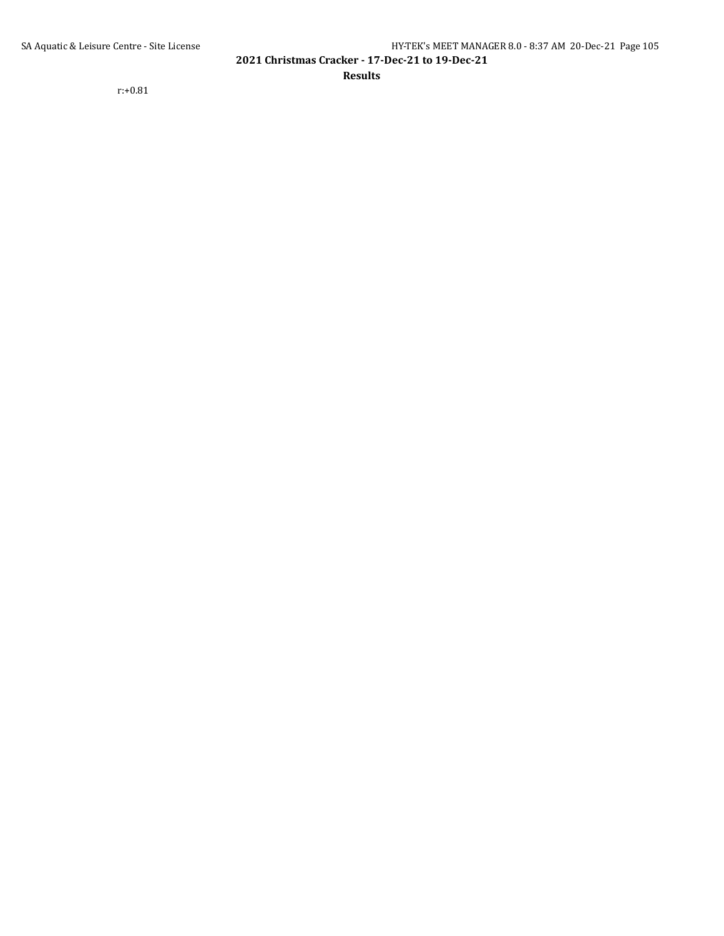**Results**

r:+0.81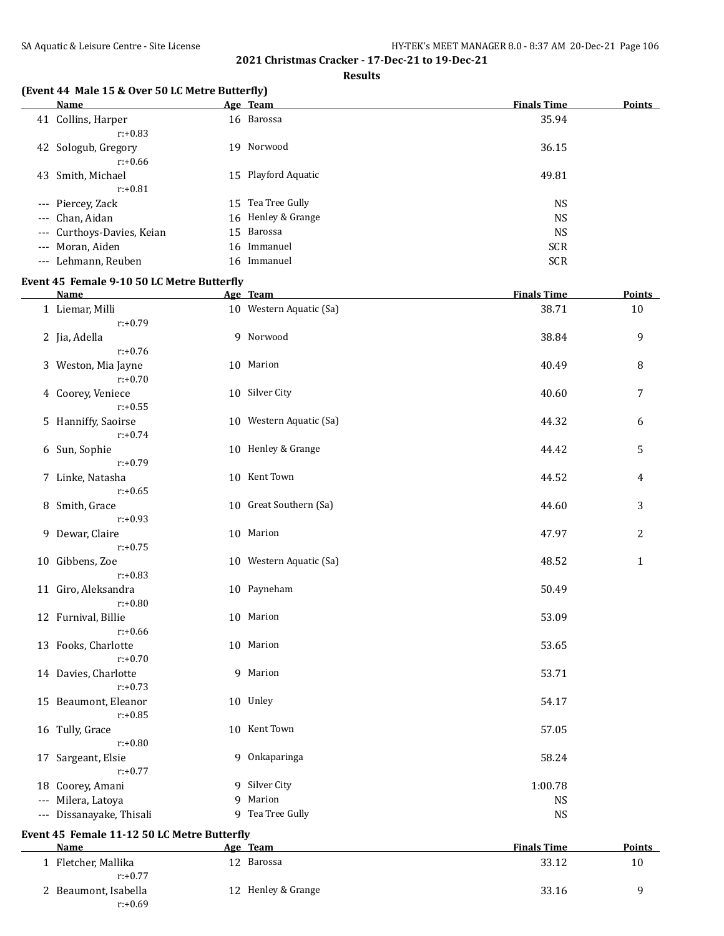#### **Results**

## **(Event 44 Male 15 & Over 50 LC Metre Butterfly)**

|       | Name                       | Age Team            | <b>Finals Time</b> | <b>Points</b> |
|-------|----------------------------|---------------------|--------------------|---------------|
|       | 41 Collins, Harper         | 16 Barossa          | 35.94              |               |
|       | $r: +0.83$                 |                     |                    |               |
|       | 42 Sologub, Gregory        | 19 Norwood          | 36.15              |               |
|       | $r: +0.66$                 |                     |                    |               |
|       | 43 Smith, Michael          | 15 Playford Aquatic | 49.81              |               |
|       | $r: +0.81$                 |                     |                    |               |
|       | --- Piercey, Zack          | 15 Tea Tree Gully   | <b>NS</b>          |               |
|       | --- Chan, Aidan            | 16 Henley & Grange  | <b>NS</b>          |               |
|       | --- Curthoys-Davies, Keian | 15 Barossa          | <b>NS</b>          |               |
|       | --- Moran, Aiden           | 16 Immanuel         | <b>SCR</b>         |               |
| $---$ | Lehmann, Reuben            | 16 Immanuel         | <b>SCR</b>         |               |

## **Event 45 Female 9-10 50 LC Metre Butterfly**

|       | <b>Name</b>                                 | Age Team                | <b>Finals Time</b> | <b>Points</b>  |
|-------|---------------------------------------------|-------------------------|--------------------|----------------|
|       | 1 Liemar, Milli<br>$r: +0.79$               | 10 Western Aquatic (Sa) | 38.71              | 10             |
|       | 2 Jia, Adella<br>$r: +0.76$                 | 9 Norwood               | 38.84              | 9              |
|       | 3 Weston, Mia Jayne<br>$r: +0.70$           | 10 Marion               | 40.49              | 8              |
|       | 4 Coorey, Veniece<br>$r: +0.55$             | 10 Silver City          | 40.60              | 7              |
|       | 5 Hanniffy, Saoirse<br>$r: +0.74$           | 10 Western Aquatic (Sa) | 44.32              | 6              |
|       | 6 Sun, Sophie<br>$r: +0.79$                 | 10 Henley & Grange      | 44.42              | 5              |
|       | 7 Linke, Natasha<br>$r: +0.65$              | 10 Kent Town            | 44.52              | 4              |
|       | 8 Smith, Grace<br>$r: +0.93$                | 10 Great Southern (Sa)  | 44.60              | 3              |
|       | 9 Dewar, Claire<br>$r: +0.75$               | 10 Marion               | 47.97              | $\overline{2}$ |
|       | 10 Gibbens, Zoe<br>$r: +0.83$               | 10 Western Aquatic (Sa) | 48.52              | $\mathbf{1}$   |
|       | 11 Giro, Aleksandra<br>$r: +0.80$           | 10 Payneham             | 50.49              |                |
|       | 12 Furnival, Billie<br>$r: +0.66$           | 10 Marion               | 53.09              |                |
|       | 13 Fooks, Charlotte<br>$r: +0.70$           | 10 Marion               | 53.65              |                |
|       | 14 Davies, Charlotte<br>$r: +0.73$          | 9 Marion                | 53.71              |                |
|       | 15 Beaumont, Eleanor<br>$r: +0.85$          | 10 Unley                | 54.17              |                |
|       | 16 Tully, Grace<br>$r: +0.80$               | 10 Kent Town            | 57.05              |                |
|       | 17 Sargeant, Elsie<br>$r: +0.77$            | 9 Onkaparinga           | 58.24              |                |
|       | 18 Coorey, Amani                            | 9 Silver City           | 1:00.78            |                |
| $---$ | Milera, Latoya                              | 9 Marion                | <b>NS</b>          |                |
|       | --- Dissanayake, Thisali                    | 9 Tea Tree Gully        | <b>NS</b>          |                |
|       | Event 45 Female 11-12 50 LC Metre Butterfly |                         |                    |                |

| Name                 | Team<br>Age        | <b>Finals Time</b> | Points |
|----------------------|--------------------|--------------------|--------|
| Fletcher, Mallika    | Barossa<br>12      | 33.12              | 10     |
| $r: +0.77$           |                    |                    |        |
| 2 Beaumont, Isabella | 12 Henley & Grange | 33.16              |        |
| $r: +0.69$           |                    |                    |        |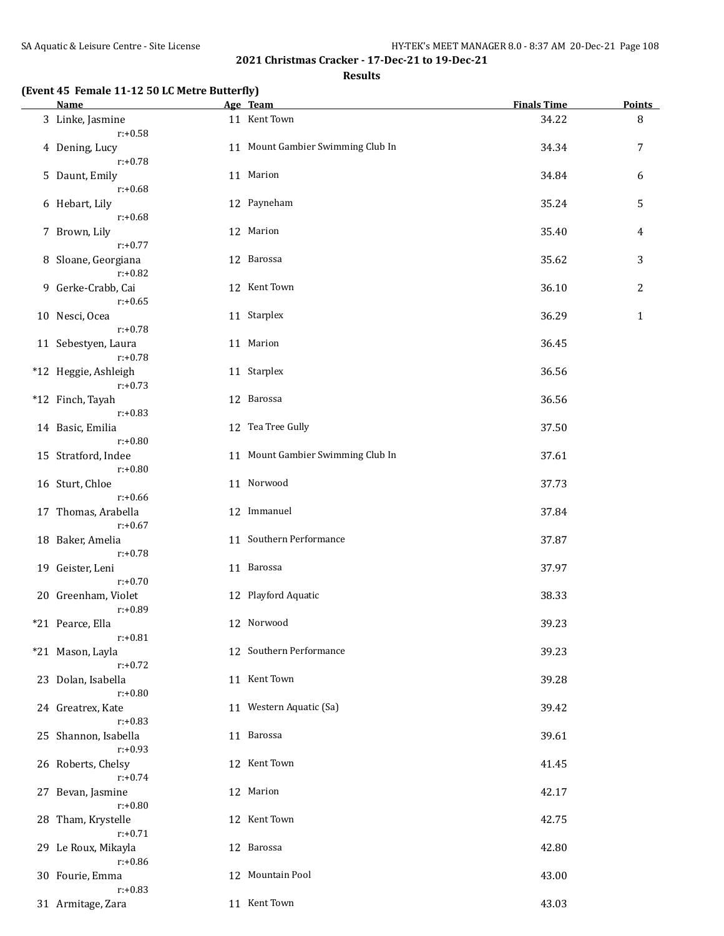**Results**

## **(Event 45 Female 11-12 50 LC Metre Butterfly)**

| <b>Name</b>                        | Age Team                          | <b>Finals Time</b> | <b>Points</b>  |
|------------------------------------|-----------------------------------|--------------------|----------------|
| 3 Linke, Jasmine<br>$r: +0.58$     | 11 Kent Town                      | 34.22              | 8              |
| 4 Dening, Lucy<br>$r: +0.78$       | 11 Mount Gambier Swimming Club In | 34.34              | 7              |
| 5 Daunt, Emily<br>$r: +0.68$       | 11 Marion                         | 34.84              | 6              |
| 6 Hebart, Lily<br>$r: +0.68$       | 12 Payneham                       | 35.24              | 5              |
| 7 Brown, Lily<br>$r: +0.77$        | 12 Marion                         | 35.40              | $\overline{4}$ |
| 8 Sloane, Georgiana<br>$r: +0.82$  | 12 Barossa                        | 35.62              | 3              |
| 9 Gerke-Crabb, Cai<br>$r: +0.65$   | 12 Kent Town                      | 36.10              | 2              |
| 10 Nesci, Ocea<br>$r: +0.78$       | 11 Starplex                       | 36.29              | $\mathbf{1}$   |
| 11 Sebestyen, Laura<br>$r: +0.78$  | 11 Marion                         | 36.45              |                |
| *12 Heggie, Ashleigh<br>$r: +0.73$ | 11 Starplex                       | 36.56              |                |
| *12 Finch, Tayah<br>$r: +0.83$     | 12 Barossa                        | 36.56              |                |
| 14 Basic, Emilia<br>$r: +0.80$     | 12 Tea Tree Gully                 | 37.50              |                |
| 15 Stratford, Indee<br>$r: +0.80$  | 11 Mount Gambier Swimming Club In | 37.61              |                |
| 16 Sturt, Chloe<br>$r: +0.66$      | 11 Norwood                        | 37.73              |                |
| 17 Thomas, Arabella<br>$r: +0.67$  | 12 Immanuel                       | 37.84              |                |
| 18 Baker, Amelia<br>$r: +0.78$     | 11 Southern Performance           | 37.87              |                |
| 19 Geister, Leni<br>$r: +0.70$     | 11 Barossa                        | 37.97              |                |
| 20 Greenham, Violet<br>$r: +0.89$  | 12 Playford Aquatic               | 38.33              |                |
| *21 Pearce, Ella<br>$r: +0.81$     | 12 Norwood                        | 39.23              |                |
| *21 Mason, Layla<br>$r: +0.72$     | 12 Southern Performance           | 39.23              |                |
| 23 Dolan, Isabella<br>$r: +0.80$   | 11 Kent Town                      | 39.28              |                |
| 24 Greatrex, Kate<br>$r: +0.83$    | 11 Western Aquatic (Sa)           | 39.42              |                |
| 25 Shannon, Isabella<br>$r: +0.93$ | 11 Barossa                        | 39.61              |                |
| 26 Roberts, Chelsy<br>$r: +0.74$   | 12 Kent Town                      | 41.45              |                |
| 27 Bevan, Jasmine<br>$r: +0.80$    | 12 Marion                         | 42.17              |                |
| 28 Tham, Krystelle<br>$r: +0.71$   | 12 Kent Town                      | 42.75              |                |
| 29 Le Roux, Mikayla<br>$r: +0.86$  | 12 Barossa                        | 42.80              |                |
| 30 Fourie, Emma<br>$r: +0.83$      | 12 Mountain Pool                  | 43.00              |                |
| 31 Armitage, Zara                  | 11 Kent Town                      | 43.03              |                |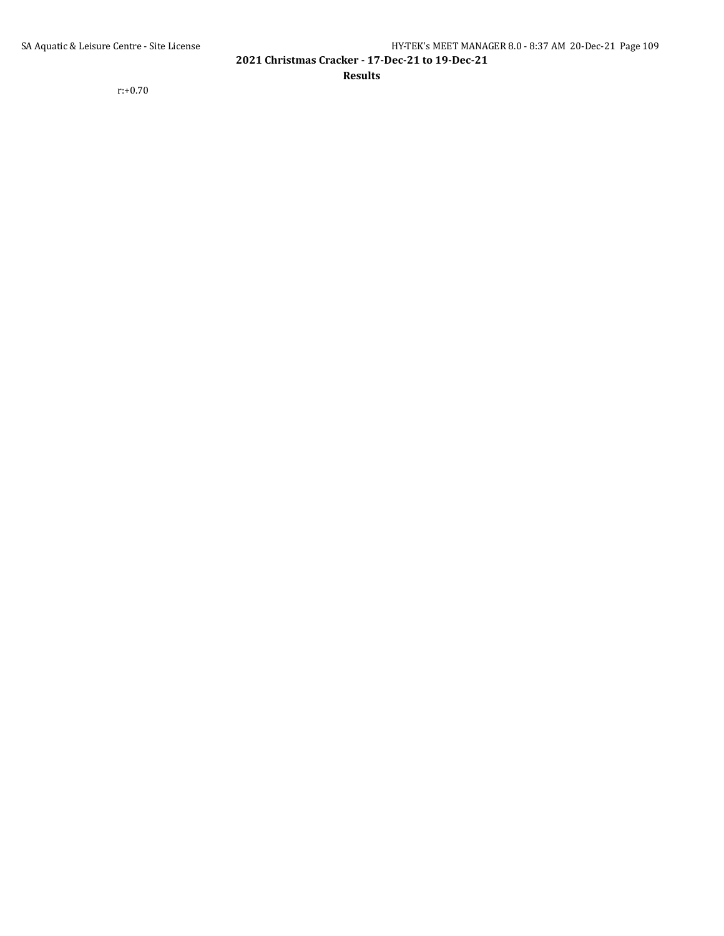**Results**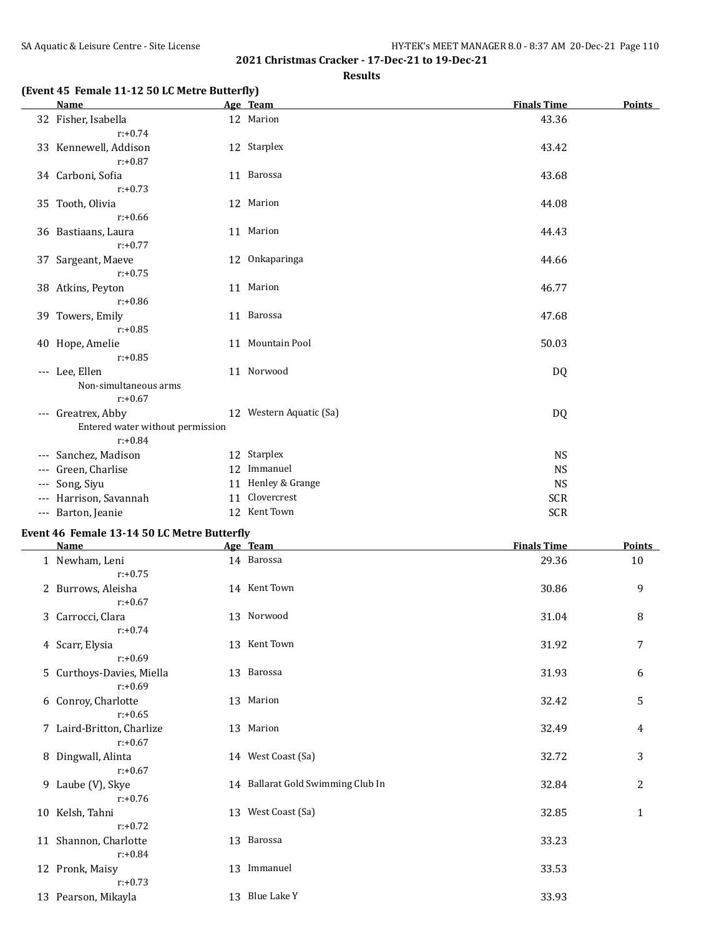#### **Results**

# **(Event 45 Female 11-12 50 LC Metre Butterfly)**

|          | <b>Name</b>                      | Age Team                | <b>Finals Time</b> | <b>Points</b> |
|----------|----------------------------------|-------------------------|--------------------|---------------|
|          | 32 Fisher, Isabella              | 12 Marion               | 43.36              |               |
|          | $r: +0.74$                       |                         |                    |               |
|          | 33 Kennewell, Addison            | 12 Starplex             | 43.42              |               |
|          | $r: +0.87$                       |                         |                    |               |
|          | 34 Carboni, Sofia                | 11 Barossa              | 43.68              |               |
|          | $r: +0.73$                       |                         |                    |               |
|          | 35 Tooth, Olivia                 | 12 Marion               | 44.08              |               |
|          | $r: +0.66$                       |                         |                    |               |
|          | 36 Bastiaans, Laura              | 11 Marion               | 44.43              |               |
|          | $r: +0.77$                       |                         |                    |               |
|          | 37 Sargeant, Maeve               | 12 Onkaparinga          | 44.66              |               |
|          | $r: +0.75$                       |                         |                    |               |
|          | 38 Atkins, Peyton                | 11 Marion               | 46.77              |               |
|          | $r: +0.86$                       |                         |                    |               |
|          | 39 Towers, Emily                 | 11 Barossa              | 47.68              |               |
|          | $r: +0.85$                       |                         |                    |               |
|          | 40 Hope, Amelie                  | 11 Mountain Pool        | 50.03              |               |
|          | $r: +0.85$                       |                         |                    |               |
|          | --- Lee, Ellen                   | 11 Norwood              | DQ                 |               |
|          | Non-simultaneous arms            |                         |                    |               |
|          | $r: +0.67$                       |                         |                    |               |
|          | --- Greatrex, Abby               | 12 Western Aquatic (Sa) | DQ                 |               |
|          | Entered water without permission |                         |                    |               |
|          | $r: +0.84$                       |                         |                    |               |
| $---$    | Sanchez, Madison                 | 12 Starplex             | <b>NS</b>          |               |
| $---$    | Green, Charlise                  | 12 Immanuel             | <b>NS</b>          |               |
| $---$    | Song, Siyu                       | 11 Henley & Grange      | <b>NS</b>          |               |
| $\cdots$ | Harrison, Savannah               | 11 Clovercrest          | <b>SCR</b>         |               |
|          | --- Barton, Jeanie               | 12 Kent Town            | <b>SCR</b>         |               |
|          |                                  |                         |                    |               |

### **Event 46 Female 13-14 50 LC Metre Butterfly**

| Name                                    | Age Team                          | <b>Finals Time</b> | <b>Points</b>  |
|-----------------------------------------|-----------------------------------|--------------------|----------------|
| 1 Newham, Leni<br>$r: +0.75$            | 14 Barossa                        | 29.36              | 10             |
| 2 Burrows, Aleisha<br>$r: +0.67$        | 14 Kent Town                      | 30.86              | 9              |
| 3 Carrocci, Clara<br>$r: +0.74$         | 13 Norwood                        | 31.04              | 8              |
| 4 Scarr, Elysia<br>$r: +0.69$           | 13 Kent Town                      | 31.92              | 7              |
| 5 Curthoys-Davies, Miella<br>$r: +0.69$ | 13 Barossa                        | 31.93              | 6              |
| 6 Conroy, Charlotte<br>$r: +0.65$       | 13 Marion                         | 32.42              | 5              |
| 7 Laird-Britton, Charlize<br>$r: +0.67$ | 13 Marion                         | 32.49              | 4              |
| 8 Dingwall, Alinta<br>$r: +0.67$        | 14 West Coast (Sa)                | 32.72              | 3              |
| 9 Laube (V), Skye<br>$r: +0.76$         | 14 Ballarat Gold Swimming Club In | 32.84              | $\overline{c}$ |
| 10 Kelsh, Tahni<br>$r: +0.72$           | 13 West Coast (Sa)                | 32.85              | $\mathbf{1}$   |
| 11 Shannon, Charlotte<br>$r: +0.84$     | 13 Barossa                        | 33.23              |                |
| 12 Pronk, Maisy<br>$r: +0.73$           | 13 Immanuel                       | 33.53              |                |
| 13 Pearson, Mikayla                     | 13 Blue Lake Y                    | 33.93              |                |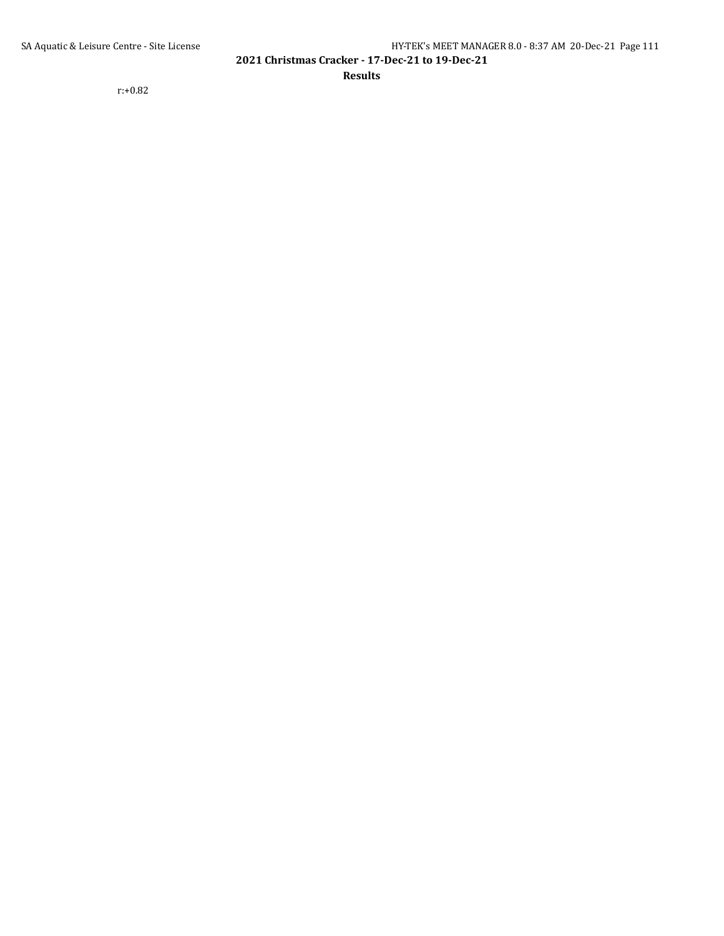**Results**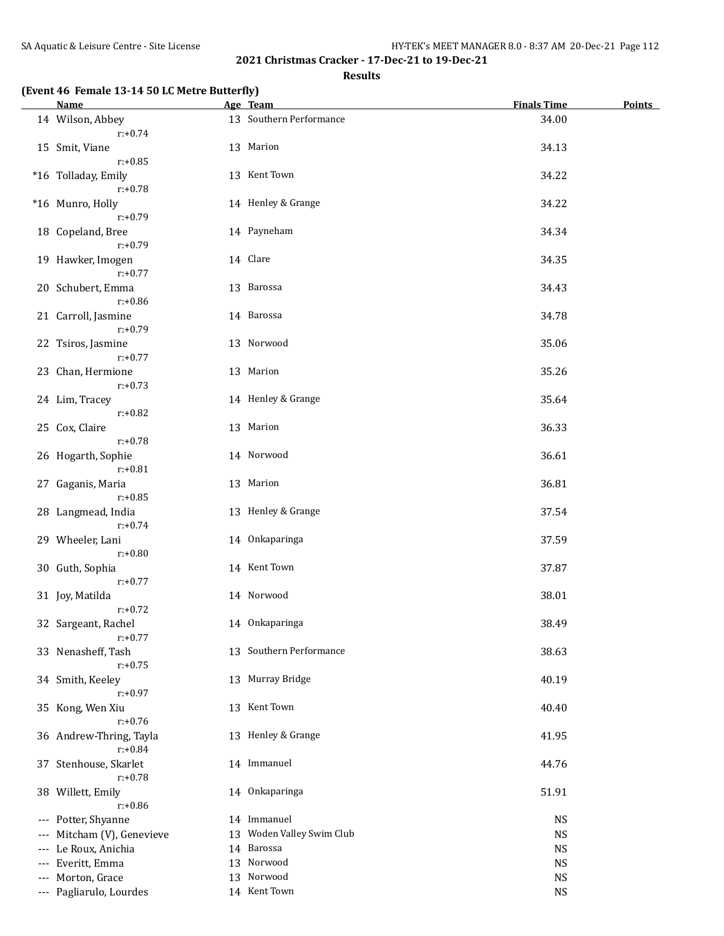**Results**

# **(Event 46 Female 13-14 50 LC Metre Butterfly)**

|       | <b>Name</b>                                          |    | Age Team                   | <b>Finals Time</b> | <b>Points</b> |
|-------|------------------------------------------------------|----|----------------------------|--------------------|---------------|
|       | 14 Wilson, Abbey<br>$r: +0.74$                       |    | 13 Southern Performance    | 34.00              |               |
|       | 15 Smit, Viane<br>$r: +0.85$                         |    | 13 Marion                  | 34.13              |               |
|       | *16 Tolladay, Emily<br>$r: +0.78$                    |    | 13 Kent Town               | 34.22              |               |
|       | *16 Munro, Holly<br>$r: +0.79$                       |    | 14 Henley & Grange         | 34.22              |               |
|       | 18 Copeland, Bree<br>$r: +0.79$                      |    | 14 Payneham                | 34.34              |               |
|       | 19 Hawker, Imogen<br>$r: +0.77$                      |    | 14 Clare                   | 34.35              |               |
|       | 20 Schubert, Emma<br>$r: +0.86$                      |    | 13 Barossa                 | 34.43              |               |
|       | 21 Carroll, Jasmine<br>$r: +0.79$                    |    | 14 Barossa                 | 34.78              |               |
|       | 22 Tsiros, Jasmine<br>$r: +0.77$                     |    | 13 Norwood                 | 35.06              |               |
|       | 23 Chan, Hermione<br>$r: +0.73$                      |    | 13 Marion                  | 35.26              |               |
|       | 24 Lim, Tracey<br>$r: +0.82$                         |    | 14 Henley & Grange         | 35.64              |               |
|       | 25 Cox, Claire<br>$r: +0.78$                         |    | 13 Marion                  | 36.33              |               |
|       | 26 Hogarth, Sophie<br>$r: +0.81$                     |    | 14 Norwood                 | 36.61              |               |
|       | 27 Gaganis, Maria<br>$r: +0.85$                      |    | 13 Marion                  | 36.81              |               |
|       | 28 Langmead, India<br>$r: +0.74$                     |    | 13 Henley & Grange         | 37.54              |               |
|       | 29 Wheeler, Lani<br>$r: +0.80$                       |    | 14 Onkaparinga             | 37.59              |               |
|       | 30 Guth, Sophia<br>$r: +0.77$                        |    | 14 Kent Town<br>14 Norwood | 37.87              |               |
|       | 31 Joy, Matilda<br>$r: +0.72$<br>32 Sargeant, Rachel |    | 14 Onkaparinga             | 38.01<br>38.49     |               |
|       | $r: +0.77$<br>33 Nenasheff, Tash                     |    | 13 Southern Performance    | 38.63              |               |
|       | $r: +0.75$<br>34 Smith, Keeley                       |    | 13 Murray Bridge           | 40.19              |               |
|       | $r: +0.97$<br>35 Kong, Wen Xiu                       |    | 13 Kent Town               | 40.40              |               |
|       | $r: +0.76$<br>36 Andrew-Thring, Tayla                |    | 13 Henley & Grange         | 41.95              |               |
|       | $r: +0.84$<br>37 Stenhouse, Skarlet                  |    | 14 Immanuel                | 44.76              |               |
|       | $r: +0.78$<br>38 Willett, Emily                      |    | 14 Onkaparinga             | 51.91              |               |
|       | $r: +0.86$<br>--- Potter, Shyanne                    |    | 14 Immanuel                | <b>NS</b>          |               |
|       | Mitcham (V), Genevieve                               | 13 | Woden Valley Swim Club     | <b>NS</b>          |               |
|       | Le Roux, Anichia                                     |    | Barossa                    |                    |               |
| $---$ |                                                      | 14 | Norwood                    | <b>NS</b>          |               |
| ---   | Everitt, Emma                                        | 13 |                            | <b>NS</b>          |               |
|       | --- Morton, Grace                                    |    | 13 Norwood                 | <b>NS</b>          |               |
|       | --- Pagliarulo, Lourdes                              |    | 14 Kent Town               | <b>NS</b>          |               |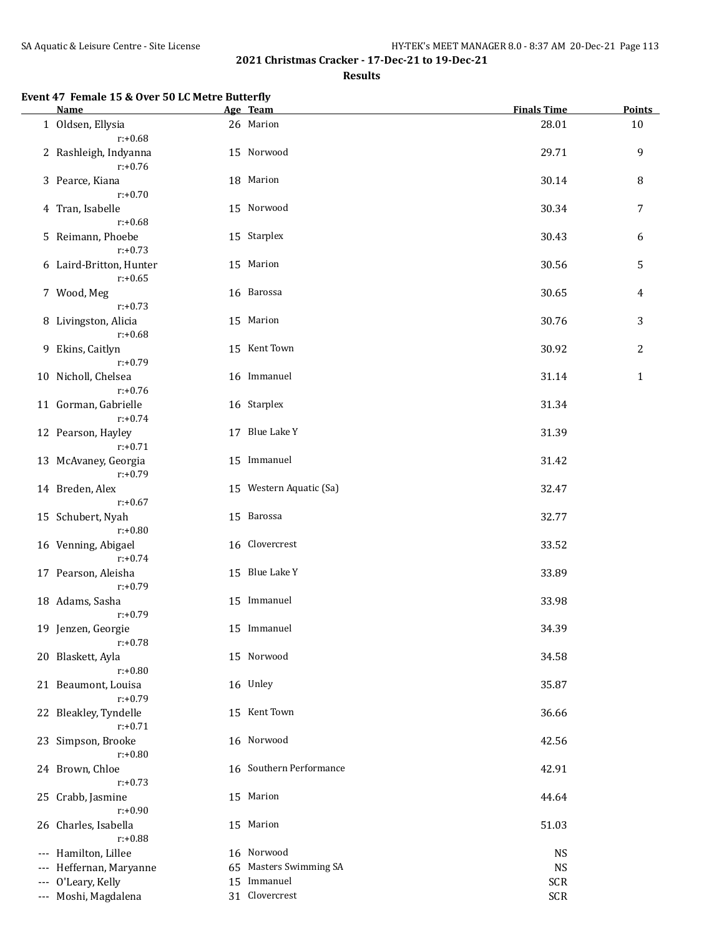**Results**

# **Event 47 Female 15 & Over 50 LC Metre Butterfly**

| <b>Name</b>                           | Age Team                | <b>Finals Time</b> | <b>Points</b>  |
|---------------------------------------|-------------------------|--------------------|----------------|
| 1 Oldsen, Ellysia<br>$r: +0.68$       | 26 Marion               | 28.01              | 10             |
| 2 Rashleigh, Indyanna<br>$r: +0.76$   | 15 Norwood              | 29.71              | 9              |
| 3 Pearce, Kiana<br>$r: +0.70$         | 18 Marion               | 30.14              | 8              |
| 4 Tran, Isabelle<br>$r: +0.68$        | 15 Norwood              | 30.34              | $\overline{7}$ |
| 5 Reimann, Phoebe<br>$r: +0.73$       | 15 Starplex             | 30.43              | 6              |
| 6 Laird-Britton, Hunter<br>$r: +0.65$ | 15 Marion               | 30.56              | 5              |
| 7 Wood, Meg<br>$r: +0.73$             | 16 Barossa              | 30.65              | 4              |
| 8 Livingston, Alicia<br>$r: +0.68$    | 15 Marion               | 30.76              | 3              |
| 9 Ekins, Caitlyn<br>$r: +0.79$        | 15 Kent Town            | 30.92              | $\overline{2}$ |
| 10 Nicholl, Chelsea<br>$r: +0.76$     | 16 Immanuel             | 31.14              | $\mathbf{1}$   |
| 11 Gorman, Gabrielle<br>$r: +0.74$    | 16 Starplex             | 31.34              |                |
| 12 Pearson, Hayley<br>$r: +0.71$      | 17 Blue Lake Y          | 31.39              |                |
| 13 McAvaney, Georgia<br>$r: +0.79$    | 15 Immanuel             | 31.42              |                |
| 14 Breden, Alex<br>$r: +0.67$         | 15 Western Aquatic (Sa) | 32.47              |                |
| 15 Schubert, Nyah<br>$r: +0.80$       | 15 Barossa              | 32.77              |                |
| 16 Venning, Abigael<br>$r: +0.74$     | 16 Clovercrest          | 33.52              |                |
| 17 Pearson, Aleisha<br>$r: +0.79$     | 15 Blue Lake Y          | 33.89              |                |
| 18 Adams, Sasha<br>$r: +0.79$         | 15 Immanuel             | 33.98              |                |
| 19 Jenzen, Georgie<br>$r: +0.78$      | 15 Immanuel             | 34.39              |                |
| 20 Blaskett, Ayla<br>$r: +0.80$       | 15 Norwood              | 34.58              |                |
| 21 Beaumont, Louisa<br>$r: +0.79$     | 16 Unley                | 35.87              |                |
| 22 Bleakley, Tyndelle<br>$r: +0.71$   | 15 Kent Town            | 36.66              |                |
| 23 Simpson, Brooke<br>$r: +0.80$      | 16 Norwood              | 42.56              |                |
| 24 Brown, Chloe<br>$r: +0.73$         | 16 Southern Performance | 42.91              |                |
| 25 Crabb, Jasmine<br>$r: +0.90$       | 15 Marion               | 44.64              |                |
| 26 Charles, Isabella<br>$r: +0.88$    | 15 Marion               | 51.03              |                |
| --- Hamilton, Lillee                  | 16 Norwood              | <b>NS</b>          |                |
| --- Heffernan, Maryanne               | 65 Masters Swimming SA  | <b>NS</b>          |                |
| --- O'Leary, Kelly                    | 15 Immanuel             | <b>SCR</b>         |                |
| --- Moshi, Magdalena                  | 31 Clovercrest          | <b>SCR</b>         |                |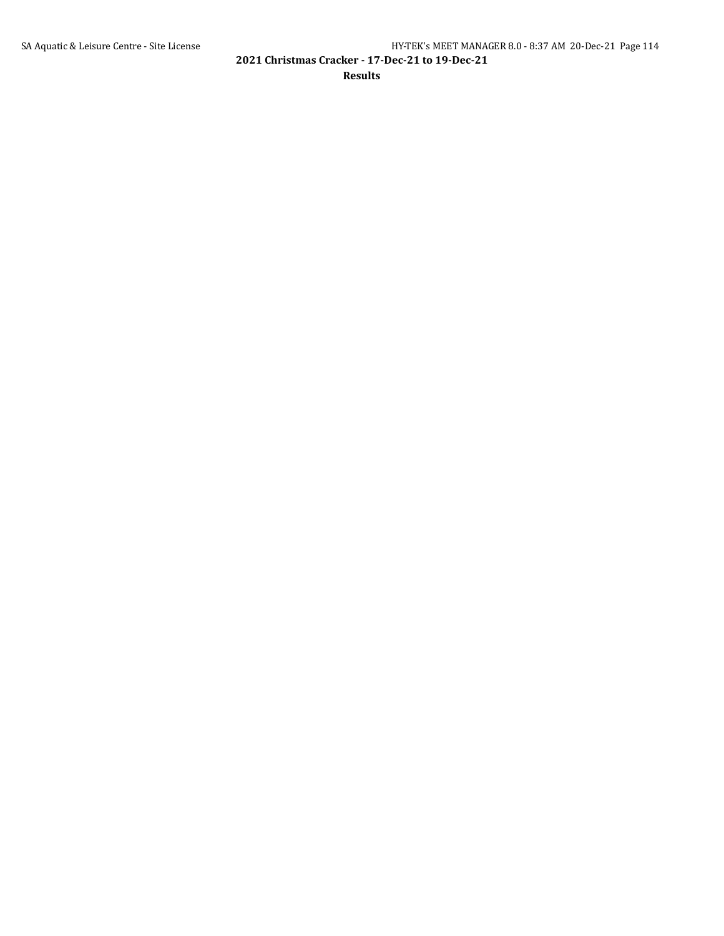**Results**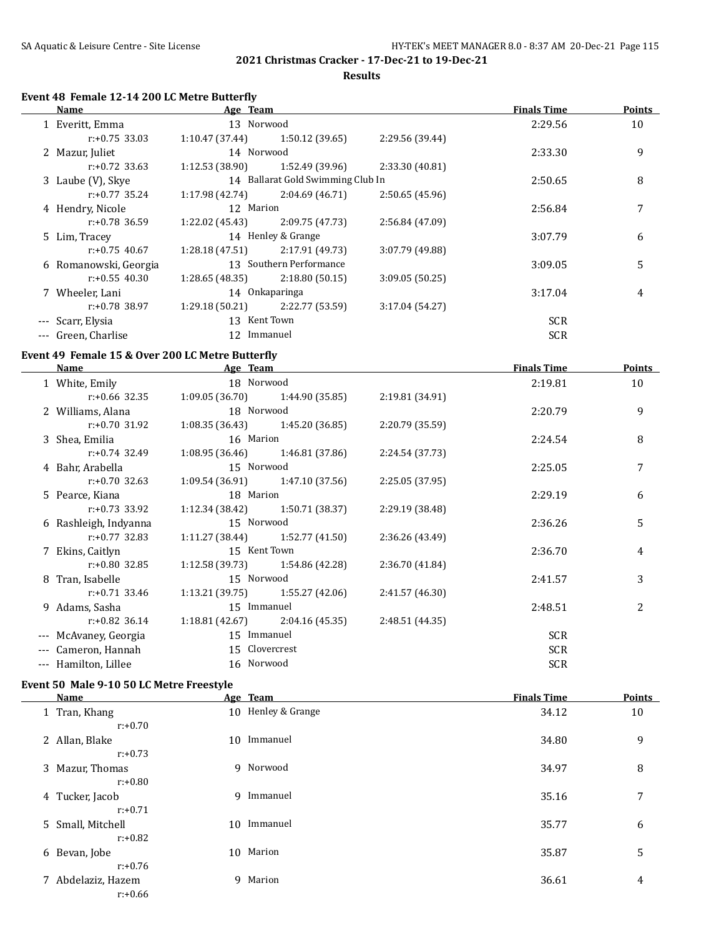### **Results**

# **Event 48 Female 12-14 200 LC Metre Butterfly**

| Name                  | Age Team        |                                   |                 | <b>Finals Time</b> | <b>Points</b> |
|-----------------------|-----------------|-----------------------------------|-----------------|--------------------|---------------|
| 1 Everitt, Emma       | 13 Norwood      |                                   |                 | 2:29.56            | 10            |
| $r: +0.75$ 33.03      | 1:10.47(37.44)  | 1:50.12(39.65)                    | 2:29.56 (39.44) |                    |               |
| 2 Mazur, Juliet       | 14 Norwood      |                                   |                 | 2:33.30            | 9             |
| $r: +0.72$ 33.63      | 1:12.53(38.90)  | 1:52.49 (39.96)                   | 2:33.30 (40.81) |                    |               |
| 3 Laube (V), Skye     |                 | 14 Ballarat Gold Swimming Club In |                 | 2:50.65            | 8             |
| $r: +0.77$ 35.24      | 1:17.98 (42.74) | 2:04.69(46.71)                    | 2:50.65(45.96)  |                    |               |
| 4 Hendry, Nicole      | 12 Marion       |                                   |                 | 2:56.84            | 7             |
| $r: +0.78$ 36.59      | 1:22.02 (45.43) | 2:09.75 (47.73)                   | 2:56.84 (47.09) |                    |               |
| 5 Lim, Tracey         |                 | 14 Henley & Grange                |                 | 3:07.79            | 6             |
| $r: +0.75$ 40.67      | 1:28.18(47.51)  | 2:17.91 (49.73)                   | 3:07.79 (49.88) |                    |               |
| 6 Romanowski, Georgia |                 | 13 Southern Performance           |                 | 3:09.05            | 5             |
| $r: +0.55$ 40.30      | 1:28.65(48.35)  | 2:18.80(50.15)                    | 3:09.05(50.25)  |                    |               |
| 7 Wheeler, Lani       |                 | 14 Onkaparinga                    |                 | 3:17.04            | 4             |
| $r: +0.78$ 38.97      | 1:29.18(50.21)  | 2:22.77 (53.59)                   | 3:17.04 (54.27) |                    |               |
| --- Scarr, Elysia     | 13 Kent Town    |                                   |                 | <b>SCR</b>         |               |
| --- Green, Charlise   | 12 Immanuel     |                                   |                 | <b>SCR</b>         |               |

## **Event 49 Female 15 & Over 200 LC Metre Butterfly**

| Name                  | Age Team       |                                   |                 | <b>Finals Time</b> | Points |
|-----------------------|----------------|-----------------------------------|-----------------|--------------------|--------|
| 1 White, Emily        | 18 Norwood     |                                   |                 | 2:19.81            | 10     |
| $r: +0.66$ 32.35      |                | $1:09.05(36.70)$ $1:44.90(35.85)$ | 2:19.81 (34.91) |                    |        |
| 2 Williams, Alana     | 18 Norwood     |                                   |                 | 2:20.79            | 9      |
| $r: +0.70$ 31.92      |                | $1:08.35(36.43)$ $1:45.20(36.85)$ | 2:20.79 (35.59) |                    |        |
| 3 Shea, Emilia        | 16 Marion      |                                   |                 | 2:24.54            | 8      |
| $r: +0.74$ 32.49      |                | $1:08.95(36.46)$ $1:46.81(37.86)$ | 2:24.54 (37.73) |                    |        |
| 4 Bahr, Arabella      | 15 Norwood     |                                   |                 | 2:25.05            | 7      |
| $r: +0.70$ 32.63      |                | $1:09.54(36.91)$ $1:47.10(37.56)$ | 2:25.05 (37.95) |                    |        |
| 5 Pearce, Kiana       | 18 Marion      |                                   |                 | 2:29.19            | 6      |
| r:+0.73 33.92         |                | $1:12.34(38.42)$ $1:50.71(38.37)$ | 2:29.19 (38.48) |                    |        |
| 6 Rashleigh, Indyanna | 15 Norwood     |                                   |                 | 2:36.26            | 5      |
| $r: +0.77$ 32.83      |                | $1:11.27(38.44)$ $1:52.77(41.50)$ | 2:36.26 (43.49) |                    |        |
| 7 Ekins, Caitlyn      | 15 Kent Town   |                                   |                 | 2:36.70            | 4      |
| r:+0.80 32.85         |                | $1:12.58(39.73)$ $1:54.86(42.28)$ | 2:36.70 (41.84) |                    |        |
| 8 Tran, Isabelle      | 15 Norwood     |                                   |                 | 2:41.57            | 3      |
| $r: +0.71$ 33.46      |                | $1:13.21(39.75)$ $1:55.27(42.06)$ | 2:41.57 (46.30) |                    |        |
| 9 Adams, Sasha        | 15 Immanuel    |                                   |                 | 2:48.51            | 2      |
| $r: +0.82$ 36.14      |                | $1:18.81(42.67)$ $2:04.16(45.35)$ | 2:48.51 (44.35) |                    |        |
| --- McAvaney, Georgia | 15 Immanuel    |                                   |                 | <b>SCR</b>         |        |
| --- Cameron, Hannah   | 15 Clovercrest |                                   |                 | <b>SCR</b>         |        |
| --- Hamilton, Lillee  | 16 Norwood     |                                   |                 | <b>SCR</b>         |        |

### **Event 50 Male 9-10 50 LC Metre Freestyle**

| Name               |    | Age Team           | <b>Finals Time</b> | Points |
|--------------------|----|--------------------|--------------------|--------|
| 1 Tran, Khang      |    | 10 Henley & Grange | 34.12              | 10     |
| $r: +0.70$         |    |                    |                    |        |
| 2 Allan, Blake     |    | 10 Immanuel        | 34.80              | 9      |
| $r: +0.73$         |    |                    |                    |        |
| 3 Mazur, Thomas    |    | 9 Norwood          | 34.97              | 8      |
| $r: +0.80$         |    |                    |                    |        |
| 4 Tucker, Jacob    | 9  | Immanuel           | 35.16              | 7      |
| $r: +0.71$         |    |                    |                    |        |
| 5 Small, Mitchell  | 10 | Immanuel           | 35.77              | 6      |
| $r: +0.82$         |    |                    |                    |        |
| 6 Bevan, Jobe      | 10 | Marion             | 35.87              | 5      |
| $r: +0.76$         |    |                    |                    |        |
| 7 Abdelaziz, Hazem | 9  | Marion             | 36.61              | 4      |
| $r: +0.66$         |    |                    |                    |        |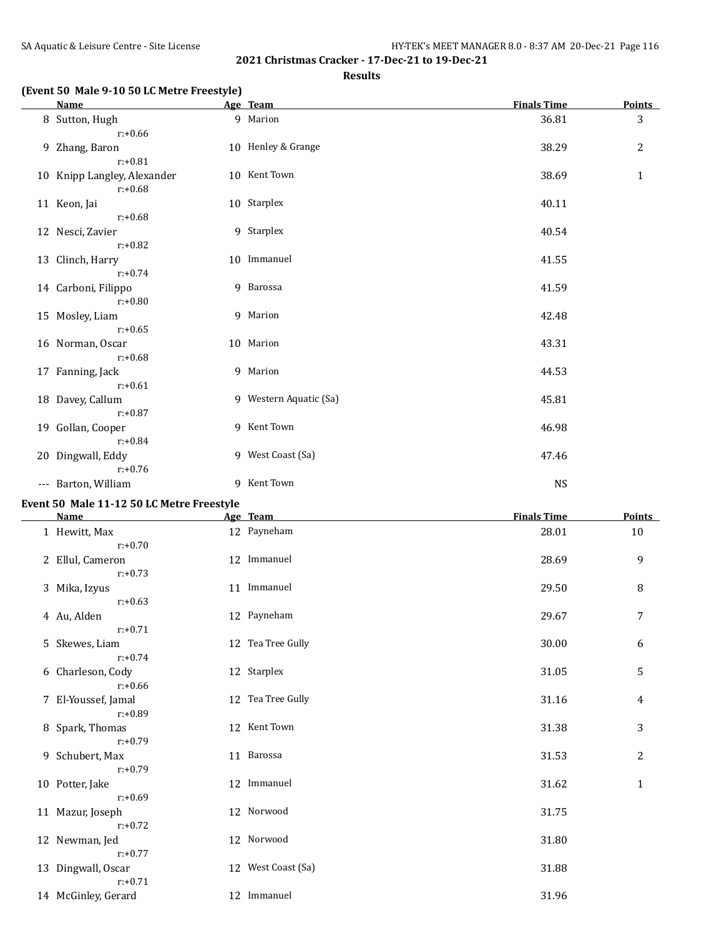#### **Results**

## **(Event 50 Male 9-10 50 LC Metre Freestyle)**

| Name                           | Age Team               | <b>Finals Time</b> | <b>Points</b> |
|--------------------------------|------------------------|--------------------|---------------|
| 8 Sutton, Hugh                 | 9 Marion               | 36.81              | 3             |
| $r: +0.66$                     |                        |                    |               |
| 9 Zhang, Baron                 | 10 Henley & Grange     | 38.29              | 2             |
| $r: +0.81$                     |                        |                    |               |
| 10 Knipp Langley, Alexander    | 10 Kent Town           | 38.69              | $\mathbf{1}$  |
| $r: +0.68$                     |                        |                    |               |
| 11 Keon, Jai                   | 10 Starplex            | 40.11              |               |
| $r: +0.68$                     |                        |                    |               |
| 12 Nesci, Zavier               | 9 Starplex             | 40.54              |               |
| $r: +0.82$                     |                        |                    |               |
| 13 Clinch, Harry               | 10 Immanuel            | 41.55              |               |
| $r: +0.74$                     |                        |                    |               |
| 14 Carboni, Filippo            | 9 Barossa              | 41.59              |               |
| $r: +0.80$                     |                        |                    |               |
| 15 Mosley, Liam                | 9 Marion               | 42.48              |               |
| $r: +0.65$                     |                        |                    |               |
| 16 Norman, Oscar               | 10 Marion              | 43.31              |               |
| $r: +0.68$                     |                        |                    |               |
| 17 Fanning, Jack<br>$r: +0.61$ | 9 Marion               | 44.53              |               |
|                                | 9 Western Aquatic (Sa) | 45.81              |               |
| 18 Davey, Callum<br>$r: +0.87$ |                        |                    |               |
| 19 Gollan, Cooper              | 9 Kent Town            | 46.98              |               |
| $r: +0.84$                     |                        |                    |               |
| 20 Dingwall, Eddy              | 9 West Coast (Sa)      | 47.46              |               |
| $r: +0.76$                     |                        |                    |               |
| --- Barton, William            | 9 Kent Town            | <b>NS</b>          |               |
|                                |                        |                    |               |

# **Event 50 Male 11-12 50 LC Metre Freestyle**

| Name                          | Age Team           | <b>Finals Time</b> | <b>Points</b>  |
|-------------------------------|--------------------|--------------------|----------------|
| 1 Hewitt, Max                 | 12 Payneham        | 28.01              | $10\,$         |
| $r: +0.70$                    |                    |                    |                |
| 2 Ellul, Cameron              | 12 Immanuel        | 28.69              | 9              |
| $r: +0.73$                    |                    |                    |                |
| 3 Mika, Izyus                 | 11 Immanuel        | 29.50              | 8              |
| $r: +0.63$                    |                    |                    |                |
| 4 Au, Alden                   | 12 Payneham        | 29.67              | $\overline{7}$ |
| $r: +0.71$                    |                    |                    |                |
| 5 Skewes, Liam                | 12 Tea Tree Gully  | 30.00              | 6              |
| $r: +0.74$                    |                    |                    |                |
| 6 Charleson, Cody             | 12 Starplex        | 31.05              | 5              |
| $r: +0.66$                    |                    |                    |                |
| 7 El-Youssef, Jamal           | 12 Tea Tree Gully  | 31.16              | 4              |
| $r: +0.89$                    |                    |                    |                |
| 8 Spark, Thomas               | 12 Kent Town       | 31.38              | 3              |
| $r: +0.79$                    |                    |                    |                |
| 9 Schubert, Max               | 11 Barossa         | 31.53              | $\overline{2}$ |
| $r: +0.79$                    |                    |                    |                |
|                               | 12 Immanuel        | 31.62              | $\mathbf 1$    |
| 10 Potter, Jake<br>$r: +0.69$ |                    |                    |                |
|                               |                    |                    |                |
| 11 Mazur, Joseph              | 12 Norwood         | 31.75              |                |
| $r: +0.72$                    |                    |                    |                |
| 12 Newman, Jed                | 12 Norwood         | 31.80              |                |
| $r: +0.77$                    |                    |                    |                |
| 13 Dingwall, Oscar            | 12 West Coast (Sa) | 31.88              |                |
| $r: +0.71$                    |                    |                    |                |
| 14 McGinley, Gerard           | 12 Immanuel        | 31.96              |                |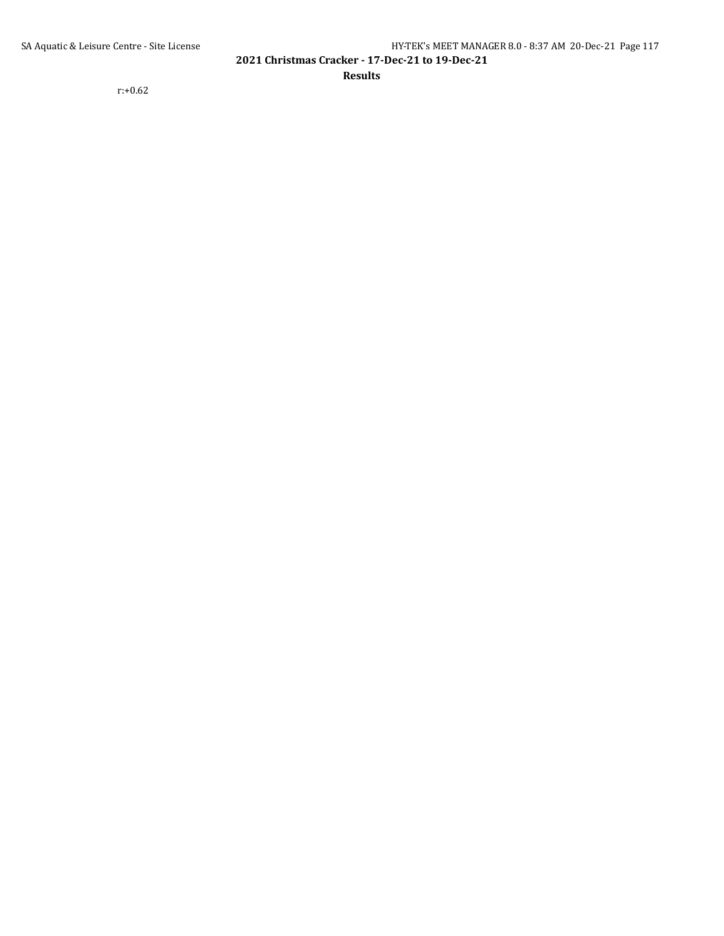**Results**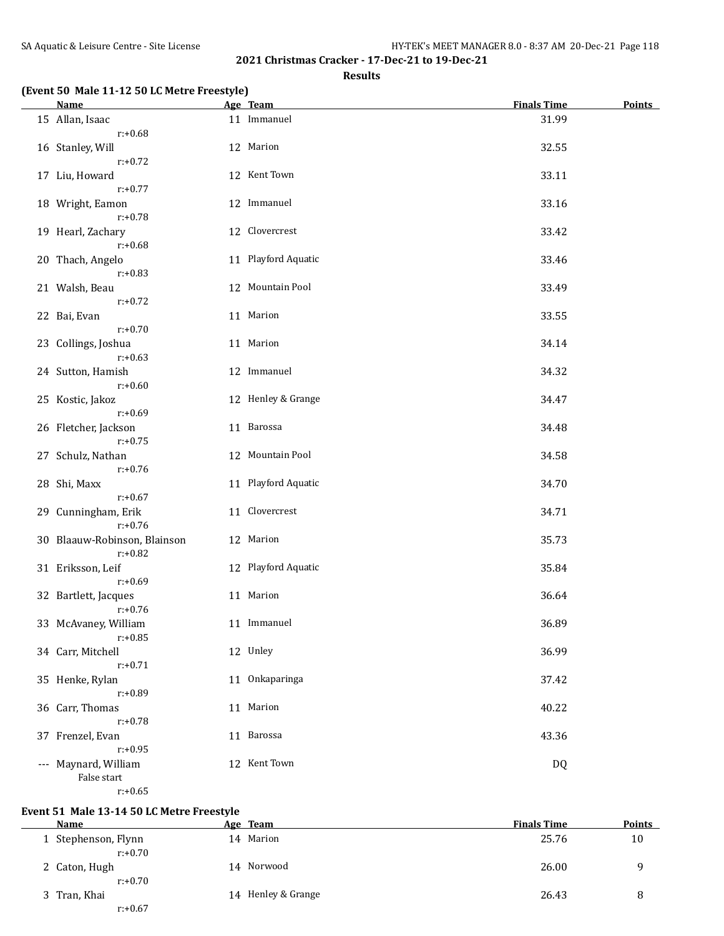**Results**

## **(Event 50 Male 11-12 50 LC Metre Freestyle)**

| Name                                       | Age Team            | <b>Finals Time</b> | <b>Points</b> |
|--------------------------------------------|---------------------|--------------------|---------------|
| 15 Allan, Isaac<br>$r: +0.68$              | 11 Immanuel         | 31.99              |               |
| 16 Stanley, Will<br>$r: +0.72$             | 12 Marion           | 32.55              |               |
| 17 Liu, Howard                             | 12 Kent Town        | 33.11              |               |
| $r: +0.77$<br>18 Wright, Eamon             | 12 Immanuel         | 33.16              |               |
| $r: +0.78$<br>19 Hearl, Zachary            | 12 Clovercrest      | 33.42              |               |
| $r: +0.68$<br>20 Thach, Angelo             | 11 Playford Aquatic | 33.46              |               |
| $r: +0.83$<br>21 Walsh, Beau               | 12 Mountain Pool    | 33.49              |               |
| $r: +0.72$<br>22 Bai, Evan                 | 11 Marion           | 33.55              |               |
| $r: +0.70$<br>23 Collings, Joshua          | 11 Marion           | 34.14              |               |
| $r: +0.63$<br>24 Sutton, Hamish            | 12 Immanuel         | 34.32              |               |
| $r: +0.60$<br>25 Kostic, Jakoz             | 12 Henley & Grange  | 34.47              |               |
| $r: +0.69$<br>26 Fletcher, Jackson         | 11 Barossa          | 34.48              |               |
| $r: +0.75$<br>27 Schulz, Nathan            | 12 Mountain Pool    | 34.58              |               |
| $r: +0.76$                                 | 11 Playford Aquatic |                    |               |
| 28 Shi, Maxx<br>$r: +0.67$                 |                     | 34.70              |               |
| 29 Cunningham, Erik<br>$r: +0.76$          | 11 Clovercrest      | 34.71              |               |
| 30 Blaauw-Robinson, Blainson<br>$r: +0.82$ | 12 Marion           | 35.73              |               |
| 31 Eriksson, Leif<br>$r: +0.69$            | 12 Playford Aquatic | 35.84              |               |
| 32 Bartlett, Jacques<br>$r: +0.76$         | 11 Marion           | 36.64              |               |
| 33 McAvaney, William<br>$r: +0.85$         | 11 Immanuel         | 36.89              |               |
| 34 Carr, Mitchell<br>$r: +0.71$            | 12 Unley            | 36.99              |               |
| 35 Henke, Rylan<br>$r: +0.89$              | 11 Onkaparinga      | 37.42              |               |
| 36 Carr, Thomas<br>$r: +0.78$              | 11 Marion           | 40.22              |               |
| 37 Frenzel, Evan<br>$r: +0.95$             | 11 Barossa          | 43.36              |               |
| --- Maynard, William<br>False start        | 12 Kent Town        | DQ                 |               |
| $r: +0.65$                                 |                     |                    |               |

#### **Event 51 Male 13-14 50 LC Metre Freestyle**

| Name                | Age Team           | <b>Finals Time</b> | <b>Points</b> |
|---------------------|--------------------|--------------------|---------------|
| 1 Stephenson, Flynn | 14 Marion          | 25.76              | 10            |
| $r: +0.70$          |                    |                    |               |
| 2 Caton, Hugh       | 14 Norwood         | 26.00              | q             |
| $r: +0.70$          |                    |                    |               |
| 3 Tran, Khai        | 14 Henley & Grange | 26.43              | 8             |
| $r: +0.67$          |                    |                    |               |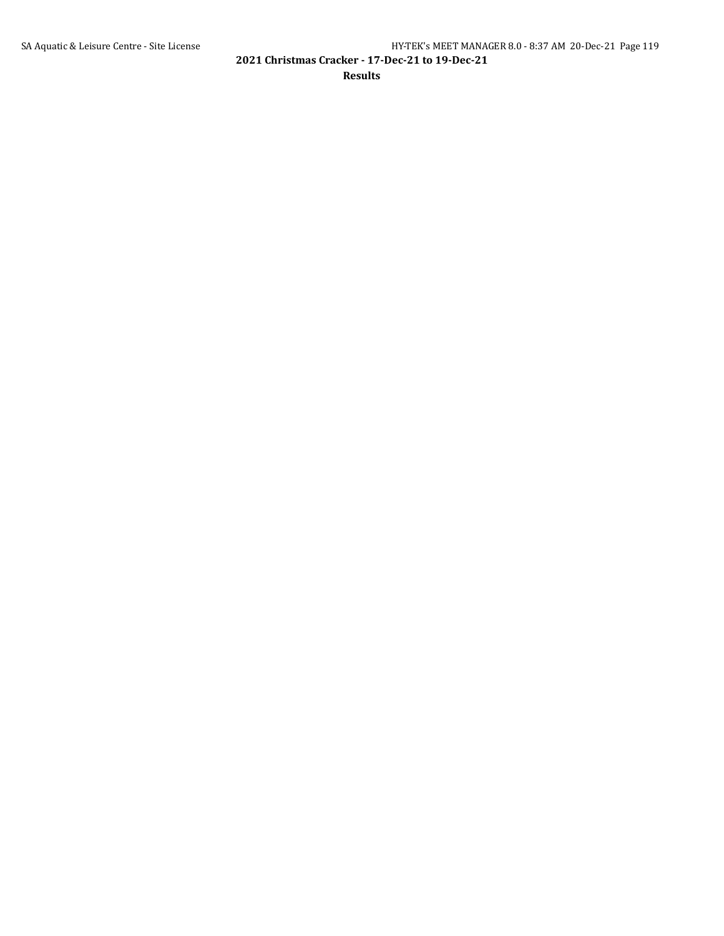**Results**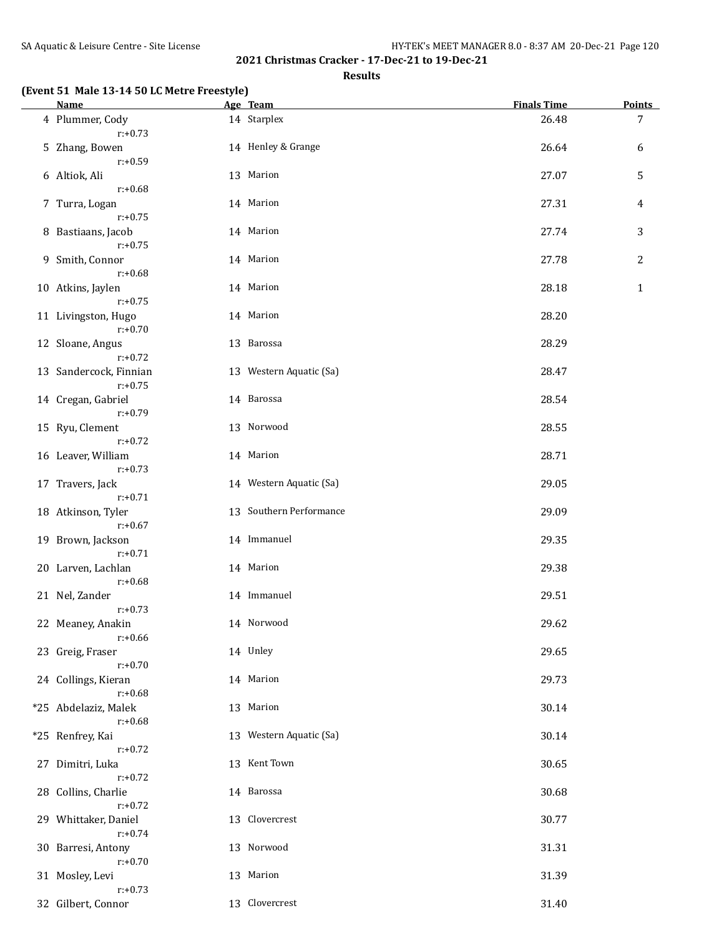#### **Results**

### **(Event 51 Male 13-14 50 LC Metre Freestyle)**

| <b>Name</b>                          | Age Team                | <b>Finals Time</b> | <b>Points</b>  |
|--------------------------------------|-------------------------|--------------------|----------------|
| 4 Plummer, Cody<br>$r: +0.73$        | 14 Starplex             | 26.48              | 7              |
| 5 Zhang, Bowen<br>$r: +0.59$         | 14 Henley & Grange      | 26.64              | 6              |
| 6 Altiok, Ali<br>$r: +0.68$          | 13 Marion               | 27.07              | 5              |
| 7 Turra, Logan<br>$r: +0.75$         | 14 Marion               | 27.31              | $\overline{4}$ |
| 8 Bastiaans, Jacob<br>$r: +0.75$     | 14 Marion               | 27.74              | 3              |
| 9 Smith, Connor<br>$r: +0.68$        | 14 Marion               | 27.78              | $\overline{c}$ |
| 10 Atkins, Jaylen<br>$r: +0.75$      | 14 Marion               | 28.18              | $\mathbf{1}$   |
| 11 Livingston, Hugo<br>$r: +0.70$    | 14 Marion               | 28.20              |                |
| 12 Sloane, Angus<br>$r: +0.72$       | 13 Barossa              | 28.29              |                |
| 13 Sandercock, Finnian<br>$r: +0.75$ | 13 Western Aquatic (Sa) | 28.47              |                |
| 14 Cregan, Gabriel<br>$r: +0.79$     | 14 Barossa              | 28.54              |                |
| 15 Ryu, Clement<br>$r: +0.72$        | 13 Norwood              | 28.55              |                |
| 16 Leaver, William<br>$r: +0.73$     | 14 Marion               | 28.71              |                |
| 17 Travers, Jack<br>$r: +0.71$       | 14 Western Aquatic (Sa) | 29.05              |                |
| 18 Atkinson, Tyler<br>$r: +0.67$     | 13 Southern Performance | 29.09              |                |
| 19 Brown, Jackson<br>$r: +0.71$      | 14 Immanuel             | 29.35              |                |
| 20 Larven, Lachlan<br>$r: +0.68$     | 14 Marion               | 29.38              |                |
| 21 Nel, Zander<br>$r: +0.73$         | 14 Immanuel             | 29.51              |                |
| 22 Meaney, Anakin<br>$r: +0.66$      | 14 Norwood              | 29.62              |                |
| 23 Greig, Fraser<br>$r: +0.70$       | 14 Unley                | 29.65              |                |
| 24 Collings, Kieran<br>$r: +0.68$    | 14 Marion               | 29.73              |                |
| *25 Abdelaziz, Malek<br>$r: +0.68$   | 13 Marion               | 30.14              |                |
| *25 Renfrey, Kai<br>$r: +0.72$       | 13 Western Aquatic (Sa) | 30.14              |                |
| 27 Dimitri, Luka<br>$r: +0.72$       | 13 Kent Town            | 30.65              |                |
| 28 Collins, Charlie<br>$r: +0.72$    | 14 Barossa              | 30.68              |                |
| 29 Whittaker, Daniel<br>$r: +0.74$   | 13 Clovercrest          | 30.77              |                |
| 30 Barresi, Antony<br>$r: +0.70$     | 13 Norwood              | 31.31              |                |
| 31 Mosley, Levi<br>$r: +0.73$        | 13 Marion               | 31.39              |                |
| 32 Gilbert, Connor                   | 13 Clovercrest          | 31.40              |                |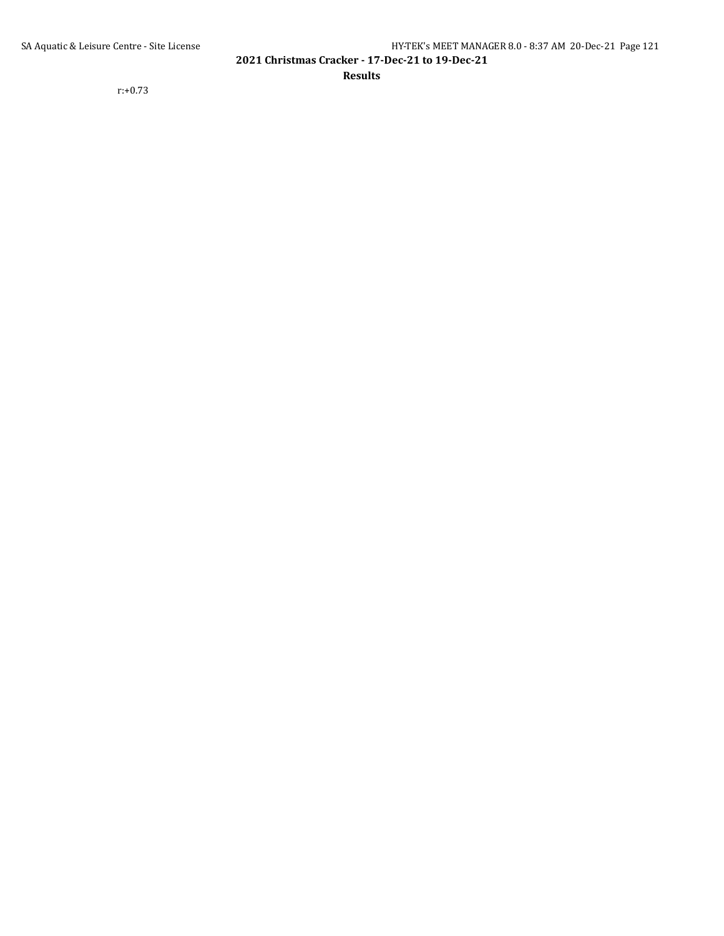**Results**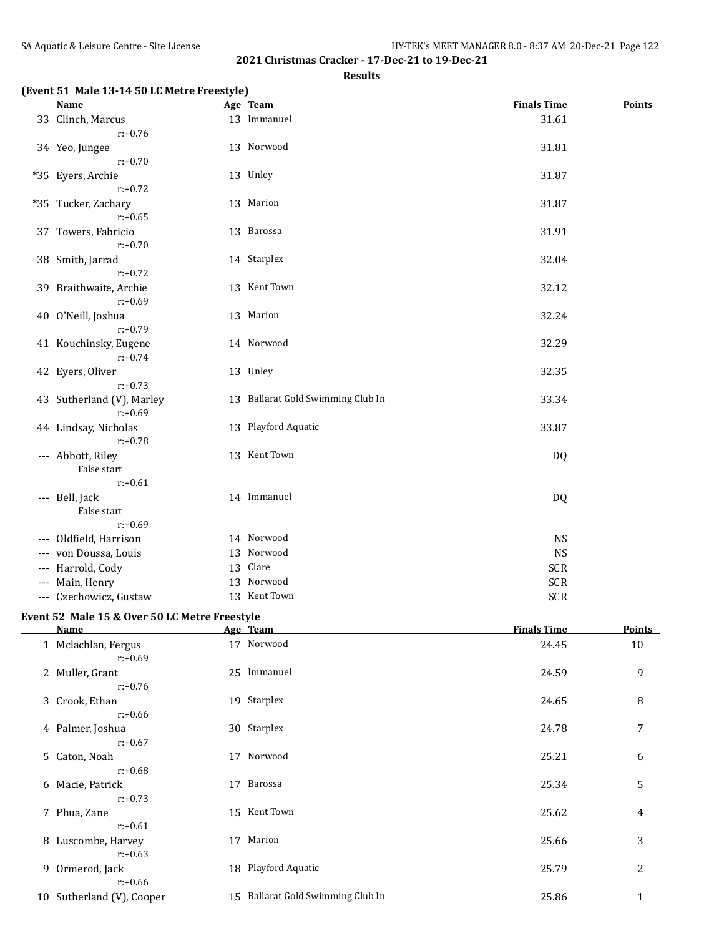#### **Results**

## **(Event 51 Male 13-14 50 LC Metre Freestyle)**

|                     | <b>Name</b>                                               | Age Team                          | <b>Finals Time</b> | <b>Points</b> |
|---------------------|-----------------------------------------------------------|-----------------------------------|--------------------|---------------|
|                     | 33 Clinch, Marcus<br>$r: +0.76$                           | 13 Immanuel                       | 31.61              |               |
|                     | 34 Yeo, Jungee                                            | 13 Norwood                        | 31.81              |               |
|                     | $r: +0.70$                                                |                                   |                    |               |
|                     | *35 Eyers, Archie<br>$r: +0.72$                           | 13 Unley                          | 31.87              |               |
|                     | *35 Tucker, Zachary<br>$r: +0.65$                         | 13 Marion                         | 31.87              |               |
|                     | 37 Towers, Fabricio<br>$r: +0.70$                         | 13 Barossa                        | 31.91              |               |
|                     | 38 Smith, Jarrad<br>$r: +0.72$                            | 14 Starplex                       | 32.04              |               |
|                     | 39 Braithwaite, Archie<br>$r: +0.69$                      | 13 Kent Town                      | 32.12              |               |
|                     | 40 O'Neill, Joshua<br>$r: +0.79$                          | 13 Marion                         | 32.24              |               |
|                     | 41 Kouchinsky, Eugene<br>$r: +0.74$                       | 14 Norwood                        | 32.29              |               |
|                     | 42 Eyers, Oliver<br>$r: +0.73$                            | 13 Unley                          | 32.35              |               |
|                     | 43 Sutherland (V), Marley<br>$r: +0.69$                   | 13 Ballarat Gold Swimming Club In | 33.34              |               |
|                     | 44 Lindsay, Nicholas<br>$r: +0.78$                        | 13 Playford Aquatic               | 33.87              |               |
|                     | --- Abbott, Riley<br>False start                          | 13 Kent Town                      | <b>DQ</b>          |               |
|                     | $r: +0.61$<br>--- Bell, Jack<br>False start<br>$r: +0.69$ | 14 Immanuel                       | <b>DQ</b>          |               |
|                     | Oldfield, Harrison                                        | 14 Norwood                        | <b>NS</b>          |               |
| $\cdots$            | von Doussa, Louis                                         | 13 Norwood                        | <b>NS</b>          |               |
| $\qquad \qquad - -$ | Harrold, Cody                                             | 13 Clare                          | <b>SCR</b>         |               |
|                     | --- Main, Henry                                           | 13 Norwood                        | <b>SCR</b>         |               |
|                     | --- Czechowicz, Gustaw                                    | 13 Kent Town                      | <b>SCR</b>         |               |

## **Event 52 Male 15 & Over 50 LC Metre Freestyle**

|   | Name                              |    | Age Team                          | <b>Finals Time</b> | <b>Points</b> |
|---|-----------------------------------|----|-----------------------------------|--------------------|---------------|
|   | 1 Mclachlan, Fergus<br>$r: +0.69$ |    | 17 Norwood                        | 24.45              | 10            |
|   | 2 Muller, Grant<br>$r: +0.76$     |    | 25 Immanuel                       | 24.59              | 9             |
|   | 3 Crook, Ethan<br>$r: +0.66$      |    | 19 Starplex                       | 24.65              | 8             |
|   | 4 Palmer, Joshua<br>$r: +0.67$    |    | 30 Starplex                       | 24.78              | 7             |
|   | 5 Caton, Noah<br>$r: +0.68$       | 17 | Norwood                           | 25.21              | 6             |
|   | 6 Macie, Patrick<br>$r: +0.73$    | 17 | Barossa                           | 25.34              | 5             |
|   | 7 Phua, Zane<br>$r: +0.61$        |    | 15 Kent Town                      | 25.62              | 4             |
|   | 8 Luscombe, Harvey<br>$r: +0.63$  | 17 | Marion                            | 25.66              | 3             |
| 9 | Ormerod, Jack<br>$r: +0.66$       |    | 18 Playford Aquatic               | 25.79              | 2             |
|   | 10 Sutherland (V), Cooper         |    | 15 Ballarat Gold Swimming Club In | 25.86              |               |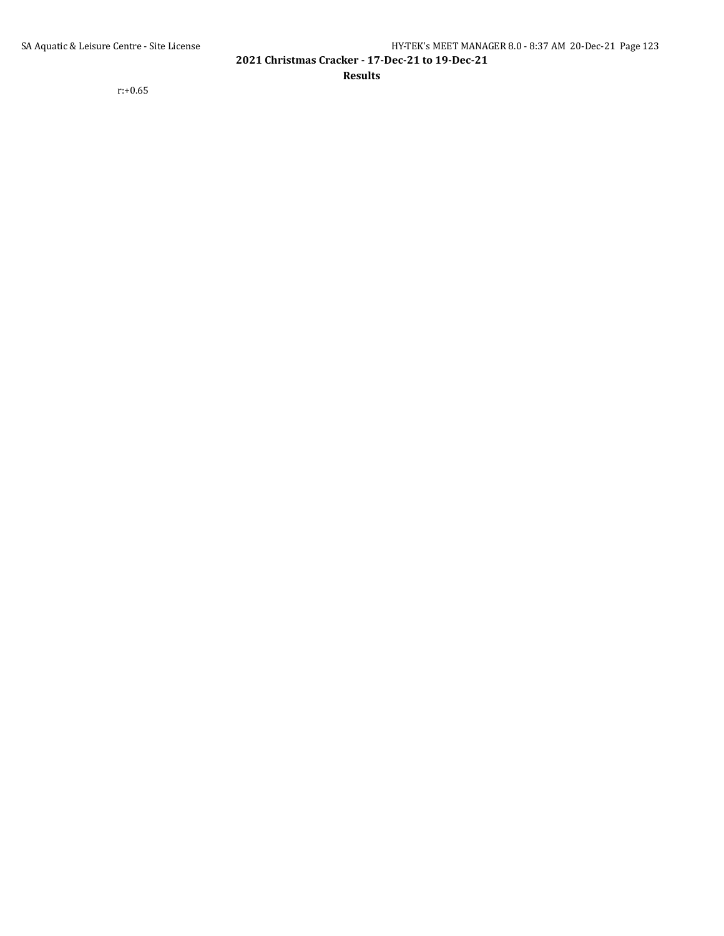**Results**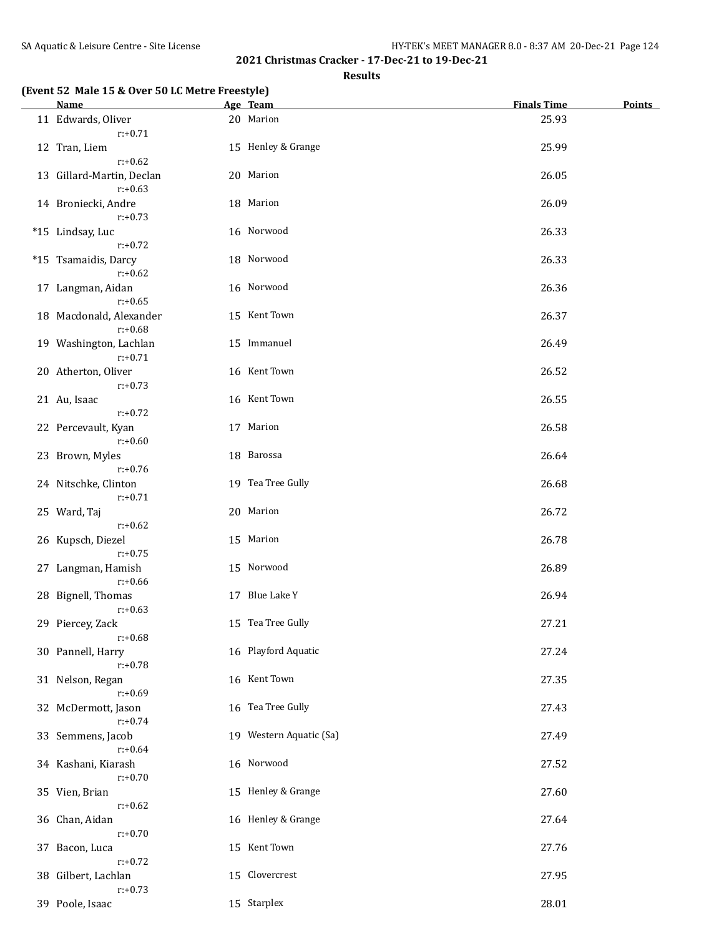**Results**

# **(Event 52 Male 15 & Over 50 LC Metre Freestyle)**

| <b>Name</b>                             | Age Team                | <b>Finals Time</b> | <b>Points</b> |
|-----------------------------------------|-------------------------|--------------------|---------------|
| 11 Edwards, Oliver<br>$r: +0.71$        | 20 Marion               | 25.93              |               |
| 12 Tran, Liem<br>$r: +0.62$             | 15 Henley & Grange      | 25.99              |               |
| 13 Gillard-Martin, Declan<br>$r: +0.63$ | 20 Marion               | 26.05              |               |
| 14 Broniecki, Andre<br>$r: +0.73$       | 18 Marion               | 26.09              |               |
| *15 Lindsay, Luc<br>$r: +0.72$          | 16 Norwood              | 26.33              |               |
| *15 Tsamaidis, Darcy<br>$r: +0.62$      | 18 Norwood              | 26.33              |               |
| 17 Langman, Aidan<br>$r: +0.65$         | 16 Norwood              | 26.36              |               |
| 18 Macdonald, Alexander<br>$r: +0.68$   | 15 Kent Town            | 26.37              |               |
| 19 Washington, Lachlan<br>$r: +0.71$    | 15 Immanuel             | 26.49              |               |
| 20 Atherton, Oliver<br>$r: +0.73$       | 16 Kent Town            | 26.52              |               |
| 21 Au, Isaac<br>$r: +0.72$              | 16 Kent Town            | 26.55              |               |
| 22 Percevault, Kyan<br>$r: +0.60$       | 17 Marion               | 26.58              |               |
| 23 Brown, Myles<br>$r: +0.76$           | 18 Barossa              | 26.64              |               |
| 24 Nitschke, Clinton<br>$r: +0.71$      | 19 Tea Tree Gully       | 26.68              |               |
| 25 Ward, Taj<br>$r: +0.62$              | 20 Marion               | 26.72              |               |
| 26 Kupsch, Diezel<br>$r: +0.75$         | 15 Marion               | 26.78              |               |
| 27 Langman, Hamish<br>$r: +0.66$        | 15 Norwood              | 26.89              |               |
| 28 Bignell, Thomas<br>$r: +0.63$        | 17 Blue Lake Y          | 26.94              |               |
| 29 Piercey, Zack<br>$r: +0.68$          | 15 Tea Tree Gully       | 27.21              |               |
| 30 Pannell, Harry<br>$r: +0.78$         | 16 Playford Aquatic     | 27.24              |               |
| 31 Nelson, Regan<br>$r: +0.69$          | 16 Kent Town            | 27.35              |               |
| 32 McDermott, Jason<br>$r: +0.74$       | 16 Tea Tree Gully       | 27.43              |               |
| 33 Semmens, Jacob<br>$r: +0.64$         | 19 Western Aquatic (Sa) | 27.49              |               |
| 34 Kashani, Kiarash<br>$r: +0.70$       | 16 Norwood              | 27.52              |               |
| 35 Vien, Brian<br>$r: +0.62$            | 15 Henley & Grange      | 27.60              |               |
| 36 Chan, Aidan<br>$r: +0.70$            | 16 Henley & Grange      | 27.64              |               |
| 37 Bacon, Luca<br>$r: +0.72$            | 15 Kent Town            | 27.76              |               |
| 38 Gilbert, Lachlan<br>$r: +0.73$       | 15 Clovercrest          | 27.95              |               |
| 39 Poole, Isaac                         | 15 Starplex             | 28.01              |               |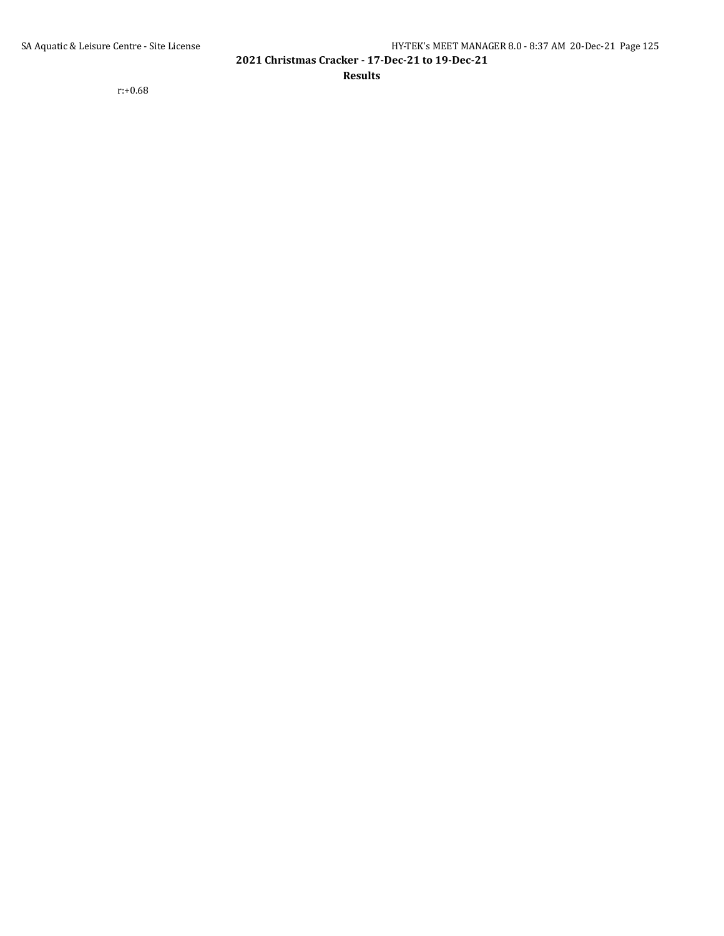**Results**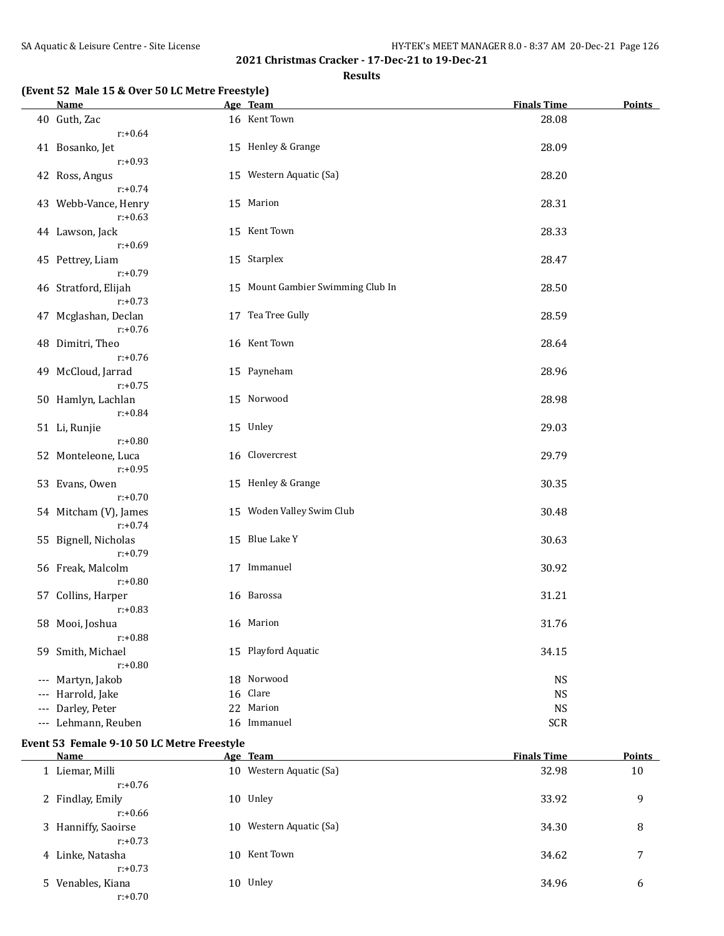**Results**

## **(Event 52 Male 15 & Over 50 LC Metre Freestyle)**

| <b>Name</b>                        |    | Age Team                          | <b>Finals Time</b> | <b>Points</b> |
|------------------------------------|----|-----------------------------------|--------------------|---------------|
| 40 Guth, Zac                       |    | 16 Kent Town                      | 28.08              |               |
| $r: +0.64$                         |    |                                   |                    |               |
| 41 Bosanko, Jet                    |    | 15 Henley & Grange                | 28.09              |               |
| $r: +0.93$                         |    |                                   |                    |               |
| 42 Ross, Angus                     |    | 15 Western Aquatic (Sa)           | 28.20              |               |
| $r: +0.74$<br>43 Webb-Vance, Henry |    | 15 Marion                         | 28.31              |               |
| $r: +0.63$                         |    |                                   |                    |               |
| 44 Lawson, Jack                    |    | 15 Kent Town                      | 28.33              |               |
| $r: +0.69$                         |    |                                   |                    |               |
| 45 Pettrey, Liam                   |    | 15 Starplex                       | 28.47              |               |
| $r: +0.79$                         |    |                                   |                    |               |
| 46 Stratford, Elijah               |    | 15 Mount Gambier Swimming Club In | 28.50              |               |
| $r: +0.73$                         |    |                                   |                    |               |
| 47 Mcglashan, Declan               |    | 17 Tea Tree Gully                 | 28.59              |               |
| $r: +0.76$                         |    | 16 Kent Town                      | 28.64              |               |
| 48 Dimitri, Theo<br>$r: +0.76$     |    |                                   |                    |               |
| 49 McCloud, Jarrad                 |    | 15 Payneham                       | 28.96              |               |
| $r: +0.75$                         |    |                                   |                    |               |
| 50 Hamlyn, Lachlan                 |    | 15 Norwood                        | 28.98              |               |
| $r: +0.84$                         |    |                                   |                    |               |
| 51 Li, Runjie                      |    | 15 Unley                          | 29.03              |               |
| $r: +0.80$                         |    |                                   |                    |               |
| 52 Monteleone, Luca<br>$r: +0.95$  |    | 16 Clovercrest                    | 29.79              |               |
| 53 Evans, Owen                     |    | 15 Henley & Grange                | 30.35              |               |
| $r: +0.70$                         |    |                                   |                    |               |
| 54 Mitcham (V), James              |    | 15 Woden Valley Swim Club         | 30.48              |               |
| $r: +0.74$                         |    |                                   |                    |               |
| 55 Bignell, Nicholas               |    | 15 Blue Lake Y                    | 30.63              |               |
| $r: +0.79$                         |    |                                   |                    |               |
| 56 Freak, Malcolm<br>$r: +0.80$    |    | 17 Immanuel                       | 30.92              |               |
| 57 Collins, Harper                 |    | 16 Barossa                        | 31.21              |               |
| $r: +0.83$                         |    |                                   |                    |               |
| 58 Mooi, Joshua                    |    | 16 Marion                         | 31.76              |               |
| $r: +0.88$                         |    |                                   |                    |               |
| 59 Smith, Michael                  |    | 15 Playford Aquatic               | 34.15              |               |
| $r: +0.80$                         |    |                                   |                    |               |
| --- Martyn, Jakob                  | 18 | Norwood                           | <b>NS</b>          |               |
| --- Harrold, Jake                  |    | 16 Clare                          | <b>NS</b>          |               |
| --- Darley, Peter                  |    | 22 Marion                         | <b>NS</b>          |               |
| --- Lehmann, Reuben                |    | 16 Immanuel                       | SCR                |               |

#### **Event 53 Female 9-10 50 LC Metre Freestyle**

| Name                |    | Age Team             | <b>Finals Time</b> | <b>Points</b> |
|---------------------|----|----------------------|--------------------|---------------|
| 1 Liemar, Milli     | 10 | Western Aquatic (Sa) | 32.98              | 10            |
| $r: +0.76$          |    |                      |                    |               |
| 2 Findlay, Emily    |    | 10 Unley             | 33.92              | 9             |
| $r: +0.66$          |    |                      |                    |               |
| 3 Hanniffy, Saoirse | 10 | Western Aquatic (Sa) | 34.30              | 8             |
| $r: +0.73$          |    |                      |                    |               |
| 4 Linke, Natasha    | 10 | Kent Town            | 34.62              | 7             |
| $r: +0.73$          |    |                      |                    |               |
| 5 Venables, Kiana   |    | 10 Unley             | 34.96              | 6             |
| $r: +0.70$          |    |                      |                    |               |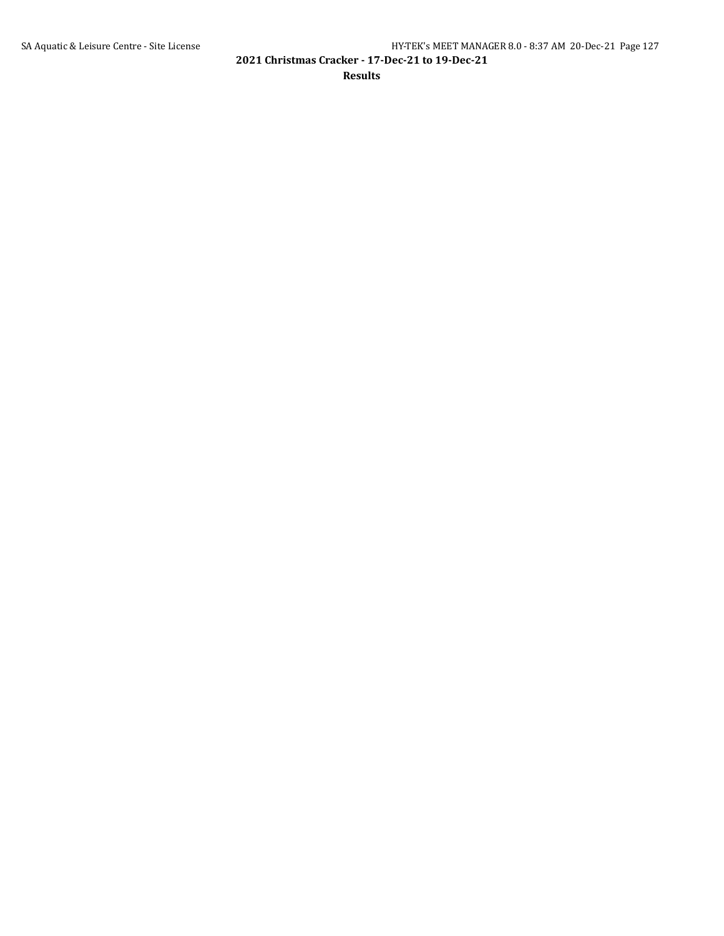**Results**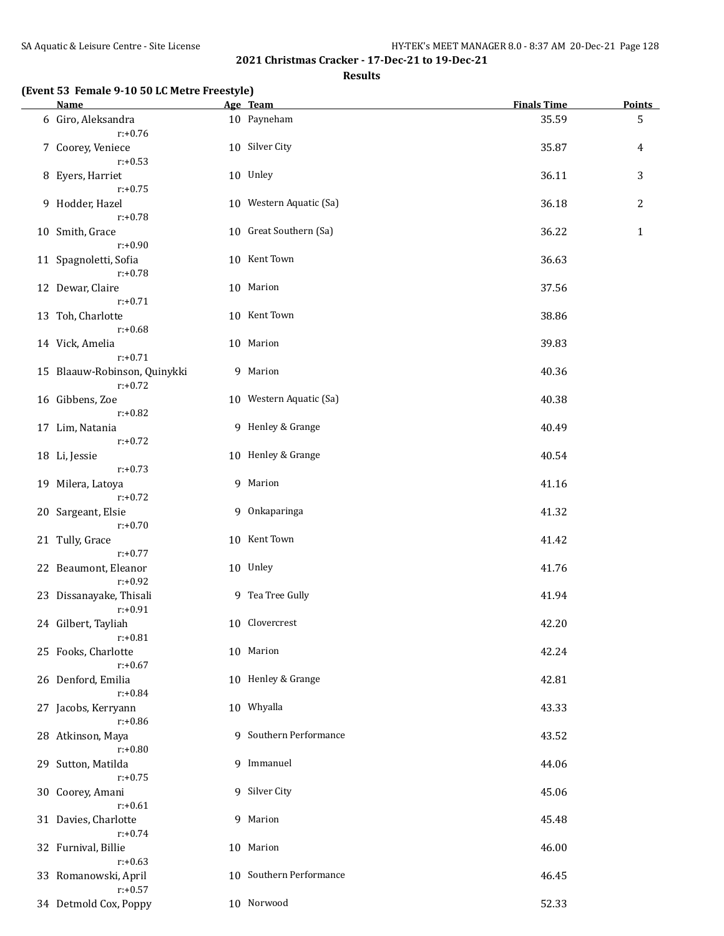**Results**

# **(Event 53 Female 9-10 50 LC Metre Freestyle)**

| $_{\rm{r}}$ and $_{\rm{r}}$ are $_{\rm{r}}$ and $_{\rm{r}}$ are $_{\rm{r}}$ are $_{\rm{r}}$ and $_{\rm{r}}$<br>Name | Age Team                | <b>Finals Time</b> | <b>Points</b>  |
|---------------------------------------------------------------------------------------------------------------------|-------------------------|--------------------|----------------|
| 6 Giro, Aleksandra<br>$r: +0.76$                                                                                    | 10 Payneham             | 35.59              | 5              |
| 7 Coorey, Veniece<br>$r: +0.53$                                                                                     | 10 Silver City          | 35.87              | 4              |
| 8 Eyers, Harriet<br>$r: +0.75$                                                                                      | 10 Unley                | 36.11              | 3              |
| 9 Hodder, Hazel<br>$r: +0.78$                                                                                       | 10 Western Aquatic (Sa) | 36.18              | $\overline{c}$ |
| 10 Smith, Grace<br>$r: +0.90$                                                                                       | 10 Great Southern (Sa)  | 36.22              | $\mathbf{1}$   |
| 11 Spagnoletti, Sofia<br>$r: +0.78$                                                                                 | 10 Kent Town            | 36.63              |                |
| 12 Dewar, Claire<br>$r: +0.71$                                                                                      | 10 Marion               | 37.56              |                |
| 13 Toh, Charlotte<br>$r: +0.68$                                                                                     | 10 Kent Town            | 38.86              |                |
| 14 Vick, Amelia<br>$r: +0.71$                                                                                       | 10 Marion               | 39.83              |                |
| 15 Blaauw-Robinson, Quinykki<br>$r: +0.72$                                                                          | 9 Marion                | 40.36              |                |
| 16 Gibbens, Zoe<br>$r: +0.82$                                                                                       | 10 Western Aquatic (Sa) | 40.38              |                |
| 17 Lim, Natania<br>$r: +0.72$                                                                                       | 9 Henley & Grange       | 40.49              |                |
| 18 Li, Jessie<br>$r: +0.73$                                                                                         | 10 Henley & Grange      | 40.54              |                |
| 19 Milera, Latoya<br>$r: +0.72$                                                                                     | 9 Marion                | 41.16              |                |
| 20 Sargeant, Elsie<br>$r: +0.70$                                                                                    | 9 Onkaparinga           | 41.32              |                |
| 21 Tully, Grace<br>$r: +0.77$                                                                                       | 10 Kent Town            | 41.42              |                |
| 22 Beaumont, Eleanor<br>$r: +0.92$                                                                                  | 10 Unley                | 41.76              |                |
| 23 Dissanayake, Thisali<br>$r: +0.91$                                                                               | 9 Tea Tree Gully        | 41.94              |                |
| 24 Gilbert, Tayliah<br>$r: +0.81$                                                                                   | 10 Clovercrest          | 42.20              |                |
| 25 Fooks, Charlotte<br>$r: +0.67$                                                                                   | 10 Marion               | 42.24              |                |
| 26 Denford, Emilia<br>$r: +0.84$                                                                                    | 10 Henley & Grange      | 42.81              |                |
| 27 Jacobs, Kerryann<br>$r: +0.86$                                                                                   | 10 Whyalla              | 43.33              |                |
| 28 Atkinson, Maya<br>$r: +0.80$                                                                                     | 9 Southern Performance  | 43.52              |                |
| 29 Sutton, Matilda<br>$r: +0.75$                                                                                    | 9 Immanuel              | 44.06              |                |
| 30 Coorey, Amani<br>$r: +0.61$                                                                                      | 9 Silver City           | 45.06              |                |
| 31 Davies, Charlotte<br>$r: +0.74$                                                                                  | 9 Marion                | 45.48              |                |
| 32 Furnival, Billie<br>$r: +0.63$                                                                                   | 10 Marion               | 46.00              |                |
| 33 Romanowski, April<br>$r: +0.57$                                                                                  | 10 Southern Performance | 46.45              |                |
| 34 Detmold Cox, Poppy                                                                                               | 10 Norwood              | 52.33              |                |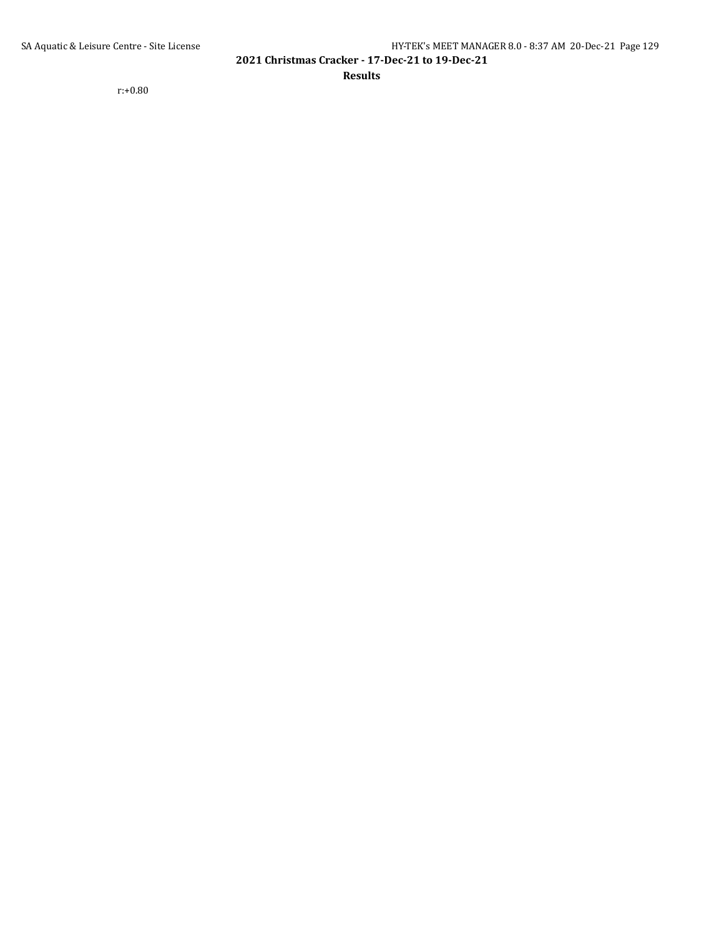**Results**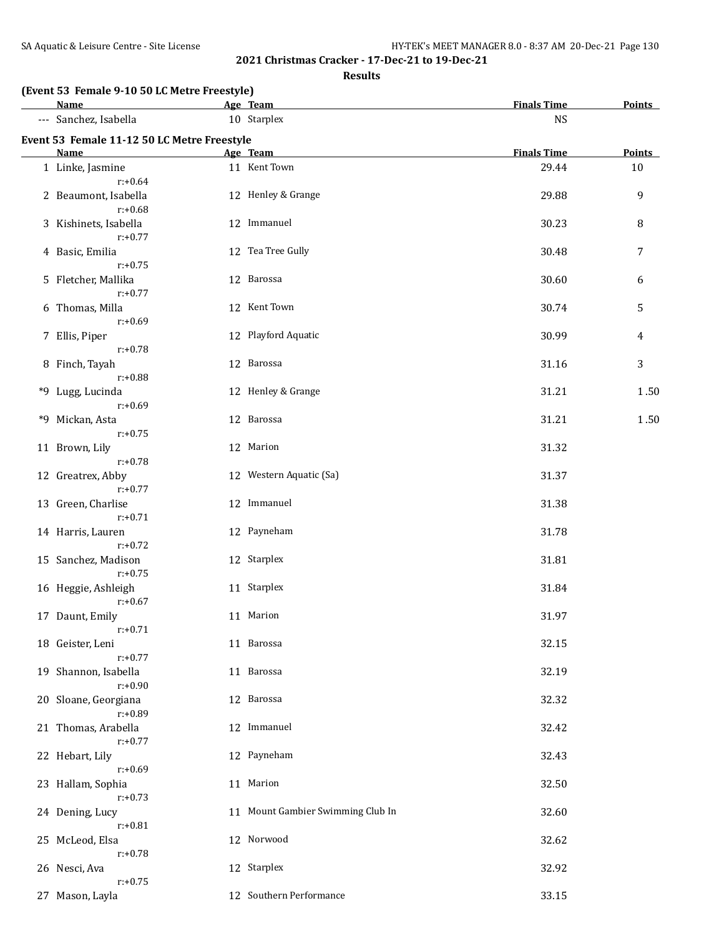**Results**

| (Event 53 Female 9-10 50 LC Metre Freestyle)<br><b>Name</b> | Age Team                          | <b>Finals Time</b> | <b>Points</b> |
|-------------------------------------------------------------|-----------------------------------|--------------------|---------------|
| --- Sanchez, Isabella                                       | 10 Starplex                       | <b>NS</b>          |               |
| Event 53 Female 11-12 50 LC Metre Freestyle                 |                                   |                    |               |
| <b>Name</b>                                                 | Age Team                          | <b>Finals Time</b> | <b>Points</b> |
| 1 Linke, Jasmine<br>$r: +0.64$                              | 11 Kent Town                      | 29.44              | 10            |
| 2 Beaumont, Isabella<br>$r: +0.68$                          | 12 Henley & Grange                | 29.88              | 9             |
| 3 Kishinets, Isabella<br>$r: +0.77$                         | 12 Immanuel                       | 30.23              | 8             |
| 4 Basic, Emilia<br>$r: +0.75$                               | 12 Tea Tree Gully                 | 30.48              | 7             |
| 5 Fletcher, Mallika<br>$r: +0.77$                           | 12 Barossa                        | 30.60              | 6             |
| 6 Thomas, Milla<br>$r: +0.69$                               | 12 Kent Town                      | 30.74              | 5             |
| 7 Ellis, Piper<br>$r: +0.78$                                | 12 Playford Aquatic               | 30.99              | 4             |
| 8 Finch, Tayah<br>$r: +0.88$                                | 12 Barossa                        | 31.16              | 3             |
| *9 Lugg, Lucinda<br>$r: +0.69$                              | 12 Henley & Grange                | 31.21              | 1.50          |
| *9 Mickan, Asta<br>$r: +0.75$                               | 12 Barossa                        | 31.21              | 1.50          |
| 11 Brown, Lily<br>$r: +0.78$                                | 12 Marion                         | 31.32              |               |
| 12 Greatrex, Abby<br>$r: +0.77$                             | 12 Western Aquatic (Sa)           | 31.37              |               |
| 13 Green, Charlise<br>$r: +0.71$                            | 12 Immanuel                       | 31.38              |               |
| 14 Harris, Lauren<br>$r: +0.72$                             | 12 Payneham                       | 31.78              |               |
| 15 Sanchez, Madison<br>$r: +0.75$                           | 12 Starplex                       | 31.81              |               |
| 16 Heggie, Ashleigh<br>$r: +0.67$                           | 11 Starplex                       | 31.84              |               |
| 17 Daunt, Emily<br>$r: +0.71$                               | 11 Marion                         | 31.97              |               |
| 18 Geister, Leni<br>$r: +0.77$                              | 11 Barossa                        | 32.15              |               |
| 19 Shannon, Isabella<br>$r: +0.90$                          | 11 Barossa                        | 32.19              |               |
| 20 Sloane, Georgiana<br>$r: +0.89$                          | 12 Barossa                        | 32.32              |               |
| 21 Thomas, Arabella<br>$r: +0.77$                           | 12 Immanuel                       | 32.42              |               |
| 22 Hebart, Lily<br>$r: +0.69$                               | 12 Payneham                       | 32.43              |               |
| 23 Hallam, Sophia<br>$r: +0.73$                             | 11 Marion                         | 32.50              |               |
| 24 Dening, Lucy<br>$r: +0.81$                               | 11 Mount Gambier Swimming Club In | 32.60              |               |
| 25 McLeod, Elsa<br>$r: +0.78$                               | 12 Norwood                        | 32.62              |               |
| 26 Nesci, Ava<br>$r: +0.75$                                 | 12 Starplex                       | 32.92              |               |

27 Mason, Layla 12 Southern Performance 33.15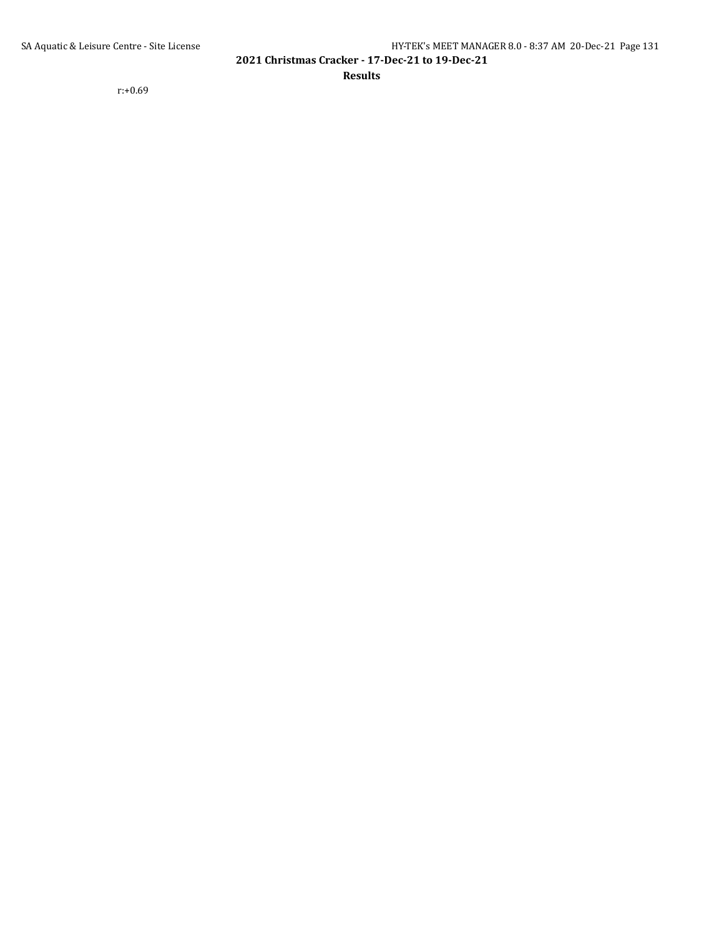**Results**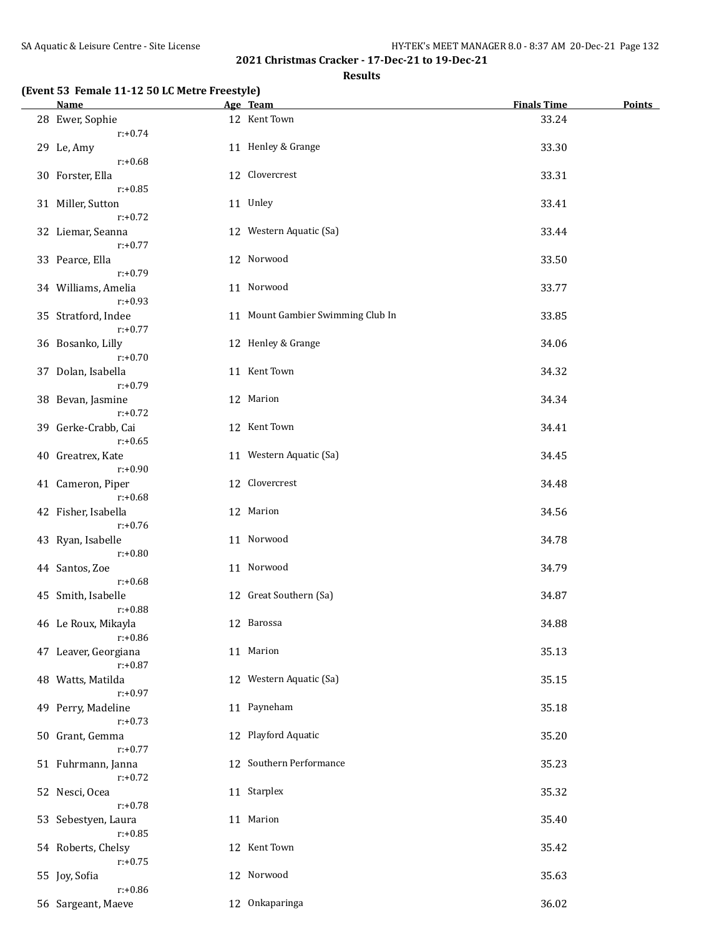**Results**

# **(Event 53 Female 11-12 50 LC Metre Freestyle)**

| <b>Name</b>                                   | Age Team                          | <b>Finals Time</b> | <b>Points</b> |
|-----------------------------------------------|-----------------------------------|--------------------|---------------|
| 28 Ewer, Sophie<br>$r: +0.74$                 | 12 Kent Town                      | 33.24              |               |
| 29 Le, Amy<br>$r: +0.68$                      | 11 Henley & Grange                | 33.30              |               |
| 30 Forster, Ella                              | 12 Clovercrest                    | 33.31              |               |
| $r: +0.85$<br>31 Miller, Sutton               | 11 Unley                          | 33.41              |               |
| $r: +0.72$<br>32 Liemar, Seanna<br>$r: +0.77$ | 12 Western Aquatic (Sa)           | 33.44              |               |
| 33 Pearce, Ella<br>$r: +0.79$                 | 12 Norwood                        | 33.50              |               |
| 34 Williams, Amelia<br>$r: +0.93$             | 11 Norwood                        | 33.77              |               |
| 35 Stratford, Indee<br>$r: +0.77$             | 11 Mount Gambier Swimming Club In | 33.85              |               |
| 36 Bosanko, Lilly<br>$r: +0.70$               | 12 Henley & Grange                | 34.06              |               |
| 37 Dolan, Isabella<br>$r: +0.79$              | 11 Kent Town                      | 34.32              |               |
| 38 Bevan, Jasmine<br>$r: +0.72$               | 12 Marion                         | 34.34              |               |
| 39 Gerke-Crabb, Cai<br>$r: +0.65$             | 12 Kent Town                      | 34.41              |               |
| 40 Greatrex, Kate<br>$r: +0.90$               | 11 Western Aquatic (Sa)           | 34.45              |               |
| 41 Cameron, Piper<br>$r: +0.68$               | 12 Clovercrest                    | 34.48              |               |
| 42 Fisher, Isabella<br>$r: +0.76$             | 12 Marion                         | 34.56              |               |
| 43 Ryan, Isabelle<br>$r: +0.80$               | 11 Norwood                        | 34.78              |               |
| 44 Santos, Zoe<br>$r: +0.68$                  | 11 Norwood                        | 34.79              |               |
| 45 Smith, Isabelle<br>$r: +0.88$              | 12 Great Southern (Sa)            | 34.87              |               |
| 46 Le Roux, Mikayla<br>$r: +0.86$             | 12 Barossa                        | 34.88              |               |
| 47 Leaver, Georgiana<br>$r: +0.87$            | 11 Marion                         | 35.13              |               |
| 48 Watts, Matilda<br>$r: +0.97$               | 12 Western Aquatic (Sa)           | 35.15              |               |
| 49 Perry, Madeline<br>$r: +0.73$              | 11 Payneham                       | 35.18              |               |
| 50 Grant, Gemma<br>$r: +0.77$                 | 12 Playford Aquatic               | 35.20              |               |
| 51 Fuhrmann, Janna<br>$r: +0.72$              | 12 Southern Performance           | 35.23              |               |
| 52 Nesci, Ocea<br>$r: +0.78$                  | 11 Starplex                       | 35.32              |               |
| 53 Sebestyen, Laura<br>$r: +0.85$             | 11 Marion                         | 35.40              |               |
| 54 Roberts, Chelsy<br>$r: +0.75$              | 12 Kent Town                      | 35.42              |               |
| 55 Joy, Sofia<br>$r: +0.86$                   | 12 Norwood                        | 35.63              |               |
| 56 Sargeant, Maeve                            | 12 Onkaparinga                    | 36.02              |               |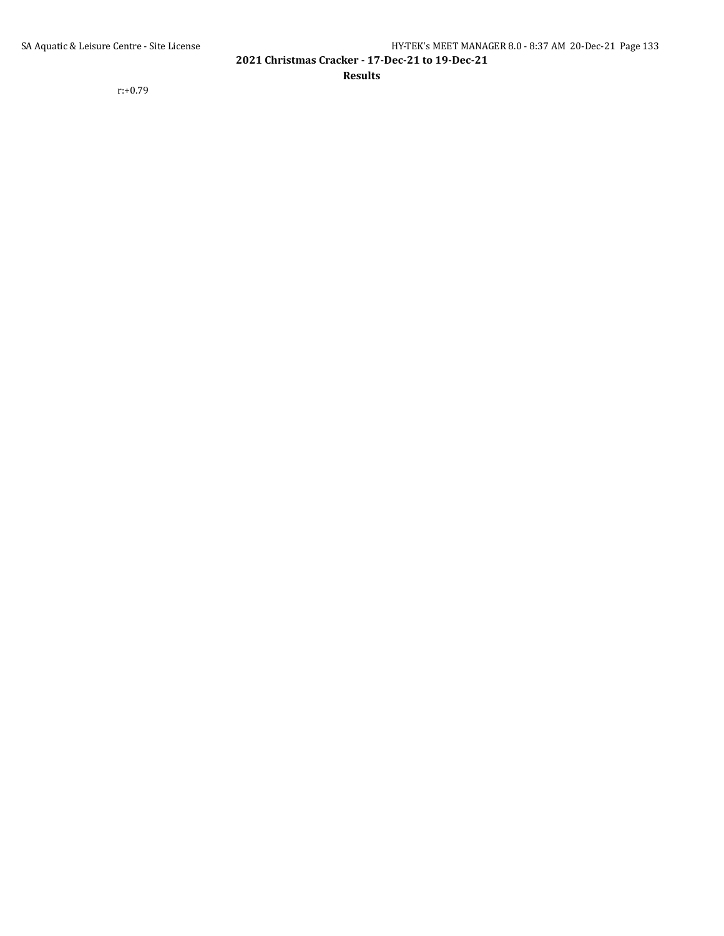**Results**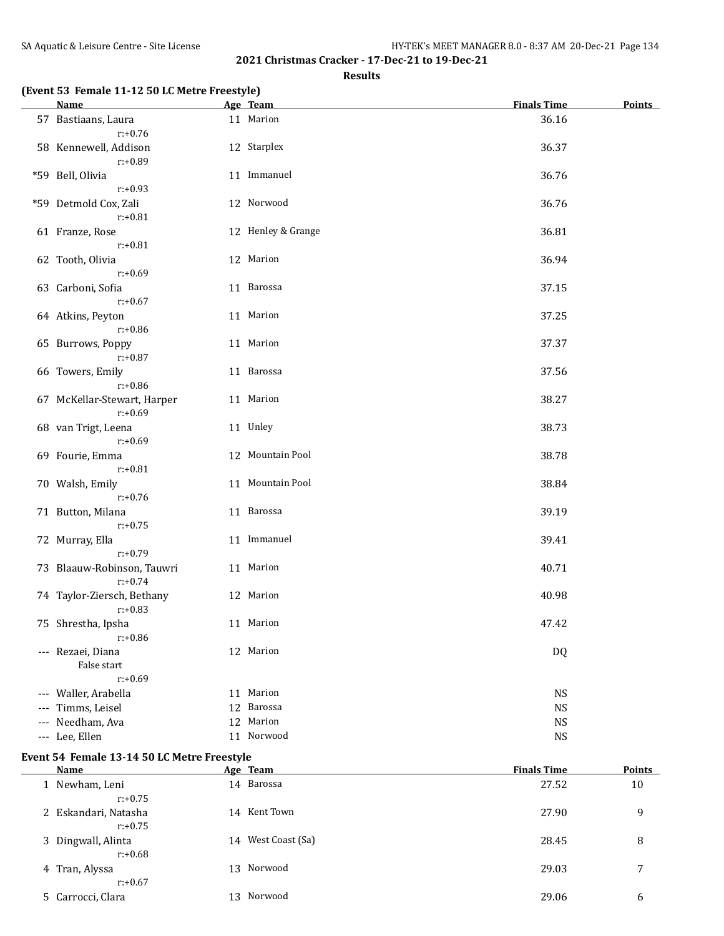**Results**

## **(Event 53 Female 11-12 50 LC Metre Freestyle)**

| <b>Name</b>                                    | Age Team           | <b>Finals Time</b> | <b>Points</b> |
|------------------------------------------------|--------------------|--------------------|---------------|
| 57 Bastiaans, Laura<br>$r: +0.76$              | 11 Marion          | 36.16              |               |
| 58 Kennewell, Addison<br>$r: +0.89$            | 12 Starplex        | 36.37              |               |
| *59 Bell, Olivia<br>$r: +0.93$                 | 11 Immanuel        | 36.76              |               |
| *59 Detmold Cox, Zali<br>$r: +0.81$            | 12 Norwood         | 36.76              |               |
| 61 Franze, Rose<br>$r: +0.81$                  | 12 Henley & Grange | 36.81              |               |
| 62 Tooth, Olivia<br>$r: +0.69$                 | 12 Marion          | 36.94              |               |
| 63 Carboni, Sofia<br>$r: +0.67$                | 11 Barossa         | 37.15              |               |
| 64 Atkins, Peyton<br>$r: +0.86$                | 11 Marion          | 37.25              |               |
| 65 Burrows, Poppy<br>$r: +0.87$                | 11 Marion          | 37.37              |               |
| 66 Towers, Emily<br>$r: +0.86$                 | 11 Barossa         | 37.56              |               |
| 67 McKellar-Stewart, Harper<br>$r: +0.69$      | 11 Marion          | 38.27              |               |
| 68 van Trigt, Leena<br>$r: +0.69$              | 11 Unley           | 38.73              |               |
| 69 Fourie, Emma<br>$r: +0.81$                  | 12 Mountain Pool   | 38.78              |               |
| 70 Walsh, Emily<br>$r: +0.76$                  | 11 Mountain Pool   | 38.84              |               |
| 71 Button, Milana<br>$r: +0.75$                | 11 Barossa         | 39.19              |               |
| 72 Murray, Ella<br>$r: +0.79$                  | 11 Immanuel        | 39.41              |               |
| 73 Blaauw-Robinson, Tauwri<br>$r: +0.74$       | 11 Marion          | 40.71              |               |
| 74 Taylor-Ziersch, Bethany<br>$r: +0.83$       | 12 Marion          | 40.98              |               |
| 75 Shrestha, Ipsha<br>$r: +0.86$               | 11 Marion          | 47.42              |               |
| --- Rezaei, Diana<br>False start<br>$r: +0.69$ | 12 Marion          | DQ                 |               |
| --- Waller, Arabella                           | 11 Marion          | <b>NS</b>          |               |
| --- Timms, Leisel                              | 12 Barossa         | <b>NS</b>          |               |
| --- Needham, Ava                               | 12 Marion          | $_{\rm NS}$        |               |
| --- Lee, Ellen                                 | 11 Norwood         | $_{\rm NS}$        |               |

## **Event 54 Female 13-14 50 LC Metre Freestyle**

| <b>Name</b>                        |    | Age Team        | <b>Finals Time</b> | <b>Points</b> |
|------------------------------------|----|-----------------|--------------------|---------------|
| 1 Newham, Leni<br>$r: +0.75$       |    | 14 Barossa      | 27.52              | 10            |
| 2 Eskandari, Natasha<br>$r: +0.75$ |    | 14 Kent Town    | 27.90              | 9             |
| 3 Dingwall, Alinta<br>$r: +0.68$   | 14 | West Coast (Sa) | 28.45              | 8             |
| 4 Tran, Alyssa<br>$r: +0.67$       |    | 13 Norwood      | 29.03              | 7             |
| 5 Carrocci, Clara                  | 13 | Norwood         | 29.06              | 6             |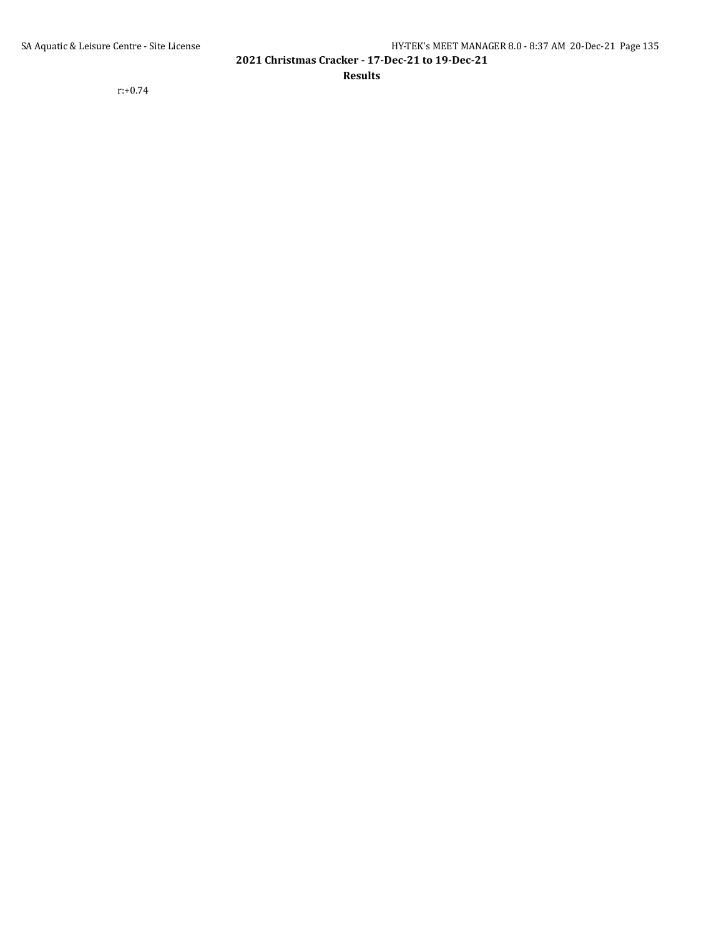**Results**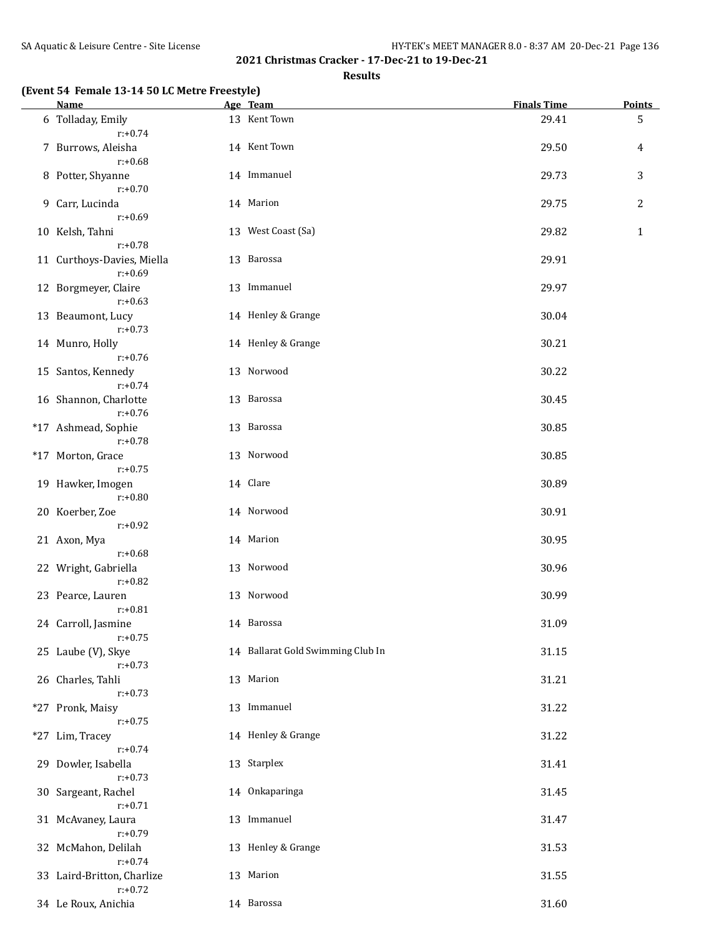**Results**

### **(Event 54 Female 13-14 50 LC Metre Freestyle)**

| <b>Name</b>                              | Age Team                          | <b>Finals Time</b> | <b>Points</b> |
|------------------------------------------|-----------------------------------|--------------------|---------------|
| 6 Tolladay, Emily<br>$r: +0.74$          | 13 Kent Town                      | 29.41              | 5             |
| 7 Burrows, Aleisha<br>$r: +0.68$         | 14 Kent Town                      | 29.50              | 4             |
| 8 Potter, Shyanne<br>$r: +0.70$          | 14 Immanuel                       | 29.73              | 3             |
| 9 Carr, Lucinda<br>$r: +0.69$            | 14 Marion                         | 29.75              | 2             |
| 10 Kelsh, Tahni<br>$r: +0.78$            | 13 West Coast (Sa)                | 29.82              | $\mathbf{1}$  |
| 11 Curthoys-Davies, Miella<br>$r: +0.69$ | 13 Barossa                        | 29.91              |               |
| 12 Borgmeyer, Claire<br>$r: +0.63$       | 13 Immanuel                       | 29.97              |               |
| 13 Beaumont, Lucy<br>$r: +0.73$          | 14 Henley & Grange                | 30.04              |               |
| 14 Munro, Holly<br>$r: +0.76$            | 14 Henley & Grange                | 30.21              |               |
| 15 Santos, Kennedy<br>$r: +0.74$         | 13 Norwood                        | 30.22              |               |
| 16 Shannon, Charlotte<br>$r: +0.76$      | 13 Barossa                        | 30.45              |               |
| *17 Ashmead, Sophie<br>$r: +0.78$        | 13 Barossa                        | 30.85              |               |
| *17 Morton, Grace<br>$r: +0.75$          | 13 Norwood                        | 30.85              |               |
| 19 Hawker, Imogen<br>$r: +0.80$          | 14 Clare                          | 30.89              |               |
| 20 Koerber, Zoe<br>$r: +0.92$            | 14 Norwood                        | 30.91              |               |
| 21 Axon, Mya<br>$r: +0.68$               | 14 Marion                         | 30.95              |               |
| 22 Wright, Gabriella<br>$r: +0.82$       | 13 Norwood                        | 30.96              |               |
| 23 Pearce, Lauren<br>$r: +0.81$          | 13 Norwood                        | 30.99              |               |
| 24 Carroll, Jasmine<br>$r: +0.75$        | 14 Barossa                        | 31.09              |               |
| 25 Laube (V), Skye<br>$r: +0.73$         | 14 Ballarat Gold Swimming Club In | 31.15              |               |
| 26 Charles, Tahli<br>$r: +0.73$          | 13 Marion                         | 31.21              |               |
| *27 Pronk, Maisy<br>$r: +0.75$           | 13 Immanuel                       | 31.22              |               |
| *27 Lim, Tracey<br>$r: +0.74$            | 14 Henley & Grange                | 31.22              |               |
| 29 Dowler, Isabella<br>$r: +0.73$        | 13 Starplex                       | 31.41              |               |
| 30 Sargeant, Rachel<br>$r: +0.71$        | 14 Onkaparinga                    | 31.45              |               |
| 31 McAvaney, Laura<br>$r: +0.79$         | 13 Immanuel                       | 31.47              |               |
| 32 McMahon, Delilah<br>$r: +0.74$        | 13 Henley & Grange                | 31.53              |               |
| 33 Laird-Britton, Charlize<br>$r: +0.72$ | 13 Marion                         | 31.55              |               |
| 34 Le Roux, Anichia                      | 14 Barossa                        | 31.60              |               |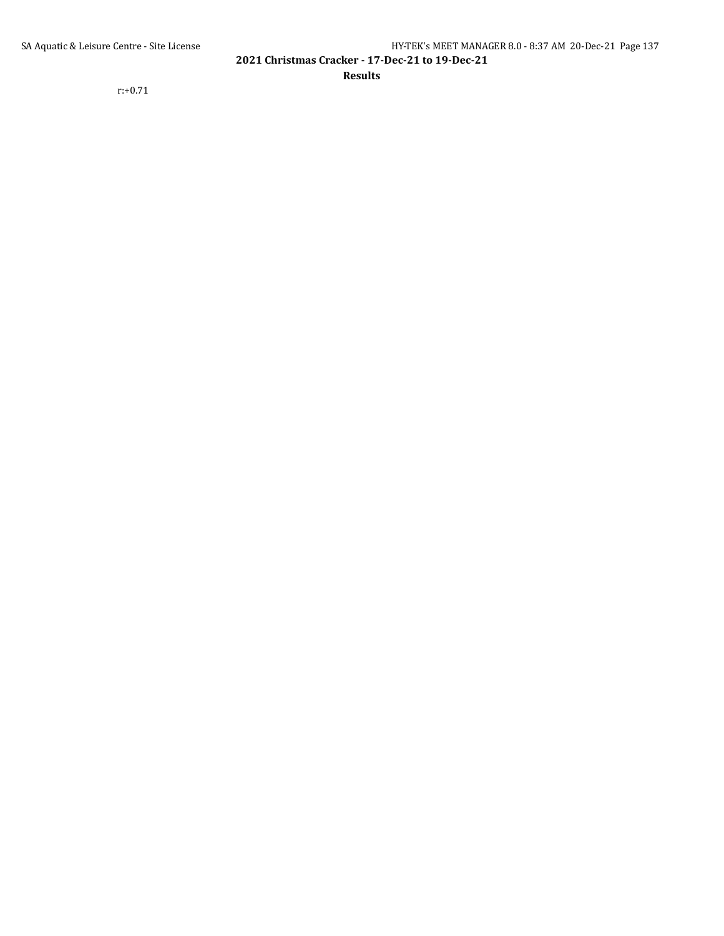**Results**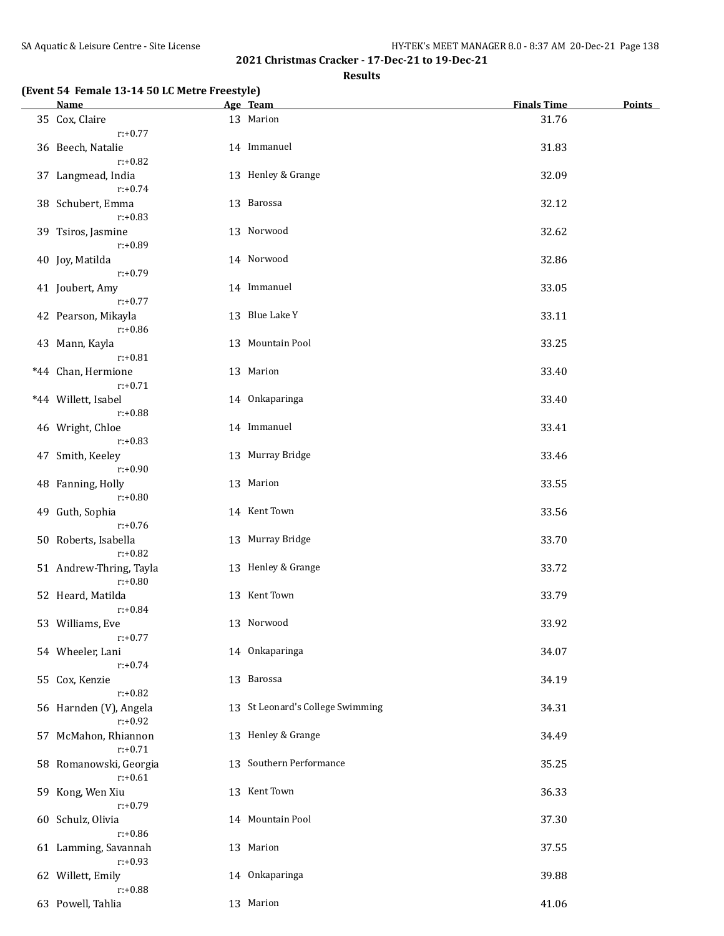**Results**

## **(Event 54 Female 13-14 50 LC Metre Freestyle)**

| <b>Name</b>                           | Age Team                         | <b>Finals Time</b> | <b>Points</b> |
|---------------------------------------|----------------------------------|--------------------|---------------|
| 35 Cox, Claire<br>$r: +0.77$          | 13 Marion                        | 31.76              |               |
| 36 Beech, Natalie<br>$r: +0.82$       | 14 Immanuel                      | 31.83              |               |
| 37 Langmead, India<br>$r: +0.74$      | 13 Henley & Grange               | 32.09              |               |
| 38 Schubert, Emma<br>$r: +0.83$       | 13 Barossa                       | 32.12              |               |
| 39 Tsiros, Jasmine<br>$r: +0.89$      | 13 Norwood                       | 32.62              |               |
| 40 Joy, Matilda<br>$r: +0.79$         | 14 Norwood                       | 32.86              |               |
| 41 Joubert, Amy<br>$r: +0.77$         | 14 Immanuel                      | 33.05              |               |
| 42 Pearson, Mikayla<br>$r: +0.86$     | 13 Blue Lake Y                   | 33.11              |               |
| 43 Mann, Kayla<br>$r: +0.81$          | 13 Mountain Pool                 | 33.25              |               |
| *44 Chan, Hermione<br>$r: +0.71$      | 13 Marion                        | 33.40              |               |
| *44 Willett, Isabel<br>$r: +0.88$     | 14 Onkaparinga                   | 33.40              |               |
| 46 Wright, Chloe<br>$r: +0.83$        | 14 Immanuel                      | 33.41              |               |
| 47 Smith, Keeley<br>$r: +0.90$        | 13 Murray Bridge                 | 33.46              |               |
| 48 Fanning, Holly<br>$r: +0.80$       | 13 Marion                        | 33.55              |               |
| 49 Guth, Sophia<br>$r: +0.76$         | 14 Kent Town                     | 33.56              |               |
| 50 Roberts, Isabella<br>$r: +0.82$    | 13 Murray Bridge                 | 33.70              |               |
| 51 Andrew-Thring, Tayla<br>$r: +0.80$ | 13 Henley & Grange               | 33.72              |               |
| 52 Heard, Matilda<br>$r: +0.84$       | 13 Kent Town                     | 33.79              |               |
| 53 Williams, Eve<br>$r: +0.77$        | 13 Norwood                       | 33.92              |               |
| 54 Wheeler, Lani<br>$r: +0.74$        | 14 Onkaparinga                   | 34.07              |               |
| 55 Cox, Kenzie<br>$r: +0.82$          | 13 Barossa                       | 34.19              |               |
| 56 Harnden (V), Angela<br>$r: +0.92$  | 13 St Leonard's College Swimming | 34.31              |               |
| 57 McMahon, Rhiannon<br>$r: +0.71$    | 13 Henley & Grange               | 34.49              |               |
| 58 Romanowski, Georgia<br>$r: +0.61$  | 13 Southern Performance          | 35.25              |               |
| 59 Kong, Wen Xiu<br>$r: +0.79$        | 13 Kent Town                     | 36.33              |               |
| 60 Schulz, Olivia<br>$r: +0.86$       | 14 Mountain Pool                 | 37.30              |               |
| 61 Lamming, Savannah<br>$r: +0.93$    | 13 Marion                        | 37.55              |               |
| 62 Willett, Emily<br>$r: +0.88$       | 14 Onkaparinga                   | 39.88              |               |
| 63 Powell, Tahlia                     | 13 Marion                        | 41.06              |               |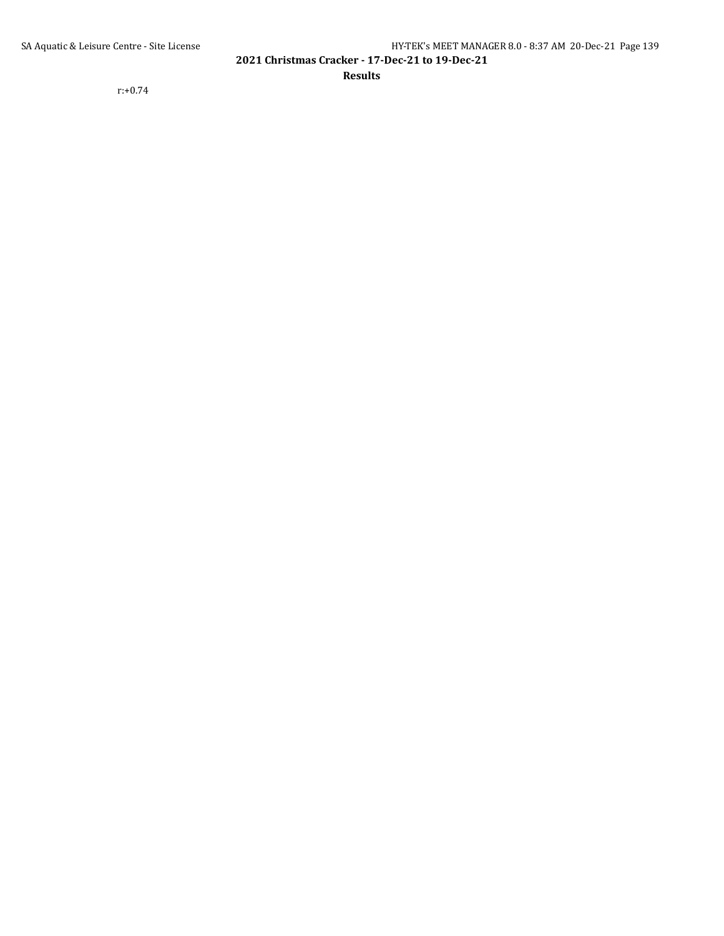**Results**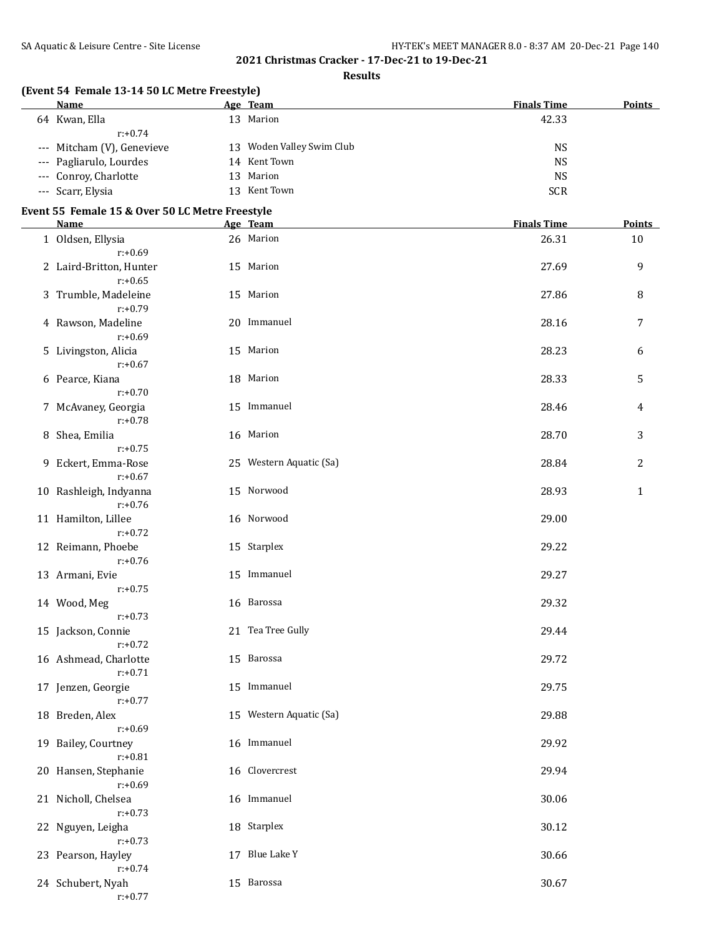#### **Results**

## **(Event 54 Female 13-14 50 LC Metre Freestyle)**

| Name                       |     | Age Team                  | <b>Finals Time</b> | <b>Points</b> |
|----------------------------|-----|---------------------------|--------------------|---------------|
| 64 Kwan, Ella              | 13  | Marion                    | 42.33              |               |
| $r: +0.74$                 |     |                           |                    |               |
| --- Mitcham (V), Genevieve |     | 13 Woden Valley Swim Club | NS                 |               |
| --- Pagliarulo, Lourdes    |     | 14 Kent Town              | NS                 |               |
| --- Conroy, Charlotte      | 13  | Marion                    | <b>NS</b>          |               |
| --- Scarr, Elysia          | 13. | Kent Town                 | <b>SCR</b>         |               |

### **Event 55 Female 15 & Over 50 LC Metre Freestyle**

| <b>Name</b>                           | Age Team                | <b>Finals Time</b> | <b>Points</b> |
|---------------------------------------|-------------------------|--------------------|---------------|
| 1 Oldsen, Ellysia<br>$r: +0.69$       | 26 Marion               | 26.31              | 10            |
| 2 Laird-Britton, Hunter<br>$r: +0.65$ | 15 Marion               | 27.69              | 9             |
| 3 Trumble, Madeleine<br>$r: +0.79$    | 15 Marion               | 27.86              | 8             |
| 4 Rawson, Madeline<br>$r: +0.69$      | 20 Immanuel             | 28.16              | 7             |
| 5 Livingston, Alicia<br>$r: +0.67$    | 15 Marion               | 28.23              | 6             |
| 6 Pearce, Kiana<br>$r: +0.70$         | 18 Marion               | 28.33              | 5             |
| 7 McAvaney, Georgia<br>$r: +0.78$     | 15 Immanuel             | 28.46              | 4             |
| 8 Shea, Emilia<br>$r: +0.75$          | 16 Marion               | 28.70              | 3             |
| 9 Eckert, Emma-Rose<br>$r: +0.67$     | 25 Western Aquatic (Sa) | 28.84              | 2             |
| 10 Rashleigh, Indyanna<br>$r: +0.76$  | 15 Norwood              | 28.93              | $\mathbf{1}$  |
| 11 Hamilton, Lillee<br>$r: +0.72$     | 16 Norwood              | 29.00              |               |
| 12 Reimann, Phoebe<br>$r: +0.76$      | 15 Starplex             | 29.22              |               |
| 13 Armani, Evie<br>$r: +0.75$         | 15 Immanuel             | 29.27              |               |
| 14 Wood, Meg<br>$r: +0.73$            | 16 Barossa              | 29.32              |               |
| 15 Jackson, Connie<br>$r: +0.72$      | 21 Tea Tree Gully       | 29.44              |               |
| 16 Ashmead, Charlotte<br>$r: +0.71$   | 15 Barossa              | 29.72              |               |
| 17 Jenzen, Georgie<br>$r: +0.77$      | 15 Immanuel             | 29.75              |               |
| 18 Breden, Alex<br>$r: +0.69$         | 15 Western Aquatic (Sa) | 29.88              |               |
| 19 Bailey, Courtney<br>$r: +0.81$     | 16 Immanuel             | 29.92              |               |
| 20 Hansen, Stephanie<br>$r: +0.69$    | 16 Clovercrest          | 29.94              |               |
| 21 Nicholl, Chelsea<br>$r: +0.73$     | 16 Immanuel             | 30.06              |               |
| 22 Nguyen, Leigha<br>$r: +0.73$       | 18 Starplex             | 30.12              |               |
| 23 Pearson, Hayley<br>$r: +0.74$      | 17 Blue Lake Y          | 30.66              |               |
| 24 Schubert, Nyah<br>$r: +0.77$       | 15 Barossa              | 30.67              |               |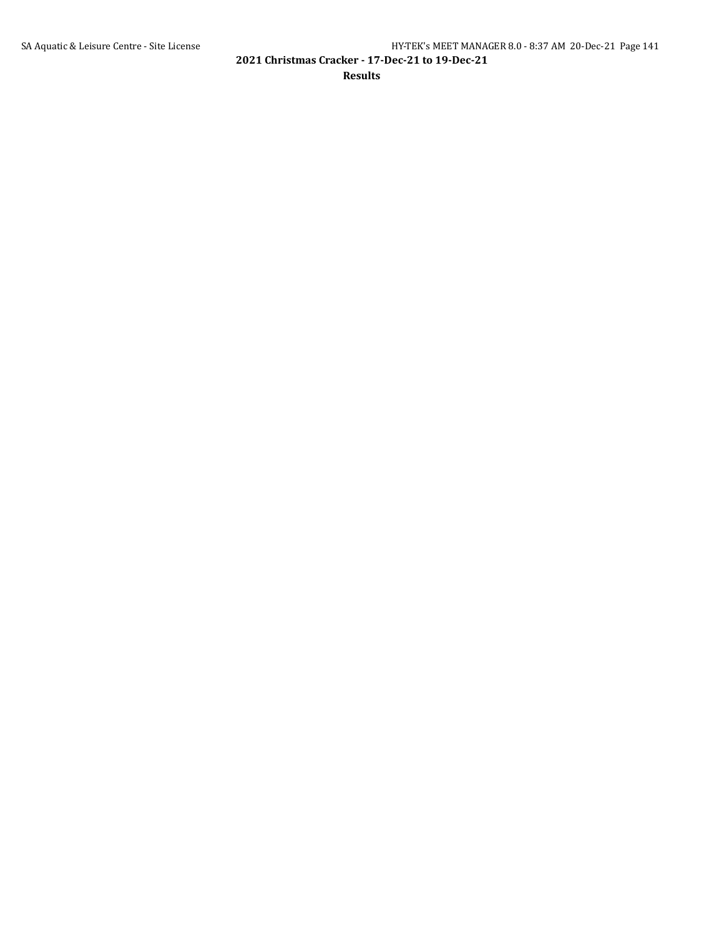**Results**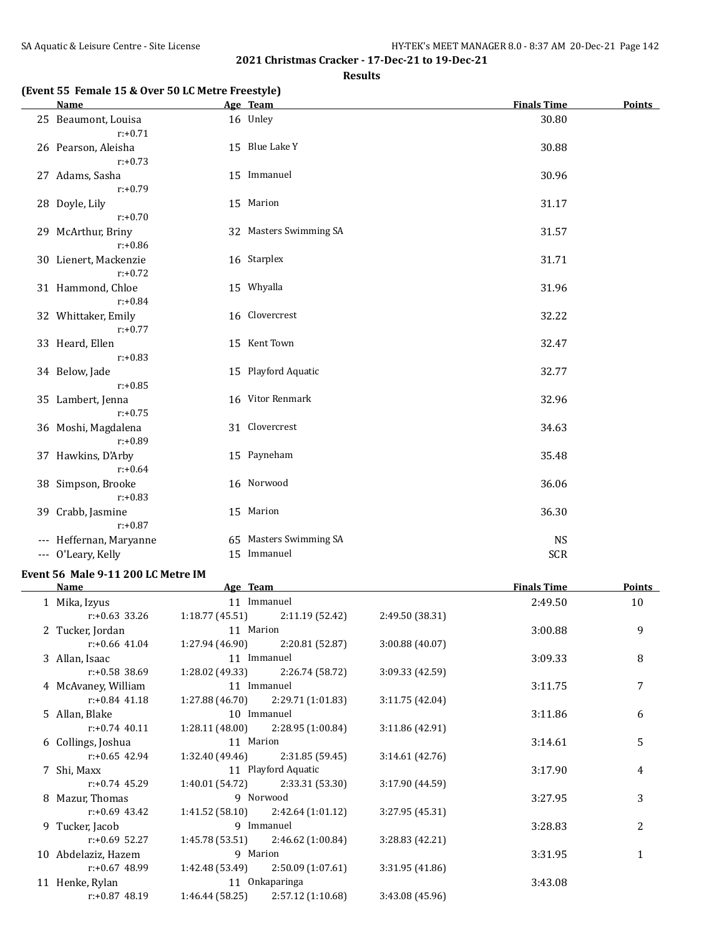**Results**

# **(Event 55 Female 15 & Over 50 LC Metre Freestyle)**

| <b>Name</b>                         | Age Team               | <b>Finals Time</b> | <b>Points</b> |
|-------------------------------------|------------------------|--------------------|---------------|
| 25 Beaumont, Louisa<br>$r: +0.71$   | 16 Unley               | 30.80              |               |
| 26 Pearson, Aleisha<br>$r: +0.73$   | 15 Blue Lake Y         | 30.88              |               |
| 27 Adams, Sasha<br>$r: +0.79$       | 15 Immanuel            | 30.96              |               |
| 28 Doyle, Lily<br>$r: +0.70$        | 15 Marion              | 31.17              |               |
| 29 McArthur, Briny<br>$r: +0.86$    | 32 Masters Swimming SA | 31.57              |               |
| 30 Lienert, Mackenzie<br>$r: +0.72$ | 16 Starplex            | 31.71              |               |
| 31 Hammond, Chloe<br>$r: +0.84$     | 15 Whyalla             | 31.96              |               |
| 32 Whittaker, Emily<br>$r: +0.77$   | 16 Clovercrest         | 32.22              |               |
| 33 Heard, Ellen<br>$r: +0.83$       | 15 Kent Town           | 32.47              |               |
| 34 Below, Jade<br>$r: +0.85$        | 15 Playford Aquatic    | 32.77              |               |
| 35 Lambert, Jenna<br>$r: +0.75$     | 16 Vitor Renmark       | 32.96              |               |
| 36 Moshi, Magdalena<br>$r: +0.89$   | 31 Clovercrest         | 34.63              |               |
| 37 Hawkins, D'Arby<br>$r: +0.64$    | 15 Payneham            | 35.48              |               |
| 38 Simpson, Brooke<br>$r: +0.83$    | 16 Norwood             | 36.06              |               |
| 39 Crabb, Jasmine<br>$r: +0.87$     | 15 Marion              | 36.30              |               |
| --- Heffernan, Maryanne             | 65 Masters Swimming SA | <b>NS</b>          |               |
| --- O'Leary, Kelly                  | 15 Immanuel            | <b>SCR</b>         |               |

### **Event 56 Male 9-11 200 LC Metre IM**

|               | <b>Name</b>         | Age Team    |                                     |                 | <b>Finals Time</b> | <b>Points</b> |
|---------------|---------------------|-------------|-------------------------------------|-----------------|--------------------|---------------|
| 1 Mika, Izyus |                     | 11 Immanuel |                                     |                 | 2:49.50            | 10            |
|               | $r: +0.63$ 33.26    |             | $1:18.77(45.51)$ $2:11.19(52.42)$   | 2:49.50 (38.31) |                    |               |
|               | 2 Tucker, Jordan    | 11 Marion   |                                     |                 | 3:00.88            | 9             |
|               | $r: +0.66$ 41.04    |             | $1:27.94(46.90)$ 2:20.81(52.87)     | 3:00.88 (40.07) |                    |               |
|               | 3 Allan, Isaac      |             | 11 Immanuel                         |                 | 3:09.33            | 8             |
|               | r:+0.58 38.69       |             | $1:28.02(49.33)$ $2:26.74(58.72)$   | 3:09.33 (42.59) |                    |               |
|               | 4 McAvaney, William |             | 11 Immanuel                         |                 | 3:11.75            | 7             |
|               | $r: +0.84$ 41.18    |             | $1:27.88(46.70)$ $2:29.71(1:01.83)$ | 3:11.75(42.04)  |                    |               |
|               | 5 Allan, Blake      |             | 10 Immanuel                         |                 | 3:11.86            | 6             |
|               | $r: +0.74$ 40.11    |             | $1:28.11(48.00)$ $2:28.95(1:00.84)$ | 3:11.86 (42.91) |                    |               |
|               | 6 Collings, Joshua  |             | 11 Marion                           |                 |                    | 5             |
|               | $r: +0.65$ 42.94    |             | $1:32.40(49.46)$ $2:31.85(59.45)$   | 3:14.61(42.76)  |                    |               |
|               | 7 Shi, Maxx         |             | 11 Playford Aquatic                 |                 |                    | 4             |
|               | $r: +0.74$ 45.29    |             | $1:40.01(54.72)$ $2:33.31(53.30)$   | 3:17.90(44.59)  |                    |               |
|               | 8 Mazur, Thomas     |             | 9 Norwood                           |                 | 3:27.95            | 3             |
|               | $r: +0.69$ 43.42    |             | $1:41.52(58.10)$ $2:42.64(1:01.12)$ | 3:27.95 (45.31) |                    |               |
|               | 9 Tucker, Jacob     |             | 9 Immanuel                          |                 | 3:28.83            | 2             |
|               | $r: +0.69$ 52.27    |             | $1:45.78(53.51)$ $2:46.62(1:00.84)$ | 3:28.83 (42.21) |                    |               |
|               | 10 Abdelaziz, Hazem |             | 9 Marion                            |                 | 3:31.95            |               |
|               | $r: +0.67$ 48.99    |             | $1:42.48(53.49)$ $2:50.09(1:07.61)$ | 3:31.95(41.86)  |                    |               |
|               | 11 Henke, Rylan     |             | 11 Onkaparinga                      |                 | 3:43.08            |               |
|               | $r: +0.87$ 48.19    |             | $1:46.44(58.25)$ $2:57.12(1:10.68)$ | 3:43.08 (45.96) |                    |               |
|               |                     |             |                                     |                 |                    |               |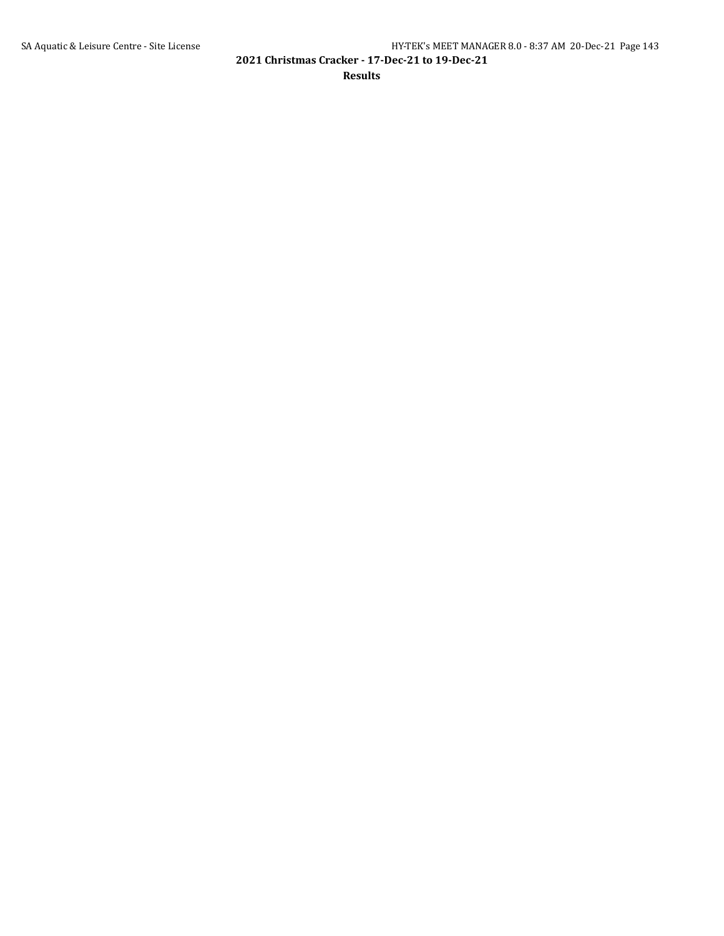**Results**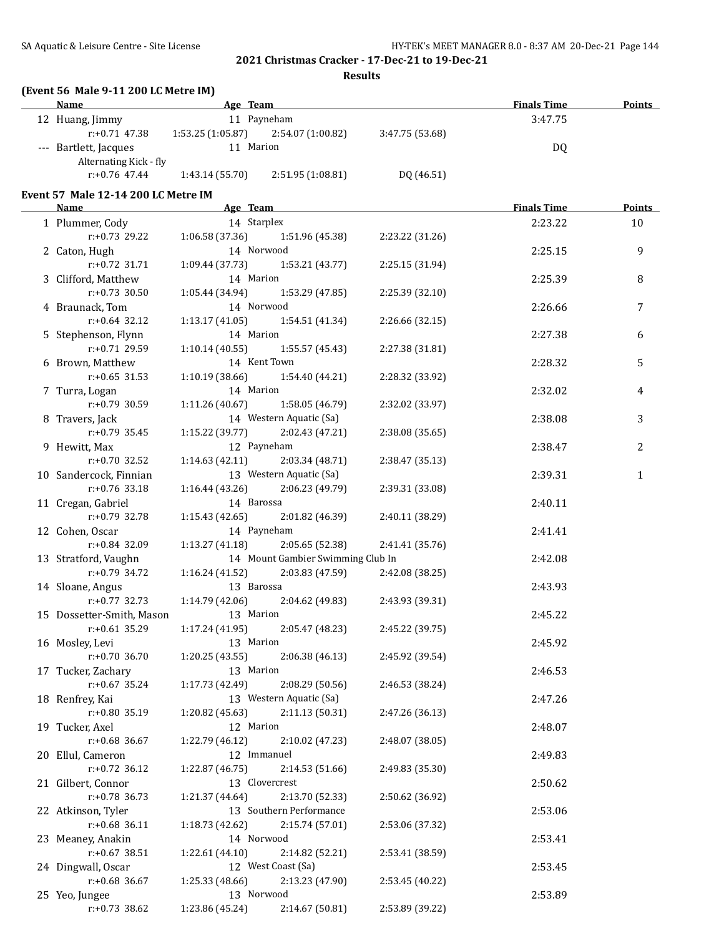**Results**

## **(Event 56 Male 9-11 200 LC Metre IM)**

| <b>Name</b>            | Age Team         |                   |                 | <b>Finals Time</b> | <b>Points</b> |
|------------------------|------------------|-------------------|-----------------|--------------------|---------------|
| 12 Huang, Jimmy        | 11               | Payneham          |                 | 3:47.75            |               |
| r:+0.71 47.38          | 1:53.25(1:05.87) | 2:54.07 (1:00.82) | 3:47.75 (53.68) |                    |               |
| --- Bartlett, Jacques  |                  | Marion            |                 | D <sub>0</sub>     |               |
| Alternating Kick - fly |                  |                   |                 |                    |               |
| $r: +0.76$ 47.44       | 1:43.14(55.70)   | 2:51.95 (1:08.81) | DQ (46.51)      |                    |               |

#### **Event 57 Male 12-14 200 LC Metre IM**

| <b>Name</b>                            | Age Team                      |                                     |                 | <b>Finals Time</b> | <b>Points</b>  |
|----------------------------------------|-------------------------------|-------------------------------------|-----------------|--------------------|----------------|
| 1 Plummer, Cody                        | 14 Starplex                   |                                     |                 | 2:23.22            | 10             |
| $r: +0.73$ 29.22                       |                               | $1:06.58(37.36)$ $1:51.96(45.38)$   | 2:23.22 (31.26) |                    |                |
| 2 Caton, Hugh                          | 14 Norwood                    |                                     |                 | 2:25.15            | $\overline{9}$ |
| $r: +0.72$ 31.71                       |                               | $1:09.44(37.73)$ $1:53.21(43.77)$   | 2:25.15 (31.94) |                    |                |
| 3 Clifford, Matthew                    | 14 Marion                     |                                     |                 | 2:25.39            | 8              |
| $r: +0.73$ 30.50                       |                               | 1:05.44 (34.94) 1:53.29 (47.85)     | 2:25.39 (32.10) |                    |                |
| 4 Braunack, Tom                        | 14 Norwood                    |                                     |                 | 2:26.66            | 7              |
| $r: +0.64$ 32.12                       |                               | $1:13.17(41.05)$ $1:54.51(41.34)$   | 2:26.66(32.15)  |                    |                |
| 5 Stephenson, Flynn                    | 14 Marion                     |                                     |                 | 2:27.38            | 6              |
| $r: +0.71$ 29.59                       | 1:10.14(40.55)                | 1:55.57 (45.43)                     | 2:27.38 (31.81) |                    |                |
| 6 Brown, Matthew                       | 14 Kent Town                  |                                     |                 | 2:28.32            | 5              |
| $r: +0.65$ 31.53                       |                               | $1:10.19$ (38.66) $1:54.40$ (44.21) | 2:28.32 (33.92) |                    |                |
| 7 Turra, Logan                         | 14 Marion                     |                                     |                 | 2:32.02            | 4              |
| $r: +0.79$ 30.59                       |                               | $1:11.26(40.67)$ $1:58.05(46.79)$   | 2:32.02 (33.97) |                    |                |
| 8 Travers, Jack                        |                               | 14 Western Aquatic (Sa)             |                 | 2:38.08            | 3              |
| $r: +0.79$ 35.45                       |                               | $1:15.22$ (39.77) $2:02.43$ (47.21) | 2:38.08 (35.65) |                    |                |
| 9 Hewitt, Max                          | 12 Payneham                   |                                     |                 | 2:38.47            | 2              |
| $r: +0.70$ 32.52                       |                               | $1:14.63(42.11)$ $2:03.34(48.71)$   | 2:38.47 (35.13) |                    |                |
| 10 Sandercock, Finnian                 |                               | 13 Western Aquatic (Sa)             |                 | 2:39.31            | $\mathbf{1}$   |
| $r: +0.76$ 33.18                       |                               | $1:16.44(43.26)$ $2:06.23(49.79)$   | 2:39.31 (33.08) |                    |                |
| 11 Cregan, Gabriel                     | 14 Barossa                    |                                     |                 | 2:40.11            |                |
| r:+0.79 32.78                          |                               | $1:15.43(42.65)$ $2:01.82(46.39)$   | 2:40.11 (38.29) |                    |                |
| 12 Cohen, Oscar                        | 14 Payneham                   |                                     |                 | 2:41.41            |                |
| $r: +0.84$ 32.09                       |                               | $1:13.27(41.18)$ $2:05.65(52.38)$   | 2:41.41 (35.76) |                    |                |
| 13 Stratford, Vaughn                   |                               | 14 Mount Gambier Swimming Club In   |                 | 2:42.08            |                |
| $r: +0.79$ 34.72                       |                               | $1:16.24(41.52)$ $2:03.83(47.59)$   | 2:42.08 (38.25) |                    |                |
| 14 Sloane, Angus                       | 13 Barossa                    |                                     |                 | 2:43.93            |                |
| r:+0.77 32.73                          |                               | $1:14.79(42.06)$ $2:04.62(49.83)$   | 2:43.93 (39.31) |                    |                |
| 15 Dossetter-Smith, Mason              | 13 Marion                     |                                     |                 | 2:45.22            |                |
| $r: +0.61$ 35.29                       |                               | $1:17.24(41.95)$ $2:05.47(48.23)$   | 2:45.22 (39.75) |                    |                |
| 16 Mosley, Levi                        | 13 Marion                     |                                     |                 | 2:45.92            |                |
| $r: +0.70$ 36.70                       |                               | $1:20.25(43.55)$ $2:06.38(46.13)$   | 2:45.92 (39.54) |                    |                |
| 17 Tucker, Zachary                     | 13 Marion                     |                                     |                 | 2:46.53            |                |
| $r: +0.67$ 35.24                       |                               | $1:17.73(42.49)$ $2:08.29(50.56)$   | 2:46.53 (38.24) |                    |                |
| 18 Renfrey, Kai                        |                               | 13 Western Aquatic (Sa)             |                 | 2:47.26            |                |
| $r: +0.80$ 35.19                       | 1:20.82 (45.63)               | 2:11.13(50.31)                      | 2:47.26 (36.13) |                    |                |
| 19 Tucker, Axel                        | 12 Marion                     |                                     |                 | 2:48.07            |                |
| r:+0.68 36.67                          | 1:22.79 (46.12)               | 2:10.02 (47.23)                     | 2:48.07 (38.05) |                    |                |
| 20 Ellul, Cameron                      | 12 Immanuel                   |                                     |                 | 2:49.83            |                |
| $r: +0.72$ 36.12                       | 1:22.87 (46.75)               | 2:14.53 (51.66)                     | 2:49.83 (35.30) |                    |                |
| 21 Gilbert, Connor                     |                               | 13 Clovercrest                      |                 | 2:50.62            |                |
| $r: +0.78$ 36.73                       | 1:21.37(44.64)                | 2:13.70 (52.33)                     | 2:50.62 (36.92) |                    |                |
| 22 Atkinson, Tyler                     |                               | 13 Southern Performance             |                 | 2:53.06            |                |
| r:+0.68 36.11                          |                               | 2:15.74 (57.01)                     |                 |                    |                |
| 23 Meaney, Anakin                      | 1:18.73 (42.62)<br>14 Norwood |                                     | 2:53.06 (37.32) | 2:53.41            |                |
| r:+0.67 38.51                          | 1:22.61(44.10)                | 2:14.82 (52.21)                     | 2:53.41 (38.59) |                    |                |
|                                        |                               | 12 West Coast (Sa)                  |                 | 2:53.45            |                |
| 24 Dingwall, Oscar<br>$r: +0.68$ 36.67 | 1:25.33(48.66)                | 2:13.23 (47.90)                     | 2:53.45 (40.22) |                    |                |
| 25 Yeo, Jungee                         | 13 Norwood                    |                                     |                 | 2:53.89            |                |
| r:+0.73 38.62                          | 1:23.86 (45.24)               | 2:14.67 (50.81)                     | 2:53.89 (39.22) |                    |                |
|                                        |                               |                                     |                 |                    |                |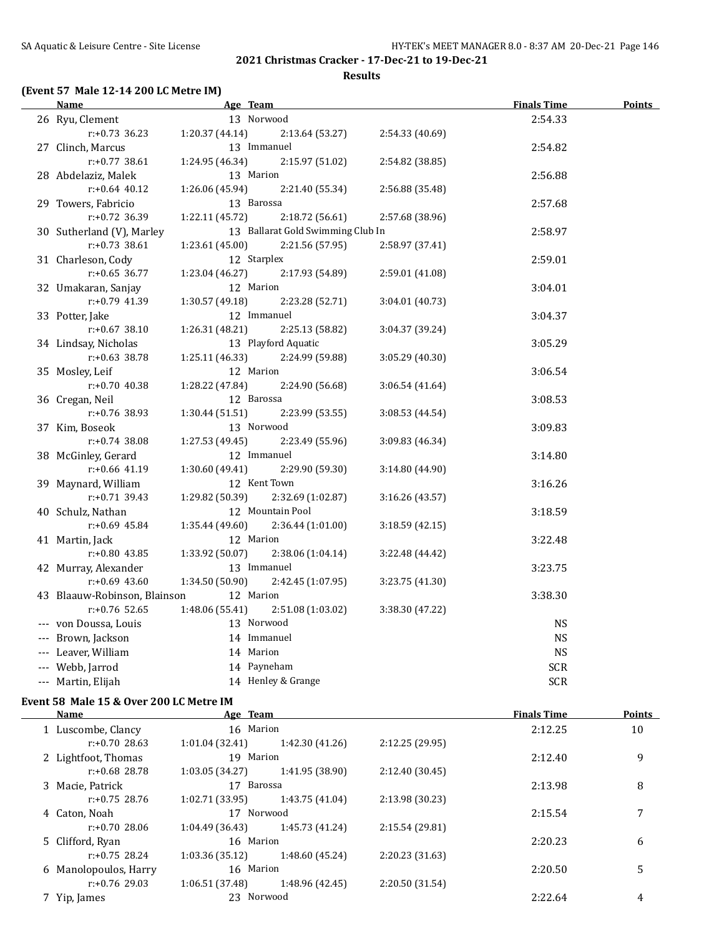#### **Results**

### **(Event 57 Male 12-14 200 LC Metre IM)**

| <u>Name</u>                  | Age Team        |                                   |                 | <b>Finals Time</b> | <b>Points</b> |
|------------------------------|-----------------|-----------------------------------|-----------------|--------------------|---------------|
| 26 Ryu, Clement              | 13 Norwood      |                                   |                 | 2:54.33            |               |
| $r: +0.73$ 36.23             | 1:20.37(44.14)  | 2:13.64 (53.27)                   | 2:54.33 (40.69) |                    |               |
| 27 Clinch, Marcus            |                 | 13 Immanuel                       |                 | 2:54.82            |               |
| $r: +0.77$ 38.61             | 1:24.95 (46.34) | 2:15.97 (51.02)                   | 2:54.82 (38.85) |                    |               |
| 28 Abdelaziz, Malek          | 13 Marion       |                                   |                 | 2:56.88            |               |
| $r: +0.64$ 40.12             | 1:26.06 (45.94) | 2:21.40 (55.34)                   | 2:56.88 (35.48) |                    |               |
| 29 Towers, Fabricio          | 13 Barossa      |                                   |                 | 2:57.68            |               |
| r:+0.72 36.39                | 1:22.11(45.72)  | 2:18.72(56.61)                    | 2:57.68 (38.96) |                    |               |
| 30 Sutherland (V), Marley    |                 | 13 Ballarat Gold Swimming Club In |                 | 2:58.97            |               |
| $r: +0.73$ 38.61             | 1:23.61(45.00)  | 2:21.56 (57.95)                   | 2:58.97 (37.41) |                    |               |
| 31 Charleson, Cody           | 12 Starplex     |                                   |                 | 2:59.01            |               |
| $r: +0.65$ 36.77             | 1:23.04 (46.27) | 2:17.93 (54.89)                   | 2:59.01 (41.08) |                    |               |
| 32 Umakaran, Sanjay          | 12 Marion       |                                   |                 | 3:04.01            |               |
| r:+0.79 41.39                | 1:30.57 (49.18) | 2:23.28 (52.71)                   | 3:04.01 (40.73) |                    |               |
| 33 Potter, Jake              |                 | 12 Immanuel                       |                 | 3:04.37            |               |
| $r: +0.67$ 38.10             | 1:26.31 (48.21) | 2:25.13 (58.82)                   | 3:04.37 (39.24) |                    |               |
| 34 Lindsay, Nicholas         |                 | 13 Playford Aquatic               |                 | 3:05.29            |               |
| $r: +0.63$ 38.78             | 1:25.11 (46.33) | 2:24.99 (59.88)                   | 3:05.29 (40.30) |                    |               |
| 35 Mosley, Leif              | 12 Marion       |                                   |                 | 3:06.54            |               |
| $r: +0.70$ 40.38             | 1:28.22 (47.84) | 2:24.90 (56.68)                   | 3:06.54(41.64)  |                    |               |
| 36 Cregan, Neil              | 12 Barossa      |                                   |                 | 3:08.53            |               |
| r:+0.76 38.93                | 1:30.44(51.51)  | 2:23.99 (53.55)                   | 3:08.53 (44.54) |                    |               |
| 37 Kim, Boseok               | 13 Norwood      |                                   |                 | 3:09.83            |               |
| $r: +0.74$ 38.08             | 1:27.53 (49.45) | 2:23.49 (55.96)                   | 3:09.83 (46.34) |                    |               |
| 38 McGinley, Gerard          |                 | 12 Immanuel                       |                 | 3:14.80            |               |
| $r: +0.66$ 41.19             | 1:30.60 (49.41) | 2:29.90 (59.30)                   | 3:14.80 (44.90) |                    |               |
| 39 Maynard, William          |                 | 12 Kent Town                      |                 | 3:16.26            |               |
| $r: +0.71$ 39.43             | 1:29.82 (50.39) | 2:32.69 (1:02.87)                 | 3:16.26 (43.57) |                    |               |
| 40 Schulz, Nathan            |                 | 12 Mountain Pool                  |                 | 3:18.59            |               |
| $r: +0.69$ 45.84             | 1:35.44(49.60)  | 2:36.44 (1:01.00)                 | 3:18.59(42.15)  |                    |               |
| 41 Martin, Jack              | 12 Marion       |                                   |                 | 3:22.48            |               |
| $r: +0.80$ 43.85             | 1:33.92 (50.07) | 2:38.06 (1:04.14)                 | 3:22.48 (44.42) |                    |               |
| 42 Murray, Alexander         |                 | 13 Immanuel                       |                 | 3:23.75            |               |
| $r: +0.69$ 43.60             | 1:34.50 (50.90) | 2:42.45 (1:07.95)                 | 3:23.75 (41.30) |                    |               |
| 43 Blaauw-Robinson, Blainson | 12 Marion       |                                   |                 | 3:38.30            |               |
| $r: +0.76$ 52.65             | 1:48.06 (55.41) | 2:51.08 (1:03.02)                 | 3:38.30 (47.22) |                    |               |
| --- von Doussa, Louis        | 13 Norwood      |                                   |                 | <b>NS</b>          |               |
| --- Brown, Jackson           |                 | 14 Immanuel                       |                 | <b>NS</b>          |               |
| --- Leaver, William          | 14 Marion       |                                   |                 | <b>NS</b>          |               |
| --- Webb, Jarrod             |                 | 14 Payneham                       |                 | <b>SCR</b>         |               |
| --- Martin, Elijah           |                 | 14 Henley & Grange                |                 | <b>SCR</b>         |               |

### **Event 58 Male 15 & Over 200 LC Metre IM**

| Name                  | Age Team        |                 |                 | <b>Finals Time</b> | <b>Points</b> |
|-----------------------|-----------------|-----------------|-----------------|--------------------|---------------|
| 1 Luscombe, Clancy    | 16 Marion       |                 |                 | 2:12.25            | 10            |
| $r: +0.70$ 28.63      | 1:01.04(32.41)  | 1:42.30(41.26)  | 2:12.25 (29.95) |                    |               |
| 2 Lightfoot, Thomas   | 19 Marion       |                 |                 | 2:12.40            | 9             |
| $r: +0.68$ 28.78      | 1:03.05 (34.27) | 1:41.95 (38.90) | 2:12.40 (30.45) |                    |               |
| 3 Macie, Patrick      | 17 Barossa      |                 |                 | 2:13.98            | 8             |
| $r: +0.75$ 28.76      | 1:02.71 (33.95) | 1:43.75 (41.04) | 2:13.98 (30.23) |                    |               |
| 4 Caton, Noah         | 17 Norwood      |                 |                 | 2:15.54            | 7             |
| $r: +0.70$ 28.06      | 1:04.49(36.43)  | 1:45.73 (41.24) | 2:15.54 (29.81) |                    |               |
| 5 Clifford, Ryan      | 16 Marion       |                 |                 | 2:20.23            | 6             |
| $r: +0.75$ 28.24      | 1:03.36(35.12)  | 1:48.60 (45.24) | 2:20.23 (31.63) |                    |               |
| 6 Manolopoulos, Harry | 16 Marion       |                 |                 | 2:20.50            | 5             |
| $r: +0.76$ 29.03      | 1:06.51 (37.48) | 1:48.96 (42.45) | 2:20.50 (31.54) |                    |               |
| 7 Yip, James          | 23 Norwood      |                 |                 | 2:22.64            | 4             |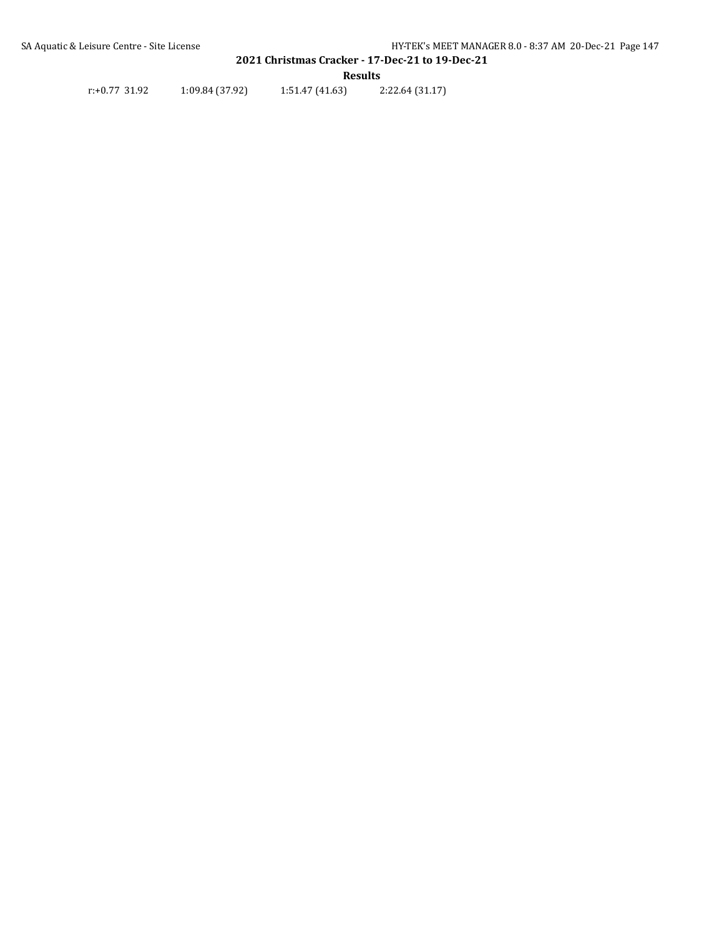**Results**

r:+0.77 31.92 1:09.84 (37.92) 1:51.47 (41.63) 2:22.64 (31.17)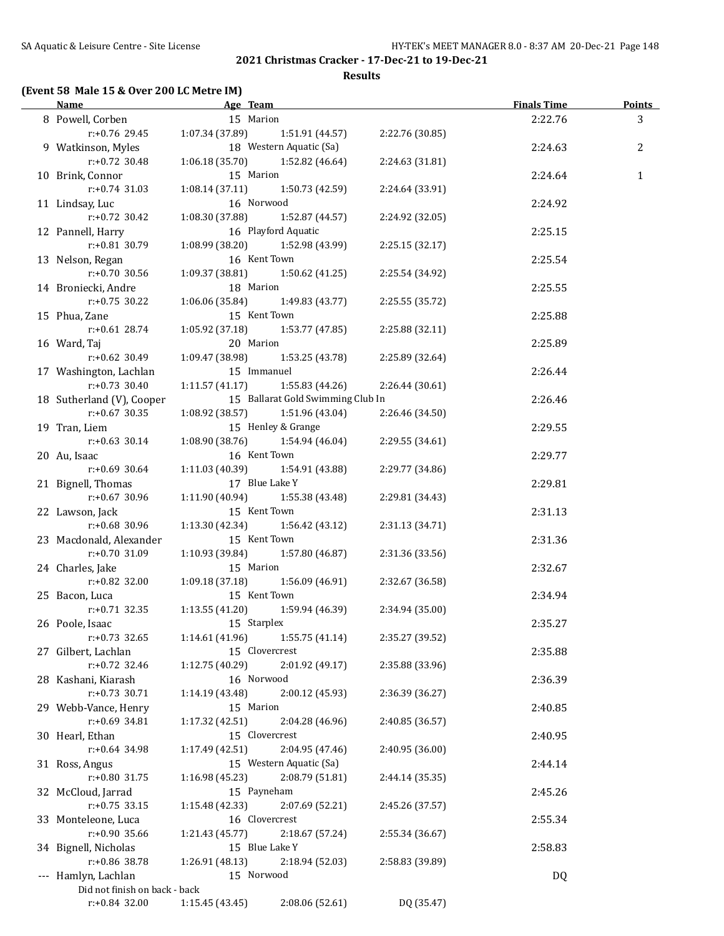#### **Results**

### **(Event 58 Male 15 & Over 200 LC Metre IM)**

| <b>Name</b>                   | Age Team        |                                   |                 | <b>Finals Time</b> | <b>Points</b>  |
|-------------------------------|-----------------|-----------------------------------|-----------------|--------------------|----------------|
| 8 Powell, Corben              | 15 Marion       |                                   |                 | 2:22.76            | 3              |
| r:+0.76 29.45                 | 1:07.34 (37.89) | 1:51.91 (44.57)                   | 2:22.76 (30.85) |                    |                |
| 9 Watkinson, Myles            |                 | 18 Western Aquatic (Sa)           |                 | 2:24.63            | $\overline{2}$ |
| $r: +0.72$ 30.48              | 1:06.18(35.70)  | 1:52.82 (46.64)                   | 2:24.63 (31.81) |                    |                |
| 10 Brink, Connor              | 15 Marion       |                                   |                 | 2:24.64            | $\mathbf{1}$   |
| $r: +0.74$ 31.03              | 1:08.14 (37.11) | 1:50.73 (42.59)                   | 2:24.64 (33.91) |                    |                |
| 11 Lindsay, Luc               | 16 Norwood      |                                   |                 | 2:24.92            |                |
| $r: +0.72$ 30.42              | 1:08.30 (37.88) | 1:52.87 (44.57)                   | 2:24.92 (32.05) |                    |                |
| 12 Pannell, Harry             |                 | 16 Playford Aquatic               |                 | 2:25.15            |                |
| $r: +0.81$ 30.79              | 1:08.99 (38.20) | 1:52.98 (43.99)                   | 2:25.15 (32.17) |                    |                |
| 13 Nelson, Regan              | 16 Kent Town    |                                   |                 | 2:25.54            |                |
|                               |                 |                                   |                 |                    |                |
| $r: +0.70$ 30.56              | 1:09.37 (38.81) | 1:50.62 (41.25)                   | 2:25.54 (34.92) |                    |                |
| 14 Broniecki, Andre           | 18 Marion       |                                   |                 | 2:25.55            |                |
| $r: +0.75$ 30.22              | 1:06.06 (35.84) | 1:49.83 (43.77)                   | 2:25.55 (35.72) |                    |                |
| 15 Phua, Zane                 | 15 Kent Town    |                                   |                 | 2:25.88            |                |
| $r: +0.61$ 28.74              | 1:05.92 (37.18) | 1:53.77 (47.85)                   | 2:25.88 (32.11) |                    |                |
| 16 Ward, Taj                  | 20 Marion       |                                   |                 | 2:25.89            |                |
| $r: +0.62$ 30.49              | 1:09.47 (38.98) | 1:53.25 (43.78)                   | 2:25.89 (32.64) |                    |                |
| 17 Washington, Lachlan        | 15 Immanuel     |                                   |                 | 2:26.44            |                |
| $r: +0.73$ 30.40              | 1:11.57 (41.17) | 1:55.83(44.26)                    | 2:26.44 (30.61) |                    |                |
| 18 Sutherland (V), Cooper     |                 | 15 Ballarat Gold Swimming Club In |                 | 2:26.46            |                |
| $r: +0.67$ 30.35              | 1:08.92 (38.57) | 1:51.96 (43.04)                   | 2:26.46 (34.50) |                    |                |
| 19 Tran, Liem                 |                 | 15 Henley & Grange                |                 | 2:29.55            |                |
| $r: +0.63$ 30.14              | 1:08.90 (38.76) | 1:54.94 (46.04)                   | 2:29.55 (34.61) |                    |                |
| 20 Au, Isaac                  | 16 Kent Town    |                                   |                 | 2:29.77            |                |
| $r: +0.69$ 30.64              |                 | $1:11.03(40.39)$ $1:54.91(43.88)$ | 2:29.77 (34.86) |                    |                |
| 21 Bignell, Thomas            |                 | 17 Blue Lake Y                    |                 | 2:29.81            |                |
| $r: +0.67$ 30.96              | 1:11.90 (40.94) | 1:55.38 (43.48)                   | 2:29.81 (34.43) |                    |                |
| 22 Lawson, Jack               | 15 Kent Town    |                                   |                 | 2:31.13            |                |
| $r: +0.68$ 30.96              |                 | $1:13.30(42.34)$ $1:56.42(43.12)$ |                 |                    |                |
|                               |                 |                                   | 2:31.13 (34.71) |                    |                |
| 23 Macdonald, Alexander       | 15 Kent Town    |                                   |                 | 2:31.36            |                |
| $r: +0.70$ 31.09              | 1:10.93 (39.84) | 1:57.80 (46.87)                   | 2:31.36 (33.56) |                    |                |
| 24 Charles, Jake              | 15 Marion       |                                   |                 | 2:32.67            |                |
| $r: +0.82$ 32.00              | 1:09.18 (37.18) | 1:56.09 (46.91)                   | 2:32.67 (36.58) |                    |                |
| 25 Bacon, Luca                | 15 Kent Town    |                                   |                 | 2:34.94            |                |
| $r: +0.71$ 32.35              |                 | $1:13.55(41.20)$ $1:59.94(46.39)$ | 2:34.94 (35.00) |                    |                |
| 26 Poole, Isaac               | 15 Starplex     |                                   |                 | 2:35.27            |                |
| $r: +0.73$ 32.65              | 1:14.61(41.96)  | 1:55.75 (41.14)                   | 2:35.27 (39.52) |                    |                |
| 27 Gilbert, Lachlan           |                 | 15 Clovercrest                    |                 | 2:35.88            |                |
| r:+0.72 32.46                 | 1:12.75 (40.29) | 2:01.92 (49.17)                   | 2:35.88 (33.96) |                    |                |
| 28 Kashani, Kiarash           | 16 Norwood      |                                   |                 | 2:36.39            |                |
| $r: +0.73$ 30.71              | 1:14.19 (43.48) | 2:00.12 (45.93)                   | 2:36.39 (36.27) |                    |                |
| 29 Webb-Vance, Henry          | 15 Marion       |                                   |                 | 2:40.85            |                |
| r:+0.69 34.81                 | 1:17.32(42.51)  | 2:04.28 (46.96)                   | 2:40.85 (36.57) |                    |                |
| 30 Hearl, Ethan               |                 | 15 Clovercrest                    |                 | 2:40.95            |                |
| r:+0.64 34.98                 | 1:17.49 (42.51) | 2:04.95 (47.46)                   | 2:40.95 (36.00) |                    |                |
|                               |                 | 15 Western Aquatic (Sa)           |                 |                    |                |
| 31 Ross, Angus                |                 |                                   |                 | 2:44.14            |                |
| $r: +0.80$ 31.75              | 1:16.98 (45.23) | 2:08.79 (51.81)                   | 2:44.14 (35.35) |                    |                |
| 32 McCloud, Jarrad            | 15 Payneham     |                                   |                 | 2:45.26            |                |
| $r: +0.75$ 33.15              | 1:15.48 (42.33) | 2:07.69 (52.21)                   | 2:45.26 (37.57) |                    |                |
| 33 Monteleone, Luca           |                 | 16 Clovercrest                    |                 | 2:55.34            |                |
| r:+0.90 35.66                 | 1:21.43 (45.77) | 2:18.67 (57.24)                   | 2:55.34 (36.67) |                    |                |
| 34 Bignell, Nicholas          |                 | 15 Blue Lake Y                    |                 | 2:58.83            |                |
| r:+0.86 38.78                 | 1:26.91 (48.13) | 2:18.94 (52.03)                   | 2:58.83 (39.89) |                    |                |
| --- Hamlyn, Lachlan           | 15 Norwood      |                                   |                 | <b>DQ</b>          |                |
| Did not finish on back - back |                 |                                   |                 |                    |                |
| r:+0.84 32.00                 | 1:15.45 (43.45) | 2:08.06 (52.61)                   | DQ (35.47)      |                    |                |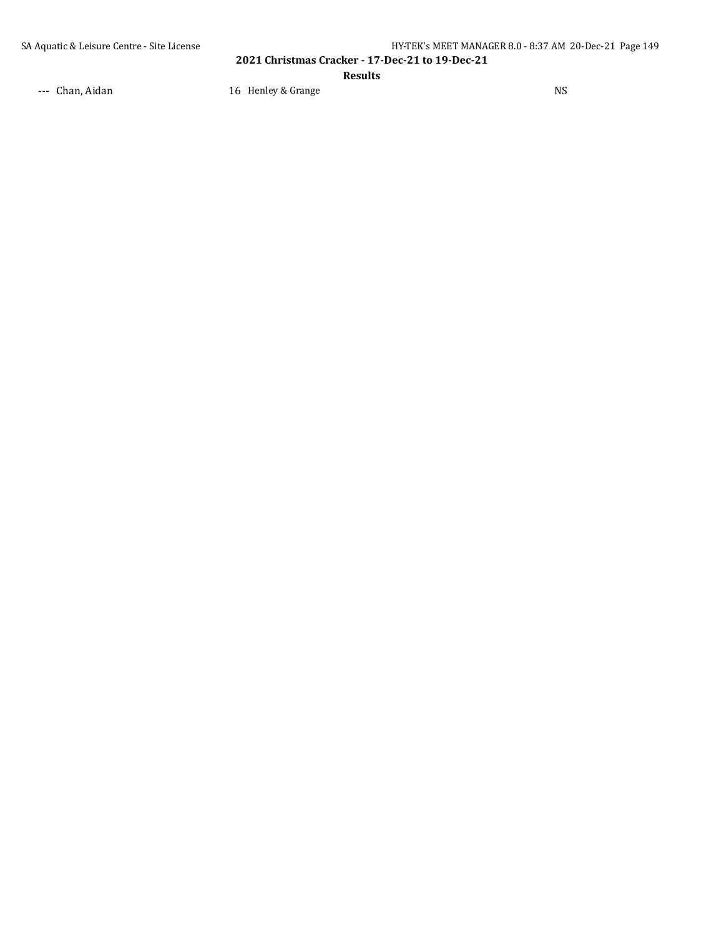**Results**

--- Chan, Aidan 16 Henley & Grange NS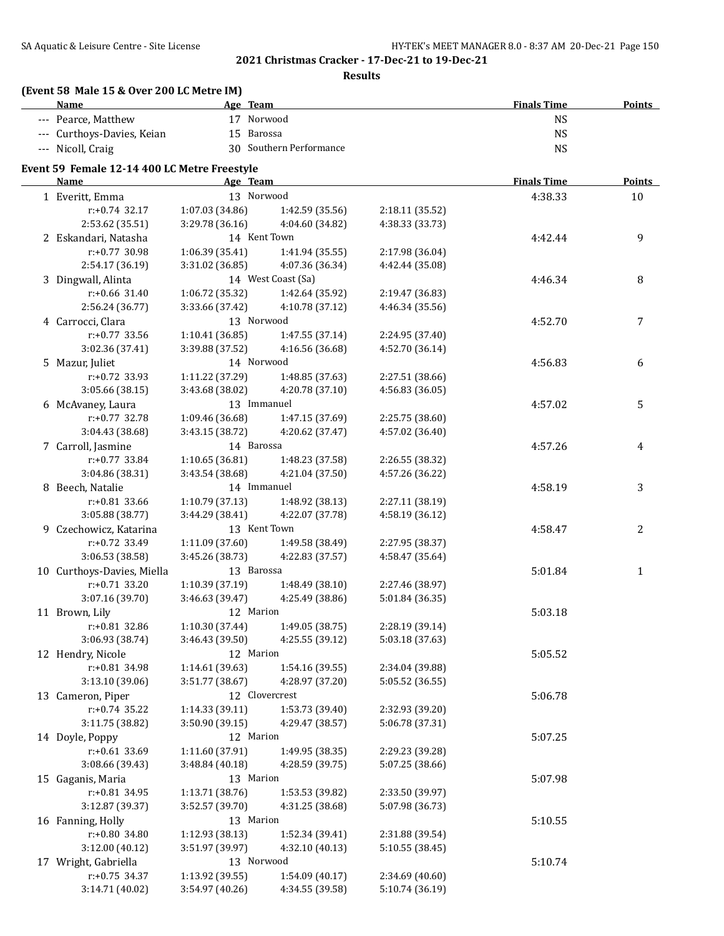| (Event 58 Male 15 & Over 200 LC Metre IM)<br>Name    |                 | Age Team                |                 | <b>Finals Time</b> | <b>Points</b> |
|------------------------------------------------------|-----------------|-------------------------|-----------------|--------------------|---------------|
| --- Pearce, Matthew                                  |                 | 17 Norwood              |                 | <b>NS</b>          |               |
| --- Curthoys-Davies, Keian                           |                 | 15 Barossa              |                 | <b>NS</b>          |               |
| --- Nicoll, Craig                                    |                 | 30 Southern Performance |                 | <b>NS</b>          |               |
|                                                      |                 |                         |                 |                    |               |
| Event 59 Female 12-14 400 LC Metre Freestyle<br>Name |                 | Age Team                |                 | <b>Finals Time</b> | <b>Points</b> |
| 1 Everitt, Emma                                      |                 | 13 Norwood              |                 | 4:38.33            | 10            |
| r:+0.74 32.17                                        | 1:07.03 (34.86) | 1:42.59 (35.56)         | 2:18.11 (35.52) |                    |               |
| 2:53.62 (35.51)                                      | 3:29.78 (36.16) | 4:04.60 (34.82)         | 4:38.33 (33.73) |                    |               |
| 2 Eskandari, Natasha                                 |                 | 14 Kent Town            |                 | 4:42.44            | 9             |
| r:+0.77 30.98                                        | 1:06.39 (35.41) | 1:41.94 (35.55)         | 2:17.98 (36.04) |                    |               |
| 2:54.17 (36.19)                                      | 3:31.02 (36.85) | 4:07.36 (36.34)         | 4:42.44 (35.08) |                    |               |
| 3 Dingwall, Alinta                                   |                 | 14 West Coast (Sa)      |                 | 4:46.34            | 8             |
| r:+0.66 31.40                                        | 1:06.72 (35.32) | 1:42.64 (35.92)         | 2:19.47 (36.83) |                    |               |
| 2:56.24 (36.77)                                      | 3:33.66 (37.42) | 4:10.78 (37.12)         | 4:46.34 (35.56) |                    |               |
| 4 Carrocci, Clara                                    |                 | 13 Norwood              |                 | 4:52.70            | 7             |
| $r: +0.77$ 33.56                                     | 1:10.41 (36.85) | 1:47.55 (37.14)         | 2:24.95 (37.40) |                    |               |
| 3:02.36 (37.41)                                      | 3:39.88 (37.52) | 4:16.56 (36.68)         | 4:52.70 (36.14) |                    |               |
|                                                      |                 | 14 Norwood              |                 |                    |               |
| 5 Mazur, Juliet                                      |                 |                         |                 | 4:56.83            | 6             |
| $r: +0.72$ 33.93                                     | 1:11.22 (37.29) | 1:48.85 (37.63)         | 2:27.51 (38.66) |                    |               |
| 3:05.66 (38.15)                                      | 3:43.68 (38.02) | 4:20.78 (37.10)         | 4:56.83 (36.05) |                    |               |
| 6 McAvaney, Laura                                    |                 | 13 Immanuel             |                 | 4:57.02            | 5             |
| $r: +0.77$ 32.78                                     | 1:09.46 (36.68) | 1:47.15 (37.69)         | 2:25.75 (38.60) |                    |               |
| 3:04.43 (38.68)                                      | 3:43.15 (38.72) | 4:20.62 (37.47)         | 4:57.02 (36.40) |                    |               |
| 7 Carroll, Jasmine                                   |                 | 14 Barossa              |                 | 4:57.26            | 4             |
| $r: +0.77$ 33.84                                     | 1:10.65 (36.81) | 1:48.23 (37.58)         | 2:26.55 (38.32) |                    |               |
| 3:04.86 (38.31)                                      | 3:43.54 (38.68) | 4:21.04 (37.50)         | 4:57.26 (36.22) |                    |               |
| 8 Beech, Natalie                                     |                 | 14 Immanuel             |                 | 4:58.19            | 3             |
| r:+0.81 33.66                                        | 1:10.79 (37.13) | 1:48.92 (38.13)         | 2:27.11 (38.19) |                    |               |
| 3:05.88 (38.77)                                      | 3:44.29 (38.41) | 4:22.07 (37.78)         | 4:58.19 (36.12) |                    |               |
| 9 Czechowicz, Katarina                               |                 | 13 Kent Town            |                 | 4:58.47            | 2             |
| r:+0.72 33.49                                        | 1:11.09 (37.60) | 1:49.58 (38.49)         | 2:27.95 (38.37) |                    |               |
| 3:06.53 (38.58)                                      | 3:45.26 (38.73) | 4:22.83 (37.57)         | 4:58.47 (35.64) |                    |               |
| 10 Curthoys-Davies, Miella                           |                 | 13 Barossa              |                 | 5:01.84            | 1             |
| $r: +0.71$ 33.20                                     | 1:10.39 (37.19) | 1:48.49 (38.10)         | 2:27.46 (38.97) |                    |               |
| 3:07.16 (39.70)                                      | 3:46.63 (39.47) | 4:25.49 (38.86)         | 5:01.84 (36.35) |                    |               |
| 11 Brown, Lily                                       | 12 Marion       |                         |                 | 5:03.18            |               |
| r:+0.81 32.86                                        | 1:10.30 (37.44) | 1:49.05 (38.75)         | 2:28.19 (39.14) |                    |               |
| 3:06.93 (38.74)                                      | 3:46.43 (39.50) | 4:25.55 (39.12)         | 5:03.18 (37.63) |                    |               |
| 12 Hendry, Nicole                                    |                 | 12 Marion               |                 | 5:05.52            |               |
| r:+0.81 34.98                                        | 1:14.61 (39.63) | 1:54.16 (39.55)         | 2:34.04 (39.88) |                    |               |
| 3:13.10 (39.06)                                      | 3:51.77 (38.67) | 4:28.97 (37.20)         | 5:05.52 (36.55) |                    |               |
| 13 Cameron, Piper                                    |                 | 12 Clovercrest          |                 | 5:06.78            |               |
| r:+0.74 35.22                                        | 1:14.33 (39.11) | 1:53.73 (39.40)         | 2:32.93 (39.20) |                    |               |
| 3:11.75 (38.82)                                      | 3:50.90 (39.15) | 4:29.47 (38.57)         | 5:06.78 (37.31) |                    |               |
| 14 Doyle, Poppy                                      |                 | 12 Marion               |                 | 5:07.25            |               |
| r:+0.61 33.69                                        | 1:11.60 (37.91) | 1:49.95 (38.35)         | 2:29.23 (39.28) |                    |               |
| 3:08.66 (39.43)                                      |                 | 4:28.59 (39.75)         | 5:07.25 (38.66) |                    |               |
|                                                      | 3:48.84 (40.18) |                         |                 |                    |               |
| 15 Gaganis, Maria                                    |                 | 13 Marion               |                 | 5:07.98            |               |
| r:+0.81 34.95                                        | 1:13.71 (38.76) | 1:53.53 (39.82)         | 2:33.50 (39.97) |                    |               |
| 3:12.87 (39.37)                                      | 3:52.57 (39.70) | 4:31.25 (38.68)         | 5:07.98 (36.73) |                    |               |
| 16 Fanning, Holly                                    |                 | 13 Marion               |                 | 5:10.55            |               |
| r:+0.80 34.80                                        | 1:12.93 (38.13) | 1:52.34 (39.41)         | 2:31.88 (39.54) |                    |               |
| 3:12.00 (40.12)                                      | 3:51.97 (39.97) | 4:32.10 (40.13)         | 5:10.55 (38.45) |                    |               |
| 17 Wright, Gabriella                                 |                 | 13 Norwood              |                 | 5:10.74            |               |
| r:+0.75 34.37                                        | 1:13.92 (39.55) | 1:54.09 (40.17)         | 2:34.69 (40.60) |                    |               |
| 3:14.71 (40.02)                                      | 3:54.97 (40.26) | 4:34.55 (39.58)         | 5:10.74 (36.19) |                    |               |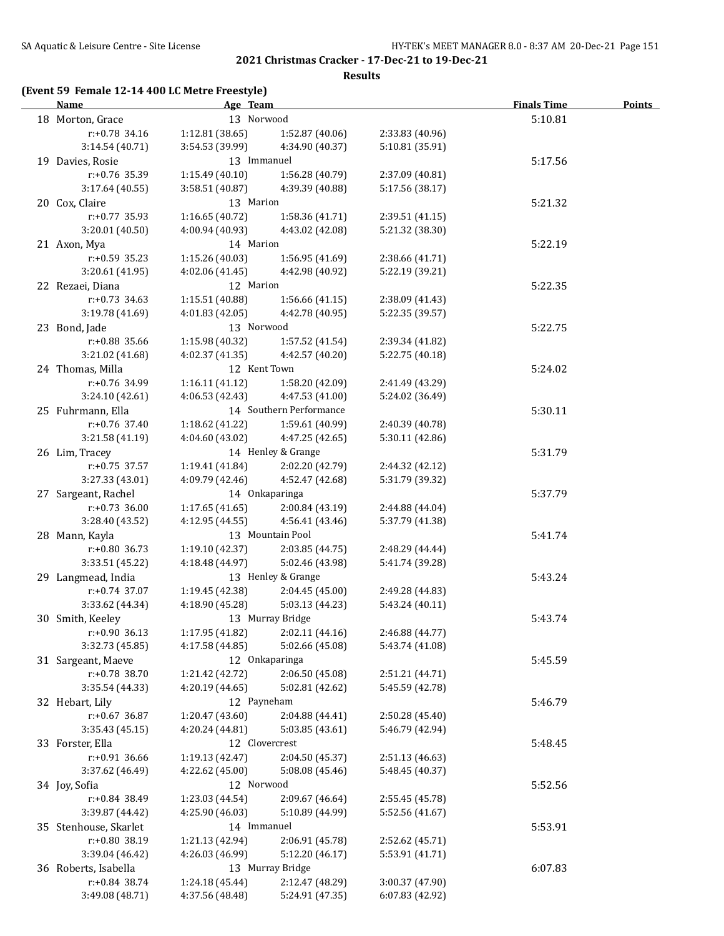**Results**

### **(Event 59 Female 12-14 400 LC Metre Freestyle)**

| <u>Name</u>           | Age Team        |                                   |                 | <b>Finals Time</b> | <b>Points</b> |
|-----------------------|-----------------|-----------------------------------|-----------------|--------------------|---------------|
| 18 Morton, Grace      | 13 Norwood      |                                   |                 | 5:10.81            |               |
| r:+0.78 34.16         | 1:12.81(38.65)  | 1:52.87 (40.06)                   | 2:33.83 (40.96) |                    |               |
| 3:14.54(40.71)        | 3:54.53 (39.99) | 4:34.90 (40.37)                   | 5:10.81 (35.91) |                    |               |
| 19 Davies, Rosie      | 13 Immanuel     |                                   |                 | 5:17.56            |               |
| r:+0.76 35.39         | 1:15.49(40.10)  | 1:56.28 (40.79)                   | 2:37.09 (40.81) |                    |               |
| 3:17.64(40.55)        | 3:58.51 (40.87) | 4:39.39 (40.88)                   | 5:17.56 (38.17) |                    |               |
| 20 Cox, Claire        | 13 Marion       |                                   |                 | 5:21.32            |               |
| $r: +0.77$ 35.93      | 1:16.65(40.72)  | 1:58.36 (41.71)                   | 2:39.51(41.15)  |                    |               |
| 3:20.01 (40.50)       | 4:00.94 (40.93) | 4:43.02 (42.08)                   | 5:21.32 (38.30) |                    |               |
| 21 Axon, Mya          | 14 Marion       |                                   |                 | 5:22.19            |               |
| $r: +0.59$ 35.23      | 1:15.26(40.03)  | 1:56.95 (41.69)                   | 2:38.66 (41.71) |                    |               |
| 3:20.61 (41.95)       | 4:02.06 (41.45) | 4:42.98 (40.92)                   | 5:22.19 (39.21) |                    |               |
| 22 Rezaei, Diana      | 12 Marion       |                                   |                 | 5:22.35            |               |
| $r: +0.73$ 34.63      | 1:15.51(40.88)  | 1:56.66(41.15)                    | 2:38.09 (41.43) |                    |               |
| 3:19.78 (41.69)       | 4:01.83(42.05)  | 4:42.78 (40.95)                   | 5:22.35 (39.57) |                    |               |
| 23 Bond, Jade         | 13 Norwood      |                                   |                 | 5:22.75            |               |
| r:+0.88 35.66         | 1:15.98(40.32)  | 1:57.52 (41.54)                   | 2:39.34 (41.82) |                    |               |
| 3:21.02 (41.68)       | 4:02.37 (41.35) | 4:42.57 (40.20)                   | 5:22.75 (40.18) |                    |               |
| 24 Thomas, Milla      | 12 Kent Town    |                                   |                 | 5:24.02            |               |
| r:+0.76 34.99         | 1:16.11(41.12)  | 1:58.20 (42.09)                   | 2:41.49 (43.29) |                    |               |
| 3:24.10(42.61)        | 4:06.53 (42.43) | 4:47.53 (41.00)                   | 5:24.02 (36.49) |                    |               |
| 25 Fuhrmann, Ella     |                 | 14 Southern Performance           |                 | 5:30.11            |               |
| r:+0.76 37.40         | 1:18.62 (41.22) | 1:59.61 (40.99)                   | 2:40.39 (40.78) |                    |               |
| 3:21.58 (41.19)       | 4:04.60 (43.02) | 4:47.25 (42.65)                   | 5:30.11 (42.86) |                    |               |
| 26 Lim, Tracey        |                 | 14 Henley & Grange                |                 | 5:31.79            |               |
| $r: +0.75$ 37.57      | 1:19.41 (41.84) | 2:02.20 (42.79)                   | 2:44.32 (42.12) |                    |               |
| 3:27.33 (43.01)       | 4:09.79 (42.46) | 4:52.47 (42.68)                   | 5:31.79 (39.32) |                    |               |
| 27 Sargeant, Rachel   |                 | 14 Onkaparinga                    |                 | 5:37.79            |               |
| $r: +0.73$ 36.00      | 1:17.65 (41.65) | 2:00.84 (43.19)                   | 2:44.88 (44.04) |                    |               |
| 3:28.40 (43.52)       | 4:12.95 (44.55) | 4:56.41 (43.46)                   | 5:37.79 (41.38) |                    |               |
| 28 Mann, Kayla        |                 | 13 Mountain Pool                  |                 | 5:41.74            |               |
| r:+0.80 36.73         |                 | $1:19.10(42.37)$ $2:03.85(44.75)$ | 2:48.29 (44.44) |                    |               |
| 3:33.51 (45.22)       | 4:18.48 (44.97) | 5:02.46 (43.98)                   | 5:41.74 (39.28) |                    |               |
| 29 Langmead, India    |                 | 13 Henley & Grange                |                 | 5:43.24            |               |
| $r: +0.74$ 37.07      | 1:19.45 (42.38) | 2:04.45(45.00)                    | 2:49.28 (44.83) |                    |               |
| 3:33.62 (44.34)       | 4:18.90 (45.28) | 5:03.13 (44.23)                   | 5:43.24 (40.11) |                    |               |
| 30 Smith, Keeley      |                 | 13 Murray Bridge                  |                 | 5:43.74            |               |
| r:+0.90 36.13         | 1:17.95 (41.82) | 2:02.11 (44.16)                   | 2:46.88 (44.77) |                    |               |
| 3:32.73 (45.85)       | 4:17.58 (44.85) | 5:02.66 (45.08)                   | 5:43.74 (41.08) |                    |               |
| 31 Sargeant, Maeve    |                 | 12 Onkaparinga                    |                 | 5:45.59            |               |
| r:+0.78 38.70         | 1:21.42 (42.72) | 2:06.50 (45.08)                   | 2:51.21 (44.71) |                    |               |
| 3:35.54 (44.33)       | 4:20.19 (44.65) | 5:02.81 (42.62)                   | 5:45.59 (42.78) |                    |               |
| 32 Hebart, Lily       | 12 Payneham     |                                   |                 | 5:46.79            |               |
| $r: +0.67$ 36.87      | 1:20.47 (43.60) | 2:04.88 (44.41)                   | 2:50.28 (45.40) |                    |               |
| 3:35.43 (45.15)       | 4:20.24 (44.81) | 5:03.85 (43.61)                   | 5:46.79 (42.94) |                    |               |
| 33 Forster, Ella      | 12 Clovercrest  |                                   |                 | 5:48.45            |               |
| r:+0.91 36.66         | 1:19.13 (42.47) | 2:04.50 (45.37)                   | 2:51.13 (46.63) |                    |               |
| 3:37.62 (46.49)       | 4:22.62 (45.00) | 5:08.08 (45.46)                   | 5:48.45 (40.37) |                    |               |
| 34 Joy, Sofia         | 12 Norwood      |                                   |                 | 5:52.56            |               |
| r:+0.84 38.49         | 1:23.03 (44.54) | 2:09.67 (46.64)                   | 2:55.45 (45.78) |                    |               |
| 3:39.87 (44.42)       | 4:25.90 (46.03) | 5:10.89 (44.99)                   | 5:52.56 (41.67) |                    |               |
| 35 Stenhouse, Skarlet | 14 Immanuel     |                                   |                 | 5:53.91            |               |
| r:+0.80 38.19         | 1:21.13 (42.94) | 2:06.91 (45.78)                   | 2:52.62 (45.71) |                    |               |
| 3:39.04 (46.42)       | 4:26.03 (46.99) | 5:12.20 (46.17)                   | 5:53.91 (41.71) |                    |               |
| 36 Roberts, Isabella  |                 | 13 Murray Bridge                  |                 | 6:07.83            |               |
| r:+0.84 38.74         | 1:24.18 (45.44) | 2:12.47 (48.29)                   | 3:00.37 (47.90) |                    |               |
| 3:49.08 (48.71)       | 4:37.56 (48.48) | 5:24.91 (47.35)                   | 6:07.83 (42.92) |                    |               |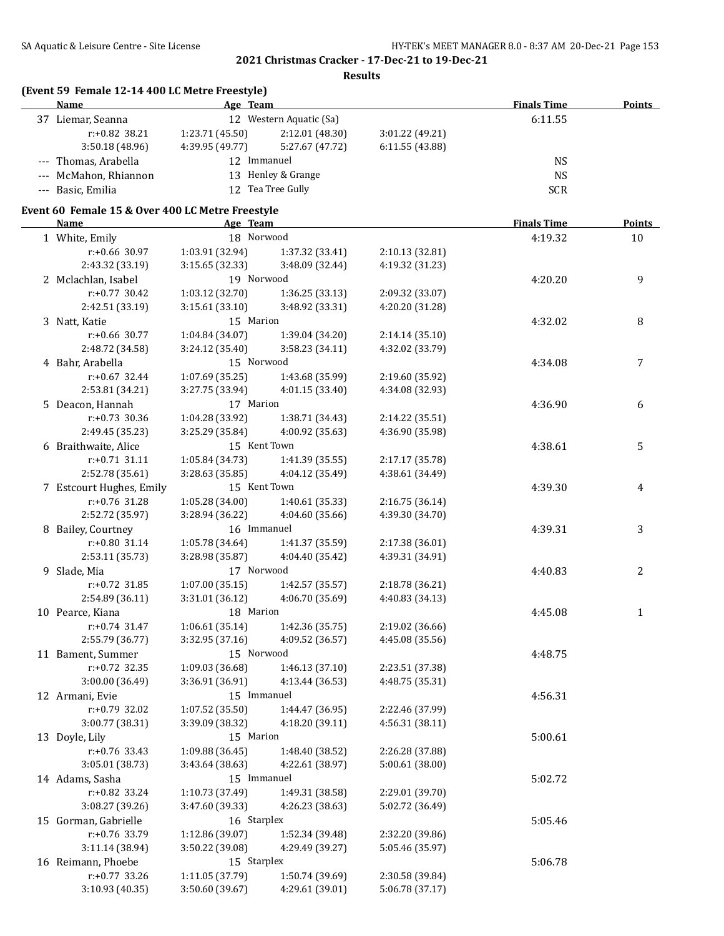| (Event 59 Female 12-14 400 LC Metre Freestyle)<br>Name | Age Team        |                         |                 | <b>Finals Time</b> | <b>Points</b> |
|--------------------------------------------------------|-----------------|-------------------------|-----------------|--------------------|---------------|
| 37 Liemar, Seanna                                      |                 | 12 Western Aquatic (Sa) |                 | 6:11.55            |               |
| $r: +0.82$ 38.21                                       | 1:23.71 (45.50) | 2:12.01 (48.30)         | 3:01.22 (49.21) |                    |               |
| 3:50.18(48.96)                                         | 4:39.95 (49.77) | 5:27.67 (47.72)         | 6:11.55 (43.88) |                    |               |
| --- Thomas, Arabella                                   | 12 Immanuel     |                         |                 | <b>NS</b>          |               |
| --- McMahon, Rhiannon                                  |                 | 13 Henley & Grange      |                 | NS                 |               |
| --- Basic, Emilia                                      |                 | 12 Tea Tree Gully       |                 | <b>SCR</b>         |               |
|                                                        |                 |                         |                 |                    |               |
| Event 60 Female 15 & Over 400 LC Metre Freestyle       |                 |                         |                 |                    |               |
| <b>Name</b>                                            | Age Team        |                         |                 | <b>Finals Time</b> | <b>Points</b> |
| 1 White, Emily                                         | 18 Norwood      |                         |                 | 4:19.32            | 10            |
| r:+0.66 30.97                                          | 1:03.91 (32.94) | 1:37.32 (33.41)         | 2:10.13 (32.81) |                    |               |
| 2:43.32 (33.19)                                        | 3:15.65(32.33)  | 3:48.09 (32.44)         | 4:19.32 (31.23) |                    |               |
| 2 Mclachlan, Isabel                                    | 19 Norwood      |                         |                 | 4:20.20            | 9             |
| r:+0.77 30.42                                          | 1:03.12(32.70)  | 1:36.25 (33.13)         | 2:09.32 (33.07) |                    |               |
| 2:42.51 (33.19)                                        | 3:15.61(33.10)  | 3:48.92 (33.31)         | 4:20.20 (31.28) |                    |               |
| 3 Natt, Katie                                          | 15 Marion       |                         |                 | 4:32.02            | 8             |
| $r: +0.66$ 30.77                                       | 1:04.84(34.07)  | 1:39.04 (34.20)         | 2:14.14(35.10)  |                    |               |
| 2:48.72 (34.58)                                        | 3:24.12(35.40)  | 3:58.23 (34.11)         | 4:32.02 (33.79) |                    |               |
| 4 Bahr, Arabella                                       | 15 Norwood      |                         |                 | 4:34.08            | 7             |
| $r: +0.67$ 32.44                                       | 1:07.69 (35.25) | 1:43.68 (35.99)         | 2:19.60 (35.92) |                    |               |
| 2:53.81 (34.21)                                        | 3:27.75 (33.94) | 4:01.15 (33.40)         | 4:34.08 (32.93) |                    |               |
| 5 Deacon, Hannah                                       | 17 Marion       |                         |                 | 4:36.90            | 6             |
| r:+0.73 30.36                                          | 1:04.28 (33.92) | 1:38.71 (34.43)         | 2:14.22 (35.51) |                    |               |
| 2:49.45 (35.23)                                        | 3:25.29 (35.84) | 4:00.92 (35.63)         | 4:36.90 (35.98) |                    |               |
| 6 Braithwaite, Alice                                   | 15 Kent Town    |                         |                 | 4:38.61            | 5             |
| $r: +0.71$ 31.11                                       | 1:05.84 (34.73) | 1:41.39 (35.55)         | 2:17.17 (35.78) |                    |               |
| 2:52.78 (35.61)                                        | 3:28.63 (35.85) | 4:04.12 (35.49)         | 4:38.61 (34.49) |                    |               |
| 7 Estcourt Hughes, Emily                               | 15 Kent Town    |                         |                 | 4:39.30            | 4             |
| r:+0.76 31.28                                          | 1:05.28(34.00)  | 1:40.61 (35.33)         | 2:16.75 (36.14) |                    |               |
| 2:52.72 (35.97)                                        | 3:28.94 (36.22) | 4:04.60 (35.66)         | 4:39.30 (34.70) |                    |               |
| 8 Bailey, Courtney                                     | 16 Immanuel     |                         |                 | 4:39.31            | 3             |
| r:+0.80 31.14                                          | 1:05.78 (34.64) | 1:41.37 (35.59)         | 2:17.38 (36.01) |                    |               |
| 2:53.11 (35.73)                                        | 3:28.98 (35.87) | 4:04.40 (35.42)         | 4:39.31 (34.91) |                    |               |
| 9 Slade, Mia                                           | 17 Norwood      |                         |                 | 4:40.83            | 2             |
| $r: +0.72$ 31.85                                       | 1:07.00(35.15)  | 1:42.57 (35.57)         | 2:18.78 (36.21) |                    |               |
| 2:54.89 (36.11)                                        | 3:31.01 (36.12) | 4:06.70 (35.69)         | 4:40.83 (34.13) |                    |               |
| 10 Pearce, Kiana                                       | 18 Marion       |                         |                 | 4:45.08            | 1             |
| $r: +0.74$ 31.47                                       | 1:06.61(35.14)  | 1:42.36 (35.75)         | 2:19.02 (36.66) |                    |               |
| 2:55.79 (36.77)                                        | 3:32.95 (37.16) | 4:09.52 (36.57)         | 4:45.08 (35.56) |                    |               |
|                                                        | 15 Norwood      |                         |                 |                    |               |
| 11 Bament, Summer                                      | 1:09.03(36.68)  |                         |                 | 4:48.75            |               |
| r:+0.72 32.35                                          |                 | 1:46.13 (37.10)         | 2:23.51 (37.38) |                    |               |
| 3:00.00 (36.49)                                        | 3:36.91 (36.91) | 4:13.44 (36.53)         | 4:48.75 (35.31) |                    |               |
| 12 Armani, Evie                                        | 15 Immanuel     |                         |                 | 4:56.31            |               |
| r:+0.79 32.02                                          | 1:07.52 (35.50) | 1:44.47 (36.95)         | 2:22.46 (37.99) |                    |               |
| 3:00.77 (38.31)                                        | 3:39.09 (38.32) | 4:18.20 (39.11)         | 4:56.31(38.11)  |                    |               |
| 13 Doyle, Lily                                         | 15 Marion       |                         |                 | 5:00.61            |               |
| r:+0.76 33.43                                          | 1:09.88 (36.45) | 1:48.40 (38.52)         | 2:26.28 (37.88) |                    |               |
| 3:05.01 (38.73)                                        | 3:43.64 (38.63) | 4:22.61 (38.97)         | 5:00.61 (38.00) |                    |               |
| 14 Adams, Sasha                                        | 15 Immanuel     |                         |                 | 5:02.72            |               |
| r:+0.82 33.24                                          | 1:10.73 (37.49) | 1:49.31 (38.58)         | 2:29.01 (39.70) |                    |               |
| 3:08.27 (39.26)                                        | 3:47.60 (39.33) | 4:26.23 (38.63)         | 5:02.72 (36.49) |                    |               |
| 15 Gorman, Gabrielle                                   | 16 Starplex     |                         |                 | 5:05.46            |               |
| r:+0.76 33.79                                          | 1:12.86 (39.07) | 1:52.34 (39.48)         | 2:32.20 (39.86) |                    |               |
| 3:11.14 (38.94)                                        | 3:50.22 (39.08) | 4:29.49 (39.27)         | 5:05.46 (35.97) |                    |               |
| 16 Reimann, Phoebe                                     | 15 Starplex     |                         |                 | 5:06.78            |               |
| r:+0.77 33.26                                          | 1:11.05 (37.79) | 1:50.74 (39.69)         | 2:30.58 (39.84) |                    |               |
| 3:10.93 (40.35)                                        | 3:50.60 (39.67) | 4:29.61 (39.01)         | 5:06.78 (37.17) |                    |               |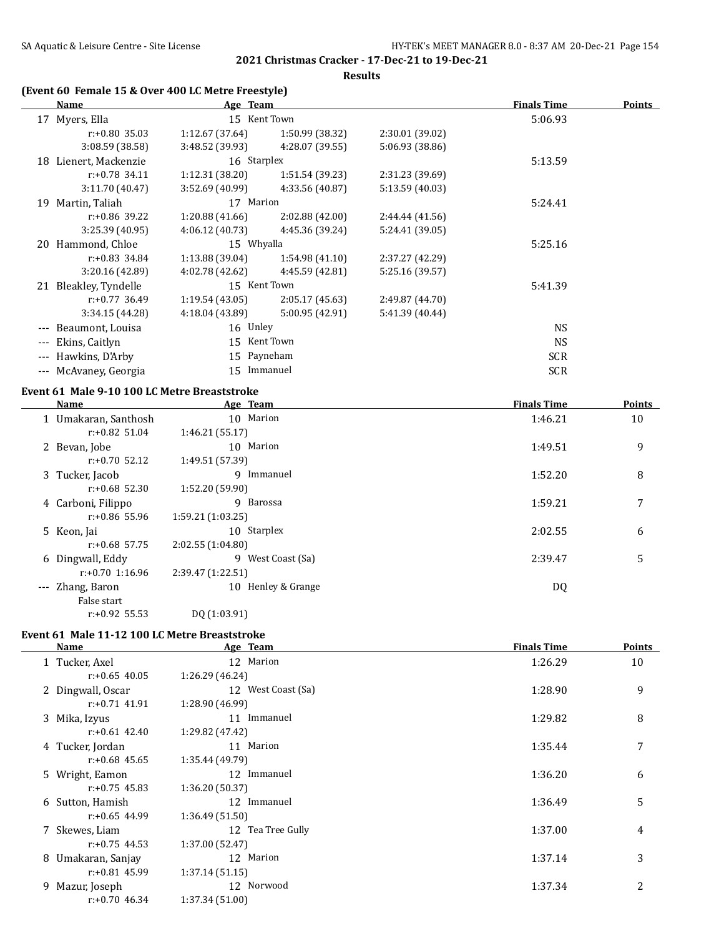**Results**

### **(Event 60 Female 15 & Over 400 LC Metre Freestyle)**

|       | Name                                                 | Age Team          |                 |                 | <b>Finals Time</b> | <b>Points</b> |
|-------|------------------------------------------------------|-------------------|-----------------|-----------------|--------------------|---------------|
|       | 17 Myers, Ella                                       | 15 Kent Town      |                 |                 | 5:06.93            |               |
|       | $r: +0.80$ 35.03                                     | 1:12.67(37.64)    | 1:50.99 (38.32) | 2:30.01 (39.02) |                    |               |
|       | 3:08.59 (38.58)                                      | 3:48.52 (39.93)   | 4:28.07 (39.55) | 5:06.93 (38.86) |                    |               |
|       | 18 Lienert, Mackenzie                                | 16 Starplex       |                 |                 | 5:13.59            |               |
|       | $r: +0.78$ 34.11                                     | 1:12.31 (38.20)   | 1:51.54 (39.23) | 2:31.23 (39.69) |                    |               |
|       | 3:11.70 (40.47)                                      | 3:52.69 (40.99)   | 4:33.56 (40.87) | 5:13.59 (40.03) |                    |               |
|       | 19 Martin, Taliah                                    | 17 Marion         |                 |                 | 5:24.41            |               |
|       | $r: +0.86$ 39.22                                     | 1:20.88(41.66)    | 2:02.88 (42.00) | 2:44.44 (41.56) |                    |               |
|       | 3:25.39 (40.95)                                      | 4:06.12 (40.73)   | 4:45.36 (39.24) | 5:24.41 (39.05) |                    |               |
|       | 20 Hammond, Chloe                                    | 15 Whyalla        |                 |                 | 5:25.16            |               |
|       | $r: +0.83$ 34.84                                     | 1:13.88(39.04)    | 1:54.98(41.10)  | 2:37.27 (42.29) |                    |               |
|       | 3:20.16 (42.89)                                      | 4:02.78 (42.62)   | 4:45.59 (42.81) | 5:25.16 (39.57) |                    |               |
|       | 21 Bleakley, Tyndelle                                | 15 Kent Town      |                 |                 | 5:41.39            |               |
|       | $r: +0.77$ 36.49                                     | 1:19.54(43.05)    | 2:05.17(45.63)  | 2:49.87 (44.70) |                    |               |
|       | 3:34.15 (44.28)                                      | 4:18.04 (43.89)   | 5:00.95 (42.91) | 5:41.39 (40.44) |                    |               |
|       | Beaumont, Louisa                                     | 16 Unley          |                 |                 | <b>NS</b>          |               |
| $---$ | Ekins, Caitlyn                                       | 15 Kent Town      |                 |                 | <b>NS</b>          |               |
| $---$ | Hawkins, D'Arby                                      | 15 Payneham       |                 |                 | <b>SCR</b>         |               |
|       | --- McAvaney, Georgia                                | 15 Immanuel       |                 |                 | <b>SCR</b>         |               |
|       |                                                      |                   |                 |                 |                    |               |
|       | Event 61 Male 9-10 100 LC Metre Breaststroke<br>Name | Age Team          |                 |                 | <b>Finals Time</b> | Points        |
|       |                                                      | 10 Marion         |                 |                 | 1:46.21            | 10            |
|       | 1 Umakaran, Santhosh<br>$r: +0.82$ 51.04             |                   |                 |                 |                    |               |
|       |                                                      | 1:46.21 (55.17)   |                 |                 |                    |               |
|       | 2 Bevan, Jobe                                        | 10 Marion         |                 |                 | 1:49.51            | 9             |
|       | $r: +0.70$ 52.12                                     | 1:49.51 (57.39)   |                 |                 |                    |               |
|       | 3 Tucker, Jacob                                      | 9 Immanuel        |                 |                 | 1:52.20            | 8             |
|       | $r: +0.68$ 52.30                                     | 1:52.20 (59.90)   |                 |                 |                    |               |
|       | 4 Carboni, Filippo                                   | 9 Barossa         |                 |                 | 1:59.21            | 7             |
|       | $r: +0.86$ 55.96                                     | 1:59.21 (1:03.25) |                 |                 |                    |               |
|       | 5 Keon, Jai                                          | 10 Starplex       |                 |                 | 2:02.55            | 6             |

| 6 Dingwall, Eddy   | West Coast (Sa)    | 2:39.47 |  |
|--------------------|--------------------|---------|--|
| $r: +0.70$ 1:16.96 | 2:39.47 (1:22.51)  |         |  |
| --- Zhang, Baron   | 10 Henley & Grange | DC      |  |
| False start        |                    |         |  |

r:+0.92 55.53 DQ (1:03.91)

r:+0.68 57.75 2:02.55 (1:04.80)

### **Event 61 Male 11-12 100 LC Metre Breaststroke**

| Name               | Age Team           | <b>Finals Time</b> | <b>Points</b> |
|--------------------|--------------------|--------------------|---------------|
| 1 Tucker, Axel     | 12 Marion          | 1:26.29            | 10            |
| $r: +0.65$ 40.05   | 1:26.29 (46.24)    |                    |               |
| 2 Dingwall, Oscar  | 12 West Coast (Sa) | 1:28.90            | 9             |
| $r: +0.71$ 41.91   | 1:28.90 (46.99)    |                    |               |
| 3 Mika, Izyus      | 11 Immanuel        | 1:29.82            | 8             |
| $r: +0.61$ 42.40   | 1:29.82 (47.42)    |                    |               |
| 4 Tucker, Jordan   | 11 Marion          | 1:35.44            | 7             |
| $r: +0.68$ 45.65   | 1:35.44 (49.79)    |                    |               |
| 5 Wright, Eamon    | 12 Immanuel        | 1:36.20            | 6             |
| $r: +0.75$ 45.83   | 1:36.20(50.37)     |                    |               |
| 6 Sutton, Hamish   | 12 Immanuel        | 1:36.49            | 5             |
| $r: +0.65$ 44.99   | 1:36.49(51.50)     |                    |               |
| 7 Skewes, Liam     | 12 Tea Tree Gully  | 1:37.00            | 4             |
| $r: +0.75$ 44.53   | 1:37.00 (52.47)    |                    |               |
| 8 Umakaran, Sanjay | 12 Marion          | 1:37.14            | 3             |
| $r: +0.81$ 45.99   | 1:37.14(51.15)     |                    |               |
| 9 Mazur, Joseph    | 12 Norwood         | 1:37.34            | 2             |
| $r: +0.70$ 46.34   | 1:37.34 (51.00)    |                    |               |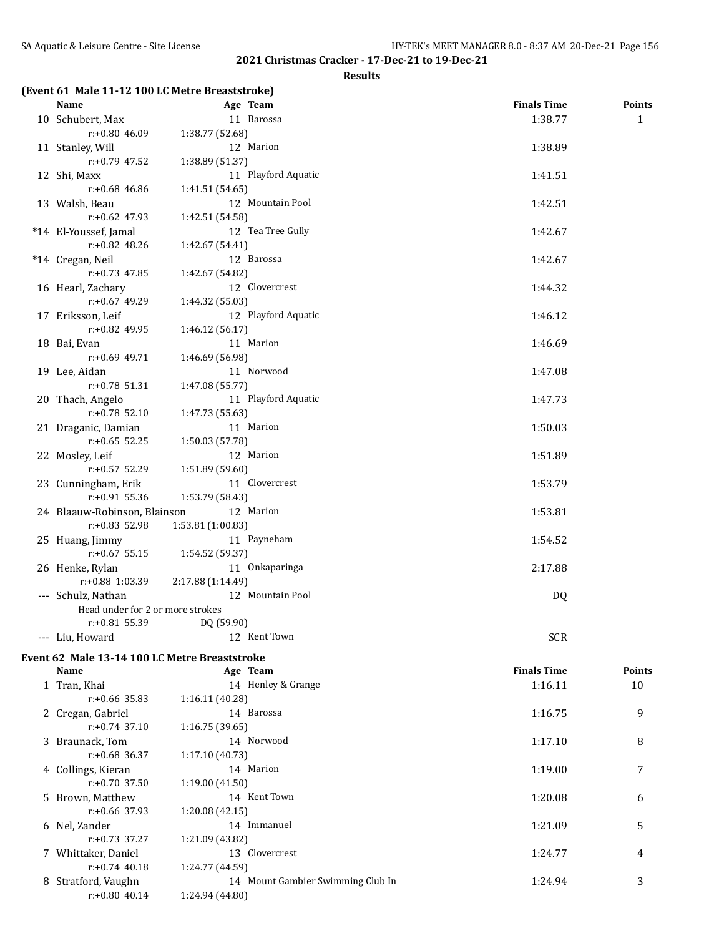**Results**

### **(Event 61 Male 11-12 100 LC Metre Breaststroke)**

| <b>Name</b>                      | Age Team            | <b>Finals Time</b> | <b>Points</b> |
|----------------------------------|---------------------|--------------------|---------------|
| 10 Schubert, Max                 | 11 Barossa          | 1:38.77            | $\mathbf{1}$  |
| $r: +0.8046.09$                  | 1:38.77 (52.68)     |                    |               |
| 11 Stanley, Will                 | 12 Marion           | 1:38.89            |               |
| r:+0.79 47.52                    | 1:38.89 (51.37)     |                    |               |
| 12 Shi, Maxx                     | 11 Playford Aquatic | 1:41.51            |               |
| r:+0.68 46.86                    | 1:41.51 (54.65)     |                    |               |
| 13 Walsh, Beau                   | 12 Mountain Pool    | 1:42.51            |               |
| $r: +0.62$ 47.93                 | 1:42.51 (54.58)     |                    |               |
| *14 El-Youssef, Jamal            | 12 Tea Tree Gully   | 1:42.67            |               |
| $r: +0.82$ 48.26                 | 1:42.67 (54.41)     |                    |               |
| *14 Cregan, Neil                 | 12 Barossa          | 1:42.67            |               |
| $r: +0.73$ 47.85                 | 1:42.67 (54.82)     |                    |               |
| 16 Hearl, Zachary                | 12 Clovercrest      | 1:44.32            |               |
| r:+0.67 49.29                    | 1:44.32 (55.03)     |                    |               |
| 17 Eriksson, Leif                | 12 Playford Aquatic | 1:46.12            |               |
| r:+0.82 49.95                    | 1:46.12(56.17)      |                    |               |
| 18 Bai, Evan                     | 11 Marion           | 1:46.69            |               |
| $r: +0.69$ 49.71                 | 1:46.69 (56.98)     |                    |               |
| 19 Lee, Aidan                    | 11 Norwood          | 1:47.08            |               |
| r:+0.78 51.31                    | 1:47.08 (55.77)     |                    |               |
| 20 Thach, Angelo                 | 11 Playford Aquatic | 1:47.73            |               |
| $r: +0.78$ 52.10                 | 1:47.73 (55.63)     |                    |               |
| 21 Draganic, Damian              | 11 Marion           | 1:50.03            |               |
| $r: +0.65$ 52.25                 | 1:50.03 (57.78)     |                    |               |
| 22 Mosley, Leif                  | 12 Marion           | 1:51.89            |               |
| $r: +0.57$ 52.29                 | 1:51.89 (59.60)     |                    |               |
| 23 Cunningham, Erik              | 11 Clovercrest      | 1:53.79            |               |
| $r: +0.91$ 55.36                 | 1:53.79 (58.43)     |                    |               |
| 24 Blaauw-Robinson, Blainson     | 12 Marion           | 1:53.81            |               |
| $r: +0.83$ 52.98                 | 1:53.81 (1:00.83)   |                    |               |
| 25 Huang, Jimmy                  | 11 Payneham         | 1:54.52            |               |
| $r: +0.67$ 55.15                 | 1:54.52 (59.37)     |                    |               |
| 26 Henke, Rylan                  | 11 Onkaparinga      | 2:17.88            |               |
| r:+0.88 1:03.39                  | 2:17.88 (1:14.49)   |                    |               |
| --- Schulz, Nathan               | 12 Mountain Pool    | DQ                 |               |
| Head under for 2 or more strokes |                     |                    |               |
| $r: +0.81$ 55.39                 | DQ (59.90)          |                    |               |
| --- Liu, Howard                  | 12 Kent Town        | <b>SCR</b>         |               |

# **Event 62 Male 13-14 100 LC Metre Breaststroke**

| Name                | Age Team                          | <b>Finals Time</b> | <b>Points</b> |
|---------------------|-----------------------------------|--------------------|---------------|
| 1 Tran, Khai        | 14 Henley & Grange                | 1:16.11            | 10            |
| $r: +0.66$ 35.83    | 1:16.11(40.28)                    |                    |               |
| 2 Cregan, Gabriel   | 14 Barossa                        | 1:16.75            | 9             |
| $r: +0.74$ 37.10    | 1:16.75(39.65)                    |                    |               |
| 3 Braunack, Tom     | 14 Norwood                        | 1:17.10            | 8             |
| $r: +0.68$ 36.37    | 1:17.10(40.73)                    |                    |               |
| 4 Collings, Kieran  | 14 Marion                         | 1:19.00            | 7             |
| $r: +0.70$ 37.50    | 1:19.00(41.50)                    |                    |               |
| 5 Brown, Matthew    | 14 Kent Town                      | 1:20.08            | 6             |
| $r: +0.66$ 37.93    | 1:20.08(42.15)                    |                    |               |
| 6 Nel, Zander       | 14 Immanuel                       | 1:21.09            | 5             |
| $r: +0.73$ 37.27    | 1:21.09 (43.82)                   |                    |               |
| 7 Whittaker, Daniel | 13 Clovercrest                    | 1:24.77            | 4             |
| $r: +0.74$ 40.18    | 1:24.77 (44.59)                   |                    |               |
| 8 Stratford, Vaughn | 14 Mount Gambier Swimming Club In | 1:24.94            | 3             |
| $r: +0.80$ 40.14    | 1:24.94 (44.80)                   |                    |               |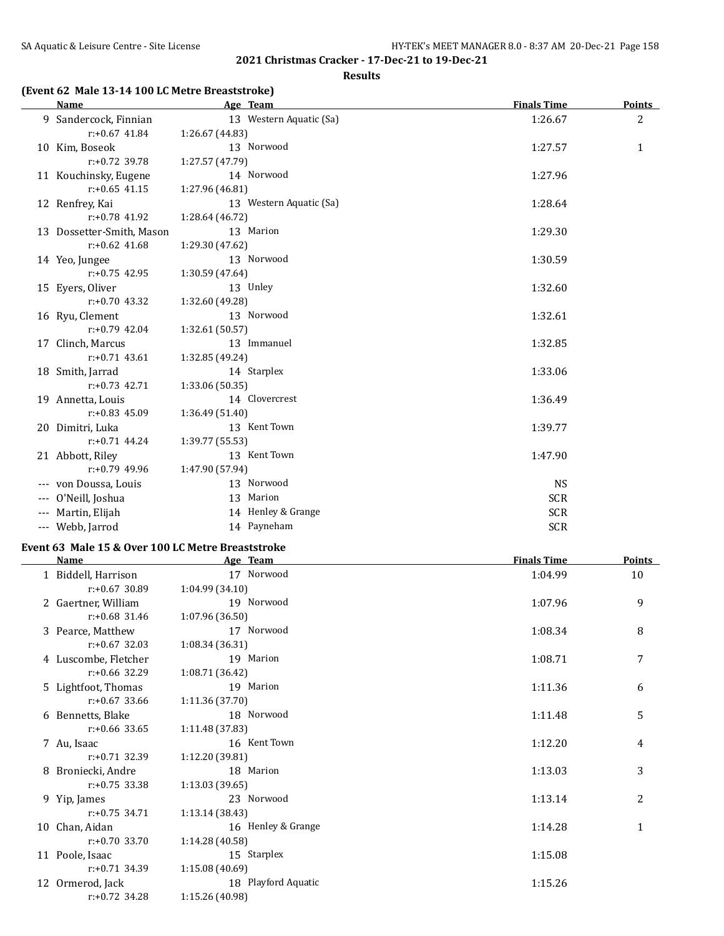**Results**

### **(Event 62 Male 13-14 100 LC Metre Breaststroke)**

|                     | <b>Name</b>               | Age Team                | <b>Finals Time</b> | <b>Points</b> |
|---------------------|---------------------------|-------------------------|--------------------|---------------|
|                     | 9 Sandercock, Finnian     | 13 Western Aquatic (Sa) | 1:26.67            | 2             |
|                     | $r: +0.67$ 41.84          | 1:26.67 (44.83)         |                    |               |
|                     | 10 Kim, Boseok            | 13 Norwood              | 1:27.57            | $\mathbf{1}$  |
|                     | $r: +0.72$ 39.78          | 1:27.57 (47.79)         |                    |               |
|                     | 11 Kouchinsky, Eugene     | 14 Norwood              | 1:27.96            |               |
|                     | $r: +0.65$ 41.15          | 1:27.96 (46.81)         |                    |               |
|                     | 12 Renfrey, Kai           | 13 Western Aquatic (Sa) | 1:28.64            |               |
|                     | $r: +0.78$ 41.92          | 1:28.64 (46.72)         |                    |               |
|                     | 13 Dossetter-Smith, Mason | 13 Marion               | 1:29.30            |               |
|                     | $r: +0.62$ 41.68          | 1:29.30 (47.62)         |                    |               |
|                     | 14 Yeo, Jungee            | 13 Norwood              | 1:30.59            |               |
|                     | $r: +0.75$ 42.95          | 1:30.59(47.64)          |                    |               |
|                     | 15 Eyers, Oliver          | 13 Unley                | 1:32.60            |               |
|                     | $r: +0.70$ 43.32          | 1:32.60 (49.28)         |                    |               |
|                     | 16 Ryu, Clement           | 13 Norwood              | 1:32.61            |               |
|                     | $r: +0.79$ 42.04          | 1:32.61 (50.57)         |                    |               |
|                     | 17 Clinch, Marcus         | 13 Immanuel             | 1:32.85            |               |
|                     | $r: +0.71$ 43.61          | 1:32.85 (49.24)         |                    |               |
|                     | 18 Smith, Jarrad          | 14 Starplex             | 1:33.06            |               |
|                     | $r: +0.73$ 42.71          | 1:33.06 (50.35)         |                    |               |
|                     | 19 Annetta, Louis         | 14 Clovercrest          | 1:36.49            |               |
|                     | $r: +0.83$ 45.09          | 1:36.49 (51.40)         |                    |               |
|                     | 20 Dimitri, Luka          | 13 Kent Town            | 1:39.77            |               |
|                     | $r: +0.71$ 44.24          | 1:39.77 (55.53)         |                    |               |
|                     | 21 Abbott, Riley          | 13 Kent Town            | 1:47.90            |               |
|                     | r:+0.79 49.96             | 1:47.90 (57.94)         |                    |               |
|                     | --- von Doussa, Louis     | 13 Norwood              | <b>NS</b>          |               |
| $\qquad \qquad - -$ | O'Neill, Joshua           | 13 Marion               | <b>SCR</b>         |               |
|                     | Martin, Elijah            | 14 Henley & Grange      | <b>SCR</b>         |               |
|                     | --- Webb, Jarrod          | 14 Payneham             | <b>SCR</b>         |               |

### **Event 63 Male 15 & Over 100 LC Metre Breaststroke**

| Name                 | Age Team            | <b>Finals Time</b> | <b>Points</b> |
|----------------------|---------------------|--------------------|---------------|
| 1 Biddell, Harrison  | 17 Norwood          | 1:04.99            | 10            |
| $r: +0.67$ 30.89     | 1:04.99 (34.10)     |                    |               |
| 2 Gaertner, William  | 19 Norwood          | 1:07.96            | 9             |
| $r: +0.68$ 31.46     | 1:07.96(36.50)      |                    |               |
| 3 Pearce, Matthew    | 17 Norwood          | 1:08.34            | 8             |
| $r: +0.67$ 32.03     | 1:08.34 (36.31)     |                    |               |
| 4 Luscombe, Fletcher | 19 Marion           | 1:08.71            | 7             |
| $r: +0.66$ 32.29     | 1:08.71 (36.42)     |                    |               |
| 5 Lightfoot, Thomas  | 19 Marion           | 1:11.36            | 6             |
| $r: +0.67$ 33.66     | 1:11.36(37.70)      |                    |               |
| 6 Bennetts, Blake    | 18 Norwood          | 1:11.48            | 5             |
| $r: +0.66$ 33.65     | 1:11.48 (37.83)     |                    |               |
| 7 Au, Isaac          | 16 Kent Town        | 1:12.20            | 4             |
| $r: +0.71$ 32.39     | 1:12.20 (39.81)     |                    |               |
| 8 Broniecki, Andre   | 18 Marion           | 1:13.03            | 3             |
| $r: +0.75$ 33.38     | 1:13.03(39.65)      |                    |               |
| 9 Yip, James         | 23 Norwood          | 1:13.14            | 2             |
| $r: +0.75$ 34.71     | 1:13.14(38.43)      |                    |               |
| 10 Chan, Aidan       | 16 Henley & Grange  | 1:14.28            | 1             |
| $r: +0.70$ 33.70     | 1:14.28 (40.58)     |                    |               |
| 11 Poole, Isaac      | 15 Starplex         | 1:15.08            |               |
| $r: +0.71$ 34.39     | 1:15.08(40.69)      |                    |               |
| 12 Ormerod, Jack     | 18 Playford Aquatic | 1:15.26            |               |
| $r: +0.72$ 34.28     | 1:15.26 (40.98)     |                    |               |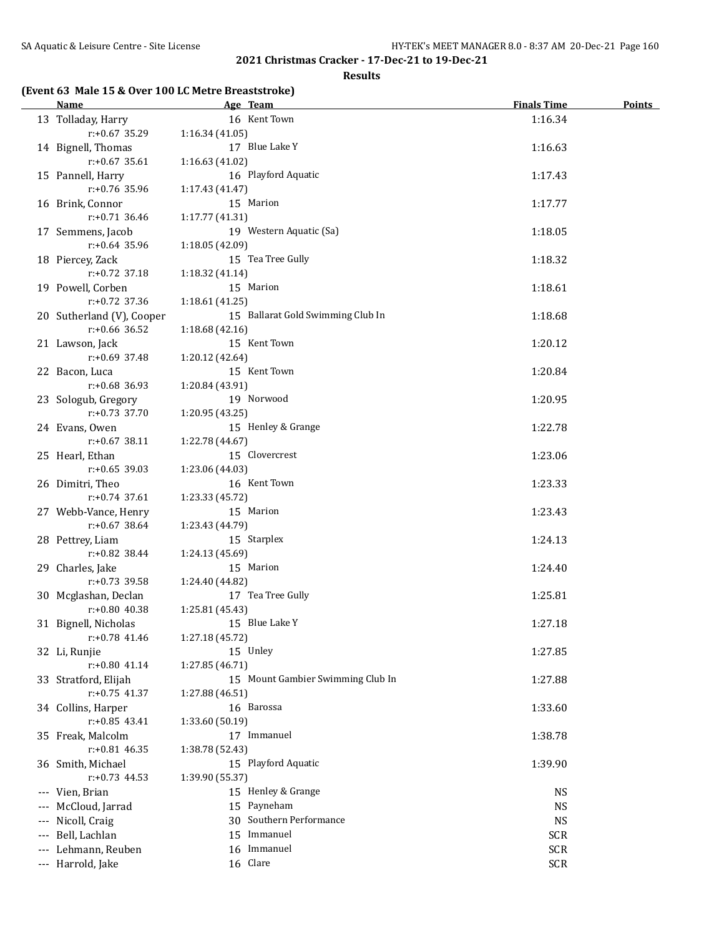**Results**

### **(Event 63 Male 15 & Over 100 LC Metre Breaststroke)**

|                     | Name and the contract of the contract of the contract of the contract of the contract of the contract of the contract of the contract of the contract of the contract of the contract of the contract of the contract of the c |                 | Age Team                          | <b>Finals Time</b> | <b>Points</b> |
|---------------------|--------------------------------------------------------------------------------------------------------------------------------------------------------------------------------------------------------------------------------|-----------------|-----------------------------------|--------------------|---------------|
|                     | 13 Tolladay, Harry                                                                                                                                                                                                             |                 | 16 Kent Town                      | 1:16.34            |               |
|                     | $r: +0.67$ 35.29                                                                                                                                                                                                               | 1:16.34(41.05)  |                                   |                    |               |
|                     | 14 Bignell, Thomas                                                                                                                                                                                                             |                 | 17 Blue Lake Y                    | 1:16.63            |               |
|                     | $r: +0.67$ 35.61                                                                                                                                                                                                               | 1:16.63(41.02)  |                                   |                    |               |
|                     | 15 Pannell, Harry                                                                                                                                                                                                              |                 | 16 Playford Aquatic               | 1:17.43            |               |
|                     | $r: +0.76$ 35.96                                                                                                                                                                                                               | 1:17.43 (41.47) |                                   |                    |               |
|                     | 16 Brink, Connor                                                                                                                                                                                                               |                 | 15 Marion                         | 1:17.77            |               |
|                     | $r: +0.71$ 36.46                                                                                                                                                                                                               | 1:17.77 (41.31) |                                   |                    |               |
|                     | 17 Semmens, Jacob                                                                                                                                                                                                              |                 | 19 Western Aquatic (Sa)           | 1:18.05            |               |
|                     | $r: +0.64$ 35.96                                                                                                                                                                                                               | 1:18.05 (42.09) |                                   |                    |               |
|                     | 18 Piercey, Zack                                                                                                                                                                                                               |                 | 15 Tea Tree Gully                 | 1:18.32            |               |
|                     | $r: +0.72$ 37.18                                                                                                                                                                                                               | 1:18.32 (41.14) |                                   |                    |               |
|                     | 19 Powell, Corben                                                                                                                                                                                                              |                 | 15 Marion                         | 1:18.61            |               |
|                     | r:+0.72 37.36                                                                                                                                                                                                                  | 1:18.61(41.25)  |                                   |                    |               |
|                     |                                                                                                                                                                                                                                |                 | 15 Ballarat Gold Swimming Club In |                    |               |
|                     | 20 Sutherland (V), Cooper                                                                                                                                                                                                      |                 |                                   | 1:18.68            |               |
|                     | r:+0.66 36.52                                                                                                                                                                                                                  | 1:18.68(42.16)  |                                   |                    |               |
|                     | 21 Lawson, Jack                                                                                                                                                                                                                |                 | 15 Kent Town                      | 1:20.12            |               |
|                     | $r: +0.69$ 37.48                                                                                                                                                                                                               | 1:20.12 (42.64) |                                   |                    |               |
|                     | 22 Bacon, Luca                                                                                                                                                                                                                 |                 | 15 Kent Town                      | 1:20.84            |               |
|                     | $r: +0.68$ 36.93                                                                                                                                                                                                               | 1:20.84 (43.91) |                                   |                    |               |
|                     | 23 Sologub, Gregory                                                                                                                                                                                                            |                 | 19 Norwood                        | 1:20.95            |               |
|                     | $r: +0.73$ 37.70                                                                                                                                                                                                               | 1:20.95 (43.25) |                                   |                    |               |
|                     | 24 Evans, Owen                                                                                                                                                                                                                 |                 | 15 Henley & Grange                | 1:22.78            |               |
|                     | $r: +0.67$ 38.11                                                                                                                                                                                                               | 1:22.78 (44.67) |                                   |                    |               |
|                     | 25 Hearl, Ethan                                                                                                                                                                                                                |                 | 15 Clovercrest                    | 1:23.06            |               |
|                     | $r: +0.65$ 39.03                                                                                                                                                                                                               | 1:23.06 (44.03) |                                   |                    |               |
|                     | 26 Dimitri, Theo                                                                                                                                                                                                               |                 | 16 Kent Town                      | 1:23.33            |               |
|                     | $r: +0.74$ 37.61                                                                                                                                                                                                               | 1:23.33 (45.72) |                                   |                    |               |
|                     | 27 Webb-Vance, Henry                                                                                                                                                                                                           |                 | 15 Marion                         | 1:23.43            |               |
|                     | $r: +0.67$ 38.64                                                                                                                                                                                                               | 1:23.43 (44.79) |                                   |                    |               |
|                     | 28 Pettrey, Liam                                                                                                                                                                                                               |                 | 15 Starplex                       | 1:24.13            |               |
|                     | $r: +0.82$ 38.44                                                                                                                                                                                                               | 1:24.13 (45.69) |                                   |                    |               |
|                     | 29 Charles, Jake                                                                                                                                                                                                               |                 | 15 Marion                         | 1:24.40            |               |
|                     | r:+0.73 39.58                                                                                                                                                                                                                  | 1:24.40 (44.82) |                                   |                    |               |
|                     | 30 Mcglashan, Declan                                                                                                                                                                                                           |                 | 17 Tea Tree Gully                 | 1:25.81            |               |
|                     | $r: +0.80$ 40.38                                                                                                                                                                                                               | 1:25.81 (45.43) |                                   |                    |               |
|                     | 31 Bignell, Nicholas                                                                                                                                                                                                           |                 | 15 Blue Lake Y                    | 1:27.18            |               |
|                     | $r: +0.78$ 41.46                                                                                                                                                                                                               | 1:27.18 (45.72) |                                   |                    |               |
|                     | 32 Li, Runjie                                                                                                                                                                                                                  |                 | 15 Unley                          | 1:27.85            |               |
|                     | r:+0.80 41.14                                                                                                                                                                                                                  | 1:27.85 (46.71) |                                   |                    |               |
|                     | 33 Stratford, Elijah                                                                                                                                                                                                           |                 | 15 Mount Gambier Swimming Club In | 1:27.88            |               |
|                     | $r: +0.75$ 41.37                                                                                                                                                                                                               | 1:27.88 (46.51) |                                   |                    |               |
|                     | 34 Collins, Harper                                                                                                                                                                                                             |                 | 16 Barossa                        | 1:33.60            |               |
|                     | $r: +0.85$ 43.41                                                                                                                                                                                                               | 1:33.60 (50.19) |                                   |                    |               |
|                     | 35 Freak, Malcolm                                                                                                                                                                                                              |                 | 17 Immanuel                       | 1:38.78            |               |
|                     | $r: +0.81$ 46.35                                                                                                                                                                                                               | 1:38.78 (52.43) |                                   |                    |               |
|                     | 36 Smith, Michael                                                                                                                                                                                                              |                 | 15 Playford Aquatic               | 1:39.90            |               |
|                     | $r: +0.73$ 44.53                                                                                                                                                                                                               | 1:39.90 (55.37) |                                   |                    |               |
|                     | Vien, Brian                                                                                                                                                                                                                    |                 | 15 Henley & Grange                | <b>NS</b>          |               |
|                     | McCloud, Jarrad                                                                                                                                                                                                                |                 | 15 Payneham                       | <b>NS</b>          |               |
|                     | Nicoll, Craig                                                                                                                                                                                                                  |                 | 30 Southern Performance           | <b>NS</b>          |               |
|                     |                                                                                                                                                                                                                                |                 | 15 Immanuel                       |                    |               |
| $---$               | Bell, Lachlan                                                                                                                                                                                                                  |                 |                                   | <b>SCR</b>         |               |
|                     | Lehmann, Reuben                                                                                                                                                                                                                |                 | 16 Immanuel                       | SCR                |               |
| $\qquad \qquad - -$ | Harrold, Jake                                                                                                                                                                                                                  |                 | 16 Clare                          | <b>SCR</b>         |               |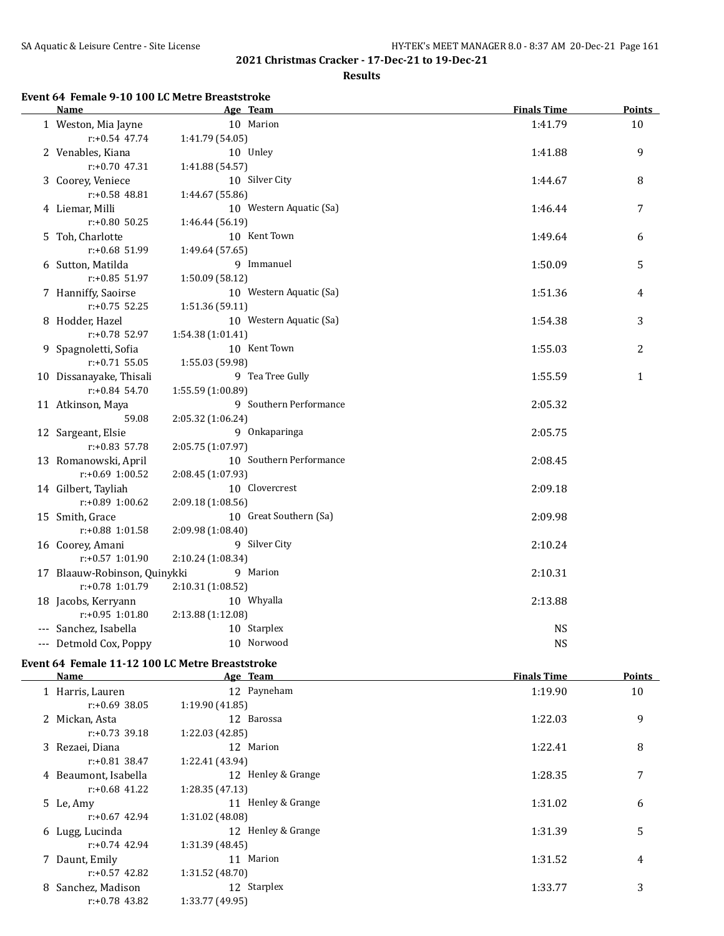**Results**

### **Event 64 Female 9-10 100 LC Metre Breaststroke**

| <b>Name</b>                  | Age Team                | <b>Finals Time</b> | <b>Points</b> |
|------------------------------|-------------------------|--------------------|---------------|
| 1 Weston, Mia Jayne          | 10 Marion               | 1:41.79            | 10            |
| $r: +0.54$ 47.74             | 1:41.79 (54.05)         |                    |               |
| 2 Venables, Kiana            | 10 Unley                | 1:41.88            | 9             |
| $r: +0.70$ 47.31             | 1:41.88 (54.57)         |                    |               |
| 3 Coorey, Veniece            | 10 Silver City          | 1:44.67            | 8             |
| r:+0.58 48.81                | 1:44.67 (55.86)         |                    |               |
| 4 Liemar, Milli              | 10 Western Aquatic (Sa) | 1:46.44            | 7             |
| $r: +0.80$ 50.25             | 1:46.44 (56.19)         |                    |               |
| 5 Toh, Charlotte             | 10 Kent Town            | 1:49.64            | 6             |
| $r: +0.68$ 51.99             | 1:49.64 (57.65)         |                    |               |
| 6 Sutton, Matilda            | 9 Immanuel              | 1:50.09            | 5             |
| $r: +0.85$ 51.97             | 1:50.09 (58.12)         |                    |               |
| 7 Hanniffy, Saoirse          | 10 Western Aquatic (Sa) | 1:51.36            | 4             |
| $r: +0.75$ 52.25             | 1:51.36 (59.11)         |                    |               |
| 8 Hodder, Hazel              | 10 Western Aquatic (Sa) | 1:54.38            | 3             |
| r:+0.78 52.97                | 1:54.38 (1:01.41)       |                    |               |
| 9 Spagnoletti, Sofia         | 10 Kent Town            | 1:55.03            | 2             |
| $r: +0.71$ 55.05             | 1:55.03 (59.98)         |                    |               |
| 10 Dissanayake, Thisali      | 9 Tea Tree Gully        | 1:55.59            | $\mathbf{1}$  |
| $r: +0.84$ 54.70             | 1:55.59 (1:00.89)       |                    |               |
| 11 Atkinson, Maya            | 9 Southern Performance  | 2:05.32            |               |
| 59.08                        | 2:05.32 (1:06.24)       |                    |               |
| 12 Sargeant, Elsie           | 9 Onkaparinga           | 2:05.75            |               |
| r:+0.83 57.78                | 2:05.75 (1:07.97)       |                    |               |
| 13 Romanowski, April         | 10 Southern Performance | 2:08.45            |               |
| $r: +0.69$ 1:00.52           | 2:08.45 (1:07.93)       |                    |               |
| 14 Gilbert, Tayliah          | 10 Clovercrest          | 2:09.18            |               |
| $r: +0.89$ 1:00.62           | 2:09.18 (1:08.56)       |                    |               |
| 15 Smith, Grace              | 10 Great Southern (Sa)  | 2:09.98            |               |
| r:+0.88 1:01.58              | 2:09.98 (1:08.40)       |                    |               |
| 16 Coorey, Amani             | 9 Silver City           | 2:10.24            |               |
| $r: +0.57$ 1:01.90           | 2:10.24 (1:08.34)       |                    |               |
| 17 Blaauw-Robinson, Quinykki | 9 Marion                | 2:10.31            |               |
| r:+0.78 1:01.79              | 2:10.31 (1:08.52)       |                    |               |
| 18 Jacobs, Kerryann          | 10 Whyalla              | 2:13.88            |               |
| $r: +0.95$ 1:01.80           | 2:13.88 (1:12.08)       |                    |               |
| --- Sanchez, Isabella        | 10 Starplex             | NS                 |               |
| --- Detmold Cox, Poppy       | 10 Norwood              | <b>NS</b>          |               |

## **Event 64 Female 11-12 100 LC Metre Breaststroke**

 $\overline{\phantom{a}}$ 

| Name                 |                 | Age Team           | <b>Finals Time</b> | <b>Points</b> |
|----------------------|-----------------|--------------------|--------------------|---------------|
| 1 Harris, Lauren     |                 | 12 Payneham        | 1:19.90            | 10            |
| $r: +0.69$ 38.05     | 1:19.90(41.85)  |                    |                    |               |
| 2 Mickan, Asta       |                 | 12 Barossa         | 1:22.03            | 9             |
| $r: +0.73$ 39.18     | 1:22.03 (42.85) |                    |                    |               |
| 3 Rezaei, Diana      |                 | 12 Marion          | 1:22.41            | 8             |
| $r: +0.81$ 38.47     | 1:22.41 (43.94) |                    |                    |               |
| 4 Beaumont, Isabella |                 | 12 Henley & Grange | 1:28.35            | 7             |
| $r: +0.68$ 41.22     | 1:28.35 (47.13) |                    |                    |               |
| 5 Le, Amy            |                 | 11 Henley & Grange | 1:31.02            | 6             |
| $r: +0.67$ 42.94     | 1:31.02 (48.08) |                    |                    |               |
| 6 Lugg, Lucinda      |                 | 12 Henley & Grange | 1:31.39            | 5             |
| $r: +0.74$ 42.94     | 1:31.39(48.45)  |                    |                    |               |
| 7 Daunt, Emily       |                 | 11 Marion          | 1:31.52            | 4             |
| $r: +0.57$ 42.82     | 1:31.52 (48.70) |                    |                    |               |
| 8 Sanchez, Madison   |                 | 12 Starplex        | 1:33.77            | 3             |
| $r: +0.78$ 43.82     | 1:33.77 (49.95) |                    |                    |               |
|                      |                 |                    |                    |               |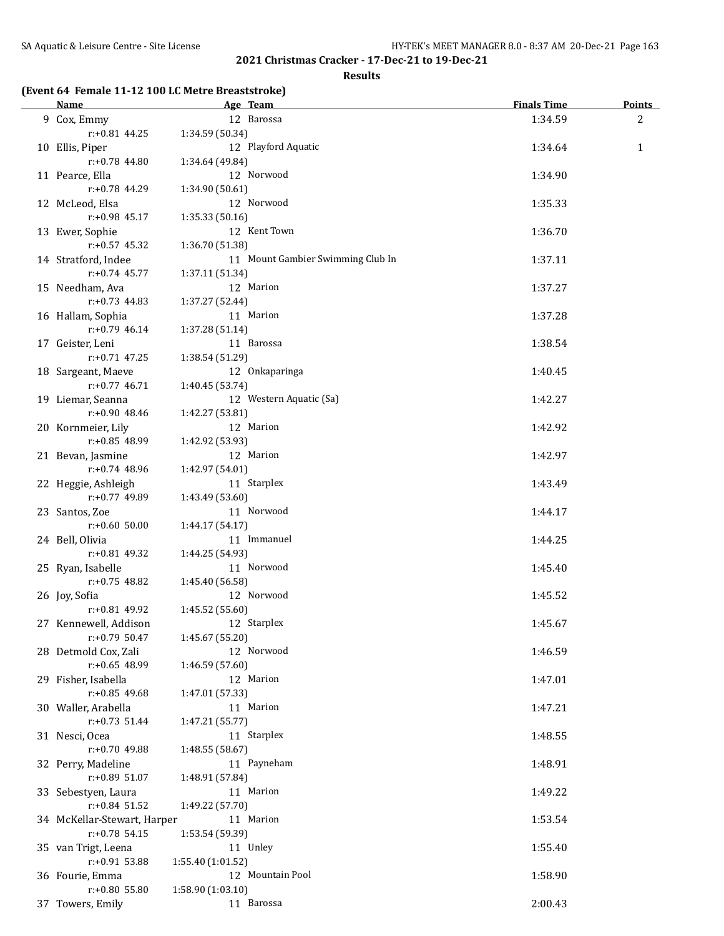**Results**

### **(Event 64 Female 11-12 100 LC Metre Breaststroke)**

| <b>Name</b>                                  |                   | Age Team                          | <b>Finals Time</b> | <b>Points</b> |
|----------------------------------------------|-------------------|-----------------------------------|--------------------|---------------|
| 9 Cox, Emmy<br>$r: +0.81$ 44.25              | 1:34.59 (50.34)   | 12 Barossa                        | 1:34.59            | $\mathbf{2}$  |
| 10 Ellis, Piper<br>r:+0.78 44.80             | 1:34.64 (49.84)   | 12 Playford Aquatic               | 1:34.64            | $\mathbf{1}$  |
| 11 Pearce, Ella<br>r:+0.78 44.29             | 1:34.90 (50.61)   | 12 Norwood                        | 1:34.90            |               |
| 12 McLeod, Elsa<br>$r: +0.98$ 45.17          | 1:35.33 (50.16)   | 12 Norwood                        | 1:35.33            |               |
| 13 Ewer, Sophie<br>$r: +0.57$ 45.32          | 1:36.70 (51.38)   | 12 Kent Town                      | 1:36.70            |               |
| 14 Stratford, Indee<br>$r: +0.74$ 45.77      | 1:37.11 (51.34)   | 11 Mount Gambier Swimming Club In | 1:37.11            |               |
| 15 Needham, Ava<br>$r: +0.73$ 44.83          | 1:37.27 (52.44)   | 12 Marion                         | 1:37.27            |               |
| 16 Hallam, Sophia<br>$r: +0.79$ 46.14        | 1:37.28 (51.14)   | 11 Marion                         | 1:37.28            |               |
| 17 Geister, Leni<br>$r: +0.71$ 47.25         | 1:38.54 (51.29)   | 11 Barossa                        | 1:38.54            |               |
| 18 Sargeant, Maeve<br>$r: +0.77$ 46.71       | 1:40.45 (53.74)   | 12 Onkaparinga                    | 1:40.45            |               |
| 19 Liemar, Seanna<br>$r: +0.90$ 48.46        | 1:42.27 (53.81)   | 12 Western Aquatic (Sa)           | 1:42.27            |               |
| 20 Kornmeier, Lily<br>$r: +0.85$ 48.99       | 1:42.92 (53.93)   | 12 Marion                         | 1:42.92            |               |
| 21 Bevan, Jasmine<br>$r: +0.74$ 48.96        | 1:42.97 (54.01)   | 12 Marion                         | 1:42.97            |               |
| 22 Heggie, Ashleigh<br>$r: +0.77$ 49.89      | 1:43.49 (53.60)   | 11 Starplex                       | 1:43.49            |               |
| 23 Santos, Zoe<br>$r: +0.60$ 50.00           | 1:44.17 (54.17)   | 11 Norwood                        | 1:44.17            |               |
| 24 Bell, Olivia<br>$r: +0.81$ 49.32          | 1:44.25 (54.93)   | 11 Immanuel                       | 1:44.25            |               |
| 25 Ryan, Isabelle<br>$r: +0.75$ 48.82        | 1:45.40 (56.58)   | 11 Norwood                        | 1:45.40            |               |
| 26 Joy, Sofia<br>$r: +0.81$ 49.92            | 1:45.52 (55.60)   | 12 Norwood                        | 1:45.52            |               |
| 27 Kennewell, Addison<br>$r: +0.79$ 50.47    | 1:45.67 (55.20)   | 12 Starplex                       | 1:45.67            |               |
| 28 Detmold Cox, Zali<br>$r: +0.65$ 48.99     | 1:46.59 (57.60)   | 12 Norwood                        | 1:46.59            |               |
| 29 Fisher, Isabella<br>$r: +0.85$ 49.68      | 1:47.01 (57.33)   | 12 Marion                         | 1:47.01            |               |
| 30 Waller, Arabella<br>$r: +0.73$ 51.44      | 1:47.21 (55.77)   | 11 Marion                         | 1:47.21            |               |
| 31 Nesci, Ocea<br>r:+0.70 49.88              | 1:48.55 (58.67)   | 11 Starplex                       | 1:48.55            |               |
| 32 Perry, Madeline<br>r:+0.89 51.07          | 1:48.91 (57.84)   | 11 Payneham                       | 1:48.91            |               |
| 33 Sebestyen, Laura<br>$r: +0.84$ 51.52      | 1:49.22 (57.70)   | 11 Marion                         | 1:49.22            |               |
| 34 McKellar-Stewart, Harper<br>r:+0.78 54.15 | 1:53.54 (59.39)   | 11 Marion                         | 1:53.54            |               |
| 35 van Trigt, Leena<br>r:+0.91 53.88         | 1:55.40 (1:01.52) | 11 Unley                          | 1:55.40            |               |
| 36 Fourie, Emma<br>r:+0.80 55.80             | 1:58.90 (1:03.10) | 12 Mountain Pool                  | 1:58.90            |               |
| 37 Towers, Emily                             |                   | 11 Barossa                        | 2:00.43            |               |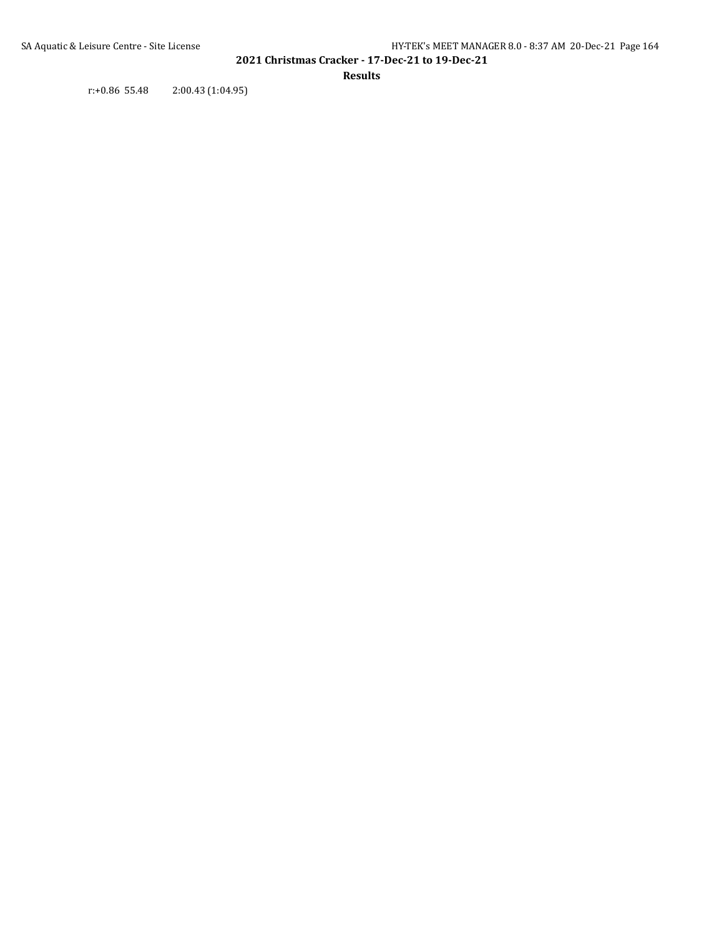**Results**

r:+0.86 55.48 2:00.43 (1:04.95)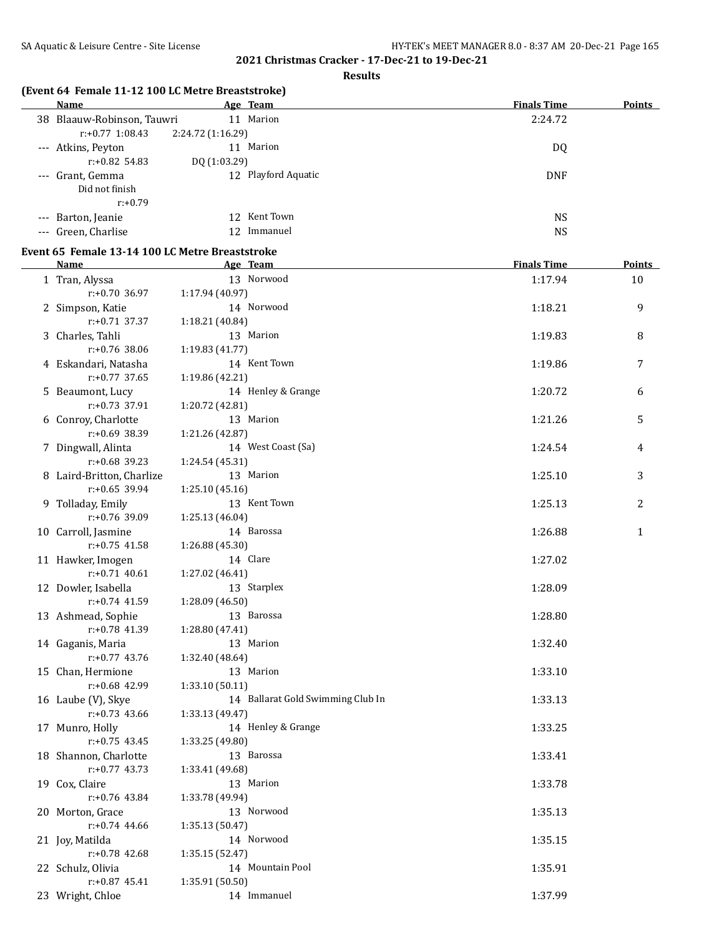### **Results**

|  |  |  |  |  | (Event 64 Female 11-12 100 LC Metre Breaststroke) |  |
|--|--|--|--|--|---------------------------------------------------|--|
|--|--|--|--|--|---------------------------------------------------|--|

|       | Name                       |                   | Age Team            | <b>Finals Time</b> | <b>Points</b> |
|-------|----------------------------|-------------------|---------------------|--------------------|---------------|
|       | 38 Blaauw-Robinson, Tauwri | 11                | Marion              | 2:24.72            |               |
|       | $r+0.77$ 1:08.43           | 2:24.72 (1:16.29) |                     |                    |               |
|       | --- Atkins, Peyton         | 11                | Marion              | DQ                 |               |
|       | $r: +0.82$ 54.83           | DQ (1:03.29)      |                     |                    |               |
|       | --- Grant, Gemma           |                   | 12 Playford Aquatic | <b>DNF</b>         |               |
|       | Did not finish             |                   |                     |                    |               |
|       | $r: +0.79$                 |                   |                     |                    |               |
|       | --- Barton, Jeanie         |                   | 12 Kent Town        | <b>NS</b>          |               |
| $---$ | Green, Charlise            |                   | Immanuel            | NS                 |               |

### **Event 65 Female 13-14 100 LC Metre Breaststroke**

| Name                      | Age Team           |                                   | <b>Finals Time</b> | <b>Points</b> |
|---------------------------|--------------------|-----------------------------------|--------------------|---------------|
| 1 Tran, Alyssa            | 13 Norwood         |                                   | 1:17.94            | 10            |
| $r: +0.70$ 36.97          | 1:17.94 (40.97)    |                                   |                    |               |
| 2 Simpson, Katie          | 14 Norwood         |                                   | 1:18.21            | 9             |
| $r: +0.71$ 37.37          | 1:18.21 (40.84)    |                                   |                    |               |
| 3 Charles, Tahli          | 13 Marion          |                                   | 1:19.83            | 8             |
| $r: +0.76$ 38.06          | 1:19.83 (41.77)    |                                   |                    |               |
| 4 Eskandari, Natasha      | 14 Kent Town       |                                   | 1:19.86            | 7             |
| $r: +0.77$ 37.65          | 1:19.86 (42.21)    |                                   |                    |               |
| 5 Beaumont, Lucy          | 14 Henley & Grange |                                   | 1:20.72            | 6             |
| $r: +0.73$ 37.91          | 1:20.72 (42.81)    |                                   |                    |               |
| 6 Conroy, Charlotte       | 13 Marion          |                                   | 1:21.26            | 5             |
| $r: +0.69$ 38.39          | 1:21.26 (42.87)    |                                   |                    |               |
| 7 Dingwall, Alinta        | 14 West Coast (Sa) |                                   | 1:24.54            | 4             |
| $r: +0.68$ 39.23          | 1:24.54 (45.31)    |                                   |                    |               |
| 8 Laird-Britton, Charlize | 13 Marion          |                                   | 1:25.10            | 3             |
| $r: +0.65$ 39.94          | 1:25.10 (45.16)    |                                   |                    |               |
| 9 Tolladay, Emily         | 13 Kent Town       |                                   | 1:25.13            | 2             |
| $r: +0.76$ 39.09          | 1:25.13 (46.04)    |                                   |                    |               |
| 10 Carroll, Jasmine       | 14 Barossa         |                                   | 1:26.88            | $\mathbf{1}$  |
| $r: +0.75$ 41.58          | 1:26.88 (45.30)    |                                   |                    |               |
| 11 Hawker, Imogen         | 14 Clare           |                                   | 1:27.02            |               |
| $r: +0.71$ 40.61          | 1:27.02 (46.41)    |                                   |                    |               |
| 12 Dowler, Isabella       | 13 Starplex        |                                   | 1:28.09            |               |
| $r: +0.74$ 41.59          | 1:28.09 (46.50)    |                                   |                    |               |
| 13 Ashmead, Sophie        | 13 Barossa         |                                   | 1:28.80            |               |
| r:+0.78 41.39             | 1:28.80 (47.41)    |                                   |                    |               |
| 14 Gaganis, Maria         | 13 Marion          |                                   | 1:32.40            |               |
| $r: +0.77$ 43.76          | 1:32.40 (48.64)    |                                   |                    |               |
| 15 Chan, Hermione         | 13 Marion          |                                   | 1:33.10            |               |
| r:+0.68 42.99             | 1:33.10 (50.11)    |                                   |                    |               |
| 16 Laube (V), Skye        |                    | 14 Ballarat Gold Swimming Club In | 1:33.13            |               |
| $r: +0.73$ 43.66          | 1:33.13 (49.47)    |                                   |                    |               |
| 17 Munro, Holly           | 14 Henley & Grange |                                   | 1:33.25            |               |
| $r: +0.75$ 43.45          | 1:33.25 (49.80)    |                                   |                    |               |
| 18 Shannon, Charlotte     | 13 Barossa         |                                   | 1:33.41            |               |
| $r: +0.77$ 43.73          | 1:33.41 (49.68)    |                                   |                    |               |
| 19 Cox, Claire            | 13 Marion          |                                   | 1:33.78            |               |
| r:+0.76 43.84             | 1:33.78 (49.94)    |                                   |                    |               |
| 20 Morton, Grace          | 13 Norwood         |                                   | 1:35.13            |               |
| $r: +0.74$ 44.66          | 1:35.13(50.47)     |                                   |                    |               |
| 21 Joy, Matilda           | 14 Norwood         |                                   | 1:35.15            |               |
| $r: +0.78$ 42.68          | 1:35.15 (52.47)    |                                   |                    |               |
| 22 Schulz, Olivia         | 14 Mountain Pool   |                                   | 1:35.91            |               |
| $r: +0.87$ 45.41          | 1:35.91 (50.50)    |                                   |                    |               |
| 23 Wright, Chloe          | 14 Immanuel        |                                   | 1:37.99            |               |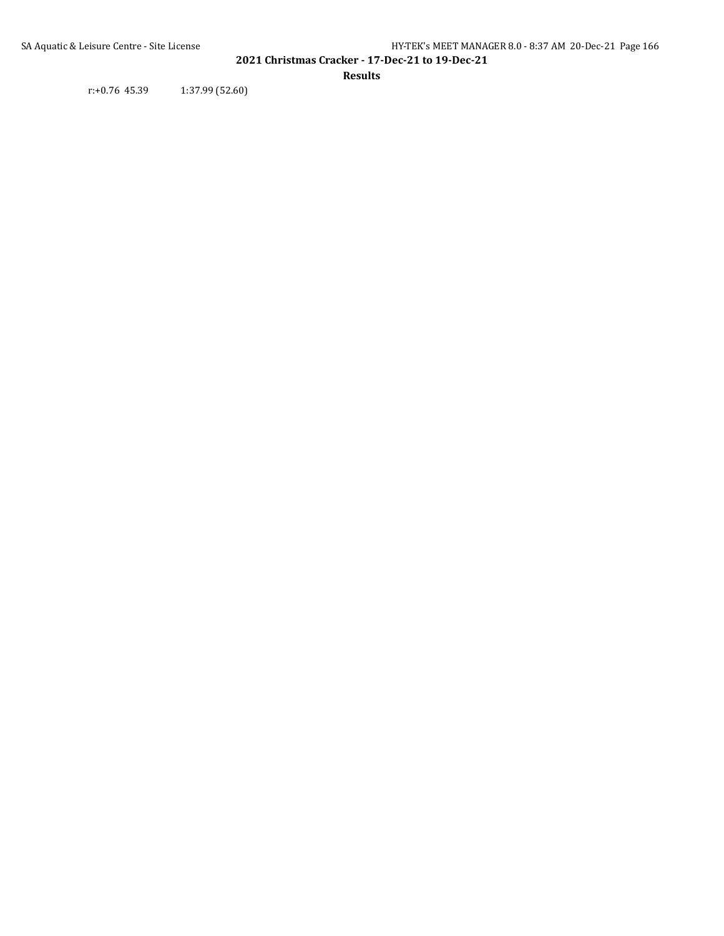**Results**

r:+0.76 45.39 1:37.99 (52.60)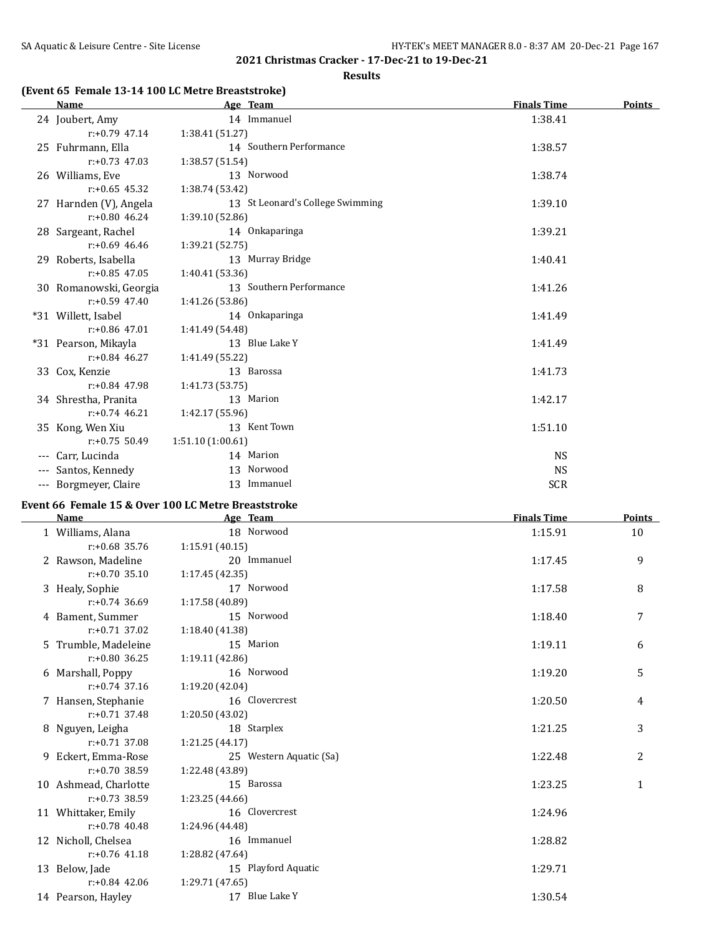**Results**

## **(Event 65 Female 13-14 100 LC Metre Breaststroke)**

| <b>Name</b>            |                  | Age Team                         | <b>Finals Time</b> | Points |
|------------------------|------------------|----------------------------------|--------------------|--------|
| 24 Joubert, Amy        |                  | 14 Immanuel                      | 1:38.41            |        |
| $r: +0.79$ 47.14       | 1:38.41(51.27)   |                                  |                    |        |
| 25 Fuhrmann, Ella      |                  | 14 Southern Performance          | 1:38.57            |        |
| $r: +0.73$ 47.03       | 1:38.57(51.54)   |                                  |                    |        |
| 26 Williams, Eve       |                  | 13 Norwood                       | 1:38.74            |        |
| $r: +0.65$ 45.32       | 1:38.74 (53.42)  |                                  |                    |        |
| 27 Harnden (V), Angela |                  | 13 St Leonard's College Swimming | 1:39.10            |        |
| $r: +0.80$ 46.24       | 1:39.10 (52.86)  |                                  |                    |        |
| 28 Sargeant, Rachel    |                  | 14 Onkaparinga                   | 1:39.21            |        |
| $r: +0.69$ 46.46       | 1:39.21(52.75)   |                                  |                    |        |
| 29 Roberts, Isabella   |                  | 13 Murray Bridge                 | 1:40.41            |        |
| $r: +0.85$ 47.05       | 1:40.41 (53.36)  |                                  |                    |        |
| 30 Romanowski, Georgia |                  | 13 Southern Performance          | 1:41.26            |        |
| $r: +0.59$ 47.40       | 1:41.26 (53.86)  |                                  |                    |        |
| *31 Willett, Isabel    |                  | 14 Onkaparinga                   | 1:41.49            |        |
| $r: +0.86$ 47.01       | 1:41.49 (54.48)  |                                  |                    |        |
| *31 Pearson, Mikayla   |                  | 13 Blue Lake Y                   | 1:41.49            |        |
| $r: +0.84$ 46.27       | 1:41.49 (55.22)  |                                  |                    |        |
| 33 Cox, Kenzie         |                  | 13 Barossa                       | 1:41.73            |        |
| $r: +0.84$ 47.98       | 1:41.73(53.75)   |                                  |                    |        |
| 34 Shrestha, Pranita   |                  | 13 Marion                        | 1:42.17            |        |
| $r: +0.74$ 46.21       | 1:42.17 (55.96)  |                                  |                    |        |
| 35 Kong, Wen Xiu       |                  | 13 Kent Town                     | 1:51.10            |        |
| $r: +0.75$ 50.49       | 1:51.10(1:00.61) |                                  |                    |        |
| Carr, Lucinda          |                  | 14 Marion                        | <b>NS</b>          |        |
| Santos, Kennedy        |                  | 13 Norwood                       | <b>NS</b>          |        |
| --- Borgmeyer, Claire  |                  | 13 Immanuel                      | <b>SCR</b>         |        |

### **Event 66 Female 15 & Over 100 LC Metre Breaststroke**

| <b>Name</b>           | Age Team                | <b>Finals Time</b> | <b>Points</b> |
|-----------------------|-------------------------|--------------------|---------------|
| 1 Williams, Alana     | 18 Norwood              | 1:15.91            | 10            |
| $r: +0.68$ 35.76      | 1:15.91(40.15)          |                    |               |
| 2 Rawson, Madeline    | 20 Immanuel             | 1:17.45            | 9             |
| $r: +0.70$ 35.10      | 1:17.45(42.35)          |                    |               |
| 3 Healy, Sophie       | 17 Norwood              | 1:17.58            | 8             |
| $r: +0.74$ 36.69      | 1:17.58 (40.89)         |                    |               |
| 4 Bament, Summer      | 15 Norwood              | 1:18.40            | 7             |
| $r: +0.71$ 37.02      | 1:18.40 (41.38)         |                    |               |
| 5 Trumble, Madeleine  | 15 Marion               | 1:19.11            | 6             |
| $r: +0.80$ 36.25      | 1:19.11 (42.86)         |                    |               |
| 6 Marshall, Poppy     | 16 Norwood              | 1:19.20            | 5             |
| $r: +0.74$ 37.16      | 1:19.20 (42.04)         |                    |               |
| 7 Hansen, Stephanie   | 16 Clovercrest          | 1:20.50            | 4             |
| $r: +0.71$ 37.48      | 1:20.50 (43.02)         |                    |               |
| 8 Nguyen, Leigha      | 18 Starplex             | 1:21.25            | 3             |
| $r: +0.71$ 37.08      | 1:21.25(44.17)          |                    |               |
| 9 Eckert. Emma-Rose   | 25 Western Aquatic (Sa) | 1:22.48            | 2             |
| $r: +0.70$ 38.59      | 1:22.48 (43.89)         |                    |               |
| 10 Ashmead, Charlotte | 15 Barossa              | 1:23.25            | 1             |
| $r: +0.73$ 38.59      | 1:23.25(44.66)          |                    |               |
| 11 Whittaker, Emily   | 16 Clovercrest          | 1:24.96            |               |
| $r: +0.78$ 40.48      | 1:24.96 (44.48)         |                    |               |
| 12 Nicholl, Chelsea   | 16 Immanuel             | 1:28.82            |               |
| $r: +0.76$ 41.18      | 1:28.82 (47.64)         |                    |               |
| 13 Below, Jade        | 15 Playford Aquatic     | 1:29.71            |               |
| $r: +0.84$ 42.06      | 1:29.71 (47.65)         |                    |               |
| 14 Pearson, Hayley    | 17 Blue Lake Y          | 1:30.54            |               |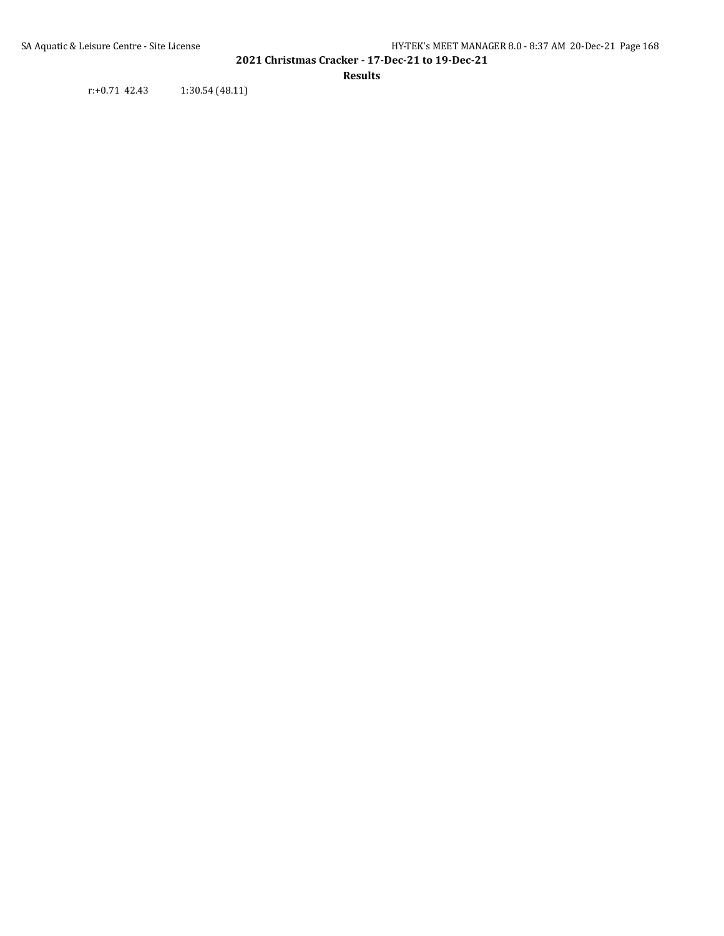**Results**

r:+0.71 42.43 1:30.54 (48.11)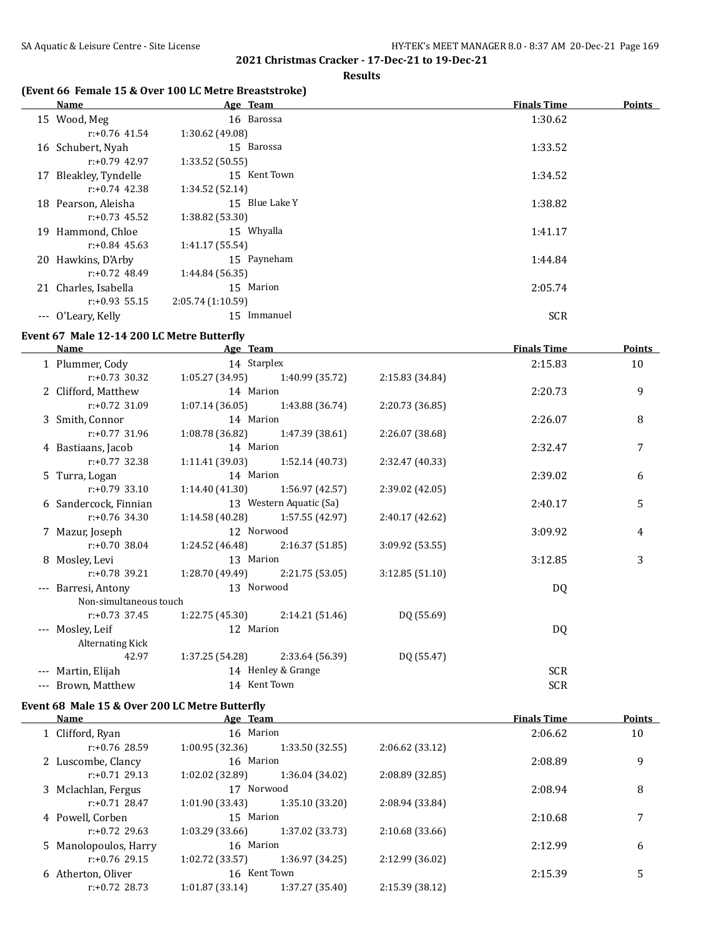#### **Results**

### **(Event 66 Female 15 & Over 100 LC Metre Breaststroke)**

|                     | Name                 | Age Team         | <b>Finals Time</b> | <b>Points</b> |
|---------------------|----------------------|------------------|--------------------|---------------|
|                     | 15 Wood, Meg         | 16 Barossa       | 1:30.62            |               |
|                     | $r: +0.76$ 41.54     | 1:30.62 (49.08)  |                    |               |
|                     | 16 Schubert, Nyah    | 15 Barossa       | 1:33.52            |               |
|                     | $r: +0.79$ 42.97     | 1:33.52(50.55)   |                    |               |
| 17                  | Bleakley, Tyndelle   | 15 Kent Town     | 1:34.52            |               |
|                     | $r: +0.74$ 42.38     | 1:34.52 (52.14)  |                    |               |
|                     | 18 Pearson, Aleisha  | 15 Blue Lake Y   | 1:38.82            |               |
|                     | $r: +0.73$ 45.52     | 1:38.82(53.30)   |                    |               |
| 19.                 | Hammond, Chloe       | 15 Whyalla       | 1:41.17            |               |
|                     | $r: +0.84$ 45.63     | 1:41.17 (55.54)  |                    |               |
|                     | 20 Hawkins, D'Arby   | 15 Payneham      | 1:44.84            |               |
|                     | $r: +0.72$ 48.49     | 1:44.84 (56.35)  |                    |               |
|                     | 21 Charles, Isabella | 15 Marion        | 2:05.74            |               |
|                     | $r: +0.93$ 55.15     | 2:05.74(1:10.59) |                    |               |
| $\qquad \qquad - -$ | 0'Leary, Kelly       | Immanuel<br>15   | <b>SCR</b>         |               |
|                     |                      |                  |                    |               |

### **Event 67 Male 12-14 200 LC Metre Butterfly**

| <b>Name</b>            | Age Team        |                                   |                 | <b>Finals Time</b> | <b>Points</b> |
|------------------------|-----------------|-----------------------------------|-----------------|--------------------|---------------|
| 1 Plummer, Cody        | 14 Starplex     |                                   |                 | 2:15.83            | 10            |
| $r: +0.73$ 30.32       |                 | $1:05.27(34.95)$ $1:40.99(35.72)$ | 2:15.83 (34.84) |                    |               |
| 2 Clifford, Matthew    | 14 Marion       |                                   |                 | 2:20.73            | 9             |
| $r: +0.72$ 31.09       | 1:07.14(36.05)  | 1:43.88 (36.74)                   | 2:20.73 (36.85) |                    |               |
| 3 Smith, Connor        | 14 Marion       |                                   |                 | 2:26.07            | 8             |
| $r: +0.77$ 31.96       | 1:08.78 (36.82) | 1:47.39 (38.61)                   | 2:26.07 (38.68) |                    |               |
| 4 Bastiaans, Jacob     | 14 Marion       |                                   |                 | 2:32.47            | 7             |
| $r: +0.77$ 32.38       | 1:11.41 (39.03) | 1:52.14 (40.73)                   | 2:32.47 (40.33) |                    |               |
| 5 Turra, Logan         | 14 Marion       |                                   |                 | 2:39.02            | 6             |
| $r: +0.79$ 33.10       | 1:14.40 (41.30) | 1:56.97 (42.57)                   | 2:39.02 (42.05) |                    |               |
| 6 Sandercock, Finnian  |                 | 13 Western Aquatic (Sa)           |                 | 2:40.17            | 5             |
| $r: +0.76$ 34.30       | 1:14.58 (40.28) | 1:57.55 (42.97)                   | 2:40.17 (42.62) |                    |               |
| 7 Mazur, Joseph        | 12 Norwood      |                                   |                 | 3:09.92            | 4             |
| $r: +0.70$ 38.04       | 1:24.52 (46.48) | 2:16.37(51.85)                    | 3:09.92(53.55)  |                    |               |
| 8 Mosley, Levi         | 13 Marion       |                                   |                 | 3:12.85            | 3             |
| $r: +0.78$ 39.21       |                 | $1:28.70(49.49)$ $2:21.75(53.05)$ | 3:12.85(51.10)  |                    |               |
| --- Barresi, Antony    | 13 Norwood      |                                   |                 | DQ                 |               |
| Non-simultaneous touch |                 |                                   |                 |                    |               |
| $r: +0.73$ 37.45       | 1:22.75 (45.30) | 2:14.21 (51.46)                   | DQ (55.69)      |                    |               |
| --- Mosley, Leif       | 12 Marion       |                                   |                 | DQ                 |               |
| Alternating Kick       |                 |                                   |                 |                    |               |
| 42.97                  | 1:37.25 (54.28) | 2:33.64 (56.39)                   | DQ (55.47)      |                    |               |
| --- Martin, Elijah     |                 | 14 Henley & Grange                |                 | <b>SCR</b>         |               |
| --- Brown, Matthew     | 14 Kent Town    |                                   |                 | <b>SCR</b>         |               |

### **Event 68 Male 15 & Over 200 LC Metre Butterfly**

 $\overline{a}$ 

|   | <b>Name</b>           | Age Team        |                 |                 | <b>Finals Time</b> | <b>Points</b> |
|---|-----------------------|-----------------|-----------------|-----------------|--------------------|---------------|
|   | 1 Clifford, Ryan      | 16 Marion       |                 |                 | 2:06.62            | 10            |
|   | $r: +0.76$ 28.59      | 1:00.95(32.36)  | 1:33.50(32.55)  | 2:06.62 (33.12) |                    |               |
|   | 2 Luscombe, Clancy    | 16 Marion       |                 |                 | 2:08.89            | 9             |
|   | $r: +0.71$ 29.13      | 1:02.02(32.89)  | 1:36.04 (34.02) | 2:08.89 (32.85) |                    |               |
|   | 3 Mclachlan, Fergus   | 17              | Norwood         |                 | 2:08.94            | 8             |
|   | $r: +0.71$ 28.47      | 1:01.90(33.43)  | 1:35.10(33.20)  | 2:08.94 (33.84) |                    |               |
|   | 4 Powell, Corben      | 15 Marion       |                 |                 | 2:10.68            | 7             |
|   | $r: +0.72$ 29.63      | 1:03.29 (33.66) | 1:37.02 (33.73) | 2:10.68 (33.66) |                    |               |
|   | 5 Manolopoulos, Harry | 16 Marion       |                 |                 | 2:12.99            | 6             |
|   | $r: +0.76$ 29.15      | 1:02.72 (33.57) | 1:36.97 (34.25) | 2:12.99 (36.02) |                    |               |
| 6 | Atherton, Oliver      | 16 Kent Town    |                 |                 | 2:15.39            | 5             |
|   | $r: +0.72$ 28.73      | 1:01.87 (33.14) | 1:37.27 (35.40) | 2:15.39 (38.12) |                    |               |
|   |                       |                 |                 |                 |                    |               |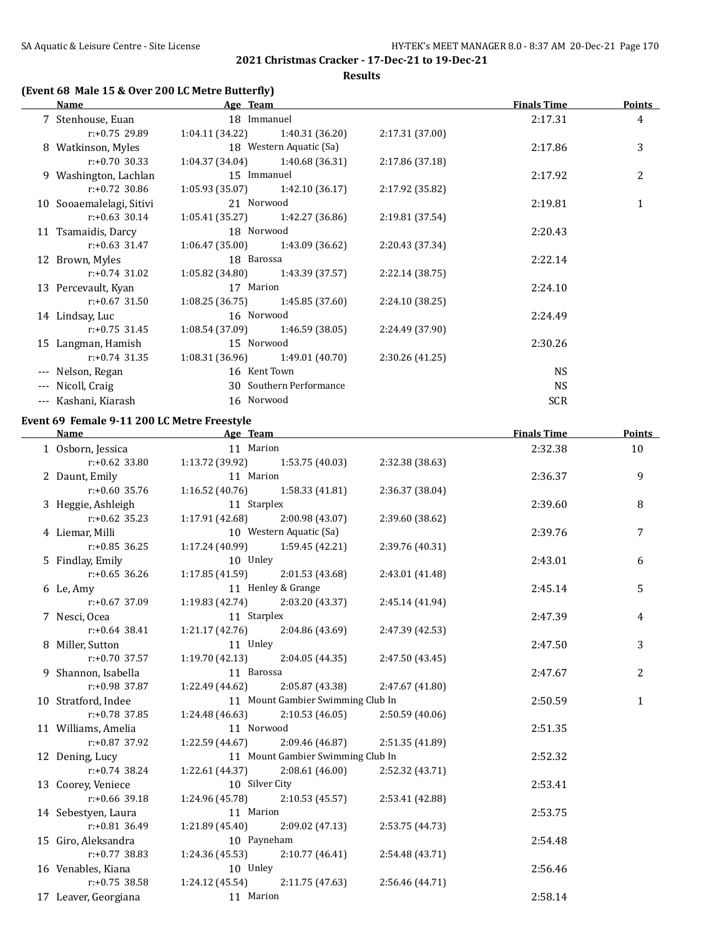**Results**

### **(Event 68 Male 15 & Over 200 LC Metre Butterfly)**

| Name                     | Age Team     |                                   |                 | <b>Finals Time</b> | <b>Points</b> |
|--------------------------|--------------|-----------------------------------|-----------------|--------------------|---------------|
| 7 Stenhouse, Euan        | 18 Immanuel  |                                   |                 | 2:17.31            | 4             |
| $r: +0.75$ 29.89         |              | 1:04.11 (34.22) 1:40.31 (36.20)   | 2:17.31 (37.00) |                    |               |
| 8 Watkinson, Myles       |              | 18 Western Aquatic (Sa)           |                 | 2:17.86            | 3             |
| $r: +0.70$ 30.33         |              | $1:04.37(34.04)$ $1:40.68(36.31)$ | 2:17.86(37.18)  |                    |               |
| 9 Washington, Lachlan    | 15 Immanuel  |                                   |                 | 2:17.92            | 2             |
| r:+0.72 30.86            |              | $1:05.93(35.07)$ $1:42.10(36.17)$ | 2:17.92 (35.82) |                    |               |
| 10 Sooaemalelagi, Sitivi | 21 Norwood   |                                   |                 | 2:19.81            | 1             |
| $r: +0.63$ 30.14         |              | $1:05.41(35.27)$ $1:42.27(36.86)$ | 2:19.81 (37.54) |                    |               |
| 11 Tsamaidis, Darcy      | 18 Norwood   |                                   |                 | 2:20.43            |               |
| r:+0.63 31.47            |              | $1:06.47(35.00)$ $1:43.09(36.62)$ | 2:20.43 (37.34) |                    |               |
| 12 Brown, Myles          | 18 Barossa   |                                   |                 | 2:22.14            |               |
| $r: +0.74$ 31.02         |              | $1:05.82(34.80)$ $1:43.39(37.57)$ | 2:22.14 (38.75) |                    |               |
| 13 Percevault, Kyan      | 17 Marion    |                                   |                 | 2:24.10            |               |
| $r: +0.67$ 31.50         |              | $1:08.25(36.75)$ $1:45.85(37.60)$ | 2:24.10(38.25)  |                    |               |
| 14 Lindsay, Luc          | 16 Norwood   |                                   |                 | 2:24.49            |               |
| $r: +0.75$ 31.45         |              | $1:08.54(37.09)$ $1:46.59(38.05)$ | 2:24.49 (37.90) |                    |               |
| 15 Langman, Hamish       | 15 Norwood   |                                   |                 | 2:30.26            |               |
| $r: +0.74$ 31.35         |              | $1:08.31(36.96)$ $1:49.01(40.70)$ | 2:30.26 (41.25) |                    |               |
| Nelson, Regan            | 16 Kent Town |                                   |                 | <b>NS</b>          |               |
| --- Nicoll, Craig        |              | 30 Southern Performance           |                 | <b>NS</b>          |               |
| --- Kashani, Kiarash     | 16 Norwood   |                                   |                 | <b>SCR</b>         |               |

### **Event 69 Female 9-11 200 LC Metre Freestyle**

| Name                 | Age Team        |                                     |                 | <b>Finals Time</b> | <b>Points</b> |
|----------------------|-----------------|-------------------------------------|-----------------|--------------------|---------------|
| 1 Osborn, Jessica    | 11 Marion       |                                     |                 | 2:32.38            | 10            |
| r:+0.62 33.80        |                 | $1:13.72$ (39.92) $1:53.75$ (40.03) | 2:32.38 (38.63) |                    |               |
| 2 Daunt, Emily       | 11 Marion       |                                     |                 | 2:36.37            | 9             |
| $r: +0.60$ 35.76     |                 | $1:16.52$ (40.76) $1:58.33$ (41.81) | 2:36.37 (38.04) |                    |               |
| 3 Heggie, Ashleigh   | 11 Starplex     |                                     |                 | 2:39.60            | 8             |
| $r: +0.62$ 35.23     |                 | $1:17.91(42.68)$ $2:00.98(43.07)$   | 2:39.60 (38.62) |                    |               |
| 4 Liemar, Milli      |                 | 10 Western Aquatic (Sa)             |                 | 2:39.76            | 7             |
| $r: +0.85$ 36.25     |                 | $1:17.24(40.99)$ $1:59.45(42.21)$   | 2:39.76 (40.31) |                    |               |
| 5 Findlay, Emily     | 10 Unley        |                                     |                 | 2:43.01            | 6             |
| $r: +0.65$ 36.26     | 1:17.85(41.59)  | 2:01.53 (43.68)                     | 2:43.01 (41.48) |                    |               |
| 6 Le, Amy            |                 | 11 Henley & Grange                  |                 | 2:45.14            | 5             |
| $r: +0.67$ 37.09     | 1:19.83(42.74)  | 2:03.20 (43.37)                     | 2:45.14(41.94)  |                    |               |
| 7 Nesci, Ocea        | 11 Starplex     |                                     |                 | 2:47.39            | 4             |
| $r: +0.64$ 38.41     |                 | $1:21.17(42.76)$ $2:04.86(43.69)$   | 2:47.39 (42.53) |                    |               |
| 8 Miller, Sutton     | 11 Unley        |                                     |                 | 2:47.50            | 3             |
| $r: +0.70$ 37.57     |                 | $1:19.70(42.13)$ $2:04.05(44.35)$   | 2:47.50 (43.45) |                    |               |
| 9 Shannon, Isabella  | 11 Barossa      |                                     |                 | 2:47.67            | 2             |
| r:+0.98 37.87        |                 | $1:22.49(44.62)$ $2:05.87(43.38)$   | 2:47.67 (41.80) |                    |               |
| 10 Stratford, Indee  |                 | 11 Mount Gambier Swimming Club In   |                 | 2:50.59            | $\mathbf{1}$  |
| r:+0.78 37.85        | 1:24.48 (46.63) | 2:10.53(46.05)                      | 2:50.59(40.06)  |                    |               |
| 11 Williams, Amelia  | 11 Norwood      |                                     |                 | 2:51.35            |               |
| $r: +0.87$ 37.92     |                 | $1:22.59(44.67)$ $2:09.46(46.87)$   | 2:51.35 (41.89) |                    |               |
| 12 Dening, Lucy      |                 | 11 Mount Gambier Swimming Club In   |                 | 2:52.32            |               |
| $r: +0.74$ 38.24     |                 | $1:22.61(44.37)$ $2:08.61(46.00)$   | 2:52.32 (43.71) |                    |               |
| 13 Coorey, Veniece   | 10 Silver City  |                                     |                 | 2:53.41            |               |
| $r: +0.66$ 39.18     |                 | $1:24.96(45.78)$ $2:10.53(45.57)$   | 2:53.41 (42.88) |                    |               |
| 14 Sebestyen, Laura  | 11 Marion       |                                     |                 | 2:53.75            |               |
| $r: +0.81$ 36.49     | 1:21.89 (45.40) | 2:09.02 (47.13)                     | 2:53.75 (44.73) |                    |               |
| 15 Giro, Aleksandra  | 10 Payneham     |                                     |                 | 2:54.48            |               |
| $r: +0.77$ 38.83     | 1:24.36 (45.53) | 2:10.77 (46.41)                     | 2:54.48 (43.71) |                    |               |
| 16 Venables, Kiana   | 10 Unley        |                                     |                 | 2:56.46            |               |
| $r: +0.75$ 38.58     | 1:24.12 (45.54) | 2:11.75 (47.63)                     | 2:56.46 (44.71) |                    |               |
| 17 Leaver, Georgiana | 11 Marion       |                                     |                 | 2:58.14            |               |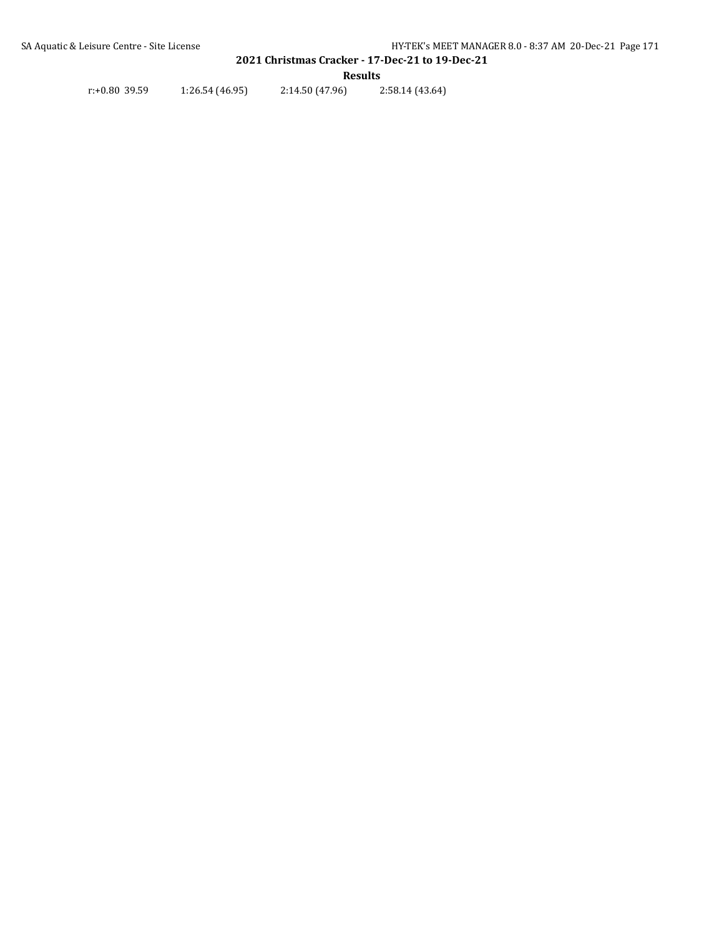**Results**

r:+0.80 39.59 1:26.54 (46.95) 2:14.50 (47.96) 2:58.14 (43.64)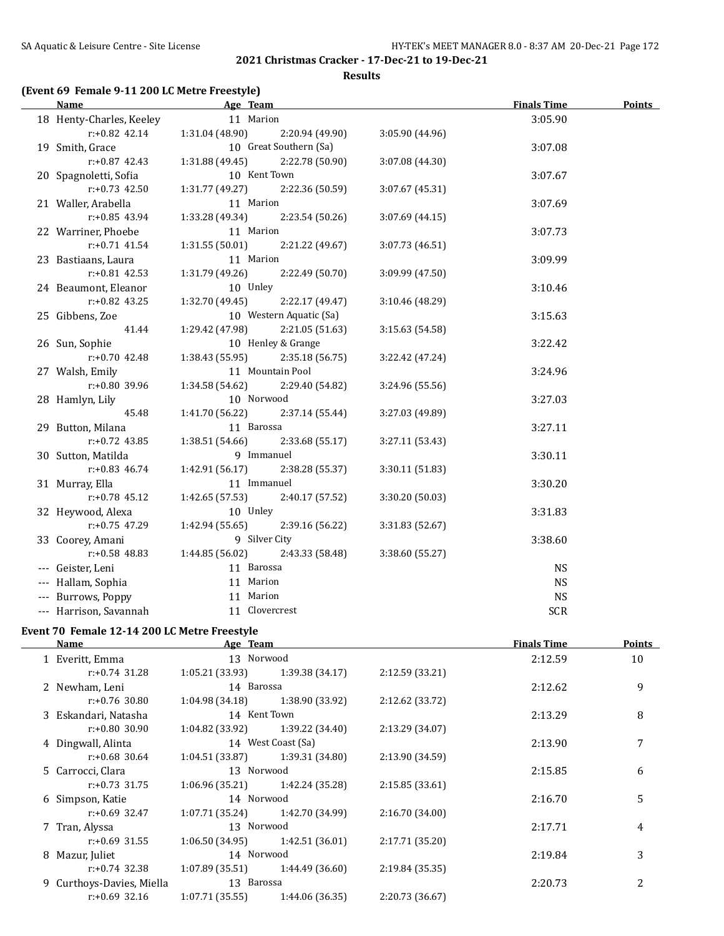**Results**

### **(Event 69 Female 9-11 200 LC Metre Freestyle)**

| <b>Name</b>              | Age Team        |                         |                 | <b>Finals Time</b> | Points |
|--------------------------|-----------------|-------------------------|-----------------|--------------------|--------|
| 18 Henty-Charles, Keeley | 11 Marion       |                         |                 | 3:05.90            |        |
| $r: +0.82$ 42.14         | 1:31.04 (48.90) | 2:20.94 (49.90)         | 3:05.90 (44.96) |                    |        |
| 19 Smith, Grace          |                 | 10 Great Southern (Sa)  |                 | 3:07.08            |        |
| $r: +0.87$ 42.43         | 1:31.88 (49.45) | 2:22.78 (50.90)         | 3:07.08 (44.30) |                    |        |
| 20 Spagnoletti, Sofia    | 10 Kent Town    |                         |                 | 3:07.67            |        |
| $r: +0.73$ 42.50         | 1:31.77 (49.27) | 2:22.36 (50.59)         | 3:07.67 (45.31) |                    |        |
| 21 Waller, Arabella      | 11 Marion       |                         |                 | 3:07.69            |        |
| $r: +0.85$ 43.94         | 1:33.28 (49.34) | 2:23.54(50.26)          | 3:07.69(44.15)  |                    |        |
| 22 Warriner, Phoebe      | 11 Marion       |                         |                 | 3:07.73            |        |
| $r: +0.71$ 41.54         | 1:31.55(50.01)  | 2:21.22 (49.67)         | 3:07.73 (46.51) |                    |        |
| 23 Bastiaans, Laura      | 11 Marion       |                         |                 | 3:09.99            |        |
| $r: +0.81$ 42.53         | 1:31.79(49.26)  | 2:22.49 (50.70)         | 3:09.99 (47.50) |                    |        |
| 24 Beaumont, Eleanor     | 10 Unley        |                         |                 | 3:10.46            |        |
| $r: +0.82$ 43.25         | 1:32.70(49.45)  | 2:22.17 (49.47)         | 3:10.46 (48.29) |                    |        |
| 25 Gibbens, Zoe          |                 | 10 Western Aquatic (Sa) |                 | 3:15.63            |        |
| 41.44                    | 1:29.42 (47.98) | 2:21.05(51.63)          | 3:15.63(54.58)  |                    |        |
| 26 Sun, Sophie           |                 | 10 Henley & Grange      |                 | 3:22.42            |        |
| $r: +0.70$ 42.48         | 1:38.43 (55.95) | 2:35.18(56.75)          | 3:22.42 (47.24) |                    |        |
| 27 Walsh, Emily          |                 | 11 Mountain Pool        |                 | 3:24.96            |        |
| r:+0.80 39.96            | 1:34.58 (54.62) | 2:29.40 (54.82)         | 3:24.96 (55.56) |                    |        |
| 28 Hamlyn, Lily          | 10 Norwood      |                         |                 | 3:27.03            |        |
| 45.48                    | 1:41.70 (56.22) | 2:37.14 (55.44)         | 3:27.03 (49.89) |                    |        |
| 29 Button, Milana        | 11 Barossa      |                         |                 | 3:27.11            |        |
| $r: +0.72$ 43.85         | 1:38.51(54.66)  | 2:33.68 (55.17)         | 3:27.11 (53.43) |                    |        |
| 30 Sutton, Matilda       |                 | 9 Immanuel              |                 | 3:30.11            |        |
| $r: +0.83$ 46.74         | 1:42.91(56.17)  | 2:38.28 (55.37)         | 3:30.11 (51.83) |                    |        |
| 31 Murray, Ella          | 11 Immanuel     |                         |                 | 3:30.20            |        |
| $r: +0.78$ 45.12         | 1:42.65 (57.53) | 2:40.17 (57.52)         | 3:30.20 (50.03) |                    |        |
| 32 Heywood, Alexa        | 10 Unley        |                         |                 | 3:31.83            |        |
| $r: +0.75$ 47.29         | 1:42.94 (55.65) | 2:39.16 (56.22)         | 3:31.83 (52.67) |                    |        |
| 33 Coorey, Amani         |                 | 9 Silver City           |                 | 3:38.60            |        |
| $r: +0.58$ 48.83         | 1:44.85 (56.02) | 2:43.33 (58.48)         | 3:38.60 (55.27) |                    |        |
| --- Geister, Leni        | 11 Barossa      |                         |                 | <b>NS</b>          |        |
| --- Hallam, Sophia       | 11 Marion       |                         |                 | <b>NS</b>          |        |
| --- Burrows, Poppy       | 11 Marion       |                         |                 | <b>NS</b>          |        |
| --- Harrison, Savannah   |                 | 11 Clovercrest          |                 | <b>SCR</b>         |        |

### **Event 70 Female 12-14 200 LC Metre Freestyle**

| Name                      | Age Team       |                                     |                 | <b>Finals Time</b> | Points |
|---------------------------|----------------|-------------------------------------|-----------------|--------------------|--------|
| 1 Everitt, Emma           | 13 Norwood     |                                     |                 | 2:12.59            | 10     |
| $r: +0.74$ 31.28          |                | $1:05.21(33.93)$ $1:39.38(34.17)$   | 2:12.59(33.21)  |                    |        |
| 2 Newham, Leni            | 14 Barossa     |                                     |                 | 2:12.62            | 9      |
| $r: +0.76$ 30.80          |                | $1:04.98(34.18)$ $1:38.90(33.92)$   | 2:12.62 (33.72) |                    |        |
| 3 Eskandari, Natasha      | 14 Kent Town   |                                     |                 | 2:13.29            | 8      |
| $r+0.80$ 30.90            |                | $1:04.82$ (33.92) $1:39.22$ (34.40) | 2:13.29 (34.07) |                    |        |
| 4 Dingwall, Alinta        |                | 14 West Coast (Sa)                  |                 | 2:13.90            |        |
| $r: +0.68$ 30.64          |                | $1:04.51(33.87)$ $1:39.31(34.80)$   | 2:13.90 (34.59) |                    |        |
| 5 Carrocci, Clara         | 13 Norwood     |                                     |                 | 2:15.85            | 6      |
| $r: +0.73$ 31.75          |                | $1:06.96(35.21)$ $1:42.24(35.28)$   | 2:15.85(33.61)  |                    |        |
| 6 Simpson, Katie          |                | 14 Norwood                          |                 | 2:16.70            | 5      |
| $r: +0.69$ 32.47          |                | $1:07.71(35.24)$ $1:42.70(34.99)$   | 2:16.70(34.00)  |                    |        |
| 7 Tran, Alyssa            |                | 13 Norwood                          |                 | 2:17.71            | 4      |
| $r: +0.69$ 31.55          |                | $1:06.50(34.95)$ $1:42.51(36.01)$   | 2:17.71 (35.20) |                    |        |
| 8 Mazur, Juliet           | 14 Norwood     |                                     |                 | 2:19.84            | 3      |
| $r: +0.74$ 32.38          |                | $1:07.89(35.51)$ $1:44.49(36.60)$   | 2:19.84 (35.35) |                    |        |
| 9 Curthoys-Davies, Miella | 13 Barossa     |                                     |                 | 2:20.73            | 2      |
| $r: +0.69$ 32.16          | 1:07.71(35.55) | 1:44.06 (36.35)                     | 2:20.73 (36.67) |                    |        |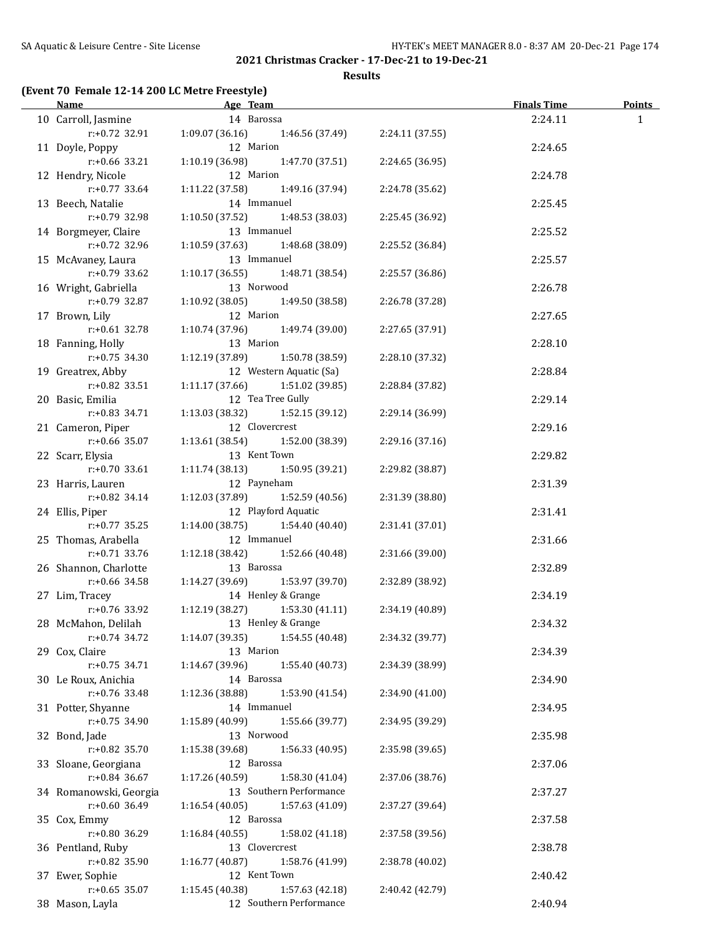**Results**

### **(Event 70 Female 12-14 200 LC Metre Freestyle)**

| <b>Name</b>          | Age Team                                                                                                                                                                                                                                                                                                                                                                                                                                                                                                                                                                                                                                       |                                                                                                                                                                                                                                                                                                                                                                                                                                                                                                                                                                                                                                                                                                                                                                                                                                                     | <b>Finals Time</b>                                                                                                                                                                                                                                                                                                                                 | <b>Points</b>                                                                                                                                                                                                            |
|----------------------|------------------------------------------------------------------------------------------------------------------------------------------------------------------------------------------------------------------------------------------------------------------------------------------------------------------------------------------------------------------------------------------------------------------------------------------------------------------------------------------------------------------------------------------------------------------------------------------------------------------------------------------------|-----------------------------------------------------------------------------------------------------------------------------------------------------------------------------------------------------------------------------------------------------------------------------------------------------------------------------------------------------------------------------------------------------------------------------------------------------------------------------------------------------------------------------------------------------------------------------------------------------------------------------------------------------------------------------------------------------------------------------------------------------------------------------------------------------------------------------------------------------|----------------------------------------------------------------------------------------------------------------------------------------------------------------------------------------------------------------------------------------------------------------------------------------------------------------------------------------------------|--------------------------------------------------------------------------------------------------------------------------------------------------------------------------------------------------------------------------|
| 10 Carroll, Jasmine  | 14 Barossa                                                                                                                                                                                                                                                                                                                                                                                                                                                                                                                                                                                                                                     |                                                                                                                                                                                                                                                                                                                                                                                                                                                                                                                                                                                                                                                                                                                                                                                                                                                     | 2:24.11                                                                                                                                                                                                                                                                                                                                            | $\mathbf{1}$                                                                                                                                                                                                             |
|                      | 1:09.07(36.16)                                                                                                                                                                                                                                                                                                                                                                                                                                                                                                                                                                                                                                 | 2:24.11 (37.55)                                                                                                                                                                                                                                                                                                                                                                                                                                                                                                                                                                                                                                                                                                                                                                                                                                     |                                                                                                                                                                                                                                                                                                                                                    |                                                                                                                                                                                                                          |
|                      | 12 Marion                                                                                                                                                                                                                                                                                                                                                                                                                                                                                                                                                                                                                                      |                                                                                                                                                                                                                                                                                                                                                                                                                                                                                                                                                                                                                                                                                                                                                                                                                                                     | 2:24.65                                                                                                                                                                                                                                                                                                                                            |                                                                                                                                                                                                                          |
| $r: +0.66$ 33.21     | 1:10.19(36.98)<br>1:47.70 (37.51)                                                                                                                                                                                                                                                                                                                                                                                                                                                                                                                                                                                                              | 2:24.65 (36.95)                                                                                                                                                                                                                                                                                                                                                                                                                                                                                                                                                                                                                                                                                                                                                                                                                                     |                                                                                                                                                                                                                                                                                                                                                    |                                                                                                                                                                                                                          |
| 12 Hendry, Nicole    | 12 Marion                                                                                                                                                                                                                                                                                                                                                                                                                                                                                                                                                                                                                                      |                                                                                                                                                                                                                                                                                                                                                                                                                                                                                                                                                                                                                                                                                                                                                                                                                                                     | 2:24.78                                                                                                                                                                                                                                                                                                                                            |                                                                                                                                                                                                                          |
| $r: +0.77$ 33.64     | 1:11.22 (37.58)<br>1:49.16 (37.94)                                                                                                                                                                                                                                                                                                                                                                                                                                                                                                                                                                                                             | 2:24.78 (35.62)                                                                                                                                                                                                                                                                                                                                                                                                                                                                                                                                                                                                                                                                                                                                                                                                                                     |                                                                                                                                                                                                                                                                                                                                                    |                                                                                                                                                                                                                          |
| 13 Beech, Natalie    | 14 Immanuel                                                                                                                                                                                                                                                                                                                                                                                                                                                                                                                                                                                                                                    |                                                                                                                                                                                                                                                                                                                                                                                                                                                                                                                                                                                                                                                                                                                                                                                                                                                     | 2:25.45                                                                                                                                                                                                                                                                                                                                            |                                                                                                                                                                                                                          |
| r:+0.79 32.98        | 1:10.50 (37.52)<br>1:48.53 (38.03)                                                                                                                                                                                                                                                                                                                                                                                                                                                                                                                                                                                                             | 2:25.45 (36.92)                                                                                                                                                                                                                                                                                                                                                                                                                                                                                                                                                                                                                                                                                                                                                                                                                                     |                                                                                                                                                                                                                                                                                                                                                    |                                                                                                                                                                                                                          |
| 14 Borgmeyer, Claire | 13 Immanuel                                                                                                                                                                                                                                                                                                                                                                                                                                                                                                                                                                                                                                    |                                                                                                                                                                                                                                                                                                                                                                                                                                                                                                                                                                                                                                                                                                                                                                                                                                                     | 2:25.52                                                                                                                                                                                                                                                                                                                                            |                                                                                                                                                                                                                          |
| $r: +0.72$ 32.96     | $1:10.59(37.63)$ $1:48.68(38.09)$                                                                                                                                                                                                                                                                                                                                                                                                                                                                                                                                                                                                              | 2:25.52 (36.84)                                                                                                                                                                                                                                                                                                                                                                                                                                                                                                                                                                                                                                                                                                                                                                                                                                     |                                                                                                                                                                                                                                                                                                                                                    |                                                                                                                                                                                                                          |
| 15 McAvaney, Laura   | 13 Immanuel                                                                                                                                                                                                                                                                                                                                                                                                                                                                                                                                                                                                                                    |                                                                                                                                                                                                                                                                                                                                                                                                                                                                                                                                                                                                                                                                                                                                                                                                                                                     | 2:25.57                                                                                                                                                                                                                                                                                                                                            |                                                                                                                                                                                                                          |
| $r: +0.79$ 33.62     | $1:10.17(36.55)$ $1:48.71(38.54)$                                                                                                                                                                                                                                                                                                                                                                                                                                                                                                                                                                                                              | 2:25.57 (36.86)                                                                                                                                                                                                                                                                                                                                                                                                                                                                                                                                                                                                                                                                                                                                                                                                                                     |                                                                                                                                                                                                                                                                                                                                                    |                                                                                                                                                                                                                          |
|                      | 13 Norwood                                                                                                                                                                                                                                                                                                                                                                                                                                                                                                                                                                                                                                     |                                                                                                                                                                                                                                                                                                                                                                                                                                                                                                                                                                                                                                                                                                                                                                                                                                                     |                                                                                                                                                                                                                                                                                                                                                    |                                                                                                                                                                                                                          |
| r:+0.79 32.87        | $1:10.92$ (38.05) $1:49.50$ (38.58)                                                                                                                                                                                                                                                                                                                                                                                                                                                                                                                                                                                                            | 2:26.78 (37.28)                                                                                                                                                                                                                                                                                                                                                                                                                                                                                                                                                                                                                                                                                                                                                                                                                                     |                                                                                                                                                                                                                                                                                                                                                    |                                                                                                                                                                                                                          |
| 17 Brown, Lily       | 12 Marion                                                                                                                                                                                                                                                                                                                                                                                                                                                                                                                                                                                                                                      |                                                                                                                                                                                                                                                                                                                                                                                                                                                                                                                                                                                                                                                                                                                                                                                                                                                     | 2:27.65                                                                                                                                                                                                                                                                                                                                            |                                                                                                                                                                                                                          |
| $r: +0.61$ 32.78     | $1:10.74$ (37.96) $1:49.74$ (39.00)                                                                                                                                                                                                                                                                                                                                                                                                                                                                                                                                                                                                            | 2:27.65 (37.91)                                                                                                                                                                                                                                                                                                                                                                                                                                                                                                                                                                                                                                                                                                                                                                                                                                     |                                                                                                                                                                                                                                                                                                                                                    |                                                                                                                                                                                                                          |
|                      | 13 Marion                                                                                                                                                                                                                                                                                                                                                                                                                                                                                                                                                                                                                                      |                                                                                                                                                                                                                                                                                                                                                                                                                                                                                                                                                                                                                                                                                                                                                                                                                                                     | 2:28.10                                                                                                                                                                                                                                                                                                                                            |                                                                                                                                                                                                                          |
| $r: +0.75$ 34.30     | 1:12.19 (37.89)<br>1:50.78 (38.59)                                                                                                                                                                                                                                                                                                                                                                                                                                                                                                                                                                                                             | 2:28.10 (37.32)                                                                                                                                                                                                                                                                                                                                                                                                                                                                                                                                                                                                                                                                                                                                                                                                                                     |                                                                                                                                                                                                                                                                                                                                                    |                                                                                                                                                                                                                          |
| 19 Greatrex, Abby    | 12 Western Aquatic (Sa)                                                                                                                                                                                                                                                                                                                                                                                                                                                                                                                                                                                                                        |                                                                                                                                                                                                                                                                                                                                                                                                                                                                                                                                                                                                                                                                                                                                                                                                                                                     |                                                                                                                                                                                                                                                                                                                                                    |                                                                                                                                                                                                                          |
| $r: +0.82$ 33.51     | $1:11.17(37.66)$ $1:51.02(39.85)$                                                                                                                                                                                                                                                                                                                                                                                                                                                                                                                                                                                                              | 2:28.84 (37.82)                                                                                                                                                                                                                                                                                                                                                                                                                                                                                                                                                                                                                                                                                                                                                                                                                                     |                                                                                                                                                                                                                                                                                                                                                    |                                                                                                                                                                                                                          |
|                      | 12 Tea Tree Gully                                                                                                                                                                                                                                                                                                                                                                                                                                                                                                                                                                                                                              |                                                                                                                                                                                                                                                                                                                                                                                                                                                                                                                                                                                                                                                                                                                                                                                                                                                     |                                                                                                                                                                                                                                                                                                                                                    |                                                                                                                                                                                                                          |
|                      |                                                                                                                                                                                                                                                                                                                                                                                                                                                                                                                                                                                                                                                |                                                                                                                                                                                                                                                                                                                                                                                                                                                                                                                                                                                                                                                                                                                                                                                                                                                     |                                                                                                                                                                                                                                                                                                                                                    |                                                                                                                                                                                                                          |
|                      | 12 Clovercrest                                                                                                                                                                                                                                                                                                                                                                                                                                                                                                                                                                                                                                 |                                                                                                                                                                                                                                                                                                                                                                                                                                                                                                                                                                                                                                                                                                                                                                                                                                                     |                                                                                                                                                                                                                                                                                                                                                    |                                                                                                                                                                                                                          |
|                      |                                                                                                                                                                                                                                                                                                                                                                                                                                                                                                                                                                                                                                                |                                                                                                                                                                                                                                                                                                                                                                                                                                                                                                                                                                                                                                                                                                                                                                                                                                                     |                                                                                                                                                                                                                                                                                                                                                    |                                                                                                                                                                                                                          |
|                      |                                                                                                                                                                                                                                                                                                                                                                                                                                                                                                                                                                                                                                                |                                                                                                                                                                                                                                                                                                                                                                                                                                                                                                                                                                                                                                                                                                                                                                                                                                                     |                                                                                                                                                                                                                                                                                                                                                    |                                                                                                                                                                                                                          |
|                      |                                                                                                                                                                                                                                                                                                                                                                                                                                                                                                                                                                                                                                                |                                                                                                                                                                                                                                                                                                                                                                                                                                                                                                                                                                                                                                                                                                                                                                                                                                                     |                                                                                                                                                                                                                                                                                                                                                    |                                                                                                                                                                                                                          |
|                      |                                                                                                                                                                                                                                                                                                                                                                                                                                                                                                                                                                                                                                                |                                                                                                                                                                                                                                                                                                                                                                                                                                                                                                                                                                                                                                                                                                                                                                                                                                                     |                                                                                                                                                                                                                                                                                                                                                    |                                                                                                                                                                                                                          |
|                      |                                                                                                                                                                                                                                                                                                                                                                                                                                                                                                                                                                                                                                                |                                                                                                                                                                                                                                                                                                                                                                                                                                                                                                                                                                                                                                                                                                                                                                                                                                                     |                                                                                                                                                                                                                                                                                                                                                    |                                                                                                                                                                                                                          |
|                      |                                                                                                                                                                                                                                                                                                                                                                                                                                                                                                                                                                                                                                                |                                                                                                                                                                                                                                                                                                                                                                                                                                                                                                                                                                                                                                                                                                                                                                                                                                                     |                                                                                                                                                                                                                                                                                                                                                    |                                                                                                                                                                                                                          |
|                      |                                                                                                                                                                                                                                                                                                                                                                                                                                                                                                                                                                                                                                                |                                                                                                                                                                                                                                                                                                                                                                                                                                                                                                                                                                                                                                                                                                                                                                                                                                                     |                                                                                                                                                                                                                                                                                                                                                    |                                                                                                                                                                                                                          |
|                      |                                                                                                                                                                                                                                                                                                                                                                                                                                                                                                                                                                                                                                                |                                                                                                                                                                                                                                                                                                                                                                                                                                                                                                                                                                                                                                                                                                                                                                                                                                                     |                                                                                                                                                                                                                                                                                                                                                    |                                                                                                                                                                                                                          |
|                      |                                                                                                                                                                                                                                                                                                                                                                                                                                                                                                                                                                                                                                                |                                                                                                                                                                                                                                                                                                                                                                                                                                                                                                                                                                                                                                                                                                                                                                                                                                                     |                                                                                                                                                                                                                                                                                                                                                    |                                                                                                                                                                                                                          |
|                      | 13 Barossa                                                                                                                                                                                                                                                                                                                                                                                                                                                                                                                                                                                                                                     |                                                                                                                                                                                                                                                                                                                                                                                                                                                                                                                                                                                                                                                                                                                                                                                                                                                     |                                                                                                                                                                                                                                                                                                                                                    |                                                                                                                                                                                                                          |
|                      |                                                                                                                                                                                                                                                                                                                                                                                                                                                                                                                                                                                                                                                |                                                                                                                                                                                                                                                                                                                                                                                                                                                                                                                                                                                                                                                                                                                                                                                                                                                     |                                                                                                                                                                                                                                                                                                                                                    |                                                                                                                                                                                                                          |
|                      |                                                                                                                                                                                                                                                                                                                                                                                                                                                                                                                                                                                                                                                |                                                                                                                                                                                                                                                                                                                                                                                                                                                                                                                                                                                                                                                                                                                                                                                                                                                     |                                                                                                                                                                                                                                                                                                                                                    |                                                                                                                                                                                                                          |
| r:+0.76 33.92        |                                                                                                                                                                                                                                                                                                                                                                                                                                                                                                                                                                                                                                                |                                                                                                                                                                                                                                                                                                                                                                                                                                                                                                                                                                                                                                                                                                                                                                                                                                                     |                                                                                                                                                                                                                                                                                                                                                    |                                                                                                                                                                                                                          |
|                      |                                                                                                                                                                                                                                                                                                                                                                                                                                                                                                                                                                                                                                                |                                                                                                                                                                                                                                                                                                                                                                                                                                                                                                                                                                                                                                                                                                                                                                                                                                                     |                                                                                                                                                                                                                                                                                                                                                    |                                                                                                                                                                                                                          |
|                      |                                                                                                                                                                                                                                                                                                                                                                                                                                                                                                                                                                                                                                                |                                                                                                                                                                                                                                                                                                                                                                                                                                                                                                                                                                                                                                                                                                                                                                                                                                                     |                                                                                                                                                                                                                                                                                                                                                    |                                                                                                                                                                                                                          |
|                      | 13 Marion                                                                                                                                                                                                                                                                                                                                                                                                                                                                                                                                                                                                                                      |                                                                                                                                                                                                                                                                                                                                                                                                                                                                                                                                                                                                                                                                                                                                                                                                                                                     |                                                                                                                                                                                                                                                                                                                                                    |                                                                                                                                                                                                                          |
| r:+0.75 34.71        |                                                                                                                                                                                                                                                                                                                                                                                                                                                                                                                                                                                                                                                |                                                                                                                                                                                                                                                                                                                                                                                                                                                                                                                                                                                                                                                                                                                                                                                                                                                     |                                                                                                                                                                                                                                                                                                                                                    |                                                                                                                                                                                                                          |
| 30 Le Roux, Anichia  |                                                                                                                                                                                                                                                                                                                                                                                                                                                                                                                                                                                                                                                |                                                                                                                                                                                                                                                                                                                                                                                                                                                                                                                                                                                                                                                                                                                                                                                                                                                     |                                                                                                                                                                                                                                                                                                                                                    |                                                                                                                                                                                                                          |
| r:+0.76 33.48        | 1:53.90 (41.54)                                                                                                                                                                                                                                                                                                                                                                                                                                                                                                                                                                                                                                |                                                                                                                                                                                                                                                                                                                                                                                                                                                                                                                                                                                                                                                                                                                                                                                                                                                     |                                                                                                                                                                                                                                                                                                                                                    |                                                                                                                                                                                                                          |
|                      | 14 Immanuel                                                                                                                                                                                                                                                                                                                                                                                                                                                                                                                                                                                                                                    |                                                                                                                                                                                                                                                                                                                                                                                                                                                                                                                                                                                                                                                                                                                                                                                                                                                     |                                                                                                                                                                                                                                                                                                                                                    |                                                                                                                                                                                                                          |
|                      |                                                                                                                                                                                                                                                                                                                                                                                                                                                                                                                                                                                                                                                |                                                                                                                                                                                                                                                                                                                                                                                                                                                                                                                                                                                                                                                                                                                                                                                                                                                     |                                                                                                                                                                                                                                                                                                                                                    |                                                                                                                                                                                                                          |
|                      | 13 Norwood                                                                                                                                                                                                                                                                                                                                                                                                                                                                                                                                                                                                                                     |                                                                                                                                                                                                                                                                                                                                                                                                                                                                                                                                                                                                                                                                                                                                                                                                                                                     |                                                                                                                                                                                                                                                                                                                                                    |                                                                                                                                                                                                                          |
| $r: +0.82$ 35.70     |                                                                                                                                                                                                                                                                                                                                                                                                                                                                                                                                                                                                                                                |                                                                                                                                                                                                                                                                                                                                                                                                                                                                                                                                                                                                                                                                                                                                                                                                                                                     |                                                                                                                                                                                                                                                                                                                                                    |                                                                                                                                                                                                                          |
|                      |                                                                                                                                                                                                                                                                                                                                                                                                                                                                                                                                                                                                                                                |                                                                                                                                                                                                                                                                                                                                                                                                                                                                                                                                                                                                                                                                                                                                                                                                                                                     |                                                                                                                                                                                                                                                                                                                                                    |                                                                                                                                                                                                                          |
|                      |                                                                                                                                                                                                                                                                                                                                                                                                                                                                                                                                                                                                                                                |                                                                                                                                                                                                                                                                                                                                                                                                                                                                                                                                                                                                                                                                                                                                                                                                                                                     |                                                                                                                                                                                                                                                                                                                                                    |                                                                                                                                                                                                                          |
|                      |                                                                                                                                                                                                                                                                                                                                                                                                                                                                                                                                                                                                                                                |                                                                                                                                                                                                                                                                                                                                                                                                                                                                                                                                                                                                                                                                                                                                                                                                                                                     |                                                                                                                                                                                                                                                                                                                                                    |                                                                                                                                                                                                                          |
|                      |                                                                                                                                                                                                                                                                                                                                                                                                                                                                                                                                                                                                                                                |                                                                                                                                                                                                                                                                                                                                                                                                                                                                                                                                                                                                                                                                                                                                                                                                                                                     |                                                                                                                                                                                                                                                                                                                                                    |                                                                                                                                                                                                                          |
|                      |                                                                                                                                                                                                                                                                                                                                                                                                                                                                                                                                                                                                                                                |                                                                                                                                                                                                                                                                                                                                                                                                                                                                                                                                                                                                                                                                                                                                                                                                                                                     |                                                                                                                                                                                                                                                                                                                                                    |                                                                                                                                                                                                                          |
| r:+0.80 36.29        |                                                                                                                                                                                                                                                                                                                                                                                                                                                                                                                                                                                                                                                |                                                                                                                                                                                                                                                                                                                                                                                                                                                                                                                                                                                                                                                                                                                                                                                                                                                     |                                                                                                                                                                                                                                                                                                                                                    |                                                                                                                                                                                                                          |
|                      | 13 Clovercrest                                                                                                                                                                                                                                                                                                                                                                                                                                                                                                                                                                                                                                 |                                                                                                                                                                                                                                                                                                                                                                                                                                                                                                                                                                                                                                                                                                                                                                                                                                                     |                                                                                                                                                                                                                                                                                                                                                    |                                                                                                                                                                                                                          |
| r:+0.82 35.90        |                                                                                                                                                                                                                                                                                                                                                                                                                                                                                                                                                                                                                                                |                                                                                                                                                                                                                                                                                                                                                                                                                                                                                                                                                                                                                                                                                                                                                                                                                                                     |                                                                                                                                                                                                                                                                                                                                                    |                                                                                                                                                                                                                          |
|                      | 12 Kent Town                                                                                                                                                                                                                                                                                                                                                                                                                                                                                                                                                                                                                                   |                                                                                                                                                                                                                                                                                                                                                                                                                                                                                                                                                                                                                                                                                                                                                                                                                                                     |                                                                                                                                                                                                                                                                                                                                                    |                                                                                                                                                                                                                          |
| $r: +0.65$ 35.07     | 1:15.45 (40.38)<br>1:57.63 (42.18)                                                                                                                                                                                                                                                                                                                                                                                                                                                                                                                                                                                                             | 2:40.42 (42.79)                                                                                                                                                                                                                                                                                                                                                                                                                                                                                                                                                                                                                                                                                                                                                                                                                                     |                                                                                                                                                                                                                                                                                                                                                    |                                                                                                                                                                                                                          |
| 38 Mason, Layla      | 12 Southern Performance                                                                                                                                                                                                                                                                                                                                                                                                                                                                                                                                                                                                                        |                                                                                                                                                                                                                                                                                                                                                                                                                                                                                                                                                                                                                                                                                                                                                                                                                                                     | 2:40.94                                                                                                                                                                                                                                                                                                                                            |                                                                                                                                                                                                                          |
|                      | 11 Doyle, Poppy<br>16 Wright, Gabriella<br>18 Fanning, Holly<br>20 Basic, Emilia<br>$r: +0.83$ 34.71<br>21 Cameron, Piper<br>$r+0.66$ 35.07<br>22 Scarr, Elysia<br>$r: +0.70$ 33.61<br>23 Harris, Lauren<br>$r: +0.82$ 34.14<br>24 Ellis, Piper<br>$r: +0.77$ 35.25<br>25 Thomas, Arabella<br>$r: +0.71$ 33.76<br>26 Shannon, Charlotte<br>$r: +0.66$ 34.58<br>27 Lim, Tracey<br>28 McMahon, Delilah<br>r:+0.74 34.72<br>29 Cox, Claire<br>31 Potter, Shyanne<br>r:+0.75 34.90<br>32 Bond, Jade<br>33 Sloane, Georgiana<br>$r: +0.84$ 36.67<br>34 Romanowski, Georgia<br>r:+0.60 36.49<br>35 Cox, Emmy<br>36 Pentland, Ruby<br>37 Ewer, Sophie | r:+0.72 32.91<br>$1:13.03$ (38.32) $1:52.15$ (39.12)<br>$1:13.61(38.54)$ $1:52.00(38.39)$<br>13 Kent Town<br>$1:11.74(38.13)$ $1:50.95(39.21)$<br>12 Payneham<br>$1:12.03(37.89)$ $1:52.59(40.56)$<br>12 Playford Aquatic<br>$1:14.00(38.75)$ $1:54.40(40.40)$<br>12 Immanuel<br>$1:12.18(38.42)$ $1:52.66(40.48)$<br>$1:14.27(39.69)$ $1:53.97(39.70)$<br>14 Henley & Grange<br>$1:12.19$ $(38.27)$ $1:53.30$ $(41.11)$<br>13 Henley & Grange<br>1:14.07 (39.35)<br>1:54.55 (40.48)<br>1:14.67 (39.96)<br>1:55.40 (40.73)<br>14 Barossa<br>1:12.36 (38.88)<br>1:15.89 (40.99)<br>1:55.66 (39.77)<br>1:15.38 (39.68)<br>1:56.33 (40.95)<br>12 Barossa<br>1:17.26 (40.59)<br>1:58.30 (41.04)<br>13 Southern Performance<br>1:16.54(40.05)<br>1:57.63 (41.09)<br>12 Barossa<br>1:58.02 (41.18)<br>1:16.84(40.55)<br>1:16.77(40.87)<br>1:58.76 (41.99) | 1:46.56 (37.49)<br>2:29.14 (36.99)<br>2:29.16 (37.16)<br>2:29.82 (38.87)<br>2:31.39 (38.80)<br>2:31.41 (37.01)<br>2:31.66 (39.00)<br>2:32.89 (38.92)<br>2:34.19 (40.89)<br>2:34.32 (39.77)<br>2:34.39 (38.99)<br>2:34.90 (41.00)<br>2:34.95 (39.29)<br>2:35.98 (39.65)<br>2:37.06 (38.76)<br>2:37.27 (39.64)<br>2:37.58 (39.56)<br>2:38.78 (40.02) | 2:26.78<br>2:28.84<br>2:29.14<br>2:29.16<br>2:29.82<br>2:31.39<br>2:31.41<br>2:31.66<br>2:32.89<br>2:34.19<br>2:34.32<br>2:34.39<br>2:34.90<br>2:34.95<br>2:35.98<br>2:37.06<br>2:37.27<br>2:37.58<br>2:38.78<br>2:40.42 |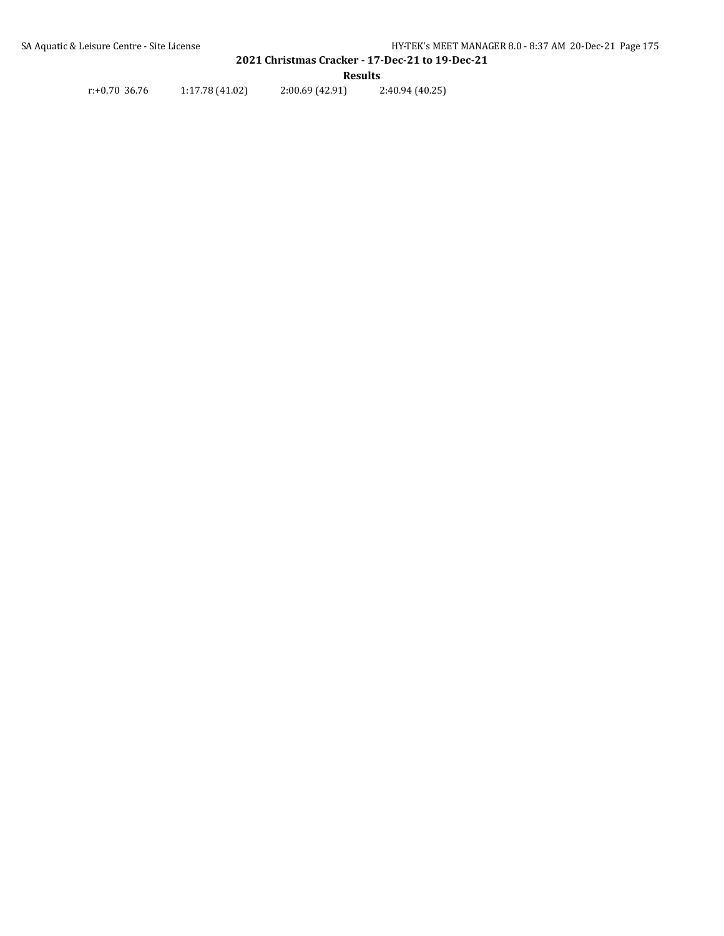**Results**<br>(1) 2:40.94 (40.25) r:+0.70 36.76 1:17.78 (41.02) 2:00.69 (42.91)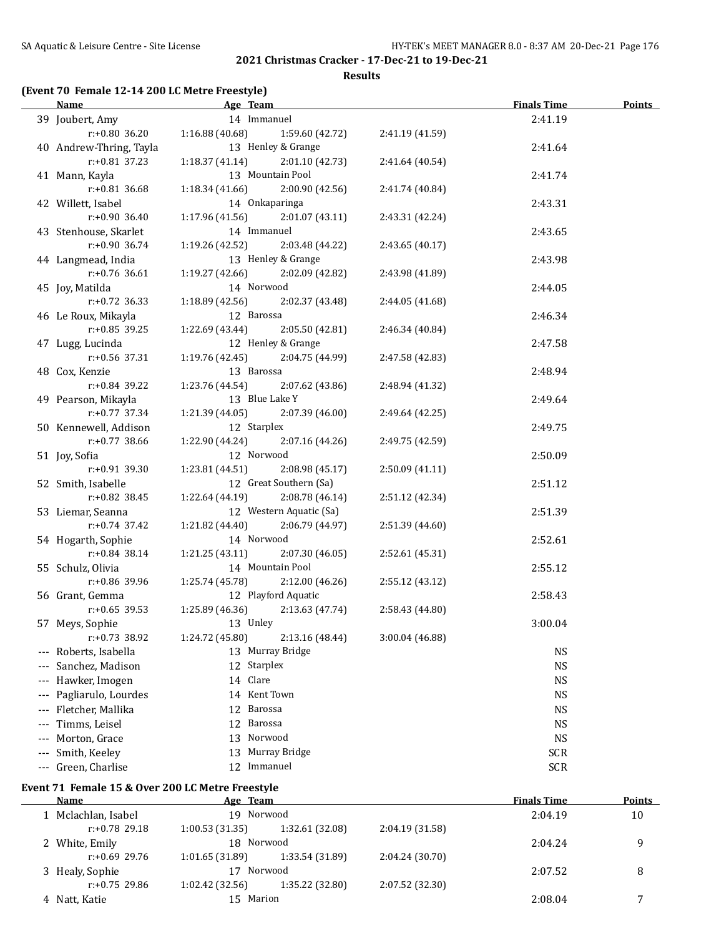#### **Results**

### **(Event 70 Female 12-14 200 LC Metre Freestyle)**

|                     | Age Team<br><b>Name</b> |                                     | <b>Finals Time</b>      | <b>Points</b>   |            |  |
|---------------------|-------------------------|-------------------------------------|-------------------------|-----------------|------------|--|
|                     | 39 Joubert, Amy         | 14 Immanuel                         |                         |                 | 2:41.19    |  |
|                     | r:+0.80 36.20           | $1:16.88(40.68)$ $1:59.60(42.72)$   |                         | 2:41.19 (41.59) |            |  |
|                     | 40 Andrew-Thring, Tayla |                                     | 13 Henley & Grange      |                 | 2:41.64    |  |
|                     | $r: +0.81$ 37.23        | $1:18.37(41.14)$ $2:01.10(42.73)$   |                         | 2:41.64 (40.54) |            |  |
|                     | 41 Mann, Kayla          |                                     | 13 Mountain Pool        |                 | 2:41.74    |  |
|                     | $r: +0.81$ 36.68        | $1:18.34(41.66)$ $2:00.90(42.56)$   |                         | 2:41.74 (40.84) |            |  |
|                     | 42 Willett, Isabel      | 14 Onkaparinga                      |                         |                 | 2:43.31    |  |
|                     | $r: +0.90$ 36.40        | $1:17.96(41.56)$ $2:01.07(43.11)$   |                         | 2:43.31 (42.24) |            |  |
|                     | 43 Stenhouse, Skarlet   | 14 Immanuel                         |                         |                 | 2:43.65    |  |
|                     | $r: +0.90$ 36.74        | $1:19.26(42.52)$ $2:03.48(44.22)$   |                         | 2:43.65 (40.17) |            |  |
|                     | 44 Langmead, India      |                                     | 13 Henley & Grange      |                 | 2:43.98    |  |
|                     | $r: +0.76$ 36.61        | $1:19.27(42.66)$ $2:02.09(42.82)$   |                         | 2:43.98 (41.89) |            |  |
|                     | 45 Joy, Matilda         | 14 Norwood                          |                         |                 | 2:44.05    |  |
|                     | $r: +0.72$ 36.33        | $1:18.89(42.56)$ $2:02.37(43.48)$   |                         | 2:44.05 (41.68) |            |  |
|                     | 46 Le Roux, Mikayla     | 12 Barossa                          |                         |                 | 2:46.34    |  |
|                     | $r: +0.85$ 39.25        | $1:22.69(43.44)$ $2:05.50(42.81)$   |                         | 2:46.34 (40.84) |            |  |
|                     | 47 Lugg, Lucinda        |                                     | 12 Henley & Grange      |                 | 2:47.58    |  |
|                     | $r: +0.56$ 37.31        | $1:19.76(42.45)$ $2:04.75(44.99)$   |                         | 2:47.58 (42.83) |            |  |
|                     | 48 Cox, Kenzie          | 13 Barossa                          |                         |                 | 2:48.94    |  |
|                     | $r: +0.84$ 39.22        | $1:23.76(44.54)$ $2:07.62(43.86)$   |                         | 2:48.94 (41.32) |            |  |
|                     | 49 Pearson, Mikayla     | 13 Blue Lake Y                      |                         |                 | 2:49.64    |  |
|                     | $r: +0.77$ 37.34        | $1:21.39(44.05)$ $2:07.39(46.00)$   |                         | 2:49.64 (42.25) |            |  |
|                     | 50 Kennewell, Addison   | 12 Starplex                         |                         |                 | 2:49.75    |  |
|                     | $r: +0.77$ 38.66        | $1:22.90(44.24)$ $2:07.16(44.26)$   |                         | 2:49.75 (42.59) |            |  |
|                     | 51 Joy, Sofia           | 12 Norwood                          |                         |                 | 2:50.09    |  |
|                     | $r: +0.91$ 39.30        | $1:23.81(44.51)$ $2:08.98(45.17)$   |                         | 2:50.09(41.11)  |            |  |
|                     | 52 Smith, Isabelle      |                                     | 12 Great Southern (Sa)  |                 | 2:51.12    |  |
|                     | $r: +0.82$ 38.45        | $1:22.64(44.19)$ $2:08.78(46.14)$   |                         | 2:51.12 (42.34) |            |  |
|                     | 53 Liemar, Seanna       |                                     | 12 Western Aquatic (Sa) |                 | 2:51.39    |  |
|                     | $r: +0.74$ 37.42        | $1:21.82$ (44.40) $2:06.79$ (44.97) |                         | 2:51.39 (44.60) |            |  |
|                     | 54 Hogarth, Sophie      | 14 Norwood                          |                         |                 | 2:52.61    |  |
|                     | $r: +0.84$ 38.14        | $1:21.25(43.11)$ $2:07.30(46.05)$   |                         | 2:52.61 (45.31) |            |  |
|                     | 55 Schulz, Olivia       |                                     | 14 Mountain Pool        |                 | 2:55.12    |  |
|                     | r:+0.86 39.96           | $1:25.74(45.78)$ $2:12.00(46.26)$   |                         | 2:55.12 (43.12) |            |  |
|                     | 56 Grant, Gemma         |                                     | 12 Playford Aquatic     |                 | 2:58.43    |  |
|                     | $r: +0.65$ 39.53        | $1:25.89(46.36)$ $2:13.63(47.74)$   |                         | 2:58.43 (44.80) |            |  |
|                     | 57 Meys, Sophie         | 13 Unley                            |                         |                 | 3:00.04    |  |
|                     | r:+0.73 38.92           | 1:24.72 (45.80)                     | 2:13.16 (48.44)         | 3:00.04 (46.88) |            |  |
| $\qquad \qquad - -$ | Roberts, Isabella       | 13 Murray Bridge                    |                         |                 | <b>NS</b>  |  |
|                     | Sanchez, Madison        | 12 Starplex                         |                         |                 | <b>NS</b>  |  |
|                     | Hawker, Imogen          | 14 Clare                            |                         |                 | <b>NS</b>  |  |
|                     | Pagliarulo, Lourdes     | 14                                  | Kent Town               |                 | <b>NS</b>  |  |
|                     | Fletcher, Mallika       | Barossa<br>12                       |                         |                 | <b>NS</b>  |  |
| $---$               | Timms, Leisel           | Barossa<br>12                       |                         |                 | <b>NS</b>  |  |
| $---$               | Morton, Grace           | Norwood<br>13                       |                         |                 | <b>NS</b>  |  |
| $---$               | Smith, Keeley           | 13                                  | Murray Bridge           |                 | <b>SCR</b> |  |
| ---                 | Green, Charlise         | 12 Immanuel                         |                         |                 | <b>SCR</b> |  |

## **Event 71 Female 15 & Over 200 LC Metre Freestyle**

| Name                | Age Team       |                 |                 | <b>Finals Time</b> | <b>Points</b> |
|---------------------|----------------|-----------------|-----------------|--------------------|---------------|
| 1 Mclachlan, Isabel | 19 Norwood     |                 |                 | 2:04.19            | 10            |
| $r: +0.78$ 29.18    | 1:00.53(31.35) | 1:32.61 (32.08) | 2:04.19 (31.58) |                    |               |
| 2 White, Emily      | 18 Norwood     |                 |                 | 2:04.24            | q             |
| r:+0.69 29.76       | 1:01.65(31.89) | 1:33.54 (31.89) | 2:04.24(30.70)  |                    |               |
| 3 Healy, Sophie     | Norwood<br>17  |                 |                 | 2:07.52            | 8             |
| $r: +0.75$ 29.86    | 1:02.42(32.56) | 1:35.22 (32.80) | 2:07.52 (32.30) |                    |               |
| 4 Natt, Katie       | 15 Marion      |                 |                 | 2:08.04            | -             |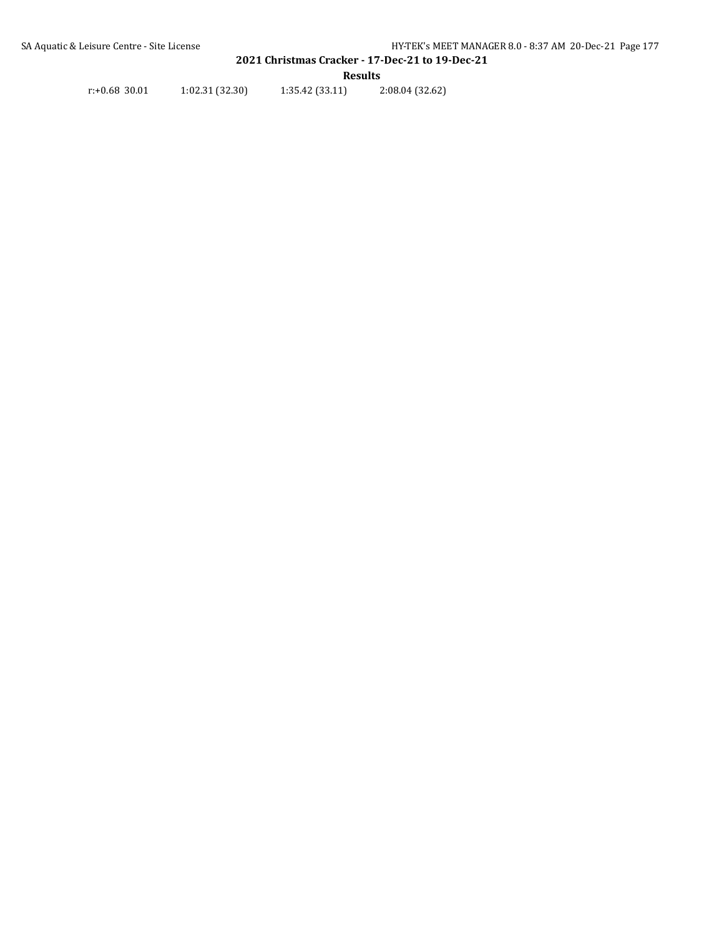**Results**<br>(1) 2:08.04 (32.62) r:+0.68 30.01 1:02.31 (32.30) 1:35.42 (33.11)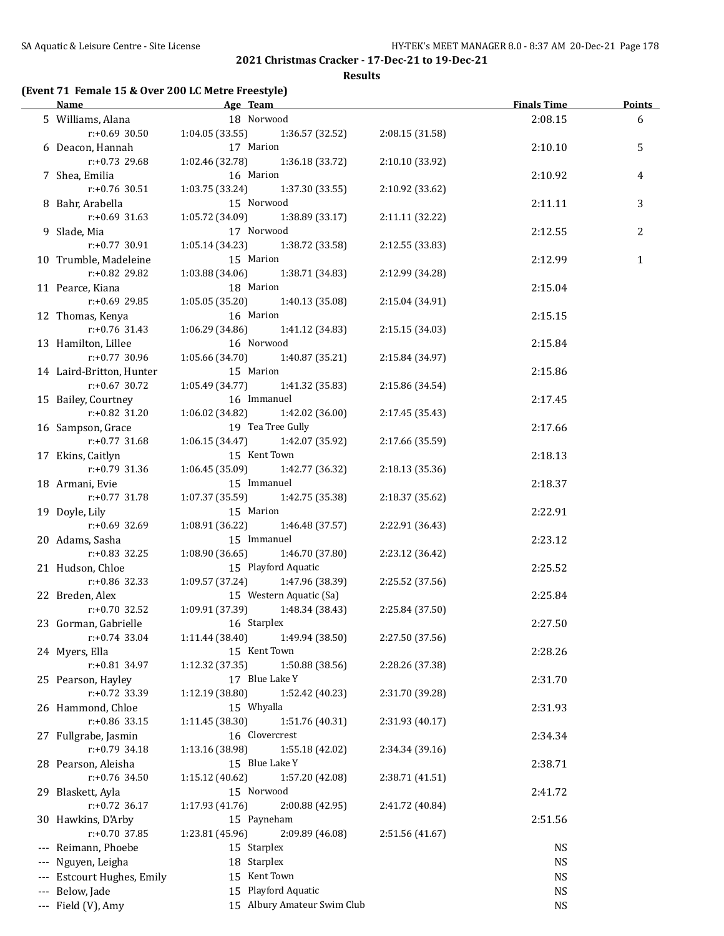**Results**

### **(Event 71 Female 15 & Over 200 LC Metre Freestyle)**

|     | Name                          | Age Team                                |                             |                 | <b>Finals Time</b> | <b>Points</b>  |
|-----|-------------------------------|-----------------------------------------|-----------------------------|-----------------|--------------------|----------------|
|     | 5 Williams, Alana             | 18 Norwood                              |                             |                 | 2:08.15            | 6              |
|     | $r: +0.69$ 30.50              | 1:04.05(33.55)                          | 1:36.57 (32.52)             | 2:08.15 (31.58) |                    |                |
|     | 6 Deacon, Hannah              | 17 Marion                               |                             |                 | 2:10.10            | 5              |
|     | r:+0.73 29.68                 | 1:02.46 (32.78)                         | 1:36.18 (33.72)             | 2:10.10 (33.92) |                    |                |
|     | 7 Shea, Emilia                | 16 Marion                               |                             |                 | 2:10.92            | 4              |
|     | r:+0.76 30.51                 | 1:03.75(33.24)                          | 1:37.30 (33.55)             | 2:10.92 (33.62) |                    |                |
|     | 8 Bahr, Arabella              | 15 Norwood                              |                             |                 | 2:11.11            | 3              |
|     | $r: +0.69$ 31.63              | 1:05.72 (34.09)                         | 1:38.89 (33.17)             | 2:11.11 (32.22) |                    |                |
|     | 9 Slade, Mia                  | 17 Norwood                              |                             |                 | 2:12.55            | $\overline{2}$ |
|     | $r: +0.77$ 30.91              | 1:05.14 (34.23)                         | 1:38.72 (33.58)             | 2:12.55 (33.83) |                    |                |
|     | 10 Trumble, Madeleine         | 15 Marion                               |                             |                 | 2:12.99            | $\mathbf{1}$   |
|     | r:+0.82 29.82                 | 1:03.88 (34.06)                         | 1:38.71 (34.83)             | 2:12.99 (34.28) |                    |                |
|     | 11 Pearce, Kiana              | 18 Marion                               |                             |                 | 2:15.04            |                |
|     | r:+0.69 29.85                 | $1:05.05(35.20)$ $1:40.13(35.08)$       |                             | 2:15.04 (34.91) |                    |                |
|     | 12 Thomas, Kenya              | 16 Marion                               |                             |                 | 2:15.15            |                |
|     | $r: +0.76$ 31.43              | $1:06.29$ $(34.86)$ $1:41.12$ $(34.83)$ |                             | 2:15.15 (34.03) |                    |                |
|     | 13 Hamilton, Lillee           | 16 Norwood                              |                             |                 | 2:15.84            |                |
|     | r:+0.77 30.96                 | 1:05.66 (34.70)                         | 1:40.87 (35.21)             | 2:15.84 (34.97) |                    |                |
|     | 14 Laird-Britton, Hunter      | 15 Marion                               |                             |                 | 2:15.86            |                |
|     | $r: +0.67$ 30.72              | $1:05.49(34.77)$ $1:41.32(35.83)$       |                             | 2:15.86 (34.54) |                    |                |
|     | 15 Bailey, Courtney           | 16 Immanuel                             |                             |                 | 2:17.45            |                |
|     | $r: +0.82$ 31.20              | 1:06.02 (34.82) 1:42.02 (36.00)         |                             | 2:17.45 (35.43) |                    |                |
|     | 16 Sampson, Grace             | 19 Tea Tree Gully                       |                             |                 | 2:17.66            |                |
|     | r:+0.77 31.68                 | 1:06.15 (34.47) 1:42.07 (35.92)         |                             | 2:17.66 (35.59) |                    |                |
|     | 17 Ekins, Caitlyn             | 15 Kent Town                            |                             |                 | 2:18.13            |                |
|     | r:+0.79 31.36                 | $1:06.45(35.09)$ $1:42.77(36.32)$       |                             | 2:18.13 (35.36) |                    |                |
|     | 18 Armani, Evie               | 15 Immanuel                             |                             |                 | 2:18.37            |                |
|     | $r: +0.77$ 31.78              | $1:07.37(35.59)$ $1:42.75(35.38)$       |                             | 2:18.37 (35.62) |                    |                |
|     | 19 Doyle, Lily                | 15 Marion                               |                             |                 | 2:22.91            |                |
|     | $r: +0.69$ 32.69              | $1:08.91(36.22)$ $1:46.48(37.57)$       |                             | 2:22.91 (36.43) |                    |                |
|     | 20 Adams, Sasha               | 15 Immanuel                             |                             |                 | 2:23.12            |                |
|     | $r: +0.83$ 32.25              | $1:08.90(36.65)$ $1:46.70(37.80)$       |                             | 2:23.12 (36.42) |                    |                |
|     | 21 Hudson, Chloe              |                                         | 15 Playford Aquatic         |                 | 2:25.52            |                |
|     | $r: +0.86$ 32.33              | $1:09.57(37.24)$ $1:47.96(38.39)$       |                             | 2:25.52 (37.56) |                    |                |
|     | 22 Breden, Alex               |                                         | 15 Western Aquatic (Sa)     |                 | 2:25.84            |                |
|     | $r: +0.70$ 32.52              | $1:09.91(37.39)$ $1:48.34(38.43)$       |                             | 2:25.84 (37.50) |                    |                |
|     | 23 Gorman, Gabrielle          | 16 Starplex                             |                             |                 | 2:27.50            |                |
|     | $r: +0.74$ 33.04              | 1:11.44(38.40)                          | 1:49.94 (38.50)             | 2:27.50 (37.56) |                    |                |
|     | 24 Myers, Ella                | 15 Kent Town                            |                             |                 | 2:28.26            |                |
|     | r:+0.81 34.97                 | 1:12.32 (37.35)                         | 1:50.88 (38.56)             | 2:28.26 (37.38) |                    |                |
|     | 25 Pearson, Hayley            | 17 Blue Lake Y                          |                             |                 | 2:31.70            |                |
|     | r:+0.72 33.39                 | 1:12.19 (38.80)                         | 1:52.42 (40.23)             | 2:31.70 (39.28) |                    |                |
|     | 26 Hammond, Chloe             | 15 Whyalla                              |                             |                 | 2:31.93            |                |
|     | r:+0.86 33.15                 | 1:11.45(38.30)                          | 1:51.76 (40.31)             | 2:31.93 (40.17) |                    |                |
|     | 27 Fullgrabe, Jasmin          | 16 Clovercrest                          |                             |                 | 2:34.34            |                |
|     | r:+0.79 34.18                 | 1:13.16 (38.98)                         | 1:55.18 (42.02)             | 2:34.34 (39.16) |                    |                |
|     | 28 Pearson, Aleisha           | 15 Blue Lake Y                          |                             |                 | 2:38.71            |                |
|     | r:+0.76 34.50                 | 1:15.12 (40.62)                         | 1:57.20 (42.08)             | 2:38.71 (41.51) |                    |                |
|     | 29 Blaskett, Ayla             | 15 Norwood                              |                             |                 | 2:41.72            |                |
|     | r:+0.72 36.17                 | 1:17.93 (41.76)                         | 2:00.88 (42.95)             | 2:41.72 (40.84) |                    |                |
|     | 30 Hawkins, D'Arby            | 15 Payneham                             |                             |                 | 2:51.56            |                |
|     | r:+0.70 37.85                 | 1:23.81 (45.96)                         | 2:09.89 (46.08)             | 2:51.56 (41.67) |                    |                |
|     | --- Reimann, Phoebe           | 15 Starplex                             |                             |                 | <b>NS</b>          |                |
| --- | Nguyen, Leigha                | 18 Starplex                             |                             |                 | <b>NS</b>          |                |
|     | <b>Estcourt Hughes, Emily</b> | 15 Kent Town                            |                             |                 | <b>NS</b>          |                |
|     | Below, Jade                   |                                         | 15 Playford Aquatic         |                 | <b>NS</b>          |                |
|     | --- Field (V), Amy            |                                         | 15 Albury Amateur Swim Club |                 | <b>NS</b>          |                |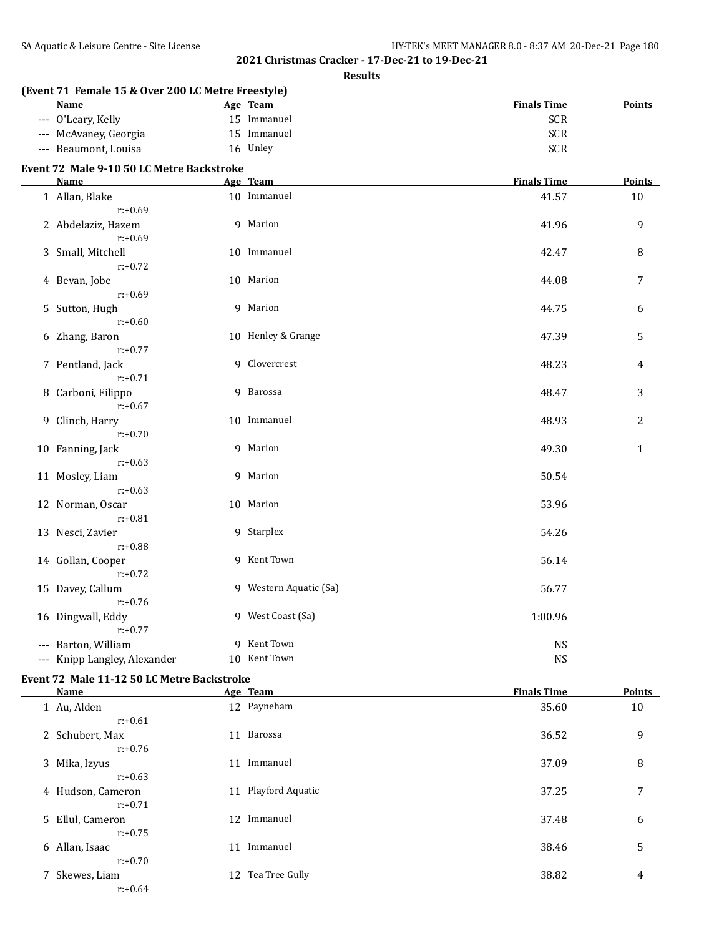r:+0.64

**2021 Christmas Cracker - 17-Dec-21 to 19-Dec-21**

**Results**

| (Event 71 Female 15 & Over 200 LC Metre Freestyle)<br><b>Name</b> | Age Team               | <b>Finals Time</b> | <b>Points</b> |
|-------------------------------------------------------------------|------------------------|--------------------|---------------|
| --- O'Leary, Kelly                                                | 15 Immanuel            | <b>SCR</b>         |               |
| --- McAvaney, Georgia                                             | 15 Immanuel            | <b>SCR</b>         |               |
| --- Beaumont, Louisa                                              | 16 Unley               | <b>SCR</b>         |               |
| Event 72 Male 9-10 50 LC Metre Backstroke                         |                        |                    |               |
| Name                                                              | Age Team               | <b>Finals Time</b> | <b>Points</b> |
| 1 Allan, Blake                                                    | 10 Immanuel            | 41.57              | 10            |
| $r: +0.69$<br>2 Abdelaziz, Hazem<br>$r: +0.69$                    | 9 Marion               | 41.96              | 9             |
| 3 Small, Mitchell<br>$r: +0.72$                                   | 10 Immanuel            | 42.47              | 8             |
| 4 Bevan, Jobe<br>$r: +0.69$                                       | 10 Marion              | 44.08              | 7             |
| 5 Sutton, Hugh<br>$r: +0.60$                                      | 9 Marion               | 44.75              | 6             |
| 6 Zhang, Baron<br>$r: +0.77$                                      | 10 Henley & Grange     | 47.39              | 5             |
| 7 Pentland, Jack<br>$r: +0.71$                                    | 9 Clovercrest          | 48.23              | 4             |
| 8 Carboni, Filippo<br>$r: +0.67$                                  | 9 Barossa              | 48.47              | 3             |
| 9 Clinch, Harry<br>$r: +0.70$                                     | 10 Immanuel            | 48.93              | 2             |
| 10 Fanning, Jack<br>$r: +0.63$                                    | 9 Marion               | 49.30              | $\mathbf{1}$  |
| 11 Mosley, Liam<br>$r: +0.63$                                     | 9 Marion               | 50.54              |               |
| 12 Norman, Oscar<br>$r: +0.81$                                    | 10 Marion              | 53.96              |               |
| 13 Nesci, Zavier<br>$r: +0.88$                                    | 9 Starplex             | 54.26              |               |
| 14 Gollan, Cooper<br>$r: +0.72$                                   | 9 Kent Town            | 56.14              |               |
| 15 Davey, Callum<br>$r: +0.76$                                    | 9 Western Aquatic (Sa) | 56.77              |               |
| 16 Dingwall, Eddy<br>$r: +0.77$                                   | 9 West Coast (Sa)      | 1:00.96            |               |
| --- Barton, William                                               | 9 Kent Town            | $_{\rm NS}$        |               |
| --- Knipp Langley, Alexander                                      | 10 Kent Town           | <b>NS</b>          |               |
| Event 72 Male 11-12 50 LC Metre Backstroke<br><b>Name</b>         | Age Team               | <b>Finals Time</b> | <b>Points</b> |
| 1 Au, Alden                                                       | 12 Payneham            | 35.60              | $10\,$        |
| $r: +0.61$                                                        |                        |                    |               |
| 2 Schubert, Max<br>$r: +0.76$                                     | 11 Barossa             | 36.52              | 9             |
| 3 Mika, Izyus<br>$r: +0.63$                                       | 11 Immanuel            | 37.09              | 8             |
| 4 Hudson, Cameron<br>$r: +0.71$                                   | 11 Playford Aquatic    | 37.25              | 7             |
| 5 Ellul, Cameron<br>$r: +0.75$                                    | 12 Immanuel            | 37.48              | 6             |
| 6 Allan, Isaac<br>$r: +0.70$                                      | 11 Immanuel            | 38.46              | 5             |

7 Skewes, Liam 12 Tea Tree Gully 38.82 4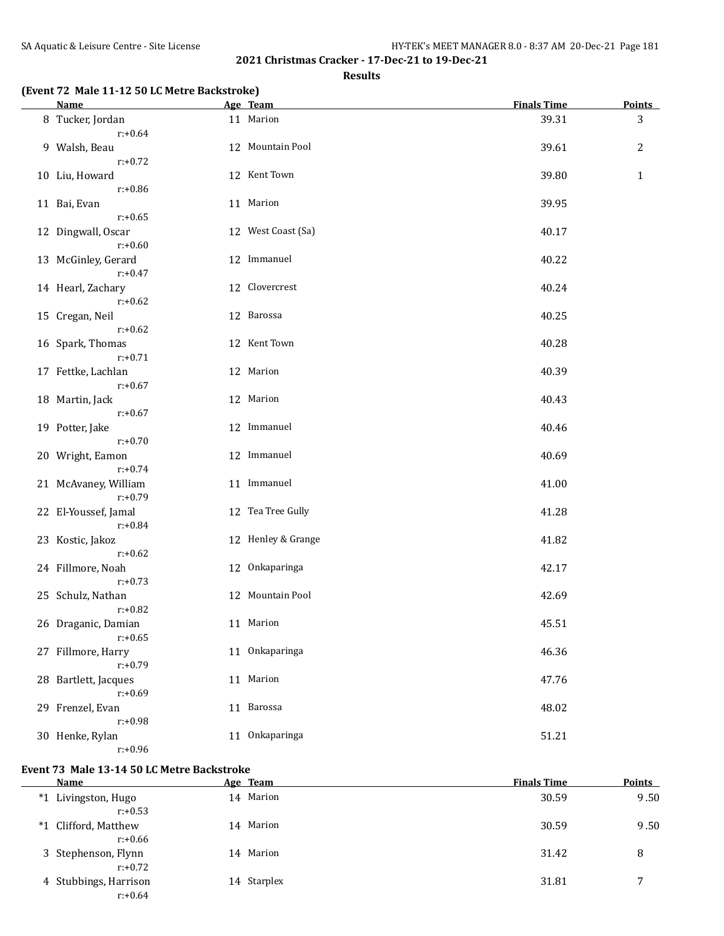**Results**

## **(Event 72 Male 11-12 50 LC Metre Backstroke)**

| <b>Name</b>                                 | Age Team           | <b>Finals Time</b> | <b>Points</b>  |
|---------------------------------------------|--------------------|--------------------|----------------|
| 8 Tucker, Jordan<br>$r: +0.64$              | 11 Marion          | 39.31              | 3              |
| 9 Walsh, Beau                               | 12 Mountain Pool   | 39.61              | $\overline{2}$ |
| $r: +0.72$<br>10 Liu, Howard                | 12 Kent Town       | 39.80              | $\mathbf{1}$   |
| $r: +0.86$<br>11 Bai, Evan                  | 11 Marion          | 39.95              |                |
| $r: +0.65$<br>12 Dingwall, Oscar            | 12 West Coast (Sa) | 40.17              |                |
| $r: +0.60$<br>13 McGinley, Gerard           | 12 Immanuel        | 40.22              |                |
| $r: +0.47$                                  |                    |                    |                |
| 14 Hearl, Zachary<br>$r: +0.62$             | 12 Clovercrest     | 40.24              |                |
| 15 Cregan, Neil<br>$r: +0.62$               | 12 Barossa         | 40.25              |                |
| 16 Spark, Thomas<br>$r: +0.71$              | 12 Kent Town       | 40.28              |                |
| 17 Fettke, Lachlan<br>$r: +0.67$            | 12 Marion          | 40.39              |                |
| 18 Martin, Jack                             | 12 Marion          | 40.43              |                |
| $r: +0.67$<br>19 Potter, Jake               | 12 Immanuel        | 40.46              |                |
| $r: +0.70$<br>20 Wright, Eamon              | 12 Immanuel        | 40.69              |                |
| $r: +0.74$<br>21 McAvaney, William          | 11 Immanuel        | 41.00              |                |
| $r: +0.79$<br>22 El-Youssef, Jamal          | 12 Tea Tree Gully  | 41.28              |                |
| $r: +0.84$                                  | 12 Henley & Grange |                    |                |
| 23 Kostic, Jakoz<br>$r: +0.62$              |                    | 41.82              |                |
| 24 Fillmore, Noah<br>$r: +0.73$             | 12 Onkaparinga     | 42.17              |                |
| 25 Schulz, Nathan<br>$r: +0.82$             | 12 Mountain Pool   | 42.69              |                |
| 26 Draganic, Damian<br>$r: +0.65$           | 11 Marion          | 45.51              |                |
| 27 Fillmore, Harry<br>$r: +0.79$            | 11 Onkaparinga     | 46.36              |                |
| 28 Bartlett, Jacques<br>$r: +0.69$          | 11 Marion          | 47.76              |                |
| 29 Frenzel, Evan                            | 11 Barossa         | 48.02              |                |
| $r: +0.98$<br>30 Henke, Rylan<br>$r: +0.96$ | 11 Onkaparinga     | 51.21              |                |
|                                             |                    |                    |                |

## **Event 73 Male 13-14 50 LC Metre Backstroke**

| Name                  | Age Team    | <b>Finals Time</b> | <b>Points</b> |
|-----------------------|-------------|--------------------|---------------|
| *1 Livingston, Hugo   | 14 Marion   | 30.59              | 9.50          |
| $r: +0.53$            |             |                    |               |
| *1 Clifford, Matthew  | 14 Marion   | 30.59              | 9.50          |
| $r: +0.66$            |             |                    |               |
| 3 Stephenson, Flynn   | 14 Marion   | 31.42              | 8             |
| $r: +0.72$            |             |                    |               |
| 4 Stubbings, Harrison | 14 Starplex | 31.81              |               |
| $r: +0.64$            |             |                    |               |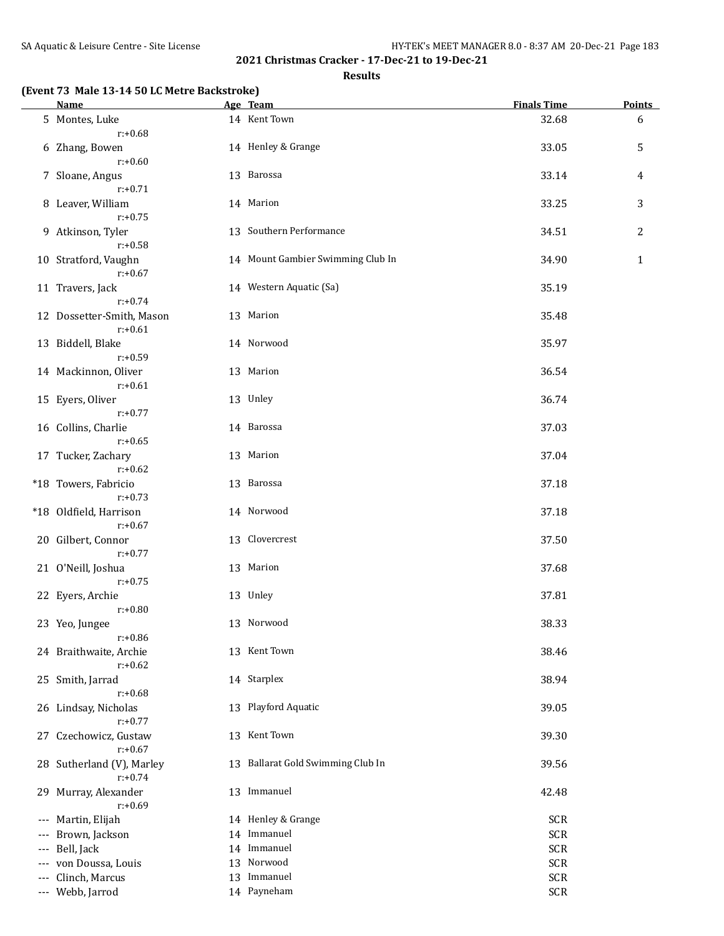**Results**

### **(Event 73 Male 13-14 50 LC Metre Backstroke)**

|     | <b>Name</b>                             |    | Age Team                          | <b>Finals Time</b> | <b>Points</b> |
|-----|-----------------------------------------|----|-----------------------------------|--------------------|---------------|
|     | 5 Montes, Luke<br>$r: +0.68$            |    | 14 Kent Town                      | 32.68              | 6             |
|     | 6 Zhang, Bowen<br>$r: +0.60$            |    | 14 Henley & Grange                | 33.05              | 5             |
|     | 7 Sloane, Angus<br>$r: +0.71$           |    | 13 Barossa                        | 33.14              | 4             |
|     | 8 Leaver, William<br>$r: +0.75$         |    | 14 Marion                         | 33.25              | 3             |
|     | 9 Atkinson, Tyler<br>$r: +0.58$         |    | 13 Southern Performance           | 34.51              | 2             |
|     | 10 Stratford, Vaughn<br>$r: +0.67$      |    | 14 Mount Gambier Swimming Club In | 34.90              | $\mathbf{1}$  |
|     | 11 Travers, Jack<br>$r: +0.74$          |    | 14 Western Aquatic (Sa)           | 35.19              |               |
|     | 12 Dossetter-Smith, Mason<br>$r: +0.61$ |    | 13 Marion                         | 35.48              |               |
|     | 13 Biddell, Blake<br>$r: +0.59$         |    | 14 Norwood                        | 35.97              |               |
|     | 14 Mackinnon, Oliver<br>$r: +0.61$      |    | 13 Marion                         | 36.54              |               |
|     | 15 Eyers, Oliver<br>$r: +0.77$          |    | 13 Unley                          | 36.74              |               |
|     | 16 Collins, Charlie<br>$r: +0.65$       |    | 14 Barossa                        | 37.03              |               |
|     | 17 Tucker, Zachary<br>$r: +0.62$        |    | 13 Marion                         | 37.04              |               |
|     | *18 Towers, Fabricio<br>$r: +0.73$      |    | 13 Barossa                        | 37.18              |               |
|     | *18 Oldfield, Harrison<br>$r: +0.67$    |    | 14 Norwood                        | 37.18              |               |
|     | 20 Gilbert, Connor<br>$r: +0.77$        |    | 13 Clovercrest                    | 37.50              |               |
|     | 21 O'Neill, Joshua<br>$r: +0.75$        |    | 13 Marion                         | 37.68              |               |
|     | 22 Eyers, Archie<br>$r: +0.80$          |    | 13 Unley                          | 37.81              |               |
|     | 23 Yeo, Jungee<br>$r: +0.86$            |    | 13 Norwood                        | 38.33              |               |
|     | 24 Braithwaite, Archie<br>$r: +0.62$    |    | 13 Kent Town                      | 38.46              |               |
|     | 25 Smith, Jarrad<br>$r: +0.68$          |    | 14 Starplex                       | 38.94              |               |
|     | 26 Lindsay, Nicholas<br>$r: +0.77$      |    | 13 Playford Aquatic               | 39.05              |               |
|     | 27 Czechowicz, Gustaw<br>$r: +0.67$     | 13 | Kent Town                         | 39.30              |               |
|     | 28 Sutherland (V), Marley<br>$r: +0.74$ |    | 13 Ballarat Gold Swimming Club In | 39.56              |               |
|     | 29 Murray, Alexander<br>$r: +0.69$      |    | 13 Immanuel                       | 42.48              |               |
|     | --- Martin, Elijah                      |    | 14 Henley & Grange                | <b>SCR</b>         |               |
| --- | Brown, Jackson                          |    | 14 Immanuel                       | <b>SCR</b>         |               |
|     | Bell, Jack                              |    | 14 Immanuel                       | <b>SCR</b>         |               |
|     | von Doussa, Louis                       |    | 13 Norwood                        | <b>SCR</b>         |               |
| --- | Clinch, Marcus                          |    | 13 Immanuel                       | <b>SCR</b>         |               |
|     | --- Webb, Jarrod                        |    | 14 Payneham                       | <b>SCR</b>         |               |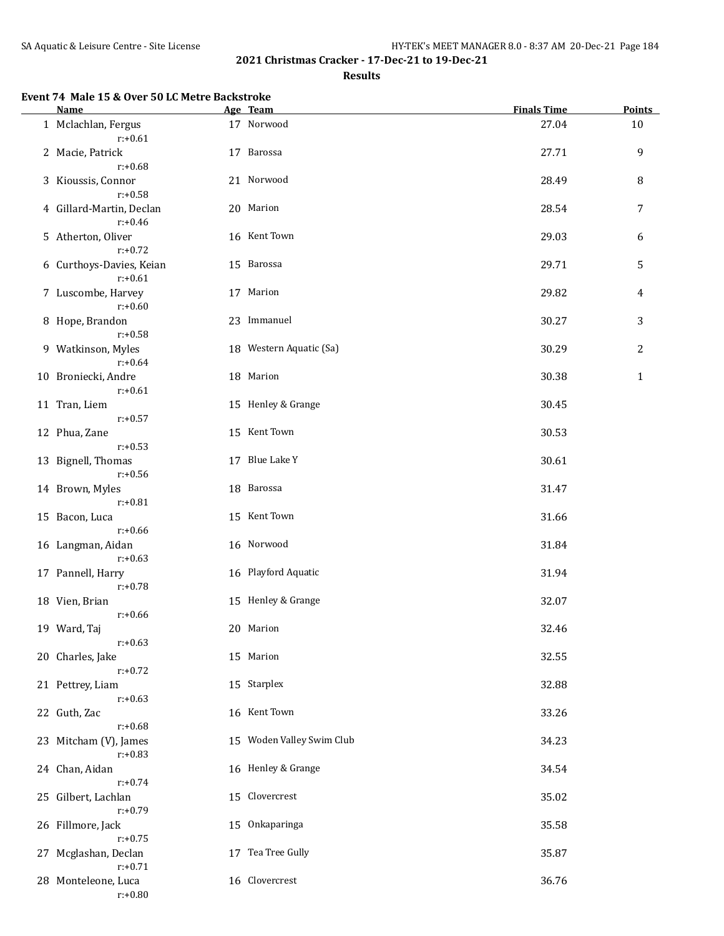**Results**

## **Event 74 Male 15 & Over 50 LC Metre Backstroke**

| <b>Name</b>                            |    | Age Team                  | <b>Finals Time</b> | Points       |
|----------------------------------------|----|---------------------------|--------------------|--------------|
| 1 Mclachlan, Fergus<br>$r: +0.61$      |    | 17 Norwood                | 27.04              | 10           |
| 2 Macie, Patrick<br>$r: +0.68$         |    | 17 Barossa                | 27.71              | 9            |
| 3 Kioussis, Connor<br>$r: +0.58$       |    | 21 Norwood                | 28.49              | 8            |
| 4 Gillard-Martin, Declan<br>$r: +0.46$ |    | 20 Marion                 | 28.54              | 7            |
| 5 Atherton, Oliver<br>$r: +0.72$       |    | 16 Kent Town              | 29.03              | 6            |
| 6 Curthoys-Davies, Keian<br>$r: +0.61$ |    | 15 Barossa                | 29.71              | 5            |
| 7 Luscombe, Harvey<br>$r: +0.60$       |    | 17 Marion                 | 29.82              | 4            |
| 8 Hope, Brandon<br>$r: +0.58$          |    | 23 Immanuel               | 30.27              | 3            |
| 9 Watkinson, Myles<br>$r: +0.64$       |    | 18 Western Aquatic (Sa)   | 30.29              | 2            |
| 10 Broniecki, Andre<br>$r: +0.61$      |    | 18 Marion                 | 30.38              | $\mathbf{1}$ |
| 11 Tran, Liem<br>$r: +0.57$            |    | 15 Henley & Grange        | 30.45              |              |
| 12 Phua, Zane<br>$r: +0.53$            |    | 15 Kent Town              | 30.53              |              |
| 13 Bignell, Thomas<br>$r: +0.56$       |    | 17 Blue Lake Y            | 30.61              |              |
| 14 Brown, Myles<br>$r: +0.81$          |    | 18 Barossa                | 31.47              |              |
| 15 Bacon, Luca<br>$r: +0.66$           |    | 15 Kent Town              | 31.66              |              |
| 16 Langman, Aidan<br>$r: +0.63$        |    | 16 Norwood                | 31.84              |              |
| 17 Pannell, Harry<br>$r: +0.78$        |    | 16 Playford Aquatic       | 31.94              |              |
| 18 Vien, Brian<br>$r: +0.66$           |    | 15 Henley & Grange        | 32.07              |              |
| 19 Ward, Taj<br>$r: +0.63$             |    | 20 Marion                 | 32.46              |              |
| 20 Charles, Jake<br>$r: +0.72$         |    | 15 Marion                 | 32.55              |              |
| 21 Pettrey, Liam<br>$r: +0.63$         |    | 15 Starplex               | 32.88              |              |
| 22 Guth, Zac<br>$r: +0.68$             |    | 16 Kent Town              | 33.26              |              |
| 23 Mitcham (V), James<br>$r: +0.83$    |    | 15 Woden Valley Swim Club | 34.23              |              |
| 24 Chan, Aidan<br>$r: +0.74$           |    | 16 Henley & Grange        | 34.54              |              |
| 25 Gilbert, Lachlan<br>$r: +0.79$      |    | 15 Clovercrest            | 35.02              |              |
| 26 Fillmore, Jack<br>$r: +0.75$        | 15 | Onkaparinga               | 35.58              |              |
| 27 Mcglashan, Declan<br>$r: +0.71$     |    | 17 Tea Tree Gully         | 35.87              |              |
| 28 Monteleone, Luca<br>$r: +0.80$      |    | 16 Clovercrest            | 36.76              |              |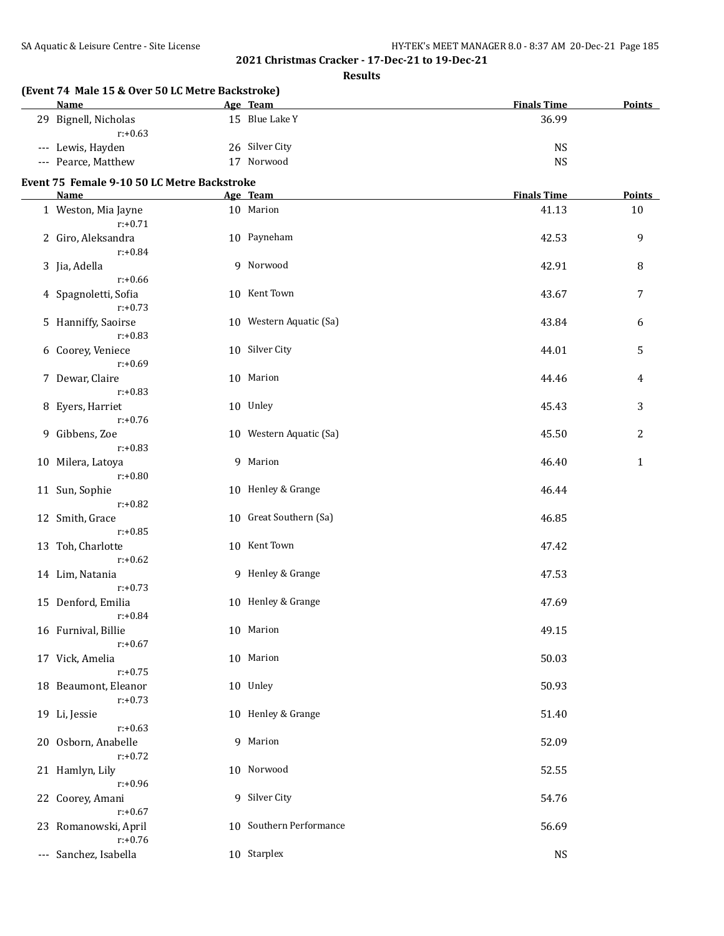| (Event 74 Male 15 & Over 50 LC Metre Backstroke)<br><b>Name</b> | Age Team                | <b>Finals Time</b> | <b>Points</b> |
|-----------------------------------------------------------------|-------------------------|--------------------|---------------|
| 29 Bignell, Nicholas                                            | 15 Blue Lake Y          | 36.99              |               |
| $r: +0.63$                                                      |                         |                    |               |
| --- Lewis, Hayden                                               | 26 Silver City          | <b>NS</b>          |               |
| --- Pearce, Matthew                                             | 17 Norwood              | <b>NS</b>          |               |
| Event 75 Female 9-10 50 LC Metre Backstroke<br>Name             | Age Team                | <b>Finals Time</b> | <b>Points</b> |
|                                                                 |                         |                    |               |
| 1 Weston, Mia Jayne<br>$r: +0.71$                               | 10 Marion               | 41.13              | 10            |
| 2 Giro, Aleksandra<br>$r: +0.84$                                | 10 Payneham             | 42.53              | 9             |
| 3 Jia, Adella<br>$r: +0.66$                                     | 9 Norwood               | 42.91              | 8             |
| 4 Spagnoletti, Sofia<br>$r: +0.73$                              | 10 Kent Town            | 43.67              | 7             |
| 5 Hanniffy, Saoirse                                             | 10 Western Aquatic (Sa) | 43.84              | 6             |
| $r: +0.83$<br>6 Coorey, Veniece                                 | 10 Silver City          | 44.01              | 5             |
| $r: +0.69$                                                      |                         |                    |               |
| 7 Dewar, Claire<br>$r: +0.83$                                   | 10 Marion               | 44.46              | 4             |
| 8 Eyers, Harriet<br>$r: +0.76$                                  | 10 Unley                | 45.43              | 3             |
| 9 Gibbens, Zoe<br>$r: +0.83$                                    | 10 Western Aquatic (Sa) | 45.50              | 2             |
| 10 Milera, Latoya                                               | 9 Marion                | 46.40              | 1             |
| $r: +0.80$<br>11 Sun, Sophie                                    | 10 Henley & Grange      | 46.44              |               |
| $r: +0.82$<br>12 Smith, Grace                                   | 10 Great Southern (Sa)  | 46.85              |               |
| $r: +0.85$                                                      |                         |                    |               |
| 13 Toh, Charlotte<br>$r: +0.62$                                 | 10 Kent Town            | 47.42              |               |
| 14 Lim, Natania<br>$r: +0.73$                                   | 9 Henley & Grange       | 47.53              |               |
| 15 Denford, Emilia<br>$r: +0.84$                                | 10 Henley & Grange      | 47.69              |               |
| 16 Furnival, Billie                                             | 10 Marion               | 49.15              |               |
| $r: +0.67$<br>17 Vick, Amelia                                   | 10 Marion               | 50.03              |               |
| $r: +0.75$<br>18 Beaumont, Eleanor                              | 10 Unley                | 50.93              |               |
| $r: +0.73$<br>19 Li, Jessie                                     | 10 Henley & Grange      | 51.40              |               |
| $r: +0.63$                                                      |                         |                    |               |
| 20 Osborn, Anabelle<br>$r: +0.72$                               | 9 Marion                | 52.09              |               |
| 21 Hamlyn, Lily<br>$r: +0.96$                                   | 10 Norwood              | 52.55              |               |
| 22 Coorey, Amani                                                | 9 Silver City           | 54.76              |               |
| $r: +0.67$<br>23 Romanowski, April<br>$r: +0.76$                | 10 Southern Performance | 56.69              |               |
| --- Sanchez, Isabella                                           | 10 Starplex             | <b>NS</b>          |               |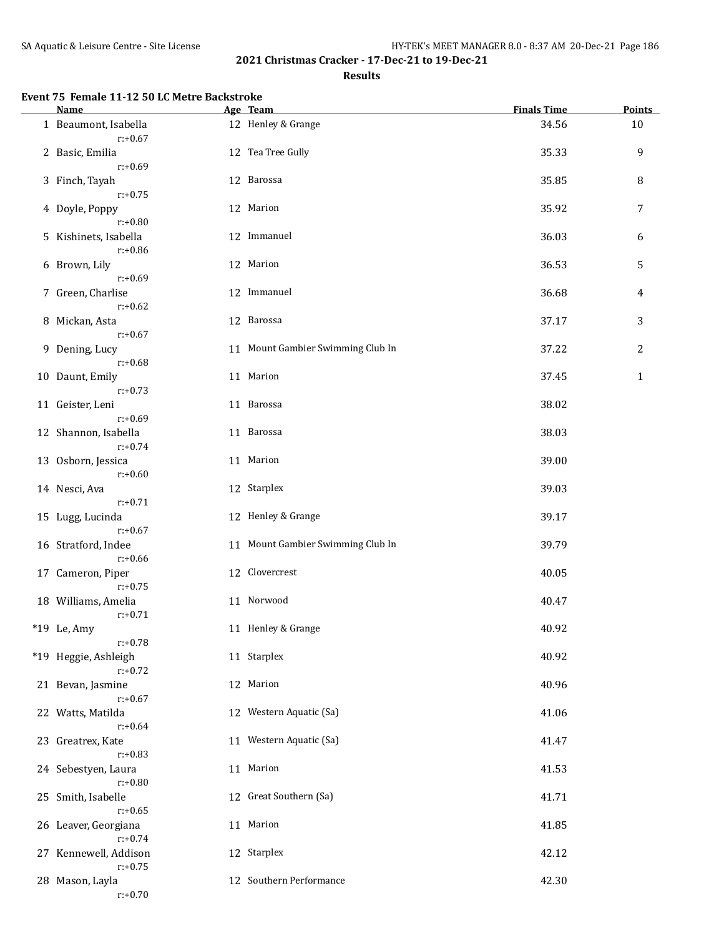#### **Results**

## **Event 75 Female 11-12 50 LC Metre Backstroke**

| <b>Name</b>                         | Age Team                          | <b>Finals Time</b> | <b>Points</b> |
|-------------------------------------|-----------------------------------|--------------------|---------------|
| 1 Beaumont, Isabella<br>$r: +0.67$  | 12 Henley & Grange                | 34.56              | 10            |
| 2 Basic, Emilia<br>$r: +0.69$       | 12 Tea Tree Gully                 | 35.33              | 9             |
| 3 Finch, Tayah<br>$r: +0.75$        | 12 Barossa                        | 35.85              | 8             |
| 4 Doyle, Poppy<br>$r: +0.80$        | 12 Marion                         | 35.92              | 7             |
| 5 Kishinets, Isabella<br>$r: +0.86$ | 12 Immanuel                       | 36.03              | 6             |
| 6 Brown, Lily<br>$r: +0.69$         | 12 Marion                         | 36.53              | 5             |
| 7 Green, Charlise<br>$r: +0.62$     | 12 Immanuel                       | 36.68              | 4             |
| 8 Mickan, Asta<br>$r: +0.67$        | 12 Barossa                        | 37.17              | 3             |
| 9 Dening, Lucy<br>$r: +0.68$        | 11 Mount Gambier Swimming Club In | 37.22              | 2             |
| 10 Daunt, Emily<br>$r: +0.73$       | 11 Marion                         | 37.45              | $\mathbf{1}$  |
| 11 Geister, Leni<br>$r: +0.69$      | 11 Barossa                        | 38.02              |               |
| 12 Shannon, Isabella<br>$r: +0.74$  | 11 Barossa                        | 38.03              |               |
| 13 Osborn, Jessica<br>$r: +0.60$    | 11 Marion                         | 39.00              |               |
| 14 Nesci, Ava<br>$r: +0.71$         | 12 Starplex                       | 39.03              |               |
| 15 Lugg, Lucinda<br>$r: +0.67$      | 12 Henley & Grange                | 39.17              |               |
| 16 Stratford, Indee<br>$r: +0.66$   | 11 Mount Gambier Swimming Club In | 39.79              |               |
| 17 Cameron, Piper<br>$r: +0.75$     | 12 Clovercrest                    | 40.05              |               |
| 18 Williams, Amelia<br>$r: +0.71$   | 11 Norwood                        | 40.47              |               |
| $*19$ Le, Amy<br>$r: +0.78$         | 11 Henley & Grange                | 40.92              |               |
| *19 Heggie, Ashleigh<br>$r: +0.72$  | 11 Starplex                       | 40.92              |               |
| 21 Bevan, Jasmine<br>$r: +0.67$     | 12 Marion                         | 40.96              |               |
| 22 Watts, Matilda<br>$r: +0.64$     | 12 Western Aquatic (Sa)           | 41.06              |               |
| 23 Greatrex, Kate<br>$r: +0.83$     | 11 Western Aquatic (Sa)           | 41.47              |               |
| 24 Sebestyen, Laura<br>$r: +0.80$   | 11 Marion                         | 41.53              |               |
| 25 Smith, Isabelle<br>$r: +0.65$    | 12 Great Southern (Sa)            | 41.71              |               |
| 26 Leaver, Georgiana<br>$r: +0.74$  | 11 Marion                         | 41.85              |               |
| 27 Kennewell, Addison<br>$r: +0.75$ | 12 Starplex                       | 42.12              |               |
| 28 Mason, Layla<br>$r: +0.70$       | 12 Southern Performance           | 42.30              |               |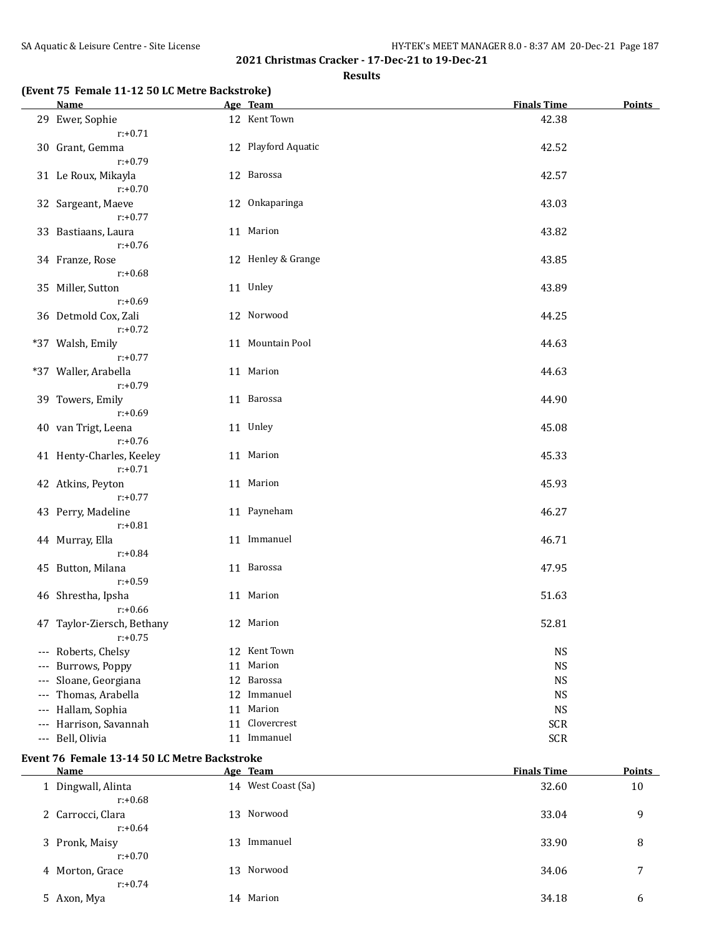**Results**

# **(Event 75 Female 11-12 50 LC Metre Backstroke)**

|                     | <b>Name</b>                              |    | Age Team            | <b>Finals Time</b> | <b>Points</b> |
|---------------------|------------------------------------------|----|---------------------|--------------------|---------------|
|                     | 29 Ewer, Sophie                          |    | 12 Kent Town        | 42.38              |               |
|                     | $r: +0.71$                               |    |                     |                    |               |
|                     | 30 Grant, Gemma                          |    | 12 Playford Aquatic | 42.52              |               |
|                     | $r: +0.79$                               |    |                     |                    |               |
|                     | 31 Le Roux, Mikayla                      |    | 12 Barossa          | 42.57              |               |
|                     | $r: +0.70$                               |    |                     |                    |               |
|                     | 32 Sargeant, Maeve                       |    | 12 Onkaparinga      | 43.03              |               |
|                     | $r: +0.77$                               |    |                     |                    |               |
|                     | 33 Bastiaans, Laura                      |    | 11 Marion           | 43.82              |               |
|                     | $r: +0.76$                               |    |                     |                    |               |
|                     | 34 Franze, Rose                          |    | 12 Henley & Grange  | 43.85              |               |
|                     | $r: +0.68$                               |    |                     |                    |               |
|                     | 35 Miller, Sutton                        |    | 11 Unley            | 43.89              |               |
|                     | $r: +0.69$                               |    |                     |                    |               |
|                     | 36 Detmold Cox, Zali<br>$r: +0.72$       |    | 12 Norwood          | 44.25              |               |
|                     |                                          |    | 11 Mountain Pool    |                    |               |
|                     | *37 Walsh, Emily<br>$r: +0.77$           |    |                     | 44.63              |               |
|                     | *37 Waller, Arabella                     |    | 11 Marion           | 44.63              |               |
|                     | $r: +0.79$                               |    |                     |                    |               |
|                     | 39 Towers, Emily                         |    | 11 Barossa          | 44.90              |               |
|                     | $r: +0.69$                               |    |                     |                    |               |
|                     | 40 van Trigt, Leena                      |    | 11 Unley            | 45.08              |               |
|                     | $r: +0.76$                               |    |                     |                    |               |
|                     | 41 Henty-Charles, Keeley                 |    | 11 Marion           | 45.33              |               |
|                     | $r: +0.71$                               |    |                     |                    |               |
|                     | 42 Atkins, Peyton                        |    | 11 Marion           | 45.93              |               |
|                     | $r: +0.77$                               |    |                     |                    |               |
|                     | 43 Perry, Madeline                       |    | 11 Payneham         | 46.27              |               |
|                     | $r: +0.81$                               |    |                     |                    |               |
|                     | 44 Murray, Ella                          |    | 11 Immanuel         | 46.71              |               |
|                     | $r: +0.84$                               |    |                     |                    |               |
|                     | 45 Button, Milana                        |    | 11 Barossa          | 47.95              |               |
|                     | $r: +0.59$                               |    |                     |                    |               |
|                     | 46 Shrestha, Ipsha                       |    | 11 Marion           | 51.63              |               |
|                     | $r: +0.66$                               |    | 12 Marion           |                    |               |
|                     | 47 Taylor-Ziersch, Bethany<br>$r: +0.75$ |    |                     | 52.81              |               |
|                     | --- Roberts, Chelsy                      |    | 12 Kent Town        | <b>NS</b>          |               |
| $\qquad \qquad - -$ | Burrows, Poppy                           | 11 | Marion              | <b>NS</b>          |               |
| $---$               | Sloane, Georgiana                        | 12 | Barossa             | <b>NS</b>          |               |
| $---$               | Thomas, Arabella                         | 12 | Immanuel            | <b>NS</b>          |               |
| $---$               | Hallam, Sophia                           | 11 | Marion              | <b>NS</b>          |               |
|                     | --- Harrison, Savannah                   | 11 | Clovercrest         | <b>SCR</b>         |               |
|                     | --- Bell, Olivia                         |    | 11 Immanuel         | <b>SCR</b>         |               |
|                     |                                          |    |                     |                    |               |

### **Event 76 Female 13-14 50 LC Metre Backstroke**

| <b>Name</b>                      |    | Age Team           | <b>Finals Time</b> | <b>Points</b> |
|----------------------------------|----|--------------------|--------------------|---------------|
| 1 Dingwall, Alinta<br>$r: +0.68$ |    | 14 West Coast (Sa) | 32.60              | 10            |
| 2 Carrocci, Clara<br>$r: +0.64$  |    | 13 Norwood         | 33.04              | 9             |
| 3 Pronk, Maisy<br>$r: +0.70$     | 13 | Immanuel           | 33.90              | 8             |
| 4 Morton, Grace<br>$r: +0.74$    |    | 13 Norwood         | 34.06              | 7             |
| 5 Axon, Mya                      |    | 14 Marion          | 34.18              | 6             |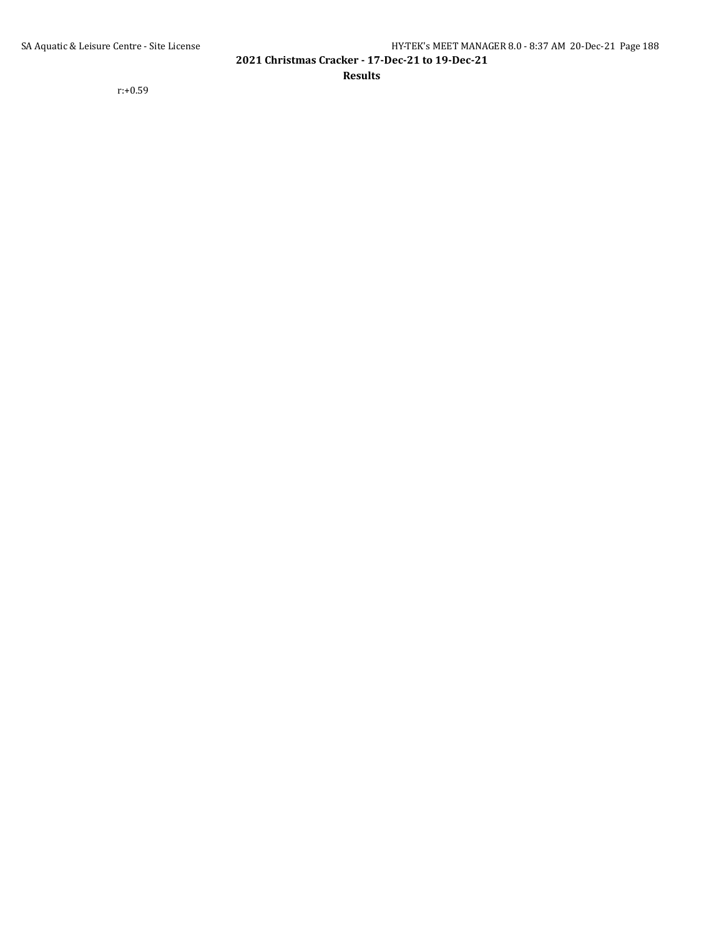**Results**

r:+0.59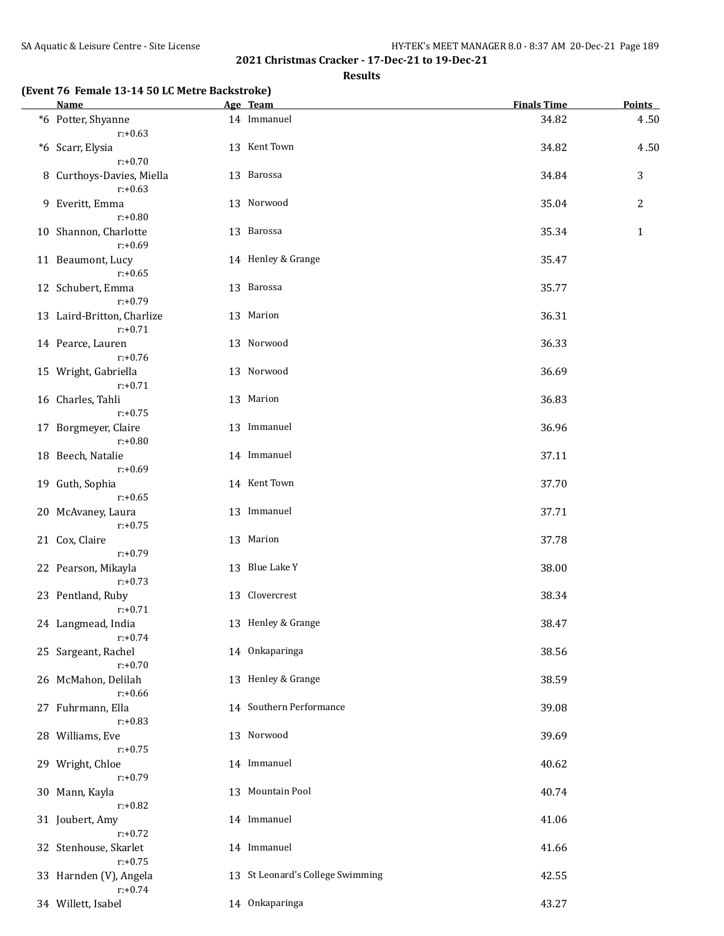**Results**

### **(Event 76 Female 13-14 50 LC Metre Backstroke)**

| <b>Name</b>                              | Age Team                         | <b>Finals Time</b> | <b>Points</b>  |
|------------------------------------------|----------------------------------|--------------------|----------------|
| *6 Potter, Shyanne<br>$r: +0.63$         | 14 Immanuel                      | 34.82              | 4.50           |
| *6 Scarr, Elysia<br>$r: +0.70$           | 13 Kent Town                     | 34.82              | 4.50           |
| 8 Curthoys-Davies, Miella<br>$r: +0.63$  | 13 Barossa                       | 34.84              | 3              |
| 9 Everitt, Emma<br>$r: +0.80$            | 13 Norwood                       | 35.04              | $\overline{c}$ |
| 10 Shannon, Charlotte<br>$r: +0.69$      | 13 Barossa                       | 35.34              | $\mathbf{1}$   |
| 11 Beaumont, Lucy<br>$r: +0.65$          | 14 Henley & Grange               | 35.47              |                |
| 12 Schubert, Emma<br>$r: +0.79$          | 13 Barossa                       | 35.77              |                |
| 13 Laird-Britton, Charlize<br>$r: +0.71$ | 13 Marion                        | 36.31              |                |
| 14 Pearce, Lauren<br>$r: +0.76$          | 13 Norwood                       | 36.33              |                |
| 15 Wright, Gabriella<br>$r: +0.71$       | 13 Norwood                       | 36.69              |                |
| 16 Charles, Tahli<br>$r: +0.75$          | 13 Marion                        | 36.83              |                |
| 17 Borgmeyer, Claire<br>$r: +0.80$       | 13 Immanuel                      | 36.96              |                |
| 18 Beech, Natalie<br>$r: +0.69$          | 14 Immanuel                      | 37.11              |                |
| 19 Guth, Sophia<br>$r: +0.65$            | 14 Kent Town                     | 37.70              |                |
| 20 McAvaney, Laura<br>$r: +0.75$         | 13 Immanuel                      | 37.71              |                |
| 21 Cox, Claire<br>$r: +0.79$             | 13 Marion                        | 37.78              |                |
| 22 Pearson, Mikayla<br>$r: +0.73$        | 13 Blue Lake Y                   | 38.00              |                |
| 23 Pentland, Ruby<br>$r: +0.71$          | 13 Clovercrest                   | 38.34              |                |
| 24 Langmead, India<br>$r: +0.74$         | 13 Henley & Grange               | 38.47              |                |
| 25 Sargeant, Rachel<br>$r: +0.70$        | 14 Onkaparinga                   | 38.56              |                |
| 26 McMahon, Delilah<br>$r: +0.66$        | 13 Henley & Grange               | 38.59              |                |
| 27 Fuhrmann, Ella<br>$r: +0.83$          | 14 Southern Performance          | 39.08              |                |
| 28 Williams, Eve<br>$r: +0.75$           | 13 Norwood                       | 39.69              |                |
| 29 Wright, Chloe<br>$r: +0.79$           | 14 Immanuel                      | 40.62              |                |
| 30 Mann, Kayla<br>$r: +0.82$             | 13 Mountain Pool                 | 40.74              |                |
| 31 Joubert, Amy<br>$r: +0.72$            | 14 Immanuel                      | 41.06              |                |
| 32 Stenhouse, Skarlet<br>$r: +0.75$      | 14 Immanuel                      | 41.66              |                |
| 33 Harnden (V), Angela<br>$r: +0.74$     | 13 St Leonard's College Swimming | 42.55              |                |
| 34 Willett, Isabel                       | 14 Onkaparinga                   | 43.27              |                |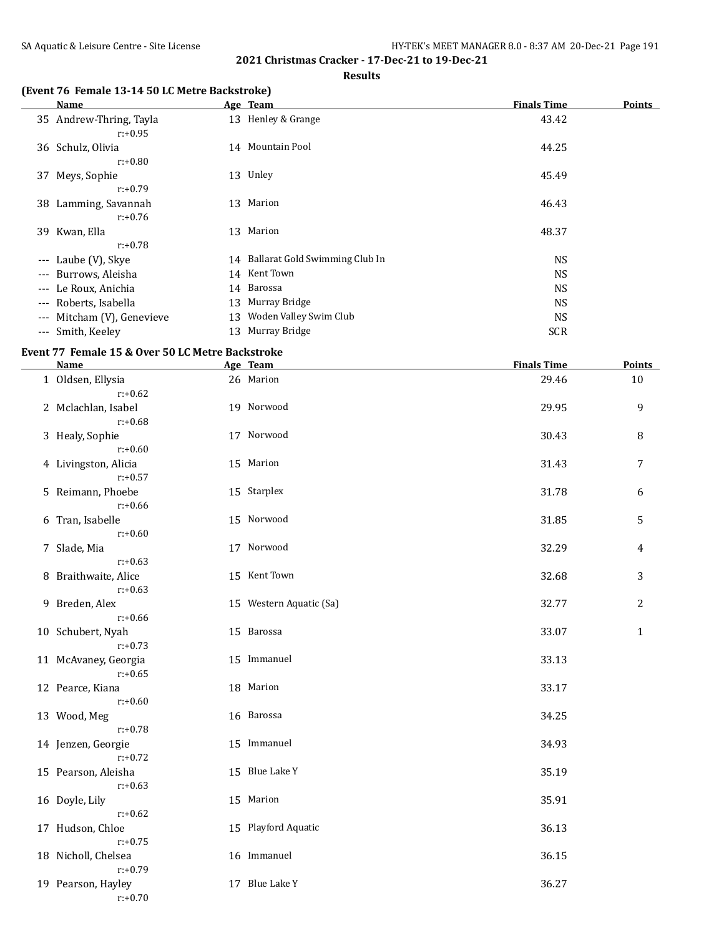### **Results**

# **(Event 76 Female 13-14 50 LC Metre Backstroke)**

|                                          | Name                                  |    | Age Team                          | <b>Finals Time</b> | <b>Points</b> |
|------------------------------------------|---------------------------------------|----|-----------------------------------|--------------------|---------------|
|                                          | 35 Andrew-Thring, Tayla<br>$r: +0.95$ |    | 13 Henley & Grange                | 43.42              |               |
|                                          | 36 Schulz, Olivia<br>$r: +0.80$       |    | 14 Mountain Pool                  | 44.25              |               |
| 37                                       | Meys, Sophie<br>$r: +0.79$            |    | 13 Unley                          | 45.49              |               |
|                                          | 38 Lamming, Savannah<br>$r: +0.76$    |    | 13 Marion                         | 46.43              |               |
|                                          | 39 Kwan, Ella<br>$r: +0.78$           |    | 13 Marion                         | 48.37              |               |
| $---$                                    | Laube (V), Skye                       |    | 14 Ballarat Gold Swimming Club In | <b>NS</b>          |               |
| $\cdots$                                 | Burrows, Aleisha                      |    | 14 Kent Town                      | <b>NS</b>          |               |
| $\hspace{0.05cm} \ldots \hspace{0.05cm}$ | Le Roux, Anichia                      |    | 14 Barossa                        | NS                 |               |
| $- - -$                                  | Roberts, Isabella                     | 13 | Murray Bridge                     | <b>NS</b>          |               |
| $---$                                    | Mitcham (V), Genevieve                | 13 | Woden Valley Swim Club            | <b>NS</b>          |               |
| $---$                                    | Smith, Keeley                         | 13 | Murray Bridge                     | <b>SCR</b>         |               |

#### **Event 77 Female 15 & Over 50 LC Metre Backstroke**

| <b>Name</b>                        | Age Team                | <b>Finals Time</b> | <b>Points</b> |
|------------------------------------|-------------------------|--------------------|---------------|
| 1 Oldsen, Ellysia<br>$r: +0.62$    | 26 Marion               | 29.46              | $10\,$        |
| 2 Mclachlan, Isabel<br>$r: +0.68$  | 19 Norwood              | 29.95              | 9             |
| 3 Healy, Sophie<br>$r: +0.60$      | 17 Norwood              | 30.43              | 8             |
| 4 Livingston, Alicia<br>$r: +0.57$ | 15 Marion               | 31.43              | 7             |
| 5 Reimann, Phoebe<br>$r: +0.66$    | 15 Starplex             | 31.78              | 6             |
| 6 Tran, Isabelle<br>$r: +0.60$     | 15 Norwood              | 31.85              | 5             |
| 7 Slade, Mia<br>$r: +0.63$         | 17 Norwood              | 32.29              | 4             |
| 8 Braithwaite, Alice<br>$r: +0.63$ | 15 Kent Town            | 32.68              | 3             |
| 9 Breden, Alex<br>$r: +0.66$       | 15 Western Aquatic (Sa) | 32.77              | 2             |
| 10 Schubert, Nyah<br>$r: +0.73$    | 15 Barossa              | 33.07              | $\mathbf{1}$  |
| 11 McAvaney, Georgia<br>$r: +0.65$ | 15 Immanuel             | 33.13              |               |
| 12 Pearce, Kiana<br>$r: +0.60$     | 18 Marion               | 33.17              |               |
| 13 Wood, Meg<br>$r: +0.78$         | 16 Barossa              | 34.25              |               |
| 14 Jenzen, Georgie<br>$r: +0.72$   | 15 Immanuel             | 34.93              |               |
| 15 Pearson, Aleisha<br>$r: +0.63$  | 15 Blue Lake Y          | 35.19              |               |
| 16 Doyle, Lily<br>$r: +0.62$       | 15 Marion               | 35.91              |               |
| 17 Hudson, Chloe<br>$r: +0.75$     | 15 Playford Aquatic     | 36.13              |               |
| 18 Nicholl, Chelsea<br>$r: +0.79$  | 16 Immanuel             | 36.15              |               |
| 19 Pearson, Hayley<br>$r: +0.70$   | 17 Blue Lake Y          | 36.27              |               |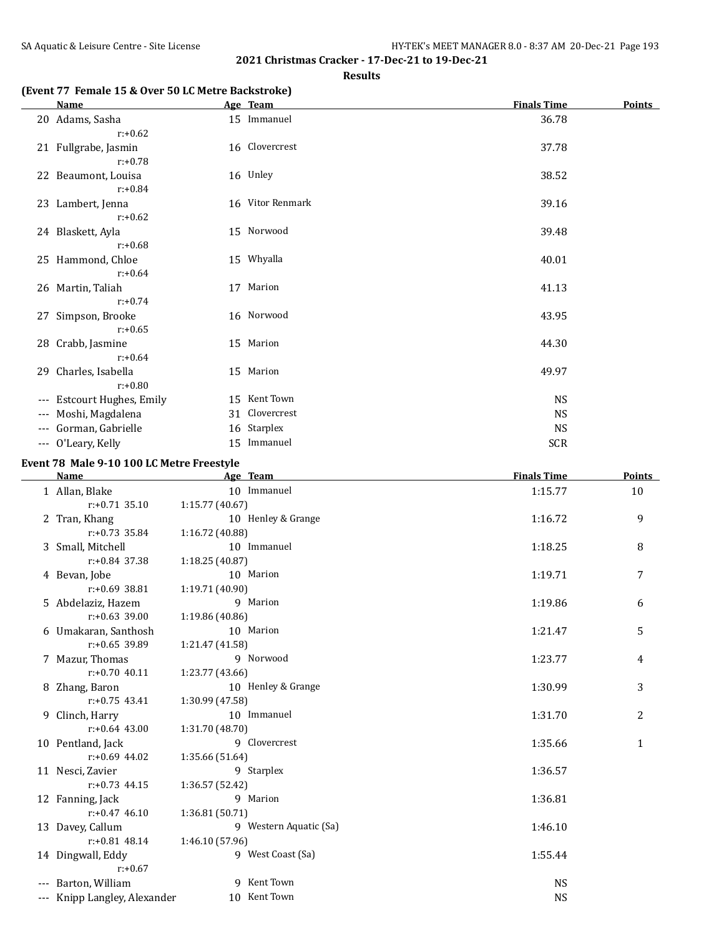### **Results**

# **(Event 77 Female 15 & Over 50 LC Metre Backstroke)**

|                      | Name                   |    | Age Team         | <b>Finals Time</b> | <b>Points</b> |
|----------------------|------------------------|----|------------------|--------------------|---------------|
|                      | 20 Adams, Sasha        |    | 15 Immanuel      | 36.78              |               |
|                      | $r: +0.62$             |    |                  |                    |               |
|                      | 21 Fullgrabe, Jasmin   |    | 16 Clovercrest   | 37.78              |               |
|                      | $r: +0.78$             |    |                  |                    |               |
|                      | 22 Beaumont, Louisa    |    | 16 Unley         | 38.52              |               |
|                      | $r: +0.84$             |    |                  |                    |               |
|                      | 23 Lambert, Jenna      |    | 16 Vitor Renmark | 39.16              |               |
|                      | $r: +0.62$             |    |                  |                    |               |
|                      | 24 Blaskett, Ayla      |    | 15 Norwood       | 39.48              |               |
|                      | $r: +0.68$             |    |                  |                    |               |
|                      | 25 Hammond, Chloe      |    | 15 Whyalla       | 40.01              |               |
|                      | $r: +0.64$             |    |                  |                    |               |
|                      | 26 Martin, Taliah      |    | 17 Marion        | 41.13              |               |
|                      | $r: +0.74$             |    |                  |                    |               |
|                      | 27 Simpson, Brooke     |    | 16 Norwood       | 43.95              |               |
|                      | $r: +0.65$             |    |                  |                    |               |
|                      | 28 Crabb, Jasmine      |    | 15 Marion        | 44.30              |               |
|                      | $r: +0.64$             |    |                  |                    |               |
|                      | 29 Charles, Isabella   |    | 15 Marion        | 49.97              |               |
|                      | $r: +0.80$             |    |                  |                    |               |
| $\scriptstyle\cdots$ | Estcourt Hughes, Emily | 15 | Kent Town        | <b>NS</b>          |               |
| $\qquad \qquad -$    | Moshi, Magdalena       |    | 31 Clovercrest   | <b>NS</b>          |               |
| $\qquad \qquad -$    | Gorman, Gabrielle      |    | 16 Starplex      | <b>NS</b>          |               |
|                      | --- O'Leary, Kelly     |    | 15 Immanuel      | <b>SCR</b>         |               |

### **Event 78 Male 9-10 100 LC Metre Freestyle**

 $\overline{a}$ 

| <b>Name</b>                  |                 | Age Team               | <b>Finals Time</b> | Points       |
|------------------------------|-----------------|------------------------|--------------------|--------------|
| 1 Allan, Blake               |                 | 10 Immanuel            | 1:15.77            | 10           |
| $r: +0.71$ 35.10             | 1:15.77 (40.67) |                        |                    |              |
| 2 Tran, Khang                |                 | 10 Henley & Grange     | 1:16.72            | 9            |
| $r: +0.73$ 35.84             | 1:16.72 (40.88) |                        |                    |              |
| 3 Small, Mitchell            |                 | 10 Immanuel            | 1:18.25            | 8            |
| $r: +0.84$ 37.38             | 1:18.25 (40.87) |                        |                    |              |
| 4 Bevan, Jobe                |                 | 10 Marion              | 1:19.71            | 7            |
| $r: +0.69$ 38.81             | 1:19.71 (40.90) |                        |                    |              |
| 5 Abdelaziz, Hazem           |                 | 9 Marion               | 1:19.86            | 6            |
| $r: +0.63$ 39.00             | 1:19.86 (40.86) |                        |                    |              |
| 6 Umakaran, Santhosh         |                 | 10 Marion              | 1:21.47            | 5            |
| $r: +0.65$ 39.89             | 1:21.47 (41.58) |                        |                    |              |
| 7 Mazur, Thomas              |                 | 9 Norwood              | 1:23.77            | 4            |
| $r: +0.70$ 40.11             | 1:23.77 (43.66) |                        |                    |              |
| 8 Zhang, Baron               |                 | 10 Henley & Grange     | 1:30.99            | 3            |
| $r: +0.75$ 43.41             | 1:30.99 (47.58) |                        |                    |              |
| 9 Clinch, Harry              |                 | 10 Immanuel            | 1:31.70            | 2            |
| $r: +0.64$ 43.00             | 1:31.70 (48.70) |                        |                    |              |
| 10 Pentland, Jack            |                 | 9 Clovercrest          | 1:35.66            | $\mathbf{1}$ |
| $r: +0.69$ 44.02             | 1:35.66 (51.64) |                        |                    |              |
| 11 Nesci, Zavier             |                 | 9 Starplex             | 1:36.57            |              |
| $r: +0.73$ 44.15             | 1:36.57 (52.42) |                        |                    |              |
| 12 Fanning, Jack             |                 | 9 Marion               | 1:36.81            |              |
| $r: +0.47$ 46.10             | 1:36.81 (50.71) |                        |                    |              |
| 13 Davey, Callum             |                 | 9 Western Aquatic (Sa) | 1:46.10            |              |
| $r: +0.81$ 48.14             | 1:46.10 (57.96) |                        |                    |              |
| 14 Dingwall, Eddy            |                 | 9 West Coast (Sa)      | 1:55.44            |              |
| $r: +0.67$                   |                 |                        |                    |              |
| --- Barton, William          |                 | 9 Kent Town            | <b>NS</b>          |              |
| --- Knipp Langley, Alexander |                 | 10 Kent Town           | <b>NS</b>          |              |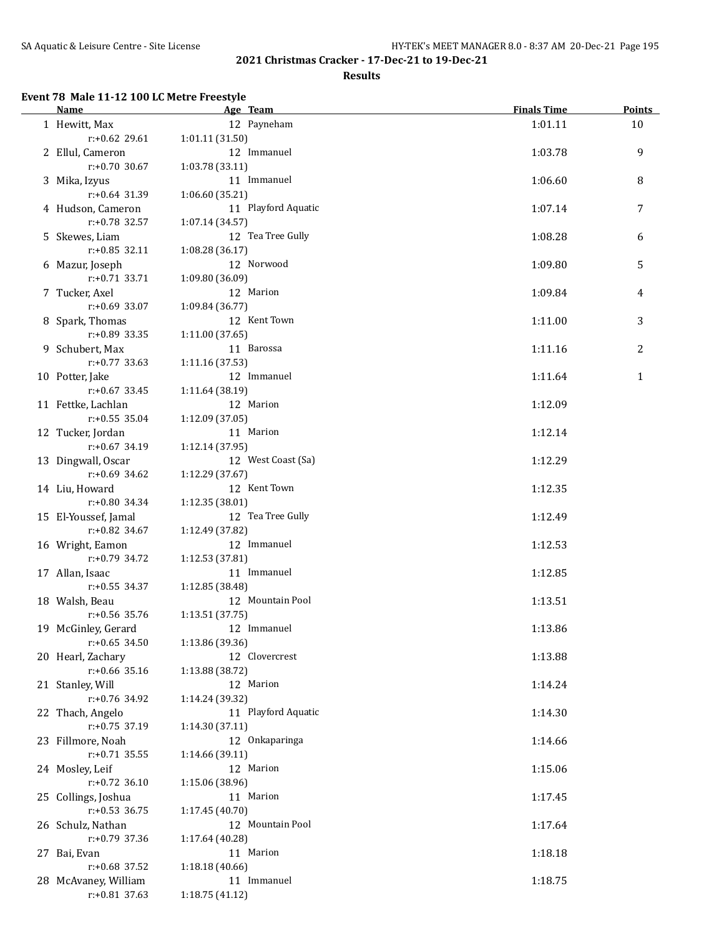**Results**

## **Event 78 Male 11-12 100 LC Metre Freestyle**

|    | Name                                  | Age Team                          | <b>Finals Time</b> | <b>Points</b> |
|----|---------------------------------------|-----------------------------------|--------------------|---------------|
|    | 1 Hewitt, Max                         | 12 Payneham                       | 1:01.11            | 10            |
|    | $r: +0.62$ 29.61                      | 1:01.11 (31.50)                   |                    |               |
|    | 2 Ellul, Cameron                      | 12 Immanuel                       | 1:03.78            | 9             |
|    | $r: +0.70$ 30.67                      | 1:03.78 (33.11)                   |                    |               |
|    | 3 Mika, Izyus                         | 11 Immanuel                       | 1:06.60            | 8             |
|    | r:+0.64 31.39                         | 1:06.60 (35.21)                   |                    |               |
|    | 4 Hudson, Cameron                     | 11 Playford Aquatic               | 1:07.14            | 7             |
|    | $r: +0.78$ 32.57                      | 1:07.14 (34.57)                   |                    |               |
|    | 5 Skewes, Liam                        | 12 Tea Tree Gully                 | 1:08.28            | 6             |
|    | $r: +0.85$ 32.11                      | 1:08.28 (36.17)                   |                    |               |
|    | 6 Mazur, Joseph                       | 12 Norwood                        | 1:09.80            | 5             |
|    | r:+0.71 33.71                         | 1:09.80 (36.09)                   |                    |               |
|    | 7 Tucker, Axel                        | 12 Marion                         | 1:09.84            | 4             |
|    | r:+0.69 33.07                         | 1:09.84 (36.77)                   |                    |               |
|    | 8 Spark, Thomas                       | 12 Kent Town                      | 1:11.00            | 3             |
|    | $r: +0.89$ 33.35                      | 1:11.00(37.65)<br>11 Barossa      |                    |               |
|    | 9 Schubert, Max                       |                                   | 1:11.16            | 2             |
|    | $r: +0.77$ 33.63                      | 1:11.16 (37.53)<br>12 Immanuel    | 1:11.64            | $\mathbf{1}$  |
|    | 10 Potter, Jake<br>$r: +0.67$ 33.45   | 1:11.64 (38.19)                   |                    |               |
|    | 11 Fettke, Lachlan                    | 12 Marion                         | 1:12.09            |               |
|    | $r: +0.55$ 35.04                      | 1:12.09 (37.05)                   |                    |               |
|    | 12 Tucker, Jordan                     | 11 Marion                         | 1:12.14            |               |
|    | r:+0.67 34.19                         | 1:12.14 (37.95)                   |                    |               |
|    | 13 Dingwall, Oscar                    | 12 West Coast (Sa)                | 1:12.29            |               |
|    | r:+0.69 34.62                         | 1:12.29 (37.67)                   |                    |               |
|    | 14 Liu, Howard                        | 12 Kent Town                      | 1:12.35            |               |
|    | r:+0.80 34.34                         | 1:12.35 (38.01)                   |                    |               |
|    | 15 El-Youssef, Jamal                  | 12 Tea Tree Gully                 | 1:12.49            |               |
|    | r:+0.82 34.67                         | 1:12.49 (37.82)                   |                    |               |
|    | 16 Wright, Eamon                      | 12 Immanuel                       | 1:12.53            |               |
|    | r:+0.79 34.72                         | 1:12.53 (37.81)                   |                    |               |
|    | 17 Allan, Isaac                       | 11 Immanuel                       | 1:12.85            |               |
|    | $r: +0.55$ 34.37                      | 1:12.85 (38.48)                   |                    |               |
|    | 18 Walsh, Beau                        | 12 Mountain Pool                  | 1:13.51            |               |
|    | $r: +0.56$ 35.76                      | 1:13.51 (37.75)                   |                    |               |
|    | 19 McGinley, Gerard                   | 12 Immanuel                       | 1:13.86            |               |
|    | $r: +0.65$ 34.50                      | 1:13.86 (39.36)                   |                    |               |
|    | 20 Hearl, Zachary                     | 12 Clovercrest                    | 1:13.88            |               |
|    | $r: +0.66$ 35.16                      | 1:13.88 (38.72)                   |                    |               |
|    | 21 Stanley, Will                      | 12 Marion                         | 1:14.24            |               |
|    | r:+0.76 34.92                         | 1:14.24 (39.32)                   |                    |               |
| 22 | Thach, Angelo                         | 11 Playford Aquatic               | 1:14.30            |               |
|    | r:+0.75 37.19                         | 1:14.30 (37.11)<br>12 Onkaparinga |                    |               |
|    | 23 Fillmore, Noah<br>$r: +0.71$ 35.55 | 1:14.66 (39.11)                   | 1:14.66            |               |
|    |                                       | 12 Marion                         |                    |               |
|    | 24 Mosley, Leif<br>$r: +0.72$ 36.10   | 1:15.06 (38.96)                   | 1:15.06            |               |
|    | 25 Collings, Joshua                   | 11 Marion                         | 1:17.45            |               |
|    | $r: +0.53$ 36.75                      | 1:17.45 (40.70)                   |                    |               |
|    | 26 Schulz, Nathan                     | 12 Mountain Pool                  | 1:17.64            |               |
|    | r:+0.79 37.36                         | 1:17.64 (40.28)                   |                    |               |
|    | 27 Bai, Evan                          | 11 Marion                         | 1:18.18            |               |
|    | $r: +0.68$ 37.52                      | 1:18.18 (40.66)                   |                    |               |
|    | 28 McAvaney, William                  | 11 Immanuel                       | 1:18.75            |               |
|    | r:+0.81 37.63                         | 1:18.75 (41.12)                   |                    |               |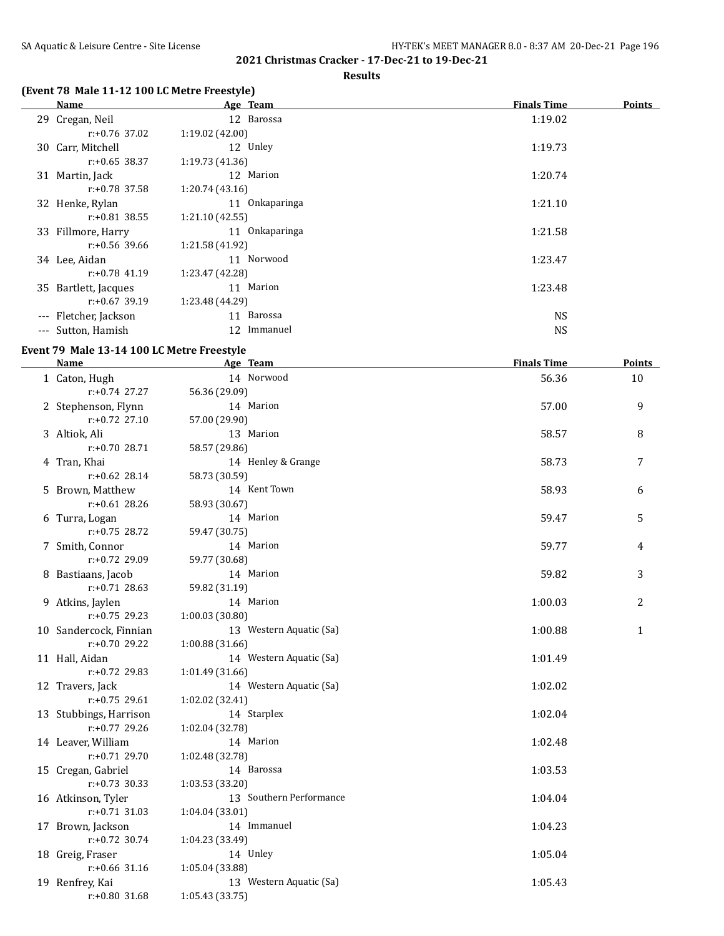#### **Results**

## **(Event 78 Male 11-12 100 LC Metre Freestyle)**

|                     | Name                 | Age Team        | <b>Finals Time</b> | Points |
|---------------------|----------------------|-----------------|--------------------|--------|
|                     | 29 Cregan, Neil      | 12 Barossa      | 1:19.02            |        |
|                     | $r: +0.76$ 37.02     | 1:19.02(42.00)  |                    |        |
|                     | 30 Carr, Mitchell    | 12 Unley        | 1:19.73            |        |
|                     | $r: +0.65$ 38.37     | 1:19.73(41.36)  |                    |        |
|                     | 31 Martin, Jack      | 12 Marion       | 1:20.74            |        |
|                     | $r: +0.78$ 37.58     | 1:20.74(43.16)  |                    |        |
|                     | 32 Henke, Rylan      | 11 Onkaparinga  | 1:21.10            |        |
|                     | $r: +0.81$ 38.55     | 1:21.10(42.55)  |                    |        |
|                     | 33 Fillmore, Harry   | 11 Onkaparinga  | 1:21.58            |        |
|                     | $r: +0.56$ 39.66     | 1:21.58 (41.92) |                    |        |
|                     | 34 Lee, Aidan        | 11 Norwood      | 1:23.47            |        |
|                     | $r: +0.78$ 41.19     | 1:23.47 (42.28) |                    |        |
|                     | 35 Bartlett, Jacques | 11 Marion       | 1:23.48            |        |
|                     | $r: +0.67$ 39.19     | 1:23.48 (44.29) |                    |        |
| $\qquad \qquad - -$ | Fletcher, Jackson    | 11 Barossa      | <b>NS</b>          |        |
| $- - -$             | Sutton, Hamish       | 12 Immanuel     | <b>NS</b>          |        |

#### **Event 79 Male 13-14 100 LC Metre Freestyle**

 $\overline{\phantom{a}}$ 

| Name                   |                 | Age Team                | <b>Finals Time</b> | <b>Points</b> |
|------------------------|-----------------|-------------------------|--------------------|---------------|
| 1 Caton, Hugh          |                 | 14 Norwood              | 56.36              | 10            |
| $r: +0.74$ 27.27       | 56.36 (29.09)   |                         |                    |               |
| 2 Stephenson, Flynn    |                 | 14 Marion               | 57.00              | 9             |
| r:+0.72 27.10          | 57.00 (29.90)   |                         |                    |               |
| 3 Altiok, Ali          |                 | 13 Marion               | 58.57              | 8             |
| $r: +0.70$ 28.71       | 58.57 (29.86)   |                         |                    |               |
| 4 Tran, Khai           |                 | 14 Henley & Grange      | 58.73              | 7             |
| $r: +0.62$ 28.14       | 58.73 (30.59)   |                         |                    |               |
| 5 Brown, Matthew       |                 | 14 Kent Town            | 58.93              | 6             |
| $r: +0.61$ 28.26       | 58.93 (30.67)   |                         |                    |               |
| 6 Turra, Logan         |                 | 14 Marion               | 59.47              | 5             |
| r:+0.75 28.72          | 59.47 (30.75)   |                         |                    |               |
| 7 Smith, Connor        |                 | 14 Marion               | 59.77              | 4             |
| r:+0.72 29.09          | 59.77 (30.68)   |                         |                    |               |
| 8 Bastiaans, Jacob     |                 | 14 Marion               | 59.82              | 3             |
| $r: +0.71$ 28.63       | 59.82 (31.19)   |                         |                    |               |
| 9 Atkins, Jaylen       |                 | 14 Marion               | 1:00.03            | 2             |
| $r: +0.75$ 29.23       | 1:00.03 (30.80) |                         |                    |               |
| 10 Sandercock, Finnian |                 | 13 Western Aquatic (Sa) | 1:00.88            | $\mathbf{1}$  |
| $r: +0.70$ 29.22       | 1:00.88 (31.66) |                         |                    |               |
| 11 Hall, Aidan         |                 | 14 Western Aquatic (Sa) | 1:01.49            |               |
| r:+0.72 29.83          | 1:01.49 (31.66) |                         |                    |               |
| 12 Travers, Jack       |                 | 14 Western Aquatic (Sa) | 1:02.02            |               |
| $r: +0.75$ 29.61       | 1:02.02 (32.41) |                         |                    |               |
| 13 Stubbings, Harrison |                 | 14 Starplex             | 1:02.04            |               |
| r:+0.77 29.26          | 1:02.04 (32.78) |                         |                    |               |
| 14 Leaver, William     |                 | 14 Marion               | 1:02.48            |               |
| $r: +0.71$ 29.70       | 1:02.48 (32.78) |                         |                    |               |
| 15 Cregan, Gabriel     |                 | 14 Barossa              | 1:03.53            |               |
| $r: +0.73$ 30.33       | 1:03.53 (33.20) |                         |                    |               |
| 16 Atkinson, Tyler     |                 | 13 Southern Performance | 1:04.04            |               |
| $r: +0.71$ 31.03       | 1:04.04(33.01)  |                         |                    |               |
| 17 Brown, Jackson      |                 | 14 Immanuel             | 1:04.23            |               |
| $r: +0.72$ 30.74       | 1:04.23 (33.49) |                         |                    |               |
| 18 Greig, Fraser       |                 | 14 Unley                | 1:05.04            |               |
| $r: +0.66$ 31.16       | 1:05.04 (33.88) |                         |                    |               |
| 19 Renfrey, Kai        |                 | 13 Western Aquatic (Sa) | 1:05.43            |               |
| r:+0.80 31.68          | 1:05.43(33.75)  |                         |                    |               |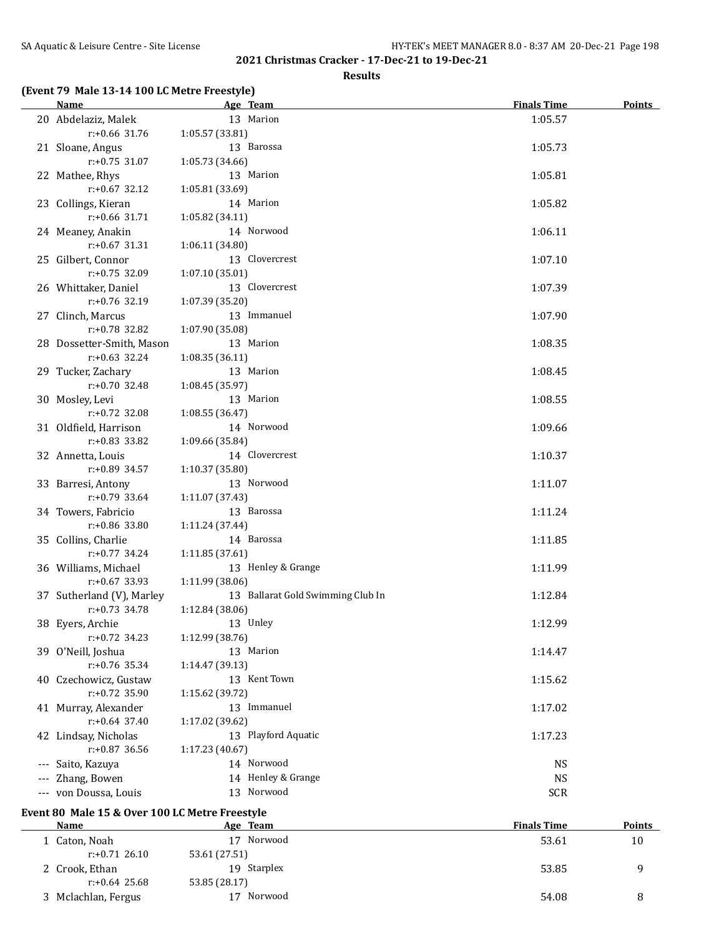**Results**

### **(Event 79 Male 13-14 100 LC Metre Freestyle)**

|                     | <b>Name</b>                             | Age Team                          | <b>Finals Time</b> | <b>Points</b> |
|---------------------|-----------------------------------------|-----------------------------------|--------------------|---------------|
|                     | 20 Abdelaziz, Malek                     | 13 Marion                         | 1:05.57            |               |
|                     | r:+0.66 31.76                           | 1:05.57 (33.81)                   |                    |               |
|                     | 21 Sloane, Angus                        | 13 Barossa                        | 1:05.73            |               |
|                     | $r: +0.75$ 31.07                        | 1:05.73 (34.66)                   |                    |               |
|                     | 22 Mathee, Rhys                         | 13 Marion                         | 1:05.81            |               |
|                     | $r: +0.67$ 32.12                        | 1:05.81 (33.69)                   |                    |               |
|                     | 23 Collings, Kieran                     | 14 Marion                         | 1:05.82            |               |
|                     | $r: +0.66$ 31.71                        | 1:05.82 (34.11)                   |                    |               |
|                     | 24 Meaney, Anakin                       | 14 Norwood                        | 1:06.11            |               |
|                     | $r: +0.67$ 31.31                        | 1:06.11 (34.80)                   |                    |               |
|                     | 25 Gilbert, Connor                      | 13 Clovercrest                    | 1:07.10            |               |
|                     | $r: +0.75$ 32.09                        | 1:07.10(35.01)                    |                    |               |
|                     | 26 Whittaker, Daniel                    | 13 Clovercrest                    | 1:07.39            |               |
|                     | $r: +0.76$ 32.19                        | 1:07.39 (35.20)                   |                    |               |
|                     | 27 Clinch, Marcus                       | 13 Immanuel                       | 1:07.90            |               |
|                     | r:+0.78 32.82                           | 1:07.90 (35.08)                   |                    |               |
|                     | 28 Dossetter-Smith, Mason               | 13 Marion                         | 1:08.35            |               |
|                     | $r: +0.63$ 32.24                        | 1:08.35(36.11)                    |                    |               |
|                     | 29 Tucker, Zachary                      | 13 Marion                         | 1:08.45            |               |
|                     | $r: +0.70$ 32.48                        | 1:08.45 (35.97)                   |                    |               |
|                     | 30 Mosley, Levi                         | 13 Marion                         | 1:08.55            |               |
|                     | r:+0.72 32.08                           | 1:08.55(36.47)                    |                    |               |
|                     | 31 Oldfield, Harrison                   | 14 Norwood                        | 1:09.66            |               |
|                     | $r: +0.83$ 33.82                        | 1:09.66 (35.84)                   |                    |               |
|                     | 32 Annetta, Louis                       | 14 Clovercrest                    | 1:10.37            |               |
|                     | $r: +0.89$ 34.57                        | 1:10.37 (35.80)                   |                    |               |
|                     |                                         | 13 Norwood                        |                    |               |
|                     | 33 Barresi, Antony<br>$r: +0.79$ 33.64  |                                   | 1:11.07            |               |
|                     |                                         | 1:11.07 (37.43)                   |                    |               |
|                     | 34 Towers, Fabricio<br>$r: +0.86$ 33.80 | 13 Barossa                        | 1:11.24            |               |
|                     |                                         | 1:11.24 (37.44)                   |                    |               |
|                     | 35 Collins, Charlie                     | 14 Barossa                        | 1:11.85            |               |
|                     | $r: +0.77$ 34.24                        | 1:11.85 (37.61)                   |                    |               |
|                     | 36 Williams, Michael                    | 13 Henley & Grange                | 1:11.99            |               |
|                     | $r: +0.67$ 33.93                        | 1:11.99 (38.06)                   |                    |               |
|                     | 37 Sutherland (V), Marley               | 13 Ballarat Gold Swimming Club In | 1:12.84            |               |
|                     | $r: +0.73$ 34.78                        | 1:12.84 (38.06)                   |                    |               |
|                     | 38 Eyers, Archie                        | 13 Unley                          | 1:12.99            |               |
|                     | r:+0.72 34.23                           | 1:12.99 (38.76)                   |                    |               |
|                     | 39 O'Neill, Joshua                      | 13 Marion                         | 1:14.47            |               |
|                     | r:+0.76 35.34                           | 1:14.47 (39.13)                   |                    |               |
|                     | 40 Czechowicz, Gustaw                   | 13 Kent Town                      | 1:15.62            |               |
|                     | r:+0.72 35.90                           | 1:15.62 (39.72)                   |                    |               |
|                     | 41 Murray, Alexander                    | 13 Immanuel                       | 1:17.02            |               |
|                     | $r: +0.64$ 37.40                        | 1:17.02 (39.62)                   |                    |               |
|                     | 42 Lindsay, Nicholas                    | 13 Playford Aquatic               | 1:17.23            |               |
|                     | r:+0.87 36.56                           | 1:17.23(40.67)                    |                    |               |
| $\qquad \qquad - -$ | Saito, Kazuya                           | 14 Norwood                        | NS                 |               |
|                     | Zhang, Bowen                            | 14 Henley & Grange                | <b>NS</b>          |               |
| ---                 | von Doussa, Louis                       | 13 Norwood                        | <b>SCR</b>         |               |
|                     |                                         |                                   |                    |               |

### **Event 80 Male 15 & Over 100 LC Metre Freestyle**

 $\sim$ 

| Name                | Age Team      | <b>Finals Time</b> | <b>Points</b> |
|---------------------|---------------|--------------------|---------------|
| 1 Caton, Noah       | Norwood<br>17 | 53.61              | 10            |
| $r: +0.71$ 26.10    | 53.61 (27.51) |                    |               |
| 2 Crook, Ethan      | 19 Starplex   | 53.85              | a             |
| $r: +0.64$ 25.68    | 53.85 (28.17) |                    |               |
| 3 Mclachlan, Fergus | Norwood       | 54.08              |               |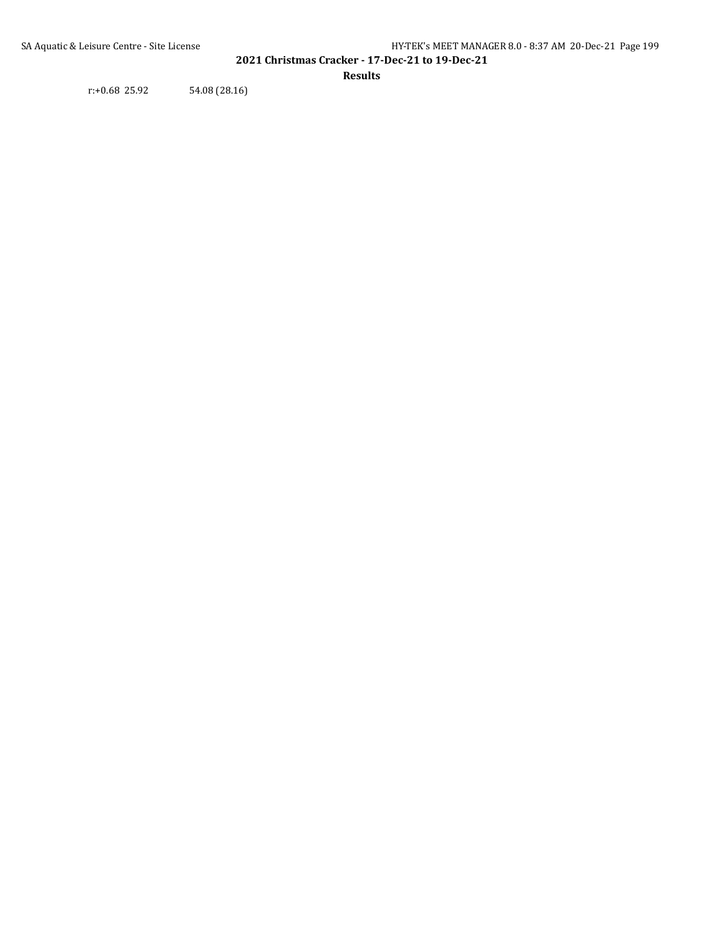**Results**

r:+0.68 25.92 54.08 (28.16)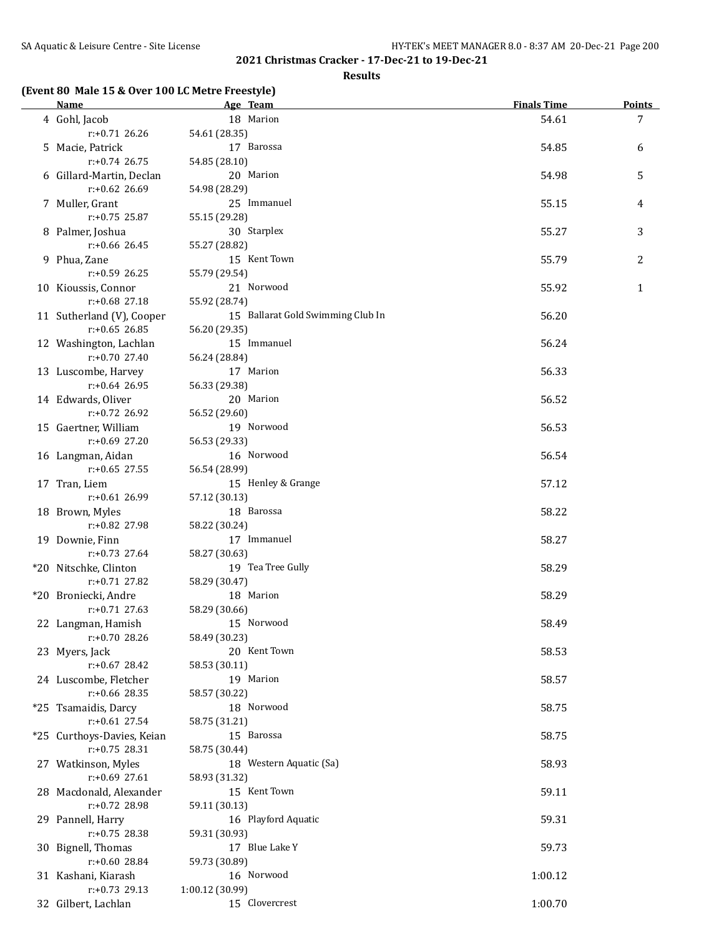**Results**

## **(Event 80 Male 15 & Over 100 LC Metre Freestyle)**

| <b>Name</b>                           | Age Team                            | <b>Finals Time</b> | <b>Points</b> |
|---------------------------------------|-------------------------------------|--------------------|---------------|
| 4 Gohl, Jacob                         | 18 Marion                           | 54.61              | 7             |
| $r: +0.71$ 26.26                      | 54.61 (28.35)                       |                    |               |
| 5 Macie, Patrick                      | 17 Barossa                          | 54.85              | 6             |
| $r: +0.74$ 26.75                      | 54.85 (28.10)                       |                    |               |
| 6 Gillard-Martin, Declan              | 20 Marion                           | 54.98              | 5             |
| $r: +0.62$ 26.69                      | 54.98 (28.29)                       |                    |               |
| 7 Muller, Grant                       | 25 Immanuel                         | 55.15              | 4             |
| r:+0.75 25.87                         | 55.15 (29.28)                       |                    |               |
| 8 Palmer, Joshua                      | 30 Starplex                         | 55.27              | 3             |
| r:+0.66 26.45                         | 55.27 (28.82)                       |                    |               |
| 9 Phua, Zane                          | 15 Kent Town                        | 55.79              | 2             |
| $r: +0.59$ 26.25                      | 55.79 (29.54)                       |                    |               |
| 10 Kioussis, Connor                   | 21 Norwood                          | 55.92              | $\mathbf{1}$  |
| $r: +0.68$ 27.18                      | 55.92 (28.74)                       |                    |               |
| 11 Sutherland (V), Cooper             | 15 Ballarat Gold Swimming Club In   | 56.20              |               |
| $r: +0.65$ 26.85                      | 56.20 (29.35)                       |                    |               |
| 12 Washington, Lachlan                | 15 Immanuel                         | 56.24              |               |
| r:+0.70 27.40                         | 56.24 (28.84)                       |                    |               |
| 13 Luscombe, Harvey                   | 17 Marion                           | 56.33              |               |
| $r: +0.64$ 26.95                      | 56.33 (29.38)                       |                    |               |
| 14 Edwards, Oliver                    | 20 Marion                           | 56.52              |               |
| $r: +0.72$ 26.92                      | 56.52 (29.60)                       |                    |               |
| 15 Gaertner, William                  | 19 Norwood                          | 56.53              |               |
| r:+0.69 27.20                         | 56.53 (29.33)<br>16 Norwood         |                    |               |
| 16 Langman, Aidan<br>$r: +0.65$ 27.55 |                                     | 56.54              |               |
|                                       | 56.54 (28.99)<br>15 Henley & Grange | 57.12              |               |
| 17 Tran, Liem<br>r:+0.61 26.99        | 57.12 (30.13)                       |                    |               |
| 18 Brown, Myles                       | 18 Barossa                          | 58.22              |               |
| r:+0.82 27.98                         | 58.22 (30.24)                       |                    |               |
| 19 Downie, Finn                       | 17 Immanuel                         | 58.27              |               |
| $r: +0.73$ 27.64                      | 58.27 (30.63)                       |                    |               |
| *20 Nitschke, Clinton                 | 19 Tea Tree Gully                   | 58.29              |               |
| $r: +0.71$ 27.82                      | 58.29 (30.47)                       |                    |               |
| *20 Broniecki, Andre                  | 18 Marion                           | 58.29              |               |
| $r: +0.71$ 27.63                      | 58.29 (30.66)                       |                    |               |
| 22 Langman, Hamish                    | 15 Norwood                          | 58.49              |               |
| r:+0.70 28.26                         | 58.49 (30.23)                       |                    |               |
| 23 Myers, Jack                        | 20 Kent Town                        | 58.53              |               |
| $r: +0.67$ 28.42                      | 58.53 (30.11)                       |                    |               |
| 24 Luscombe, Fletcher                 | 19 Marion                           | 58.57              |               |
| r:+0.66 28.35                         | 58.57 (30.22)                       |                    |               |
| *25 Tsamaidis, Darcy                  | 18 Norwood                          | 58.75              |               |
| $r: +0.61$ 27.54                      | 58.75 (31.21)                       |                    |               |
| *25 Curthoys-Davies, Keian            | 15 Barossa                          | 58.75              |               |
| r:+0.75 28.31                         | 58.75 (30.44)                       |                    |               |
| 27 Watkinson, Myles                   | 18 Western Aquatic (Sa)             | 58.93              |               |
| r:+0.69 27.61                         | 58.93 (31.32)                       |                    |               |
| 28 Macdonald, Alexander               | 15 Kent Town                        | 59.11              |               |
| r:+0.72 28.98                         | 59.11 (30.13)                       |                    |               |
| 29 Pannell, Harry                     | 16 Playford Aquatic                 | 59.31              |               |
| r:+0.75 28.38                         | 59.31 (30.93)                       |                    |               |
| 30 Bignell, Thomas                    | 17 Blue Lake Y                      | 59.73              |               |
| r:+0.60 28.84                         | 59.73 (30.89)                       |                    |               |
| 31 Kashani, Kiarash                   | 16 Norwood                          | 1:00.12            |               |
| r:+0.73 29.13                         | 1:00.12 (30.99)                     |                    |               |
| 32 Gilbert, Lachlan                   | 15 Clovercrest                      | 1:00.70            |               |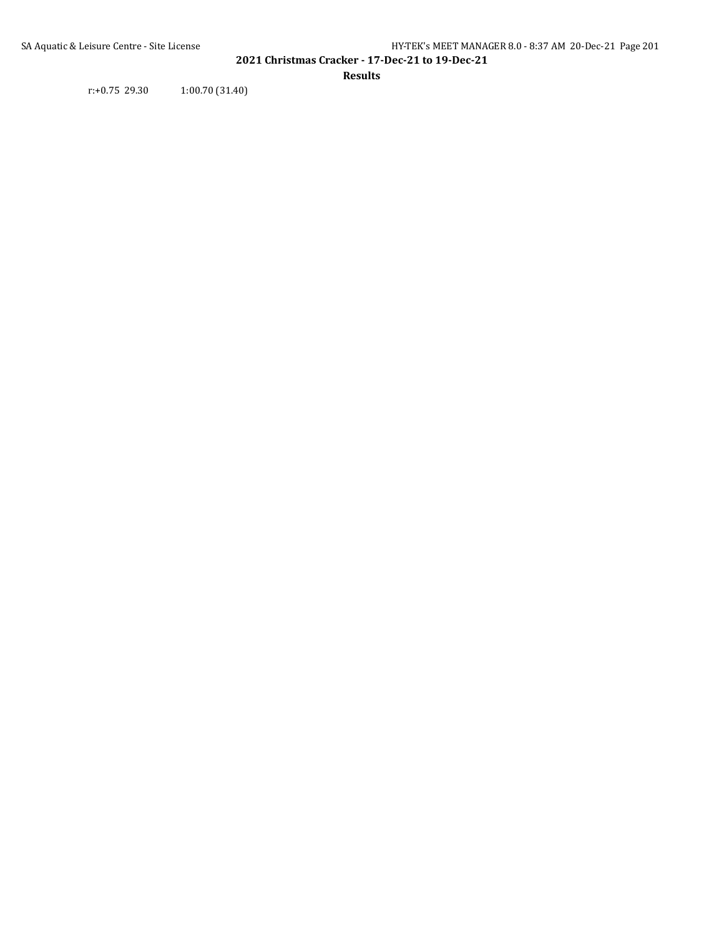**Results**

r:+0.75 29.30 1:00.70 (31.40)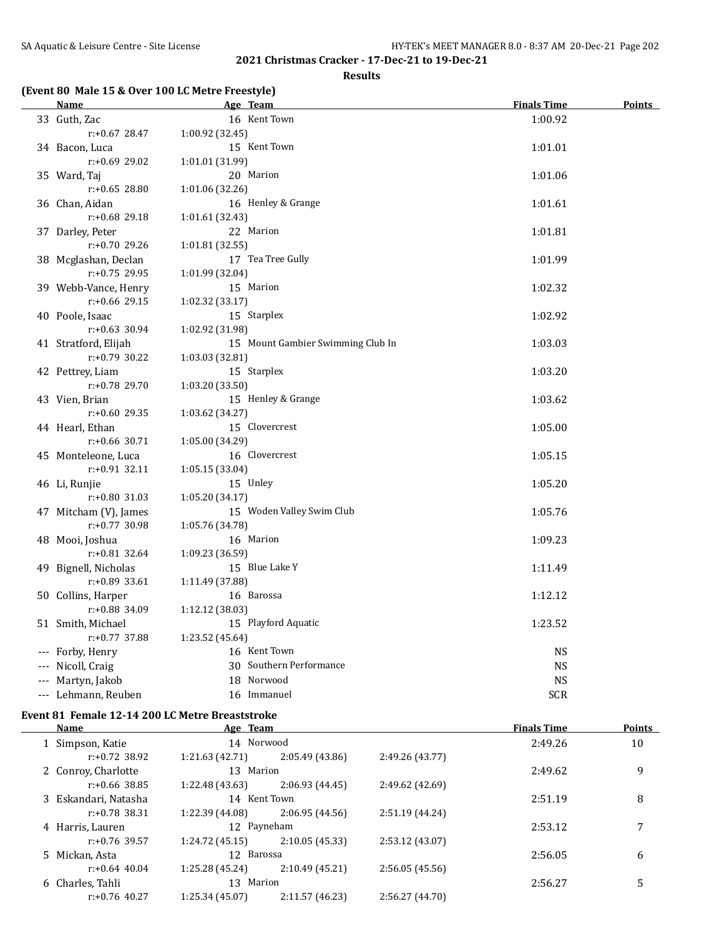**Results**

### **(Event 80 Male 15 & Over 100 LC Metre Freestyle)**

| Name                  | Age Team                          | <b>Finals Time</b> | Points |
|-----------------------|-----------------------------------|--------------------|--------|
| 33 Guth, Zac          | 16 Kent Town                      | 1:00.92            |        |
| $r: +0.67$ 28.47      | 1:00.92(32.45)                    |                    |        |
| 34 Bacon, Luca        | 15 Kent Town                      | 1:01.01            |        |
| r:+0.69 29.02         | 1:01.01 (31.99)                   |                    |        |
| 35 Ward, Taj          | 20 Marion                         | 1:01.06            |        |
| r:+0.65 28.80         | 1:01.06 (32.26)                   |                    |        |
| 36 Chan, Aidan        | 16 Henley & Grange                | 1:01.61            |        |
| $r: +0.68$ 29.18      | 1:01.61 (32.43)                   |                    |        |
| 37 Darley, Peter      | 22 Marion                         | 1:01.81            |        |
| $r: +0.70$ 29.26      | 1:01.81(32.55)                    |                    |        |
| 38 Mcglashan, Declan  | 17 Tea Tree Gully                 | 1:01.99            |        |
| $r: +0.75$ 29.95      | 1:01.99 (32.04)                   |                    |        |
| 39 Webb-Vance, Henry  | 15 Marion                         | 1:02.32            |        |
| $r: +0.66$ 29.15      | 1:02.32 (33.17)                   |                    |        |
| 40 Poole, Isaac       | 15 Starplex                       | 1:02.92            |        |
| $r: +0.63$ 30.94      | 1:02.92 (31.98)                   |                    |        |
| 41 Stratford, Elijah  | 15 Mount Gambier Swimming Club In | 1:03.03            |        |
| $r: +0.79$ 30.22      | 1:03.03 (32.81)                   |                    |        |
| 42 Pettrey, Liam      | 15 Starplex                       | 1:03.20            |        |
| r:+0.78 29.70         | 1:03.20 (33.50)                   |                    |        |
| 43 Vien, Brian        | 15 Henley & Grange                | 1:03.62            |        |
| $r: +0.60$ 29.35      | 1:03.62 (34.27)                   |                    |        |
| 44 Hearl, Ethan       | 15 Clovercrest                    | 1:05.00            |        |
| $r: +0.66$ 30.71      | 1:05.00 (34.29)                   |                    |        |
| 45 Monteleone, Luca   | 16 Clovercrest                    | 1:05.15            |        |
| $r: +0.91$ 32.11      | 1:05.15(33.04)                    |                    |        |
| 46 Li, Runjie         | 15 Unley                          | 1:05.20            |        |
| $r: +0.80$ 31.03      | 1:05.20(34.17)                    |                    |        |
| 47 Mitcham (V), James | 15 Woden Valley Swim Club         | 1:05.76            |        |
| r:+0.77 30.98         | 1:05.76 (34.78)                   |                    |        |
| 48 Mooi, Joshua       | 16 Marion                         | 1:09.23            |        |
| $r: +0.81$ 32.64      | 1:09.23 (36.59)                   |                    |        |
| 49 Bignell, Nicholas  | 15 Blue Lake Y                    | 1:11.49            |        |
| $r: +0.89$ 33.61      | 1:11.49 (37.88)                   |                    |        |
| 50 Collins, Harper    | 16 Barossa                        | 1:12.12            |        |
| r:+0.88 34.09         | 1:12.12 (38.03)                   |                    |        |
| 51 Smith, Michael     | 15 Playford Aquatic               | 1:23.52            |        |
| $r: +0.77$ 37.88      | 1:23.52 (45.64)                   |                    |        |
| --- Forby, Henry      | 16 Kent Town                      | NS                 |        |
| --- Nicoll, Craig     | 30 Southern Performance           | NS                 |        |
| --- Martyn, Jakob     | 18 Norwood                        | <b>NS</b>          |        |
| --- Lehmann, Reuben   | 16 Immanuel                       | <b>SCR</b>         |        |

## **Event 81 Female 12-14 200 LC Metre Breaststroke**

 $\overline{\phantom{0}}$ 

| <b>Name</b>          | Age Team        |                |                 | <b>Finals Time</b> | <b>Points</b> |
|----------------------|-----------------|----------------|-----------------|--------------------|---------------|
| 1 Simpson, Katie     | 14 Norwood      |                |                 | 2:49.26            | 10            |
| $r: +0.72$ 38.92     | 1:21.63(42.71)  | 2:05.49(43.86) | 2:49.26 (43.77) |                    |               |
| 2 Conroy, Charlotte  | 13 Marion       |                |                 | 2:49.62            | 9             |
| $r: +0.66$ 38.85     | 1:22.48 (43.63) | 2:06.93(44.45) | 2:49.62 (42.69) |                    |               |
| 3 Eskandari, Natasha | 14 Kent Town    |                |                 | 2:51.19            | 8             |
| $r: +0.78$ 38.31     | 1:22.39 (44.08) | 2:06.95(44.56) | 2:51.19 (44.24) |                    |               |
| 4 Harris, Lauren     | 12 Payneham     |                |                 | 2:53.12            | 7             |
| $r: +0.76$ 39.57     | 1:24.72 (45.15) | 2:10.05(45.33) | 2:53.12 (43.07) |                    |               |
| 5 Mickan, Asta       | 12 Barossa      |                |                 | 2:56.05            | 6             |
| $r: +0.64$ 40.04     | 1:25.28 (45.24) | 2:10.49(45.21) | 2:56.05(45.56)  |                    |               |
| 6 Charles, Tahli     | 13 Marion       |                |                 | 2:56.27            | 5             |
| $r: +0.76$ 40.27     | 1:25.34 (45.07) | 2:11.57(46.23) | 2:56.27 (44.70) |                    |               |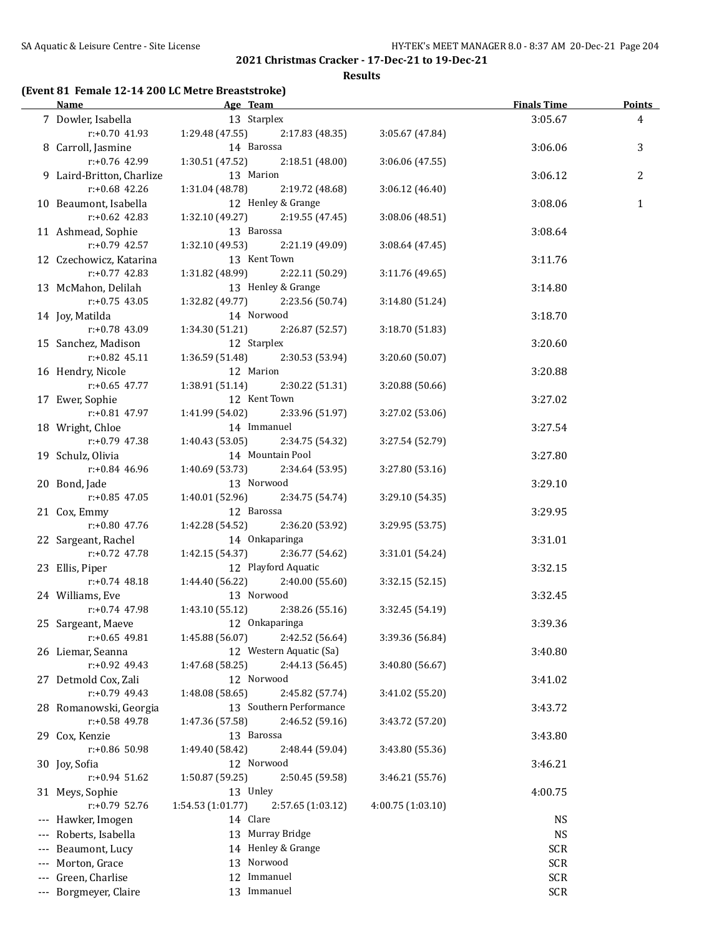**Results**

### **(Event 81 Female 12-14 200 LC Metre Breaststroke)**

|       | Name                      | Age Team                               |                   | <b>Finals Time</b> | <b>Points</b>  |
|-------|---------------------------|----------------------------------------|-------------------|--------------------|----------------|
|       | 7 Dowler, Isabella        | 13 Starplex                            |                   | 3:05.67            | $\overline{4}$ |
|       | r:+0.70 41.93             | $1:29.48(47.55)$ $2:17.83(48.35)$      | 3:05.67 (47.84)   |                    |                |
|       | 8 Carroll, Jasmine        | 14 Barossa                             |                   | 3:06.06            | 3              |
|       | r:+0.76 42.99             | $1:30.51(47.52)$ $2:18.51(48.00)$      | 3:06.06 (47.55)   |                    |                |
|       | 9 Laird-Britton, Charlize | 13 Marion                              |                   | 3:06.12            | $\overline{2}$ |
|       | r:+0.68 42.26             | 1:31.04 (48.78) 2:19.72 (48.68)        | 3:06.12 (46.40)   |                    |                |
|       | 10 Beaumont, Isabella     | 12 Henley & Grange                     |                   | 3:08.06            | $\mathbf{1}$   |
|       | $r: +0.62$ 42.83          | $1:32.10(49.27)$ $2:19.55(47.45)$      | 3:08.06 (48.51)   |                    |                |
|       | 11 Ashmead, Sophie        | 13 Barossa                             |                   | 3:08.64            |                |
|       | $r: +0.79$ 42.57          | $1:32.10(49.53)$ $2:21.19(49.09)$      | 3:08.64 (47.45)   |                    |                |
|       | 12 Czechowicz, Katarina   | 13 Kent Town                           |                   | 3:11.76            |                |
|       | $r: +0.77$ 42.83          | $1:31.82$ (48.99) $2:22.11$ (50.29)    | 3:11.76 (49.65)   |                    |                |
|       | 13 McMahon, Delilah       | 13 Henley & Grange                     |                   | 3:14.80            |                |
|       | $r: +0.75$ 43.05          | 1:32.82 (49.77) 2:23.56 (50.74)        | 3:14.80 (51.24)   |                    |                |
|       | 14 Joy, Matilda           | 14 Norwood                             |                   | 3:18.70            |                |
|       | $r: +0.78$ 43.09          | $1:34.30(51.21)$ $2:26.87(52.57)$      | 3:18.70 (51.83)   |                    |                |
|       | 15 Sanchez, Madison       | 12 Starplex                            |                   | 3:20.60            |                |
|       | $r: +0.82$ 45.11          | 1:36.59 (51.48)<br>2:30.53(53.94)      | 3:20.60 (50.07)   |                    |                |
|       | 16 Hendry, Nicole         | 12 Marion                              |                   | 3:20.88            |                |
|       | $r: +0.65$ 47.77          | $1:38.91(51.14)$ $2:30.22(51.31)$      | 3:20.88 (50.66)   |                    |                |
|       | 17 Ewer, Sophie           | 12 Kent Town                           |                   | 3:27.02            |                |
|       | $r: +0.81$ 47.97          | 1:41.99 (54.02) 2:33.96 (51.97)        | 3:27.02 (53.06)   |                    |                |
|       | 18 Wright, Chloe          | 14 Immanuel                            |                   | 3:27.54            |                |
|       | $r: +0.79$ 47.38          | $1:40.43(53.05)$ $2:34.75(54.32)$      | 3:27.54 (52.79)   |                    |                |
|       | 19 Schulz, Olivia         | 14 Mountain Pool                       |                   | 3:27.80            |                |
|       | $r: +0.84$ 46.96          | $1:40.69(53.73)$ $2:34.64(53.95)$      | 3:27.80 (53.16)   |                    |                |
|       | 20 Bond, Jade             | 13 Norwood                             |                   | 3:29.10            |                |
|       | $r: +0.85$ 47.05          | $1:40.01(52.96)$ $2:34.75(54.74)$      | 3:29.10 (54.35)   |                    |                |
|       | 21 Cox, Emmy              | 12 Barossa                             |                   | 3:29.95            |                |
|       | $r: +0.80$ 47.76          | 1:42.28 (54.52) 2:36.20 (53.92)        | 3:29.95 (53.75)   |                    |                |
|       | 22 Sargeant, Rachel       | 14 Onkaparinga                         |                   | 3:31.01            |                |
|       | $r: +0.72$ 47.78          | 1:42.15 (54.37) 2:36.77 (54.62)        | 3:31.01 (54.24)   |                    |                |
|       | 23 Ellis, Piper           | 12 Playford Aquatic                    |                   | 3:32.15            |                |
|       | $r: +0.74$ 48.18          | $1:44.40(56.22)$ $2:40.00(55.60)$      | 3:32.15(52.15)    |                    |                |
|       | 24 Williams, Eve          | 13 Norwood                             |                   | 3:32.45            |                |
|       | $r: +0.74$ 47.98          | $1:43.10(55.12)$ $2:38.26(55.16)$      | 3:32.45 (54.19)   |                    |                |
|       | 25 Sargeant, Maeve        | 12 Onkaparinga                         |                   | 3:39.36            |                |
|       | $r: +0.65$ 49.81          | 2:42.52 (56.64)<br>1:45.88 (56.07)     | 3:39.36 (56.84)   |                    |                |
|       | 26 Liemar, Seanna         | 12 Western Aquatic (Sa)                |                   | 3:40.80            |                |
|       | r:+0.92 49.43             | 2:44.13 (56.45)<br>1:47.68 (58.25)     | 3:40.80 (56.67)   |                    |                |
|       | 27 Detmold Cox, Zali      | 12 Norwood                             |                   | 3:41.02            |                |
|       | $r: +0.79$ 49.43          | 1:48.08 (58.65)<br>2:45.82 (57.74)     | 3:41.02 (55.20)   |                    |                |
|       | 28 Romanowski, Georgia    | 13 Southern Performance                |                   | 3:43.72            |                |
|       | $r: +0.58$ 49.78          | 2:46.52 (59.16)<br>1:47.36 (57.58)     | 3:43.72 (57.20)   |                    |                |
|       | 29 Cox, Kenzie            | 13 Barossa                             |                   | 3:43.80            |                |
|       | r:+0.86 50.98             | 1:49.40 (58.42)<br>2:48.44 (59.04)     | 3:43.80 (55.36)   |                    |                |
|       | 30 Joy, Sofia             | 12 Norwood                             |                   | 3:46.21            |                |
|       | r:+0.94 51.62             | 1:50.87 (59.25)<br>2:50.45 (59.58)     | 3:46.21 (55.76)   |                    |                |
|       | 31 Meys, Sophie           | 13 Unley                               |                   | 4:00.75            |                |
|       | r:+0.79 52.76             | 1:54.53 (1:01.77)<br>2:57.65 (1:03.12) | 4:00.75 (1:03.10) |                    |                |
|       | --- Hawker, Imogen        | 14 Clare                               |                   | <b>NS</b>          |                |
| $---$ | Roberts, Isabella         | 13 Murray Bridge                       |                   | <b>NS</b>          |                |
|       | Beaumont, Lucy            | 14 Henley & Grange                     |                   | <b>SCR</b>         |                |
| $---$ | Morton, Grace             | 13 Norwood                             |                   | <b>SCR</b>         |                |
|       | Green, Charlise           | 12 Immanuel                            |                   | <b>SCR</b>         |                |
| ---   | Borgmeyer, Claire         | 13 Immanuel                            |                   | <b>SCR</b>         |                |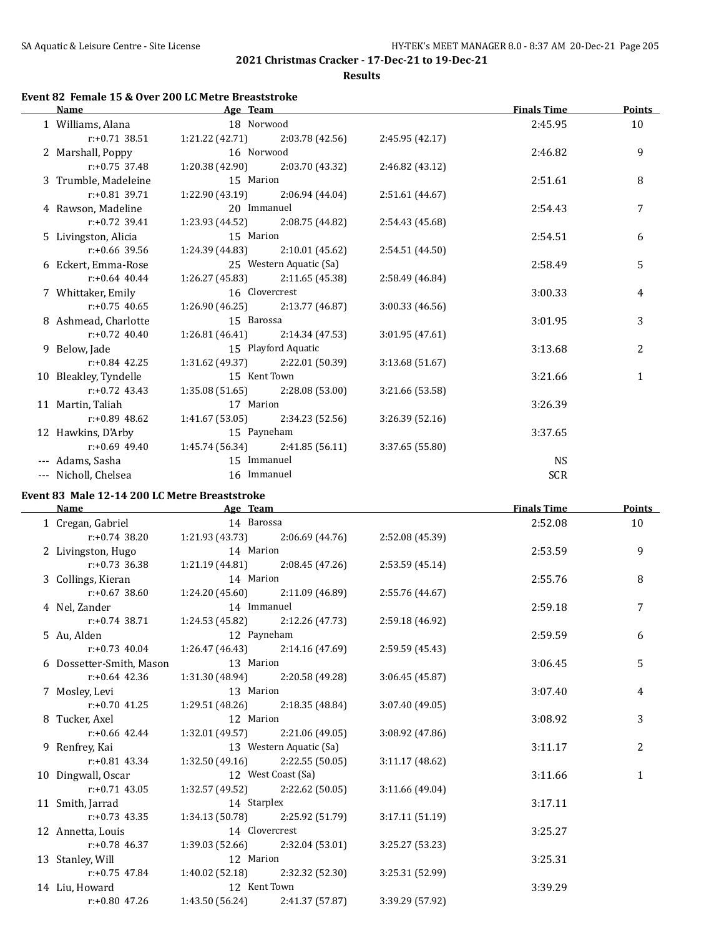**Results**

## **Event 82 Female 15 & Over 200 LC Metre Breaststroke**

| <b>Name</b>           | Age Team        |                                     |                 | <b>Finals Time</b> | <b>Points</b> |
|-----------------------|-----------------|-------------------------------------|-----------------|--------------------|---------------|
| 1 Williams, Alana     | 18 Norwood      |                                     |                 | 2:45.95            | 10            |
| $r: +0.71$ 38.51      |                 | $1:21.22$ (42.71) $2:03.78$ (42.56) | 2:45.95 (42.17) |                    |               |
| 2 Marshall, Poppy     | 16 Norwood      |                                     |                 | 2:46.82            | 9             |
| $r: +0.75$ 37.48      |                 | $1:20.38(42.90)$ $2:03.70(43.32)$   | 2:46.82 (43.12) |                    |               |
| 3 Trumble, Madeleine  | 15 Marion       |                                     |                 | 2:51.61            | 8             |
| r:+0.81 39.71         | 1:22.90 (43.19) | 2:06.94 (44.04)                     | 2:51.61 (44.67) |                    |               |
| 4 Rawson, Madeline    | 20 Immanuel     |                                     |                 | 2:54.43            | 7             |
| $r: +0.72$ 39.41      | 1:23.93 (44.52) | 2:08.75 (44.82)                     | 2:54.43 (45.68) |                    |               |
| 5 Livingston, Alicia  | 15 Marion       |                                     |                 | 2:54.51            | 6             |
| $r: +0.66$ 39.56      |                 | $1:24.39(44.83)$ $2:10.01(45.62)$   | 2:54.51 (44.50) |                    |               |
| 6 Eckert, Emma-Rose   |                 | 25 Western Aquatic (Sa)             |                 | 2:58.49            | 5             |
| $r: +0.64$ 40.44      |                 | $1:26.27(45.83)$ $2:11.65(45.38)$   | 2:58.49 (46.84) |                    |               |
| 7 Whittaker, Emily    | 16 Clovercrest  |                                     |                 | 3:00.33            | 4             |
| $r: +0.75$ 40.65      |                 | $1:26.90(46.25)$ $2:13.77(46.87)$   | 3:00.33(46.56)  |                    |               |
| 8 Ashmead, Charlotte  | 15 Barossa      |                                     |                 | 3:01.95            | 3             |
| $r: +0.72$ 40.40      |                 | $1:26.81(46.41)$ $2:14.34(47.53)$   | 3:01.95(47.61)  |                    |               |
| 9 Below, Jade         |                 | 15 Playford Aquatic                 |                 | 3:13.68            | 2             |
| $r: +0.84$ 42.25      |                 | $1:31.62$ (49.37) $2:22.01$ (50.39) | 3:13.68(51.67)  |                    |               |
| 10 Bleakley, Tyndelle | 15 Kent Town    |                                     |                 | 3:21.66            | $\mathbf{1}$  |
| $r: +0.72$ 43.43      |                 | $1:35.08(51.65)$ $2:28.08(53.00)$   | 3:21.66 (53.58) |                    |               |
| 11 Martin, Taliah     | 17 Marion       |                                     |                 | 3:26.39            |               |
| $r: +0.89$ 48.62      |                 | $1:41.67(53.05)$ $2:34.23(52.56)$   | 3:26.39(52.16)  |                    |               |
| 12 Hawkins, D'Arby    | 15 Payneham     |                                     |                 | 3:37.65            |               |
| $r: +0.69$ 49.40      |                 | $1:45.74(56.34)$ 2:41.85(56.11)     | 3:37.65 (55.80) |                    |               |
| --- Adams, Sasha      | 15 Immanuel     |                                     |                 | <b>NS</b>          |               |
| --- Nicholl, Chelsea  | 16 Immanuel     |                                     |                 | <b>SCR</b>         |               |

## **Event 83 Male 12-14 200 LC Metre Breaststroke**

| Name                     | Age Team           |                                   |                 | <b>Finals Time</b> | <b>Points</b>  |
|--------------------------|--------------------|-----------------------------------|-----------------|--------------------|----------------|
| 1 Cregan, Gabriel        | 14 Barossa         |                                   |                 | 2:52.08            | 10             |
| r:+0.74 38.20            |                    | $1:21.93(43.73)$ $2:06.69(44.76)$ | 2:52.08 (45.39) |                    |                |
| 2 Livingston, Hugo       | 14 Marion          |                                   |                 | 2:53.59            | 9              |
| $r: +0.73$ 36.38         |                    | $1:21.19(44.81)$ $2:08.45(47.26)$ | 2:53.59(45.14)  |                    |                |
| 3 Collings, Kieran       | 14 Marion          |                                   |                 | 2:55.76            | 8              |
| $r: +0.67$ 38.60         |                    | $1:24.20(45.60)$ $2:11.09(46.89)$ | 2:55.76 (44.67) |                    |                |
| 4 Nel, Zander            | 14 Immanuel        |                                   |                 | 2:59.18            | 7              |
| r:+0.74 38.71            |                    | $1:24.53(45.82)$ $2:12.26(47.73)$ | 2:59.18 (46.92) |                    |                |
| 5 Au, Alden              | 12 Payneham        |                                   |                 | 2:59.59            | 6              |
| $r: +0.73$ 40.04         |                    | $1:26.47(46.43)$ $2:14.16(47.69)$ | 2:59.59 (45.43) |                    |                |
| 6 Dossetter-Smith, Mason | 13 Marion          |                                   |                 | 3:06.45            | 5              |
| $r: +0.64$ 42.36         |                    | $1:31.30(48.94)$ $2:20.58(49.28)$ | 3:06.45(45.87)  |                    |                |
| 7 Mosley, Levi           | 13 Marion          |                                   |                 | 3:07.40            | 4              |
| r:+0.70 41.25            |                    | $1:29.51(48.26)$ $2:18.35(48.84)$ | 3:07.40(49.05)  |                    |                |
| 8 Tucker, Axel           | 12 Marion          |                                   |                 | 3:08.92            | 3              |
| r:+0.66 42.44            |                    | $1:32.01(49.57)$ $2:21.06(49.05)$ | 3:08.92(47.86)  |                    |                |
| 9 Renfrey, Kai           |                    | 13 Western Aquatic (Sa)           |                 | 3:11.17            | $\overline{2}$ |
| r:+0.81 43.34            |                    | $1:32.50(49.16)$ $2:22.55(50.05)$ | 3:11.17(48.62)  |                    |                |
| 10 Dingwall, Oscar       | 12 West Coast (Sa) |                                   |                 | 3:11.66            | 1              |
| $r: +0.71$ 43.05         |                    | $1:32.57(49.52)$ $2:22.62(50.05)$ | 3:11.66(49.04)  |                    |                |
| 11 Smith, Jarrad         | 14 Starplex        |                                   |                 | 3:17.11            |                |
| r:+0.73 43.35            |                    | $1:34.13(50.78)$ $2:25.92(51.79)$ | 3:17.11(51.19)  |                    |                |
| 12 Annetta, Louis        | 14 Clovercrest     |                                   |                 | 3:25.27            |                |
| r:+0.78 46.37            |                    | $1:39.03(52.66)$ $2:32.04(53.01)$ | 3:25.27(53.23)  |                    |                |
| 13 Stanley, Will         | 12 Marion          |                                   |                 | 3:25.31            |                |
| r:+0.75 47.84            |                    | $1:40.02(52.18)$ $2:32.32(52.30)$ | 3:25.31 (52.99) |                    |                |
| 14 Liu, Howard           | 12 Kent Town       |                                   |                 | 3:39.29            |                |
| r:+0.80 47.26            |                    | 1:43.50 (56.24) 2:41.37 (57.87)   | 3:39.29 (57.92) |                    |                |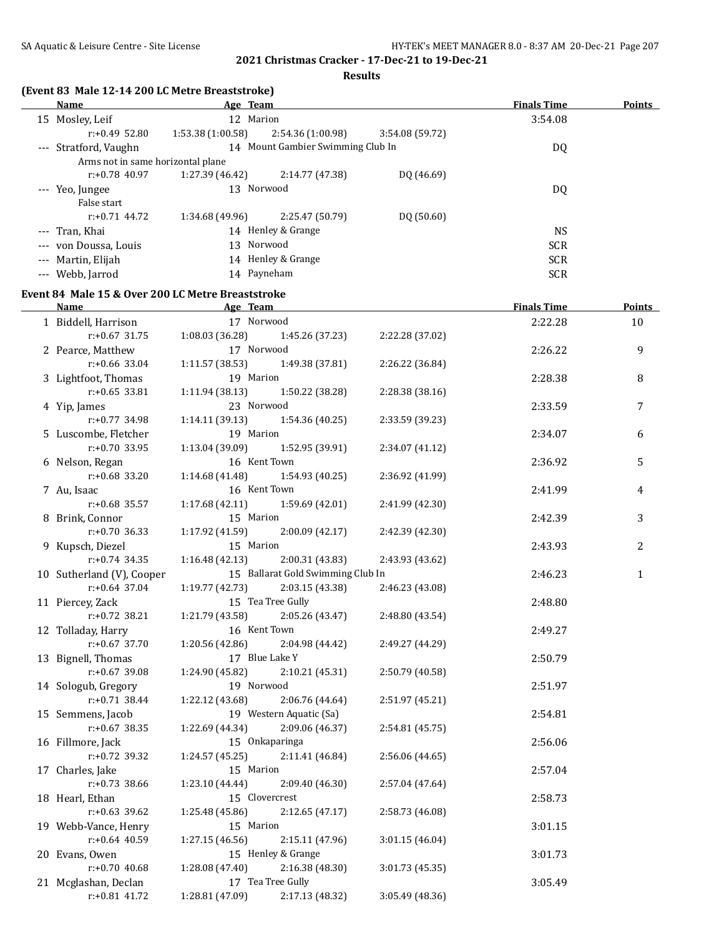|  | (Event 83 Male 12-14 200 LC Metre Breaststroke)<br><b>Name</b> | Age Team                                              |                                   |                 | <b>Finals Time</b> | <b>Points</b> |  |
|--|----------------------------------------------------------------|-------------------------------------------------------|-----------------------------------|-----------------|--------------------|---------------|--|
|  | 15 Mosley, Leif                                                | 12 Marion                                             | 3:54.08                           |                 |                    |               |  |
|  |                                                                | $r: +0.49$ 52.80 1:53.38 (1:00.58)                    | 2:54.36 (1:00.98)                 |                 |                    |               |  |
|  | --- Stratford, Vaughn                                          |                                                       | 14 Mount Gambier Swimming Club In | DQ              |                    |               |  |
|  | Arms not in same horizontal plane                              |                                                       |                                   |                 |                    |               |  |
|  | $r: +0.78$ 40.97                                               |                                                       | $1:27.39(46.42)$ $2:14.77(47.38)$ | DQ (46.69)      |                    |               |  |
|  | --- Yeo, Jungee                                                | 13 Norwood                                            |                                   |                 | DQ                 |               |  |
|  | False start                                                    |                                                       |                                   |                 |                    |               |  |
|  | $r: +0.71$ 44.72                                               |                                                       | $1:34.68(49.96)$ $2:25.47(50.79)$ | DQ (50.60)      |                    |               |  |
|  | --- Tran, Khai                                                 |                                                       | 14 Henley & Grange                |                 | NS                 |               |  |
|  | --- von Doussa, Louis                                          | 13 Norwood                                            |                                   |                 | <b>SCR</b>         |               |  |
|  | --- Martin, Elijah                                             |                                                       |                                   |                 | <b>SCR</b>         |               |  |
|  | --- Webb, Jarrod                                               |                                                       | 14 Henley & Grange<br>14 Payneham |                 | <b>SCR</b>         |               |  |
|  |                                                                |                                                       |                                   |                 |                    |               |  |
|  | Event 84 Male 15 & Over 200 LC Metre Breaststroke              |                                                       |                                   |                 |                    |               |  |
|  | Name                                                           | <b>Example 2018</b> Age Team                          |                                   |                 | <b>Finals Time</b> | Points        |  |
|  | 1 Biddell, Harrison                                            | 17 Norwood                                            |                                   |                 | 2:22.28            | 10            |  |
|  | $r: +0.67$ 31.75                                               | 1:08.03 (36.28)                                       | 1:45.26 (37.23)                   | 2:22.28 (37.02) |                    |               |  |
|  | 2 Pearce, Matthew                                              | 17 Norwood                                            |                                   |                 | 2:26.22            | 9             |  |
|  | $r: +0.66$ 33.04                                               | 1:11.57 (38.53)                                       | 1:49.38 (37.81)                   | 2:26.22 (36.84) |                    |               |  |
|  | 3 Lightfoot, Thomas                                            | 19 Marion                                             |                                   |                 | 2:28.38<br>8       |               |  |
|  | $r: +0.65$ 33.81                                               | 1:11.94(38.13)                                        | 1:50.22 (38.28)                   | 2:28.38 (38.16) |                    |               |  |
|  | 4 Yip, James                                                   | 23 Norwood                                            |                                   |                 | 2:33.59            | 7             |  |
|  | $r: +0.77$ 34.98                                               | 1:14.11 (39.13)                                       | 1:54.36 (40.25)                   | 2:33.59 (39.23) |                    |               |  |
|  | 5 Luscombe, Fletcher                                           | 19 Marion                                             |                                   |                 | 2:34.07            | 6             |  |
|  | $r: +0.70$ 33.95                                               | 1:13.04 (39.09)                                       | 1:52.95 (39.91)                   | 2:34.07 (41.12) |                    |               |  |
|  | 6 Nelson, Regan                                                |                                                       | 16 Kent Town                      | 2:36.92         | 5                  |               |  |
|  | $r: +0.68$ 33.20                                               | 1:14.68(41.48)                                        | 1:54.93 (40.25)                   |                 |                    |               |  |
|  | 7 Au, Isaac                                                    |                                                       | 16 Kent Town                      | 2:36.92 (41.99) | 2:41.99            | 4             |  |
|  | $r: +0.68$ 35.57                                               | 1:17.68(42.11)                                        | 1:59.69 (42.01)                   | 2:41.99 (42.30) |                    |               |  |
|  | 8 Brink, Connor                                                | 15 Marion                                             |                                   | 2:42.39         | 3                  |               |  |
|  | $r: +0.70$ 36.33                                               | 1:17.92 (41.59)                                       | 2:00.09(42.17)                    | 2:42.39 (42.30) |                    |               |  |
|  | 9 Kupsch, Diezel                                               | 15 Marion                                             |                                   |                 | 2:43.93            | 2             |  |
|  | $r: +0.74$ 34.35                                               | 1:16.48(42.13)<br>2:00.31 (43.83)<br>2:43.93 (43.62)  |                                   |                 |                    |               |  |
|  | 10 Sutherland (V), Cooper                                      |                                                       | 15 Ballarat Gold Swimming Club In |                 | 2:46.23            | $\mathbf{1}$  |  |
|  | $r: +0.64$ 37.04                                               | 1:19.77 (42.73)                                       | 2:03.15 (43.38)                   | 2:46.23 (43.08) |                    |               |  |
|  | 11 Piercey, Zack                                               | 15 Tea Tree Gully                                     |                                   |                 | 2:48.80            |               |  |
|  | r:+0.72 38.21                                                  | 1:21.79 (43.58)                                       | 2:05.26 (43.47)                   |                 |                    |               |  |
|  | 12 Tolladay, Harry                                             |                                                       | 16 Kent Town                      | 2:48.80 (43.54) | 2:49.27            |               |  |
|  | $r: +0.67$ 37.70                                               | 1:20.56 (42.86)<br>2:04.98 (44.42)<br>2:49.27 (44.29) |                                   |                 |                    |               |  |
|  | 13 Bignell, Thomas                                             |                                                       | 17 Blue Lake Y                    | 2:50.79         |                    |               |  |
|  | $r: +0.67$ 39.08                                               | 1:24.90 (45.82)                                       | 2:10.21 (45.31)                   | 2:50.79 (40.58) |                    |               |  |
|  | 14 Sologub, Gregory                                            | 19 Norwood                                            |                                   |                 | 2:51.97            |               |  |
|  | $r: +0.71$ 38.44                                               | 1:22.12(43.68)                                        | 2:06.76 (44.64)                   | 2:51.97 (45.21) |                    |               |  |
|  | 15 Semmens, Jacob                                              |                                                       | 19 Western Aquatic (Sa)           |                 | 2:54.81            |               |  |
|  | $r: +0.67$ 38.35                                               | 1:22.69 (44.34)                                       | 2:09.06 (46.37)                   | 2:54.81 (45.75) |                    |               |  |
|  | 16 Fillmore, Jack                                              | 15 Onkaparinga                                        |                                   |                 |                    |               |  |
|  |                                                                |                                                       |                                   |                 | 2:56.06            |               |  |
|  | r:+0.72 39.32                                                  | 1:24.57 (45.25)                                       | 2:11.41 (46.84)                   | 2:56.06 (44.65) |                    |               |  |
|  | 17 Charles, Jake                                               | 15 Marion                                             |                                   | 2:57.04         |                    |               |  |
|  | $r: +0.73$ 38.66                                               | 1:23.10 (44.44)                                       | 2:09.40 (46.30)                   | 2:57.04 (47.64) |                    |               |  |
|  | 18 Hearl, Ethan                                                |                                                       | 15 Clovercrest                    |                 | 2:58.73            |               |  |
|  | $r: +0.63$ 39.62                                               | 1:25.48 (45.86)<br>2:12.65(47.17)<br>2:58.73 (46.08)  |                                   |                 |                    |               |  |
|  | 19 Webb-Vance, Henry                                           | 15 Marion                                             |                                   |                 | 3:01.15            |               |  |
|  | $r: +0.64$ 40.59                                               | 1:27.15(46.56)                                        | 2:15.11 (47.96)                   | 3:01.15 (46.04) |                    |               |  |
|  | 20 Evans, Owen                                                 | 15 Henley & Grange                                    |                                   |                 | 3:01.73            |               |  |
|  | $r: +0.70$ 40.68                                               | 1:28.08(47.40)                                        | 2:16.38 (48.30)                   | 3:01.73 (45.35) |                    |               |  |
|  | 21 Mcglashan, Declan                                           |                                                       | 17 Tea Tree Gully                 |                 | 3:05.49            |               |  |
|  | $r: +0.81$ 41.72                                               |                                                       | 1:28.81 (47.09) 2:17.13 (48.32)   | 3:05.49 (48.36) |                    |               |  |